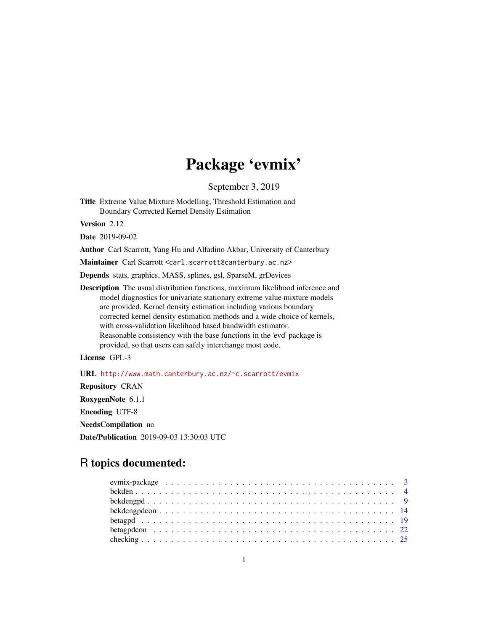# Package 'evmix'

September 3, 2019

<span id="page-0-0"></span>Title Extreme Value Mixture Modelling, Threshold Estimation and Boundary Corrected Kernel Density Estimation

Version 2.12

Date 2019-09-02

Author Carl Scarrott, Yang Hu and Alfadino Akbar, University of Canterbury

Maintainer Carl Scarrott <carl.scarrott@canterbury.ac.nz>

Depends stats, graphics, MASS, splines, gsl, SparseM, grDevices

Description The usual distribution functions, maximum likelihood inference and model diagnostics for univariate stationary extreme value mixture models are provided. Kernel density estimation including various boundary corrected kernel density estimation methods and a wide choice of kernels, with cross-validation likelihood based bandwidth estimator. Reasonable consistency with the base functions in the 'evd' package is provided, so that users can safely interchange most code.

License GPL-3

URL <http://www.math.canterbury.ac.nz/~c.scarrott/evmix> Repository CRAN RoxygenNote 6.1.1 Encoding UTF-8 NeedsCompilation no Date/Publication 2019-09-03 13:30:03 UTC

## R topics documented: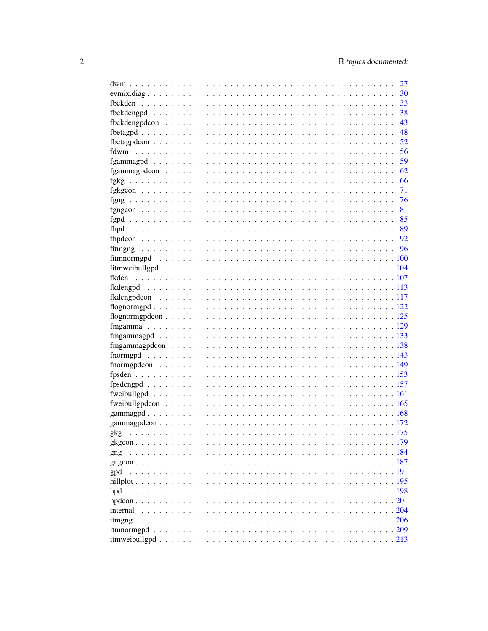|                                                                                                                        | 27   |
|------------------------------------------------------------------------------------------------------------------------|------|
|                                                                                                                        | 30   |
|                                                                                                                        | 33   |
|                                                                                                                        | 38   |
|                                                                                                                        | 43   |
|                                                                                                                        | 48   |
|                                                                                                                        | 52   |
| fdwm                                                                                                                   | 56   |
|                                                                                                                        | 59   |
|                                                                                                                        | 62   |
|                                                                                                                        | 66   |
|                                                                                                                        | 71   |
| fgng<br>a dia kaominina mpikambana amin'ny fivondronan-kaominin'i Communister ao amin'ny fivondronan-kaominin'i Commun | 76   |
|                                                                                                                        | 81   |
|                                                                                                                        | 85   |
|                                                                                                                        | 89   |
|                                                                                                                        | - 92 |
| fitmgng                                                                                                                |      |
|                                                                                                                        |      |
|                                                                                                                        |      |
| fkden                                                                                                                  |      |
|                                                                                                                        |      |
|                                                                                                                        |      |
|                                                                                                                        |      |
|                                                                                                                        |      |
|                                                                                                                        |      |
|                                                                                                                        |      |
|                                                                                                                        |      |
|                                                                                                                        |      |
|                                                                                                                        |      |
|                                                                                                                        |      |
|                                                                                                                        |      |
|                                                                                                                        |      |
|                                                                                                                        |      |
|                                                                                                                        |      |
|                                                                                                                        |      |
|                                                                                                                        |      |
|                                                                                                                        |      |
|                                                                                                                        |      |
| gng                                                                                                                    |      |
|                                                                                                                        |      |
| gpd                                                                                                                    |      |
|                                                                                                                        |      |
| hpd                                                                                                                    |      |
|                                                                                                                        |      |
| internal                                                                                                               |      |
|                                                                                                                        |      |
|                                                                                                                        |      |
|                                                                                                                        |      |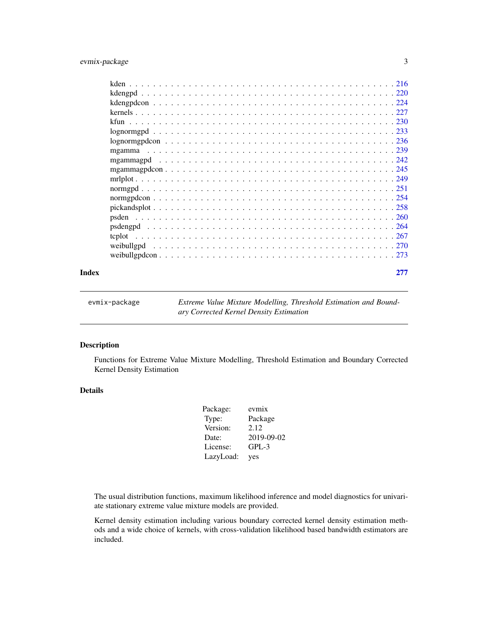## <span id="page-2-0"></span>evmix-package 3

| psden  |  |  |  |  |  |  |  |  |  |  |  |  |  |  |  |  |  |  |  |
|--------|--|--|--|--|--|--|--|--|--|--|--|--|--|--|--|--|--|--|--|
|        |  |  |  |  |  |  |  |  |  |  |  |  |  |  |  |  |  |  |  |
| tcplot |  |  |  |  |  |  |  |  |  |  |  |  |  |  |  |  |  |  |  |
|        |  |  |  |  |  |  |  |  |  |  |  |  |  |  |  |  |  |  |  |
|        |  |  |  |  |  |  |  |  |  |  |  |  |  |  |  |  |  |  |  |
|        |  |  |  |  |  |  |  |  |  |  |  |  |  |  |  |  |  |  |  |

#### **Index** [277](#page-276-0)

evmix-package *Extreme Value Mixture Modelling, Threshold Estimation and Boundary Corrected Kernel Density Estimation*

## <span id="page-2-1"></span>Description

Functions for Extreme Value Mixture Modelling, Threshold Estimation and Boundary Corrected Kernel Density Estimation

## Details

| Package:  | evmix      |
|-----------|------------|
| Type:     | Package    |
| Version:  | 2.12       |
| Date:     | 2019-09-02 |
| License:  | $GPL-3$    |
| LazyLoad: | yes        |

The usual distribution functions, maximum likelihood inference and model diagnostics for univariate stationary extreme value mixture models are provided.

Kernel density estimation including various boundary corrected kernel density estimation methods and a wide choice of kernels, with cross-validation likelihood based bandwidth estimators are included.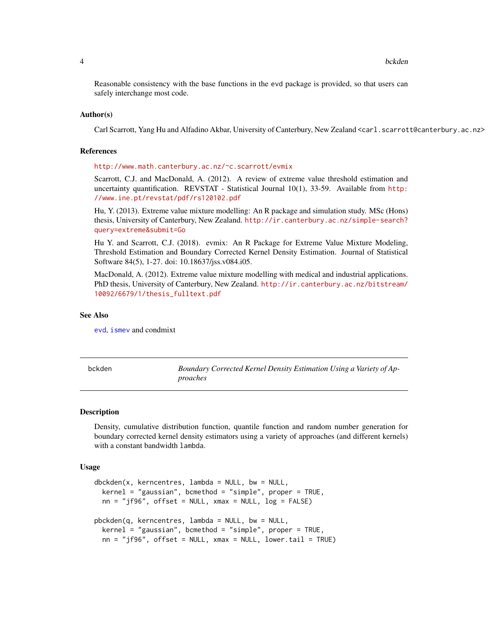<span id="page-3-0"></span>4 bckden book of the state of the state of the state of the state of the state of the state of the state of the

Reasonable consistency with the base functions in the evd package is provided, so that users can safely interchange most code.

#### Author(s)

Carl Scarrott, Yang Hu and Alfadino Akbar, University of Canterbury, New Zealand <carl.scarrott@canterbury.ac.nz>

#### References

<http://www.math.canterbury.ac.nz/~c.scarrott/evmix>

Scarrott, C.J. and MacDonald, A. (2012). A review of extreme value threshold estimation and uncertainty quantification. REVSTAT - Statistical Journal 10(1), 33-59. Available from [http:](http://www.ine.pt/revstat/pdf/rs120102.pdf) [//www.ine.pt/revstat/pdf/rs120102.pdf](http://www.ine.pt/revstat/pdf/rs120102.pdf)

Hu, Y. (2013). Extreme value mixture modelling: An R package and simulation study. MSc (Hons) thesis, University of Canterbury, New Zealand. [http://ir.canterbury.ac.nz/simple-search?](http://ir.canterbury.ac.nz/simple-search?query=extreme&submit=Go) [query=extreme&submit=Go](http://ir.canterbury.ac.nz/simple-search?query=extreme&submit=Go)

Hu Y. and Scarrott, C.J. (2018). evmix: An R Package for Extreme Value Mixture Modeling, Threshold Estimation and Boundary Corrected Kernel Density Estimation. Journal of Statistical Software 84(5), 1-27. doi: 10.18637/jss.v084.i05.

MacDonald, A. (2012). Extreme value mixture modelling with medical and industrial applications. PhD thesis, University of Canterbury, New Zealand. [http://ir.canterbury.ac.nz/bitstream/](http://ir.canterbury.ac.nz/bitstream/10092/6679/1/thesis_fulltext.pdf) [10092/6679/1/thesis\\_fulltext.pdf](http://ir.canterbury.ac.nz/bitstream/10092/6679/1/thesis_fulltext.pdf)

#### See Also

[evd](#page-0-0), [ismev](#page-0-0) and condmixt

<span id="page-3-2"></span>bckden *Boundary Corrected Kernel Density Estimation Using a Variety of Approaches*

#### <span id="page-3-1"></span>Description

Density, cumulative distribution function, quantile function and random number generation for boundary corrected kernel density estimators using a variety of approaches (and different kernels) with a constant bandwidth lambda.

#### Usage

```
dbckden(x, kerncentres, lambda = NULL, bw = NULL,\text{kernel} = "gaussian", \text{bcmethod} = "simple", \text{proper} = \text{TRUE},nn = "jf96", offset = NULL, xmax = NULL, log = FALSE)pbckden(q, kerncentres, lambda = NULL, bw = NULL,
  kernel = "gaussian", bcmethod = "simple", proper = TRUE,
  nn = "jf96", offset = NULL, xmax = NULL, lower.tail = TRUE)
```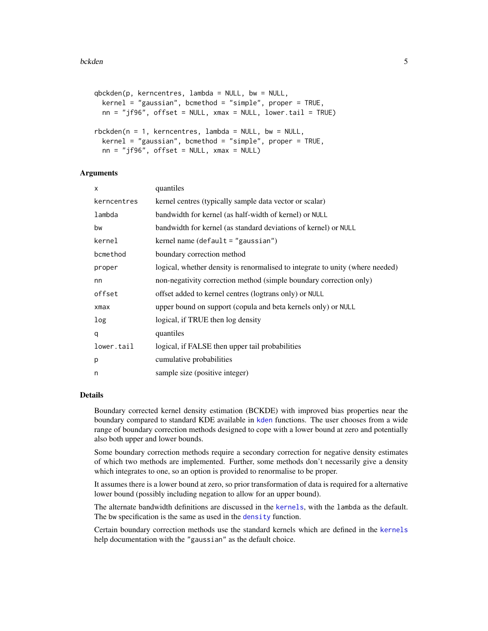```
qbckden(p, kerncentres, lambda = NULL, bw = NULL,
  \text{kernel} = \text{``gaussian''}, \text{bcmethod} = \text{``simple''}, \text{proper} = \text{TRUE},nn = "jf96", offset = NULL, xmax = NULL, lowertail = TRUE)
rbckden(n = 1, kerncentres, lambda = NULL, bw = NULL,
  kernel = "gaussian", bcmethod = "simple", proper = TRUE,
```
 $nn = "jf96", offset = NULL, xmax = NULL)$ 

## Arguments

| X           | quantiles                                                                     |
|-------------|-------------------------------------------------------------------------------|
| kerncentres | kernel centres (typically sample data vector or scalar)                       |
| lambda      | bandwidth for kernel (as half-width of kernel) or NULL                        |
| bw          | bandwidth for kernel (as standard deviations of kernel) or NULL               |
| kernel      | kernel name (default $=$ "gaussian")                                          |
| bcmethod    | boundary correction method                                                    |
| proper      | logical, whether density is renormalised to integrate to unity (where needed) |
| nn          | non-negativity correction method (simple boundary correction only)            |
| offset      | offset added to kernel centres (logtrans only) or NULL                        |
| $x$ ma $x$  | upper bound on support (copula and beta kernels only) or NULL                 |
| log         | logical, if TRUE then log density                                             |
| q           | quantiles                                                                     |
| lower.tail  | logical, if FALSE then upper tail probabilities                               |
| p           | cumulative probabilities                                                      |
| n           | sample size (positive integer)                                                |

#### Details

Boundary corrected kernel density estimation (BCKDE) with improved bias properties near the boundary compared to standard KDE available in [kden](#page-215-1) functions. The user chooses from a wide range of boundary correction methods designed to cope with a lower bound at zero and potentially also both upper and lower bounds.

Some boundary correction methods require a secondary correction for negative density estimates of which two methods are implemented. Further, some methods don't necessarily give a density which integrates to one, so an option is provided to renormalise to be proper.

It assumes there is a lower bound at zero, so prior transformation of data is required for a alternative lower bound (possibly including negation to allow for an upper bound).

The alternate bandwidth definitions are discussed in the [kernels](#page-226-1), with the lambda as the default. The bw specification is the same as used in the [density](#page-0-0) function.

Certain boundary correction methods use the standard kernels which are defined in the [kernels](#page-226-1) help documentation with the "gaussian" as the default choice.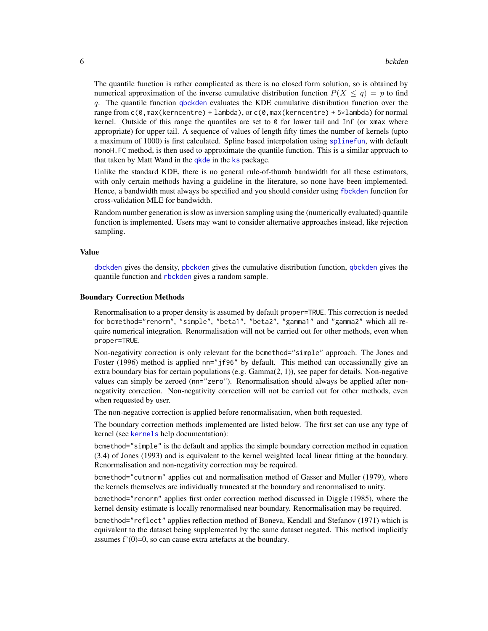The quantile function is rather complicated as there is no closed form solution, so is obtained by numerical approximation of the inverse cumulative distribution function  $P(X \leq q) = p$  to find q. The quantile function  $q$  bckden evaluates the KDE cumulative distribution function over the range from c(0,max(kerncentre) + lambda), or c(0,max(kerncentre) + 5\*lambda) for normal kernel. Outside of this range the quantiles are set to  $\theta$  for lower tail and Inf (or xmax where appropriate) for upper tail. A sequence of values of length fifty times the number of kernels (upto a maximum of 1000) is first calculated. Spline based interpolation using [splinefun](#page-0-0), with default monoH.FC method, is then used to approximate the quantile function. This is a similar approach to that taken by Matt Wand in the *gkde* in the [ks](#page-0-0) package.

Unlike the standard KDE, there is no general rule-of-thumb bandwidth for all these estimators, with only certain methods having a guideline in the literature, so none have been implemented. Hence, a bandwidth must always be specified and you should consider using [fbckden](#page-32-1) function for cross-validation MLE for bandwidth.

Random number generation is slow as inversion sampling using the (numerically evaluated) quantile function is implemented. Users may want to consider alternative approaches instead, like rejection sampling.

#### Value

[dbckden](#page-3-1) gives the density, [pbckden](#page-3-1) gives the cumulative distribution function, [qbckden](#page-3-1) gives the quantile function and [rbckden](#page-3-1) gives a random sample.

## Boundary Correction Methods

Renormalisation to a proper density is assumed by default proper=TRUE. This correction is needed for bcmethod="renorm", "simple", "beta1", "beta2", "gamma1" and "gamma2" which all require numerical integration. Renormalisation will not be carried out for other methods, even when proper=TRUE.

Non-negativity correction is only relevant for the bcmethod="simple" approach. The Jones and Foster (1996) method is applied nn="jf96" by default. This method can occassionally give an extra boundary bias for certain populations (e.g.  $Gamma(2, 1)$ ), see paper for details. Non-negative values can simply be zeroed (nn="zero"). Renormalisation should always be applied after nonnegativity correction. Non-negativity correction will not be carried out for other methods, even when requested by user.

The non-negative correction is applied before renormalisation, when both requested.

The boundary correction methods implemented are listed below. The first set can use any type of kernel (see [kernels](#page-226-1) help documentation):

bcmethod="simple" is the default and applies the simple boundary correction method in equation (3.4) of Jones (1993) and is equivalent to the kernel weighted local linear fitting at the boundary. Renormalisation and non-negativity correction may be required.

bcmethod="cutnorm" applies cut and normalisation method of Gasser and Muller (1979), where the kernels themselves are individually truncated at the boundary and renormalised to unity.

bcmethod="renorm" applies first order correction method discussed in Diggle (1985), where the kernel density estimate is locally renormalised near boundary. Renormalisation may be required.

bcmethod="reflect" applies reflection method of Boneva, Kendall and Stefanov (1971) which is equivalent to the dataset being supplemented by the same dataset negated. This method implicitly assumes f'(0)=0, so can cause extra artefacts at the boundary.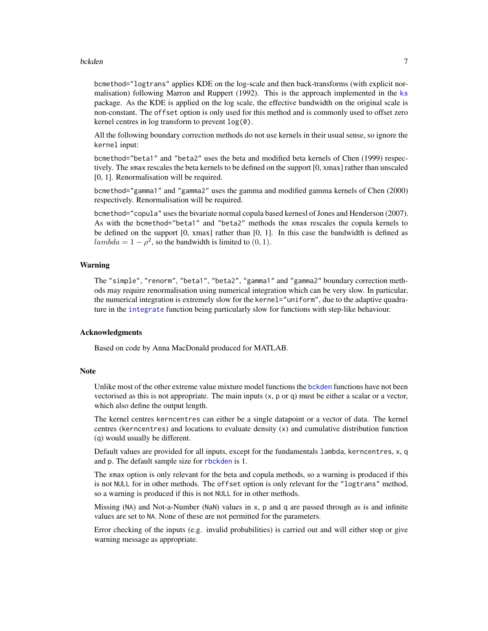#### bckden 2008 bekalende in de staat 1990 bekalende in de staat 1990 bekalende in de staat 1990 bekalende in de s

bcmethod="logtrans" applies KDE on the log-scale and then back-transforms (with explicit normalisation) following Marron and Ruppert (1992). This is the approach implemented in the [ks](#page-0-0) package. As the KDE is applied on the log scale, the effective bandwidth on the original scale is non-constant. The offset option is only used for this method and is commonly used to offset zero kernel centres in log transform to prevent log(0).

All the following boundary correction methods do not use kernels in their usual sense, so ignore the kernel input:

bcmethod="beta1" and "beta2" uses the beta and modified beta kernels of Chen (1999) respectively. The xmax rescales the beta kernels to be defined on the support [0, xmax] rather than unscaled [0, 1]. Renormalisation will be required.

bcmethod="gamma1" and "gamma2" uses the gamma and modified gamma kernels of Chen (2000) respectively. Renormalisation will be required.

bcmethod="copula" uses the bivariate normal copula based kernesl of Jones and Henderson (2007). As with the bcmethod="beta1" and "beta2" methods the xmax rescales the copula kernels to be defined on the support [0, xmax] rather than [0, 1]. In this case the bandwidth is defined as  $lambda = 1 - \rho^2$ , so the bandwidth is limited to  $(0, 1)$ .

## Warning

The "simple", "renorm", "beta1", "beta2", "gamma1" and "gamma2" boundary correction methods may require renormalisation using numerical integration which can be very slow. In particular, the numerical integration is extremely slow for the kernel="uniform", due to the adaptive quadrature in the [integrate](#page-0-0) function being particularly slow for functions with step-like behaviour.

#### Acknowledgments

Based on code by Anna MacDonald produced for MATLAB.

## **Note**

Unlike most of the other extreme value mixture model functions the [bckden](#page-3-2) functions have not been vectorised as this is not appropriate. The main inputs  $(x, p, o, q)$  must be either a scalar or a vector, which also define the output length.

The kernel centres kerncentres can either be a single datapoint or a vector of data. The kernel centres (kerncentres) and locations to evaluate density (x) and cumulative distribution function (q) would usually be different.

Default values are provided for all inputs, except for the fundamentals lambda, kerncentres, x, q and p. The default sample size for [rbckden](#page-3-1) is 1.

The xmax option is only relevant for the beta and copula methods, so a warning is produced if this is not NULL for in other methods. The offset option is only relevant for the "logtrans" method, so a warning is produced if this is not NULL for in other methods.

Missing (NA) and Not-a-Number (NaN) values in x, p and q are passed through as is and infinite values are set to NA. None of these are not permitted for the parameters.

Error checking of the inputs (e.g. invalid probabilities) is carried out and will either stop or give warning message as appropriate.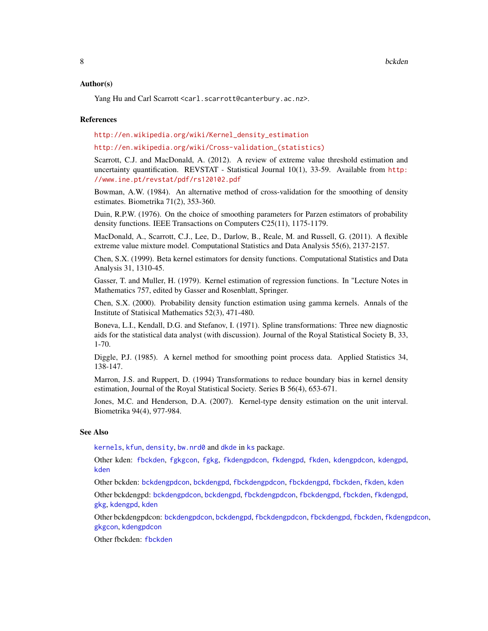### Author(s)

Yang Hu and Carl Scarrott <carl.scarrott@canterbury.ac.nz>.

#### References

[http://en.wikipedia.org/wiki/Kernel\\_density\\_estimation](http://en.wikipedia.org/wiki/Kernel_density_estimation)

[http://en.wikipedia.org/wiki/Cross-validation\\_\(statistics\)](http://en.wikipedia.org/wiki/Cross-validation_(statistics))

Scarrott, C.J. and MacDonald, A. (2012). A review of extreme value threshold estimation and uncertainty quantification. REVSTAT - Statistical Journal 10(1), 33-59. Available from [http:](http://www.ine.pt/revstat/pdf/rs120102.pdf) [//www.ine.pt/revstat/pdf/rs120102.pdf](http://www.ine.pt/revstat/pdf/rs120102.pdf)

Bowman, A.W. (1984). An alternative method of cross-validation for the smoothing of density estimates. Biometrika 71(2), 353-360.

Duin, R.P.W. (1976). On the choice of smoothing parameters for Parzen estimators of probability density functions. IEEE Transactions on Computers C25(11), 1175-1179.

MacDonald, A., Scarrott, C.J., Lee, D., Darlow, B., Reale, M. and Russell, G. (2011). A flexible extreme value mixture model. Computational Statistics and Data Analysis 55(6), 2137-2157.

Chen, S.X. (1999). Beta kernel estimators for density functions. Computational Statistics and Data Analysis 31, 1310-45.

Gasser, T. and Muller, H. (1979). Kernel estimation of regression functions. In "Lecture Notes in Mathematics 757, edited by Gasser and Rosenblatt, Springer.

Chen, S.X. (2000). Probability density function estimation using gamma kernels. Annals of the Institute of Statisical Mathematics 52(3), 471-480.

Boneva, L.I., Kendall, D.G. and Stefanov, I. (1971). Spline transformations: Three new diagnostic aids for the statistical data analyst (with discussion). Journal of the Royal Statistical Society B, 33, 1-70.

Diggle, P.J. (1985). A kernel method for smoothing point process data. Applied Statistics 34, 138-147.

Marron, J.S. and Ruppert, D. (1994) Transformations to reduce boundary bias in kernel density estimation, Journal of the Royal Statistical Society. Series B 56(4), 653-671.

Jones, M.C. and Henderson, D.A. (2007). Kernel-type density estimation on the unit interval. Biometrika 94(4), 977-984.

#### See Also

[kernels](#page-226-1), [kfun](#page-229-1), [density](#page-0-0), [bw.nrd0](#page-0-0) and [dkde](#page-0-0) in [ks](#page-0-0) package.

Other kden: [fbckden](#page-32-1), [fgkgcon](#page-70-1), [fgkg](#page-65-1), [fkdengpdcon](#page-116-1), [fkdengpd](#page-112-1), [fkden](#page-106-1), [kdengpdcon](#page-223-1), [kdengpd](#page-219-1), [kden](#page-215-1)

Other bckden: [bckdengpdcon](#page-13-1), [bckdengpd](#page-8-1), [fbckdengpdcon](#page-42-1), [fbckdengpd](#page-37-1), [fbckden](#page-32-1), [fkden](#page-106-1), [kden](#page-215-1)

Other bckdengpd: [bckdengpdcon](#page-13-1), [bckdengpd](#page-8-1), [fbckdengpdcon](#page-42-1), [fbckdengpd](#page-37-1), [fbckden](#page-32-1), [fkdengpd](#page-112-1), [gkg](#page-174-1), [kdengpd](#page-219-1), [kden](#page-215-1)

Other bckdengpdcon: [bckdengpdcon](#page-13-1), [bckdengpd](#page-8-1), [fbckdengpdcon](#page-42-1), [fbckdengpd](#page-37-1), [fbckden](#page-32-1), [fkdengpdcon](#page-116-1), [gkgcon](#page-178-1), [kdengpdcon](#page-223-1)

Other fbckden: [fbckden](#page-32-1)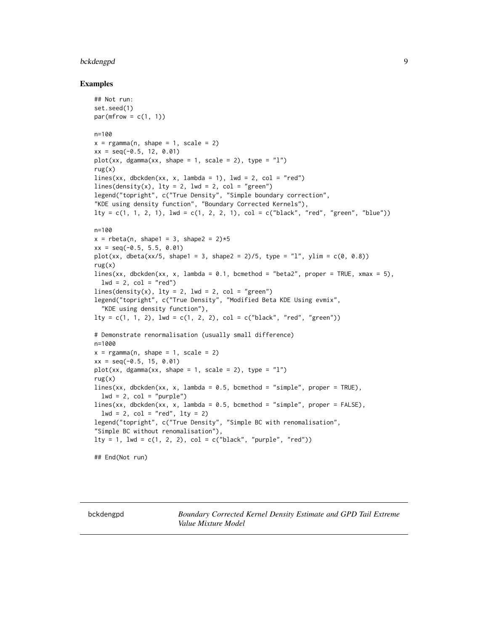#### <span id="page-8-0"></span>bckdengpd 9

#### Examples

```
## Not run:
set.seed(1)
par(mfrow = c(1, 1))n=100
x = \text{rgamma}(n, \text{shape} = 1, \text{scale} = 2)xx = seq(-0.5, 12, 0.01)plot(xx, dgamma(xx, shape = 1, scale = 2), type = "1")rug(x)
lines(xx, dbckden(xx, x, lambda = 1), lwd = 2, col = "red")
lines(density(x), lty = 2, lwd = 2, col = "green")legend("topright", c("True Density", "Simple boundary correction",
"KDE using density function", "Boundary Corrected Kernels"),
lty = c(1, 1, 2, 1), lwd = c(1, 2, 2, 1), col = c("black", "red", "green", "blue"))n=100
x =rbeta(n, shape1 = 3, shape2 = 2)*5
xx = seq(-0.5, 5.5, 0.01)plot(xx, dbeta(xx/5, shape1 = 3, shape2 = 2)/5, type = "1", ylim = c(0, 0.8))
rug(x)
lines(xx, dbckden(xx, x, lambda = 0.1, bcmethod = "beta2", proper = TRUE, xmax = 5),
  lwd = 2, col = "red")lines(density(x), lty = 2, lwd = 2, col = "green")legend("topright", c("True Density", "Modified Beta KDE Using evmix",
  "KDE using density function"),
lty = c(1, 1, 2), lwd = c(1, 2, 2), col = c("black", "red", "green"))# Demonstrate renormalisation (usually small difference)
n=1000
x = \text{rgamma}(n, \text{shape} = 1, \text{scale} = 2)xx = seq(-0.5, 15, 0.01)plot(xx, dgamma(xx, shape = 1, scale = 2), type = "l")rug(x)lines(xx, dbckden(xx, x, lambda = 0.5, bcmethod = "simple", proper = TRUE),
  lwd = 2, col = "purple")lines(xx, dbckden(xx, x, lambda = 0.5, bcmethod = "simple", proper = FALSE),
 1wd = 2, col = "red", 1ty = 2)legend("topright", c("True Density", "Simple BC with renomalisation",
"Simple BC without renomalisation"),
lty = 1, lwd = c(1, 2, 2), col = c("black", "purple", "red"))## End(Not run)
```
<span id="page-8-2"></span>

<span id="page-8-1"></span>bckdengpd *Boundary Corrected Kernel Density Estimate and GPD Tail Extreme Value Mixture Model*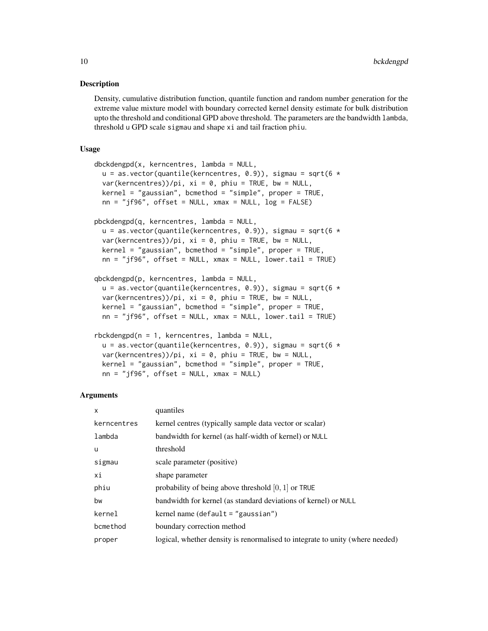#### Description

Density, cumulative distribution function, quantile function and random number generation for the extreme value mixture model with boundary corrected kernel density estimate for bulk distribution upto the threshold and conditional GPD above threshold. The parameters are the bandwidth lambda, threshold u GPD scale sigmau and shape xi and tail fraction phiu.

## Usage

```
dbckdengpd(x, kerncentres, lambda = NULL,u = as.vector(quantile(kerncentres, 0.9)), sigma = sqrt(6 *var(kencentres))/pi, xi = 0, phi = TRUE, bw = NULL,
  kernel = "gaussian", bcmethod = "simple", proper = TRUE,
  nn = "jf96", offset = NULL, xmax = NULL, log = FALSE)pbckdengpd(q, kerncentres, lambda = NULL,
  u = as.vector(quantile(kerncentres, 0.9)), sigma = sqrt(6 *var(kerncentres))/pi, xi = 0, phiu = TRUE, bw = NULL,
  \text{kernel} = "gaussian", \text{bcmethod} = "simple", \text{proper} = \text{TRUE},nn = "jf96", offset = NULL, xmax = NULL, lowertail = TRUE)
qbckdengpd(p, kerncentres, lambda = NULL,
  u = as.vector(quantile(kerncentres, 0.9)), sigma = sqrt(6 *var(kerncentres))/pi, xi = 0, phiu = TRUE, bw = NULL,
  kernel = "gaussian", bcmethod = "simple", proper = TRUE,
  nn = "jf96", offset = NULL, xmax = NULL, lower.tail = TRUE)rbckdengpd(n = 1, kerncentres, lambda = NULL,
  u = as.vector(quantile(kerncentres, 0.9)), sigma = sqrt(6 *var(kerncentres))/pi, xi = 0, phi = TRUE, bw = NULL,
  kernel = "gaussian", bcmethod = "simple", proper = TRUE,
```
 $nn = "jf96", offset = NULL, xmax = NULL)$ 

#### Arguments

| X           | quantiles                                                                     |
|-------------|-------------------------------------------------------------------------------|
| kerncentres | kernel centres (typically sample data vector or scalar)                       |
| lambda      | bandwidth for kernel (as half-width of kernel) or NULL                        |
| <b>u</b>    | threshold                                                                     |
| sigmau      | scale parameter (positive)                                                    |
| хi          | shape parameter                                                               |
| phiu        | probability of being above threshold $[0, 1]$ or TRUE                         |
| bw          | bandwidth for kernel (as standard deviations of kernel) or NULL               |
| kernel      | kernel name (default $=$ "gaussian")                                          |
| bcmethod    | boundary correction method                                                    |
| proper      | logical, whether density is renormalised to integrate to unity (where needed) |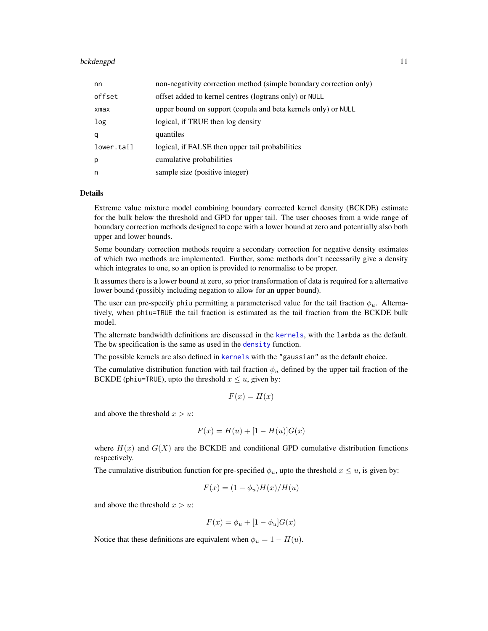#### bckdengpd 11

| nn         | non-negativity correction method (simple boundary correction only) |
|------------|--------------------------------------------------------------------|
| offset     | offset added to kernel centres (logtrans only) or NULL             |
| xmax       | upper bound on support (copula and beta kernels only) or NULL      |
| log        | logical, if TRUE then log density                                  |
| q          | quantiles                                                          |
| lower.tail | logical, if FALSE then upper tail probabilities                    |
| p          | cumulative probabilities                                           |
| n          | sample size (positive integer)                                     |

## Details

Extreme value mixture model combining boundary corrected kernel density (BCKDE) estimate for the bulk below the threshold and GPD for upper tail. The user chooses from a wide range of boundary correction methods designed to cope with a lower bound at zero and potentially also both upper and lower bounds.

Some boundary correction methods require a secondary correction for negative density estimates of which two methods are implemented. Further, some methods don't necessarily give a density which integrates to one, so an option is provided to renormalise to be proper.

It assumes there is a lower bound at zero, so prior transformation of data is required for a alternative lower bound (possibly including negation to allow for an upper bound).

The user can pre-specify phiu permitting a parameterised value for the tail fraction  $\phi_u$ . Alternatively, when phiu=TRUE the tail fraction is estimated as the tail fraction from the BCKDE bulk model.

The alternate bandwidth definitions are discussed in the [kernels](#page-226-1), with the lambda as the default. The bw specification is the same as used in the [density](#page-0-0) function.

The possible kernels are also defined in [kernels](#page-226-1) with the "gaussian" as the default choice.

The cumulative distribution function with tail fraction  $\phi_u$  defined by the upper tail fraction of the BCKDE (phiu=TRUE), upto the threshold  $x \le u$ , given by:

$$
F(x) = H(x)
$$

and above the threshold  $x > u$ :

$$
F(x) = H(u) + [1 - H(u)]G(x)
$$

where  $H(x)$  and  $G(X)$  are the BCKDE and conditional GPD cumulative distribution functions respectively.

The cumulative distribution function for pre-specified  $\phi_u$ , upto the threshold  $x \leq u$ , is given by:

$$
F(x) = (1 - \phi_u)H(x)/H(u)
$$

and above the threshold  $x > u$ :

$$
F(x) = \phi_u + [1 - \phi_u]G(x)
$$

Notice that these definitions are equivalent when  $\phi_u = 1 - H(u)$ .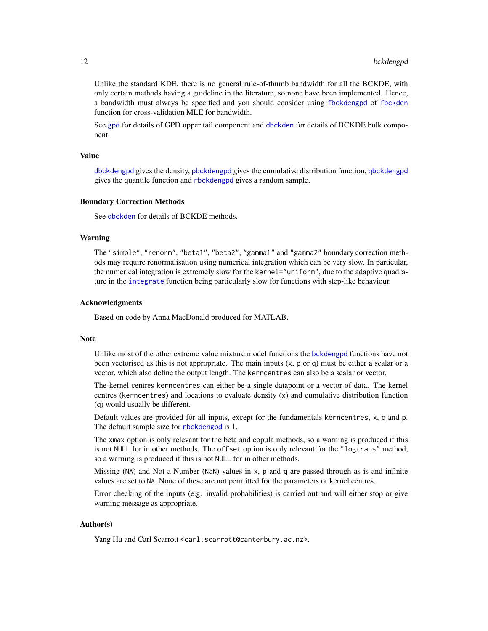Unlike the standard KDE, there is no general rule-of-thumb bandwidth for all the BCKDE, with only certain methods having a guideline in the literature, so none have been implemented. Hence, a bandwidth must always be specified and you should consider using [fbckdengpd](#page-37-1) of [fbckden](#page-32-1) function for cross-validation MLE for bandwidth.

See [gpd](#page-190-1) for details of GPD upper tail component and [dbckden](#page-3-1) for details of BCKDE bulk component.

#### Value

[dbckdengpd](#page-8-2) gives the density, [pbckdengpd](#page-8-2) gives the cumulative distribution function, [qbckdengpd](#page-8-2) gives the quantile function and [rbckdengpd](#page-8-2) gives a random sample.

#### Boundary Correction Methods

See [dbckden](#page-3-1) for details of BCKDE methods.

#### Warning

The "simple", "renorm", "beta1", "beta2", "gamma1" and "gamma2" boundary correction methods may require renormalisation using numerical integration which can be very slow. In particular, the numerical integration is extremely slow for the kernel="uniform", due to the adaptive quadrature in the [integrate](#page-0-0) function being particularly slow for functions with step-like behaviour.

#### Acknowledgments

Based on code by Anna MacDonald produced for MATLAB.

#### **Note**

Unlike most of the other extreme value mixture model functions the [bckdengpd](#page-8-1) functions have not been vectorised as this is not appropriate. The main inputs  $(x, p, o, q)$  must be either a scalar or a vector, which also define the output length. The kerncentres can also be a scalar or vector.

The kernel centres kerncentres can either be a single datapoint or a vector of data. The kernel centres (kerncentres) and locations to evaluate density (x) and cumulative distribution function (q) would usually be different.

Default values are provided for all inputs, except for the fundamentals kerncentres, x, q and p. The default sample size for [rbckdengpd](#page-8-2) is 1.

The xmax option is only relevant for the beta and copula methods, so a warning is produced if this is not NULL for in other methods. The offset option is only relevant for the "logtrans" method, so a warning is produced if this is not NULL for in other methods.

Missing (NA) and Not-a-Number (NaN) values in x, p and q are passed through as is and infinite values are set to NA. None of these are not permitted for the parameters or kernel centres.

Error checking of the inputs (e.g. invalid probabilities) is carried out and will either stop or give warning message as appropriate.

## Author(s)

Yang Hu and Carl Scarrott <carl.scarrott@canterbury.ac.nz>.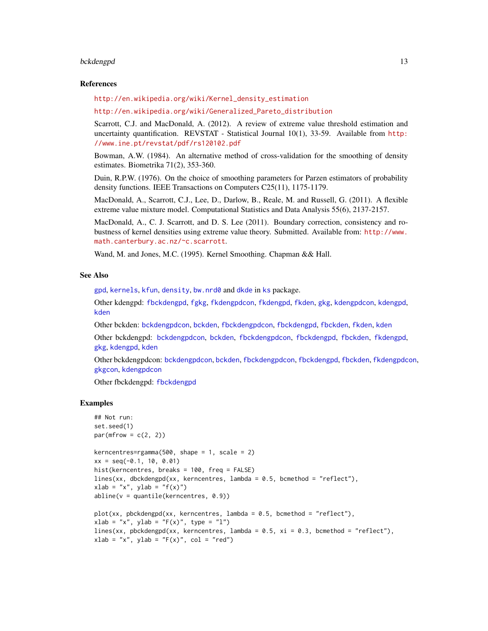#### bckdengpd 13

#### References

[http://en.wikipedia.org/wiki/Kernel\\_density\\_estimation](http://en.wikipedia.org/wiki/Kernel_density_estimation)

[http://en.wikipedia.org/wiki/Generalized\\_Pareto\\_distribution](http://en.wikipedia.org/wiki/Generalized_Pareto_distribution)

Scarrott, C.J. and MacDonald, A. (2012). A review of extreme value threshold estimation and uncertainty quantification. REVSTAT - Statistical Journal 10(1), 33-59. Available from [http:](http://www.ine.pt/revstat/pdf/rs120102.pdf) [//www.ine.pt/revstat/pdf/rs120102.pdf](http://www.ine.pt/revstat/pdf/rs120102.pdf)

Bowman, A.W. (1984). An alternative method of cross-validation for the smoothing of density estimates. Biometrika 71(2), 353-360.

Duin, R.P.W. (1976). On the choice of smoothing parameters for Parzen estimators of probability density functions. IEEE Transactions on Computers C25(11), 1175-1179.

MacDonald, A., Scarrott, C.J., Lee, D., Darlow, B., Reale, M. and Russell, G. (2011). A flexible extreme value mixture model. Computational Statistics and Data Analysis 55(6), 2137-2157.

MacDonald, A., C. J. Scarrott, and D. S. Lee (2011). Boundary correction, consistency and robustness of kernel densities using extreme value theory. Submitted. Available from: [http://www.](http://www.math.canterbury.ac.nz/~c.scarrott) [math.canterbury.ac.nz/~c.scarrott](http://www.math.canterbury.ac.nz/~c.scarrott).

Wand, M. and Jones, M.C. (1995). Kernel Smoothing. Chapman && Hall.

#### See Also

[gpd](#page-190-1), [kernels](#page-226-1), [kfun](#page-229-1), [density](#page-0-0), [bw.nrd0](#page-0-0) and [dkde](#page-0-0) in [ks](#page-0-0) package.

Other kdengpd: [fbckdengpd](#page-37-1), [fgkg](#page-65-1), [fkdengpdcon](#page-116-1), [fkdengpd](#page-112-1), [fkden](#page-106-1), [gkg](#page-174-1), [kdengpdcon](#page-223-1), [kdengpd](#page-219-1), [kden](#page-215-1)

Other bckden: [bckdengpdcon](#page-13-1), [bckden](#page-3-2), [fbckdengpdcon](#page-42-1), [fbckdengpd](#page-37-1), [fbckden](#page-32-1), [fkden](#page-106-1), [kden](#page-215-1)

Other bckdengpd: [bckdengpdcon](#page-13-1), [bckden](#page-3-2), [fbckdengpdcon](#page-42-1), [fbckdengpd](#page-37-1), [fbckden](#page-32-1), [fkdengpd](#page-112-1), [gkg](#page-174-1), [kdengpd](#page-219-1), [kden](#page-215-1)

Other bckdengpdcon: [bckdengpdcon](#page-13-1), [bckden](#page-3-2), [fbckdengpdcon](#page-42-1), [fbckdengpd](#page-37-1), [fbckden](#page-32-1), [fkdengpdcon](#page-116-1), [gkgcon](#page-178-1), [kdengpdcon](#page-223-1)

Other fbckdengpd: [fbckdengpd](#page-37-1)

#### Examples

```
## Not run:
set.seed(1)
par(mfrow = c(2, 2))kerncentres=rgamma(500, shape = 1, scale = 2)
xx = seq(-0.1, 10, 0.01)hist(kerncentres, breaks = 100, freq = FALSE)
lines(xx, dbckdengpd(xx, kerncentres, lambda = 0.5, bcmethod = "reflect"),
xlab = "x", ylab = "f(x)"abline(v = quantile(kerncentres, 0.9))
plot(xx, pbckdengpd(xx, kerncentres, lambda = 0.5, bcmethod = "reflect"),xlab = "x", ylab = "F(x)", type = "l")
lines(xx, pbckdengpd(xx, kerncentres, lambda = 0.5, xi = 0.3, bcmethod = "reflect"),
xlab = "x", ylab = "F(x)", col = "red")
```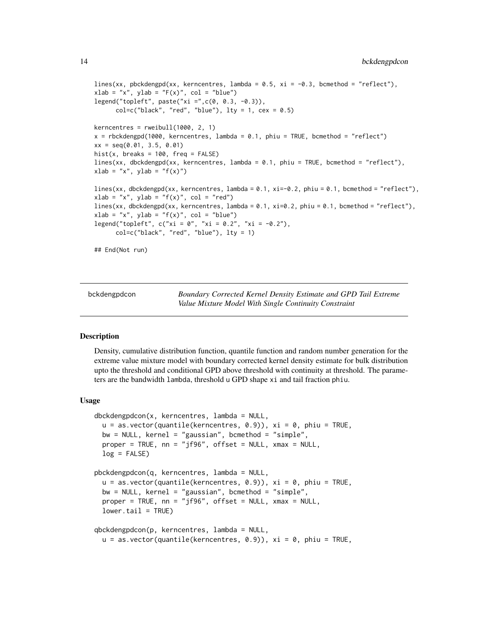```
lines(xx, pbckdengpd(xx, kerncentres, lambda = 0.5, xi = -0.3, bcmethod = "reflect"),
xlab = "x", ylab = "F(x)", col = "blue")legend("topleft", paste("xi =",c(0, 0.3, -0.3)),
     col=c("black", "red", "blue"), \; lty = 1, \; cex = 0.5)kerncentres = rweibull(1000, 2, 1)x = rbckdengpd(1000, kerncentres, lambda = 0.1, phiu = TRUE, bcmethod = "reflect")
xx = seq(0.01, 3.5, 0.01)hist(x, breaks = 100, freq = FALSE)
lines(xx, dbckdengpd(xx, kerncentres, lambda = 0.1, phiu = TRUE, bcmethod = "reflect"),
xlab = "x", ylab = "f(x)"lines(xx, dbckdengpd(xx, kerncentres, lambda = 0.1, xi=-0.2, phiu = 0.1, bcmethod = "reflect"),
xlab = "x", ylab = "f(x)", col = "red")lines(xx, dbckdengpd(xx, kerncentres, lambda = 0.1, xi=0.2, phiu = 0.1, bcmethod = "reflect"),
xlab = "x", ylab = "f(x)", col = "blue")legend("topleft", c("xi = 0", "xi = 0.2", "xi = -0.2"),col=c("black", "red", "blue"), lty = 1)
## End(Not run)
```
<span id="page-13-1"></span>

bckdengpdcon *Boundary Corrected Kernel Density Estimate and GPD Tail Extreme Value Mixture Model With Single Continuity Constraint*

## <span id="page-13-2"></span>Description

Density, cumulative distribution function, quantile function and random number generation for the extreme value mixture model with boundary corrected kernel density estimate for bulk distribution upto the threshold and conditional GPD above threshold with continuity at threshold. The parameters are the bandwidth lambda, threshold u GPD shape xi and tail fraction phiu.

#### Usage

```
dbckdengpdcon(x, kerncentres, lambda = NULL,
 u = as.vector(quantile(kerncentres, 0.9)), xi = 0, phi = TRUE,bw = NULL, kernel = "gaussian", bcmethod = "simple",
 proper = TRUE, nn = "jf96", offset = NULL, xmax = NULL,
 log = FALSE)pbckdengpdcon(q, kerncentres, lambda = NULL,
 u = as.vector(quantile(kerncentres, 0.9)), xi = 0, phi = TRUE,bw = NULL, kernel = "gaussian", bcmethod = "simple",
 proper = TRUE, nn = "jf96", offset = NULL, xmax = NULL,lower.tail = TRUE)
qbckdengpdcon(p, kerncentres, lambda = NULL,
 u = as.vector(quantile(kerncentres, 0.9)), xi = 0, phi = TRUE,
```
<span id="page-13-0"></span>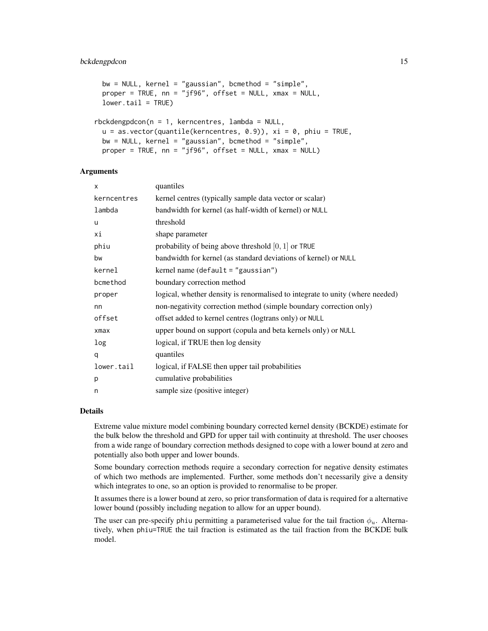## bckdengpdcon 15

```
bw = NULL, \ker^{-1} = "gaussian", bcmethod = "simple",
 proper = TRUE, nn = "jf96", offset = NULL, xmax = NULL,
 lower.tail = TRUE)
rbckdengpdcon(n = 1, kerncentres, lambda = NULL,
  u = as.vector(quantile(kerncentres, 0.9)), xi = 0, phi = TRUE,bw = NULL, \ker^{-1} = "gaussian", bcmethod = "simple",
 proper = TRUE, nn = "jf96", offset = NULL, xmax = NULL)
```
## Arguments

| X           | quantiles                                                                     |
|-------------|-------------------------------------------------------------------------------|
| kerncentres | kernel centres (typically sample data vector or scalar)                       |
| lambda      | bandwidth for kernel (as half-width of kernel) or NULL                        |
| u           | threshold                                                                     |
| хi          | shape parameter                                                               |
| phiu        | probability of being above threshold $[0, 1]$ or TRUE                         |
| bw          | bandwidth for kernel (as standard deviations of kernel) or NULL               |
| kernel      | kernel name $(\text{default} = "gaussian")$                                   |
| bcmethod    | boundary correction method                                                    |
| proper      | logical, whether density is renormalised to integrate to unity (where needed) |
| nn          | non-negativity correction method (simple boundary correction only)            |
| offset      | offset added to kernel centres (logtrans only) or NULL                        |
| $x$ ma $x$  | upper bound on support (copula and beta kernels only) or NULL                 |
| log         | logical, if TRUE then log density                                             |
| q           | quantiles                                                                     |
| lower.tail  | logical, if FALSE then upper tail probabilities                               |
| p           | cumulative probabilities                                                      |
| n           | sample size (positive integer)                                                |

## Details

Extreme value mixture model combining boundary corrected kernel density (BCKDE) estimate for the bulk below the threshold and GPD for upper tail with continuity at threshold. The user chooses from a wide range of boundary correction methods designed to cope with a lower bound at zero and potentially also both upper and lower bounds.

Some boundary correction methods require a secondary correction for negative density estimates of which two methods are implemented. Further, some methods don't necessarily give a density which integrates to one, so an option is provided to renormalise to be proper.

It assumes there is a lower bound at zero, so prior transformation of data is required for a alternative lower bound (possibly including negation to allow for an upper bound).

The user can pre-specify phiu permitting a parameterised value for the tail fraction  $\phi_u$ . Alternatively, when phiu=TRUE the tail fraction is estimated as the tail fraction from the BCKDE bulk model.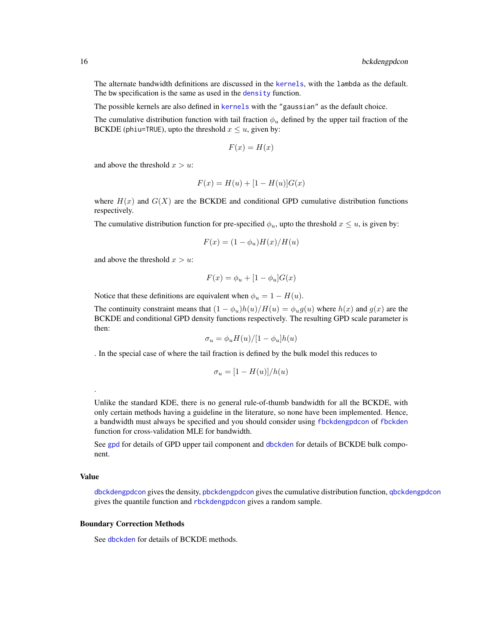The alternate bandwidth definitions are discussed in the [kernels](#page-226-1), with the lambda as the default. The bw specification is the same as used in the [density](#page-0-0) function.

The possible kernels are also defined in [kernels](#page-226-1) with the "gaussian" as the default choice.

The cumulative distribution function with tail fraction  $\phi_u$  defined by the upper tail fraction of the BCKDE (phiu=TRUE), upto the threshold  $x \le u$ , given by:

$$
F(x) = H(x)
$$

and above the threshold  $x > u$ :

$$
F(x) = H(u) + [1 - H(u)]G(x)
$$

where  $H(x)$  and  $G(X)$  are the BCKDE and conditional GPD cumulative distribution functions respectively.

The cumulative distribution function for pre-specified  $\phi_u$ , upto the threshold  $x \leq u$ , is given by:

$$
F(x) = (1 - \phi_u)H(x)/H(u)
$$

and above the threshold  $x > u$ :

$$
F(x) = \phi_u + [1 - \phi_u]G(x)
$$

Notice that these definitions are equivalent when  $\phi_u = 1 - H(u)$ .

The continuity constraint means that  $(1 - \phi_u)h(u)/H(u) = \phi_u g(u)$  where  $h(x)$  and  $g(x)$  are the BCKDE and conditional GPD density functions respectively. The resulting GPD scale parameter is then:

$$
\sigma_u = \phi_u H(u) / [1 - \phi_u] h(u)
$$

. In the special case of where the tail fraction is defined by the bulk model this reduces to

$$
\sigma_u = [1 - H(u)]/h(u)
$$

Unlike the standard KDE, there is no general rule-of-thumb bandwidth for all the BCKDE, with only certain methods having a guideline in the literature, so none have been implemented. Hence, a bandwidth must always be specified and you should consider using [fbckdengpdcon](#page-42-1) of [fbckden](#page-32-1) function for cross-validation MLE for bandwidth.

See [gpd](#page-190-1) for details of GPD upper tail component and [dbckden](#page-3-1) for details of BCKDE bulk component.

#### Value

.

[dbckdengpdcon](#page-13-2) gives the density, [pbckdengpdcon](#page-13-2) gives the cumulative distribution function, [qbckdengpdcon](#page-13-2) gives the quantile function and [rbckdengpdcon](#page-13-2) gives a random sample.

#### Boundary Correction Methods

See [dbckden](#page-3-1) for details of BCKDE methods.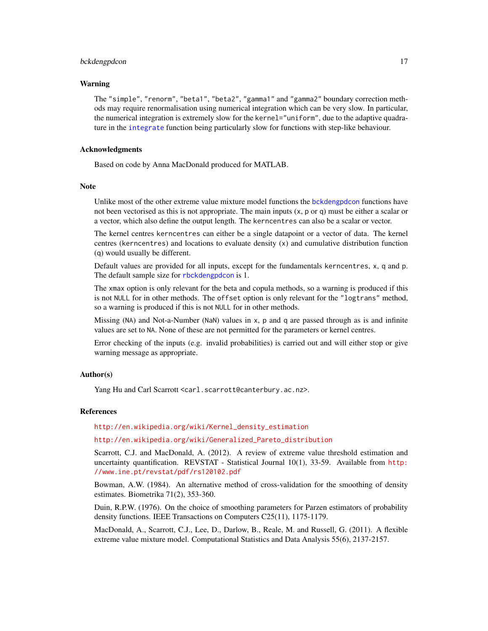#### bckdengpdcon 17

#### Warning

The "simple", "renorm", "beta1", "beta2", "gamma1" and "gamma2" boundary correction methods may require renormalisation using numerical integration which can be very slow. In particular, the numerical integration is extremely slow for the kernel="uniform", due to the adaptive quadrature in the [integrate](#page-0-0) function being particularly slow for functions with step-like behaviour.

#### Acknowledgments

Based on code by Anna MacDonald produced for MATLAB.

#### Note

Unlike most of the other extreme value mixture model functions the [bckdengpdcon](#page-13-1) functions have not been vectorised as this is not appropriate. The main inputs  $(x, p \text{ or } q)$  must be either a scalar or a vector, which also define the output length. The kerncentres can also be a scalar or vector.

The kernel centres kerncentres can either be a single datapoint or a vector of data. The kernel centres (kerncentres) and locations to evaluate density (x) and cumulative distribution function (q) would usually be different.

Default values are provided for all inputs, except for the fundamentals kerncentres, x, q and p. The default sample size for [rbckdengpdcon](#page-13-2) is 1.

The xmax option is only relevant for the beta and copula methods, so a warning is produced if this is not NULL for in other methods. The offset option is only relevant for the "logtrans" method, so a warning is produced if this is not NULL for in other methods.

Missing (NA) and Not-a-Number (NaN) values in x, p and q are passed through as is and infinite values are set to NA. None of these are not permitted for the parameters or kernel centres.

Error checking of the inputs (e.g. invalid probabilities) is carried out and will either stop or give warning message as appropriate.

#### Author(s)

Yang Hu and Carl Scarrott <carl.scarrott@canterbury.ac.nz>.

#### References

[http://en.wikipedia.org/wiki/Kernel\\_density\\_estimation](http://en.wikipedia.org/wiki/Kernel_density_estimation)

## [http://en.wikipedia.org/wiki/Generalized\\_Pareto\\_distribution](http://en.wikipedia.org/wiki/Generalized_Pareto_distribution)

Scarrott, C.J. and MacDonald, A. (2012). A review of extreme value threshold estimation and uncertainty quantification. REVSTAT - Statistical Journal 10(1), 33-59. Available from [http:](http://www.ine.pt/revstat/pdf/rs120102.pdf) [//www.ine.pt/revstat/pdf/rs120102.pdf](http://www.ine.pt/revstat/pdf/rs120102.pdf)

Bowman, A.W. (1984). An alternative method of cross-validation for the smoothing of density estimates. Biometrika 71(2), 353-360.

Duin, R.P.W. (1976). On the choice of smoothing parameters for Parzen estimators of probability density functions. IEEE Transactions on Computers C25(11), 1175-1179.

MacDonald, A., Scarrott, C.J., Lee, D., Darlow, B., Reale, M. and Russell, G. (2011). A flexible extreme value mixture model. Computational Statistics and Data Analysis 55(6), 2137-2157.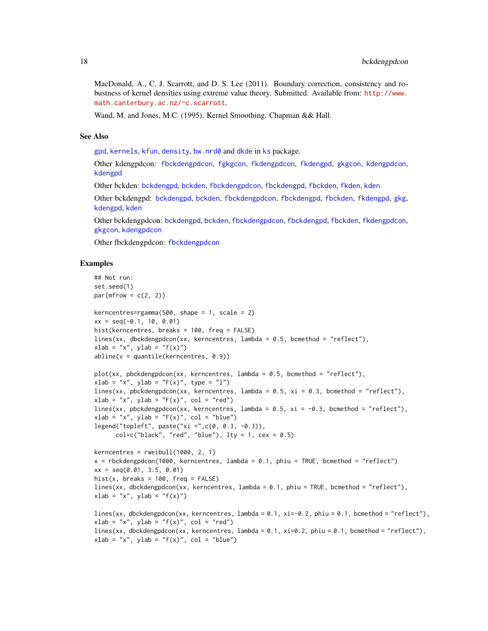MacDonald, A., C. J. Scarrott, and D. S. Lee (2011). Boundary correction, consistency and robustness of kernel densities using extreme value theory. Submitted. Available from: [http://www.](http://www.math.canterbury.ac.nz/~c.scarrott) [math.canterbury.ac.nz/~c.scarrott](http://www.math.canterbury.ac.nz/~c.scarrott).

Wand, M. and Jones, M.C. (1995). Kernel Smoothing. Chapman && Hall.

#### See Also

[gpd](#page-190-1), [kernels](#page-226-1), [kfun](#page-229-1), [density](#page-0-0), [bw.nrd0](#page-0-0) and [dkde](#page-0-0) in [ks](#page-0-0) package.

Other kdengpdcon: [fbckdengpdcon](#page-42-1), [fgkgcon](#page-70-1), [fkdengpdcon](#page-116-1), [fkdengpd](#page-112-1), [gkgcon](#page-178-1), [kdengpdcon](#page-223-1), [kdengpd](#page-219-1)

Other bckden: [bckdengpd](#page-8-1), [bckden](#page-3-2), [fbckdengpdcon](#page-42-1), [fbckdengpd](#page-37-1), [fbckden](#page-32-1), [fkden](#page-106-1), [kden](#page-215-1)

Other bckdengpd: [bckdengpd](#page-8-1), [bckden](#page-3-2), [fbckdengpdcon](#page-42-1), [fbckdengpd](#page-37-1), [fbckden](#page-32-1), [fkdengpd](#page-112-1), [gkg](#page-174-1), [kdengpd](#page-219-1), [kden](#page-215-1)

Other bckdengpdcon: [bckdengpd](#page-8-1), [bckden](#page-3-2), [fbckdengpdcon](#page-42-1), [fbckdengpd](#page-37-1), [fbckden](#page-32-1), [fkdengpdcon](#page-116-1), [gkgcon](#page-178-1), [kdengpdcon](#page-223-1)

Other fbckdengpdcon: [fbckdengpdcon](#page-42-1)

#### Examples

```
## Not run:
set.seed(1)
par(mfrow = c(2, 2))kerncentres=rgamma(500, shape = 1, scale = 2)
xx = seq(-0.1, 10, 0.01)hist(kerncentres, breaks = 100, freq = FALSE)
lines(xx, dbckdengpdcon(xx, kerncentres, lambda = 0.5, bcmethod = "reflect"),
xlab = "x", ylab = "f(x)"abline(v = quantile(kerncentres, 0.9))
plot(xx, pbckdengpdcon(xx, kerncentres, lambda = 0.5, bcmethod = "reflect"),
xlab = "x", ylab = "F(x)", type = "l")
lines(xx, pbckdengpdcon(xx, kerncentres, lambda = 0.5, xi = 0.3, bcmethod = "reflect"),
xlab = "x", ylab = "F(x)", col = "red")lines(xx, pbckdengpdcon(xx, kerncentres, lambda = 0.5, xi = -0.3, bcmethod = "reflect"),
xlab = "x", ylab = "F(x)", col = "blue")legend("topleft", paste("xi =",c(0, 0.3, -0.3)),
      col=c("black", "red", "blue"), \; lty = 1, \; cex = 0.5)kerncentres = rweibull(1000, 2, 1)
x = rbckdengpdcon(1000, kerncentres, lambda = 0.1, phiu = TRUE, bcmethod = "reflect")
xx = seq(0.01, 3.5, 0.01)
hist(x, breaks = 100, freq = FALSE)
lines(xx, dbckdengpdcon(xx, kerncentres, lambda = 0.1, phiu = TRUE, bcmethod = "reflect"),
xlab = "x", ylab = "f(x)"lines(xx, dbckdengpdcon(xx, kerncentres, lambda = 0.1, xi=-0.2, phiu = 0.1, bcmethod = "reflect"),
xlab = "x", ylab = "f(x)", col = "red")lines(xx, dbckdengpdcon(xx, kerncentres, lambda = 0.1, xi=0.2, phiu = 0.1, bcmethod = "reflect"),
xlab = "x", ylab = "f(x)", col = "blue")
```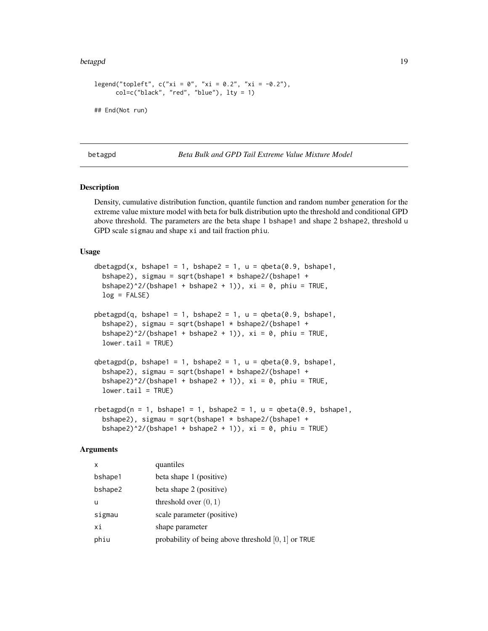#### <span id="page-18-0"></span>betagpd 19

```
legend("topleft", c("xi = 0", "xi = 0.2", "xi = -0.2"),col=c("black", "red", "blue"), lty = 1)
## End(Not run)
```
## <span id="page-18-2"></span>betagpd *Beta Bulk and GPD Tail Extreme Value Mixture Model*

## <span id="page-18-1"></span>Description

Density, cumulative distribution function, quantile function and random number generation for the extreme value mixture model with beta for bulk distribution upto the threshold and conditional GPD above threshold. The parameters are the beta shape 1 bshape1 and shape 2 bshape2, threshold u GPD scale sigmau and shape xi and tail fraction phiu.

#### Usage

```
dbetagpd(x, bshape1 = 1, bshape2 = 1, u = qbeta(0.9, bshape1,bshape2), sigmau = sqrt(bshape1 * bshape2/(bshape1 +
 bshape2)^2/(bshape1 + bshape2 + 1)), xi = 0, phiu = TRUE,
  log = FALSE)
pbeta(q, bshape1 = 1, bshape2 = 1, u = qbeta(0.9, bshape1,bshape2), sigmau = sqrt(bshape1 * bshape2/(bshape1 +
  bshape2)^2/(bshape1 + bshape2 + 1)), xi = 0, phiu = TRUE,
  lower.tail = TRUE)
qbetagpd(p, bshape1 = 1, bshape2 = 1, u = qbeta(0.9, bshape1,bshape2), sigmau = sqrt(bshape1 * bshape2/(bshape1 +
 bshape2)^2/(bshape1 + bshape2 + 1)), xi = 0, phiu = TRUE,
 lower.tail = TRUE)
rbetagpd(n = 1, bshape1 = 1, bshape2 = 1, u = qbeta(0.9, bshape1,
  bshape2), sigmau = sqrt(bshape1 * bshape2/(bshape1 +
```
## bshape2)^2/(bshape1 + bshape2 + 1)),  $xi = 0$ , phiu = TRUE)

#### Arguments

| X       | quantiles                                             |
|---------|-------------------------------------------------------|
| bshape1 | beta shape 1 (positive)                               |
| bshape2 | beta shape 2 (positive)                               |
| u       | threshold over $(0, 1)$                               |
| sigmau  | scale parameter (positive)                            |
| хi      | shape parameter                                       |
| phiu    | probability of being above threshold $[0, 1]$ or TRUE |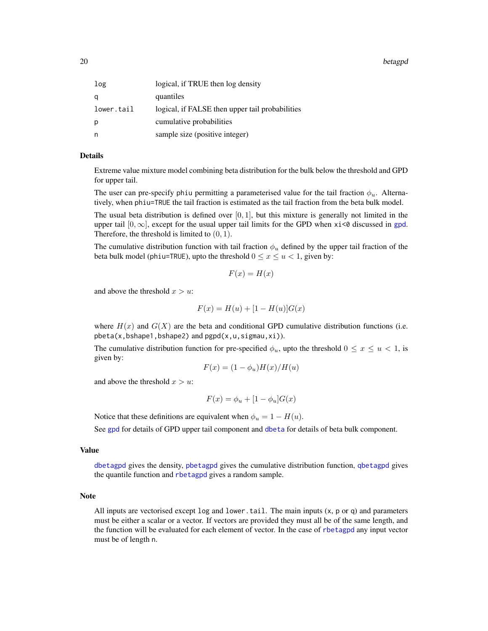20 betagpd a set of the set of the set of the set of the set of the set of the set of the set of the set of the set of the set of the set of the set of the set of the set of the set of the set of the set of the set of the

| logical, if TRUE then log density               |
|-------------------------------------------------|
| quantiles                                       |
| logical, if FALSE then upper tail probabilities |
| cumulative probabilities                        |
| sample size (positive integer)                  |
|                                                 |

## Details

Extreme value mixture model combining beta distribution for the bulk below the threshold and GPD for upper tail.

The user can pre-specify phiu permitting a parameterised value for the tail fraction  $\phi_u$ . Alternatively, when phiu=TRUE the tail fraction is estimated as the tail fraction from the beta bulk model.

The usual beta distribution is defined over  $[0, 1]$ , but this mixture is generally not limited in the upper tail  $[0, \infty]$ , except for the usual upper tail limits for the GPD when xi<0 discussed in [gpd](#page-190-1). Therefore, the threshold is limited to  $(0, 1)$ .

The cumulative distribution function with tail fraction  $\phi_u$  defined by the upper tail fraction of the beta bulk model (phiu=TRUE), upto the threshold  $0 \le x \le u < 1$ , given by:

$$
F(x) = H(x)
$$

and above the threshold  $x > u$ :

$$
F(x) = H(u) + [1 - H(u)]G(x)
$$

where  $H(x)$  and  $G(X)$  are the beta and conditional GPD cumulative distribution functions (i.e.  $pbeta(x,bshape1,bshape2)$  and  $pgpd(x,u,sigma,xi)$ .

The cumulative distribution function for pre-specified  $\phi_u$ , upto the threshold  $0 \le x \le u < 1$ , is given by:

$$
F(x) = (1 - \phi_u)H(x)/H(u)
$$

and above the threshold  $x > u$ :

$$
F(x) = \phi_u + [1 - \phi_u]G(x)
$$

Notice that these definitions are equivalent when  $\phi_u = 1 - H(u)$ .

See [gpd](#page-190-1) for details of GPD upper tail component and [dbeta](#page-0-0) for details of beta bulk component.

#### Value

[dbetagpd](#page-18-1) gives the density, [pbetagpd](#page-18-1) gives the cumulative distribution function, [qbetagpd](#page-18-1) gives the quantile function and [rbetagpd](#page-18-1) gives a random sample.

#### Note

All inputs are vectorised except  $log$  and lower.tail. The main inputs  $(x, p \text{ or } q)$  and parameters must be either a scalar or a vector. If vectors are provided they must all be of the same length, and the function will be evaluated for each element of vector. In the case of [rbetagpd](#page-18-1) any input vector must be of length n.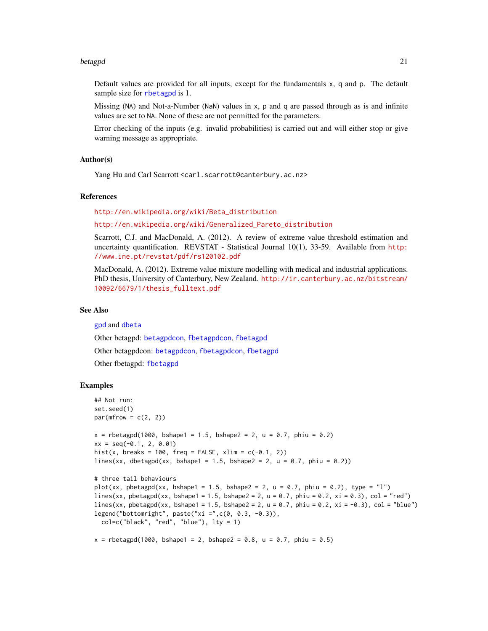#### betagpd 21

Default values are provided for all inputs, except for the fundamentals x, q and p. The default sample size for [rbetagpd](#page-18-1) is 1.

Missing (NA) and Not-a-Number (NaN) values in x, p and q are passed through as is and infinite values are set to NA. None of these are not permitted for the parameters.

Error checking of the inputs (e.g. invalid probabilities) is carried out and will either stop or give warning message as appropriate.

## Author(s)

Yang Hu and Carl Scarrott <carl.scarrott@canterbury.ac.nz>

## References

[http://en.wikipedia.org/wiki/Beta\\_distribution](http://en.wikipedia.org/wiki/Beta_distribution)

[http://en.wikipedia.org/wiki/Generalized\\_Pareto\\_distribution](http://en.wikipedia.org/wiki/Generalized_Pareto_distribution)

Scarrott, C.J. and MacDonald, A. (2012). A review of extreme value threshold estimation and uncertainty quantification. REVSTAT - Statistical Journal 10(1), 33-59. Available from [http:](http://www.ine.pt/revstat/pdf/rs120102.pdf) [//www.ine.pt/revstat/pdf/rs120102.pdf](http://www.ine.pt/revstat/pdf/rs120102.pdf)

MacDonald, A. (2012). Extreme value mixture modelling with medical and industrial applications. PhD thesis, University of Canterbury, New Zealand. [http://ir.canterbury.ac.nz/bitstream/](http://ir.canterbury.ac.nz/bitstream/10092/6679/1/thesis_fulltext.pdf) [10092/6679/1/thesis\\_fulltext.pdf](http://ir.canterbury.ac.nz/bitstream/10092/6679/1/thesis_fulltext.pdf)

#### See Also

[gpd](#page-190-1) and [dbeta](#page-0-0)

Other betagpd: [betagpdcon](#page-21-1), [fbetagpdcon](#page-51-1), [fbetagpd](#page-47-1)

Other betagpdcon: [betagpdcon](#page-21-1), [fbetagpdcon](#page-51-1), [fbetagpd](#page-47-1)

Other fbetagpd: [fbetagpd](#page-47-1)

#### Examples

```
## Not run:
set.seed(1)
par(mfrow = c(2, 2))x = rbetagpd(1000, bshape1 = 1.5, bshape2 = 2, u = 0.7, phiu = 0.2)
xx = seq(-0.1, 2, 0.01)hist(x, breaks = 100, freq = FALSE, xlim = c(-0.1, 2))
lines(xx, dbetagpd(xx, bshape1 = 1.5, bshape2 = 2, u = 0.7, phiu = 0.2))
# three tail behaviours
plot(xx, pbetagpd(xx, bshape1 = 1.5, bshape2 = 2, u = 0.7, phiu = 0.2), type = "l")
lines(xx, pbetagpd(xx, bshape1 = 1.5, bshape2 = 2, u = 0.7, phiu = 0.2, xi = 0.3), col = "red")
lines(xx, pbetagpd(xx, bshape1 = 1.5, bshape2 = 2, u = 0.7, phiu = 0.2, xi = -0.3), col = "blue")
legend("bottomright", paste("xi =",c(0, 0.3, -0.3)),
  col=c("black", "red", "blue"), lty = 1)
x = rbetagpd(1000, bshape1 = 2, bshape2 = 0.8, u = 0.7, phiu = 0.5)
```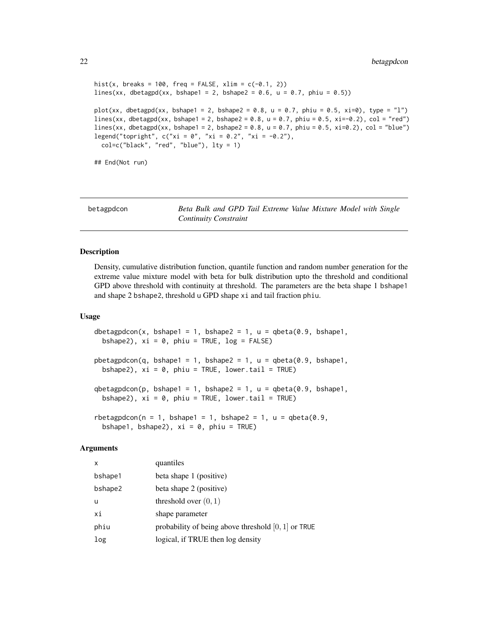```
hist(x, breaks = 100, freq = FALSE, xlim = c(-0.1, 2))
lines(xx, dbetagpd(xx, bshape1 = 2, bshape2 = 0.6, u = 0.7, phiu = 0.5))
plot(xx, dbetagpd(xx, bshape1 = 2, bshape2 = 0.8, u = 0.7, phiu = 0.5, xi=0), type = "l")
lines(xx, dbetagpd(xx, bshape1 = 2, bshape2 = 0.8, u = 0.7, phiu = 0.5, xi=-0.2), col = "red")
lines(xx, dbetagpd(xx, bshape1 = 2, bshape2 = 0.8, u = 0.7, phiu = 0.5, xi=0.2), col = "blue")
legend("topright", c("xi = 0", "xi = 0.2", "xi = -0.2"),col=c("black", "red", "blue"), lty = 1)
## End(Not run)
```
<span id="page-21-1"></span>betagpdcon *Beta Bulk and GPD Tail Extreme Value Mixture Model with Single Continuity Constraint*

#### <span id="page-21-2"></span>Description

Density, cumulative distribution function, quantile function and random number generation for the extreme value mixture model with beta for bulk distribution upto the threshold and conditional GPD above threshold with continuity at threshold. The parameters are the beta shape 1 bshape1 and shape 2 bshape2, threshold u GPD shape xi and tail fraction phiu.

#### Usage

```
dbetagpdcon(x, bshape1 = 1, bshape2 = 1, u = qbeta(0.9, bshape1,bshape2), xi = 0, phiu = TRUE, log = FALSE)
pbetagpdcon(q, bshape1 = 1, bshape2 = 1, u = qbeta(0.9, bshape1,bshape2), xi = 0, phiu = TRUE, lower.tail = TRUE)
qbetagpdcon(p, bshape1 = 1, bshape2 = 1, u = qbeta(0.9, bshape1,bshape2), xi = 0, phiu = TRUE, lower.tail = TRUE)
rbetagpdcon(n = 1, bshape1 = 1, bshape2 = 1, u = qbeta(0.9,
 bshape1, bshape2), xi = 0, phiu = TRUE)
```
#### Arguments

| $\mathsf{x}$ | quantiles                                             |
|--------------|-------------------------------------------------------|
| bshape1      | beta shape 1 (positive)                               |
| bshape2      | beta shape 2 (positive)                               |
| u            | threshold over $(0, 1)$                               |
| хi           | shape parameter                                       |
| phiu         | probability of being above threshold $[0, 1]$ or TRUE |
| log          | logical, if TRUE then log density                     |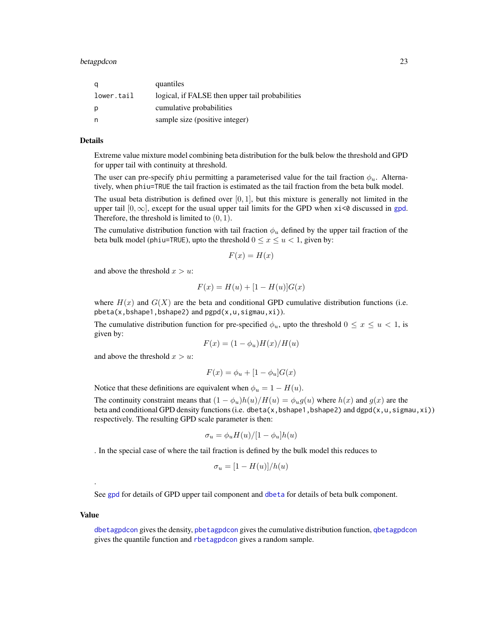| q          | quantiles                                       |
|------------|-------------------------------------------------|
| lower.tail | logical, if FALSE then upper tail probabilities |
| р          | cumulative probabilities                        |
| n          | sample size (positive integer)                  |

## Details

Extreme value mixture model combining beta distribution for the bulk below the threshold and GPD for upper tail with continuity at threshold.

The user can pre-specify phiu permitting a parameterised value for the tail fraction  $\phi_u$ . Alternatively, when phiu=TRUE the tail fraction is estimated as the tail fraction from the beta bulk model.

The usual beta distribution is defined over  $[0, 1]$ , but this mixture is generally not limited in the upper tail  $[0, \infty]$ , except for the usual upper tail limits for the GPD when  $x_i \leq 0$  discussed in [gpd](#page-190-1). Therefore, the threshold is limited to  $(0, 1)$ .

The cumulative distribution function with tail fraction  $\phi_u$  defined by the upper tail fraction of the beta bulk model (phiu=TRUE), upto the threshold  $0 \le x \le u < 1$ , given by:

$$
F(x) = H(x)
$$

and above the threshold  $x > u$ :

$$
F(x) = H(u) + [1 - H(u)]G(x)
$$

where  $H(x)$  and  $G(X)$  are the beta and conditional GPD cumulative distribution functions (i.e. pbeta(x,bshape1,bshape2) and pgpd(x,u,sigmau,xi)).

The cumulative distribution function for pre-specified  $\phi_u$ , upto the threshold  $0 \le x \le u < 1$ , is given by:

$$
F(x) = (1 - \phi_u)H(x)/H(u)
$$

and above the threshold  $x > u$ :

$$
F(x) = \phi_u + [1 - \phi_u]G(x)
$$

Notice that these definitions are equivalent when  $\phi_u = 1 - H(u)$ .

The continuity constraint means that  $(1 - \phi_u)h(u)/H(u) = \phi_u g(u)$  where  $h(x)$  and  $g(x)$  are the beta and conditional GPD density functions (i.e. dbeta(x,bshape1,bshape2) and dgpd(x,u,sigmau,xi)) respectively. The resulting GPD scale parameter is then:

$$
\sigma_u = \phi_u H(u) / [1 - \phi_u] h(u)
$$

. In the special case of where the tail fraction is defined by the bulk model this reduces to

$$
\sigma_u = [1 - H(u)]/h(u)
$$

See [gpd](#page-190-1) for details of GPD upper tail component and [dbeta](#page-0-0) for details of beta bulk component.

#### Value

.

[dbetagpdcon](#page-21-2) gives the density, [pbetagpdcon](#page-21-2) gives the cumulative distribution function, [qbetagpdcon](#page-21-2) gives the quantile function and [rbetagpdcon](#page-21-2) gives a random sample.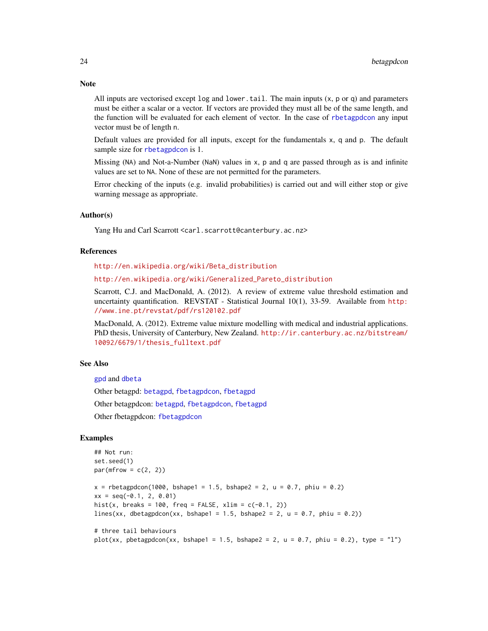All inputs are vectorised except  $log$  and lower, tail. The main inputs  $(x, p, o, q)$  and parameters must be either a scalar or a vector. If vectors are provided they must all be of the same length, and the function will be evaluated for each element of vector. In the case of [rbetagpdcon](#page-21-2) any input vector must be of length n.

Default values are provided for all inputs, except for the fundamentals x, q and p. The default sample size for [rbetagpdcon](#page-21-2) is 1.

Missing (NA) and Not-a-Number (NaN) values in x, p and q are passed through as is and infinite values are set to NA. None of these are not permitted for the parameters.

Error checking of the inputs (e.g. invalid probabilities) is carried out and will either stop or give warning message as appropriate.

## Author(s)

Yang Hu and Carl Scarrott <carl.scarrott@canterbury.ac.nz>

#### References

[http://en.wikipedia.org/wiki/Beta\\_distribution](http://en.wikipedia.org/wiki/Beta_distribution)

[http://en.wikipedia.org/wiki/Generalized\\_Pareto\\_distribution](http://en.wikipedia.org/wiki/Generalized_Pareto_distribution)

Scarrott, C.J. and MacDonald, A. (2012). A review of extreme value threshold estimation and uncertainty quantification. REVSTAT - Statistical Journal 10(1), 33-59. Available from [http:](http://www.ine.pt/revstat/pdf/rs120102.pdf) [//www.ine.pt/revstat/pdf/rs120102.pdf](http://www.ine.pt/revstat/pdf/rs120102.pdf)

MacDonald, A. (2012). Extreme value mixture modelling with medical and industrial applications. PhD thesis, University of Canterbury, New Zealand. [http://ir.canterbury.ac.nz/bitstream/](http://ir.canterbury.ac.nz/bitstream/10092/6679/1/thesis_fulltext.pdf) [10092/6679/1/thesis\\_fulltext.pdf](http://ir.canterbury.ac.nz/bitstream/10092/6679/1/thesis_fulltext.pdf)

## See Also

[gpd](#page-190-1) and [dbeta](#page-0-0)

Other betagpd: [betagpd](#page-18-2), [fbetagpdcon](#page-51-1), [fbetagpd](#page-47-1)

Other betagpdcon: [betagpd](#page-18-2), [fbetagpdcon](#page-51-1), [fbetagpd](#page-47-1)

Other fbetagpdcon: [fbetagpdcon](#page-51-1)

#### Examples

```
## Not run:
set.seed(1)
par(mfrow = c(2, 2))x = rbetagpdcon(1000, bshape1 = 1.5, bshape2 = 2, u = 0.7, phiu = 0.2)
xx = seq(-0.1, 2, 0.01)hist(x, breaks = 100, freq = FALSE, xlim = c(-0.1, 2))
lines(xx, dbetagpdcon(xx, bshape1 = 1.5, bshape2 = 2, u = 0.7, phiu = 0.2))
# three tail behaviours
plot(xx, pbetagpdcon(xx, bshape1 = 1.5, bshape2 = 2, u = 0.7, phiu = 0.2), type = "l")
```
## **Note**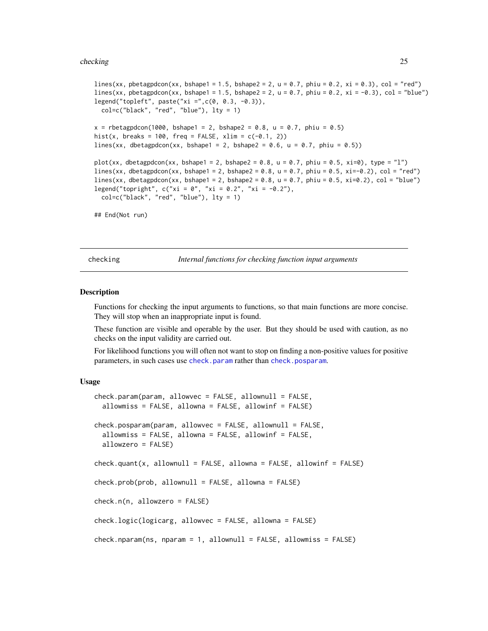#### <span id="page-24-0"></span>checking 25

```
lines(xx, pbetagpdcon(xx, bshape1 = 1.5, bshape2 = 2, u = 0.7, phiu = 0.2, xi = 0.3), col = "red")
lines(xx, pbetagpdcon(xx, bshape1 = 1.5, bshape2 = 2, u = 0.7, phiu = 0.2, xi = -0.3), col = "blue")
legend("topleft", paste("xi =",c(0, 0.3, -0.3)),
 col=c("black", "red", "blue"), lty = 1)
x = rbetagpdcon(1000, bshape1 = 2, bshape2 = 0.8, u = 0.7, phiu = 0.5)
hist(x, breaks = 100, freq = FALSE, xlim = c(-0.1, 2))
lines(xx, dbetagpdcon(xx, bshape1 = 2, bshape2 = 0.6, u = 0.7, phiu = 0.5))
plot(xx, dbetagpdcon(xx, bshape1 = 2, bshape2 = 0.8, u = 0.7, phiu = 0.5, xi=0), type = "l")
lines(xx, dbetagpdcon(xx, bshape1 = 2, bshape2 = 0.8, u = 0.7, phiu = 0.5, xi=-0.2), col = "red")
lines(xx, dbetagpdcon(xx, bshape1 = 2, bshape2 = 0.8, u = 0.7, phiu = 0.5, xi=0.2), col = "blue")
legend("topright", c("xi = 0", "xi = 0.2", "xi = -0.2"),col=c("black", "red", "blue"), lty = 1)
## End(Not run)
```
checking *Internal functions for checking function input arguments*

## <span id="page-24-1"></span>**Description**

Functions for checking the input arguments to functions, so that main functions are more concise. They will stop when an inappropriate input is found.

These function are visible and operable by the user. But they should be used with caution, as no checks on the input validity are carried out.

For likelihood functions you will often not want to stop on finding a non-positive values for positive parameters, in such cases use [check.param](#page-24-1) rather than [check.posparam](#page-24-1).

## Usage

```
check.param(param, allowvec = FALSE, allownull = FALSE,
  allowmiss = FALSE, allowna = FALSE, allowinf = FALSE)
check.posparam(param, allowvec = FALSE, allownull = FALSE,
  allowmiss = FALSE, allowna = FALSE, allowinf = FALSE,
  allowzero = FALSE)
check.quant(x, allownull = FALSE, allowna = FALSE, allowinf = FALSE)
check.prob(prob, allownull = FALSE, allowna = FALSE)check.n(n, allowzero = FALSE)
check.logic(logicarg, allowvec = FALSE, allowna = FALSE)
check.nparam(ns, nparam = 1, allownull = FALSE, allowmiss = FALSE)
```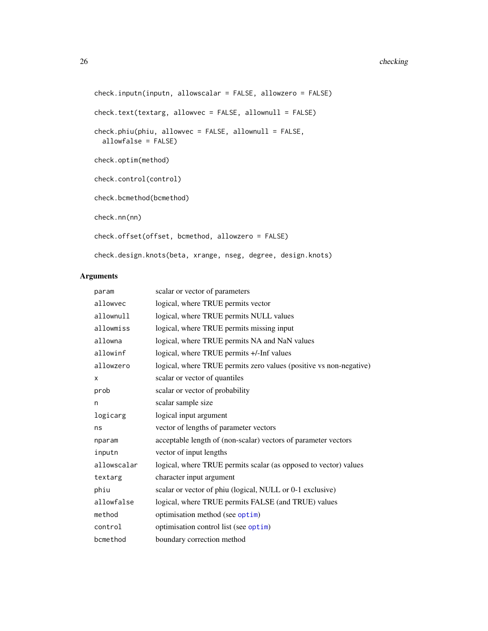#### 26 checking and the checking checking and the checking checking checking checking checking checking checking checking checking checking checking checking checking checking checking checking checking checking checking check

```
check.inputn(inputn, allowscalar = FALSE, allowzero = FALSE)
check.text(textarg, allowvec = FALSE, allownull = FALSE)
check.phiu(phiu, allowvec = FALSE, allownull = FALSE,
  allowfalse = FALSE)
check.optim(method)
check.control(control)
check.bcmethod(bcmethod)
check.nn(nn)
check.offset(offset, bcmethod, allowzero = FALSE)
check.design.knots(beta, xrange, nseg, degree, design.knots)
```
## Arguments

| param       | scalar or vector of parameters                                     |
|-------------|--------------------------------------------------------------------|
| allowvec    | logical, where TRUE permits vector                                 |
| allownull   | logical, where TRUE permits NULL values                            |
| allowmiss   | logical, where TRUE permits missing input                          |
| allowna     | logical, where TRUE permits NA and NaN values                      |
| allowinf    | logical, where TRUE permits +/-Inf values                          |
| allowzero   | logical, where TRUE permits zero values (positive vs non-negative) |
| X           | scalar or vector of quantiles                                      |
| prob        | scalar or vector of probability                                    |
| n           | scalar sample size                                                 |
| logicarg    | logical input argument                                             |
| ns          | vector of lengths of parameter vectors                             |
| nparam      | acceptable length of (non-scalar) vectors of parameter vectors     |
| inputn      | vector of input lengths                                            |
| allowscalar | logical, where TRUE permits scalar (as opposed to vector) values   |
| textarg     | character input argument                                           |
| phiu        | scalar or vector of phiu (logical, NULL or 0-1 exclusive)          |
| allowfalse  | logical, where TRUE permits FALSE (and TRUE) values                |
| method      | optimisation method (see optim)                                    |
| control     | optimisation control list (see optim)                              |
| bcmethod    | boundary correction method                                         |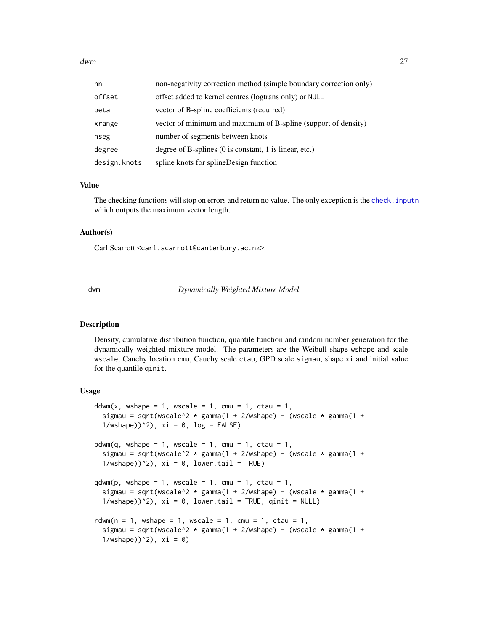<span id="page-26-0"></span>

| nn           | non-negativity correction method (simple boundary correction only)       |
|--------------|--------------------------------------------------------------------------|
| offset       | offset added to kernel centres (logtrans only) or NULL                   |
| beta         | vector of B-spline coefficients (required)                               |
| xrange       | vector of minimum and maximum of B-spline (support of density)           |
| nseg         | number of segments between knots                                         |
| degree       | degree of B-splines $(0 \text{ is constant}, 1 \text{ is linear}, etc.)$ |
| design.knots | spline knots for splineDesign function                                   |

#### Value

The checking functions will stop on errors and return no value. The only exception is the [check.inputn](#page-24-1) which outputs the maximum vector length.

## Author(s)

Carl Scarrott <carl.scarrott@canterbury.ac.nz>.

dwm *Dynamically Weighted Mixture Model*

## <span id="page-26-1"></span>Description

Density, cumulative distribution function, quantile function and random number generation for the dynamically weighted mixture model. The parameters are the Weibull shape wshape and scale wscale, Cauchy location cmu, Cauchy scale ctau, GPD scale sigmau, shape xi and initial value for the quantile qinit.

## Usage

```
ddwm(x, wshape = 1, wscale = 1, cmu = 1, ctau = 1,
  sigmau = sqrt(wscale^2 * gamma(1 + 2/wshape) - (wscale * gamma(1 +
  1/wshape))^2), xi = 0, log = FALSE)
pdwm(q, wshape = 1, wscale = 1, cmu = 1, ctau = 1,sigmau = sqrt(wscale^2 \star gamma(1 + 2/wshape) - (wscale \star gamma(1 +
  1/wshape))^2), xi = 0, lower.tail = TRUE)
qdwm(p, wshape = 1, wscale = 1, cmu = 1, ctau = 1,sigmau = sqrt(wscale^2 \star gamma(1 + 2/wshape) - (wscale \star gamma(1 +
  1/wshape))^2), xi = 0, lower.tail = TRUE, qinit = NULL)
rdwm(n = 1, wshape = 1, wscale = 1, cmu = 1, ctau = 1,
  sigmau = sqrt(wscale^2 * gamma(1 + 2/wshape) - (wscale * gamma(1 +
  1/wshape))^2), xi = 0)
```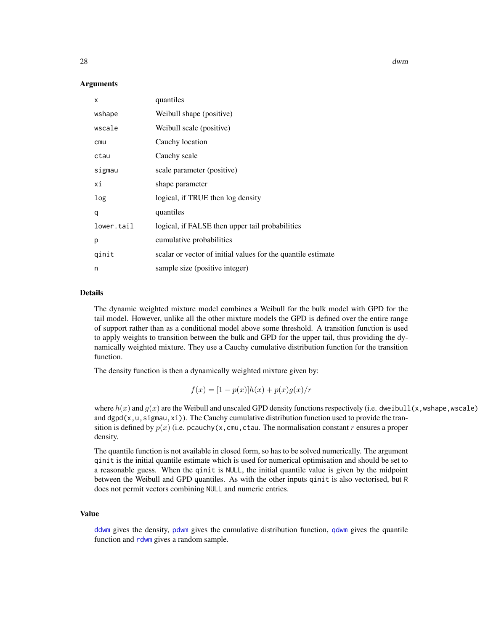#### Arguments

| X          | quantiles                                                    |
|------------|--------------------------------------------------------------|
| wshape     | Weibull shape (positive)                                     |
| wscale     | Weibull scale (positive)                                     |
| cmu        | Cauchy location                                              |
| ctau       | Cauchy scale                                                 |
| sigmau     | scale parameter (positive)                                   |
| хi         | shape parameter                                              |
| log        | logical, if TRUE then log density                            |
| q          | quantiles                                                    |
| lower.tail | logical, if FALSE then upper tail probabilities              |
| р          | cumulative probabilities                                     |
| qinit      | scalar or vector of initial values for the quantile estimate |
| n          | sample size (positive integer)                               |

## Details

The dynamic weighted mixture model combines a Weibull for the bulk model with GPD for the tail model. However, unlike all the other mixture models the GPD is defined over the entire range of support rather than as a conditional model above some threshold. A transition function is used to apply weights to transition between the bulk and GPD for the upper tail, thus providing the dynamically weighted mixture. They use a Cauchy cumulative distribution function for the transition function.

The density function is then a dynamically weighted mixture given by:

$$
f(x) = [1 - p(x)]h(x) + p(x)g(x)/r
$$

where  $h(x)$  and  $g(x)$  are the Weibull and unscaled GPD density functions respectively (i.e. dweibull(x,wshape,wscale) and dgpd( $x, u, s$ igmau, $x$ i)). The Cauchy cumulative distribution function used to provide the transition is defined by  $p(x)$  (i.e. pcauchy(x, cmu, ctau. The normalisation constant r ensures a proper density.

The quantile function is not available in closed form, so has to be solved numerically. The argument qinit is the initial quantile estimate which is used for numerical optimisation and should be set to a reasonable guess. When the qinit is NULL, the initial quantile value is given by the midpoint between the Weibull and GPD quantiles. As with the other inputs qinit is also vectorised, but R does not permit vectors combining NULL and numeric entries.

## Value

[ddwm](#page-26-1) gives the density, [pdwm](#page-26-1) gives the cumulative distribution function, [qdwm](#page-26-1) gives the quantile function and [rdwm](#page-26-1) gives a random sample.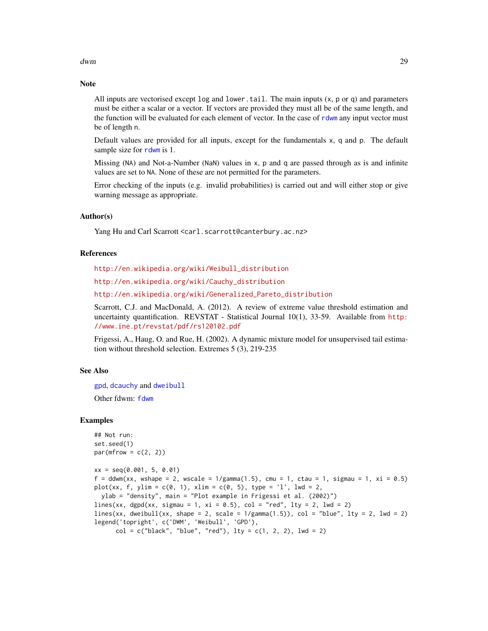dwm 29

## Note

All inputs are vectorised except  $log$  and  $lower$ .tail. The main inputs  $(x, p, o, q)$  and parameters must be either a scalar or a vector. If vectors are provided they must all be of the same length, and the function will be evaluated for each element of vector. In the case of [rdwm](#page-26-1) any input vector must be of length n.

Default values are provided for all inputs, except for the fundamentals x, q and p. The default sample size for [rdwm](#page-26-1) is 1.

Missing (NA) and Not-a-Number (NaN) values in x, p and q are passed through as is and infinite values are set to NA. None of these are not permitted for the parameters.

Error checking of the inputs (e.g. invalid probabilities) is carried out and will either stop or give warning message as appropriate.

## Author(s)

Yang Hu and Carl Scarrott <carl.scarrott@canterbury.ac.nz>

#### **References**

[http://en.wikipedia.org/wiki/Weibull\\_distribution](http://en.wikipedia.org/wiki/Weibull_distribution)

[http://en.wikipedia.org/wiki/Cauchy\\_distribution](http://en.wikipedia.org/wiki/Cauchy_distribution)

[http://en.wikipedia.org/wiki/Generalized\\_Pareto\\_distribution](http://en.wikipedia.org/wiki/Generalized_Pareto_distribution)

Scarrott, C.J. and MacDonald, A. (2012). A review of extreme value threshold estimation and uncertainty quantification. REVSTAT - Statistical Journal 10(1), 33-59. Available from [http:](http://www.ine.pt/revstat/pdf/rs120102.pdf) [//www.ine.pt/revstat/pdf/rs120102.pdf](http://www.ine.pt/revstat/pdf/rs120102.pdf)

Frigessi, A., Haug, O. and Rue, H. (2002). A dynamic mixture model for unsupervised tail estimation without threshold selection. Extremes 5 (3), 219-235

#### See Also

[gpd](#page-190-1), [dcauchy](#page-0-0) and [dweibull](#page-0-0)

Other fdwm: [fdwm](#page-55-1)

#### Examples

```
## Not run:
set.seed(1)
par(mfrow = c(2, 2))xx = seq(0.001, 5, 0.01)
f = ddwm(xx, wshape = 2, wscale = 1/gamma(1.5), cmu = 1, ctau = 1, sigmau = 1, xi = 0.5)plot(xx, f, ylim = c(0, 1), xlim = c(0, 5), type = 'l', lwd = 2,ylab = "density", main = "Plot example in Frigessi et al. (2002)")
lines(xx, dgpd(xx, sigmau = 1, xi = 0.5), col = "red", lty = 2, lwd = 2)
lines(xx, dweibull(xx, shape = 2, scale = 1/gamma(1.5)), col = "blue", lty = 2, lwd = 2)
legend('topright', c('DWM', 'Weibull', 'GPD'),
      col = c("black", "blue", "red"), \, 1ty = c(1, 2, 2), \, 1wd = 2)
```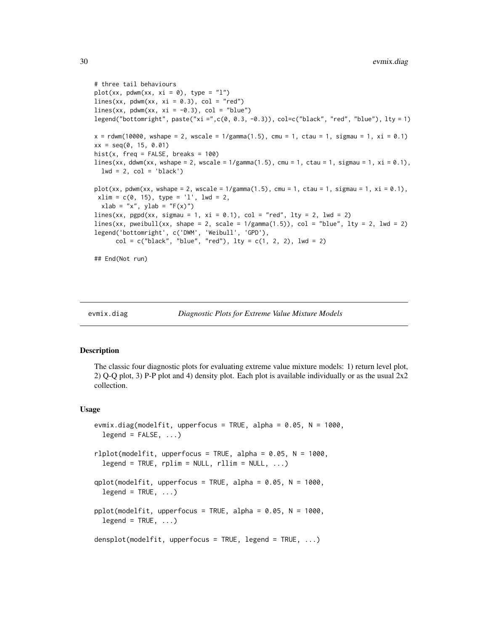```
# three tail behaviours
plot(xx, pdwm(xx, xi = 0), type = "l")lines(xx, pdown(xx, xi = 0.3), col = "red")lines(xx, pdwm(xx, xi = -0.3), col = "blue")
legend("bottomright", paste("xi =",c(0, 0.3, -0.3)), col=c("black", "red", "blue"), lty = 1)
x = rdwm(10000, wshape = 2, wscale = 1/gamma(1.5), cmu = 1, ctau = 1, sigmau = 1, xi = 0.1)
xx = seq(0, 15, 0.01)hist(x, freq = FALSE, breaks = 100)
lines(xx, ddwm(xx, wshape = 2, wscale = 1/gamma(1.5), cmu = 1, ctau = 1, sigmau = 1, xi = 0.1),
  lwd = 2, col = 'black')plot(xx, pdwm(xx, wshape = 2, wscale = 1/gamma(1.5), cmu = 1, ctau = 1, sigmau = 1, xi = 0.1),
 xlim = c(0, 15), type = 'l', lwd = 2,
  xlab = "x", ylab = "F(x)"lines(xx, pgpd(xx, sigmau = 1, xi = 0.1), col = "red", lty = 2, lwd = 2)
lines(xx, protein11(xx, shape = 2, scale = 1/gamma(1.5)), col = "blue", lty = 2, lwd = 2)legend('bottomright', c('DWM', 'Weibull', 'GPD'),
      col = c("black", "blue", "red"), \; lty = c(1, 2, 2), \; lwd = 2)## End(Not run)
```
<span id="page-29-2"></span>

```
evmix.diag Diagnostic Plots for Extreme Value Mixture Models
```
#### <span id="page-29-1"></span>Description

The classic four diagnostic plots for evaluating extreme value mixture models: 1) return level plot, 2) Q-Q plot, 3) P-P plot and 4) density plot. Each plot is available individually or as the usual 2x2 collection.

#### Usage

```
evmix.diag(modelfit, upperfocus = TRUE, alpha = 0.05, N = 1000,
  legend = FALSE, ...rlplot(modelfit, upperfocus = TRUE, alpha = 0.05, N = 1000,
  legend = TRUE, rplim = NULL, rllim = NULL,...)
qplot(modelfit, upperfocus = TRUE, alpha = 0.05, N = 1000,legend = TRUE, ...pplot(modelfit, upperfocus = TRUE, alpha = 0.05, N = 1000,legend = TRUE, ...densplot(modelfit, upperfocus = TRUE, legend = TRUE, ...)
```
<span id="page-29-0"></span>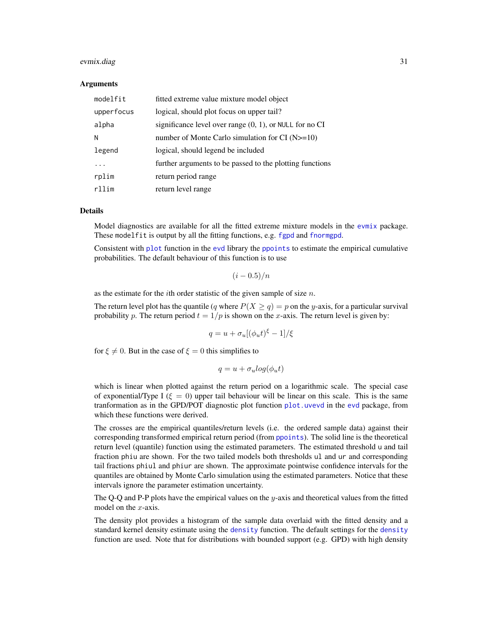#### evmix.diag 31

#### Arguments

| modelfit   | fitted extreme value mixture model object                  |
|------------|------------------------------------------------------------|
| upperfocus | logical, should plot focus on upper tail?                  |
| alpha      | significance level over range $(0, 1)$ , or NULL for no CI |
| N          | number of Monte Carlo simulation for CI $(N>=10)$          |
| legend     | logical, should legend be included                         |
|            | further arguments to be passed to the plotting functions   |
| rplim      | return period range                                        |
| $r$ llim   | return level range                                         |

## Details

Model diagnostics are available for all the fitted extreme mixture models in the [evmix](#page-2-1) package. These modelfit is output by all the fitting functions, e.g. [fgpd](#page-84-1) and [fnormgpd](#page-142-1).

Consistent with [plot](#page-0-0) function in the [evd](#page-0-0) library the [ppoints](#page-0-0) to estimate the empirical cumulative probabilities. The default behaviour of this function is to use

$$
(i - 0.5)/n
$$

as the estimate for the *i*th order statistic of the given sample of size  $n$ .

The return level plot has the quantile (q where  $P(X \ge q) = p$  on the y-axis, for a particular survival probability p. The return period  $t = 1/p$  is shown on the x-axis. The return level is given by:

$$
q = u + \sigma_u[(\phi_u t)^{\xi} - 1]/\xi
$$

for  $\xi \neq 0$ . But in the case of  $\xi = 0$  this simplifies to

$$
q = u + \sigma_u \log(\phi_u t)
$$

which is linear when plotted against the return period on a logarithmic scale. The special case of exponential/Type I ( $\xi = 0$ ) upper tail behaviour will be linear on this scale. This is the same tranformation as in the GPD/POT diagnostic plot function [plot.uvevd](#page-0-0) in the [evd](#page-0-0) package, from which these functions were derived.

The crosses are the empirical quantiles/return levels (i.e. the ordered sample data) against their corresponding transformed empirical return period (from [ppoints](#page-0-0)). The solid line is the theoretical return level (quantile) function using the estimated parameters. The estimated threshold u and tail fraction phiu are shown. For the two tailed models both thresholds ul and ur and corresponding tail fractions phiul and phiur are shown. The approximate pointwise confidence intervals for the quantiles are obtained by Monte Carlo simulation using the estimated parameters. Notice that these intervals ignore the parameter estimation uncertainty.

The Q-Q and P-P plots have the empirical values on the  $y$ -axis and theoretical values from the fitted model on the  $x$ -axis.

The density plot provides a histogram of the sample data overlaid with the fitted density and a standard kernel density estimate using the [density](#page-0-0) function. The default settings for the [density](#page-0-0) function are used. Note that for distributions with bounded support (e.g. GPD) with high density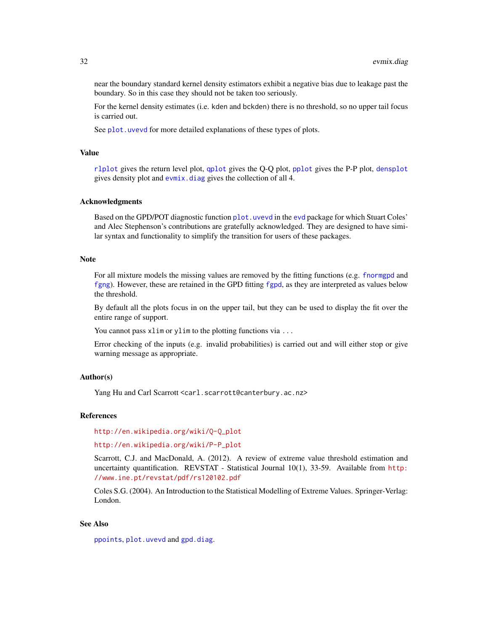near the boundary standard kernel density estimators exhibit a negative bias due to leakage past the boundary. So in this case they should not be taken too seriously.

For the kernel density estimates (i.e. kden and bckden) there is no threshold, so no upper tail focus is carried out.

See plot. uvevd for more detailed explanations of these types of plots.

## Value

[rlplot](#page-29-1) gives the return level plot, [qplot](#page-29-1) gives the Q-Q plot, [pplot](#page-29-1) gives the P-P plot, [densplot](#page-29-1) gives density plot and [evmix.diag](#page-29-2) gives the collection of all 4.

### Acknowledgments

Based on the GPD/POT diagnostic function [plot.uvevd](#page-0-0) in the [evd](#page-0-0) package for which Stuart Coles' and Alec Stephenson's contributions are gratefully acknowledged. They are designed to have similar syntax and functionality to simplify the transition for users of these packages.

## Note

For all mixture models the missing values are removed by the fitting functions (e.g. [fnormgpd](#page-142-1) and [fgng](#page-75-1)). However, these are retained in the GPD fitting [fgpd](#page-84-1), as they are interpreted as values below the threshold.

By default all the plots focus in on the upper tail, but they can be used to display the fit over the entire range of support.

You cannot pass xlim or ylim to the plotting functions via ...

Error checking of the inputs (e.g. invalid probabilities) is carried out and will either stop or give warning message as appropriate.

## Author(s)

Yang Hu and Carl Scarrott <carl.scarrott@canterbury.ac.nz>

#### References

[http://en.wikipedia.org/wiki/Q-Q\\_plot](http://en.wikipedia.org/wiki/Q-Q_plot)

[http://en.wikipedia.org/wiki/P-P\\_plot](http://en.wikipedia.org/wiki/P-P_plot)

Scarrott, C.J. and MacDonald, A. (2012). A review of extreme value threshold estimation and uncertainty quantification. REVSTAT - Statistical Journal 10(1), 33-59. Available from [http:](http://www.ine.pt/revstat/pdf/rs120102.pdf) [//www.ine.pt/revstat/pdf/rs120102.pdf](http://www.ine.pt/revstat/pdf/rs120102.pdf)

Coles S.G. (2004). An Introduction to the Statistical Modelling of Extreme Values. Springer-Verlag: London.

## See Also

[ppoints](#page-0-0), [plot.uvevd](#page-0-0) and [gpd.diag](#page-0-0).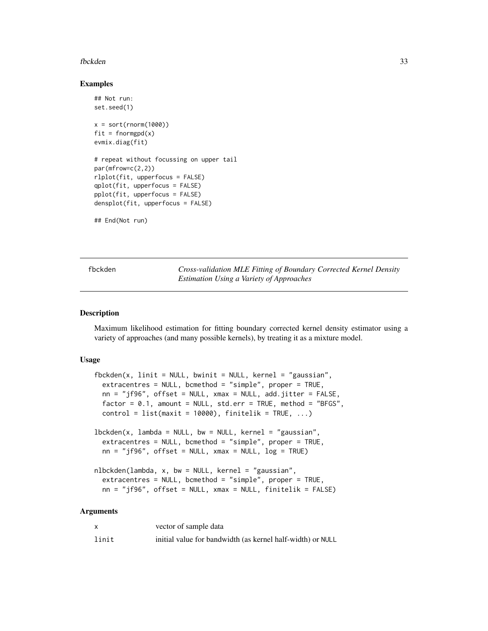#### <span id="page-32-0"></span>fbckden 33

#### Examples

```
## Not run:
set.seed(1)
x = sort(rnorm(1000))fit = formgpd(x)evmix.diag(fit)
# repeat without focussing on upper tail
par(mfrow=c(2,2))
rlplot(fit, upperfocus = FALSE)
qplot(fit, upperfocus = FALSE)
pplot(fit, upperfocus = FALSE)
densplot(fit, upperfocus = FALSE)
```
## End(Not run)

<span id="page-32-1"></span>fbckden *Cross-validation MLE Fitting of Boundary Corrected Kernel Density Estimation Using a Variety of Approaches*

#### <span id="page-32-2"></span>Description

Maximum likelihood estimation for fitting boundary corrected kernel density estimator using a variety of approaches (and many possible kernels), by treating it as a mixture model.

## Usage

```
fbckden(x, linit = NULL, bwinit = NULL, kernel = "gaussian",
  extracentres = NULL, bcmethod = "simple", proper = TRUE,
 nn = "jf96", offset = NULL, xmax = NULL, add.jitter = FALSE,
  factor = 0.1, amount = NULL, std.err = TRUE, method = "BFGS",
  control = list(maxit = 10000), finitelik = TRUE, ...)
lbbed(x, lambda = NULL, bw = NULL, kernel = "gaussian",extracentres = NULL, bcmethod = "simple", proper = TRUE,
 nn = "jf96", offset = NULL, xmax = NULL, log = TRUE)nlbckden(lambda, x, bw = NULL, kernel = "gaussian",
  extracentres = NULL, bcmethod = "simple", proper = TRUE,
 nn = "jf96", offset = NULL, xmax = NULL, finitelik = FALSE)
```
## Arguments

|       | vector of sample data                                      |
|-------|------------------------------------------------------------|
| linit | initial value for bandwidth (as kernel half-width) or NULL |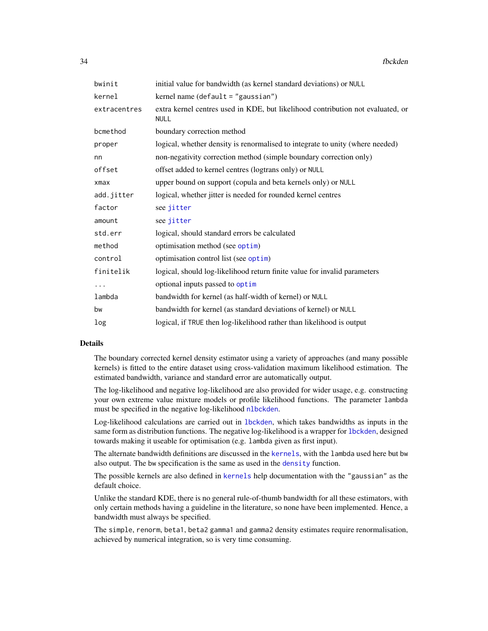| bwinit       | initial value for bandwidth (as kernel standard deviations) or NULL                            |
|--------------|------------------------------------------------------------------------------------------------|
| kernel       | kernel name $(\text{default} = "gaussian")$                                                    |
| extracentres | extra kernel centres used in KDE, but likelihood contribution not evaluated, or<br><b>NULL</b> |
| bcmethod     | boundary correction method                                                                     |
| proper       | logical, whether density is renormalised to integrate to unity (where needed)                  |
| nn           | non-negativity correction method (simple boundary correction only)                             |
| offset       | offset added to kernel centres (logtrans only) or NULL                                         |
| $x$ ma $x$   | upper bound on support (copula and beta kernels only) or NULL                                  |
| add.jitter   | logical, whether jitter is needed for rounded kernel centres                                   |
| factor       | see jitter                                                                                     |
| amount       | see jitter                                                                                     |
| std.err      | logical, should standard errors be calculated                                                  |
| method       | optimisation method (see optim)                                                                |
| control      | optimisation control list (see optim)                                                          |
| finitelik    | logical, should log-likelihood return finite value for invalid parameters                      |
| .            | optional inputs passed to optim                                                                |
| lambda       | bandwidth for kernel (as half-width of kernel) or NULL                                         |
| bw           | bandwidth for kernel (as standard deviations of kernel) or NULL                                |
| log          | logical, if TRUE then log-likelihood rather than likelihood is output                          |

## Details

The boundary corrected kernel density estimator using a variety of approaches (and many possible kernels) is fitted to the entire dataset using cross-validation maximum likelihood estimation. The estimated bandwidth, variance and standard error are automatically output.

The log-likelihood and negative log-likelihood are also provided for wider usage, e.g. constructing your own extreme value mixture models or profile likelihood functions. The parameter lambda must be specified in the negative log-likelihood [nlbckden](#page-32-2).

Log-likelihood calculations are carried out in [lbckden](#page-32-2), which takes bandwidths as inputs in the same form as distribution functions. The negative log-likelihood is a wrapper for [lbckden](#page-32-2), designed towards making it useable for optimisation (e.g. lambda given as first input).

The alternate bandwidth definitions are discussed in the [kernels](#page-226-1), with the lambda used here but bw also output. The bw specification is the same as used in the [density](#page-0-0) function.

The possible kernels are also defined in [kernels](#page-226-1) help documentation with the "gaussian" as the default choice.

Unlike the standard KDE, there is no general rule-of-thumb bandwidth for all these estimators, with only certain methods having a guideline in the literature, so none have been implemented. Hence, a bandwidth must always be specified.

The simple, renorm, beta1, beta2 gamma1 and gamma2 density estimates require renormalisation, achieved by numerical integration, so is very time consuming.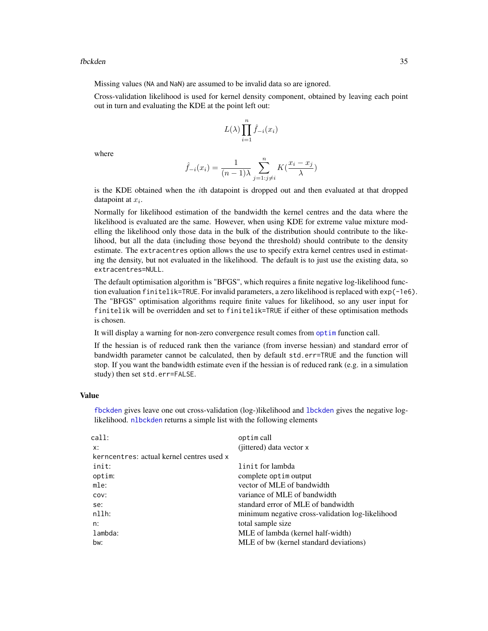Missing values (NA and NaN) are assumed to be invalid data so are ignored.

Cross-validation likelihood is used for kernel density component, obtained by leaving each point out in turn and evaluating the KDE at the point left out:

$$
L(\lambda) \prod_{i=1}^{n} \hat{f}_{-i}(x_i)
$$

where

$$
\hat{f}_{-i}(x_i) = \frac{1}{(n-1)\lambda} \sum_{j=1:j\neq i}^{n} K(\frac{x_i - x_j}{\lambda})
$$

is the KDE obtained when the ith datapoint is dropped out and then evaluated at that dropped datapoint at  $x_i$ .

Normally for likelihood estimation of the bandwidth the kernel centres and the data where the likelihood is evaluated are the same. However, when using KDE for extreme value mixture modelling the likelihood only those data in the bulk of the distribution should contribute to the likelihood, but all the data (including those beyond the threshold) should contribute to the density estimate. The extracentres option allows the use to specify extra kernel centres used in estimating the density, but not evaluated in the likelihood. The default is to just use the existing data, so extracentres=NULL.

The default optimisation algorithm is "BFGS", which requires a finite negative log-likelihood function evaluation finitelik=TRUE. For invalid parameters, a zero likelihood is replaced with exp(-1e6). The "BFGS" optimisation algorithms require finite values for likelihood, so any user input for finitelik will be overridden and set to finitelik=TRUE if either of these optimisation methods is chosen.

It will display a warning for non-zero convergence result comes from [optim](#page-0-0) function call.

If the hessian is of reduced rank then the variance (from inverse hessian) and standard error of bandwidth parameter cannot be calculated, then by default std.err=TRUE and the function will stop. If you want the bandwidth estimate even if the hessian is of reduced rank (e.g. in a simulation study) then set std.err=FALSE.

#### Value

[fbckden](#page-32-1) gives leave one out cross-validation (log-)likelihood and [lbckden](#page-32-2) gives the negative loglikelihood. [nlbckden](#page-32-2) returns a simple list with the following elements

| call:                                     | optim call                                       |
|-------------------------------------------|--------------------------------------------------|
| x:                                        | (jittered) data vector x                         |
| kerncentres: actual kernel centres used x |                                                  |
| init:                                     | linit for lambda                                 |
| optim:                                    | complete optim output                            |
| mle:                                      | vector of MLE of bandwidth                       |
| COV:                                      | variance of MLE of bandwidth                     |
| se:                                       | standard error of MLE of bandwidth               |
| nllh:                                     | minimum negative cross-validation log-likelihood |
| n:                                        | total sample size                                |
| lambda:                                   | MLE of lambda (kernel half-width)                |
| bw:                                       | MLE of bw (kernel standard deviations)           |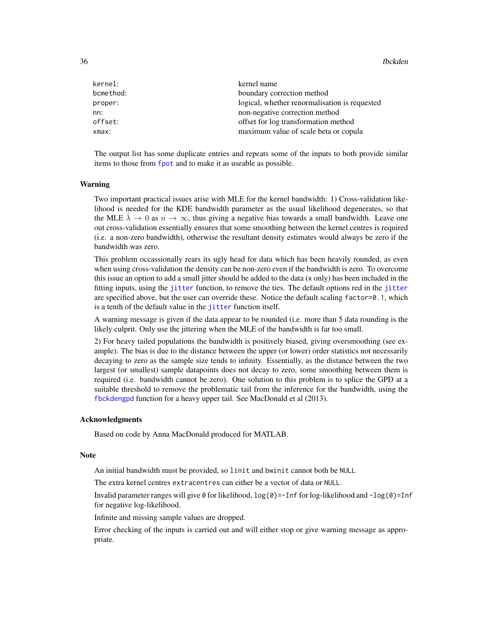| kernel:   | kernel name                                   |
|-----------|-----------------------------------------------|
| bcmethod: | boundary correction method                    |
| proper:   | logical, whether renormalisation is requested |
| nn:       | non-negative correction method                |
| offset:   | offset for log transformation method          |
| xmax:     | maximum value of scale beta or copula         |

The output list has some duplicate entries and repeats some of the inputs to both provide similar items to those from [fpot](#page-0-0) and to make it as useable as possible.

#### Warning

Two important practical issues arise with MLE for the kernel bandwidth: 1) Cross-validation likelihood is needed for the KDE bandwidth parameter as the usual likelihood degenerates, so that the MLE  $\lambda \to 0$  as  $n \to \infty$ , thus giving a negative bias towards a small bandwidth. Leave one out cross-validation essentially ensures that some smoothing between the kernel centres is required (i.e. a non-zero bandwidth), otherwise the resultant density estimates would always be zero if the bandwidth was zero.

This problem occassionally rears its ugly head for data which has been heavily rounded, as even when using cross-validation the density can be non-zero even if the bandwidth is zero. To overcome this issue an option to add a small jitter should be added to the data (x only) has been included in the fitting inputs, using the [jitter](#page-0-0) function, to remove the ties. The default options red in the [jitter](#page-0-0) are specified above, but the user can override these. Notice the default scaling factor=0.1, which is a tenth of the default value in the [jitter](#page-0-0) function itself.

A warning message is given if the data appear to be rounded (i.e. more than 5 data rounding is the likely culprit. Only use the jittering when the MLE of the bandwidth is far too small.

2) For heavy tailed populations the bandwidth is positively biased, giving oversmoothing (see example). The bias is due to the distance between the upper (or lower) order statistics not necessarily decaying to zero as the sample size tends to infinity. Essentially, as the distance between the two largest (or smallest) sample datapoints does not decay to zero, some smoothing between them is required (i.e. bandwidth cannot be zero). One solution to this problem is to splice the GPD at a suitable threshold to remove the problematic tail from the inference for the bandwidth, using the [fbckdengpd](#page-37-1) function for a heavy upper tail. See MacDonald et al (2013).

## Acknowledgments

Based on code by Anna MacDonald produced for MATLAB.

#### Note

An initial bandwidth must be provided, so linit and bwinit cannot both be NULL

The extra kernel centres extracentres can either be a vector of data or NULL.

Invalid parameter ranges will give  $\theta$  for likelihood,  $log(\theta) = -Inf$  for log-likelihood and  $-log(\theta) = Inf$ for negative log-likelihood.

Infinite and missing sample values are dropped.

Error checking of the inputs is carried out and will either stop or give warning message as appropriate.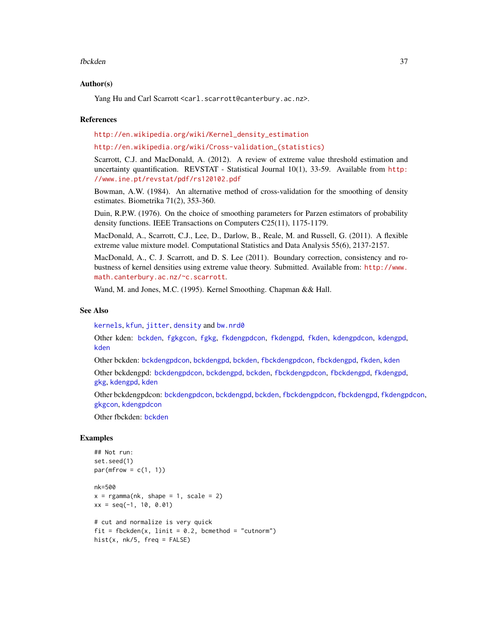#### fbckden 37

### Author(s)

Yang Hu and Carl Scarrott <carl.scarrott@canterbury.ac.nz>.

#### References

[http://en.wikipedia.org/wiki/Kernel\\_density\\_estimation](http://en.wikipedia.org/wiki/Kernel_density_estimation)

[http://en.wikipedia.org/wiki/Cross-validation\\_\(statistics\)](http://en.wikipedia.org/wiki/Cross-validation_(statistics))

Scarrott, C.J. and MacDonald, A. (2012). A review of extreme value threshold estimation and uncertainty quantification. REVSTAT - Statistical Journal 10(1), 33-59. Available from [http:](http://www.ine.pt/revstat/pdf/rs120102.pdf) [//www.ine.pt/revstat/pdf/rs120102.pdf](http://www.ine.pt/revstat/pdf/rs120102.pdf)

Bowman, A.W. (1984). An alternative method of cross-validation for the smoothing of density estimates. Biometrika 71(2), 353-360.

Duin, R.P.W. (1976). On the choice of smoothing parameters for Parzen estimators of probability density functions. IEEE Transactions on Computers C25(11), 1175-1179.

MacDonald, A., Scarrott, C.J., Lee, D., Darlow, B., Reale, M. and Russell, G. (2011). A flexible extreme value mixture model. Computational Statistics and Data Analysis 55(6), 2137-2157.

MacDonald, A., C. J. Scarrott, and D. S. Lee (2011). Boundary correction, consistency and robustness of kernel densities using extreme value theory. Submitted. Available from: [http://www.](http://www.math.canterbury.ac.nz/~c.scarrott) [math.canterbury.ac.nz/~c.scarrott](http://www.math.canterbury.ac.nz/~c.scarrott).

Wand, M. and Jones, M.C. (1995). Kernel Smoothing. Chapman && Hall.

# See Also

[kernels](#page-226-0), [kfun](#page-229-0), [jitter](#page-0-0), [density](#page-0-0) and [bw.nrd0](#page-0-0)

Other kden: [bckden](#page-3-0), [fgkgcon](#page-70-0), [fgkg](#page-65-0), [fkdengpdcon](#page-116-0), [fkdengpd](#page-112-0), [fkden](#page-106-0), [kdengpdcon](#page-223-0), [kdengpd](#page-219-0), [kden](#page-215-0)

Other bckden: [bckdengpdcon](#page-13-0), [bckdengpd](#page-8-0), [bckden](#page-3-0), [fbckdengpdcon](#page-42-0), [fbckdengpd](#page-37-0), [fkden](#page-106-0), [kden](#page-215-0)

Other bckdengpd: [bckdengpdcon](#page-13-0), [bckdengpd](#page-8-0), [bckden](#page-3-0), [fbckdengpdcon](#page-42-0), [fbckdengpd](#page-37-0), [fkdengpd](#page-112-0), [gkg](#page-174-0), [kdengpd](#page-219-0), [kden](#page-215-0)

Other bckdengpdcon: [bckdengpdcon](#page-13-0), [bckdengpd](#page-8-0), [bckden](#page-3-0), [fbckdengpdcon](#page-42-0), [fbckdengpd](#page-37-0), [fkdengpdcon](#page-116-0), [gkgcon](#page-178-0), [kdengpdcon](#page-223-0)

Other fbckden: [bckden](#page-3-0)

```
## Not run:
set.seed(1)
par(mfrow = c(1, 1))nk=500
x = \text{rgamma}(nk, \text{ shape} = 1, \text{ scale} = 2)xx = seq(-1, 10, 0.01)# cut and normalize is very quick
fit = fbckden(x, linit = 0.2, bcmethod = "cutnorm")
hist(x, nk/5, freq = FALSE)
```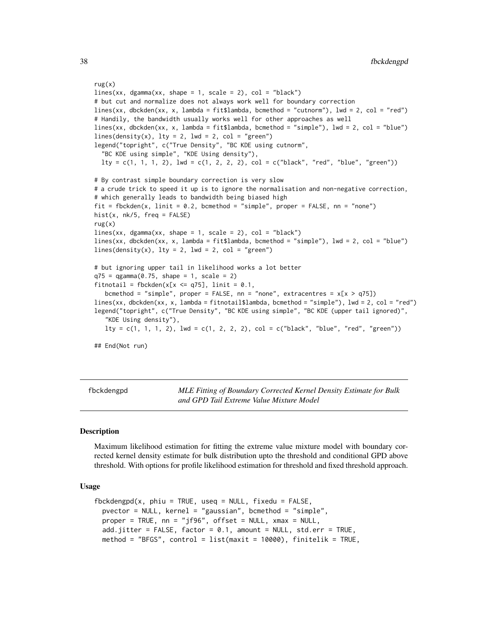```
rug(x)
lines(xx, degamma(xx, shape = 1, scale = 2), col = "black")# but cut and normalize does not always work well for boundary correction
lines(xx, dbckden(xx, x, lambda = fit$lambda, bcmethod = "cutnorm"), lwd = 2, col = "red")
# Handily, the bandwidth usually works well for other approaches as well
lines(xx, dbckden(xx, x, lambda = fit$lambda, bcmethod = "simple"), lwd = 2, col = "blue")
lines(density(x), lty = 2, lwd = 2, col = "green")legend("topright", c("True Density", "BC KDE using cutnorm",
  "BC KDE using simple", "KDE Using density"),
 lty = c(1, 1, 1, 2), lwd = c(1, 2, 2, 2), col = c("black", "red", "blue", "green"))# By contrast simple boundary correction is very slow
# a crude trick to speed it up is to ignore the normalisation and non-negative correction,
# which generally leads to bandwidth being biased high
fit = fbckden(x, limit = 0.2, bcmethod = "simple", proper = FALSE, nn = "none")hist(x, nk/5, freq = FALSE)rug(x)
lines(xx, dgamma(xx, shape = 1, scale = 2), col = "black")lines(xx, dbckden(xx, x, lambda = fit$lambda, bcmethod = "simple"), lwd = 2, col = "blue")
lines(density(x), lty = 2, lwd = 2, col = "green")# but ignoring upper tail in likelihood works a lot better
q75 = qgamma(0.75, shape = 1, scale = 2)fitnotail = fbckden(x[x \leq q75], linit = 0.1,
   bcmethod = "simple", proper = FALSE, nn = "none", extracentres = x[x > q75])
lines(xx, dbckden(xx, x, lambda = fitnotail$lambda, bcmethod = "simple"), lwd = 2, col = "red")
legend("topright", c("True Density", "BC KDE using simple", "BC KDE (upper tail ignored)",
   "KDE Using density"),
  lty = c(1, 1, 1, 2), \; lwd = c(1, 2, 2, 2), \; col = c("black", "blue", "red", "green"))## End(Not run)
```
<span id="page-37-0"></span>fbckdengpd *MLE Fitting of Boundary Corrected Kernel Density Estimate for Bulk and GPD Tail Extreme Value Mixture Model*

### <span id="page-37-1"></span>**Description**

Maximum likelihood estimation for fitting the extreme value mixture model with boundary corrected kernel density estimate for bulk distribution upto the threshold and conditional GPD above threshold. With options for profile likelihood estimation for threshold and fixed threshold approach.

# Usage

```
fbckdengpd(x, phiu = TRUE, useq = NULL, fixedu = FALSE,
  pvector = NULL, kernel = "gaussian", bcmethod = "simple",
 proper = TRUE, nn = "jf96", offset = NULL, xmax = NULL,add.jitter = FALSE, factor = 0.1, amount = NULL, std.err = TRUE,
 method = "BFGS", control = list(maxit = 10000), finitelik = TRUE,
```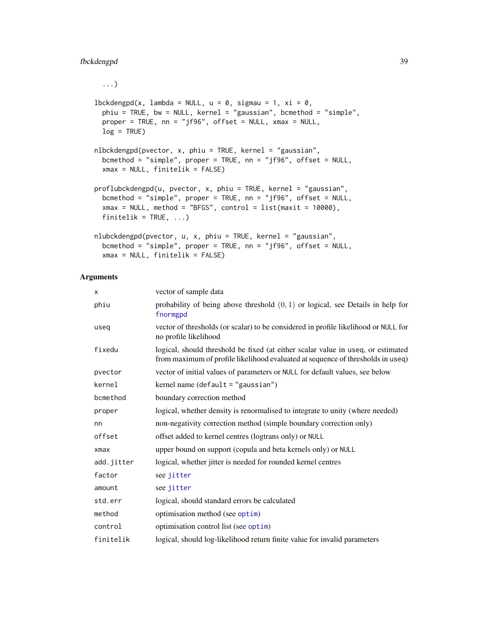# fbckdengpd 39

...)

```
lbbdckdengpd(x, lambda = NULL, u = 0, sigmau = 1, xi = 0,
 phiu = TRUE, bw = NULL, kernel = "gaussian", bcmethod = "simple",
 proper = TRUE, nn = "jf96", offset = NULL, xmax = NULL,
 log = TRUE)
nlbckdengpd(pvector, x, phiu = TRUE, kernel = "gaussian",
  bcmethod = "simple", proper = TRUE, nn = "jf96", offset = NULL,
  xmax = NULL, finitelik = FALSE)proflubckdengpd(u, pvector, x, phiu = TRUE, kernel = "gaussian",
  bcmethod = "simple", proper = TRUE, nn = "jf96", offset = NULL,
  xmax = NULL, method = "BFGS", control = list(maxit = 10000),
  finitelik = TRUE, ...)
nlubckdengpd(pvector, u, x, phiu = TRUE, kernel = "gaussian",
 bcmethod = "simple", proper = TRUE, nn = "jf96", offset = NULL,
 xmax = NULL, finitelik = FALSE)
```
### Arguments

| x          | vector of sample data                                                                                                                                               |
|------------|---------------------------------------------------------------------------------------------------------------------------------------------------------------------|
| phiu       | probability of being above threshold $(0, 1)$ or logical, see Details in help for<br>fnormgpd                                                                       |
| useq       | vector of thresholds (or scalar) to be considered in profile likelihood or NULL for<br>no profile likelihood                                                        |
| fixedu     | logical, should threshold be fixed (at either scalar value in useq, or estimated<br>from maximum of profile likelihood evaluated at sequence of thresholds in useq) |
| pvector    | vector of initial values of parameters or NULL for default values, see below                                                                                        |
| kernel     | kernel name (default = "gaussian")                                                                                                                                  |
| bcmethod   | boundary correction method                                                                                                                                          |
| proper     | logical, whether density is renormalised to integrate to unity (where needed)                                                                                       |
| nn         | non-negativity correction method (simple boundary correction only)                                                                                                  |
| offset     | offset added to kernel centres (logtrans only) or NULL                                                                                                              |
| xmax       | upper bound on support (copula and beta kernels only) or NULL                                                                                                       |
| add.jitter | logical, whether jitter is needed for rounded kernel centres                                                                                                        |
| factor     | see jitter                                                                                                                                                          |
| amount     | see jitter                                                                                                                                                          |
| std.err    | logical, should standard errors be calculated                                                                                                                       |
| method     | optimisation method (see optim)                                                                                                                                     |
| control    | optimisation control list (see optim)                                                                                                                               |
| finitelik  | logical, should log-likelihood return finite value for invalid parameters                                                                                           |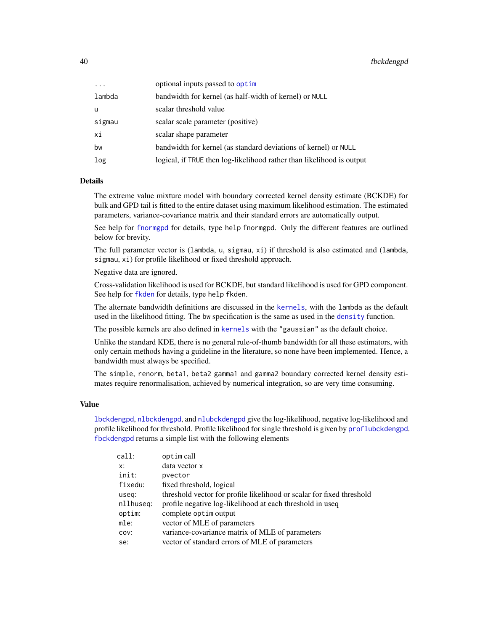# 40 fbckdengpd

| $\ddotsc$ | optional inputs passed to optim                                       |
|-----------|-----------------------------------------------------------------------|
| lambda    | bandwidth for kernel (as half-width of kernel) or NULL                |
| u         | scalar threshold value                                                |
| sigmau    | scalar scale parameter (positive)                                     |
| хi        | scalar shape parameter                                                |
| bw        | bandwidth for kernel (as standard deviations of kernel) or NULL       |
| log       | logical, if TRUE then log-likelihood rather than likelihood is output |
|           |                                                                       |

## Details

The extreme value mixture model with boundary corrected kernel density estimate (BCKDE) for bulk and GPD tail is fitted to the entire dataset using maximum likelihood estimation. The estimated parameters, variance-covariance matrix and their standard errors are automatically output.

See help for [fnormgpd](#page-142-0) for details, type help fnormgpd. Only the different features are outlined below for brevity.

The full parameter vector is (lambda, u, sigmau, xi) if threshold is also estimated and (lambda, sigmau, xi) for profile likelihood or fixed threshold approach.

Negative data are ignored.

Cross-validation likelihood is used for BCKDE, but standard likelihood is used for GPD component. See help for [fkden](#page-106-0) for details, type help fkden.

The alternate bandwidth definitions are discussed in the [kernels](#page-226-0), with the lambda as the default used in the likelihood fitting. The bw specification is the same as used in the [density](#page-0-0) function.

The possible [kernels](#page-226-0) are also defined in kernels with the "gaussian" as the default choice.

Unlike the standard KDE, there is no general rule-of-thumb bandwidth for all these estimators, with only certain methods having a guideline in the literature, so none have been implemented. Hence, a bandwidth must always be specified.

The simple, renorm, beta1, beta2 gamma1 and gamma2 boundary corrected kernel density estimates require renormalisation, achieved by numerical integration, so are very time consuming.

# Value

[lbckdengpd](#page-37-1), [nlbckdengpd](#page-37-1), and [nlubckdengpd](#page-37-1) give the log-likelihood, negative log-likelihood and profile likelihood for threshold. Profile likelihood for single threshold is given by [proflubckdengpd](#page-37-1). [fbckdengpd](#page-37-0) returns a simple list with the following elements

| call:     | optim call                                                            |
|-----------|-----------------------------------------------------------------------|
| x:        | data vector x                                                         |
| init:     | pvector                                                               |
| fixedu:   | fixed threshold, logical                                              |
| useq:     | threshold vector for profile likelihood or scalar for fixed threshold |
| nllhuseq: | profile negative log-likelihood at each threshold in useq             |
| optim:    | complete optim output                                                 |
| mle:      | vector of MLE of parameters                                           |
| COV:      | variance-covariance matrix of MLE of parameters                       |
| se:       | vector of standard errors of MLE of parameters                        |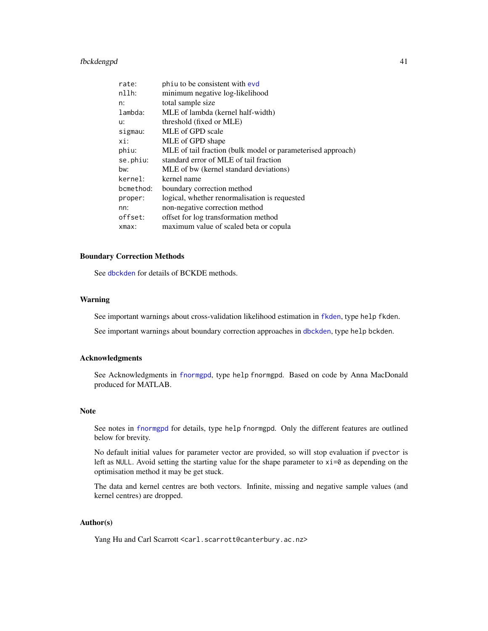# fbckdengpd 41

| rate:     | phiu to be consistent with evd                              |
|-----------|-------------------------------------------------------------|
| $n11h$ :  | minimum negative log-likelihood                             |
| n:        | total sample size                                           |
| lambda:   | MLE of lambda (kernel half-width)                           |
| u:        | threshold (fixed or MLE)                                    |
| sigmau:   | MLE of GPD scale                                            |
| xi:       | MLE of GPD shape                                            |
| phiu:     | MLE of tail fraction (bulk model or parameterised approach) |
| se.phiu:  | standard error of MLE of tail fraction                      |
| bw:       | MLE of bw (kernel standard deviations)                      |
| kernel:   | kernel name                                                 |
| bcmethod: | boundary correction method                                  |
| proper:   | logical, whether renormalisation is requested               |
| nn:       | non-negative correction method                              |
| offset:   | offset for log transformation method                        |
| xmax:     | maximum value of scaled beta or copula                      |

### Boundary Correction Methods

See [dbckden](#page-3-1) for details of BCKDE methods.

# Warning

See important warnings about cross-validation likelihood estimation in [fkden](#page-106-0), type help fkden.

See important warnings about boundary correction approaches in [dbckden](#page-3-1), type help bckden.

#### Acknowledgments

See Acknowledgments in [fnormgpd](#page-142-0), type help fnormgpd. Based on code by Anna MacDonald produced for MATLAB.

### Note

See notes in [fnormgpd](#page-142-0) for details, type help fnormgpd. Only the different features are outlined below for brevity.

No default initial values for parameter vector are provided, so will stop evaluation if pvector is left as NULL. Avoid setting the starting value for the shape parameter to  $x = 0$  as depending on the optimisation method it may be get stuck.

The data and kernel centres are both vectors. Infinite, missing and negative sample values (and kernel centres) are dropped.

# Author(s)

Yang Hu and Carl Scarrott <carl.scarrott@canterbury.ac.nz>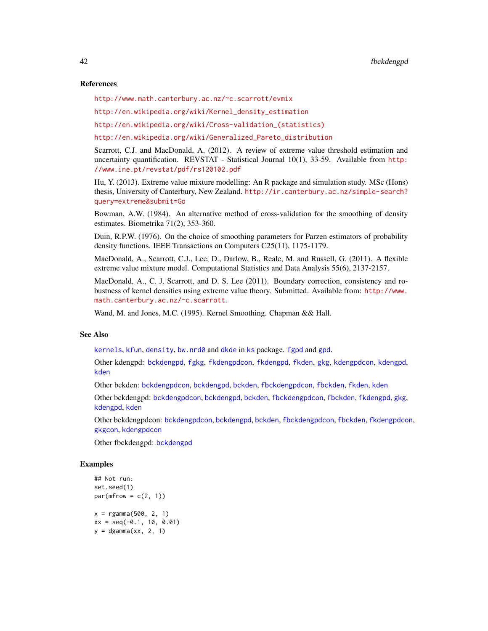### References

<http://www.math.canterbury.ac.nz/~c.scarrott/evmix>

[http://en.wikipedia.org/wiki/Kernel\\_density\\_estimation](http://en.wikipedia.org/wiki/Kernel_density_estimation)

[http://en.wikipedia.org/wiki/Cross-validation\\_\(statistics\)](http://en.wikipedia.org/wiki/Cross-validation_(statistics))

[http://en.wikipedia.org/wiki/Generalized\\_Pareto\\_distribution](http://en.wikipedia.org/wiki/Generalized_Pareto_distribution)

Scarrott, C.J. and MacDonald, A. (2012). A review of extreme value threshold estimation and uncertainty quantification. REVSTAT - Statistical Journal 10(1), 33-59. Available from [http:](http://www.ine.pt/revstat/pdf/rs120102.pdf) [//www.ine.pt/revstat/pdf/rs120102.pdf](http://www.ine.pt/revstat/pdf/rs120102.pdf)

Hu, Y. (2013). Extreme value mixture modelling: An R package and simulation study. MSc (Hons) thesis, University of Canterbury, New Zealand. [http://ir.canterbury.ac.nz/simple-search?](http://ir.canterbury.ac.nz/simple-search?query=extreme&submit=Go) [query=extreme&submit=Go](http://ir.canterbury.ac.nz/simple-search?query=extreme&submit=Go)

Bowman, A.W. (1984). An alternative method of cross-validation for the smoothing of density estimates. Biometrika 71(2), 353-360.

Duin, R.P.W. (1976). On the choice of smoothing parameters for Parzen estimators of probability density functions. IEEE Transactions on Computers C25(11), 1175-1179.

MacDonald, A., Scarrott, C.J., Lee, D., Darlow, B., Reale, M. and Russell, G. (2011). A flexible extreme value mixture model. Computational Statistics and Data Analysis 55(6), 2137-2157.

MacDonald, A., C. J. Scarrott, and D. S. Lee (2011). Boundary correction, consistency and robustness of kernel densities using extreme value theory. Submitted. Available from: [http://www.](http://www.math.canterbury.ac.nz/~c.scarrott) [math.canterbury.ac.nz/~c.scarrott](http://www.math.canterbury.ac.nz/~c.scarrott).

Wand, M. and Jones, M.C. (1995). Kernel Smoothing. Chapman && Hall.

# See Also

[kernels](#page-226-0), [kfun](#page-229-0), [density](#page-0-0), [bw.nrd0](#page-0-0) and [dkde](#page-0-0) in [ks](#page-0-0) package. [fgpd](#page-84-0) and [gpd](#page-190-0).

Other kdengpd: [bckdengpd](#page-8-0), [fgkg](#page-65-0), [fkdengpdcon](#page-116-0), [fkdengpd](#page-112-0), [fkden](#page-106-0), [gkg](#page-174-0), [kdengpdcon](#page-223-0), [kdengpd](#page-219-0), [kden](#page-215-0)

Other bckden: [bckdengpdcon](#page-13-0), [bckdengpd](#page-8-0), [bckden](#page-3-0), [fbckdengpdcon](#page-42-0), [fbckden](#page-32-0), [fkden](#page-106-0), [kden](#page-215-0)

Other bckdengpd: [bckdengpdcon](#page-13-0), [bckdengpd](#page-8-0), [bckden](#page-3-0), [fbckdengpdcon](#page-42-0), [fbckden](#page-32-0), [fkdengpd](#page-112-0), [gkg](#page-174-0), [kdengpd](#page-219-0), [kden](#page-215-0)

Other [bckdengpdcon](#page-13-0): [bckdengpd](#page-8-0)con, [bckden](#page-3-0)gpd, bckden, [fbckdengpdcon](#page-42-0), [fbckden](#page-32-0), [fkdengpdcon](#page-116-0), [gkgcon](#page-178-0), [kdengpdcon](#page-223-0)

Other fbckdengpd: [bckdengpd](#page-8-0)

```
## Not run:
set.seed(1)
par(mfrow = c(2, 1))x = \text{rgamma}(500, 2, 1)xx = seq(-0.1, 10, 0.01)y = dgamma(xx, 2, 1)
```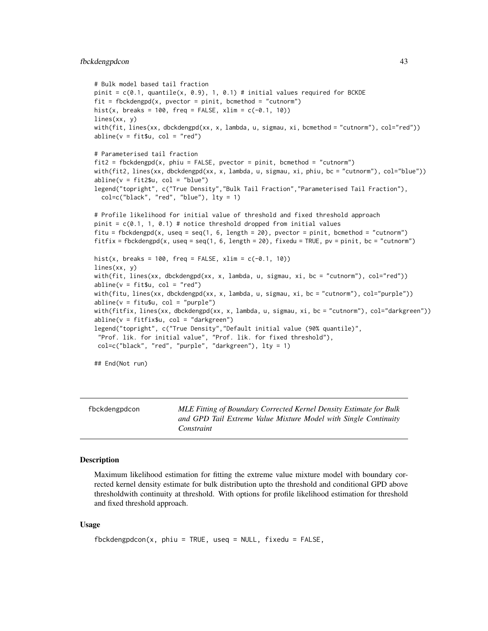### fbckdengpdcon 43

```
# Bulk model based tail fraction
pinit = c(0.1, quantile(x, 0.9), 1, 0.1) # initial values required for BCKDE
fit = fbckdengpd(x, pvector = point, bcmethod = "cutnorm")hist(x, breaks = 100, freq = FALSE, xlim = c(-0.1, 10))
lines(xx, y)
with(fit, lines(xx, dbckdengpd(xx, x, lambda, u, sigmau, xi, bcmethod = "cutnorm"), col="red"))
abline(v = fit $u, col = "red")# Parameterised tail fraction
fit2 = fbckdengpd(x, phi = FALSE, pvector = point, bcmethod = "cutnorm")with(fit2, lines(xx, dbckdengpd(xx, x, lambda, u, sigmau, xi, phiu, bc = "cutnorm"), col="blue"))
abline(v = fit2$u, col = "blue")legend("topright", c("True Density","Bulk Tail Fraction","Parameterised Tail Fraction"),
  col=c("black", "red", "blue"), lty = 1)
# Profile likelihood for initial value of threshold and fixed threshold approach
pinit = c(0.1, 1, 0.1) # notice threshold dropped from initial values
fitu = fbckdengpd(x, useq = seq(1, 6, length = 20), pvector = pinit, bcmethod = "cutnorm")
fitfix = fbckdengpd(x, useq = seq(1, 6, length = 20), fixedu = TRUE, pv = pinit, bc = "cutnorm")
hist(x, breaks = 100, freq = FALSE, xlim = c(-0.1, 10))
lines(xx, y)
with(fit, lines(xx, dbckdengpd(xx, x, lambda, u, sigmau, xi, bc = "cutnorm"), col="red"))
abline(v = fit $u, col = "red")with(fitu, lines(xx, dbckdengpd(xx, x, lambda, u, sigmau, xi, bc = "cutnorm"), col="purple"))
abline(v = fitu$u, col = "purple")with(fitfix, lines(xx, dbckdengpd(xx, x, lambda, u, sigmau, xi, bc = "cutnorm"), col="darkgreen"))
abline(v = fitfixSu, col = "darkgreen")legend("topright", c("True Density","Default initial value (90% quantile)",
 "Prof. lik. for initial value", "Prof. lik. for fixed threshold"),
 col=c("black", "red", "purple", "darkgreen"), lty = 1)
## End(Not run)
```
<span id="page-42-0"></span>

| fbckdengpdcon | MLE Fitting of Boundary Corrected Kernel Density Estimate for Bulk |
|---------------|--------------------------------------------------------------------|
|               | and GPD Tail Extreme Value Mixture Model with Single Continuity    |
|               | Constraint                                                         |

### <span id="page-42-1"></span>Description

Maximum likelihood estimation for fitting the extreme value mixture model with boundary corrected kernel density estimate for bulk distribution upto the threshold and conditional GPD above thresholdwith continuity at threshold. With options for profile likelihood estimation for threshold and fixed threshold approach.

# Usage

```
fbckdengpdcon(x, phiu = TRUE, useq = NULL, fixedu = FALSE,
```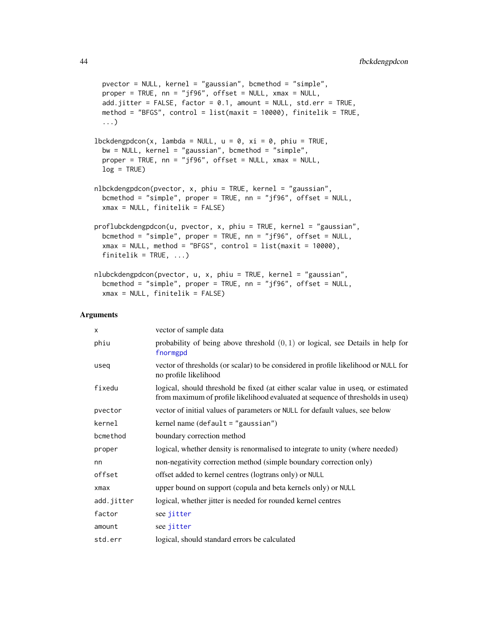```
pvector = NULL, kernel = "gaussian", bcmethod = "simple",
 proper = TRUE, nn = "jf96", offset = NULL, xmax = NULL,
 add.jitter = FALSE, factor = 0.1, amount = NULL, std.err = TRUE,
 method = "BFGS", control = list(maxit = 10000), finitelik = TRUE,
  ...)
lbbedengpdcon(x, lambda = NULL, u = 0, xi = 0, phi = TRUE,bw = NULL, kernel = "gaussian", bcmethod = "simple",
 proper = TRUE, nn = "jf96", offset = NULL, xmax = NULL,
 log = TRUE)
nlbckdengpdcon(pvector, x, phiu = TRUE, kernel = "gaussian",
 bcmethod = "simple", proper = TRUE, nn = "jf96", offset = NULL,
 xmax = NULL, finitelik = FALSE)proflubckdengpdcon(u, pvector, x, phiu = TRUE, kernel = "gaussian",
 bcmethod = "simple", proper = TRUE, nn = "jf96", offset = NULL,
  xmax = NULL, method = "BFGS", control = list(maxit = 10000),
 finitelik = TRUE, ...)
nlubckdengpdcon(pvector, u, x, phiu = TRUE, kernel = "gaussian",
 bcmethod = "simple", proper = TRUE, nn = "jf96", offset = NULL,
 xmax = NULL, finitelik = FALSE)
```
#### **Arguments**

| X          | vector of sample data                                                                                                                                               |
|------------|---------------------------------------------------------------------------------------------------------------------------------------------------------------------|
| phiu       | probability of being above threshold $(0, 1)$ or logical, see Details in help for<br>fnormgpd                                                                       |
| useq       | vector of thresholds (or scalar) to be considered in profile likelihood or NULL for<br>no profile likelihood                                                        |
| fixedu     | logical, should threshold be fixed (at either scalar value in useq, or estimated<br>from maximum of profile likelihood evaluated at sequence of thresholds in useq) |
| pvector    | vector of initial values of parameters or NULL for default values, see below                                                                                        |
| kernel     | kernel name (default $=$ "gaussian")                                                                                                                                |
| bcmethod   | boundary correction method                                                                                                                                          |
| proper     | logical, whether density is renormalised to integrate to unity (where needed)                                                                                       |
| nn         | non-negativity correction method (simple boundary correction only)                                                                                                  |
| offset     | offset added to kernel centres (logtrans only) or NULL                                                                                                              |
| $x$ ma $x$ | upper bound on support (copula and beta kernels only) or NULL                                                                                                       |
| add.jitter | logical, whether jitter is needed for rounded kernel centres                                                                                                        |
| factor     | see jitter                                                                                                                                                          |
| amount     | see jitter                                                                                                                                                          |
| std.err    | logical, should standard errors be calculated                                                                                                                       |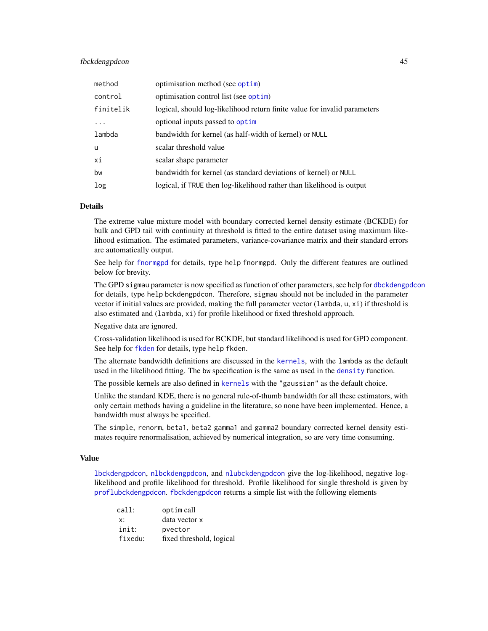# fbckdengpdcon 45

| method    | optimisation method (see optim)                                           |
|-----------|---------------------------------------------------------------------------|
| control   | optimisation control list (see optim)                                     |
| finitelik | logical, should log-likelihood return finite value for invalid parameters |
| $\cdot$   | optional inputs passed to optim                                           |
| lambda    | bandwidth for kernel (as half-width of kernel) or NULL                    |
| u         | scalar threshold value                                                    |
| xi        | scalar shape parameter                                                    |
| bw        | bandwidth for kernel (as standard deviations of kernel) or NULL           |
| log       | logical, if TRUE then log-likelihood rather than likelihood is output     |

# Details

The extreme value mixture model with boundary corrected kernel density estimate (BCKDE) for bulk and GPD tail with continuity at threshold is fitted to the entire dataset using maximum likelihood estimation. The estimated parameters, variance-covariance matrix and their standard errors are automatically output.

See help for [fnormgpd](#page-142-0) for details, type help fnormgpd. Only the different features are outlined below for brevity.

The GPD sigmau parameter is now specified as function of other parameters, see help for [dbckdengpdcon](#page-13-1) for details, type help bckdengpdcon. Therefore, sigmau should not be included in the parameter vector if initial values are provided, making the full parameter vector (lambda, u, xi) if threshold is also estimated and (lambda, xi) for profile likelihood or fixed threshold approach.

Negative data are ignored.

Cross-validation likelihood is used for BCKDE, but standard likelihood is used for GPD component. See help for [fkden](#page-106-0) for details, type help fkden.

The alternate bandwidth definitions are discussed in the [kernels](#page-226-0), with the lambda as the default used in the likelihood fitting. The bw specification is the same as used in the [density](#page-0-0) function.

The possible kernels are also defined in [kernels](#page-226-0) with the "gaussian" as the default choice.

Unlike the standard KDE, there is no general rule-of-thumb bandwidth for all these estimators, with only certain methods having a guideline in the literature, so none have been implemented. Hence, a bandwidth must always be specified.

The simple, renorm, beta1, beta2 gamma1 and gamma2 boundary corrected kernel density estimates require renormalisation, achieved by numerical integration, so are very time consuming.

### Value

[lbckdengpdcon](#page-42-1), [nlbckdengpdcon](#page-42-1), and [nlubckdengpdcon](#page-42-1) give the log-likelihood, negative loglikelihood and profile likelihood for threshold. Profile likelihood for single threshold is given by [proflubckdengpdcon](#page-42-1). [fbckdengpdcon](#page-42-0) returns a simple list with the following elements

| call:   | optim call               |
|---------|--------------------------|
| X:      | data vector x            |
| init:   | pvector                  |
| fixedu: | fixed threshold, logical |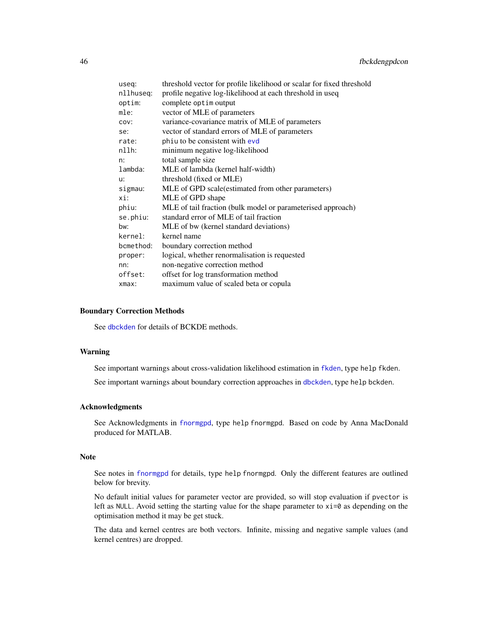| useg:     | threshold vector for profile likelihood or scalar for fixed threshold |
|-----------|-----------------------------------------------------------------------|
| nllhuseg: | profile negative log-likelihood at each threshold in useq             |
| optim:    | complete optim output                                                 |
| mle:      | vector of MLE of parameters                                           |
| COV:      | variance-covariance matrix of MLE of parameters                       |
| se:       | vector of standard errors of MLE of parameters                        |
| rate:     | phiu to be consistent with evd                                        |
| nllh:     | minimum negative log-likelihood                                       |
| n:        | total sample size                                                     |
| lambda:   | MLE of lambda (kernel half-width)                                     |
| u:        | threshold (fixed or MLE)                                              |
| sigmau:   | MLE of GPD scale(estimated from other parameters)                     |
| xi:       | MLE of GPD shape                                                      |
| phiu:     | MLE of tail fraction (bulk model or parameterised approach)           |
| se.phiu:  | standard error of MLE of tail fraction                                |
| bw:       | MLE of bw (kernel standard deviations)                                |
| kernel:   | kernel name                                                           |
| bcmethod: | boundary correction method                                            |
| proper:   | logical, whether renormalisation is requested                         |
| nn:       | non-negative correction method                                        |
| offset:   | offset for log transformation method                                  |
| xmax:     | maximum value of scaled beta or copula                                |
|           |                                                                       |

### Boundary Correction Methods

See [dbckden](#page-3-1) for details of BCKDE methods.

### Warning

See important warnings about cross-validation likelihood estimation in [fkden](#page-106-0), type help fkden.

See important warnings about boundary correction approaches in [dbckden](#page-3-1), type help bckden.

# Acknowledgments

See Acknowledgments in [fnormgpd](#page-142-0), type help fnormgpd. Based on code by Anna MacDonald produced for MATLAB.

### Note

See notes in [fnormgpd](#page-142-0) for details, type help fnormgpd. Only the different features are outlined below for brevity.

No default initial values for parameter vector are provided, so will stop evaluation if pvector is left as NULL. Avoid setting the starting value for the shape parameter to  $xi = 0$  as depending on the optimisation method it may be get stuck.

The data and kernel centres are both vectors. Infinite, missing and negative sample values (and kernel centres) are dropped.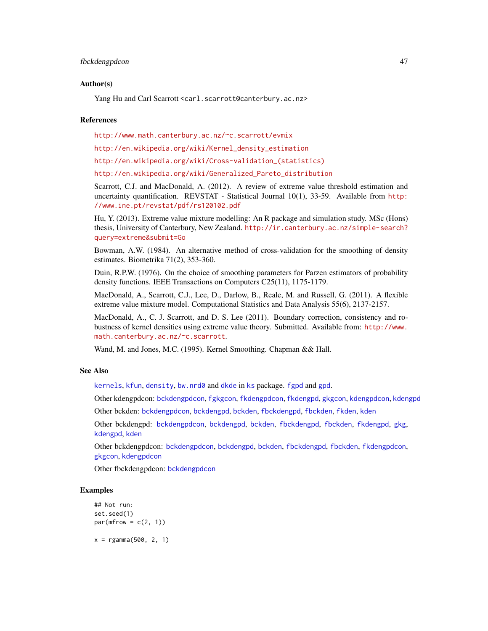### fbckdengpdcon 47

### Author(s)

Yang Hu and Carl Scarrott <carl.scarrott@canterbury.ac.nz>

### References

<http://www.math.canterbury.ac.nz/~c.scarrott/evmix>

[http://en.wikipedia.org/wiki/Kernel\\_density\\_estimation](http://en.wikipedia.org/wiki/Kernel_density_estimation)

[http://en.wikipedia.org/wiki/Cross-validation\\_\(statistics\)](http://en.wikipedia.org/wiki/Cross-validation_(statistics))

[http://en.wikipedia.org/wiki/Generalized\\_Pareto\\_distribution](http://en.wikipedia.org/wiki/Generalized_Pareto_distribution)

Scarrott, C.J. and MacDonald, A. (2012). A review of extreme value threshold estimation and uncertainty quantification. REVSTAT - Statistical Journal 10(1), 33-59. Available from [http:](http://www.ine.pt/revstat/pdf/rs120102.pdf) [//www.ine.pt/revstat/pdf/rs120102.pdf](http://www.ine.pt/revstat/pdf/rs120102.pdf)

Hu, Y. (2013). Extreme value mixture modelling: An R package and simulation study. MSc (Hons) thesis, University of Canterbury, New Zealand. [http://ir.canterbury.ac.nz/simple-search?](http://ir.canterbury.ac.nz/simple-search?query=extreme&submit=Go) [query=extreme&submit=Go](http://ir.canterbury.ac.nz/simple-search?query=extreme&submit=Go)

Bowman, A.W. (1984). An alternative method of cross-validation for the smoothing of density estimates. Biometrika 71(2), 353-360.

Duin, R.P.W. (1976). On the choice of smoothing parameters for Parzen estimators of probability density functions. IEEE Transactions on Computers C25(11), 1175-1179.

MacDonald, A., Scarrott, C.J., Lee, D., Darlow, B., Reale, M. and Russell, G. (2011). A flexible extreme value mixture model. Computational Statistics and Data Analysis 55(6), 2137-2157.

MacDonald, A., C. J. Scarrott, and D. S. Lee (2011). Boundary correction, consistency and robustness of kernel densities using extreme value theory. Submitted. Available from: [http://www.](http://www.math.canterbury.ac.nz/~c.scarrott) [math.canterbury.ac.nz/~c.scarrott](http://www.math.canterbury.ac.nz/~c.scarrott).

Wand, M. and Jones, M.C. (1995). Kernel Smoothing. Chapman && Hall.

### See Also

[kernels](#page-226-0), [kfun](#page-229-0), [density](#page-0-0), [bw.nrd0](#page-0-0) and [dkde](#page-0-0) in [ks](#page-0-0) package. [fgpd](#page-84-0) and [gpd](#page-190-0).

Other kdengpdcon: [bckdengpdcon](#page-13-0), [fgkgcon](#page-70-0), [fkdengpdcon](#page-116-0), [fkdengpd](#page-112-0), [gkgcon](#page-178-0), [kdengpdcon](#page-223-0), [kdengpd](#page-219-0)

Other bckden: [bckdengpdcon](#page-13-0), [bckdengpd](#page-8-0), [bckden](#page-3-0), [fbckdengpd](#page-37-0), [fbckden](#page-32-0), [fkden](#page-106-0), [kden](#page-215-0)

Other bckdengpd: [bckdengpdcon](#page-13-0), [bckdengpd](#page-8-0), [bckden](#page-3-0), [fbckdengpd](#page-37-0), [fbckden](#page-32-0), [fkdengpd](#page-112-0), [gkg](#page-174-0), [kdengpd](#page-219-0), [kden](#page-215-0)

Other bckdengpdcon: [bckdengpdcon](#page-13-0), [bckdengpd](#page-8-0), [bckden](#page-3-0), [fbckdengpd](#page-37-0), [fbckden](#page-32-0), [fkdengpdcon](#page-116-0), [gkgcon](#page-178-0), [kdengpdcon](#page-223-0)

Other fbckdengpdcon: [bckdengpdcon](#page-13-0)

```
## Not run:
set.seed(1)
par(mfrow = c(2, 1))x = \text{rgamma}(500, 2, 1)
```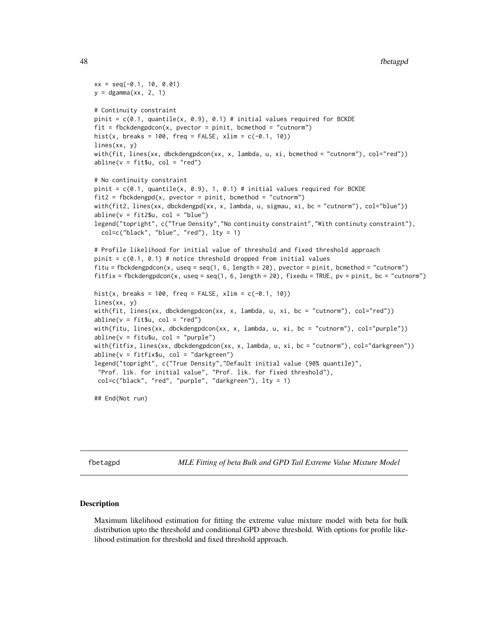```
xx = seq(-0.1, 10, 0.01)y = \text{dgamma}(xx, 2, 1)# Continuity constraint
pinit = c(0.1, quantile(x, 0.9), 0.1) # initial values required for BCKDE
fit = fbckdengpdcon(x, pvector = pinit, bcmethod = "cutnorm")
hist(x, breaks = 100, freq = FALSE, xlim = c(-0.1, 10))
lines(xx, y)
with(fit, lines(xx, dbckdengpdcon(xx, x, lambda, u, xi, bcmethod = "cutnorm"), col="red"))
abline(v = fit $u, col = "red")# No continuity constraint
pinit = c(0.1, quantile(x, 0.9), 1, 0.1) # initial values required for BCKDE
fit2 = fbckdengpd(x, pvector = point, bcmethod = "cutnorm")with(fit2, lines(xx, dbckdengpd(xx, x, lambda, u, sigmau, xi, bc = "cutnorm"), col="blue"))
abline(v = fit2$u, col = "blue")
legend("topright", c("True Density","No continuity constraint","With continuty constraint"),
  col=c("black", "blue", "red"), \, lty = 1)# Profile likelihood for initial value of threshold and fixed threshold approach
pinit = c(0.1, 0.1) # notice threshold dropped from initial values
fitu = fbckdengpdcon(x, useq = seq(1, 6, length = 20), pvector = pinit, bcmethod = "cutnorm")
fitfix = fbckdengpdcon(x, useq = seq(1, 6, length = 20), fixedu = TRUE, pv = pinit, bc = "cutnorm")
hist(x, breaks = 100, freq = FALSE, xlim = c(-0.1, 10))
lines(xx, y)
with(fit, lines(xx, dbckdengpdcon(xx, x, lambda, u, xi, bc = "cutnorm"), col="red"))
abline(v = fitgu, col = "red")with(fitu, lines(xx, dbckdengpdcon(xx, x, lambda, u, xi, bc = "cutnorm"), col="purple"))
abline(v = fitu$u, col = "purple")with(fitfix, lines(xx, dbckdengpdcon(xx, x, lambda, u, xi, bc = "cutnorm"), col="darkgreen"))
abline(v = fitfix$u, col = "darkgreen")
legend("topright", c("True Density","Default initial value (90% quantile)",
 "Prof. lik. for initial value", "Prof. lik. for fixed threshold"),
 col=c("black", "red", "purple", "darkgreen"), lty = 1)
```
## End(Not run)

<span id="page-47-1"></span>fbetagpd *MLE Fitting of beta Bulk and GPD Tail Extreme Value Mixture Model*

### <span id="page-47-0"></span>Description

Maximum likelihood estimation for fitting the extreme value mixture model with beta for bulk distribution upto the threshold and conditional GPD above threshold. With options for profile likelihood estimation for threshold and fixed threshold approach.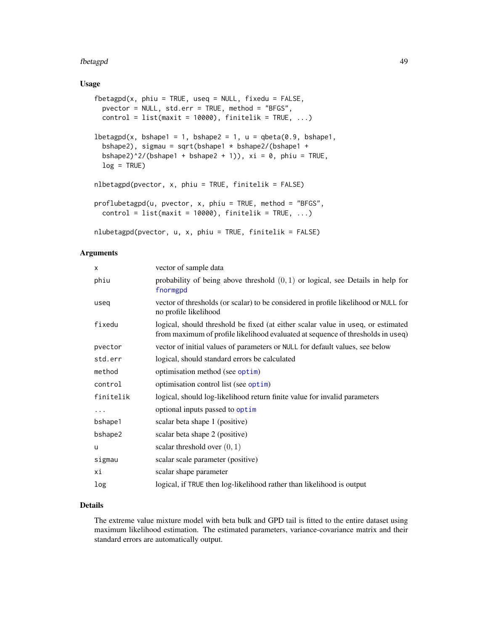### fbetagpd 49

### Usage

```
fbetagpd(x, phiu = TRUE, useq = NULL, fixedu = FALSE,
 pvector = NULL, std.err = TRUE, method = "BFGS",
 control = list(maxit = 10000), finitelik = TRUE, ...)
lbetagpd(x, bshape1 = 1, bshape2 = 1, u = qbeta(0.9, bshape1,bshape2), sigmau = sqrt(bshape1 * bshape2/(bshape1 +
 bshape2)^2/(bshape1 + bshape2 + 1)), xi = 0, phiu = TRUE,
 log = TRUE)
nlbetagpd(pvector, x, phiu = TRUE, finitelik = FALSE)
proflubetagpd(u, pvector, x, phiu = TRUE, method = "BFGS",
 control = list(maxit = 10000), finitelik = TRUE, ...)
nlubetagpd(pvector, u, x, phiu = TRUE, finitelik = FALSE)
```
### Arguments

| X         | vector of sample data                                                                                                                                               |
|-----------|---------------------------------------------------------------------------------------------------------------------------------------------------------------------|
| phiu      | probability of being above threshold $(0, 1)$ or logical, see Details in help for<br>fnormgpd                                                                       |
| useq      | vector of thresholds (or scalar) to be considered in profile likelihood or NULL for<br>no profile likelihood                                                        |
| fixedu    | logical, should threshold be fixed (at either scalar value in useq, or estimated<br>from maximum of profile likelihood evaluated at sequence of thresholds in useq) |
| pvector   | vector of initial values of parameters or NULL for default values, see below                                                                                        |
| std.err   | logical, should standard errors be calculated                                                                                                                       |
| method    | optimisation method (see optim)                                                                                                                                     |
| control   | optimisation control list (see optim)                                                                                                                               |
| finitelik | logical, should log-likelihood return finite value for invalid parameters                                                                                           |
| .         | optional inputs passed to optim                                                                                                                                     |
| bshape1   | scalar beta shape 1 (positive)                                                                                                                                      |
| bshape2   | scalar beta shape 2 (positive)                                                                                                                                      |
| u         | scalar threshold over $(0, 1)$                                                                                                                                      |
| sigmau    | scalar scale parameter (positive)                                                                                                                                   |
| хi        | scalar shape parameter                                                                                                                                              |
| log       | logical, if TRUE then log-likelihood rather than likelihood is output                                                                                               |

# Details

The extreme value mixture model with beta bulk and GPD tail is fitted to the entire dataset using maximum likelihood estimation. The estimated parameters, variance-covariance matrix and their standard errors are automatically output.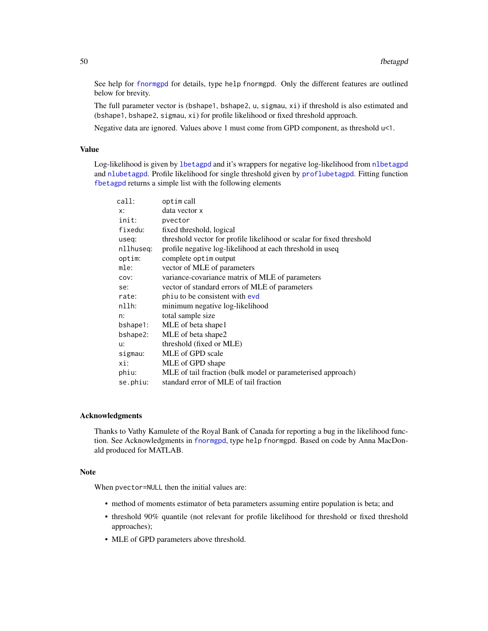See help for [fnormgpd](#page-142-0) for details, type help fnormgpd. Only the different features are outlined below for brevity.

The full parameter vector is (bshape1, bshape2, u, sigmau, xi) if threshold is also estimated and (bshape1, bshape2, sigmau, xi) for profile likelihood or fixed threshold approach.

Negative data are ignored. Values above 1 must come from GPD component, as threshold u<1.

### Value

Log-likelihood is given by [lbetagpd](#page-47-0) and it's wrappers for negative log-likelihood from [nlbetagpd](#page-47-0) and [nlubetagpd](#page-47-0). Profile likelihood for single threshold given by [proflubetagpd](#page-47-0). Fitting function [fbetagpd](#page-47-1) returns a simple list with the following elements

| call:     | optim call                                                            |
|-----------|-----------------------------------------------------------------------|
| x:        | data vector x                                                         |
| init:     | pvector                                                               |
| fixedu:   | fixed threshold, logical                                              |
| useq:     | threshold vector for profile likelihood or scalar for fixed threshold |
| nllhuseq: | profile negative log-likelihood at each threshold in useq             |
| optim:    | complete optim output                                                 |
| mle:      | vector of MLE of parameters                                           |
| COV:      | variance-covariance matrix of MLE of parameters                       |
| se:       | vector of standard errors of MLE of parameters                        |
| rate:     | phiu to be consistent with evd                                        |
| nllh:     | minimum negative log-likelihood                                       |
| n:        | total sample size                                                     |
| bshape1:  | MLE of beta shape1                                                    |
| bshape2:  | MLE of beta shape2                                                    |
| u:        | threshold (fixed or MLE)                                              |
| sigmau:   | MLE of GPD scale                                                      |
| xi:       | MLE of GPD shape                                                      |
| phiu:     | MLE of tail fraction (bulk model or parameterised approach)           |
| se.phiu:  | standard error of MLE of tail fraction                                |

#### Acknowledgments

Thanks to Vathy Kamulete of the Royal Bank of Canada for reporting a bug in the likelihood function. See Acknowledgments in [fnormgpd](#page-142-0), type help fnormgpd. Based on code by Anna MacDonald produced for MATLAB.

### Note

When pvector=NULL then the initial values are:

- method of moments estimator of beta parameters assuming entire population is beta; and
- threshold 90% quantile (not relevant for profile likelihood for threshold or fixed threshold approaches);
- MLE of GPD parameters above threshold.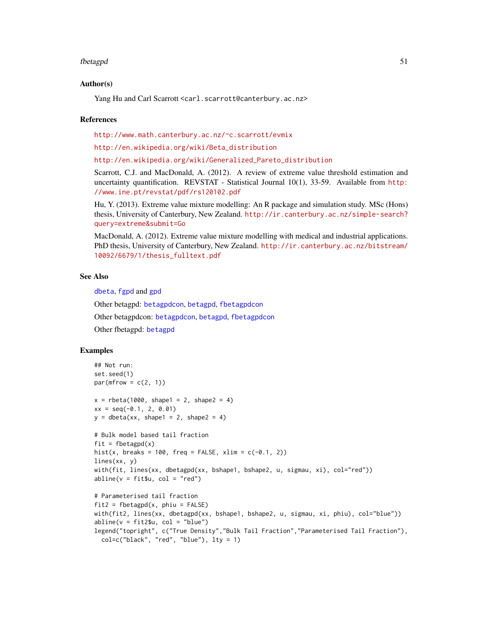#### fbetagpd 51

### Author(s)

Yang Hu and Carl Scarrott <carl.scarrott@canterbury.ac.nz>

### References

<http://www.math.canterbury.ac.nz/~c.scarrott/evmix>

[http://en.wikipedia.org/wiki/Beta\\_distribution](http://en.wikipedia.org/wiki/Beta_distribution)

[http://en.wikipedia.org/wiki/Generalized\\_Pareto\\_distribution](http://en.wikipedia.org/wiki/Generalized_Pareto_distribution)

Scarrott, C.J. and MacDonald, A. (2012). A review of extreme value threshold estimation and uncertainty quantification. REVSTAT - Statistical Journal 10(1), 33-59. Available from [http:](http://www.ine.pt/revstat/pdf/rs120102.pdf) [//www.ine.pt/revstat/pdf/rs120102.pdf](http://www.ine.pt/revstat/pdf/rs120102.pdf)

Hu, Y. (2013). Extreme value mixture modelling: An R package and simulation study. MSc (Hons) thesis, University of Canterbury, New Zealand. [http://ir.canterbury.ac.nz/simple-search?](http://ir.canterbury.ac.nz/simple-search?query=extreme&submit=Go) [query=extreme&submit=Go](http://ir.canterbury.ac.nz/simple-search?query=extreme&submit=Go)

MacDonald, A. (2012). Extreme value mixture modelling with medical and industrial applications. PhD thesis, University of Canterbury, New Zealand. [http://ir.canterbury.ac.nz/bitstream/](http://ir.canterbury.ac.nz/bitstream/10092/6679/1/thesis_fulltext.pdf) [10092/6679/1/thesis\\_fulltext.pdf](http://ir.canterbury.ac.nz/bitstream/10092/6679/1/thesis_fulltext.pdf)

# See Also

[dbeta](#page-0-0), [fgpd](#page-84-0) and [gpd](#page-190-0)

Other betagpd: [betagpdcon](#page-21-0), [betagpd](#page-18-0), [fbetagpdcon](#page-51-0)

Other betagpdcon: [betagpdcon](#page-21-0), [betagpd](#page-18-0), [fbetagpdcon](#page-51-0)

Other fbetagpd: [betagpd](#page-18-0)

```
## Not run:
set.seed(1)
par(mfrow = c(2, 1))x = rbeta(1000, shape1 = 2, shape2 = 4)
xx = seq(-0.1, 2, 0.01)y = \text{dbeta}(xx, \text{ shape1} = 2, \text{ shape2} = 4)# Bulk model based tail fraction
fit = fbetagpd(x)hist(x, breaks = 100, freq = FALSE, xlim = c(-0.1, 2))
lines(xx, y)
with(fit, lines(xx, dbetagpd(xx, bshape1, bshape2, u, sigmau, xi), col="red"))
abline(v = fit$u, col = "red")# Parameterised tail fraction
fit2 = fbetagpd(x, phi = FALSE)with(fit2, lines(xx, dbetagpd(xx, bshape1, bshape2, u, sigmau, xi, phiu), col="blue"))
abline(v = fit2$u, col = "blue")legend("topright", c("True Density","Bulk Tail Fraction","Parameterised Tail Fraction"),
  col=c("black", "red", "blue"), lty = 1)
```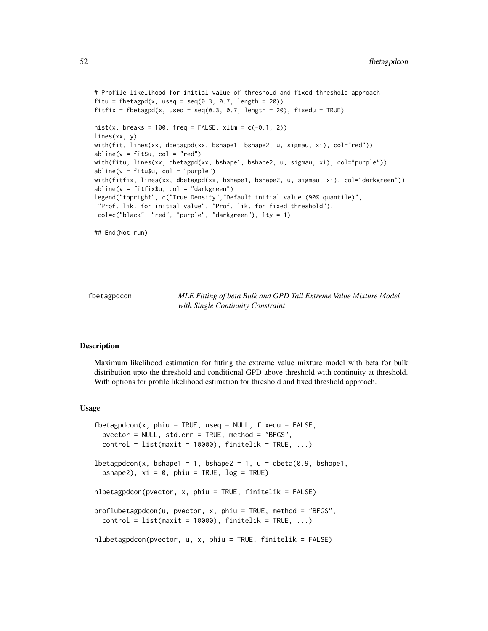```
# Profile likelihood for initial value of threshold and fixed threshold approach
fitu = fbetagpd(x, useq = seq(0.3, 0.7, length = 20))
fitfix = fbetagpd(x, useq = seq(0.3, 0.7, length = 20), fixedu = TRUE)
hist(x, breaks = 100, freq = FALSE, xlim = c(-0.1, 2))
lines(xx, y)
with(fit, lines(xx, dbetagpd(xx, bshape1, bshape2, u, sigmau, xi), col="red"))
abline(v = fit $u, col = "red")with(fitu, lines(xx, dbetagpd(xx, bshape1, bshape2, u, sigmau, xi), col="purple"))
abline(v = fitu$u, col = "purple")with(fitfix, lines(xx, dbetagpd(xx, bshape1, bshape2, u, sigmau, xi), col="darkgreen"))
abline(v = fitfix$u, col = "darkgreen")
legend("topright", c("True Density","Default initial value (90% quantile)",
 "Prof. lik. for initial value", "Prof. lik. for fixed threshold"),
col=c("black", "red", "purple", "darkgreen"), lty = 1)
## End(Not run)
```
<span id="page-51-0"></span>fbetagpdcon *MLE Fitting of beta Bulk and GPD Tail Extreme Value Mixture Model with Single Continuity Constraint*

### <span id="page-51-1"></span>Description

Maximum likelihood estimation for fitting the extreme value mixture model with beta for bulk distribution upto the threshold and conditional GPD above threshold with continuity at threshold. With options for profile likelihood estimation for threshold and fixed threshold approach.

### Usage

```
fbetagpdcon(x, phiu = TRUE, useq = NULL, fixedu = FALSE,
 pvector = NULL, std.err = TRUE, method = "BFGS",
 control = list(maxit = 10000), finitelik = TRUE, ...)
lbetagpdcon(x, bshape1 = 1, bshape2 = 1, u = qbeta(0.9, bshape1,bshape2), xi = 0, phi = TRUE, log = TRUE)
nlbetagpdcon(pvector, x, phiu = TRUE, finitelik = FALSE)
proflubetagpdcon(u, pvector, x, phi = TRUE, method = "BFGS",control = list(maxit = 10000), finitelik = TRUE, ...)
nlubetagpdcon(pvector, u, x, phiu = TRUE, finitelik = FALSE)
```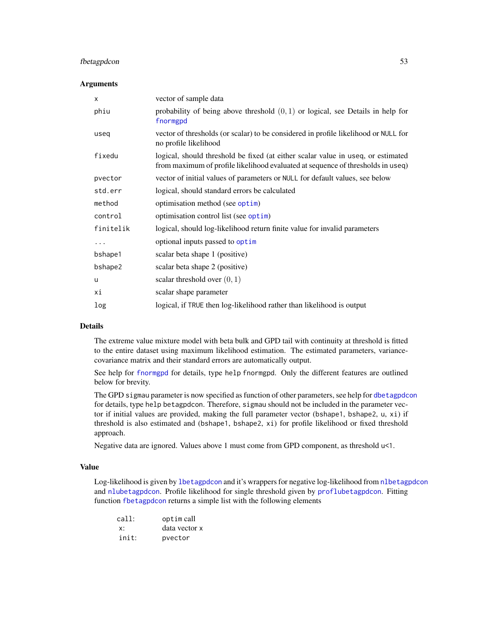# fbetagpdcon 53

### **Arguments**

| X         | vector of sample data                                                                                                                                               |
|-----------|---------------------------------------------------------------------------------------------------------------------------------------------------------------------|
| phiu      | probability of being above threshold $(0, 1)$ or logical, see Details in help for<br>fnormgpd                                                                       |
| useq      | vector of thresholds (or scalar) to be considered in profile likelihood or NULL for<br>no profile likelihood                                                        |
| fixedu    | logical, should threshold be fixed (at either scalar value in useq, or estimated<br>from maximum of profile likelihood evaluated at sequence of thresholds in useq) |
| pvector   | vector of initial values of parameters or NULL for default values, see below                                                                                        |
| std.err   | logical, should standard errors be calculated                                                                                                                       |
| method    | optimisation method (see optim)                                                                                                                                     |
| control   | optimisation control list (see optim)                                                                                                                               |
| finitelik | logical, should log-likelihood return finite value for invalid parameters                                                                                           |
| .         | optional inputs passed to optim                                                                                                                                     |
| bshape1   | scalar beta shape 1 (positive)                                                                                                                                      |
| bshape2   | scalar beta shape 2 (positive)                                                                                                                                      |
| u         | scalar threshold over $(0, 1)$                                                                                                                                      |
| хi        | scalar shape parameter                                                                                                                                              |
| log       | logical, if TRUE then log-likelihood rather than likelihood is output                                                                                               |
|           |                                                                                                                                                                     |

# Details

The extreme value mixture model with beta bulk and GPD tail with continuity at threshold is fitted to the entire dataset using maximum likelihood estimation. The estimated parameters, variancecovariance matrix and their standard errors are automatically output.

See help for [fnormgpd](#page-142-0) for details, type help fnormgpd. Only the different features are outlined below for brevity.

The GPD sigmau parameter is now specified as function of other parameters, see help for [dbetagpdcon](#page-21-1) for details, type help betagpdcon. Therefore, sigmau should not be included in the parameter vector if initial values are provided, making the full parameter vector (bshape1, bshape2,  $u$ ,  $x$ i) if threshold is also estimated and (bshape1, bshape2, xi) for profile likelihood or fixed threshold approach.

Negative data are ignored. Values above 1 must come from GPD component, as threshold u<1.

### Value

Log-likelihood is given by [lbetagpdcon](#page-51-1) and it's wrappers for negative log-likelihood from [nlbetagpdcon](#page-51-1) and [nlubetagpdcon](#page-51-1). Profile likelihood for single threshold given by [proflubetagpdcon](#page-51-1). Fitting function [fbetagpdcon](#page-51-0) returns a simple list with the following elements

| call: | optim call    |
|-------|---------------|
| X.    | data vector x |
| init: | pvector       |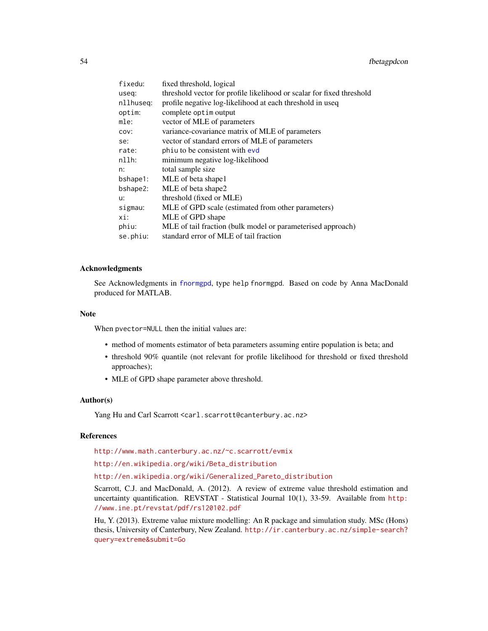| fixedu:   | fixed threshold, logical                                              |
|-----------|-----------------------------------------------------------------------|
| useq:     | threshold vector for profile likelihood or scalar for fixed threshold |
| nllhuseg: | profile negative log-likelihood at each threshold in useq             |
| optim:    | complete optim output                                                 |
| mle:      | vector of MLE of parameters                                           |
| COV:      | variance-covariance matrix of MLE of parameters                       |
| se:       | vector of standard errors of MLE of parameters                        |
| rate:     | phiu to be consistent with evd                                        |
| $nllh$ :  | minimum negative log-likelihood                                       |
| n:        | total sample size                                                     |
| bshape1:  | MLE of beta shape1                                                    |
| bshape2:  | MLE of beta shape2                                                    |
| u:        | threshold (fixed or MLE)                                              |
| sigmau:   | MLE of GPD scale (estimated from other parameters)                    |
| xi:       | MLE of GPD shape                                                      |
| phiu:     | MLE of tail fraction (bulk model or parameterised approach)           |
| se.phiu:  | standard error of MLE of tail fraction                                |

### Acknowledgments

See Acknowledgments in [fnormgpd](#page-142-0), type help fnormgpd. Based on code by Anna MacDonald produced for MATLAB.

#### Note

When pvector=NULL then the initial values are:

- method of moments estimator of beta parameters assuming entire population is beta; and
- threshold 90% quantile (not relevant for profile likelihood for threshold or fixed threshold approaches);
- MLE of GPD shape parameter above threshold.

#### Author(s)

Yang Hu and Carl Scarrott <carl.scarrott@canterbury.ac.nz>

### References

<http://www.math.canterbury.ac.nz/~c.scarrott/evmix>

[http://en.wikipedia.org/wiki/Beta\\_distribution](http://en.wikipedia.org/wiki/Beta_distribution)

[http://en.wikipedia.org/wiki/Generalized\\_Pareto\\_distribution](http://en.wikipedia.org/wiki/Generalized_Pareto_distribution)

Scarrott, C.J. and MacDonald, A. (2012). A review of extreme value threshold estimation and uncertainty quantification. REVSTAT - Statistical Journal 10(1), 33-59. Available from [http:](http://www.ine.pt/revstat/pdf/rs120102.pdf) [//www.ine.pt/revstat/pdf/rs120102.pdf](http://www.ine.pt/revstat/pdf/rs120102.pdf)

Hu, Y. (2013). Extreme value mixture modelling: An R package and simulation study. MSc (Hons) thesis, University of Canterbury, New Zealand. [http://ir.canterbury.ac.nz/simple-search?](http://ir.canterbury.ac.nz/simple-search?query=extreme&submit=Go) [query=extreme&submit=Go](http://ir.canterbury.ac.nz/simple-search?query=extreme&submit=Go)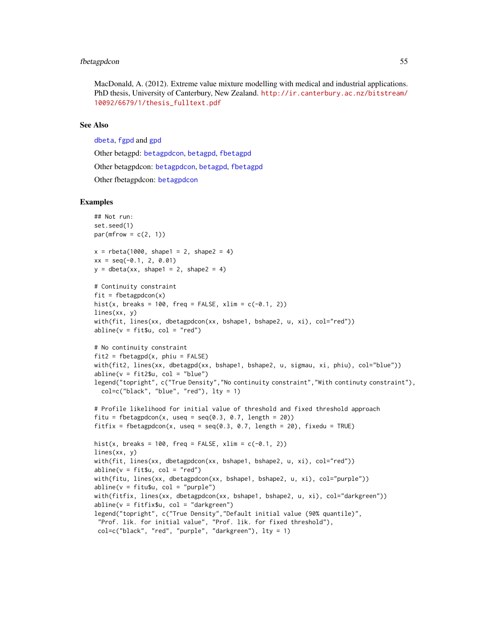### fbetagpdcon 55

MacDonald, A. (2012). Extreme value mixture modelling with medical and industrial applications. PhD thesis, University of Canterbury, New Zealand. [http://ir.canterbury.ac.nz/bitstream/](http://ir.canterbury.ac.nz/bitstream/10092/6679/1/thesis_fulltext.pdf) [10092/6679/1/thesis\\_fulltext.pdf](http://ir.canterbury.ac.nz/bitstream/10092/6679/1/thesis_fulltext.pdf)

# See Also

[dbeta](#page-0-0), [fgpd](#page-84-0) and [gpd](#page-190-0)

Other betagpd: [betagpdcon](#page-21-0), [betagpd](#page-18-0), [fbetagpd](#page-47-1)

Other betagpdcon: [betagpdcon](#page-21-0), [betagpd](#page-18-0), [fbetagpd](#page-47-1)

Other fbetagpdcon: [betagpdcon](#page-21-0)

```
## Not run:
set.seed(1)
par(mfrow = c(2, 1))x = rbeta(1000, shape1 = 2, shape2 = 4)
xx = seq(-0.1, 2, 0.01)y = \text{dbeta}(xx, \text{shape1} = 2, \text{shape2} = 4)# Continuity constraint
fit = fbetagpdcon(x)hist(x, breaks = 100, freq = FALSE, xlim = c(-0.1, 2))
lines(xx, y)
with(fit, lines(xx, dbetagpdcon(xx, bshape1, bshape2, u, xi), col="red"))
abline(v = fit $u, col = "red")# No continuity constraint
fit2 = fbetagpd(x, phi = FALSE)with(fit2, lines(xx, dbetagpd(xx, bshape1, bshape2, u, sigmau, xi, phiu), col="blue"))
abline(v = fit2$u, col = "blue")legend("topright", c("True Density","No continuity constraint","With continuty constraint"),
  col=c("black", "blue", "red"), lty = 1)
# Profile likelihood for initial value of threshold and fixed threshold approach
fitu = fbetagpdcon(x, useq = seq(0.3, 0.7, length = 20))
fitfix = fbetagpdcon(x, useq = seq(0.3, 0.7, length = 20), fixedu = TRUE)
hist(x, breaks = 100, freq = FALSE, xlim = c(-0.1, 2))
lines(xx, y)
with(fit, lines(xx, dbetagpdcon(xx, bshape1, bshape2, u, xi), col="red"))
abline(v = fit $u, col = "red")with(fitu, lines(xx, dbetagpdcon(xx, bshape1, bshape2, u, xi), col="purple"))
abline(v = fitu$u, col = "purple")with(fitfix, lines(xx, dbetagpdcon(xx, bshape1, bshape2, u, xi), col="darkgreen"))
abline(v = fitfix$u, col = "darkgreen")
legend("topright", c("True Density","Default initial value (90% quantile)",
 "Prof. lik. for initial value", "Prof. lik. for fixed threshold"),
 col=c("black", "red", "purple", "darkgreen"), lty = 1)
```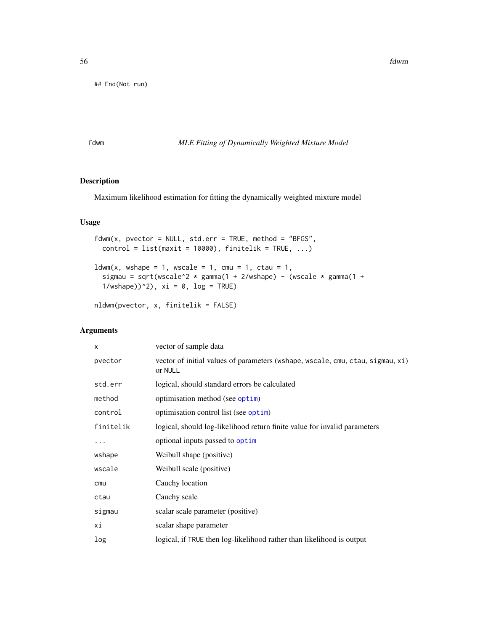## End(Not run)

### <span id="page-55-1"></span>fdwm *MLE Fitting of Dynamically Weighted Mixture Model*

# <span id="page-55-0"></span>Description

Maximum likelihood estimation for fitting the dynamically weighted mixture model

# Usage

```
fdwm(x, pvector = NULL, std.err = TRUE, method = "BFGS",control = list(maxit = 10000), finitelik = TRUE, ...)
ldwm(x, wshape = 1, wscale = 1, cmu = 1, ctau = 1,sigmau = sqrt(wscale^2 * gamma(1 + 2/wshape) - (wscale * gamma(1 +
  1/wshape))^2), xi = 0, log = TRUE)
```

```
nldwm(pvector, x, finitelik = FALSE)
```
# Arguments

| x         | vector of sample data                                                                     |
|-----------|-------------------------------------------------------------------------------------------|
| pvector   | vector of initial values of parameters (wshape, wscale, cmu, ctau, sigmau, xi)<br>or NULL |
| std.err   | logical, should standard errors be calculated                                             |
| method    | optimisation method (see optim)                                                           |
| control   | optimisation control list (see optim)                                                     |
| finitelik | logical, should log-likelihood return finite value for invalid parameters                 |
| .         | optional inputs passed to optim                                                           |
| wshape    | Weibull shape (positive)                                                                  |
| wscale    | Weibull scale (positive)                                                                  |
| cmu       | Cauchy location                                                                           |
| ctau      | Cauchy scale                                                                              |
| sigmau    | scalar scale parameter (positive)                                                         |
| хi        | scalar shape parameter                                                                    |
| log       | logical, if TRUE then log-likelihood rather than likelihood is output                     |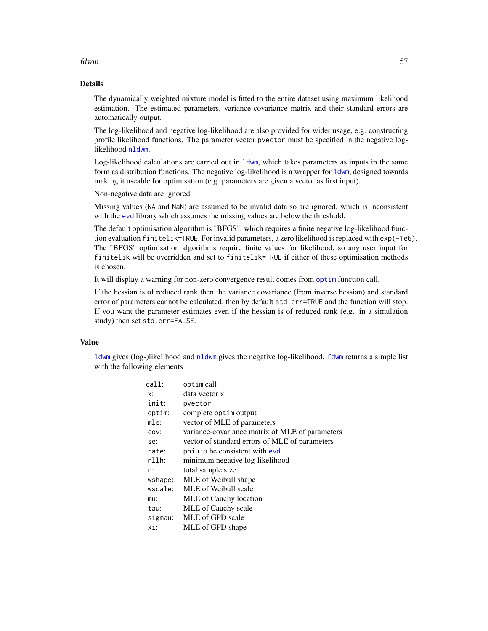### fdwm 57

# Details

The dynamically weighted mixture model is fitted to the entire dataset using maximum likelihood estimation. The estimated parameters, variance-covariance matrix and their standard errors are automatically output.

The log-likelihood and negative log-likelihood are also provided for wider usage, e.g. constructing profile likelihood functions. The parameter vector pvector must be specified in the negative loglikelihood [nldwm](#page-55-0).

Log-likelihood calculations are carried out in [ldwm](#page-55-0), which takes parameters as inputs in the same form as distribution functions. The negative log-likelihood is a wrapper for [ldwm](#page-55-0), designed towards making it useable for optimisation (e.g. parameters are given a vector as first input).

Non-negative data are ignored.

Missing values (NA and NaN) are assumed to be invalid data so are ignored, which is inconsistent with the [evd](#page-0-0) library which assumes the missing values are below the threshold.

The default optimisation algorithm is "BFGS", which requires a finite negative log-likelihood function evaluation finitelik=TRUE. For invalid parameters, a zero likelihood is replaced with exp(-1e6). The "BFGS" optimisation algorithms require finite values for likelihood, so any user input for finitelik will be overridden and set to finitelik=TRUE if either of these optimisation methods is chosen.

It will display a warning for non-zero convergence result comes from [optim](#page-0-0) function call.

If the hessian is of reduced rank then the variance covariance (from inverse hessian) and standard error of parameters cannot be calculated, then by default std.err=TRUE and the function will stop. If you want the parameter estimates even if the hessian is of reduced rank (e.g. in a simulation study) then set std.err=FALSE.

# Value

[ldwm](#page-55-0) gives (log-)likelihood and [nldwm](#page-55-0) gives the negative log-likelihood. [fdwm](#page-55-1) returns a simple list with the following elements

| call:    | optim call                                      |
|----------|-------------------------------------------------|
| x:       | data vector x                                   |
| init:    | pvector                                         |
| optim:   | complete optim output                           |
| mle:     | vector of MLE of parameters                     |
| COV:     | variance-covariance matrix of MLE of parameters |
| se:      | vector of standard errors of MLE of parameters  |
| rate:    | phiu to be consistent with evd                  |
| $n11h$ : | minimum negative log-likelihood                 |
| n:       | total sample size                               |
| wshape:  | MLE of Weibull shape                            |
| wscale:  | MLE of Weibull scale                            |
| mu:      | MLE of Cauchy location                          |
| tau:     | MLE of Cauchy scale                             |
| sigmau:  | MLE of GPD scale                                |
| xi:      | MLE of GPD shape                                |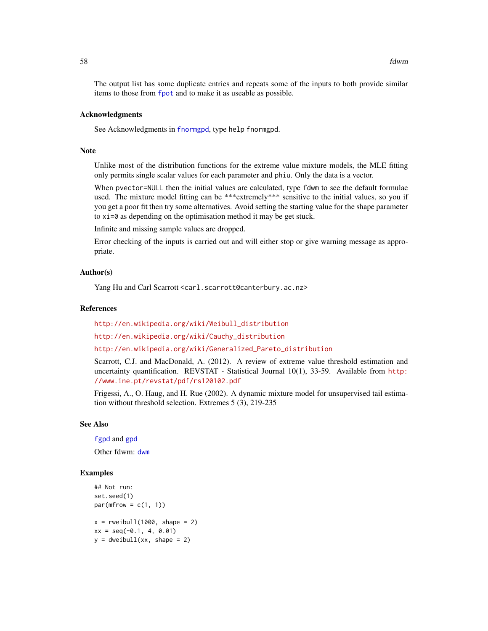The output list has some duplicate entries and repeats some of the inputs to both provide similar items to those from [fpot](#page-0-0) and to make it as useable as possible.

#### Acknowledgments

See Acknowledgments in [fnormgpd](#page-142-0), type help fnormgpd.

# Note

Unlike most of the distribution functions for the extreme value mixture models, the MLE fitting only permits single scalar values for each parameter and phiu. Only the data is a vector.

When pvector=NULL then the initial values are calculated, type fdwm to see the default formulae used. The mixture model fitting can be \*\*\*extremely\*\*\* sensitive to the initial values, so you if you get a poor fit then try some alternatives. Avoid setting the starting value for the shape parameter to xi=0 as depending on the optimisation method it may be get stuck.

Infinite and missing sample values are dropped.

Error checking of the inputs is carried out and will either stop or give warning message as appropriate.

### Author(s)

Yang Hu and Carl Scarrott <carl.scarrott@canterbury.ac.nz>

### References

[http://en.wikipedia.org/wiki/Weibull\\_distribution](http://en.wikipedia.org/wiki/Weibull_distribution)

[http://en.wikipedia.org/wiki/Cauchy\\_distribution](http://en.wikipedia.org/wiki/Cauchy_distribution)

[http://en.wikipedia.org/wiki/Generalized\\_Pareto\\_distribution](http://en.wikipedia.org/wiki/Generalized_Pareto_distribution)

Scarrott, C.J. and MacDonald, A. (2012). A review of extreme value threshold estimation and uncertainty quantification. REVSTAT - Statistical Journal 10(1), 33-59. Available from [http:](http://www.ine.pt/revstat/pdf/rs120102.pdf) [//www.ine.pt/revstat/pdf/rs120102.pdf](http://www.ine.pt/revstat/pdf/rs120102.pdf)

Frigessi, A., O. Haug, and H. Rue (2002). A dynamic mixture model for unsupervised tail estimation without threshold selection. Extremes 5 (3), 219-235

### See Also

[fgpd](#page-84-0) and [gpd](#page-190-0)

Other f[dwm](#page-26-0): dwm

```
## Not run:
set.seed(1)
par(mfrow = c(1, 1))x = \text{rweibull}(1000, \text{ shape} = 2)xx = seq(-0.1, 4, 0.01)y = dweibull(xx, shape = 2)
```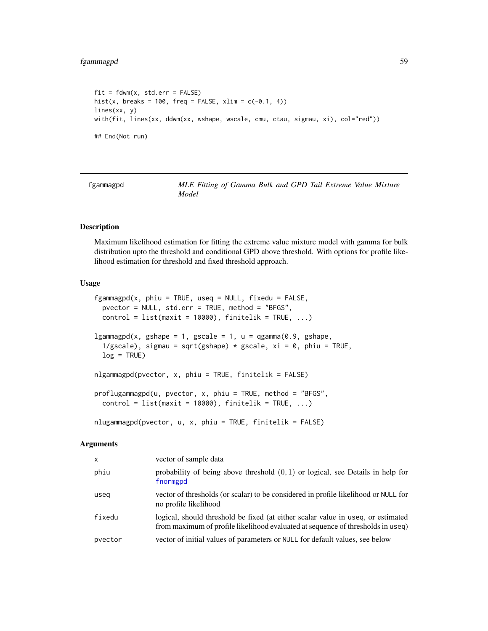```
fit = fdwm(x, std.err = FALSE)hist(x, breaks = 100, freq = FALSE, xlim = c(-0.1, 4))
lines(xx, y)
with(fit, lines(xx, ddwm(xx, wshape, wscale, cmu, ctau, sigmau, xi), col="red"))
## End(Not run)
```
<span id="page-58-1"></span>fgammagpd *MLE Fitting of Gamma Bulk and GPD Tail Extreme Value Mixture Model*

# <span id="page-58-0"></span>Description

Maximum likelihood estimation for fitting the extreme value mixture model with gamma for bulk distribution upto the threshold and conditional GPD above threshold. With options for profile likelihood estimation for threshold and fixed threshold approach.

#### Usage

```
fgammagpd(x, phiu = TRUE, useq = NULL, fixedu = FALSE,
 pvector = NULL, std.err = TRUE, method = "BFGS",
 control = list(maxit = 10000), finitelik = TRUE, ...)
lgammagpd(x, gshape = 1, gscale = 1, u = qgamma(0.9, gshape,1/gscale), sigmau = sqrt(gshape) * gscale, xi = 0, phiu = TRUE,
 log = TRUE)
nlgammagpd(pvector, x, phiu = TRUE, finitelik = FALSE)
proflugammagpd(u, pvector, x, phiu = TRUE, method = "BFGS",
  control = list(maxit = 10000), finitelik = TRUE, ...)
nlugammagpd(pvector, u, x, phiu = TRUE, finitelik = FALSE)
```
#### Arguments

| $\times$ | vector of sample data                                                                                                                                               |
|----------|---------------------------------------------------------------------------------------------------------------------------------------------------------------------|
| phiu     | probability of being above threshold $(0, 1)$ or logical, see Details in help for<br>fnormgpd                                                                       |
| useg     | vector of thresholds (or scalar) to be considered in profile likelihood or NULL for<br>no profile likelihood                                                        |
| fixedu   | logical, should threshold be fixed (at either scalar value in useq, or estimated<br>from maximum of profile likelihood evaluated at sequence of thresholds in useq) |
| pvector  | vector of initial values of parameters or NULL for default values, see below                                                                                        |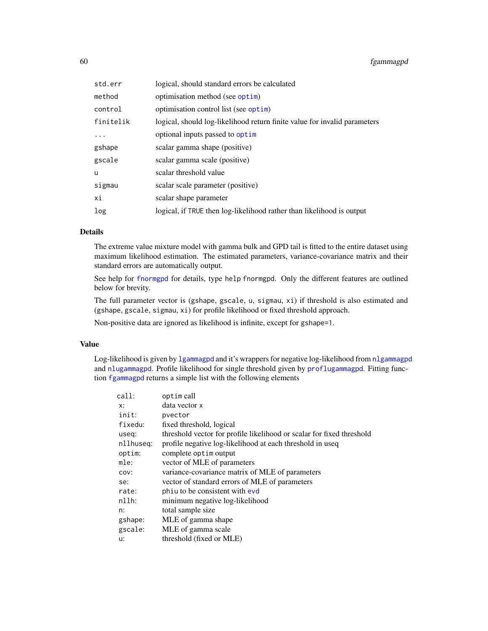| std.err   | logical, should standard errors be calculated                             |
|-----------|---------------------------------------------------------------------------|
| method    | optimisation method (see optim)                                           |
| control   | optimisation control list (see optim)                                     |
| finitelik | logical, should log-likelihood return finite value for invalid parameters |
| $\ddots$  | optional inputs passed to optim                                           |
| gshape    | scalar gamma shape (positive)                                             |
| gscale    | scalar gamma scale (positive)                                             |
| u         | scalar threshold value                                                    |
| sigmau    | scalar scale parameter (positive)                                         |
| хi        | scalar shape parameter                                                    |
| log       | logical, if TRUE then log-likelihood rather than likelihood is output     |

# Details

The extreme value mixture model with gamma bulk and GPD tail is fitted to the entire dataset using maximum likelihood estimation. The estimated parameters, variance-covariance matrix and their standard errors are automatically output.

See help for [fnormgpd](#page-142-0) for details, type help fnormgpd. Only the different features are outlined below for brevity.

The full parameter vector is (gshape, gscale, u, sigmau, xi) if threshold is also estimated and (gshape, gscale, sigmau, xi) for profile likelihood or fixed threshold approach.

Non-positive data are ignored as likelihood is infinite, except for gshape=1.

# Value

Log-likelihood is given by [lgammagpd](#page-58-0) and it's wrappers for negative log-likelihood from [nlgammagpd](#page-58-0) and [nlugammagpd](#page-58-0). Profile likelihood for single threshold given by [proflugammagpd](#page-58-0). Fitting function [fgammagpd](#page-58-1) returns a simple list with the following elements

| optim call                                                            |
|-----------------------------------------------------------------------|
| data vector x                                                         |
| pvector                                                               |
| fixed threshold, logical                                              |
| threshold vector for profile likelihood or scalar for fixed threshold |
| profile negative log-likelihood at each threshold in useq             |
| complete optim output                                                 |
| vector of MLE of parameters                                           |
| variance-covariance matrix of MLE of parameters                       |
| vector of standard errors of MLE of parameters                        |
| phiu to be consistent with evd                                        |
| minimum negative log-likelihood                                       |
| total sample size                                                     |
| MLE of gamma shape                                                    |
| MLE of gamma scale                                                    |
| threshold (fixed or MLE)                                              |
|                                                                       |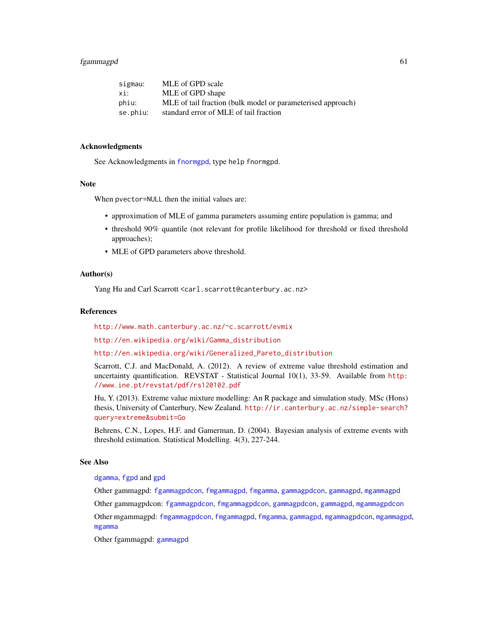# fgammagpd 61

| sigmau:  | MLE of GPD scale                                            |
|----------|-------------------------------------------------------------|
| xi:      | MLE of GPD shape                                            |
| phiu:    | MLE of tail fraction (bulk model or parameterised approach) |
| se.phiu: | standard error of MLE of tail fraction                      |

### Acknowledgments

See Acknowledgments in [fnormgpd](#page-142-0), type help fnormgpd.

# Note

When pvector=NULL then the initial values are:

- approximation of MLE of gamma parameters assuming entire population is gamma; and
- threshold 90% quantile (not relevant for profile likelihood for threshold or fixed threshold approaches);
- MLE of GPD parameters above threshold.

### Author(s)

Yang Hu and Carl Scarrott <carl.scarrott@canterbury.ac.nz>

### References

<http://www.math.canterbury.ac.nz/~c.scarrott/evmix>

[http://en.wikipedia.org/wiki/Gamma\\_distribution](http://en.wikipedia.org/wiki/Gamma_distribution)

[http://en.wikipedia.org/wiki/Generalized\\_Pareto\\_distribution](http://en.wikipedia.org/wiki/Generalized_Pareto_distribution)

Scarrott, C.J. and MacDonald, A. (2012). A review of extreme value threshold estimation and uncertainty quantification. REVSTAT - Statistical Journal 10(1), 33-59. Available from [http:](http://www.ine.pt/revstat/pdf/rs120102.pdf) [//www.ine.pt/revstat/pdf/rs120102.pdf](http://www.ine.pt/revstat/pdf/rs120102.pdf)

Hu, Y. (2013). Extreme value mixture modelling: An R package and simulation study. MSc (Hons) thesis, University of Canterbury, New Zealand. [http://ir.canterbury.ac.nz/simple-search?](http://ir.canterbury.ac.nz/simple-search?query=extreme&submit=Go) [query=extreme&submit=Go](http://ir.canterbury.ac.nz/simple-search?query=extreme&submit=Go)

Behrens, C.N., Lopes, H.F. and Gamerman, D. (2004). Bayesian analysis of extreme events with threshold estimation. Statistical Modelling. 4(3), 227-244.

### See Also

### [dgamma](#page-0-0), [fgpd](#page-84-0) and [gpd](#page-190-0)

Other gammagpd: [fgammagpdcon](#page-61-0), [fmgammagpd](#page-132-0), [fmgamma](#page-128-0), [gammagpdcon](#page-171-0), [gammagpd](#page-167-0), [mgammagpd](#page-241-0) Other gammagpdcon: [fgammagpdcon](#page-61-0), [fmgammagpdcon](#page-137-0), [gammagpdcon](#page-171-0), [gammagpd](#page-167-0), [mgammagpdcon](#page-244-0) Other mgammagpd: [fmgammagpdcon](#page-137-0), [fmgammagpd](#page-132-0), [fmgamma](#page-128-0), [gammagpd](#page-167-0), [mgammagpdcon](#page-244-0), [mgammagpd](#page-241-0), [mgamma](#page-238-0)

Other fgammagpd: [gammagpd](#page-167-0)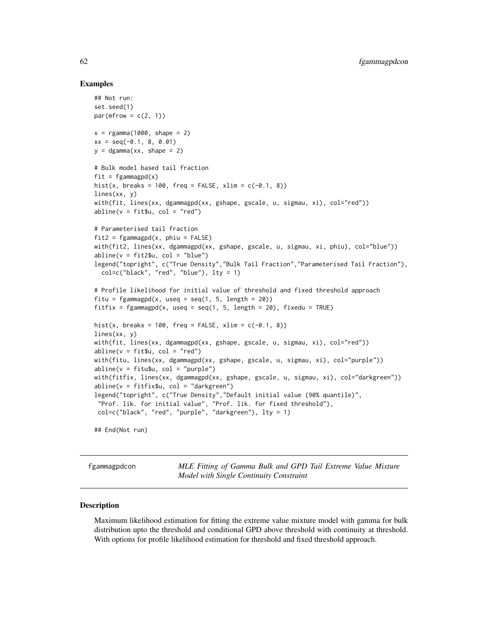### Examples

```
## Not run:
set.seed(1)
par(mfrow = c(2, 1))x = \text{rgamma}(1000, \text{shape} = 2)xx = seq(-0.1, 8, 0.01)y = dgamma(xx, shape = 2)# Bulk model based tail fraction
fit = fgammagpd(x)hist(x, breaks = 100, freq = FALSE, xlim = c(-0.1, 8))
lines(xx, y)
with(fit, lines(xx, dgammagpd(xx, gshape, gscale, u, sigmau, xi), col="red"))
abline(v = fit$u, col = "red")# Parameterised tail fraction
fit2 = fgammagpd(x, phi = FALSE)with(fit2, lines(xx, dgammagpd(xx, gshape, gscale, u, sigmau, xi, phiu), col="blue"))
abline(v = fit2$u, col = "blue")legend("topright", c("True Density","Bulk Tail Fraction","Parameterised Tail Fraction"),
  col=c("black", "red", "blue"), lty = 1)
# Profile likelihood for initial value of threshold and fixed threshold approach
fitu = fgammagpd(x, useq = seq(1, 5, length = 20))
fitfix = fgammagpd(x, useq = seq(1, 5, length = 20), fixedu = TRUE)
hist(x, breaks = 100, freq = FALSE, xlim = c(-0.1, 8))
lines(xx, y)
with(fit, lines(xx, dgammagpd(xx, gshape, gscale, u, sigmau, xi), col="red"))
abline(v = fit$u, col = "red")with(fitu, lines(xx, dgammagpd(xx, gshape, gscale, u, sigmau, xi), col="purple"))
abline(v = fitu$u, col = "purple")with(fitfix, lines(xx, dgammagpd(xx, gshape, gscale, u, sigmau, xi), col="darkgreen"))
abline(v = fitfix$u, col = "darkgreen")
legend("topright", c("True Density","Default initial value (90% quantile)",
 "Prof. lik. for initial value", "Prof. lik. for fixed threshold"),
 col=c("black", "red", "purple", "darkgreen"), lty = 1)
```
## End(Not run)

<span id="page-61-0"></span>fgammagpdcon *MLE Fitting of Gamma Bulk and GPD Tail Extreme Value Mixture Model with Single Continuity Constraint*

### <span id="page-61-1"></span>Description

Maximum likelihood estimation for fitting the extreme value mixture model with gamma for bulk distribution upto the threshold and conditional GPD above threshold with continuity at threshold. With options for profile likelihood estimation for threshold and fixed threshold approach.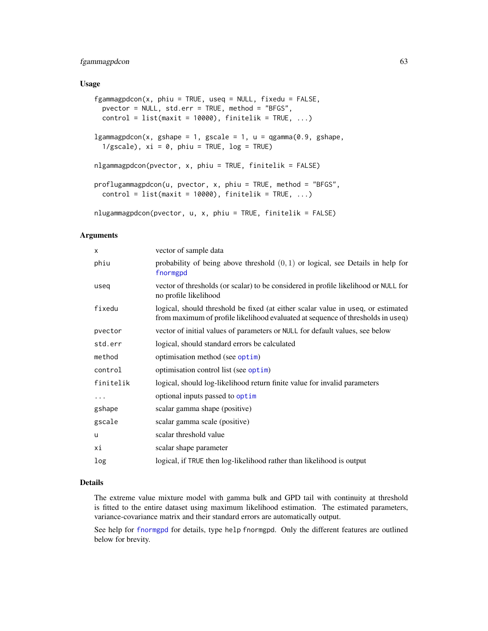# fgammagpdcon 63

### Usage

```
fgammaingpdcon(x, phi = TRUE, used = NULL, fixedu = FALSE,pvector = NULL, std.err = TRUE, method = "BFGS",
 control = list(maxit = 10000), finitelik = TRUE, ...)
lgammagpdcon(x, gshape = 1, gscale = 1, u = qgamma(0.9, gshape,1/gscale), xi = 0, phi = TRUE, log = TRUE)
nlgammagpdcon(pvector, x, phiu = TRUE, finitelik = FALSE)
proflugammagpdcon(u, pvector, x, phiu = TRUE, method = "BFGS",
 control = list(maxit = 10000), finitelik = TRUE, ...)nlugammagpdcon(pvector, u, x, phiu = TRUE, finitelik = FALSE)
```
### Arguments

| X         | vector of sample data                                                                                                                                               |
|-----------|---------------------------------------------------------------------------------------------------------------------------------------------------------------------|
| phiu      | probability of being above threshold $(0, 1)$ or logical, see Details in help for<br>fnormgpd                                                                       |
| useg      | vector of thresholds (or scalar) to be considered in profile likelihood or NULL for<br>no profile likelihood                                                        |
| fixedu    | logical, should threshold be fixed (at either scalar value in useq, or estimated<br>from maximum of profile likelihood evaluated at sequence of thresholds in useq) |
| pvector   | vector of initial values of parameters or NULL for default values, see below                                                                                        |
| std.err   | logical, should standard errors be calculated                                                                                                                       |
| method    | optimisation method (see optim)                                                                                                                                     |
| control   | optimisation control list (see optim)                                                                                                                               |
| finitelik | logical, should log-likelihood return finite value for invalid parameters                                                                                           |
| .         | optional inputs passed to optim                                                                                                                                     |
| gshape    | scalar gamma shape (positive)                                                                                                                                       |
| gscale    | scalar gamma scale (positive)                                                                                                                                       |
| u         | scalar threshold value                                                                                                                                              |
| хi        | scalar shape parameter                                                                                                                                              |
| log       | logical, if TRUE then log-likelihood rather than likelihood is output                                                                                               |

# Details

The extreme value mixture model with gamma bulk and GPD tail with continuity at threshold is fitted to the entire dataset using maximum likelihood estimation. The estimated parameters, variance-covariance matrix and their standard errors are automatically output.

See help for [fnormgpd](#page-142-0) for details, type help fnormgpd. Only the different features are outlined below for brevity.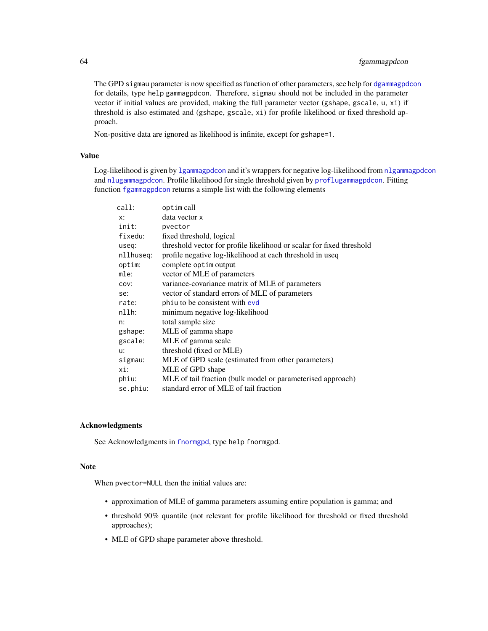# 64 fgammagpdcon

The GPD sigmau parameter is now specified as function of other parameters, see help for [dgammagpdcon](#page-171-1) for details, type help gammagpdcon. Therefore, sigmau should not be included in the parameter vector if initial values are provided, making the full parameter vector (gshape, gscale, u, xi) if threshold is also estimated and (gshape, gscale, xi) for profile likelihood or fixed threshold approach.

Non-positive data are ignored as likelihood is infinite, except for gshape=1.

### Value

Log-likelihood is given by [lgammagpdcon](#page-61-1) and it's wrappers for negative log-likelihood from [nlgammagpdcon](#page-61-1) and [nlugammagpdcon](#page-61-1). Profile likelihood for single threshold given by [proflugammagpdcon](#page-61-1). Fitting function [fgammagpdcon](#page-61-0) returns a simple list with the following elements

| call:     | optim call                                                            |
|-----------|-----------------------------------------------------------------------|
| X:        | data vector x                                                         |
| init:     | pvector                                                               |
| fixedu:   | fixed threshold, logical                                              |
| useq:     | threshold vector for profile likelihood or scalar for fixed threshold |
| nllhuseg: | profile negative log-likelihood at each threshold in useq             |
| optim:    | complete optim output                                                 |
| mle:      | vector of MLE of parameters                                           |
| COV:      | variance-covariance matrix of MLE of parameters                       |
| se:       | vector of standard errors of MLE of parameters                        |
| rate:     | phiu to be consistent with evd                                        |
| nllh:     | minimum negative log-likelihood                                       |
| n:        | total sample size                                                     |
| gshape:   | MLE of gamma shape                                                    |
| gscale:   | MLE of gamma scale                                                    |
| u:        | threshold (fixed or MLE)                                              |
| sigmau:   | MLE of GPD scale (estimated from other parameters)                    |
| xi:       | MLE of GPD shape                                                      |
| phiu:     | MLE of tail fraction (bulk model or parameterised approach)           |
| se.phiu:  | standard error of MLE of tail fraction                                |
|           |                                                                       |

# Acknowledgments

See Acknowledgments in [fnormgpd](#page-142-0), type help fnormgpd.

### Note

When pvector=NULL then the initial values are:

- approximation of MLE of gamma parameters assuming entire population is gamma; and
- threshold 90% quantile (not relevant for profile likelihood for threshold or fixed threshold approaches);
- MLE of GPD shape parameter above threshold.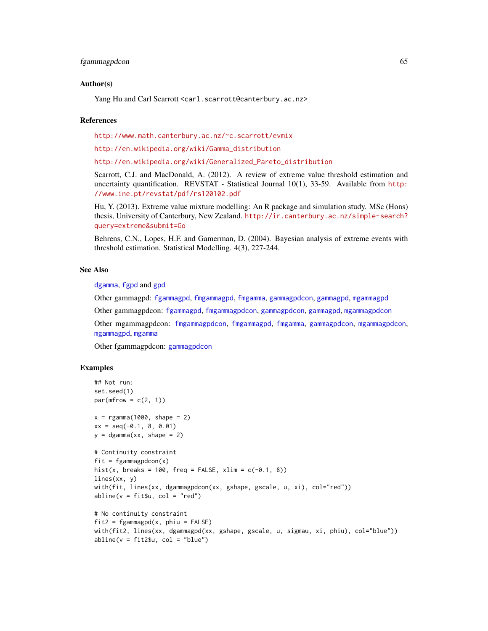### fgammagpdcon 65

### Author(s)

Yang Hu and Carl Scarrott <carl.scarrott@canterbury.ac.nz>

### References

<http://www.math.canterbury.ac.nz/~c.scarrott/evmix>

[http://en.wikipedia.org/wiki/Gamma\\_distribution](http://en.wikipedia.org/wiki/Gamma_distribution)

[http://en.wikipedia.org/wiki/Generalized\\_Pareto\\_distribution](http://en.wikipedia.org/wiki/Generalized_Pareto_distribution)

Scarrott, C.J. and MacDonald, A. (2012). A review of extreme value threshold estimation and uncertainty quantification. REVSTAT - Statistical Journal 10(1), 33-59. Available from [http:](http://www.ine.pt/revstat/pdf/rs120102.pdf) [//www.ine.pt/revstat/pdf/rs120102.pdf](http://www.ine.pt/revstat/pdf/rs120102.pdf)

Hu, Y. (2013). Extreme value mixture modelling: An R package and simulation study. MSc (Hons) thesis, University of Canterbury, New Zealand. [http://ir.canterbury.ac.nz/simple-search?](http://ir.canterbury.ac.nz/simple-search?query=extreme&submit=Go) [query=extreme&submit=Go](http://ir.canterbury.ac.nz/simple-search?query=extreme&submit=Go)

Behrens, C.N., Lopes, H.F. and Gamerman, D. (2004). Bayesian analysis of extreme events with threshold estimation. Statistical Modelling. 4(3), 227-244.

#### See Also

[dgamma](#page-0-0), [fgpd](#page-84-0) and [gpd](#page-190-0)

Other gammagpd: [fgammagpd](#page-58-1), [fmgammagpd](#page-132-0), [fmgamma](#page-128-0), [gammagpdcon](#page-171-0), [gammagpd](#page-167-0), [mgammagpd](#page-241-0)

Other gammagpdcon: [fgammagpd](#page-58-1), [fmgammagpdcon](#page-137-0), [gammagpdcon](#page-171-0), [gammagpd](#page-167-0), [mgammagpdcon](#page-244-0)

Other mgammagpdcon: [fmgammagpdcon](#page-137-0), [fmgammagpd](#page-132-0), [fmgamma](#page-128-0), [gammagpdcon](#page-171-0), [mgammagpdcon](#page-244-0), [mgammagpd](#page-241-0), [mgamma](#page-238-0)

Other fgammagpdcon: [gammagpdcon](#page-171-0)

```
## Not run:
set.seed(1)
par(mfrow = c(2, 1))x = \text{rgamma}(1000, \text{shape} = 2)xx = seq(-0.1, 8, 0.01)
y = dgamma(xx, shape = 2)# Continuity constraint
fit = fgammagpdcon(x)hist(x, breaks = 100, freq = FALSE, xlim = c(-0.1, 8))
lines(xx, y)
with(fit, lines(xx, dgammagpdcon(xx, gshape, gscale, u, xi), col="red"))
abline(v = fit $u, col = "red")# No continuity constraint
fit2 = fgammagpd(x, phi = FALSE)with(fit2, lines(xx, dgammagpd(xx, gshape, gscale, u, sigmau, xi, phiu), col="blue"))
abline(v = fit2$u, col = "blue")
```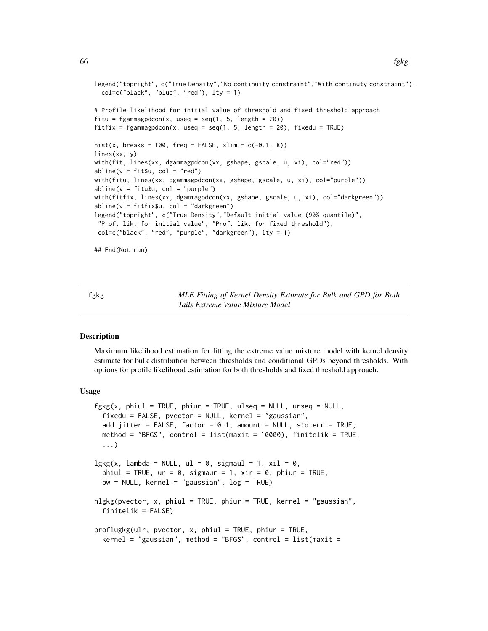```
legend("topright", c("True Density","No continuity constraint","With continuty constraint"),
 col=c("black", "blue", "red"), lty = 1)
# Profile likelihood for initial value of threshold and fixed threshold approach
fitu = fgammagpdcon(x, useq = seq(1, 5, length = 20))
fitfix = fgammagpdcon(x, useq = seq(1, 5, length = 20), fixedu = TRUE)
hist(x, breaks = 100, freq = FALSE, xlim = c(-0.1, 8))
lines(xx, y)
with(fit, lines(xx, dgammagpdcon(xx, gshape, gscale, u, xi), col="red"))
abline(v = fit$u, col = "red")with(fitu, lines(xx, dgammagpdcon(xx, gshape, gscale, u, xi), col="purple"))
abline(v = fitu$u, col = "purple")with(fitfix, lines(xx, dgammagpdcon(xx, gshape, gscale, u, xi), col="darkgreen"))
abline(v = fitfix$u, col = "darkgreen")
legend("topright", c("True Density","Default initial value (90% quantile)",
 "Prof. lik. for initial value", "Prof. lik. for fixed threshold"),
col=c("black", "red", "purple", "darkgreen"), lty = 1)
## End(Not run)
```
<span id="page-65-0"></span>fgkg *MLE Fitting of Kernel Density Estimate for Bulk and GPD for Both Tails Extreme Value Mixture Model*

# <span id="page-65-1"></span>Description

Maximum likelihood estimation for fitting the extreme value mixture model with kernel density estimate for bulk distribution between thresholds and conditional GPDs beyond thresholds. With options for profile likelihood estimation for both thresholds and fixed threshold approach.

### Usage

```
fgkg(x, phiul = TRUE, phiur = TRUE, ulseq = NULL, urseq = NULL,
  fixedu = FALSE, pvector = NULL, kernel = "gaussian",
  add.jitter = FALSE, factor = 0.1, amount = NULL, std.err = TRUE,
 method = "BFGS", control = list(maxit = 10000), finitelik = TRUE,
  ...)
lgkg(x, lambda = NULL, ul = 0, sigmaul = 1, xil = 0,phiul = TRUE, ur = 0, sigmaur = 1, xir = 0, phiur = TRUE,
 bw = NULL, kernel = "gaussian", log = TRUE)
nlgkg(pvector, x, phiul = TRUE, phiur = TRUE, kernel = "gaussian",
  finitelik = FALSE)
proflugkg(ulr, pvector, x, phiul = TRUE, phiur = TRUE,
 \kernel = "gaussian", method = "BFGS", control = list(maxit =
```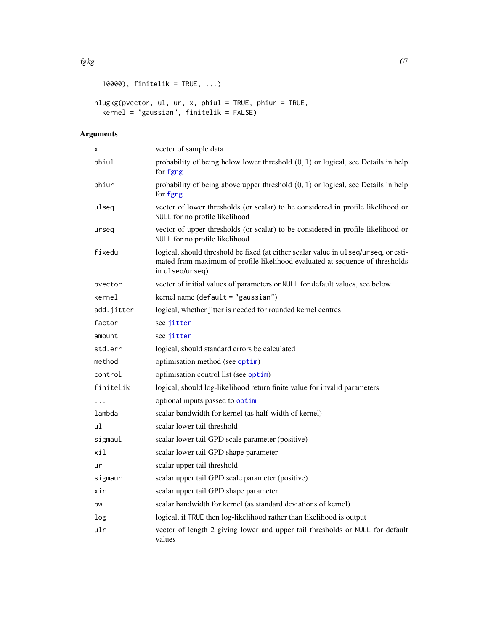```
10000), finitelik = TRUE, ...)
```

```
nlugkg(pvector, ul, ur, x, phiul = TRUE, phiur = TRUE,
  kernel = "gaussian", finitelik = FALSE)
```
# Arguments

| X          | vector of sample data                                                                                                                                                                  |
|------------|----------------------------------------------------------------------------------------------------------------------------------------------------------------------------------------|
| phiul      | probability of being below lower threshold $(0, 1)$ or logical, see Details in help<br>for fgng                                                                                        |
| phiur      | probability of being above upper threshold $(0, 1)$ or logical, see Details in help<br>for fgng                                                                                        |
| ulseq      | vector of lower thresholds (or scalar) to be considered in profile likelihood or<br>NULL for no profile likelihood                                                                     |
| urseq      | vector of upper thresholds (or scalar) to be considered in profile likelihood or<br>NULL for no profile likelihood                                                                     |
| fixedu     | logical, should threshold be fixed (at either scalar value in ulseq/urseq, or esti-<br>mated from maximum of profile likelihood evaluated at sequence of thresholds<br>in ulseq/urseq) |
| pvector    | vector of initial values of parameters or NULL for default values, see below                                                                                                           |
| kernel     | kernel name (default = "gaussian")                                                                                                                                                     |
| add.jitter | logical, whether jitter is needed for rounded kernel centres                                                                                                                           |
| factor     | see jitter                                                                                                                                                                             |
| amount     | see jitter                                                                                                                                                                             |
| std.err    | logical, should standard errors be calculated                                                                                                                                          |
| method     | optimisation method (see optim)                                                                                                                                                        |
| control    | optimisation control list (see optim)                                                                                                                                                  |
| finitelik  | logical, should log-likelihood return finite value for invalid parameters                                                                                                              |
| $\cdots$   | optional inputs passed to optim                                                                                                                                                        |
| lambda     | scalar bandwidth for kernel (as half-width of kernel)                                                                                                                                  |
| ul         | scalar lower tail threshold                                                                                                                                                            |
| sigmaul    | scalar lower tail GPD scale parameter (positive)                                                                                                                                       |
| xil        | scalar lower tail GPD shape parameter                                                                                                                                                  |
| ur         | scalar upper tail threshold                                                                                                                                                            |
| sigmaur    | scalar upper tail GPD scale parameter (positive)                                                                                                                                       |
| xir        | scalar upper tail GPD shape parameter                                                                                                                                                  |
| bw         | scalar bandwidth for kernel (as standard deviations of kernel)                                                                                                                         |
| log        | logical, if TRUE then log-likelihood rather than likelihood is output                                                                                                                  |
| ulr        | vector of length 2 giving lower and upper tail thresholds or NULL for default<br>values                                                                                                |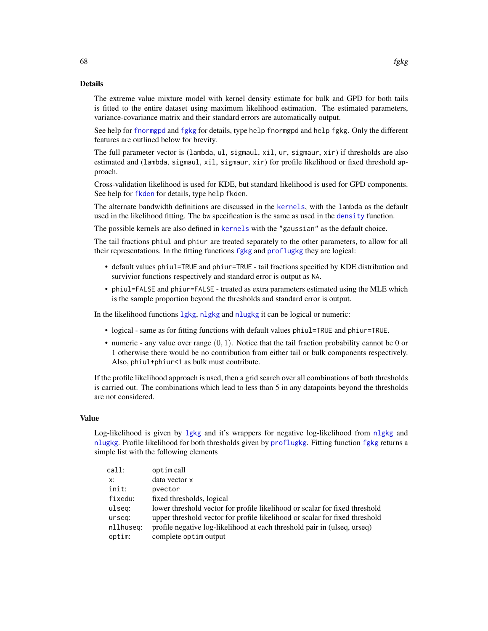### Details

The extreme value mixture model with kernel density estimate for bulk and GPD for both tails is fitted to the entire dataset using maximum likelihood estimation. The estimated parameters, variance-covariance matrix and their standard errors are automatically output.

See help for [fnormgpd](#page-142-0) and [fgkg](#page-65-0) for details, type help fnormgpd and help fgkg. Only the different features are outlined below for brevity.

The full parameter vector is (lambda, ul, sigmaul, xil, ur, sigmaur, xir) if thresholds are also estimated and (lambda, sigmaul, xil, sigmaur, xir) for profile likelihood or fixed threshold approach.

Cross-validation likelihood is used for KDE, but standard likelihood is used for GPD components. See help for [fkden](#page-106-0) for details, type help fkden.

The alternate bandwidth definitions are discussed in the [kernels](#page-226-0), with the lambda as the default used in the likelihood fitting. The bw specification is the same as used in the [density](#page-0-0) function.

The possible kernels are also defined in [kernels](#page-226-0) with the "gaussian" as the default choice.

The tail fractions phiul and phiur are treated separately to the other parameters, to allow for all their representations. In the fitting functions [fgkg](#page-65-0) and [proflugkg](#page-65-1) they are logical:

- default values phiul=TRUE and phiur=TRUE tail fractions specified by KDE distribution and survivior functions respectively and standard error is output as NA.
- phiul=FALSE and phiur=FALSE treated as extra parameters estimated using the MLE which is the sample proportion beyond the thresholds and standard error is output.

In the likelihood functions [lgkg](#page-65-1), [nlgkg](#page-65-1) and [nlugkg](#page-65-1) it can be logical or numeric:

- logical same as for fitting functions with default values phiul=TRUE and phiur=TRUE.
- numeric any value over range  $(0, 1)$ . Notice that the tail fraction probability cannot be 0 or 1 otherwise there would be no contribution from either tail or bulk components respectively. Also, phiul+phiur<1 as bulk must contribute.

If the profile likelihood approach is used, then a grid search over all combinations of both thresholds is carried out. The combinations which lead to less than 5 in any datapoints beyond the thresholds are not considered.

### Value

Log-likelihood is given by 1gkg and it's wrappers for negative log-likelihood from n[lgkg](#page-65-1) and [nlugkg](#page-65-1). Profile likelihood for both thresholds given by [proflugkg](#page-65-1). Fitting function [fgkg](#page-65-0) returns a simple list with the following elements

| call:     | optim call                                                                  |
|-----------|-----------------------------------------------------------------------------|
| x:        | data vector x                                                               |
| init:     | pyector                                                                     |
| fixedu:   | fixed thresholds, logical                                                   |
| ulseg:    | lower threshold vector for profile likelihood or scalar for fixed threshold |
| urseg:    | upper threshold vector for profile likelihood or scalar for fixed threshold |
| nllhuseq: | profile negative log-likelihood at each threshold pair in (ulseq, urseq)    |
| optim:    | complete optim output                                                       |
|           |                                                                             |

68 fgkg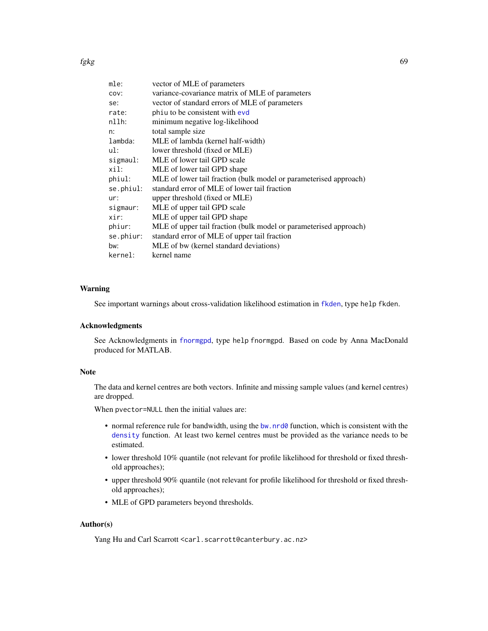| mle:      | vector of MLE of parameters                                       |
|-----------|-------------------------------------------------------------------|
| COV:      | variance-covariance matrix of MLE of parameters                   |
| se:       | vector of standard errors of MLE of parameters                    |
| rate:     | phiu to be consistent with evd                                    |
| $nllh$ :  | minimum negative log-likelihood                                   |
| n:        | total sample size                                                 |
| lambda:   | MLE of lambda (kernel half-width)                                 |
| ul:       | lower threshold (fixed or MLE)                                    |
| sigmaul:  | MLE of lower tail GPD scale                                       |
| xil:      | MLE of lower tail GPD shape                                       |
| phiul:    | MLE of lower tail fraction (bulk model or parameterised approach) |
| se.phiul: | standard error of MLE of lower tail fraction                      |
| ur:       | upper threshold (fixed or MLE)                                    |
| sigmaur:  | MLE of upper tail GPD scale                                       |
| xir:      | MLE of upper tail GPD shape                                       |
| phiur:    | MLE of upper tail fraction (bulk model or parameterised approach) |
| se.phiur: | standard error of MLE of upper tail fraction                      |
| bw:       | MLE of bw (kernel standard deviations)                            |
| kernel:   | kernel name                                                       |

# Warning

See important warnings about cross-validation likelihood estimation in [fkden](#page-106-0), type help fkden.

### Acknowledgments

See Acknowledgments in [fnormgpd](#page-142-0), type help fnormgpd. Based on code by Anna MacDonald produced for MATLAB.

### Note

The data and kernel centres are both vectors. Infinite and missing sample values (and kernel centres) are dropped.

When pvector=NULL then the initial values are:

- normal reference rule for bandwidth, using the [bw.nrd0](#page-0-0) function, which is consistent with the [density](#page-0-0) function. At least two kernel centres must be provided as the variance needs to be estimated.
- lower threshold 10% quantile (not relevant for profile likelihood for threshold or fixed threshold approaches);
- upper threshold 90% quantile (not relevant for profile likelihood for threshold or fixed threshold approaches);
- MLE of GPD parameters beyond thresholds.

# Author(s)

Yang Hu and Carl Scarrott <carl.scarrott@canterbury.ac.nz>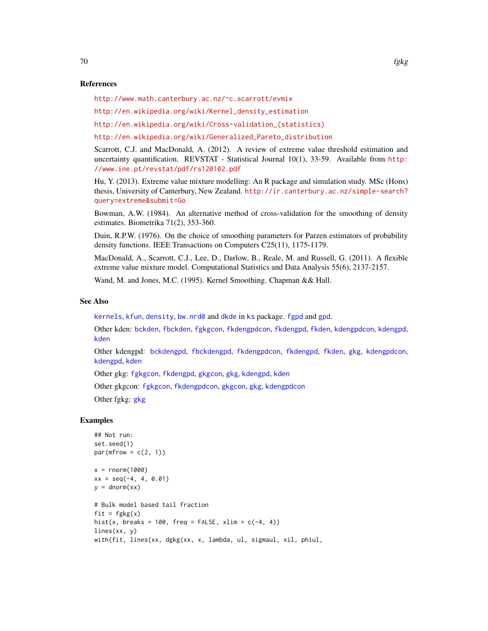### References

<http://www.math.canterbury.ac.nz/~c.scarrott/evmix>

[http://en.wikipedia.org/wiki/Kernel\\_density\\_estimation](http://en.wikipedia.org/wiki/Kernel_density_estimation)

[http://en.wikipedia.org/wiki/Cross-validation\\_\(statistics\)](http://en.wikipedia.org/wiki/Cross-validation_(statistics))

[http://en.wikipedia.org/wiki/Generalized\\_Pareto\\_distribution](http://en.wikipedia.org/wiki/Generalized_Pareto_distribution)

Scarrott, C.J. and MacDonald, A. (2012). A review of extreme value threshold estimation and uncertainty quantification. REVSTAT - Statistical Journal 10(1), 33-59. Available from [http:](http://www.ine.pt/revstat/pdf/rs120102.pdf) [//www.ine.pt/revstat/pdf/rs120102.pdf](http://www.ine.pt/revstat/pdf/rs120102.pdf)

Hu, Y. (2013). Extreme value mixture modelling: An R package and simulation study. MSc (Hons) thesis, University of Canterbury, New Zealand. [http://ir.canterbury.ac.nz/simple-search?](http://ir.canterbury.ac.nz/simple-search?query=extreme&submit=Go) [query=extreme&submit=Go](http://ir.canterbury.ac.nz/simple-search?query=extreme&submit=Go)

Bowman, A.W. (1984). An alternative method of cross-validation for the smoothing of density estimates. Biometrika 71(2), 353-360.

Duin, R.P.W. (1976). On the choice of smoothing parameters for Parzen estimators of probability density functions. IEEE Transactions on Computers C25(11), 1175-1179.

MacDonald, A., Scarrott, C.J., Lee, D., Darlow, B., Reale, M. and Russell, G. (2011). A flexible extreme value mixture model. Computational Statistics and Data Analysis 55(6), 2137-2157.

Wand, M. and Jones, M.C. (1995). Kernel Smoothing. Chapman && Hall.

# See Also

[kernels](#page-226-0), [kfun](#page-229-0), [density](#page-0-0), [bw.nrd0](#page-0-0) and [dkde](#page-0-0) in [ks](#page-0-0) package. [fgpd](#page-84-0) and [gpd](#page-190-0).

Other kden: [bckden](#page-3-0), [fbckden](#page-32-0), [fgkgcon](#page-70-0), [fkdengpdcon](#page-116-0), [fkdengpd](#page-112-0), [fkden](#page-106-0), [kdengpdcon](#page-223-0), [kdengpd](#page-219-0), [kden](#page-215-0)

Other kdengpd: [bckdengpd](#page-8-0), [fbckdengpd](#page-37-0), [fkdengpdcon](#page-116-0), [fkdengpd](#page-112-0), [fkden](#page-106-0), [gkg](#page-174-0), [kdengpdcon](#page-223-0), [kdengpd](#page-219-0), [kden](#page-215-0)

Other gkg: [fgkgcon](#page-70-0), [fkdengpd](#page-112-0), [gkgcon](#page-178-0), [gkg](#page-174-0), [kdengpd](#page-219-0), [kden](#page-215-0)

Other gkgcon: [fgkgcon](#page-70-0), [fkdengpdcon](#page-116-0), [gkgcon](#page-178-0), [gkg](#page-174-0), [kdengpdcon](#page-223-0)

Other fgkg: [gkg](#page-174-0)

```
## Not run:
set.seed(1)
par(mfrow = c(2, 1))x = rnorm(1000)xx = seq(-4, 4, 0.01)y = \text{dnorm}(xx)# Bulk model based tail fraction
fit = fgkg(x)hist(x, breaks = 100, freq = FALSE, xlim = c(-4, 4))
lines(xx, y)
with(fit, lines(xx, dgkg(xx, x, lambda, ul, sigmaul, xil, phiul,
```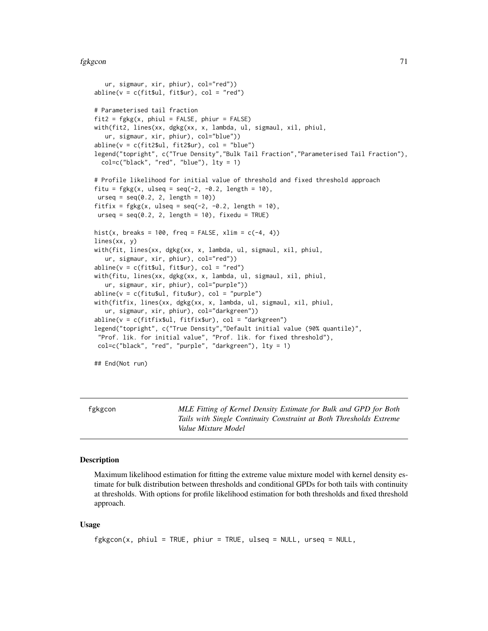#### fgkgcon 71

```
ur, sigmaur, xir, phiur), col="red"))
abline(v = c(fit$ul, fit$ur), col = "red")# Parameterised tail fraction
fit2 = fgkg(x, phiul = FALSE, phiur = FALSE)with(fit2, lines(xx, dgkg(xx, x, lambda, ul, sigmaul, xil, phiul,
   ur, sigmaur, xir, phiur), col="blue"))
abline(v = c(fitz $ul, fit2$ur), col = "blue")legend("topright", c("True Density","Bulk Tail Fraction","Parameterised Tail Fraction"),
 col=c("black", "red", "blue"), lty = 1)
# Profile likelihood for initial value of threshold and fixed threshold approach
fitu = fgkg(x, ulseq = seq(-2, -0.2, length = 10),urseq = seq(0.2, 2, length = 10)fitfix = fgkg(x, ulseq = seq(-2, -0.2, length = 10),urseq = seq(0.2, 2, length = 10), fixedu = TRUE)
hist(x, breaks = 100, freq = FALSE, xlim = c(-4, 4))
lines(xx, y)
with(fit, lines(xx, dgkg(xx, x, lambda, ul, sigmaul, xil, phiul,
   ur, sigmaur, xir, phiur), col="red"))
abline(v = c(fit$ul, fit$ur), col = "red")with(fitu, lines(xx, dgkg(xx, x, lambda, ul, sigmaul, xil, phiul,
  ur, sigmaur, xir, phiur), col="purple"))
abline(v = c(fitu$ul, fitu$ur), col = "purple")
with(fitfix, lines(xx, dgkg(xx, x, lambda, ul, sigmaul, xil, phiul,
   ur, sigmaur, xir, phiur), col="darkgreen"))
abline(v = c(fitfix$ul, fitfix$ur), col = "darkgreen")
legend("topright", c("True Density","Default initial value (90% quantile)",
 "Prof. lik. for initial value", "Prof. lik. for fixed threshold"),
col=c("black", "red", "purple", "darkgreen"), lty = 1)
```
## End(Not run)

<span id="page-70-0"></span>fgkgcon *MLE Fitting of Kernel Density Estimate for Bulk and GPD for Both Tails with Single Continuity Constraint at Both Thresholds Extreme Value Mixture Model*

### Description

Maximum likelihood estimation for fitting the extreme value mixture model with kernel density estimate for bulk distribution between thresholds and conditional GPDs for both tails with continuity at thresholds. With options for profile likelihood estimation for both thresholds and fixed threshold approach.

### Usage

```
fgkgcon(x, phiul = TRUE, phiur = TRUE, ulseq = NULL, urseq = NULL,
```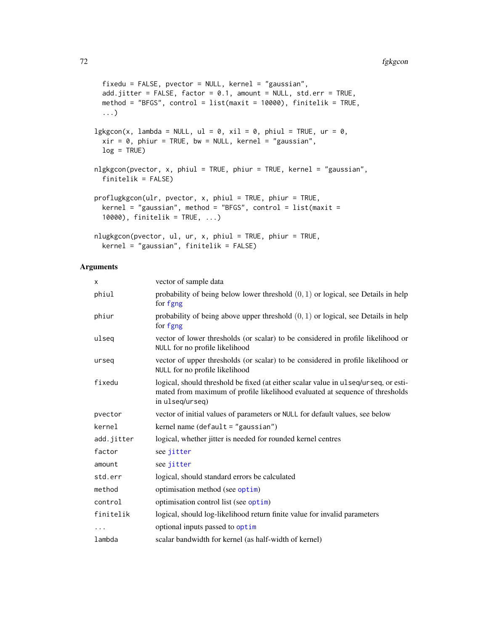```
fixedu = FALSE, pvector = NULL, kernel = "gaussian",
  add.jitter = FALSE, factor = 0.1, amount = NULL, std.err = TRUE,
 method = "BFGS", control = list(maxit = 10000), finitelik = TRUE,
  ...)
lgkgcon(x, lambda = NULL, ul = 0, xil = 0, phiul = TRUE, ur = 0,xir = 0, phiur = TRUE, bw = NULL, kernel = "gaussian",
 log = TRUE)
nlgkgcon(pvector, x, phiul = TRUE, phiur = TRUE, kernel = "gaussian",
  finitelik = FALSE)
proflugkgcon(ulr, pvector, x, phiul = TRUE, phiur = TRUE,
 \kernel = "gaussian", method = "BFGS", control = list(maxit =
  10000), finitelik = TRUE, ...)
nlugkgcon(pvector, ul, ur, x, phiul = TRUE, phiur = TRUE,
 kernel = "gaussian", finitelik = FALSE)
```
# Arguments

| x          | vector of sample data                                                                                                                                                                  |
|------------|----------------------------------------------------------------------------------------------------------------------------------------------------------------------------------------|
| phiul      | probability of being below lower threshold $(0, 1)$ or logical, see Details in help<br>for fgng                                                                                        |
| phiur      | probability of being above upper threshold $(0, 1)$ or logical, see Details in help<br>for fgng                                                                                        |
| ulseq      | vector of lower thresholds (or scalar) to be considered in profile likelihood or<br>NULL for no profile likelihood                                                                     |
| urseq      | vector of upper thresholds (or scalar) to be considered in profile likelihood or<br>NULL for no profile likelihood                                                                     |
| fixedu     | logical, should threshold be fixed (at either scalar value in ulseq/urseq, or esti-<br>mated from maximum of profile likelihood evaluated at sequence of thresholds<br>in ulseq/urseq) |
| pvector    | vector of initial values of parameters or NULL for default values, see below                                                                                                           |
| kernel     | kernel name (default = "gaussian")                                                                                                                                                     |
| add.jitter | logical, whether jitter is needed for rounded kernel centres                                                                                                                           |
| factor     | see jitter                                                                                                                                                                             |
| amount     | see jitter                                                                                                                                                                             |
| std.err    | logical, should standard errors be calculated                                                                                                                                          |
| method     | optimisation method (see optim)                                                                                                                                                        |
| control    | optimisation control list (see optim)                                                                                                                                                  |
| finitelik  | logical, should log-likelihood return finite value for invalid parameters                                                                                                              |
| $\cdots$   | optional inputs passed to optim                                                                                                                                                        |
| lambda     | scalar bandwidth for kernel (as half-width of kernel)                                                                                                                                  |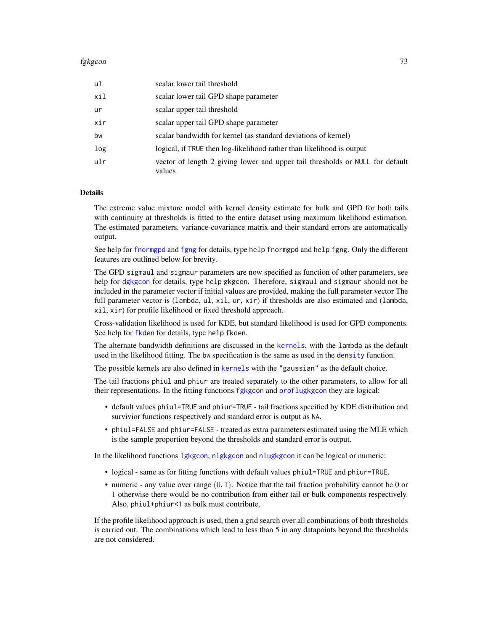### fgkgcon 33

| ul  | scalar lower tail threshold                                                             |
|-----|-----------------------------------------------------------------------------------------|
| xil | scalar lower tail GPD shape parameter                                                   |
| ur  | scalar upper tail threshold                                                             |
| xir | scalar upper tail GPD shape parameter                                                   |
| bw  | scalar bandwidth for kernel (as standard deviations of kernel)                          |
| log | logical, if TRUE then log-likelihood rather than likelihood is output                   |
| ulr | vector of length 2 giving lower and upper tail thresholds or NULL for default<br>values |

# Details

The extreme value mixture model with kernel density estimate for bulk and GPD for both tails with continuity at thresholds is fitted to the entire dataset using maximum likelihood estimation. The estimated parameters, variance-covariance matrix and their standard errors are automatically output.

See help for [fnormgpd](#page-142-0) and [fgng](#page-75-0) for details, type help fnormgpd and help fgng. Only the different features are outlined below for brevity.

The GPD sigmaul and sigmaur parameters are now specified as function of other parameters, see help for [dgkgcon](#page-178-0) for details, type help gkgcon. Therefore, sigmaul and sigmaur should not be included in the parameter vector if initial values are provided, making the full parameter vector The full parameter vector is (lambda, ul, xil, ur, xir) if thresholds are also estimated and (lambda, xil, xir) for profile likelihood or fixed threshold approach.

Cross-validation likelihood is used for KDE, but standard likelihood is used for GPD components. See help for [fkden](#page-106-0) for details, type help fkden.

The alternate bandwidth definitions are discussed in the [kernels](#page-226-0), with the lambda as the default used in the likelihood fitting. The bw specification is the same as used in the [density](#page-0-0) function.

The possible kernels are also defined in [kernels](#page-226-0) with the "gaussian" as the default choice.

The tail fractions phiul and phiur are treated separately to the other parameters, to allow for all their representations. In the fitting functions [fgkgcon](#page-70-0) and [proflugkgcon](#page-70-1) they are logical:

- default values phiul=TRUE and phiur=TRUE tail fractions specified by KDE distribution and survivior functions respectively and standard error is output as NA.
- phiul=FALSE and phiur=FALSE treated as extra parameters estimated using the MLE which is the sample proportion beyond the thresholds and standard error is output.

In the likelihood functions [lgkgcon](#page-70-1), [nlgkgcon](#page-70-1) and [nlugkgcon](#page-70-1) it can be logical or numeric:

- logical same as for fitting functions with default values phiul=TRUE and phiur=TRUE.
- numeric any value over range  $(0, 1)$ . Notice that the tail fraction probability cannot be 0 or 1 otherwise there would be no contribution from either tail or bulk components respectively. Also, phiul+phiur<1 as bulk must contribute.

If the profile likelihood approach is used, then a grid search over all combinations of both thresholds is carried out. The combinations which lead to less than 5 in any datapoints beyond the thresholds are not considered.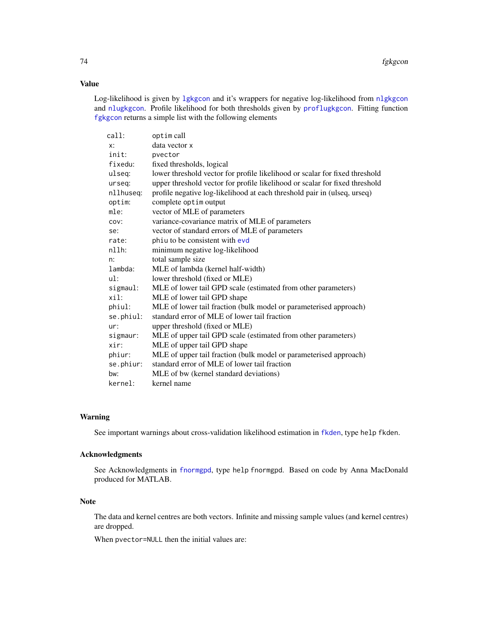# Value

Log-likelihood is given by 1gkgcon and it's wrappers for negative log-likelihood from n1gkgcon and [nlugkgcon](#page-70-1). Profile likelihood for both thresholds given by [proflugkgcon](#page-70-1). Fitting function [fgkgcon](#page-70-0) returns a simple list with the following elements

| call:     | optim call                                                                  |
|-----------|-----------------------------------------------------------------------------|
| x:        | data vector x                                                               |
| init:     | pvector                                                                     |
| fixedu:   | fixed thresholds, logical                                                   |
| ulseg:    | lower threshold vector for profile likelihood or scalar for fixed threshold |
| urseq:    | upper threshold vector for profile likelihood or scalar for fixed threshold |
| nllhuseq: | profile negative log-likelihood at each threshold pair in (ulseq, urseq)    |
| optim:    | complete optim output                                                       |
| mle:      | vector of MLE of parameters                                                 |
| COV:      | variance-covariance matrix of MLE of parameters                             |
| se:       | vector of standard errors of MLE of parameters                              |
| rate:     | phiu to be consistent with evd                                              |
| $n11h$ :  | minimum negative log-likelihood                                             |
| n:        | total sample size                                                           |
| lambda:   | MLE of lambda (kernel half-width)                                           |
| ul:       | lower threshold (fixed or MLE)                                              |
| sigmaul:  | MLE of lower tail GPD scale (estimated from other parameters)               |
| xil:      | MLE of lower tail GPD shape                                                 |
| phiul:    | MLE of lower tail fraction (bulk model or parameterised approach)           |
| se.phiul: | standard error of MLE of lower tail fraction                                |
| ur:       | upper threshold (fixed or MLE)                                              |
| sigmaur:  | MLE of upper tail GPD scale (estimated from other parameters)               |
| xir:      | MLE of upper tail GPD shape                                                 |
| phiur:    | MLE of upper tail fraction (bulk model or parameterised approach)           |
| se.phiur: | standard error of MLE of lower tail fraction                                |
| bw:       | MLE of bw (kernel standard deviations)                                      |
| kernel:   | kernel name                                                                 |
|           |                                                                             |

# Warning

See important warnings about cross-validation likelihood estimation in [fkden](#page-106-0), type help fkden.

## Acknowledgments

See Acknowledgments in [fnormgpd](#page-142-0), type help fnormgpd. Based on code by Anna MacDonald produced for MATLAB.

# Note

The data and kernel centres are both vectors. Infinite and missing sample values (and kernel centres) are dropped.

When pvector=NULL then the initial values are: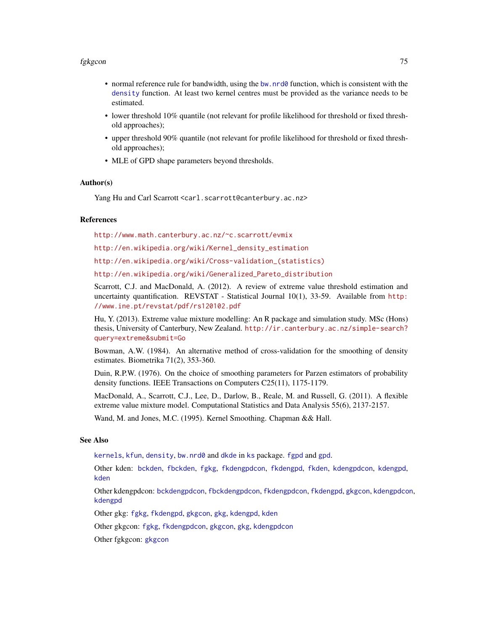#### fgkgcon 75

- normal reference rule for bandwidth, using the [bw.nrd0](#page-0-0) function, which is consistent with the [density](#page-0-0) function. At least two kernel centres must be provided as the variance needs to be estimated.
- lower threshold 10% quantile (not relevant for profile likelihood for threshold or fixed threshold approaches);
- upper threshold 90% quantile (not relevant for profile likelihood for threshold or fixed threshold approaches);
- MLE of GPD shape parameters beyond thresholds.

# Author(s)

Yang Hu and Carl Scarrott <carl.scarrott@canterbury.ac.nz>

#### References

<http://www.math.canterbury.ac.nz/~c.scarrott/evmix>

[http://en.wikipedia.org/wiki/Kernel\\_density\\_estimation](http://en.wikipedia.org/wiki/Kernel_density_estimation)

[http://en.wikipedia.org/wiki/Cross-validation\\_\(statistics\)](http://en.wikipedia.org/wiki/Cross-validation_(statistics))

[http://en.wikipedia.org/wiki/Generalized\\_Pareto\\_distribution](http://en.wikipedia.org/wiki/Generalized_Pareto_distribution)

Scarrott, C.J. and MacDonald, A. (2012). A review of extreme value threshold estimation and uncertainty quantification. REVSTAT - Statistical Journal  $10(1)$ , 33-59. Available from [http:](http://www.ine.pt/revstat/pdf/rs120102.pdf) [//www.ine.pt/revstat/pdf/rs120102.pdf](http://www.ine.pt/revstat/pdf/rs120102.pdf)

Hu, Y. (2013). Extreme value mixture modelling: An R package and simulation study. MSc (Hons) thesis, University of Canterbury, New Zealand. [http://ir.canterbury.ac.nz/simple-search?](http://ir.canterbury.ac.nz/simple-search?query=extreme&submit=Go) [query=extreme&submit=Go](http://ir.canterbury.ac.nz/simple-search?query=extreme&submit=Go)

Bowman, A.W. (1984). An alternative method of cross-validation for the smoothing of density estimates. Biometrika 71(2), 353-360.

Duin, R.P.W. (1976). On the choice of smoothing parameters for Parzen estimators of probability density functions. IEEE Transactions on Computers C25(11), 1175-1179.

MacDonald, A., Scarrott, C.J., Lee, D., Darlow, B., Reale, M. and Russell, G. (2011). A flexible extreme value mixture model. Computational Statistics and Data Analysis 55(6), 2137-2157.

Wand, M. and Jones, M.C. (1995). Kernel Smoothing. Chapman && Hall.

## See Also

[kernels](#page-226-0), [kfun](#page-229-0), [density](#page-0-0), [bw.nrd0](#page-0-0) and [dkde](#page-0-0) in [ks](#page-0-0) package. [fgpd](#page-84-0) and [gpd](#page-190-0).

Other kden: [bckden](#page-3-0), [fbckden](#page-32-0), [fgkg](#page-65-0), [fkdengpdcon](#page-116-0), [fkdengpd](#page-112-0), [fkden](#page-106-0), [kdengpdcon](#page-223-0), [kdengpd](#page-219-0), [kden](#page-215-0)

Other kdengpdcon: [bckdengpdcon](#page-13-0), [fbckdengpdcon](#page-42-0), [fkdengpdcon](#page-116-0), [fkdengpd](#page-112-0), [gkgcon](#page-178-1), [kdengpdcon](#page-223-0), [kdengpd](#page-219-0)

Other gkg: [fgkg](#page-65-0), [fkdengpd](#page-112-0), [gkgcon](#page-178-1), [gkg](#page-174-0), [kdengpd](#page-219-0), [kden](#page-215-0)

Other gkgcon: [fgkg](#page-65-0), [fkdengpdcon](#page-116-0), [gkgcon](#page-178-1), [gkg](#page-174-0), [kdengpdcon](#page-223-0)

Other fgkgcon: [gkgcon](#page-178-1)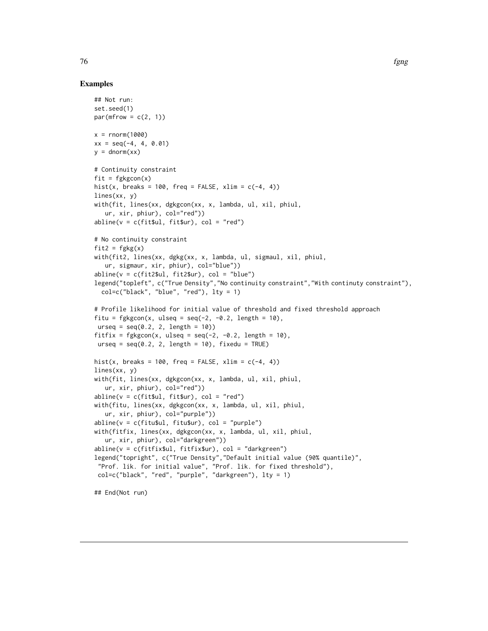## Examples

```
## Not run:
set.seed(1)
par(mfrow = c(2, 1))x = rnorm(1000)xx = seq(-4, 4, 0.01)y = \text{dnorm}(xx)# Continuity constraint
fit = fgkgcon(x)hist(x, breaks = 100, freq = FALSE, xlim = c(-4, 4))
lines(xx, y)
with(fit, lines(xx, dgkgcon(xx, x, lambda, ul, xil, phiul,
   ur, xir, phiur), col="red"))
abline(v = c(fit$ul, fit$ur), col = "red")# No continuity constraint
fit2 = fgkg(x)with(fit2, lines(xx, dgkg(xx, x, lambda, ul, sigmaul, xil, phiul,
   ur, sigmaur, xir, phiur), col="blue"))
abline(v = c(fitz $ul, fit2 $ur), col = "blue")legend("topleft", c("True Density","No continuity constraint","With continuty constraint"),
  col=c("black", "blue", "red"), \; lty = 1)# Profile likelihood for initial value of threshold and fixed threshold approach
fitu = fgkgcon(x, ulseq = seq(-2, -0.2, length = 10),
urseq = seq(0.2, 2, length = 10)fitfix = fgkgcon(x, ulseq = seq(-2, -0.2, length = 10),
urseq = seq(0.2, 2, length = 10), fixedu = TRUE)
hist(x, breaks = 100, freq = FALSE, xlim = c(-4, 4))
lines(xx, y)
with(fit, lines(xx, dgkgcon(xx, x, lambda, ul, xil, phiul,
   ur, xir, phiur), col="red"))
abline(v = c(fit$ul, fit$ur), col = "red")with(fitu, lines(xx, dgkgcon(xx, x, lambda, ul, xil, phiul,
   ur, xir, phiur), col="purple"))
abline(v = c(fitu$ul, fitu$ur), col = "purple")with(fitfix, lines(xx, dgkgcon(xx, x, lambda, ul, xil, phiul,
   ur, xir, phiur), col="darkgreen"))
abline(v = c(fitfix$ul, fitfix$ur), col = "darkgreen")
legend("topright", c("True Density","Default initial value (90% quantile)",
 "Prof. lik. for initial value", "Prof. lik. for fixed threshold"),
 col=c("black", "red", "purple", "darkgreen"), lty = 1)
## End(Not run)
```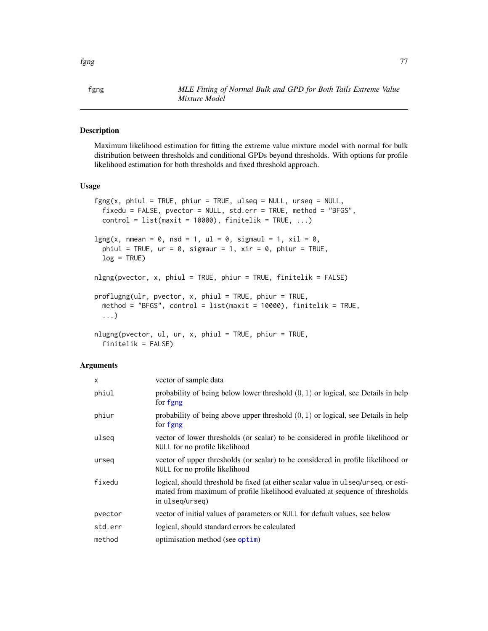# <span id="page-76-0"></span>Description

Maximum likelihood estimation for fitting the extreme value mixture model with normal for bulk distribution between thresholds and conditional GPDs beyond thresholds. With options for profile likelihood estimation for both thresholds and fixed threshold approach.

## Usage

```
fgng(x, phiul = TRUE, phiur = TRUE, ulseq = NULL, urseq = NULL,fixedu = FALSE, pvector = NULL, std.err = TRUE, method = "BFGS",
 control = list(maxit = 10000), finitelik = TRUE, ...)
lgng(x, nmean = 0, nsd = 1, ul = 0, sigmaul = 1, xil = 0,
 phiul = TRUE, ur = 0, sigmaur = 1, xir = 0, phiur = TRUE,
 log = TRUE)
nlgng(pvector, x, phiul = TRUE, phiur = TRUE, finitelik = FALSE)proflugng(ulr, pvector, x, phiul = TRUE, phiur = TRUE,
 method = "BFGS", control = list(maxit = 10000), finitelik = TRUE,
  ...)
nlugng(pvector, ul, ur, x, phiul = TRUE, phiur = TRUE,
  finitelik = FALSE)
```
#### **Arguments**

| $\mathsf{x}$ | vector of sample data                                                                                                                                                                  |
|--------------|----------------------------------------------------------------------------------------------------------------------------------------------------------------------------------------|
| phiul        | probability of being below lower threshold $(0, 1)$ or logical, see Details in help<br>for fgng                                                                                        |
| phiur        | probability of being above upper threshold $(0, 1)$ or logical, see Details in help<br>for fgng                                                                                        |
| ulseg        | vector of lower thresholds (or scalar) to be considered in profile likelihood or<br>NULL for no profile likelihood                                                                     |
| urseg        | vector of upper thresholds (or scalar) to be considered in profile likelihood or<br>NULL for no profile likelihood                                                                     |
| fixedu       | logical, should threshold be fixed (at either scalar value in ulseq/urseq, or esti-<br>mated from maximum of profile likelihood evaluated at sequence of thresholds<br>in ulseq/urseq) |
| pvector      | vector of initial values of parameters or NULL for default values, see below                                                                                                           |
| std.err      | logical, should standard errors be calculated                                                                                                                                          |
| method       | optimisation method (see optim)                                                                                                                                                        |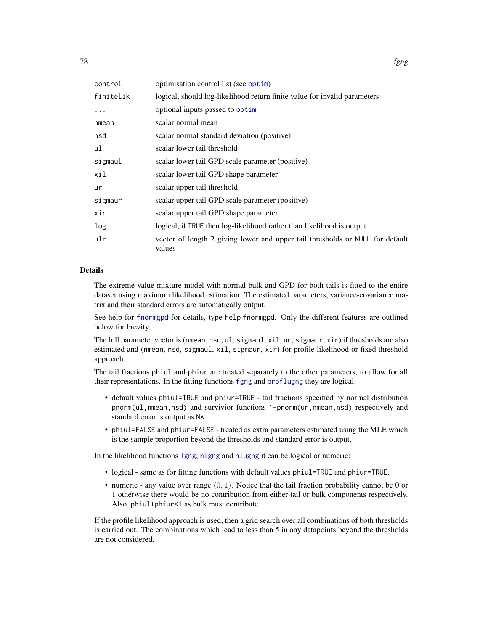| control   | optimisation control list (see optim)                                                   |
|-----------|-----------------------------------------------------------------------------------------|
| finitelik | logical, should log-likelihood return finite value for invalid parameters               |
|           | optional inputs passed to optim                                                         |
| nmean     | scalar normal mean                                                                      |
| nsd       | scalar normal standard deviation (positive)                                             |
| ul        | scalar lower tail threshold                                                             |
| sigmaul   | scalar lower tail GPD scale parameter (positive)                                        |
| xil       | scalar lower tail GPD shape parameter                                                   |
| ur        | scalar upper tail threshold                                                             |
| sigmaur   | scalar upper tail GPD scale parameter (positive)                                        |
| xir       | scalar upper tail GPD shape parameter                                                   |
| log       | logical, if TRUE then log-likelihood rather than likelihood is output                   |
| ulr       | vector of length 2 giving lower and upper tail thresholds or NULL for default<br>values |

## Details

The extreme value mixture model with normal bulk and GPD for both tails is fitted to the entire dataset using maximum likelihood estimation. The estimated parameters, variance-covariance matrix and their standard errors are automatically output.

See help for [fnormgpd](#page-142-0) for details, type help fnormgpd. Only the different features are outlined below for brevity.

The full parameter vector is (nmean, nsd, ul, sigmaul, xil, ur, sigmaur, xir) if thresholds are also estimated and (nmean, nsd, sigmaul, xil, sigmaur, xir) for profile likelihood or fixed threshold approach.

The tail fractions phiul and phiur are treated separately to the other parameters, to allow for all their representations. In the fitting functions [fgng](#page-75-0) and [proflugng](#page-76-0) they are logical:

- default values phiul=TRUE and phiur=TRUE tail fractions specified by normal distribution pnorm(ul,nmean,nsd) and survivior functions 1-pnorm(ur,nmean,nsd) respectively and standard error is output as NA.
- phiul=FALSE and phiur=FALSE treated as extra parameters estimated using the MLE which is the sample proportion beyond the thresholds and standard error is output.

In the likelihood functions [lgng](#page-76-0), [nlgng](#page-76-0) and [nlugng](#page-76-0) it can be logical or numeric:

- logical same as for fitting functions with default values phiul=TRUE and phiur=TRUE.
- numeric any value over range  $(0, 1)$ . Notice that the tail fraction probability cannot be 0 or 1 otherwise there would be no contribution from either tail or bulk components respectively. Also, phiul+phiur<1 as bulk must contribute.

If the profile likelihood approach is used, then a grid search over all combinations of both thresholds is carried out. The combinations which lead to less than 5 in any datapoints beyond the thresholds are not considered.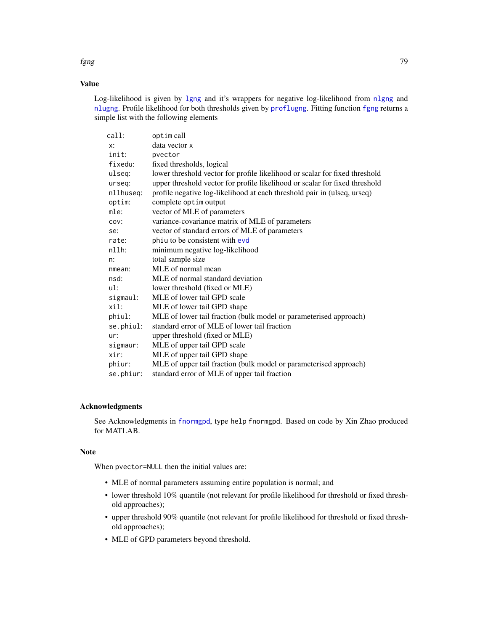## Value

Log-likelihood is given by 1gng and it's wrappers for negative log-likelihood from n1gng and [nlugng](#page-76-0). Profile likelihood for both thresholds given by [proflugng](#page-76-0). Fitting function [fgng](#page-75-0) returns a simple list with the following elements

| call:     | optim call                                                                  |
|-----------|-----------------------------------------------------------------------------|
| x:        | data vector x                                                               |
| init:     | pvector                                                                     |
| fixedu:   | fixed thresholds, logical                                                   |
| ulseg:    | lower threshold vector for profile likelihood or scalar for fixed threshold |
| urseq:    | upper threshold vector for profile likelihood or scalar for fixed threshold |
| nllhuseq: | profile negative log-likelihood at each threshold pair in (ulseq, urseq)    |
| optim:    | complete optim output                                                       |
| mle:      | vector of MLE of parameters                                                 |
| COV:      | variance-covariance matrix of MLE of parameters                             |
| se:       | vector of standard errors of MLE of parameters                              |
| rate:     | phiu to be consistent with evd                                              |
| $n11h$ :  | minimum negative log-likelihood                                             |
| n:        | total sample size                                                           |
| nmean:    | MLE of normal mean                                                          |
| nsd:      | MLE of normal standard deviation                                            |
| ul:       | lower threshold (fixed or MLE)                                              |
| sigmaul:  | MLE of lower tail GPD scale                                                 |
| xil:      | MLE of lower tail GPD shape                                                 |
| phiul:    | MLE of lower tail fraction (bulk model or parameterised approach)           |
| se.phiul: | standard error of MLE of lower tail fraction                                |
| ur:       | upper threshold (fixed or MLE)                                              |
| sigmaur:  | MLE of upper tail GPD scale                                                 |
| xir:      | MLE of upper tail GPD shape                                                 |
| phiur:    | MLE of upper tail fraction (bulk model or parameterised approach)           |
| se.phiur: | standard error of MLE of upper tail fraction                                |

## Acknowledgments

See Acknowledgments in [fnormgpd](#page-142-0), type help fnormgpd. Based on code by Xin Zhao produced for MATLAB.

## Note

When pvector=NULL then the initial values are:

- MLE of normal parameters assuming entire population is normal; and
- lower threshold 10% quantile (not relevant for profile likelihood for threshold or fixed threshold approaches);
- upper threshold 90% quantile (not relevant for profile likelihood for threshold or fixed threshold approaches);
- MLE of GPD parameters beyond threshold.

fgng til 1990 og større og større og større og større og større og større og større og større og større og stø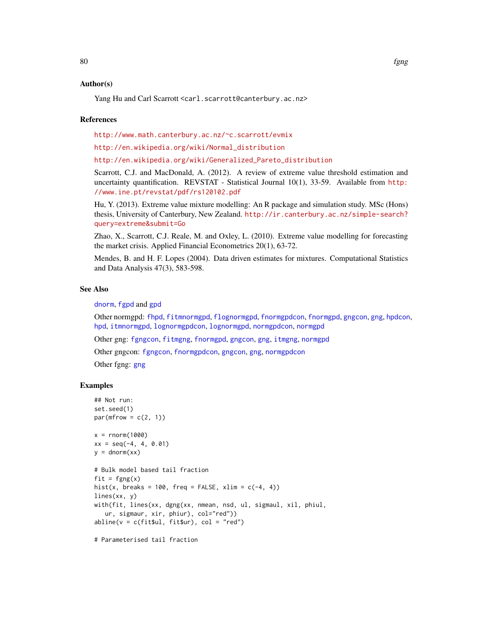## Author(s)

Yang Hu and Carl Scarrott <carl.scarrott@canterbury.ac.nz>

## References

<http://www.math.canterbury.ac.nz/~c.scarrott/evmix>

[http://en.wikipedia.org/wiki/Normal\\_distribution](http://en.wikipedia.org/wiki/Normal_distribution)

[http://en.wikipedia.org/wiki/Generalized\\_Pareto\\_distribution](http://en.wikipedia.org/wiki/Generalized_Pareto_distribution)

Scarrott, C.J. and MacDonald, A. (2012). A review of extreme value threshold estimation and uncertainty quantification. REVSTAT - Statistical Journal 10(1), 33-59. Available from [http:](http://www.ine.pt/revstat/pdf/rs120102.pdf) [//www.ine.pt/revstat/pdf/rs120102.pdf](http://www.ine.pt/revstat/pdf/rs120102.pdf)

Hu, Y. (2013). Extreme value mixture modelling: An R package and simulation study. MSc (Hons) thesis, University of Canterbury, New Zealand. [http://ir.canterbury.ac.nz/simple-search?](http://ir.canterbury.ac.nz/simple-search?query=extreme&submit=Go) [query=extreme&submit=Go](http://ir.canterbury.ac.nz/simple-search?query=extreme&submit=Go)

Zhao, X., Scarrott, C.J. Reale, M. and Oxley, L. (2010). Extreme value modelling for forecasting the market crisis. Applied Financial Econometrics 20(1), 63-72.

Mendes, B. and H. F. Lopes (2004). Data driven estimates for mixtures. Computational Statistics and Data Analysis 47(3), 583-598.

# See Also

[dnorm](#page-0-0), [fgpd](#page-84-0) and [gpd](#page-190-0)

Other normgpd: [fhpd](#page-88-0), [fitmnormgpd](#page-99-0), [flognormgpd](#page-121-0), [fnormgpdcon](#page-148-0), [fnormgpd](#page-142-0), [gngcon](#page-186-0), [gng](#page-183-0), [hpdcon](#page-200-0), [hpd](#page-197-0), [itmnormgpd](#page-208-0), [lognormgpdcon](#page-235-0), [lognormgpd](#page-232-0), [normgpdcon](#page-253-0), [normgpd](#page-250-0)

Other gng: [fgngcon](#page-80-0), [fitmgng](#page-95-0), [fnormgpd](#page-142-0), [gngcon](#page-186-0), [gng](#page-183-0), [itmgng](#page-205-0), [normgpd](#page-250-0)

Other gngcon: [fgngcon](#page-80-0), [fnormgpdcon](#page-148-0), [gngcon](#page-186-0), [gng](#page-183-0), [normgpdcon](#page-253-0)

Other fgng: [gng](#page-183-0)

## Examples

```
## Not run:
set.seed(1)
par(mfrow = c(2, 1))x = rnorm(1000)xx = seq(-4, 4, 0.01)y = \text{dnorm}(xx)# Bulk model based tail fraction
fit = fgng(x)hist(x, breaks = 100, freq = FALSE, xlim = c(-4, 4))
lines(xx, y)
with(fit, lines(xx, dgng(xx, nmean, nsd, ul, sigmaul, xil, phiul,
   ur, sigmaur, xir, phiur), col="red"))
abline(v = c(fit$ul, fit$ur), col = "red")
```
# Parameterised tail fraction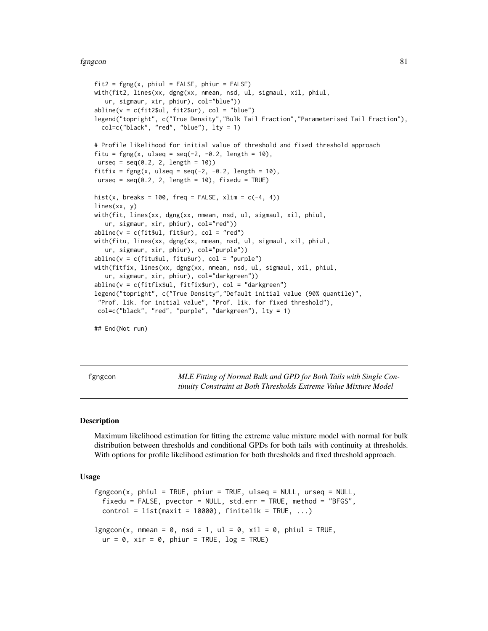#### fgngcon 81

```
fit2 = fgng(x, phiul = FALSE, phiur = FALSE)with(fit2, lines(xx, dgng(xx, nmean, nsd, ul, sigmaul, xil, phiul,
  ur, sigmaur, xir, phiur), col="blue"))
abline(v = c(fitz $ul, fit2$ur), col = "blue")legend("topright", c("True Density","Bulk Tail Fraction","Parameterised Tail Fraction"),
 col=c("black", "red", "blue"), lty = 1)
# Profile likelihood for initial value of threshold and fixed threshold approach
fitu = fgng(x, ulseq = seq(-2, -0.2, length = 10),urseq = seq(0.2, 2, length = 10)fitfix = fgng(x, ulseq = seq(-2, -0.2, length = 10),
urseq = seq(0.2, 2, length = 10), fixedu = TRUE)
hist(x, breaks = 100, freq = FALSE, xlim = c(-4, 4))
lines(xx, y)
with(fit, lines(xx, dgng(xx, nmean, nsd, ul, sigmaul, xil, phiul,
   ur, sigmaur, xir, phiur), col="red"))
abline(v = c(fit$ul, fit$ur), col = "red")
with(fitu, lines(xx, dgng(xx, nmean, nsd, ul, sigmaul, xil, phiul,
   ur, sigmaur, xir, phiur), col="purple"))
abline(v = c(fitu$ul, fitu$ur), col = "purple")
with(fitfix, lines(xx, dgng(xx, nmean, nsd, ul, sigmaul, xil, phiul,
   ur, sigmaur, xir, phiur), col="darkgreen"))
abline(v = c(fitfix$ul, fitfix$ur), col = "darkgreen")
legend("topright", c("True Density","Default initial value (90% quantile)",
 "Prof. lik. for initial value", "Prof. lik. for fixed threshold"),
col=c("black", "red", "purple", "darkgreen"), lty = 1)
```
## End(Not run)

<span id="page-80-0"></span>fgngcon *MLE Fitting of Normal Bulk and GPD for Both Tails with Single Continuity Constraint at Both Thresholds Extreme Value Mixture Model*

## <span id="page-80-1"></span>Description

Maximum likelihood estimation for fitting the extreme value mixture model with normal for bulk distribution between thresholds and conditional GPDs for both tails with continuity at thresholds. With options for profile likelihood estimation for both thresholds and fixed threshold approach.

# Usage

```
fgngcon(x, phiul = TRUE, phiur = TRUE, ulseq = NULL, urseq = NULLfixedu = FALSE, pvector = NULL, std.err = TRUE, method = "BFGS",
  control = list(maxit = 10000), finitelik = TRUE, ...)lgngcon(x, nmean = 0, nsd = 1, ul = 0, xil = 0, phiul = TRUE,
 ur = 0, xir = 0, phiar = TRUE, log = TRUE)
```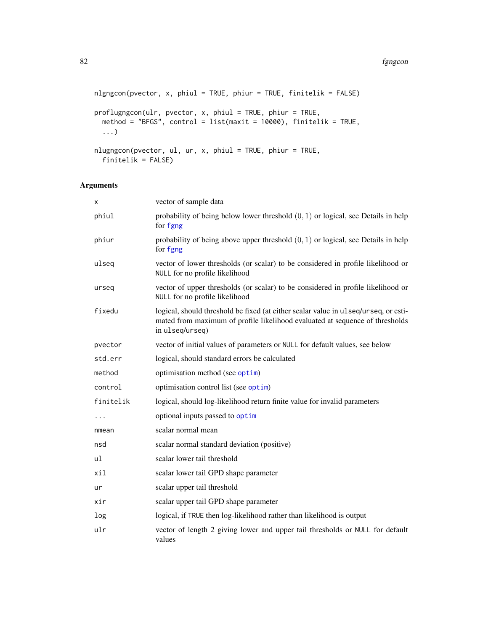```
nlgngcon(pvector, x, phiul = TRUE, phiur = TRUE, finitelik = FALSE)
proflugngcon(ulr, pvector, x, phiul = TRUE, phiur = TRUE,
 method = "BFGS", control = list(maxit = 10000), finitelik = TRUE,...)
nlugngcon(pvector, ul, ur, x, phiul = TRUE, phiur = TRUE,
```

```
finitelik = FALSE)
```
# Arguments

| x         | vector of sample data                                                                                                                                                                  |
|-----------|----------------------------------------------------------------------------------------------------------------------------------------------------------------------------------------|
| phiul     | probability of being below lower threshold $(0, 1)$ or logical, see Details in help<br>for fgng                                                                                        |
| phiur     | probability of being above upper threshold $(0, 1)$ or logical, see Details in help<br>for fgng                                                                                        |
| ulseq     | vector of lower thresholds (or scalar) to be considered in profile likelihood or<br>NULL for no profile likelihood                                                                     |
| urseq     | vector of upper thresholds (or scalar) to be considered in profile likelihood or<br>NULL for no profile likelihood                                                                     |
| fixedu    | logical, should threshold be fixed (at either scalar value in ulseq/urseq, or esti-<br>mated from maximum of profile likelihood evaluated at sequence of thresholds<br>in ulseq/urseq) |
| pvector   | vector of initial values of parameters or NULL for default values, see below                                                                                                           |
| std.err   | logical, should standard errors be calculated                                                                                                                                          |
| method    | optimisation method (see optim)                                                                                                                                                        |
| control   | optimisation control list (see optim)                                                                                                                                                  |
| finitelik | logical, should log-likelihood return finite value for invalid parameters                                                                                                              |
| $\cdots$  | optional inputs passed to optim                                                                                                                                                        |
| nmean     | scalar normal mean                                                                                                                                                                     |
| nsd       | scalar normal standard deviation (positive)                                                                                                                                            |
| ul        | scalar lower tail threshold                                                                                                                                                            |
| xil       | scalar lower tail GPD shape parameter                                                                                                                                                  |
| ur        | scalar upper tail threshold                                                                                                                                                            |
| xir       | scalar upper tail GPD shape parameter                                                                                                                                                  |
| log       | logical, if TRUE then log-likelihood rather than likelihood is output                                                                                                                  |
| ulr       | vector of length 2 giving lower and upper tail thresholds or NULL for default<br>values                                                                                                |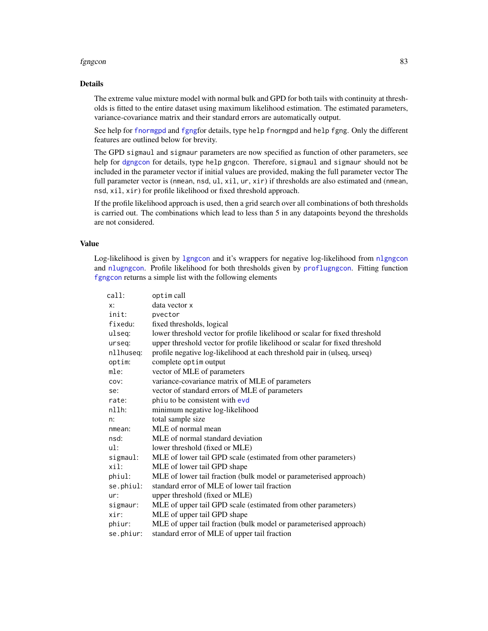#### fgngcon 83

# Details

The extreme value mixture model with normal bulk and GPD for both tails with continuity at thresholds is fitted to the entire dataset using maximum likelihood estimation. The estimated parameters, variance-covariance matrix and their standard errors are automatically output.

See help for [fnormgpd](#page-142-0) and [fgng](#page-75-0)for details, type help fnormgpd and help fgng. Only the different features are outlined below for brevity.

The GPD sigmaul and sigmaur parameters are now specified as function of other parameters, see help for [dgngcon](#page-186-1) for details, type help gngcon. Therefore, sigmaul and sigmaur should not be included in the parameter vector if initial values are provided, making the full parameter vector The full parameter vector is (nmean, nsd, ul, xil, ur, xir) if thresholds are also estimated and (nmean, nsd, xil, xir) for profile likelihood or fixed threshold approach.

If the profile likelihood approach is used, then a grid search over all combinations of both thresholds is carried out. The combinations which lead to less than 5 in any datapoints beyond the thresholds are not considered.

#### Value

Log-likelihood is given by [lgngcon](#page-80-1) and it's wrappers for negative log-likelihood from [nlgngcon](#page-80-1) and [nlugngcon](#page-80-1). Profile likelihood for both thresholds given by [proflugngcon](#page-80-1). Fitting function [fgngcon](#page-80-0) returns a simple list with the following elements

| call:     | optim call                                                                  |
|-----------|-----------------------------------------------------------------------------|
| $x$ :     | data vector x                                                               |
| init:     | pvector                                                                     |
| fixedu:   | fixed thresholds, logical                                                   |
| ulseq:    | lower threshold vector for profile likelihood or scalar for fixed threshold |
| urseq:    | upper threshold vector for profile likelihood or scalar for fixed threshold |
| nllhuseq: | profile negative log-likelihood at each threshold pair in (ulseq, urseq)    |
| optim:    | complete optim output                                                       |
| mle:      | vector of MLE of parameters                                                 |
| COV:      | variance-covariance matrix of MLE of parameters                             |
| se:       | vector of standard errors of MLE of parameters                              |
| rate:     | phiu to be consistent with evd                                              |
| $n11h$ :  | minimum negative log-likelihood                                             |
| n:        | total sample size                                                           |
| nmean:    | MLE of normal mean                                                          |
| nsd:      | MLE of normal standard deviation                                            |
| ul:       | lower threshold (fixed or MLE)                                              |
| sigmaul:  | MLE of lower tail GPD scale (estimated from other parameters)               |
| xil:      | MLE of lower tail GPD shape                                                 |
| phiul:    | MLE of lower tail fraction (bulk model or parameterised approach)           |
| se.phiul: | standard error of MLE of lower tail fraction                                |
| ur:       | upper threshold (fixed or MLE)                                              |
| sigmaur:  | MLE of upper tail GPD scale (estimated from other parameters)               |
| xir:      | MLE of upper tail GPD shape                                                 |
| phiur:    | MLE of upper tail fraction (bulk model or parameterised approach)           |
| se.phiur: | standard error of MLE of upper tail fraction                                |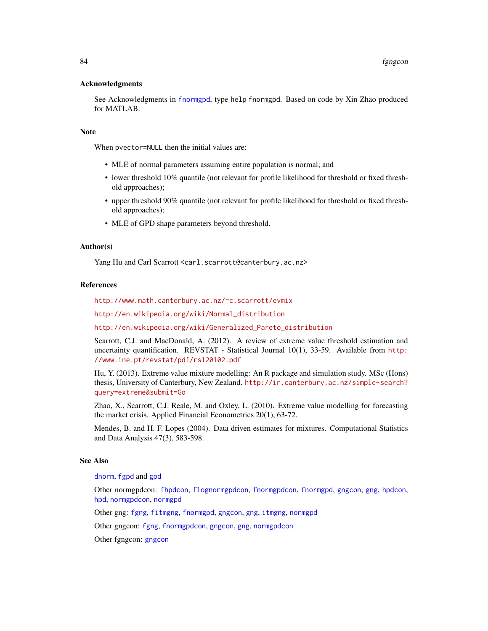## Acknowledgments

See Acknowledgments in [fnormgpd](#page-142-0), type help fnormgpd. Based on code by Xin Zhao produced for MATLAB.

# **Note**

When pvector=NULL then the initial values are:

- MLE of normal parameters assuming entire population is normal; and
- lower threshold 10% quantile (not relevant for profile likelihood for threshold or fixed threshold approaches);
- upper threshold 90% quantile (not relevant for profile likelihood for threshold or fixed threshold approaches);
- MLE of GPD shape parameters beyond threshold.

## Author(s)

Yang Hu and Carl Scarrott <carl.scarrott@canterbury.ac.nz>

## References

<http://www.math.canterbury.ac.nz/~c.scarrott/evmix>

[http://en.wikipedia.org/wiki/Normal\\_distribution](http://en.wikipedia.org/wiki/Normal_distribution)

[http://en.wikipedia.org/wiki/Generalized\\_Pareto\\_distribution](http://en.wikipedia.org/wiki/Generalized_Pareto_distribution)

Scarrott, C.J. and MacDonald, A. (2012). A review of extreme value threshold estimation and uncertainty quantification. REVSTAT - Statistical Journal 10(1), 33-59. Available from [http:](http://www.ine.pt/revstat/pdf/rs120102.pdf) [//www.ine.pt/revstat/pdf/rs120102.pdf](http://www.ine.pt/revstat/pdf/rs120102.pdf)

Hu, Y. (2013). Extreme value mixture modelling: An R package and simulation study. MSc (Hons) thesis, University of Canterbury, New Zealand. [http://ir.canterbury.ac.nz/simple-search?](http://ir.canterbury.ac.nz/simple-search?query=extreme&submit=Go) [query=extreme&submit=Go](http://ir.canterbury.ac.nz/simple-search?query=extreme&submit=Go)

Zhao, X., Scarrott, C.J. Reale, M. and Oxley, L. (2010). Extreme value modelling for forecasting the market crisis. Applied Financial Econometrics 20(1), 63-72.

Mendes, B. and H. F. Lopes (2004). Data driven estimates for mixtures. Computational Statistics and Data Analysis 47(3), 583-598.

# See Also

[dnorm](#page-0-0), [fgpd](#page-84-0) and [gpd](#page-190-0)

Other normgpdcon: [fhpdcon](#page-91-0), [flognormgpdcon](#page-124-0), [fnormgpdcon](#page-148-0), [fnormgpd](#page-142-0), [gngcon](#page-186-0), [gng](#page-183-0), [hpdcon](#page-200-0), [hpd](#page-197-0), [normgpdcon](#page-253-0), [normgpd](#page-250-0)

Other gng: [fgng](#page-75-0), [fitmgng](#page-95-0), [fnormgpd](#page-142-0), [gngcon](#page-186-0), [gng](#page-183-0), [itmgng](#page-205-0), [normgpd](#page-250-0)

Other gngcon: [fgng](#page-75-0), [fnormgpdcon](#page-148-0), [gngcon](#page-186-0), [gng](#page-183-0), [normgpdcon](#page-253-0)

Other fgngcon: [gngcon](#page-186-0)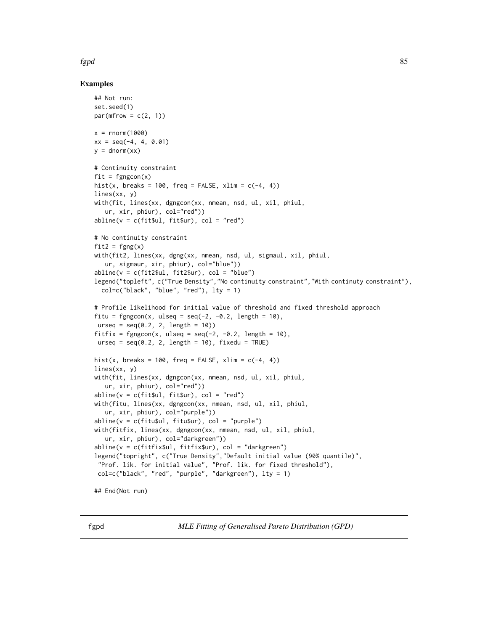# fgpd 85 September 2008 September 2008 September 2008 September 2008 September 2008 September 2008 September 20

# Examples

```
## Not run:
set.seed(1)
par(mfrow = c(2, 1))x = rnorm(1000)xx = seq(-4, 4, 0.01)y = \text{dnorm}(xx)# Continuity constraint
fit = fgngcon(x)hist(x, breaks = 100, freq = FALSE, xlim = c(-4, 4))
lines(xx, y)
with(fit, lines(xx, dgngcon(xx, nmean, nsd, ul, xil, phiul,
   ur, xir, phiur), col="red"))
abline(v = c(fit $ul, fit $ur), col = "red")# No continuity constraint
fit2 = fgng(x)with(fit2, lines(xx, dgng(xx, nmean, nsd, ul, sigmaul, xil, phiul,
   ur, sigmaur, xir, phiur), col="blue"))
abline(v = c(fitz $ul, fit2$ur), col = "blue")legend("topleft", c("True Density","No continuity constraint","With continuty constraint"),
  col=c("black", "blue", "red"), lty = 1)
# Profile likelihood for initial value of threshold and fixed threshold approach
fitu = fgngcon(x, ulseq = seq(-2, -0.2, length = 10),
urseq = seq(0.2, 2, length = 10)fitfix = fgngcon(x, ulseq = seq(-2, -0.2, length = 10),
urseq = seq(0.2, 2, length = 10), fixedu = TRUE)
hist(x, breaks = 100, freq = FALSE, xlim = c(-4, 4))
lines(xx, y)
with(fit, lines(xx, dgngcon(xx, nmean, nsd, ul, xil, phiul,
   ur, xir, phiur), col="red"))
abline(v = c(fit$ul, fit$ur), col = "red")with(fitu, lines(xx, dgngcon(xx, nmean, nsd, ul, xil, phiul,
   ur, xir, phiur), col="purple"))
abline(v = c(fitu$ul, fitu$ur), col = "purple")
with(fitfix, lines(xx, dgngcon(xx, nmean, nsd, ul, xil, phiul,
   ur, xir, phiur), col="darkgreen"))
abline(v = c(fitfix$ul, fitfix$ur), col = "darkgreen")
legend("topright", c("True Density","Default initial value (90% quantile)",
 "Prof. lik. for initial value", "Prof. lik. for fixed threshold"),
 col=c("black", "red", "purple", "darkgreen"), lty = 1)
## End(Not run)
```
<span id="page-84-1"></span><span id="page-84-0"></span>fgpd *MLE Fitting of Generalised Pareto Distribution (GPD)*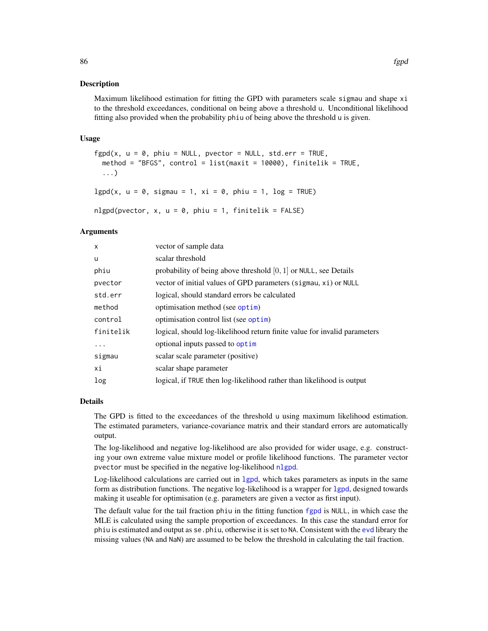Maximum likelihood estimation for fitting the GPD with parameters scale sigmau and shape xi to the threshold exceedances, conditional on being above a threshold u. Unconditional likelihood fitting also provided when the probability phiu of being above the threshold u is given.

#### Usage

```
fgpd(x, u = 0, phi = NULL, pieceor = NULL, std.err = TRUE,method = "BFGS", control = list(maxit = 10000), finitelik = TRUE,
 ...)
lgpd(x, u = 0, sigmau = 1, xi = 0, phi = 1, log = TRUE)
```
nlgpd(pvector,  $x$ ,  $u = 0$ , phiu = 1, finitelik = FALSE)

# Arguments

| $\mathsf{x}$ | vector of sample data                                                     |
|--------------|---------------------------------------------------------------------------|
| u            | scalar threshold                                                          |
| phiu         | probability of being above threshold $[0, 1]$ or NULL, see Details        |
| pvector      | vector of initial values of GPD parameters (sigmau, xi) or NULL           |
| std.err      | logical, should standard errors be calculated                             |
| method       | optimisation method (see optim)                                           |
| control      | optimisation control list (see optim)                                     |
| finitelik    | logical, should log-likelihood return finite value for invalid parameters |
| .            | optional inputs passed to optim                                           |
| sigmau       | scalar scale parameter (positive)                                         |
| хi           | scalar shape parameter                                                    |
| log          | logical, if TRUE then log-likelihood rather than likelihood is output     |

#### Details

The GPD is fitted to the exceedances of the threshold u using maximum likelihood estimation. The estimated parameters, variance-covariance matrix and their standard errors are automatically output.

The log-likelihood and negative log-likelihood are also provided for wider usage, e.g. constructing your own extreme value mixture model or profile likelihood functions. The parameter vector pvector must be specified in the negative log-likelihood [nlgpd](#page-84-1).

Log-likelihood calculations are carried out in [lgpd](#page-84-1), which takes parameters as inputs in the same form as distribution functions. The negative log-likelihood is a wrapper for [lgpd](#page-84-1), designed towards making it useable for optimisation (e.g. parameters are given a vector as first input).

The default value for the tail fraction phiu in the fitting function [fgpd](#page-84-0) is NULL, in which case the MLE is calculated using the sample proportion of exceedances. In this case the standard error for phiu is estimated and output as se.phiu, otherwise it is set to NA. Consistent with the [evd](#page-0-0) library the missing values (NA and NaN) are assumed to be below the threshold in calculating the tail fraction.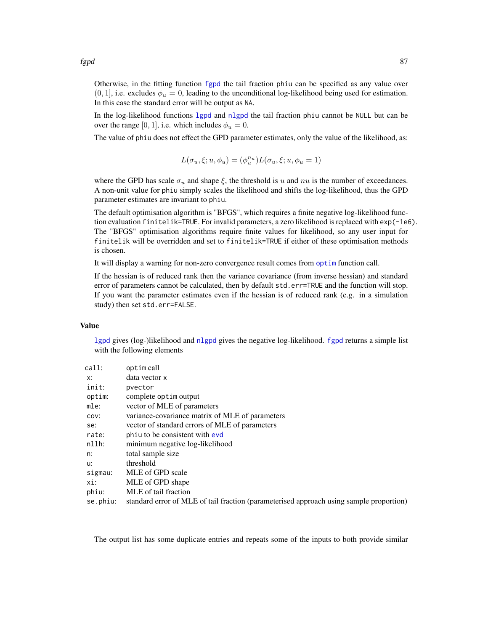fgpd 87 and 87 and 87 and 87 and 87 and 87 and 87 and 87 and 87 and 87 and 87 and 87 and 87 and 87 and 87 and 87

Otherwise, in the fitting function [fgpd](#page-84-0) the tail fraction phiu can be specified as any value over  $(0, 1)$ , i.e. excludes  $\phi_u = 0$ , leading to the unconditional log-likelihood being used for estimation. In this case the standard error will be output as NA.

In the log-likelihood functions [lgpd](#page-84-1) and [nlgpd](#page-84-1) the tail fraction phiu cannot be NULL but can be over the range [0, 1], i.e. which includes  $\phi_u = 0$ .

The value of phiu does not effect the GPD parameter estimates, only the value of the likelihood, as:

$$
L(\sigma_u,\xi;u,\phi_u)=(\phi_u^{n_u})L(\sigma_u,\xi;u,\phi_u=1)
$$

where the GPD has scale  $\sigma_u$  and shape  $\xi$ , the threshold is u and  $nu$  is the number of exceedances. A non-unit value for phiu simply scales the likelihood and shifts the log-likelihood, thus the GPD parameter estimates are invariant to phiu.

The default optimisation algorithm is "BFGS", which requires a finite negative log-likelihood function evaluation finitelik=TRUE. For invalid parameters, a zero likelihood is replaced with exp(-1e6). The "BFGS" optimisation algorithms require finite values for likelihood, so any user input for finitelik will be overridden and set to finitelik=TRUE if either of these optimisation methods is chosen.

It will display a warning for non-zero convergence result comes from [optim](#page-0-0) function call.

If the hessian is of reduced rank then the variance covariance (from inverse hessian) and standard error of parameters cannot be calculated, then by default std.err=TRUE and the function will stop. If you want the parameter estimates even if the hessian is of reduced rank (e.g. in a simulation study) then set std.err=FALSE.

## Value

[lgpd](#page-84-1) gives (log-)likelihood and [nlgpd](#page-84-1) gives the negative log-likelihood. [fgpd](#page-84-0) returns a simple list with the following elements

| call:    | optim call                                                                              |
|----------|-----------------------------------------------------------------------------------------|
| x:       | data vector x                                                                           |
| init:    | pvector                                                                                 |
| optim:   | complete optim output                                                                   |
| mle:     | vector of MLE of parameters                                                             |
| COV:     | variance-covariance matrix of MLE of parameters                                         |
| se:      | vector of standard errors of MLE of parameters                                          |
| rate:    | phiu to be consistent with evd                                                          |
| nllh:    | minimum negative log-likelihood                                                         |
| n:       | total sample size                                                                       |
| u:       | threshold                                                                               |
| sigmau:  | MLE of GPD scale                                                                        |
| xi:      | MLE of GPD shape                                                                        |
| phiu:    | MLE of tail fraction                                                                    |
| se.phiu: | standard error of MLE of tail fraction (parameterised approach using sample proportion) |

The output list has some duplicate entries and repeats some of the inputs to both provide similar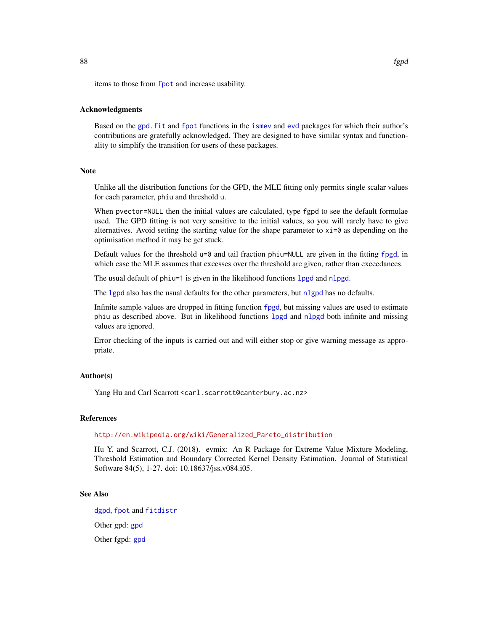items to those from [fpot](#page-0-0) and increase usability.

## Acknowledgments

Based on the [gpd.fit](#page-0-0) and [fpot](#page-0-0) functions in the [ismev](#page-0-0) and [evd](#page-0-0) packages for which their author's contributions are gratefully acknowledged. They are designed to have similar syntax and functionality to simplify the transition for users of these packages.

# Note

Unlike all the distribution functions for the GPD, the MLE fitting only permits single scalar values for each parameter, phiu and threshold u.

When pvector=NULL then the initial values are calculated, type fgpd to see the default formulae used. The GPD fitting is not very sensitive to the initial values, so you will rarely have to give alternatives. Avoid setting the starting value for the shape parameter to  $xi = 0$  as depending on the optimisation method it may be get stuck.

Default values for the threshold  $u=0$  and tail fraction phiu=NULL are given in the fitting [fpgd](#page-0-0), in which case the MLE assumes that excesses over the threshold are given, rather than exceedances.

The usual default of phiu=1 is given in the likelihood functions [lpgd](#page-0-0) and [nlpgd](#page-0-0).

The [lgpd](#page-84-1) also has the usual defaults for the other parameters, but [nlgpd](#page-84-1) has no defaults.

Infinite sample values are dropped in fitting function [fpgd](#page-0-0), but missing values are used to estimate phiu as described above. But in likelihood functions [lpgd](#page-0-0) and [nlpgd](#page-0-0) both infinite and missing values are ignored.

Error checking of the inputs is carried out and will either stop or give warning message as appropriate.

## Author(s)

Yang Hu and Carl Scarrott <carl.scarrott@canterbury.ac.nz>

#### References

## [http://en.wikipedia.org/wiki/Generalized\\_Pareto\\_distribution](http://en.wikipedia.org/wiki/Generalized_Pareto_distribution)

Hu Y. and Scarrott, C.J. (2018). evmix: An R Package for Extreme Value Mixture Modeling, Threshold Estimation and Boundary Corrected Kernel Density Estimation. Journal of Statistical Software 84(5), 1-27. doi: 10.18637/jss.v084.i05.

#### See Also

[dgpd](#page-190-1), [fpot](#page-0-0) and [fitdistr](#page-0-0) Other gpd: [gpd](#page-190-0) Other fgpd: [gpd](#page-190-0)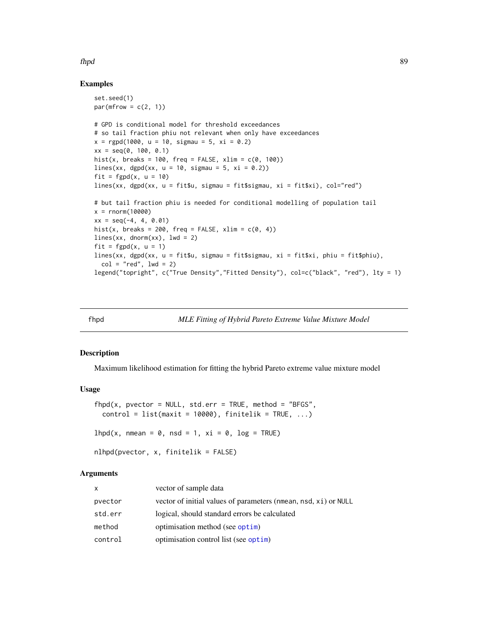## fhpd 89 September 2014 and 2014 and 2014 and 2014 and 2014 and 2014 and 2014 and 2014 and 2014 and 2014 and 20

## Examples

```
set.seed(1)
par(mfrow = c(2, 1))# GPD is conditional model for threshold exceedances
# so tail fraction phiu not relevant when only have exceedances
x = rgpd(1000, u = 10, sigmau = 5, xi = 0.2)
xx = seq(0, 100, 0.1)hist(x, breaks = 100, freq = FALSE, xlim = c(0, 100))
lines(xx, dgpd(xx, u = 10, sigmau = 5, xi = 0.2))
fit = fgpd(x, u = 10)lines(xx, dgpd(xx, u = fit$u, sigmau = fit$sigmau, xi = fit$xi), col="red")
# but tail fraction phiu is needed for conditional modelling of population tail
x = rnorm(10000)xx = seq(-4, 4, 0.01)hist(x, breaks = 200, freq = FALSE, xlim = c(0, 4))
lines(xx, domm(xx), lwd = 2)fit = fgpd(x, u = 1)lines(xx, dgpd(xx, u = fit$u, sigmau = fit$sigmau, xi = fit$xi, phiu = fit$phiu),
  col = "red", \text{ lwd} = 2)legend("topright", c("True Density","Fitted Density"), col=c("black", "red"), lty = 1)
```
<span id="page-88-0"></span>

fhpd *MLE Fitting of Hybrid Pareto Extreme Value Mixture Model*

#### <span id="page-88-1"></span>Description

Maximum likelihood estimation for fitting the hybrid Pareto extreme value mixture model

# Usage

```
fhpd(x, pvector = NULL, std.err = TRUE, method = "BFGS",
 control = list(maxit = 10000), finitelik = TRUE, ...)lhpd(x, nmean = 0, nsd = 1, xi = 0, log = TRUE)
nlhpd(pvector, x, finitelik = FALSE)
```
## Arguments

| x       | vector of sample data                                           |
|---------|-----------------------------------------------------------------|
| pvector | vector of initial values of parameters (nmean, nsd, xi) or NULL |
| std.err | logical, should standard errors be calculated                   |
| method  | optimisation method (see optim)                                 |
| control | optimisation control list (see optim)                           |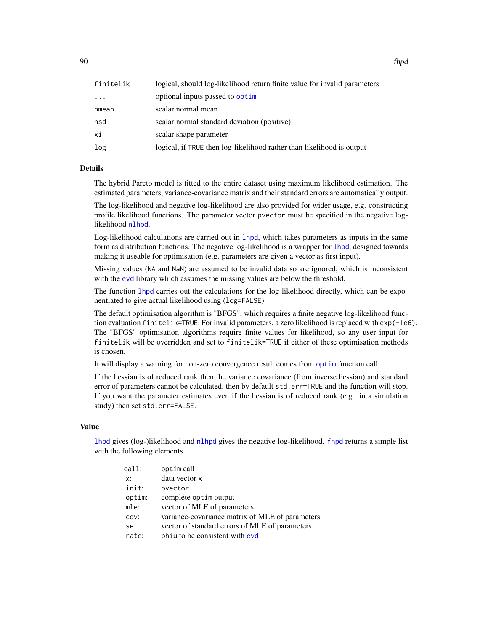90 fhpd

| finitelik | logical, should log-likelihood return finite value for invalid parameters |
|-----------|---------------------------------------------------------------------------|
| $\ddots$  | optional inputs passed to optim                                           |
| nmean     | scalar normal mean                                                        |
| nsd       | scalar normal standard deviation (positive)                               |
| хi        | scalar shape parameter                                                    |
| log       | logical, if TRUE then log-likelihood rather than likelihood is output     |

## Details

The hybrid Pareto model is fitted to the entire dataset using maximum likelihood estimation. The estimated parameters, variance-covariance matrix and their standard errors are automatically output.

The log-likelihood and negative log-likelihood are also provided for wider usage, e.g. constructing profile likelihood functions. The parameter vector pvector must be specified in the negative loglikelihood [nlhpd](#page-88-1).

Log-likelihood calculations are carried out in [lhpd](#page-88-1), which takes parameters as inputs in the same form as distribution functions. The negative log-likelihood is a wrapper for [lhpd](#page-88-1), designed towards making it useable for optimisation (e.g. parameters are given a vector as first input).

Missing values (NA and NaN) are assumed to be invalid data so are ignored, which is inconsistent with the [evd](#page-0-0) library which assumes the missing values are below the threshold.

The function [lhpd](#page-88-1) carries out the calculations for the log-likelihood directly, which can be exponentiated to give actual likelihood using (log=FALSE).

The default optimisation algorithm is "BFGS", which requires a finite negative log-likelihood function evaluation finitelik=TRUE. For invalid parameters, a zero likelihood is replaced with exp(-1e6). The "BFGS" optimisation algorithms require finite values for likelihood, so any user input for finitelik will be overridden and set to finitelik=TRUE if either of these optimisation methods is chosen.

It will display a warning for non-zero convergence result comes from [optim](#page-0-0) function call.

If the hessian is of reduced rank then the variance covariance (from inverse hessian) and standard error of parameters cannot be calculated, then by default std.err=TRUE and the function will stop. If you want the parameter estimates even if the hessian is of reduced rank (e.g. in a simulation study) then set std.err=FALSE.

#### Value

[lhpd](#page-88-1) gives (log-)likelihood and [nlhpd](#page-88-1) gives the negative log-likelihood. [fhpd](#page-88-0) returns a simple list with the following elements

| call:  | optim call                                      |
|--------|-------------------------------------------------|
| x:     | data vector x                                   |
| init:  | pvector                                         |
| optim: | complete optim output                           |
| mle:   | vector of MLE of parameters                     |
| COV:   | variance-covariance matrix of MLE of parameters |
| se:    | vector of standard errors of MLE of parameters  |
| rate:  | phiu to be consistent with evd                  |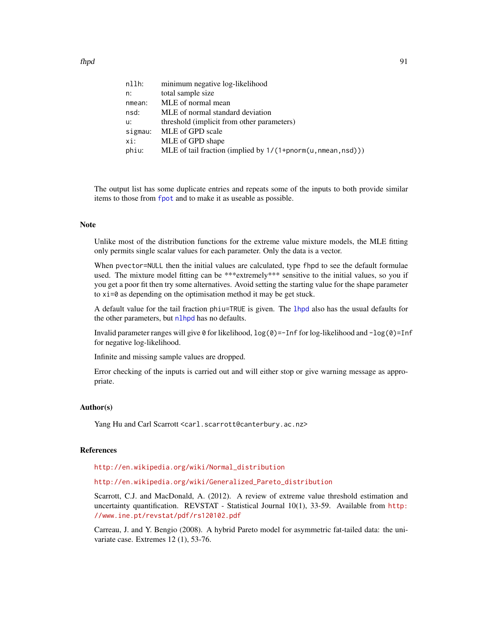| nllh:   | minimum negative log-likelihood                              |
|---------|--------------------------------------------------------------|
| n:      | total sample size                                            |
| nmean:  | MLE of normal mean                                           |
| nsd:    | MLE of normal standard deviation                             |
| u:      | threshold (implicit from other parameters)                   |
| sigmau: | MLE of GPD scale                                             |
| xi:     | MLE of GPD shape                                             |
| phiu:   | MLE of tail fraction (implied by 1/(1+pnorm(u, nmean, nsd))) |

The output list has some duplicate entries and repeats some of the inputs to both provide similar items to those from [fpot](#page-0-0) and to make it as useable as possible.

#### Note

Unlike most of the distribution functions for the extreme value mixture models, the MLE fitting only permits single scalar values for each parameter. Only the data is a vector.

When pvector=NULL then the initial values are calculated, type fhpd to see the default formulae used. The mixture model fitting can be \*\*\*extremely\*\*\* sensitive to the initial values, so you if you get a poor fit then try some alternatives. Avoid setting the starting value for the shape parameter to xi=0 as depending on the optimisation method it may be get stuck.

A default value for the tail fraction phiu=TRUE is given. The [lhpd](#page-88-1) also has the usual defaults for the other parameters, but [nlhpd](#page-88-1) has no defaults.

Invalid parameter ranges will give  $\theta$  for likelihood,  $log(\theta) = -Inf$  for log-likelihood and  $-log(\theta) = Inf$ for negative log-likelihood.

Infinite and missing sample values are dropped.

Error checking of the inputs is carried out and will either stop or give warning message as appropriate.

## Author(s)

Yang Hu and Carl Scarrott <carl.scarrott@canterbury.ac.nz>

## References

[http://en.wikipedia.org/wiki/Normal\\_distribution](http://en.wikipedia.org/wiki/Normal_distribution)

[http://en.wikipedia.org/wiki/Generalized\\_Pareto\\_distribution](http://en.wikipedia.org/wiki/Generalized_Pareto_distribution)

Scarrott, C.J. and MacDonald, A. (2012). A review of extreme value threshold estimation and uncertainty quantification. REVSTAT - Statistical Journal 10(1), 33-59. Available from [http:](http://www.ine.pt/revstat/pdf/rs120102.pdf) [//www.ine.pt/revstat/pdf/rs120102.pdf](http://www.ine.pt/revstat/pdf/rs120102.pdf)

Carreau, J. and Y. Bengio (2008). A hybrid Pareto model for asymmetric fat-tailed data: the univariate case. Extremes 12 (1), 53-76.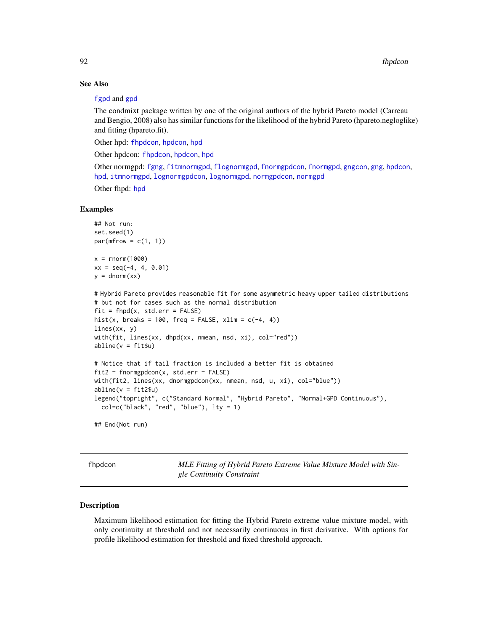# See Also

#### [fgpd](#page-84-0) and [gpd](#page-190-0)

The condmixt package written by one of the original authors of the hybrid Pareto model (Carreau and Bengio, 2008) also has similar functions for the likelihood of the hybrid Pareto (hpareto.negloglike) and fitting (hpareto.fit).

Other hpd: [fhpdcon](#page-91-0), [hpdcon](#page-200-0), [hpd](#page-197-0)

Other hpdcon: [fhpdcon](#page-91-0), [hpdcon](#page-200-0), [hpd](#page-197-0)

Other normgpd: [fgng](#page-75-0), [fitmnormgpd](#page-99-0), [flognormgpd](#page-121-0), [fnormgpdcon](#page-148-0), [fnormgpd](#page-142-0), [gngcon](#page-186-0), [gng](#page-183-0), [hpdcon](#page-200-0), [hpd](#page-197-0), [itmnormgpd](#page-208-0), [lognormgpdcon](#page-235-0), [lognormgpd](#page-232-0), [normgpdcon](#page-253-0), [normgpd](#page-250-0)

Other fhpd: [hpd](#page-197-0)

## Examples

```
## Not run:
set.seed(1)
par(mfrow = c(1, 1))x = rnorm(1000)xx = seq(-4, 4, 0.01)y = \text{dnorm}(xx)# Hybrid Pareto provides reasonable fit for some asymmetric heavy upper tailed distributions
# but not for cases such as the normal distribution
fit = fhpd(x, std.err = FALSE)hist(x, breaks = 100, freq = FALSE, xlim = c(-4, 4))
lines(xx, y)
with(fit, lines(xx, dhpd(xx, nmean, nsd, xi), col="red"))
abline(v = fitsu)# Notice that if tail fraction is included a better fit is obtained
fit2 = formgpdcon(x, std.err = FALSE)with(fit2, lines(xx, dnormgpdcon(xx, nmean, nsd, u, xi), col="blue"))
abline(v = fit2$u)
legend("topright", c("Standard Normal", "Hybrid Pareto", "Normal+GPD Continuous"),
  col=c("black", "red", "blue"), lty = 1)
## End(Not run)
```
<span id="page-91-0"></span>fhpdcon *MLE Fitting of Hybrid Pareto Extreme Value Mixture Model with Single Continuity Constraint*

#### <span id="page-91-1"></span>Description

Maximum likelihood estimation for fitting the Hybrid Pareto extreme value mixture model, with only continuity at threshold and not necessarily continuous in first derivative. With options for profile likelihood estimation for threshold and fixed threshold approach.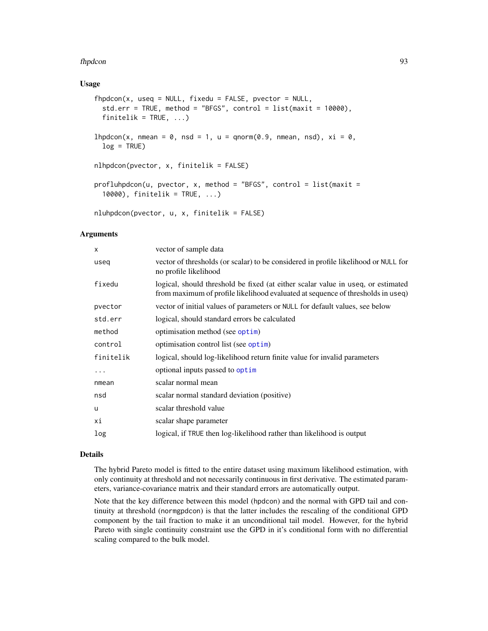#### fhpdcon 93

## Usage

```
fhpdcon(x, useq = NULL, fixedu = FALSE, vector = NULL,std.err = TRUE, method = "BFGS", control = list(maxit = 10000),
  finitelik = TRUE, ...)lhpdcon(x, nmean = 0, nsd = 1, u = qnorm(0.9, nmean, nsd), xi = 0,
  log = TRUE)
nlhpdcon(pvector, x, finitelik = FALSE)
profluhpdcon(u, pvector, x, method = "BFGS", control = list(maxit =10000), finitelik = TRUE, ...)
nluhpdcon(pvector, u, x, finitelik = FALSE)
```
## Arguments

| x         | vector of sample data                                                                                                                                               |
|-----------|---------------------------------------------------------------------------------------------------------------------------------------------------------------------|
| useq      | vector of thresholds (or scalar) to be considered in profile likelihood or NULL for<br>no profile likelihood                                                        |
| fixedu    | logical, should threshold be fixed (at either scalar value in useq, or estimated<br>from maximum of profile likelihood evaluated at sequence of thresholds in useq) |
| pvector   | vector of initial values of parameters or NULL for default values, see below                                                                                        |
| std.err   | logical, should standard errors be calculated                                                                                                                       |
| method    | optimisation method (see optim)                                                                                                                                     |
| control   | optimisation control list (see optim)                                                                                                                               |
| finitelik | logical, should log-likelihood return finite value for invalid parameters                                                                                           |
| $\cdots$  | optional inputs passed to optim                                                                                                                                     |
| nmean     | scalar normal mean                                                                                                                                                  |
| nsd       | scalar normal standard deviation (positive)                                                                                                                         |
| u         | scalar threshold value                                                                                                                                              |
| хi        | scalar shape parameter                                                                                                                                              |
| log       | logical, if TRUE then log-likelihood rather than likelihood is output                                                                                               |
|           |                                                                                                                                                                     |

## Details

The hybrid Pareto model is fitted to the entire dataset using maximum likelihood estimation, with only continuity at threshold and not necessarily continuous in first derivative. The estimated parameters, variance-covariance matrix and their standard errors are automatically output.

Note that the key difference between this model (hpdcon) and the normal with GPD tail and continuity at threshold (normgpdcon) is that the latter includes the rescaling of the conditional GPD component by the tail fraction to make it an unconditional tail model. However, for the hybrid Pareto with single continuity constraint use the GPD in it's conditional form with no differential scaling compared to the bulk model.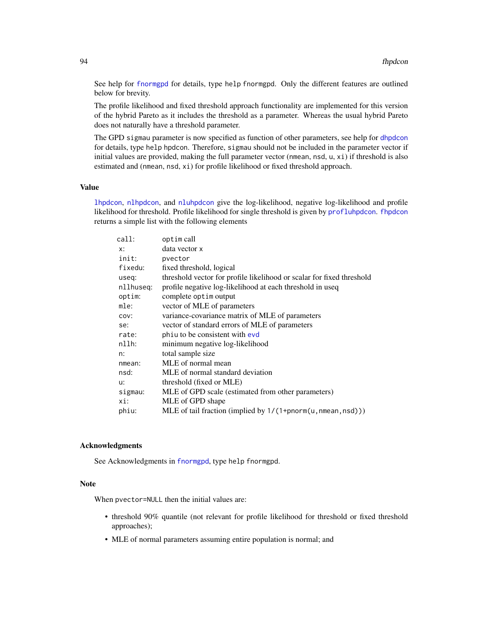See help for [fnormgpd](#page-142-0) for details, type help fnormgpd. Only the different features are outlined below for brevity.

The profile likelihood and fixed threshold approach functionality are implemented for this version of the hybrid Pareto as it includes the threshold as a parameter. Whereas the usual hybrid Pareto does not naturally have a threshold parameter.

The GPD sigmau parameter is now specified as function of other parameters, see help for [dhpdcon](#page-200-1) for details, type help hpdcon. Therefore, sigmau should not be included in the parameter vector if initial values are provided, making the full parameter vector (nmean, nsd, u, xi) if threshold is also estimated and (nmean, nsd, xi) for profile likelihood or fixed threshold approach.

# Value

[lhpdcon](#page-91-1), [nlhpdcon](#page-91-1), and [nluhpdcon](#page-91-1) give the log-likelihood, negative log-likelihood and profile likelihood for threshold. Profile likelihood for single threshold is given by [profluhpdcon](#page-91-1). [fhpdcon](#page-91-0) returns a simple list with the following elements

| call:     | optim call                                                            |
|-----------|-----------------------------------------------------------------------|
| x:        | data vector x                                                         |
| init:     | pvector                                                               |
| fixedu:   | fixed threshold, logical                                              |
| useq:     | threshold vector for profile likelihood or scalar for fixed threshold |
| nllhuseq: | profile negative log-likelihood at each threshold in useq             |
| optim:    | complete optim output                                                 |
| mle:      | vector of MLE of parameters                                           |
| COV:      | variance-covariance matrix of MLE of parameters                       |
| se:       | vector of standard errors of MLE of parameters                        |
| rate:     | phiu to be consistent with evd                                        |
| $nllh$ :  | minimum negative log-likelihood                                       |
| n:        | total sample size                                                     |
| nmean:    | MLE of normal mean                                                    |
| nsd:      | MLE of normal standard deviation                                      |
| u:        | threshold (fixed or MLE)                                              |
| sigmau:   | MLE of GPD scale (estimated from other parameters)                    |
| xi:       | MLE of GPD shape                                                      |
| phiu:     | MLE of tail fraction (implied by $1/(1+$ pnorm $(u, n$ mean, nsd)))   |
|           |                                                                       |

## Acknowledgments

See Acknowledgments in [fnormgpd](#page-142-0), type help fnormgpd.

#### Note

When pvector=NULL then the initial values are:

- threshold 90% quantile (not relevant for profile likelihood for threshold or fixed threshold approaches);
- MLE of normal parameters assuming entire population is normal; and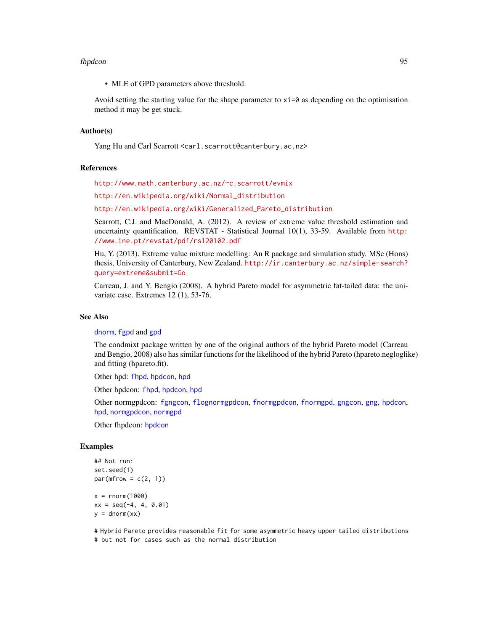#### fhpdcon 95

• MLE of GPD parameters above threshold.

Avoid setting the starting value for the shape parameter to  $x_i = 0$  as depending on the optimisation method it may be get stuck.

## Author(s)

Yang Hu and Carl Scarrott <carl.scarrott@canterbury.ac.nz>

#### References

<http://www.math.canterbury.ac.nz/~c.scarrott/evmix>

[http://en.wikipedia.org/wiki/Normal\\_distribution](http://en.wikipedia.org/wiki/Normal_distribution)

[http://en.wikipedia.org/wiki/Generalized\\_Pareto\\_distribution](http://en.wikipedia.org/wiki/Generalized_Pareto_distribution)

Scarrott, C.J. and MacDonald, A. (2012). A review of extreme value threshold estimation and uncertainty quantification. REVSTAT - Statistical Journal 10(1), 33-59. Available from [http:](http://www.ine.pt/revstat/pdf/rs120102.pdf) [//www.ine.pt/revstat/pdf/rs120102.pdf](http://www.ine.pt/revstat/pdf/rs120102.pdf)

Hu, Y. (2013). Extreme value mixture modelling: An R package and simulation study. MSc (Hons) thesis, University of Canterbury, New Zealand. [http://ir.canterbury.ac.nz/simple-search?](http://ir.canterbury.ac.nz/simple-search?query=extreme&submit=Go) [query=extreme&submit=Go](http://ir.canterbury.ac.nz/simple-search?query=extreme&submit=Go)

Carreau, J. and Y. Bengio (2008). A hybrid Pareto model for asymmetric fat-tailed data: the univariate case. Extremes 12 (1), 53-76.

# See Also

#### [dnorm](#page-0-0), [fgpd](#page-84-0) and [gpd](#page-190-0)

The condmixt package written by one of the original authors of the hybrid Pareto model (Carreau and Bengio, 2008) also has similar functions for the likelihood of the hybrid Pareto (hpareto.negloglike) and fitting (hpareto.fit).

Other hpd: [fhpd](#page-88-0), [hpdcon](#page-200-0), [hpd](#page-197-0)

Other hpdcon: [fhpd](#page-88-0), [hpdcon](#page-200-0), [hpd](#page-197-0)

Other normgpdcon: [fgngcon](#page-80-0), [flognormgpdcon](#page-124-0), [fnormgpdcon](#page-148-0), [fnormgpd](#page-142-0), [gngcon](#page-186-0), [gng](#page-183-0), [hpdcon](#page-200-0), [hpd](#page-197-0), [normgpdcon](#page-253-0), [normgpd](#page-250-0)

Other fhpdcon: [hpdcon](#page-200-0)

#### Examples

```
## Not run:
set.seed(1)
par(mfrow = c(2, 1))x = rnorm(1000)xx = seq(-4, 4, 0.01)
```
 $y = \text{dnorm}(xx)$ 

# Hybrid Pareto provides reasonable fit for some asymmetric heavy upper tailed distributions # but not for cases such as the normal distribution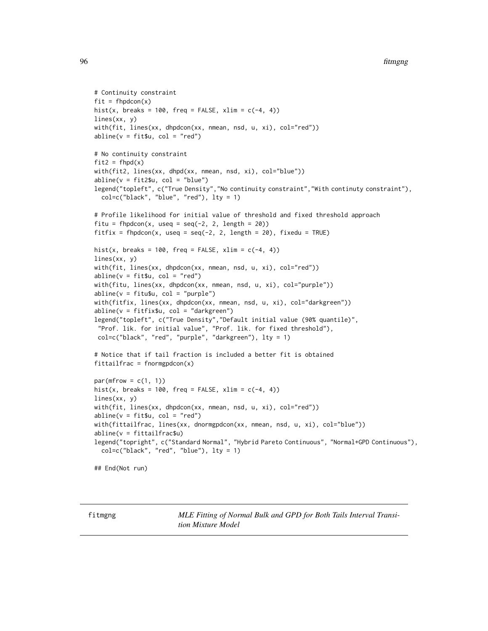```
# Continuity constraint
fit = fhpdcon(x)hist(x, breaks = 100, freq = FALSE, xlim = c(-4, 4))
lines(xx, y)
with(fit, lines(xx, dhpdcon(xx, nmean, nsd, u, xi), col="red"))
abline(v = fit $u, col = "red")# No continuity constraint
fit2 = f hpd(x)with(fit2, lines(xx, dhpd(xx, nmean, nsd, xi), col="blue"))
abline(v = fit2$u, col = "blue")legend("topleft", c("True Density","No continuity constraint","With continuty constraint"),
  col=c("black", "blue", "red"), lty = 1)
# Profile likelihood for initial value of threshold and fixed threshold approach
fitu = fhpdcon(x, useq = seq(-2, 2, length = 20))
fitfix = fhpdcon(x, useq = seq(-2, 2, length = 20), fixedu = TRUE)
hist(x, breaks = 100, freq = FALSE, xlim = c(-4, 4))
lines(xx, y)
with(fit, lines(xx, dhpdcon(xx, nmean, nsd, u, xi), col="red"))
abline(v = fit$u, col = "red")
with(fitu, lines(xx, dhpdcon(xx, nmean, nsd, u, xi), col="purple"))
abline(v = fitu$u, col = "purple")with(fitfix, lines(xx, dhpdcon(xx, nmean, nsd, u, xi), col="darkgreen"))
abline(v = fitfix$u, col = "darkgreen")
legend("topleft", c("True Density","Default initial value (90% quantile)",
 "Prof. lik. for initial value", "Prof. lik. for fixed threshold"),
 col=c("black", "red", "purple", "darkgreen"), lty = 1)
# Notice that if tail fraction is included a better fit is obtained
fittail frac = fromgydcon(x)par(mfrow = c(1, 1))hist(x, breaks = 100, freq = FALSE, xlim = c(-4, 4))
lines(xx, y)
with(fit, lines(xx, dhpdcon(xx, nmean, nsd, u, xi), col="red"))
abline(v = fit $u, col = "red")with(fittailfrac, lines(xx, dnormgpdcon(xx, nmean, nsd, u, xi), col="blue"))
abline(v = fittailfrac$u)
legend("topright", c("Standard Normal", "Hybrid Pareto Continuous", "Normal+GPD Continuous"),
  col=c("black", "red", "blue"), lty = 1)
## End(Not run)
```
<span id="page-95-1"></span>

<span id="page-95-0"></span>fitmgng *MLE Fitting of Normal Bulk and GPD for Both Tails Interval Transition Mixture Model*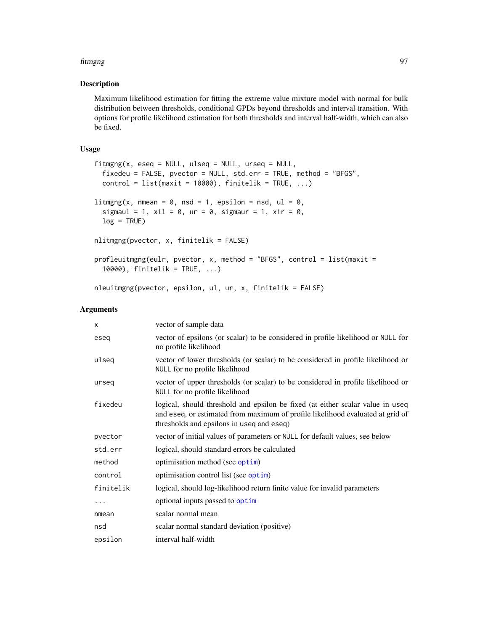#### fitmgng 97

## Description

Maximum likelihood estimation for fitting the extreme value mixture model with normal for bulk distribution between thresholds, conditional GPDs beyond thresholds and interval transition. With options for profile likelihood estimation for both thresholds and interval half-width, which can also be fixed.

## Usage

```
fitmgng(x, eseq = NULL, ulseq = NULL, urseq = NULL,
  fixedeu = FALSE, pvector = NULL, std.err = TRUE, method = "BFGS",
 control = list(maxit = 10000), finitelik = TRUE, ...)
litmgng(x, nmean = 0, nsd = 1, epsilon = nsd, ul = 0,
  sigmaul = 1, xil = 0, ur = 0, sigmaur = 1, xir = 0,
 log = TRUE)
nlitmgng(pvector, x, finitelik = FALSE)
profleuitmgng(eulr, pvector, x, method = "BFGS", control = list(maxit =
  10000), finitelik = TRUE, ...)
```
# nleuitmgng(pvector, epsilon, ul, ur, x, finitelik = FALSE)

# Arguments

| X         | vector of sample data                                                                                                                                                                                         |
|-----------|---------------------------------------------------------------------------------------------------------------------------------------------------------------------------------------------------------------|
| eseg      | vector of epsilons (or scalar) to be considered in profile likelihood or NULL for<br>no profile likelihood                                                                                                    |
| ulseq     | vector of lower thresholds (or scalar) to be considered in profile likelihood or<br>NULL for no profile likelihood                                                                                            |
| urseq     | vector of upper thresholds (or scalar) to be considered in profile likelihood or<br>NULL for no profile likelihood                                                                                            |
| fixedeu   | logical, should threshold and epsilon be fixed (at either scalar value in useq<br>and eseq, or estimated from maximum of profile likelihood evaluated at grid of<br>thresholds and epsilons in useq and eseq) |
| pvector   | vector of initial values of parameters or NULL for default values, see below                                                                                                                                  |
| std.err   | logical, should standard errors be calculated                                                                                                                                                                 |
| method    | optimisation method (see optim)                                                                                                                                                                               |
| control   | optimisation control list (see optim)                                                                                                                                                                         |
| finitelik | logical, should log-likelihood return finite value for invalid parameters                                                                                                                                     |
| $\cdots$  | optional inputs passed to optim                                                                                                                                                                               |
| nmean     | scalar normal mean                                                                                                                                                                                            |
| nsd       | scalar normal standard deviation (positive)                                                                                                                                                                   |
| epsilon   | interval half-width                                                                                                                                                                                           |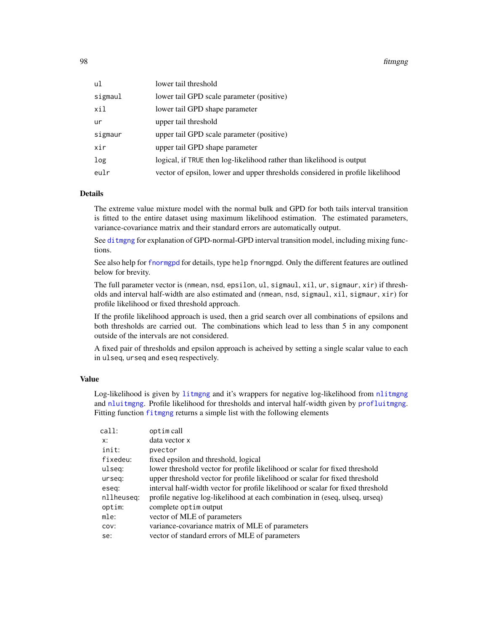98 fitmgng

| ul      | lower tail threshold                                                           |
|---------|--------------------------------------------------------------------------------|
| sigmaul | lower tail GPD scale parameter (positive)                                      |
| xil     | lower tail GPD shape parameter                                                 |
| ur      | upper tail threshold                                                           |
| sigmaur | upper tail GPD scale parameter (positive)                                      |
| xir     | upper tail GPD shape parameter                                                 |
| log     | logical, if TRUE then log-likelihood rather than likelihood is output          |
| eulr    | vector of epsilon, lower and upper thresholds considered in profile likelihood |

# Details

The extreme value mixture model with the normal bulk and GPD for both tails interval transition is fitted to the entire dataset using maximum likelihood estimation. The estimated parameters, variance-covariance matrix and their standard errors are automatically output.

See [ditmgng](#page-205-1) for explanation of GPD-normal-GPD interval transition model, including mixing functions.

See also help for [fnormgpd](#page-142-0) for details, type help fnormgpd. Only the different features are outlined below for brevity.

The full parameter vector is (nmean, nsd, epsilon, ul, sigmaul, xil, ur, sigmaur, xir) if thresholds and interval half-width are also estimated and (nmean, nsd, sigmaul, xil, sigmaur, xir) for profile likelihood or fixed threshold approach.

If the profile likelihood approach is used, then a grid search over all combinations of epsilons and both thresholds are carried out. The combinations which lead to less than 5 in any component outside of the intervals are not considered.

A fixed pair of thresholds and epsilon approach is acheived by setting a single scalar value to each in ulseq, urseq and eseq respectively.

# Value

Log-likelihood is given by [litmgng](#page-95-1) and it's wrappers for negative log-likelihood from [nlitmgng](#page-95-1) and [nluitmgng](#page-95-1). Profile likelihood for thresholds and interval half-width given by [profluitmgng](#page-95-1). Fitting function fiture returns a simple list with the following elements

| optim call                                                                      |
|---------------------------------------------------------------------------------|
| data vector x                                                                   |
| pvector                                                                         |
| fixed epsilon and threshold, logical                                            |
| lower threshold vector for profile likelihood or scalar for fixed threshold     |
| upper threshold vector for profile likelihood or scalar for fixed threshold     |
| interval half-width vector for profile likelihood or scalar for fixed threshold |
| profile negative log-likelihood at each combination in (eseq, ulseq, urseq)     |
| complete optim output                                                           |
| vector of MLE of parameters                                                     |
| variance-covariance matrix of MLE of parameters                                 |
| vector of standard errors of MLE of parameters                                  |
|                                                                                 |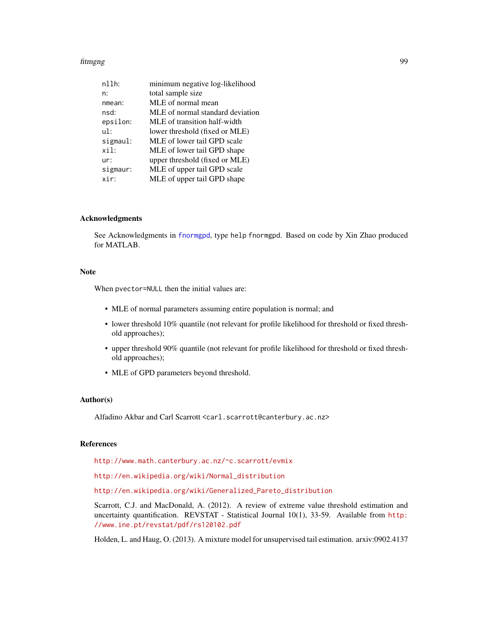#### fitmgng 99

| $n11h$ : | minimum negative log-likelihood  |
|----------|----------------------------------|
| n:       | total sample size                |
| nmean:   | MLE of normal mean               |
| nsd:     | MLE of normal standard deviation |
| epsilon: | MLE of transition half-width     |
| ul:      | lower threshold (fixed or MLE)   |
| sigmaul: | MLE of lower tail GPD scale      |
| xil:     | MLE of lower tail GPD shape      |
| ur:      | upper threshold (fixed or MLE)   |
| sigmaur: | MLE of upper tail GPD scale      |
| xir:     | MLE of upper tail GPD shape      |

## Acknowledgments

See Acknowledgments in [fnormgpd](#page-142-0), type help fnormgpd. Based on code by Xin Zhao produced for MATLAB.

# Note

When pvector=NULL then the initial values are:

- MLE of normal parameters assuming entire population is normal; and
- lower threshold 10% quantile (not relevant for profile likelihood for threshold or fixed threshold approaches);
- upper threshold 90% quantile (not relevant for profile likelihood for threshold or fixed threshold approaches);
- MLE of GPD parameters beyond threshold.

# Author(s)

Alfadino Akbar and Carl Scarrott <carl.scarrott@canterbury.ac.nz>

## References

<http://www.math.canterbury.ac.nz/~c.scarrott/evmix>

[http://en.wikipedia.org/wiki/Normal\\_distribution](http://en.wikipedia.org/wiki/Normal_distribution)

[http://en.wikipedia.org/wiki/Generalized\\_Pareto\\_distribution](http://en.wikipedia.org/wiki/Generalized_Pareto_distribution)

Scarrott, C.J. and MacDonald, A. (2012). A review of extreme value threshold estimation and uncertainty quantification. REVSTAT - Statistical Journal 10(1), 33-59. Available from [http:](http://www.ine.pt/revstat/pdf/rs120102.pdf) [//www.ine.pt/revstat/pdf/rs120102.pdf](http://www.ine.pt/revstat/pdf/rs120102.pdf)

Holden, L. and Haug, O. (2013). A mixture model for unsupervised tail estimation. arxiv:0902.4137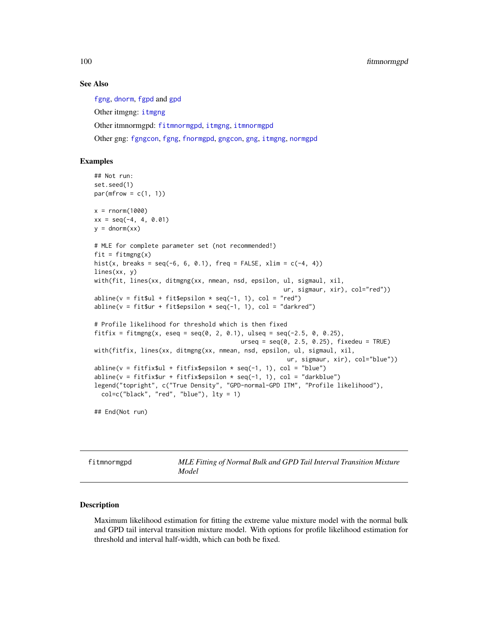## See Also

[fgng](#page-75-0), [dnorm](#page-0-0), [fgpd](#page-84-0) and [gpd](#page-190-0) Other itmgng: [itmgng](#page-205-0) Other itmnormgpd: [fitmnormgpd](#page-99-0), [itmgng](#page-205-0), [itmnormgpd](#page-208-0) Other gng: [fgngcon](#page-80-0), [fgng](#page-75-0), [fnormgpd](#page-142-0), [gngcon](#page-186-0), [gng](#page-183-0), [itmgng](#page-205-0), [normgpd](#page-250-0)

## Examples

```
## Not run:
set.seed(1)
par(mfrow = c(1, 1))x = rnorm(1000)xx = seq(-4, 4, 0.01)y = \text{dnorm}(xx)# MLE for complete parameter set (not recommended!)
fit = fitmgng(x)hist(x, breaks = seq(-6, 6, 0.1), freq = FALSE, xlim = c(-4, 4))
lines(xx, y)
with(fit, lines(xx, ditmgng(xx, nmean, nsd, epsilon, ul, sigmaul, xil,
                                                      ur, sigmaur, xir), col="red"))
abline(v = \text{fit}$ul + fit$epsilon * seq(-1, 1), col = "red")
abline(v = fit$ur + fit$epsilon is 1 on * seq(-1, 1), col = "darkred")# Profile likelihood for threshold which is then fixed
fitfix = fitmgng(x, eseq = seq(0, 2, 0.1), ulseq = seq(-2.5, 0, 0.25),
                                          urseq = seq(0, 2.5, 0.25), fixedeu = TRUE)
with(fitfix, lines(xx, ditmgng(xx, nmean, nsd, epsilon, ul, sigmaul, xil,
                                                       ur, sigmaur, xir), col="blue"))
abline(v = fitrfix$ul + fitfix$epsilon * seq(-1, 1), col = "blue")
abline(v = fitfix$ur + fitfix$epsilon * seq(-1, 1), col = "darkblue")
legend("topright", c("True Density", "GPD-normal-GPD ITM", "Profile likelihood"),
  col=c("black", "red", "blue"), lty = 1)
```
## End(Not run)

<span id="page-99-0"></span>fitmnormgpd *MLE Fitting of Normal Bulk and GPD Tail Interval Transition Mixture Model*

# <span id="page-99-1"></span>Description

Maximum likelihood estimation for fitting the extreme value mixture model with the normal bulk and GPD tail interval transition mixture model. With options for profile likelihood estimation for threshold and interval half-width, which can both be fixed.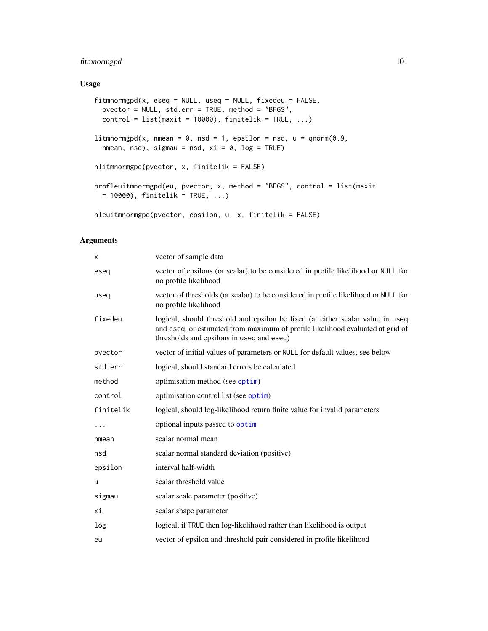# fitmnormgpd 101

# Usage

```
fitmnormgpd(x, eseq = NULL, useq = NULL, fixedeu = FALSE,
 pvector = NULL, std.err = TRUE, method = "BFGS",
 control = list(maxit = 10000), finitelik = TRUE, ...)litmnormgpd(x, nmean = 0, nsd = 1, epsilon = nsd, u = qnorm(0.9,
  nmean, nsd), sigmau = nsd, xi = 0, log = TRUE)
nlitmnormgpd(pvector, x, finitelik = FALSE)
profleuitmnormgpd(eu, pvector, x, method = "BFGS", control = list(maxit
 = 10000, finitelik = TRUE, ...)
nleuitmnormgpd(pvector, epsilon, u, x, finitelik = FALSE)
```
## Arguments

| X         | vector of sample data                                                                                                                                                                                         |
|-----------|---------------------------------------------------------------------------------------------------------------------------------------------------------------------------------------------------------------|
| eseq      | vector of epsilons (or scalar) to be considered in profile likelihood or NULL for<br>no profile likelihood                                                                                                    |
| useg      | vector of thresholds (or scalar) to be considered in profile likelihood or NULL for<br>no profile likelihood                                                                                                  |
| fixedeu   | logical, should threshold and epsilon be fixed (at either scalar value in useq<br>and eseq, or estimated from maximum of profile likelihood evaluated at grid of<br>thresholds and epsilons in useq and eseq) |
| pvector   | vector of initial values of parameters or NULL for default values, see below                                                                                                                                  |
| std.err   | logical, should standard errors be calculated                                                                                                                                                                 |
| method    | optimisation method (see optim)                                                                                                                                                                               |
| control   | optimisation control list (see optim)                                                                                                                                                                         |
| finitelik | logical, should log-likelihood return finite value for invalid parameters                                                                                                                                     |
| .         | optional inputs passed to optim                                                                                                                                                                               |
| nmean     | scalar normal mean                                                                                                                                                                                            |
| nsd       | scalar normal standard deviation (positive)                                                                                                                                                                   |
| epsilon   | interval half-width                                                                                                                                                                                           |
| u         | scalar threshold value                                                                                                                                                                                        |
| sigmau    | scalar scale parameter (positive)                                                                                                                                                                             |
| хi        | scalar shape parameter                                                                                                                                                                                        |
| log       | logical, if TRUE then log-likelihood rather than likelihood is output                                                                                                                                         |
| eu        | vector of epsilon and threshold pair considered in profile likelihood                                                                                                                                         |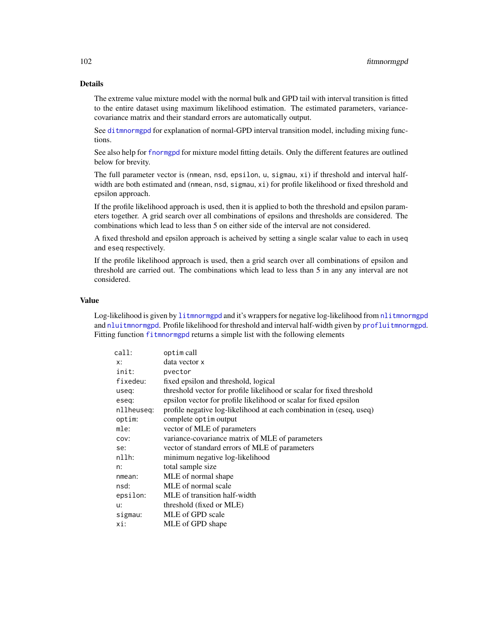# Details

The extreme value mixture model with the normal bulk and GPD tail with interval transition is fitted to the entire dataset using maximum likelihood estimation. The estimated parameters, variancecovariance matrix and their standard errors are automatically output.

See [ditmnormgpd](#page-208-1) for explanation of normal-GPD interval transition model, including mixing functions.

See also help for [fnormgpd](#page-142-0) for mixture model fitting details. Only the different features are outlined below for brevity.

The full parameter vector is (nmean, nsd, epsilon, u, sigmau, xi) if threshold and interval halfwidth are both estimated and (nmean, nsd, sigmau, xi) for profile likelihood or fixed threshold and epsilon approach.

If the profile likelihood approach is used, then it is applied to both the threshold and epsilon parameters together. A grid search over all combinations of epsilons and thresholds are considered. The combinations which lead to less than 5 on either side of the interval are not considered.

A fixed threshold and epsilon approach is acheived by setting a single scalar value to each in useq and eseq respectively.

If the profile likelihood approach is used, then a grid search over all combinations of epsilon and threshold are carried out. The combinations which lead to less than 5 in any any interval are not considered.

#### Value

Log-likelihood is given by [litmnormgpd](#page-99-1) and it's wrappers for negative log-likelihood from [nlitmnormgpd](#page-99-1) and [nluitmnormgpd](#page-99-1). Profile likelihood for threshold and interval half-width given by [profluitmnormgpd](#page-99-1). Fitting function [fitmnormgpd](#page-99-0) returns a simple list with the following elements

| call:      | optim call                                                            |
|------------|-----------------------------------------------------------------------|
| x:         | data vector x                                                         |
| init:      | pvector                                                               |
| fixedeu:   | fixed epsilon and threshold, logical                                  |
| useq:      | threshold vector for profile likelihood or scalar for fixed threshold |
| eseg:      | epsilon vector for profile likelihood or scalar for fixed epsilon     |
| nllheuseq: | profile negative log-likelihood at each combination in (eseq, useq)   |
| optim:     | complete optim output                                                 |
| mle:       | vector of MLE of parameters                                           |
| COV:       | variance-covariance matrix of MLE of parameters                       |
| se:        | vector of standard errors of MLE of parameters                        |
| nllh:      | minimum negative log-likelihood                                       |
| n:         | total sample size                                                     |
| nmean:     | MLE of normal shape                                                   |
| nsd:       | MLE of normal scale                                                   |
| epsilon:   | MLE of transition half-width                                          |
| u:         | threshold (fixed or MLE)                                              |
| sigmau:    | MLE of GPD scale                                                      |
| xi:        | MLE of GPD shape                                                      |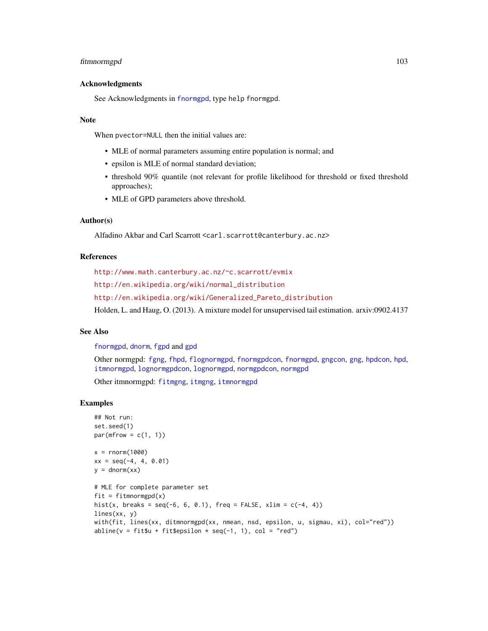# fitmnormgpd 103

## Acknowledgments

See Acknowledgments in [fnormgpd](#page-142-0), type help fnormgpd.

## **Note**

When pvector=NULL then the initial values are:

- MLE of normal parameters assuming entire population is normal; and
- epsilon is MLE of normal standard deviation;
- threshold 90% quantile (not relevant for profile likelihood for threshold or fixed threshold approaches);
- MLE of GPD parameters above threshold.

## Author(s)

Alfadino Akbar and Carl Scarrott <carl.scarrott@canterbury.ac.nz>

## References

<http://www.math.canterbury.ac.nz/~c.scarrott/evmix> [http://en.wikipedia.org/wiki/normal\\_distribution](http://en.wikipedia.org/wiki/normal_distribution) [http://en.wikipedia.org/wiki/Generalized\\_Pareto\\_distribution](http://en.wikipedia.org/wiki/Generalized_Pareto_distribution) Holden, L. and Haug, O. (2013). A mixture model for unsupervised tail estimation. arxiv:0902.4137

## See Also

[fnormgpd](#page-142-0), [dnorm](#page-0-0), [fgpd](#page-84-0) and [gpd](#page-190-0)

Other normgpd: [fgng](#page-75-0), [fhpd](#page-88-0), [flognormgpd](#page-121-0), [fnormgpdcon](#page-148-0), [fnormgpd](#page-142-0), [gngcon](#page-186-0), [gng](#page-183-0), [hpdcon](#page-200-0), [hpd](#page-197-0), [itmnormgpd](#page-208-0), [lognormgpdcon](#page-235-0), [lognormgpd](#page-232-0), [normgpdcon](#page-253-0), [normgpd](#page-250-0) Other itmnormgpd: [fitmgng](#page-95-0), [itmgng](#page-205-0), [itmnormgpd](#page-208-0)

#### Examples

```
## Not run:
set.seed(1)
par(mfrow = c(1, 1))x = rnorm(1000)xx = seq(-4, 4, 0.01)y = \text{dnorm}(xx)# MLE for complete parameter set
fit = fitmmormgpd(x)hist(x, breaks = seq(-6, 6, 0.1), freq = FALSE, xlim = c(-4, 4))
lines(xx, y)
with(fit, lines(xx, ditmnormgpd(xx, nmean, nsd, epsilon, u, sigmau, xi), col="red"))
abline(v = \text{fit}$u + \text{fit}$epsilon * seq(-1, 1), col = "red")
```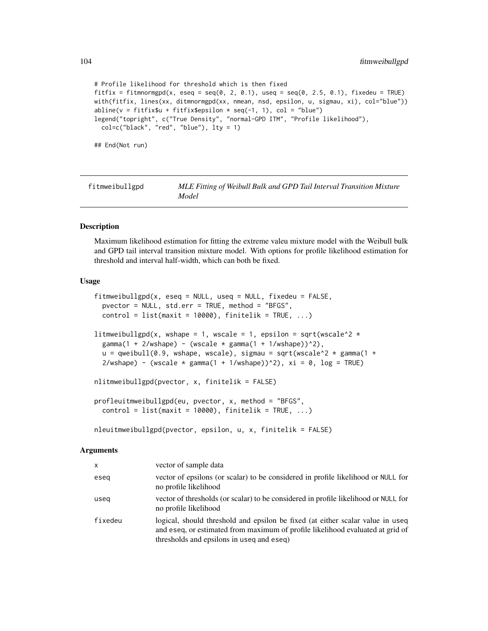```
# Profile likelihood for threshold which is then fixed
fitfix = fitmnormgpd(x, eseq = seq(0, 2, 0.1), useq = seq(0, 2.5, 0.1), fixedeu = TRUE)
with(fitfix, lines(xx, ditmnormgpd(xx, nmean, nsd, epsilon, u, sigmau, xi), col="blue"))
abline(v = \text{fitfix}$u + fitfix$epsilon * seq(-1, 1), col = "blue")
legend("topright", c("True Density", "normal-GPD ITM", "Profile likelihood"),
 col=c("black", "red", "blue"), lty = 1)
## End(Not run)
```
<span id="page-103-1"></span>fitmweibullgpd *MLE Fitting of Weibull Bulk and GPD Tail Interval Transition Mixture Model*

## <span id="page-103-0"></span>Description

Maximum likelihood estimation for fitting the extreme valeu mixture model with the Weibull bulk and GPD tail interval transition mixture model. With options for profile likelihood estimation for threshold and interval half-width, which can both be fixed.

#### Usage

```
fitmweibullgpd(x, eseq = NULL, useq = NULL, fixedeu = FALSE,
 pvector = NULL, std.err = TRUE, method = "BFGS",
  control = list(maxit = 10000), finitelik = TRUE, ...)
litmweibullgpd(x, wshape = 1, wscale = 1, epsilon = sqrt(wscale^2 *gamma(1 + 2/wshape) - (wscale * gamma(1 + 1/wshape))^2),
  u = qweibull(0.9, wshape, wscale), sigmau = sqrt(wscale^2 * gamma(1 +
  2/wshape) - (wscale * gamma(1 + 1/wshape))^2), xi = 0, log = TRUE)
nlitmweibullgpd(pvector, x, finitelik = FALSE)
profleuitmweibullgpd(eu, pvector, x, method = "BFGS",
  control = list(maxit = 10000), finitelik = TRUE, ...)
nleuitmweibullgpd(pvector, epsilon, u, x, finitelik = FALSE)
```
#### Arguments

| X       | vector of sample data                                                                                                                                                                                         |
|---------|---------------------------------------------------------------------------------------------------------------------------------------------------------------------------------------------------------------|
| eseg    | vector of epsilons (or scalar) to be considered in profile likelihood or NULL for<br>no profile likelihood                                                                                                    |
| useg    | vector of thresholds (or scalar) to be considered in profile likelihood or NULL for<br>no profile likelihood                                                                                                  |
| fixedeu | logical, should threshold and epsilon be fixed (at either scalar value in useq<br>and eseq, or estimated from maximum of profile likelihood evaluated at grid of<br>thresholds and epsilons in useq and eseq) |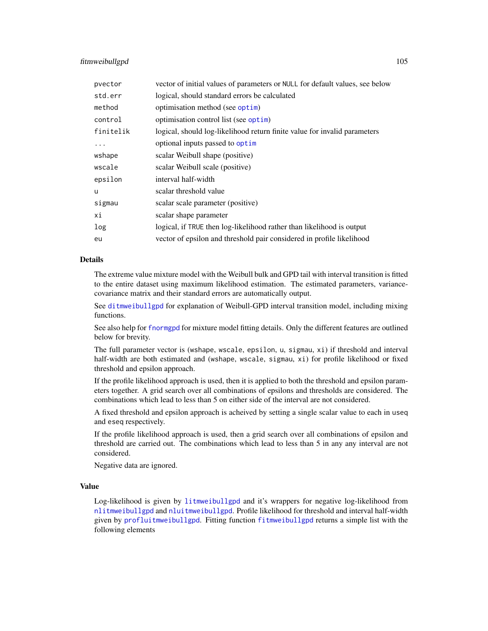# fitmweibullgpd 105

| pvector   | vector of initial values of parameters or NULL for default values, see below |
|-----------|------------------------------------------------------------------------------|
| std.err   | logical, should standard errors be calculated                                |
| method    | optimisation method (see optim)                                              |
| control   | optimisation control list (see optim)                                        |
| finitelik | logical, should log-likelihood return finite value for invalid parameters    |
| $\ddots$  | optional inputs passed to optim                                              |
| wshape    | scalar Weibull shape (positive)                                              |
| wscale    | scalar Weibull scale (positive)                                              |
| epsilon   | interval half-width                                                          |
| u         | scalar threshold value                                                       |
| sigmau    | scalar scale parameter (positive)                                            |
| хi        | scalar shape parameter                                                       |
| log       | logical, if TRUE then log-likelihood rather than likelihood is output        |
| eu        | vector of epsilon and threshold pair considered in profile likelihood        |

# Details

The extreme value mixture model with the Weibull bulk and GPD tail with interval transition is fitted to the entire dataset using maximum likelihood estimation. The estimated parameters, variancecovariance matrix and their standard errors are automatically output.

See [ditmweibullgpd](#page-212-0) for explanation of Weibull-GPD interval transition model, including mixing functions.

See also help for [fnormgpd](#page-142-0) for mixture model fitting details. Only the different features are outlined below for brevity.

The full parameter vector is (wshape, wscale, epsilon, u, sigmau, xi) if threshold and interval half-width are both estimated and (wshape, wscale, sigmau, xi) for profile likelihood or fixed threshold and epsilon approach.

If the profile likelihood approach is used, then it is applied to both the threshold and epsilon parameters together. A grid search over all combinations of epsilons and thresholds are considered. The combinations which lead to less than 5 on either side of the interval are not considered.

A fixed threshold and epsilon approach is acheived by setting a single scalar value to each in useq and eseq respectively.

If the profile likelihood approach is used, then a grid search over all combinations of epsilon and threshold are carried out. The combinations which lead to less than 5 in any any interval are not considered.

Negative data are ignored.

# Value

Log-likelihood is given by [litmweibullgpd](#page-103-0) and it's wrappers for negative log-likelihood from [nlitmweibullgpd](#page-103-0) and [nluitmweibullgpd](#page-103-0). Profile likelihood for threshold and interval half-width given by [profluitmweibullgpd](#page-103-0). Fitting function [fitmweibullgpd](#page-103-1) returns a simple list with the following elements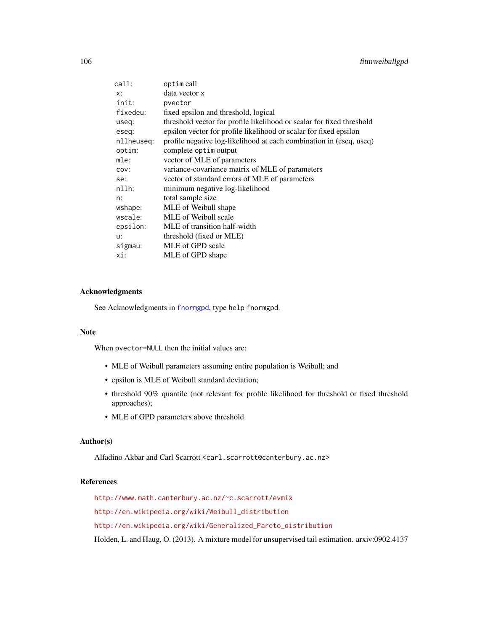| call:      | optim call                                                            |
|------------|-----------------------------------------------------------------------|
| x:         | data vector x                                                         |
| init:      | pvector                                                               |
| fixedeu:   | fixed epsilon and threshold, logical                                  |
| useq:      | threshold vector for profile likelihood or scalar for fixed threshold |
| eseg:      | epsilon vector for profile likelihood or scalar for fixed epsilon     |
| nllheuseg: | profile negative log-likelihood at each combination in (eseq, useq)   |
| optim:     | complete optim output                                                 |
| mle:       | vector of MLE of parameters                                           |
| COV:       | variance-covariance matrix of MLE of parameters                       |
| se:        | vector of standard errors of MLE of parameters                        |
| nllh:      | minimum negative log-likelihood                                       |
| n:         | total sample size                                                     |
| wshape:    | MLE of Weibull shape                                                  |
| wscale:    | MLE of Weibull scale                                                  |
| epsilon:   | MLE of transition half-width                                          |
| u:         | threshold (fixed or MLE)                                              |
| sigmau:    | MLE of GPD scale                                                      |
| xi:        | MLE of GPD shape                                                      |
|            |                                                                       |

# Acknowledgments

See Acknowledgments in [fnormgpd](#page-142-0), type help fnormgpd.

#### Note

When pvector=NULL then the initial values are:

- MLE of Weibull parameters assuming entire population is Weibull; and
- epsilon is MLE of Weibull standard deviation;
- threshold 90% quantile (not relevant for profile likelihood for threshold or fixed threshold approaches);
- MLE of GPD parameters above threshold.

## Author(s)

Alfadino Akbar and Carl Scarrott <carl.scarrott@canterbury.ac.nz>

# References

<http://www.math.canterbury.ac.nz/~c.scarrott/evmix>

[http://en.wikipedia.org/wiki/Weibull\\_distribution](http://en.wikipedia.org/wiki/Weibull_distribution)

[http://en.wikipedia.org/wiki/Generalized\\_Pareto\\_distribution](http://en.wikipedia.org/wiki/Generalized_Pareto_distribution)

Holden, L. and Haug, O. (2013). A mixture model for unsupervised tail estimation. arxiv:0902.4137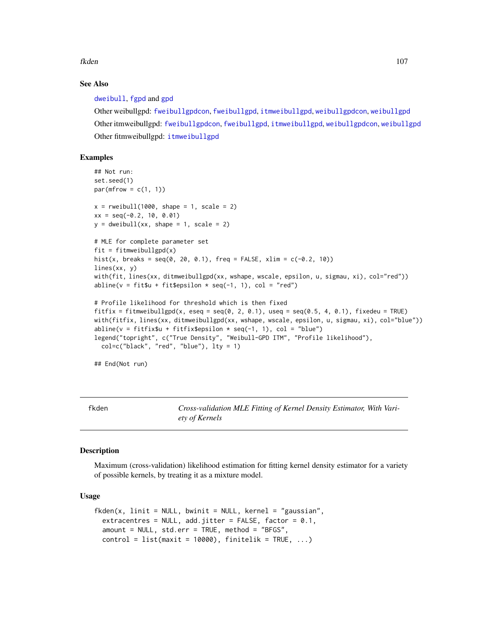fkden aan de begin it de offisjele begin it de offisjele begin it de offisjele begin it de offisjele begin it de offisjele begin it de offisjele begin it de offisjele begin it de offisjele begin it de offisjele begin it de

# See Also

[dweibull](#page-0-0), [fgpd](#page-84-0) and [gpd](#page-190-0)

Other weibullgpd: [fweibullgpdcon](#page-164-0), [fweibullgpd](#page-160-0), [itmweibullgpd](#page-212-1), [weibullgpdcon](#page-272-0), [weibullgpd](#page-269-0) Other itmweibullgpd: [fweibullgpdcon](#page-164-0), [fweibullgpd](#page-160-0), [itmweibullgpd](#page-212-1), [weibullgpdcon](#page-272-0), [weibullgpd](#page-269-0) Other fitmweibullgpd: [itmweibullgpd](#page-212-1)

# Examples

```
## Not run:
set.seed(1)
par(mfrow = c(1, 1))x = rweibull(1000, shape = 1, scale = 2)
xx = seq(-0.2, 10, 0.01)y = dweibull(xx, shape = 1, scale = 2)# MLE for complete parameter set
fit = fit mweibullgpd(x)hist(x, breaks = seq(0, 20, 0.1), freq = FALSE, xlim = c(-0.2, 10))
lines(xx, y)
with(fit, lines(xx, ditmweibullgpd(xx, wshape, wscale, epsilon, u, sigmau, xi), col="red"))
abline(v = \text{fit}$u + fit$epsilon * seq(-1, 1), col = "red")
# Profile likelihood for threshold which is then fixed
fitfix = fitmweibullgpd(x, eseq = seq(0, 2, 0.1), useq = seq(0.5, 4, 0.1), fixedeu = TRUE)
with(fitfix, lines(xx, ditmweibullgpd(xx, wshape, wscale, epsilon, u, sigmau, xi), col="blue"))
abline(v = fitfix$u + fitfix$epsilon * seq(-1, 1), col = "blue")
legend("topright", c("True Density", "Weibull-GPD ITM", "Profile likelihood"),
 col=c("black", "red", "blue"), lty = 1)
```
## End(Not run)

<span id="page-106-0"></span>fkden *Cross-validation MLE Fitting of Kernel Density Estimator, With Variety of Kernels*

## **Description**

Maximum (cross-validation) likelihood estimation for fitting kernel density estimator for a variety of possible kernels, by treating it as a mixture model.

## Usage

```
fkden(x, linit = NULL, bwinit = NULL, kernel = "gaussian",
  extracentres = NULL, add.jitter = FALSE, factor = 0.1,
 amount = NULL, std.err = TRUE, method = "BFGS",
  control = list(maxit = 10000), finitelik = TRUE, ...)
```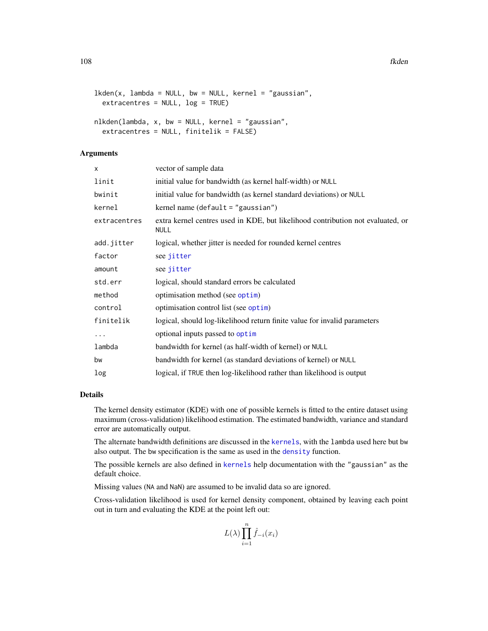```
lkden(x, lambda = NULL, bw = NULL, kernel = "gaussian",
 extracentres = NULL, log = TRUE)
nlkden(lambda, x, bw = NULL, kernel = "gaussian",
  extracentres = NULL, finitelik = FALSE)
```
## Arguments

| X            | vector of sample data                                                                          |
|--------------|------------------------------------------------------------------------------------------------|
| linit        | initial value for bandwidth (as kernel half-width) or NULL                                     |
| bwinit       | initial value for bandwidth (as kernel standard deviations) or NULL                            |
| kernel       | kernel name $(\text{default} = "gaussian")$                                                    |
| extracentres | extra kernel centres used in KDE, but likelihood contribution not evaluated, or<br><b>NULL</b> |
| add.jitter   | logical, whether jitter is needed for rounded kernel centres                                   |
| factor       | see jitter                                                                                     |
| amount       | see jitter                                                                                     |
| std.err      | logical, should standard errors be calculated                                                  |
| method       | optimisation method (see optim)                                                                |
| control      | optimisation control list (see optim)                                                          |
| finitelik    | logical, should log-likelihood return finite value for invalid parameters                      |
| $\cdots$     | optional inputs passed to optim                                                                |
| lambda       | bandwidth for kernel (as half-width of kernel) or NULL                                         |
| bw           | bandwidth for kernel (as standard deviations of kernel) or NULL                                |
| log          | logical, if TRUE then log-likelihood rather than likelihood is output                          |

# Details

The kernel density estimator (KDE) with one of possible kernels is fitted to the entire dataset using maximum (cross-validation) likelihood estimation. The estimated bandwidth, variance and standard error are automatically output.

The alternate bandwidth definitions are discussed in the [kernels](#page-226-0), with the lambda used here but bw also output. The bw specification is the same as used in the [density](#page-0-0) function.

The possible kernels are also defined in [kernels](#page-226-0) help documentation with the "gaussian" as the default choice.

Missing values (NA and NaN) are assumed to be invalid data so are ignored.

Cross-validation likelihood is used for kernel density component, obtained by leaving each point out in turn and evaluating the KDE at the point left out:

$$
L(\lambda) \prod_{i=1}^{n} \hat{f}_{-i}(x_i)
$$

Yn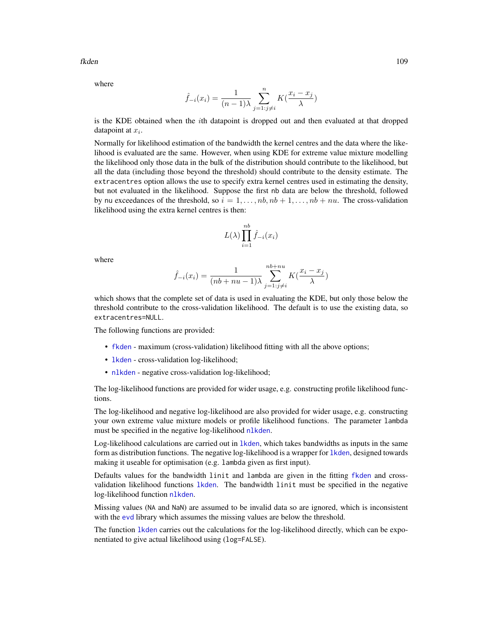fkden til 109 med til 109 med til 109 med til 109 med til 109 med til 109 med til 109 med til 109 med til 109 med til 109 med til 109 med til 109 med til 109 med til 109 med til 109 med til 109 med til 109 med til 109 med

where

$$
\hat{f}_{-i}(x_i) = \frac{1}{(n-1)\lambda} \sum_{j=1:j\neq i}^{n} K(\frac{x_i - x_j}{\lambda})
$$

is the KDE obtained when the ith datapoint is dropped out and then evaluated at that dropped datapoint at  $x_i$ .

Normally for likelihood estimation of the bandwidth the kernel centres and the data where the likelihood is evaluated are the same. However, when using KDE for extreme value mixture modelling the likelihood only those data in the bulk of the distribution should contribute to the likelihood, but all the data (including those beyond the threshold) should contribute to the density estimate. The extracentres option allows the use to specify extra kernel centres used in estimating the density, but not evaluated in the likelihood. Suppose the first nb data are below the threshold, followed by nu exceedances of the threshold, so  $i = 1, \ldots, nb, nb + 1, \ldots, nb + nu$ . The cross-validation likelihood using the extra kernel centres is then:

$$
L(\lambda) \prod_{i=1}^{nb} \hat{f}_{-i}(x_i)
$$

where

$$
\hat{f}_{-i}(x_i) = \frac{1}{(nb+nu-1)\lambda} \sum_{j=1:j\neq i}^{nb+nu} K(\frac{x_i - x_j}{\lambda})
$$

which shows that the complete set of data is used in evaluating the KDE, but only those below the threshold contribute to the cross-validation likelihood. The default is to use the existing data, so extracentres=NULL.

The following functions are provided:

- [fkden](#page-106-0) maximum (cross-validation) likelihood fitting with all the above options;
- [lkden](#page-106-1) cross-validation log-likelihood;
- [nlkden](#page-106-1) negative cross-validation log-likelihood;

The log-likelihood functions are provided for wider usage, e.g. constructing profile likelihood functions.

The log-likelihood and negative log-likelihood are also provided for wider usage, e.g. constructing your own extreme value mixture models or profile likelihood functions. The parameter lambda must be specified in the negative log-likelihood [nlkden](#page-106-1).

Log-likelihood calculations are carried out in [lkden](#page-106-1), which takes bandwidths as inputs in the same form as distribution functions. The negative log-likelihood is a wrapper for [lkden](#page-106-1), designed towards making it useable for optimisation (e.g. lambda given as first input).

Defaults values for the bandwidth linit and lambda are given in the fitting [fkden](#page-106-0) and crossvalidation likelihood functions [lkden](#page-106-1). The bandwidth linit must be specified in the negative log-likelihood function [nlkden](#page-106-1).

Missing values (NA and NaN) are assumed to be invalid data so are ignored, which is inconsistent with the [evd](#page-0-0) library which assumes the missing values are below the threshold.

The function [lkden](#page-106-1) carries out the calculations for the log-likelihood directly, which can be exponentiated to give actual likelihood using (log=FALSE).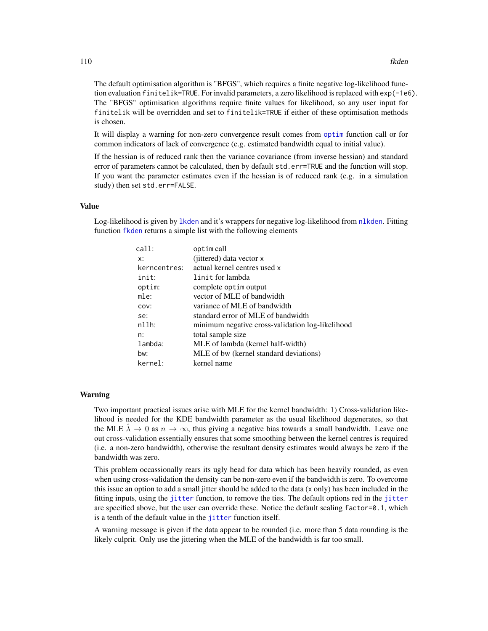The default optimisation algorithm is "BFGS", which requires a finite negative log-likelihood function evaluation finitelik=TRUE. For invalid parameters, a zero likelihood is replaced with exp(-1e6). The "BFGS" optimisation algorithms require finite values for likelihood, so any user input for finitelik will be overridden and set to finitelik=TRUE if either of these optimisation methods is chosen.

It will display a warning for non-zero convergence result comes from [optim](#page-0-0) function call or for common indicators of lack of convergence (e.g. estimated bandwidth equal to initial value).

If the hessian is of reduced rank then the variance covariance (from inverse hessian) and standard error of parameters cannot be calculated, then by default std.err=TRUE and the function will stop. If you want the parameter estimates even if the hessian is of reduced rank (e.g. in a simulation study) then set std.err=FALSE.

# Value

Log-likelihood is given by [lkden](#page-106-1) and it's wrappers for negative log-likelihood from [nlkden](#page-106-1). Fitting function [fkden](#page-106-0) returns a simple list with the following elements

| $cal1$ :     | optim call                                       |
|--------------|--------------------------------------------------|
| x:           | (jittered) data vector x                         |
| kerncentres: | actual kernel centres used x                     |
| init:        | linit for lambda                                 |
| optim:       | complete optim output                            |
| mle:         | vector of MLE of bandwidth                       |
| COV:         | variance of MLE of bandwidth                     |
| se:          | standard error of MLE of bandwidth               |
| n11h:        | minimum negative cross-validation log-likelihood |
| n:           | total sample size                                |
| lambda:      | MLE of lambda (kernel half-width)                |
| bw:          | MLE of bw (kernel standard deviations)           |
| kernel:      | kernel name                                      |
|              |                                                  |

#### Warning

Two important practical issues arise with MLE for the kernel bandwidth: 1) Cross-validation likelihood is needed for the KDE bandwidth parameter as the usual likelihood degenerates, so that the MLE  $\hat{\lambda} \to 0$  as  $n \to \infty$ , thus giving a negative bias towards a small bandwidth. Leave one out cross-validation essentially ensures that some smoothing between the kernel centres is required (i.e. a non-zero bandwidth), otherwise the resultant density estimates would always be zero if the bandwidth was zero.

This problem occassionally rears its ugly head for data which has been heavily rounded, as even when using cross-validation the density can be non-zero even if the bandwidth is zero. To overcome this issue an option to add a small jitter should be added to the data (x only) has been included in the fitting inputs, using the [jitter](#page-0-0) function, to remove the ties. The default options red in the [jitter](#page-0-0) are specified above, but the user can override these. Notice the default scaling factor=0.1, which is a tenth of the default value in the [jitter](#page-0-0) function itself.

A warning message is given if the data appear to be rounded (i.e. more than 5 data rounding is the likely culprit. Only use the jittering when the MLE of the bandwidth is far too small.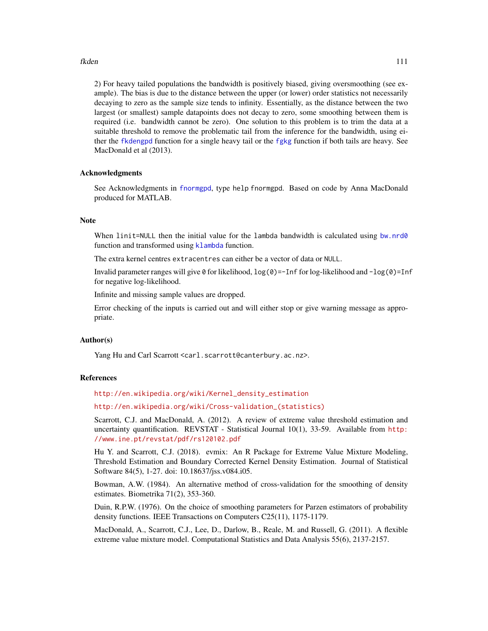#### fkden af det større en storte af de større en storte af de større en storte af de større en storte af de størr

2) For heavy tailed populations the bandwidth is positively biased, giving oversmoothing (see example). The bias is due to the distance between the upper (or lower) order statistics not necessarily decaying to zero as the sample size tends to infinity. Essentially, as the distance between the two largest (or smallest) sample datapoints does not decay to zero, some smoothing between them is required (i.e. bandwidth cannot be zero). One solution to this problem is to trim the data at a suitable threshold to remove the problematic tail from the inference for the bandwidth, using either the [fkdengpd](#page-112-0) function for a single heavy tail or the [fgkg](#page-65-0) function if both tails are heavy. See MacDonald et al (2013).

## Acknowledgments

See Acknowledgments in [fnormgpd](#page-142-0), type help fnormgpd. Based on code by Anna MacDonald produced for MATLAB.

#### **Note**

When linit=NULL then the initial value for the lambda bandwidth is calculated using [bw.nrd0](#page-0-0) function and transformed using [klambda](#page-229-0) function.

The extra kernel centres extracentres can either be a vector of data or NULL.

Invalid parameter ranges will give  $\theta$  for likelihood,  $\log(\theta) = -\ln f$  for log-likelihood and  $-\log(\theta) = \ln f$ for negative log-likelihood.

Infinite and missing sample values are dropped.

Error checking of the inputs is carried out and will either stop or give warning message as appropriate.

# Author(s)

Yang Hu and Carl Scarrott <carl.scarrott@canterbury.ac.nz>.

#### References

[http://en.wikipedia.org/wiki/Kernel\\_density\\_estimation](http://en.wikipedia.org/wiki/Kernel_density_estimation)

[http://en.wikipedia.org/wiki/Cross-validation\\_\(statistics\)](http://en.wikipedia.org/wiki/Cross-validation_(statistics))

Scarrott, C.J. and MacDonald, A. (2012). A review of extreme value threshold estimation and uncertainty quantification. REVSTAT - Statistical Journal 10(1), 33-59. Available from [http:](http://www.ine.pt/revstat/pdf/rs120102.pdf) [//www.ine.pt/revstat/pdf/rs120102.pdf](http://www.ine.pt/revstat/pdf/rs120102.pdf)

Hu Y. and Scarrott, C.J. (2018). evmix: An R Package for Extreme Value Mixture Modeling, Threshold Estimation and Boundary Corrected Kernel Density Estimation. Journal of Statistical Software 84(5), 1-27. doi: 10.18637/jss.v084.i05.

Bowman, A.W. (1984). An alternative method of cross-validation for the smoothing of density estimates. Biometrika 71(2), 353-360.

Duin, R.P.W. (1976). On the choice of smoothing parameters for Parzen estimators of probability density functions. IEEE Transactions on Computers C25(11), 1175-1179.

MacDonald, A., Scarrott, C.J., Lee, D., Darlow, B., Reale, M. and Russell, G. (2011). A flexible extreme value mixture model. Computational Statistics and Data Analysis 55(6), 2137-2157.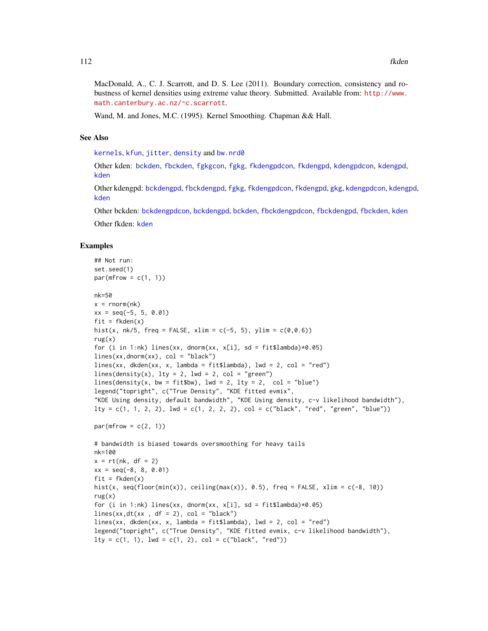MacDonald, A., C. J. Scarrott, and D. S. Lee (2011). Boundary correction, consistency and robustness of kernel densities using extreme value theory. Submitted. Available from: [http://www.](http://www.math.canterbury.ac.nz/~c.scarrott) [math.canterbury.ac.nz/~c.scarrott](http://www.math.canterbury.ac.nz/~c.scarrott).

Wand, M. and Jones, M.C. (1995). Kernel Smoothing. Chapman && Hall.

## See Also

[kernels](#page-226-0), [kfun](#page-229-1), [jitter](#page-0-0), [density](#page-0-0) and [bw.nrd0](#page-0-0)

Other kden: [bckden](#page-3-0), [fbckden](#page-32-0), [fgkgcon](#page-70-0), [fgkg](#page-65-0), [fkdengpdcon](#page-116-0), [fkdengpd](#page-112-0), [kdengpdcon](#page-223-0), [kdengpd](#page-219-0), [kden](#page-215-0)

Other kdengpd: [bckdengpd](#page-8-0), [fbckdengpd](#page-37-0), [fgkg](#page-65-0), [fkdengpdcon](#page-116-0), [fkdengpd](#page-112-0), [gkg](#page-174-0), [kdengpdcon](#page-223-0), [kdengpd](#page-219-0), [kden](#page-215-0)

Other bckden: [bckdengpdcon](#page-13-0), [bckdengpd](#page-8-0), [bckden](#page-3-0), [fbckdengpdcon](#page-42-0), [fbckdengpd](#page-37-0), [fbckden](#page-32-0), [kden](#page-215-0)

Other fkden: [kden](#page-215-0)

## Examples

```
## Not run:
set.seed(1)
par(mfrow = c(1, 1))nk=50
x = \text{norm}(nk)xx = seq(-5, 5, 0.01)fit = fkden(x)hist(x, nk/5, freq = FALSE, xlim = c(-5, 5), ylim = c(0, 0.6))
rug(x)
for (i in 1:nk) lines(xx, dnorm(xx, x[i], sd = fit$lambda)*0.05)
lines(xx,dnorm(xx), col = "black")
lines(xx, dkden(xx, x, lambda = fit$lambda), lwd = 2, col = "red")
lines(density(x), lty = 2, lwd = 2, col = "green")lines(density(x, bw = fit$bw), lwd = 2, lty = 2, col = "blue")
legend("topright", c("True Density", "KDE fitted evmix",
"KDE Using density, default bandwidth", "KDE Using density, c-v likelihood bandwidth"),
lty = c(1, 1, 2, 2), lwd = c(1, 2, 2, 2), col = c("black", "red", "green", "blue"))par(mfrow = c(2, 1))# bandwidth is biased towards oversmoothing for heavy tails
nk=100
x = rt(nk, df = 2)xx = seq(-8, 8, 0.01)
fit = fkden(x)hist(x, seq(floor(min(x)), ceiling(max(x)), 0.5), freq = FALSE, xlim = c(-8, 10))
rug(x)
for (i in 1:nk) lines(xx, dnorm(xx, x[i], sd = fit$lambda)*0.05)
lines(xx,dt(xx , df = 2), col = "black")lines(xx, dkden(xx, x, lambda = fitslambda), lwd = 2, col = "red")legend("topright", c("True Density", "KDE fitted evmix, c-v likelihood bandwidth"),
lty = c(1, 1), lwd = c(1, 2), col = c("black", "red"))
```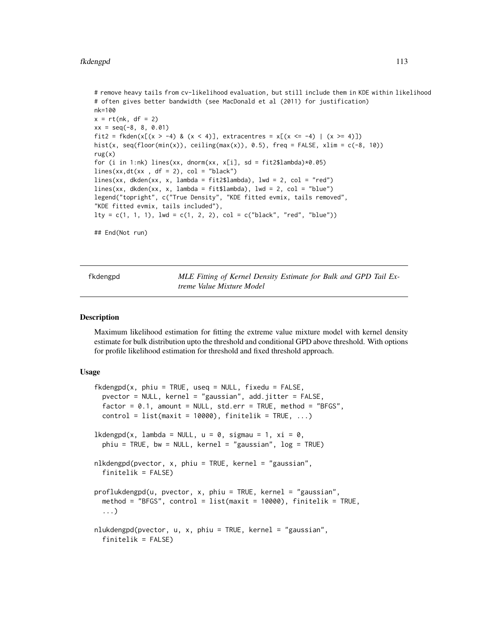```
# remove heavy tails from cv-likelihood evaluation, but still include them in KDE within likelihood
# often gives better bandwidth (see MacDonald et al (2011) for justification)
nk=100
x = rt(nk, df = 2)xx = seq(-8, 8, 0.01)fit2 = fkden(x[(x > -4) & (x < 4)], extracentres = x[(x <= -4) | (x >= 4)])
hist(x, seq(floor(min(x)), ceiling(max(x)), 0.5), freq = FALSE, xlim = c(-8, 10))
rug(x)
for (i in 1:nk) lines(xx, dnorm(xx, x[i], sd = fit2$lambda)*0.05)
lines(xx,dt(xx , df = 2), col = "black")lines(xx, dkden(xx, x, lambda = fit2$lambda), lwd = 2, col = "red")lines(xx, dkden(xx, x, lambda = fit$lambda), lw = 2, col = "blue")legend("topright", c("True Density", "KDE fitted evmix, tails removed",
"KDE fitted evmix, tails included"),
lty = c(1, 1, 1), lwd = c(1, 2, 2), col = c("black", "red", "blue"))## End(Not run)
```
<span id="page-112-0"></span>fkdengpd *MLE Fitting of Kernel Density Estimate for Bulk and GPD Tail Extreme Value Mixture Model*

#### <span id="page-112-1"></span>**Description**

Maximum likelihood estimation for fitting the extreme value mixture model with kernel density estimate for bulk distribution upto the threshold and conditional GPD above threshold. With options for profile likelihood estimation for threshold and fixed threshold approach.

#### Usage

```
fkdengpd(x, phiu = TRUE, useq = NULL, fixedu = FALSE,
 pvector = NULL, kernel = "gaussian", add.jitter = FALSE,
  factor = 0.1, amount = NULL, std.err = TRUE, method = "BFGS",
  control = list(maxit = 10000), finitelik = TRUE, ...)1kdengpd(x, 1ambda = NULL, u = 0, sigmau = 1, xi = 0,
  phi = TRUE, bw = NULL, kernel = "gaussian", log = TRUEnlkdengpd(pvector, x, phiu = TRUE, kernel = "gaussian",
  finitelik = FALSE)
proflukdengpd(u, pvector, x, phiu = TRUE, kernel = "gaussian",
 method = "BFGS", control = list(maxit = 10000), finitelik = TRUE,
  ...)
nlukdengpd(pvector, u, x, phiu = TRUE, kernel = "gaussian",
  finitelik = FALSE)
```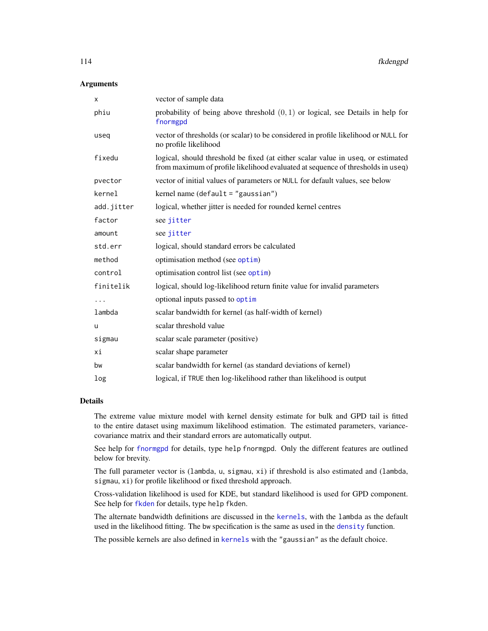## **Arguments**

| х          | vector of sample data                                                                                                                                               |
|------------|---------------------------------------------------------------------------------------------------------------------------------------------------------------------|
| phiu       | probability of being above threshold $(0, 1)$ or logical, see Details in help for<br>fnormgpd                                                                       |
| useq       | vector of thresholds (or scalar) to be considered in profile likelihood or NULL for<br>no profile likelihood                                                        |
| fixedu     | logical, should threshold be fixed (at either scalar value in useq, or estimated<br>from maximum of profile likelihood evaluated at sequence of thresholds in useq) |
| pvector    | vector of initial values of parameters or NULL for default values, see below                                                                                        |
| kernel     | kernel name (default = "gaussian")                                                                                                                                  |
| add.jitter | logical, whether jitter is needed for rounded kernel centres                                                                                                        |
| factor     | see jitter                                                                                                                                                          |
| amount     | see jitter                                                                                                                                                          |
| std.err    | logical, should standard errors be calculated                                                                                                                       |
| method     | optimisation method (see optim)                                                                                                                                     |
| control    | optimisation control list (see optim)                                                                                                                               |
| finitelik  | logical, should log-likelihood return finite value for invalid parameters                                                                                           |
| .          | optional inputs passed to optim                                                                                                                                     |
| lambda     | scalar bandwidth for kernel (as half-width of kernel)                                                                                                               |
| u          | scalar threshold value                                                                                                                                              |
| sigmau     | scalar scale parameter (positive)                                                                                                                                   |
| хi         | scalar shape parameter                                                                                                                                              |
| bw         | scalar bandwidth for kernel (as standard deviations of kernel)                                                                                                      |
| log        | logical, if TRUE then log-likelihood rather than likelihood is output                                                                                               |

## Details

The extreme value mixture model with kernel density estimate for bulk and GPD tail is fitted to the entire dataset using maximum likelihood estimation. The estimated parameters, variancecovariance matrix and their standard errors are automatically output.

See help for [fnormgpd](#page-142-0) for details, type help fnormgpd. Only the different features are outlined below for brevity.

The full parameter vector is (lambda, u, sigmau, xi) if threshold is also estimated and (lambda, sigmau, xi) for profile likelihood or fixed threshold approach.

Cross-validation likelihood is used for KDE, but standard likelihood is used for GPD component. See help for [fkden](#page-106-0) for details, type help fkden.

The alternate bandwidth definitions are discussed in the [kernels](#page-226-0), with the lambda as the default used in the likelihood fitting. The bw specification is the same as used in the [density](#page-0-0) function.

The possible kernels are also defined in [kernels](#page-226-0) with the "gaussian" as the default choice.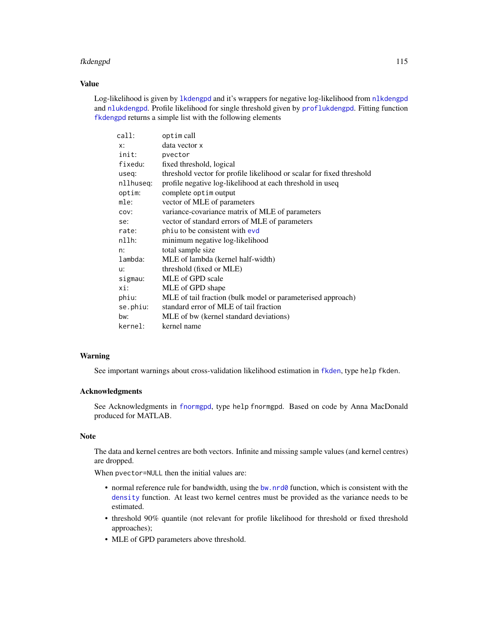### fkdengpd 115

## Value

Log-likelihood is given by [lkdengpd](#page-112-1) and it's wrappers for negative log-likelihood from [nlkdengpd](#page-112-1) and [nlukdengpd](#page-112-1). Profile likelihood for single threshold given by [proflukdengpd](#page-112-1). Fitting function [fkdengpd](#page-112-0) returns a simple list with the following elements

| call:     | optim call                                                            |
|-----------|-----------------------------------------------------------------------|
| x:        | data vector x                                                         |
| init:     | pvector                                                               |
| fixedu:   | fixed threshold, logical                                              |
| useq:     | threshold vector for profile likelihood or scalar for fixed threshold |
| nllhuseq: | profile negative log-likelihood at each threshold in useq             |
| optim:    | complete optim output                                                 |
| mle:      | vector of MLE of parameters                                           |
| COV:      | variance-covariance matrix of MLE of parameters                       |
| se:       | vector of standard errors of MLE of parameters                        |
| rate:     | phiu to be consistent with evd                                        |
| nllh:     | minimum negative log-likelihood                                       |
| n:        | total sample size                                                     |
| lambda:   | MLE of lambda (kernel half-width)                                     |
| u:        | threshold (fixed or MLE)                                              |
| sigmau:   | MLE of GPD scale                                                      |
| xi:       | MLE of GPD shape                                                      |
| phiu:     | MLE of tail fraction (bulk model or parameterised approach)           |
| se.phiu:  | standard error of MLE of tail fraction                                |
| bw:       | MLE of bw (kernel standard deviations)                                |
| kernel:   | kernel name                                                           |

## Warning

See important warnings about cross-validation likelihood estimation in [fkden](#page-106-0), type help fkden.

# Acknowledgments

See Acknowledgments in [fnormgpd](#page-142-0), type help fnormgpd. Based on code by Anna MacDonald produced for MATLAB.

# Note

The data and kernel centres are both vectors. Infinite and missing sample values (and kernel centres) are dropped.

When pvector=NULL then the initial values are:

- normal reference rule for bandwidth, using the bw. nrd0 function, which is consistent with the [density](#page-0-0) function. At least two kernel centres must be provided as the variance needs to be estimated.
- threshold 90% quantile (not relevant for profile likelihood for threshold or fixed threshold approaches);
- MLE of GPD parameters above threshold.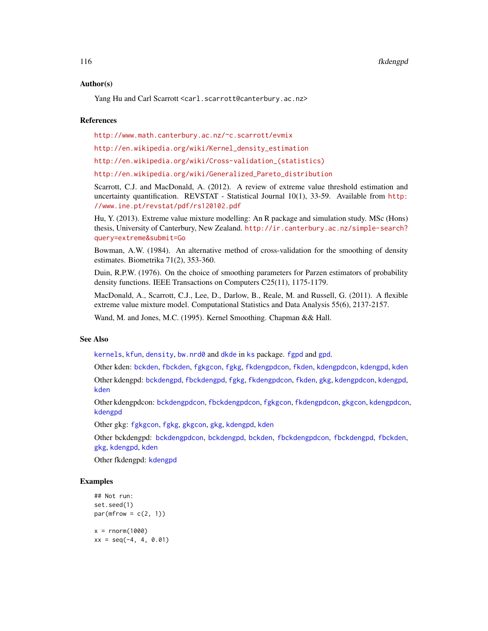## Author(s)

Yang Hu and Carl Scarrott <carl.scarrott@canterbury.ac.nz>

### References

<http://www.math.canterbury.ac.nz/~c.scarrott/evmix>

[http://en.wikipedia.org/wiki/Kernel\\_density\\_estimation](http://en.wikipedia.org/wiki/Kernel_density_estimation)

[http://en.wikipedia.org/wiki/Cross-validation\\_\(statistics\)](http://en.wikipedia.org/wiki/Cross-validation_(statistics))

[http://en.wikipedia.org/wiki/Generalized\\_Pareto\\_distribution](http://en.wikipedia.org/wiki/Generalized_Pareto_distribution)

Scarrott, C.J. and MacDonald, A. (2012). A review of extreme value threshold estimation and uncertainty quantification. REVSTAT - Statistical Journal 10(1), 33-59. Available from [http:](http://www.ine.pt/revstat/pdf/rs120102.pdf) [//www.ine.pt/revstat/pdf/rs120102.pdf](http://www.ine.pt/revstat/pdf/rs120102.pdf)

Hu, Y. (2013). Extreme value mixture modelling: An R package and simulation study. MSc (Hons) thesis, University of Canterbury, New Zealand. [http://ir.canterbury.ac.nz/simple-search?](http://ir.canterbury.ac.nz/simple-search?query=extreme&submit=Go) [query=extreme&submit=Go](http://ir.canterbury.ac.nz/simple-search?query=extreme&submit=Go)

Bowman, A.W. (1984). An alternative method of cross-validation for the smoothing of density estimates. Biometrika 71(2), 353-360.

Duin, R.P.W. (1976). On the choice of smoothing parameters for Parzen estimators of probability density functions. IEEE Transactions on Computers C25(11), 1175-1179.

MacDonald, A., Scarrott, C.J., Lee, D., Darlow, B., Reale, M. and Russell, G. (2011). A flexible extreme value mixture model. Computational Statistics and Data Analysis 55(6), 2137-2157.

Wand, M. and Jones, M.C. (1995). Kernel Smoothing. Chapman && Hall.

## See Also

[kernels](#page-226-0), [kfun](#page-229-1), [density](#page-0-0), [bw.nrd0](#page-0-0) and [dkde](#page-0-0) in [ks](#page-0-0) package. [fgpd](#page-84-0) and [gpd](#page-190-0).

Other kden: [bckden](#page-3-0), [fbckden](#page-32-0), [fgkgcon](#page-70-0), [fgkg](#page-65-0), [fkdengpdcon](#page-116-0), [fkden](#page-106-0), [kdengpdcon](#page-223-0), [kdengpd](#page-219-0), [kden](#page-215-0) Other kdengpd: [bckdengpd](#page-8-0), [fbckdengpd](#page-37-0), [fgkg](#page-65-0), [fkdengpdcon](#page-116-0), [fkden](#page-106-0), [gkg](#page-174-0), [kdengpdcon](#page-223-0), [kdengpd](#page-219-0), [kden](#page-215-0)

Other kdengpdcon: [bckdengpdcon](#page-13-0), [fbckdengpdcon](#page-42-0), [fgkgcon](#page-70-0), [fkdengpdcon](#page-116-0), [gkgcon](#page-178-0), [kdengpdcon](#page-223-0), [kdengpd](#page-219-0)

Other gkg: [fgkgcon](#page-70-0), [fgkg](#page-65-0), [gkgcon](#page-178-0), [gkg](#page-174-0), [kdengpd](#page-219-0), [kden](#page-215-0)

Other bckdengpd: [bckdengpdcon](#page-13-0), [bckdengpd](#page-8-0), [bckden](#page-3-0), [fbckdengpdcon](#page-42-0), [fbckdengpd](#page-37-0), [fbckden](#page-32-0), [gkg](#page-174-0), [kdengpd](#page-219-0), [kden](#page-215-0)

Other fkdengpd: [kdengpd](#page-219-0)

#### Examples

```
## Not run:
set.seed(1)
par(mfrow = c(2, 1))x = rnorm(1000)xx = seq(-4, 4, 0.01)
```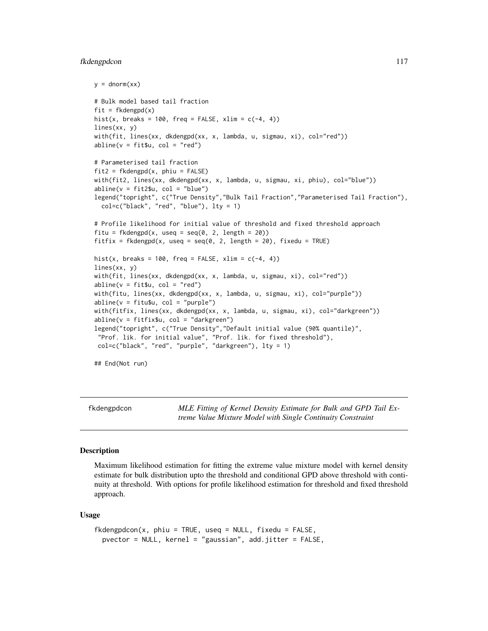#### fkdengpdcon 117

```
y = \text{dnorm}(xx)# Bulk model based tail fraction
fit = fkdengpd(x)hist(x, breaks = 100, freq = FALSE, xlim = c(-4, 4))
lines(xx, y)
with(fit, lines(xx, dkdengpd(xx, x, lambda, u, sigmau, xi), col="red"))
abline(v = fit$u, col = "red")# Parameterised tail fraction
fit2 = fkdengpd(x, phi = FALSE)with(fit2, lines(xx, dkdengpd(xx, x, lambda, u, sigmau, xi, phiu), col="blue"))
abline(v = fit2$u, col = "blue")legend("topright", c("True Density","Bulk Tail Fraction","Parameterised Tail Fraction"),
  col=c("black", "red", "blue"), lty = 1)
# Profile likelihood for initial value of threshold and fixed threshold approach
fitu = fkdengpd(x, useq = seq(0, 2, length = 20))
fitfix = fkdengpd(x, useq = seq(0, 2, length = 20), fixedu = TRUE)
hist(x, breaks = 100, freq = FALSE, xlim = c(-4, 4))
lines(xx, y)
with(fit, lines(xx, dkdengpd(xx, x, lambda, u, sigmau, xi), col="red"))
abline(v = fit $u, col = "red")with(fitu, lines(xx, dkdengpd(xx, x, lambda, u, sigmau, xi), col="purple"))
abline(v = fitu$u, col = "purple")with(fitfix, lines(xx, dkdengpd(xx, x, lambda, u, sigmau, xi), col="darkgreen"))
abline(v = fitfix$u, col = "darkgreen")
legend("topright", c("True Density","Default initial value (90% quantile)",
 "Prof. lik. for initial value", "Prof. lik. for fixed threshold"),
 col=c("black", "red", "purple", "darkgreen"), lty = 1)
## End(Not run)
```
<span id="page-116-0"></span>fkdengpdcon *MLE Fitting of Kernel Density Estimate for Bulk and GPD Tail Extreme Value Mixture Model with Single Continuity Constraint*

#### <span id="page-116-1"></span>**Description**

Maximum likelihood estimation for fitting the extreme value mixture model with kernel density estimate for bulk distribution upto the threshold and conditional GPD above threshold with continuity at threshold. With options for profile likelihood estimation for threshold and fixed threshold approach.

#### Usage

```
fkdengpdcon(x, phiu = TRUE, useq = NULL, fixedu = FALSE,
 pvector = NULL, kernel = "gaussian", add.jitter = FALSE,
```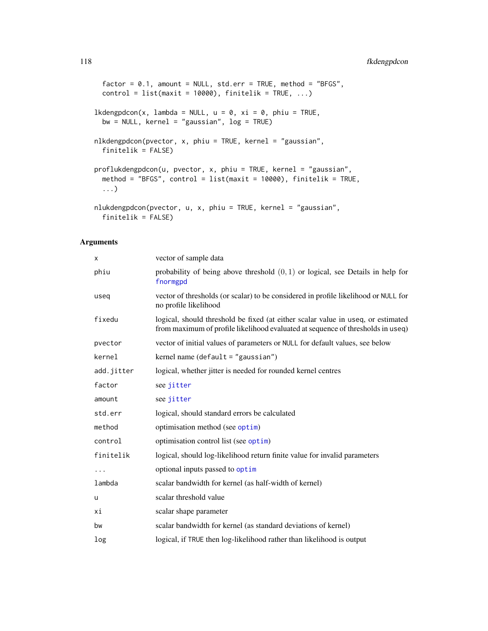```
factor = 0.1, amount = NULL, std.err = TRUE, method = "BFGS",
 control = list(maxit = 10000), finitelik = TRUE, ...)lkdengpdcon(x, lambda = NULL, u = 0, xi = 0, phiu = TRUE,
 bw = NULL, kernel = "gaussian", log = TRUE)
nlkdengpdcon(pvector, x, phiu = TRUE, kernel = "gaussian",
  finitelik = FALSE)
proflukdengpdcon(u, pvector, x, phiu = TRUE, kernel = "gaussian",
 method = "BFGS", control = list(maxit = 10000), finitelik = TRUE,
  ...)
nlukdengpdcon(pvector, u, x, phiu = TRUE, kernel = "gaussian",
```
## finitelik = FALSE)

## Arguments

| X          | vector of sample data                                                                                                                                               |
|------------|---------------------------------------------------------------------------------------------------------------------------------------------------------------------|
| phiu       | probability of being above threshold $(0, 1)$ or logical, see Details in help for<br>fnormgpd                                                                       |
| useq       | vector of thresholds (or scalar) to be considered in profile likelihood or NULL for<br>no profile likelihood                                                        |
| fixedu     | logical, should threshold be fixed (at either scalar value in useq, or estimated<br>from maximum of profile likelihood evaluated at sequence of thresholds in useq) |
| pvector    | vector of initial values of parameters or NULL for default values, see below                                                                                        |
| kernel     | kernel name (default = "gaussian")                                                                                                                                  |
| add.jitter | logical, whether jitter is needed for rounded kernel centres                                                                                                        |
| factor     | see jitter                                                                                                                                                          |
| amount     | see jitter                                                                                                                                                          |
| std.err    | logical, should standard errors be calculated                                                                                                                       |
| method     | optimisation method (see optim)                                                                                                                                     |
| control    | optimisation control list (see optim)                                                                                                                               |
| finitelik  | logical, should log-likelihood return finite value for invalid parameters                                                                                           |
|            | optional inputs passed to optim                                                                                                                                     |
| lambda     | scalar bandwidth for kernel (as half-width of kernel)                                                                                                               |
| u          | scalar threshold value                                                                                                                                              |
| хi         | scalar shape parameter                                                                                                                                              |
| bw         | scalar bandwidth for kernel (as standard deviations of kernel)                                                                                                      |
| log        | logical, if TRUE then log-likelihood rather than likelihood is output                                                                                               |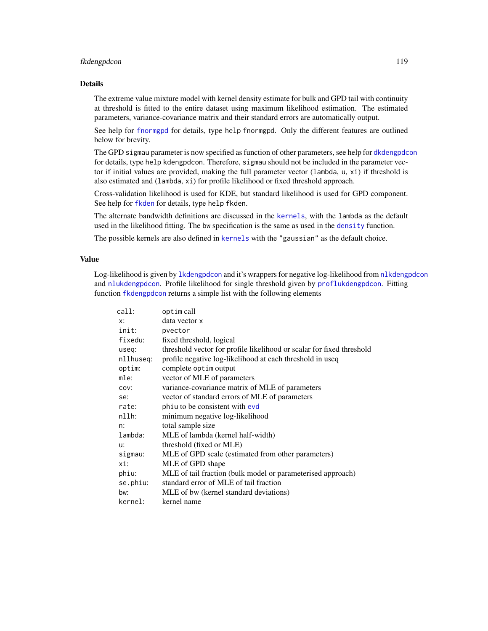## fkdengpdcon 119

## Details

The extreme value mixture model with kernel density estimate for bulk and GPD tail with continuity at threshold is fitted to the entire dataset using maximum likelihood estimation. The estimated parameters, variance-covariance matrix and their standard errors are automatically output.

See help for [fnormgpd](#page-142-0) for details, type help fnormgpd. Only the different features are outlined below for brevity.

The GPD sigmau parameter is now specified as function of other parameters, see help for [dkdengpdcon](#page-223-1) for details, type help kdengpdcon. Therefore, sigmau should not be included in the parameter vector if initial values are provided, making the full parameter vector (lambda, u, xi) if threshold is also estimated and (lambda, xi) for profile likelihood or fixed threshold approach.

Cross-validation likelihood is used for KDE, but standard likelihood is used for GPD component. See help for [fkden](#page-106-0) for details, type help fkden.

The alternate bandwidth definitions are discussed in the [kernels](#page-226-0), with the lambda as the default used in the likelihood fitting. The bw specification is the same as used in the [density](#page-0-0) function.

The possible kernels are also defined in [kernels](#page-226-0) with the "gaussian" as the default choice.

# Value

Log-likelihood is given by 1kdengpdcon and it's wrappers for negative log-likelihood from n[lkdengpdcon](#page-116-1) and [nlukdengpdcon](#page-116-1). Profile likelihood for single threshold given by [proflukdengpdcon](#page-116-1). Fitting function [fkdengpdcon](#page-116-0) returns a simple list with the following elements

| call:     | optim call                                                            |
|-----------|-----------------------------------------------------------------------|
| $x$ :     | data vector x                                                         |
| init:     | pvector                                                               |
| fixedu:   | fixed threshold, logical                                              |
| useq:     | threshold vector for profile likelihood or scalar for fixed threshold |
| nllhuseq: | profile negative log-likelihood at each threshold in useq             |
| optim:    | complete optim output                                                 |
| mle:      | vector of MLE of parameters                                           |
| COV:      | variance-covariance matrix of MLE of parameters                       |
| se:       | vector of standard errors of MLE of parameters                        |
| rate:     | phiu to be consistent with evd                                        |
| nllh:     | minimum negative log-likelihood                                       |
| n:        | total sample size                                                     |
| lambda:   | MLE of lambda (kernel half-width)                                     |
| u:        | threshold (fixed or MLE)                                              |
| sigmau:   | MLE of GPD scale (estimated from other parameters)                    |
| xi:       | MLE of GPD shape                                                      |
| phiu:     | MLE of tail fraction (bulk model or parameterised approach)           |
| se.phiu:  | standard error of MLE of tail fraction                                |
| bw:       | MLE of bw (kernel standard deviations)                                |
| kernel:   | kernel name                                                           |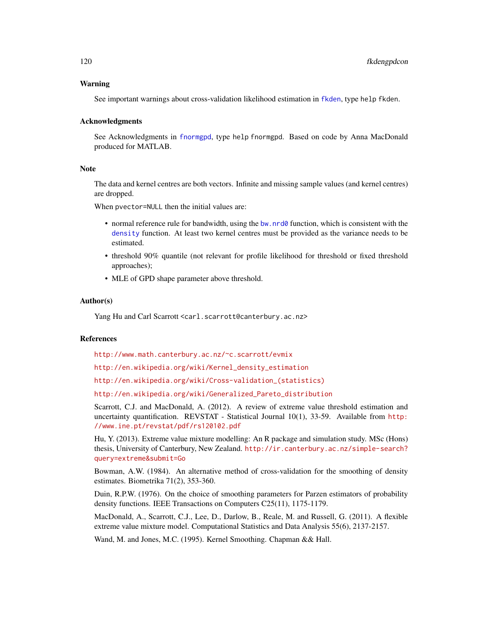## Warning

See important warnings about cross-validation likelihood estimation in [fkden](#page-106-0), type help fkden.

#### Acknowledgments

See Acknowledgments in [fnormgpd](#page-142-0), type help fnormgpd. Based on code by Anna MacDonald produced for MATLAB.

#### **Note**

The data and kernel centres are both vectors. Infinite and missing sample values (and kernel centres) are dropped.

When pvector=NULL then the initial values are:

- normal reference rule for bandwidth, using the [bw.nrd0](#page-0-0) function, which is consistent with the [density](#page-0-0) function. At least two kernel centres must be provided as the variance needs to be estimated.
- threshold 90% quantile (not relevant for profile likelihood for threshold or fixed threshold approaches);
- MLE of GPD shape parameter above threshold.

### Author(s)

Yang Hu and Carl Scarrott <carl.scarrott@canterbury.ac.nz>

#### References

<http://www.math.canterbury.ac.nz/~c.scarrott/evmix>

[http://en.wikipedia.org/wiki/Kernel\\_density\\_estimation](http://en.wikipedia.org/wiki/Kernel_density_estimation)

[http://en.wikipedia.org/wiki/Cross-validation\\_\(statistics\)](http://en.wikipedia.org/wiki/Cross-validation_(statistics))

[http://en.wikipedia.org/wiki/Generalized\\_Pareto\\_distribution](http://en.wikipedia.org/wiki/Generalized_Pareto_distribution)

Scarrott, C.J. and MacDonald, A. (2012). A review of extreme value threshold estimation and uncertainty quantification. REVSTAT - Statistical Journal 10(1), 33-59. Available from [http:](http://www.ine.pt/revstat/pdf/rs120102.pdf) [//www.ine.pt/revstat/pdf/rs120102.pdf](http://www.ine.pt/revstat/pdf/rs120102.pdf)

Hu, Y. (2013). Extreme value mixture modelling: An R package and simulation study. MSc (Hons) thesis, University of Canterbury, New Zealand. [http://ir.canterbury.ac.nz/simple-search?](http://ir.canterbury.ac.nz/simple-search?query=extreme&submit=Go) [query=extreme&submit=Go](http://ir.canterbury.ac.nz/simple-search?query=extreme&submit=Go)

Bowman, A.W. (1984). An alternative method of cross-validation for the smoothing of density estimates. Biometrika 71(2), 353-360.

Duin, R.P.W. (1976). On the choice of smoothing parameters for Parzen estimators of probability density functions. IEEE Transactions on Computers C25(11), 1175-1179.

MacDonald, A., Scarrott, C.J., Lee, D., Darlow, B., Reale, M. and Russell, G. (2011). A flexible extreme value mixture model. Computational Statistics and Data Analysis 55(6), 2137-2157.

Wand, M. and Jones, M.C. (1995). Kernel Smoothing. Chapman && Hall.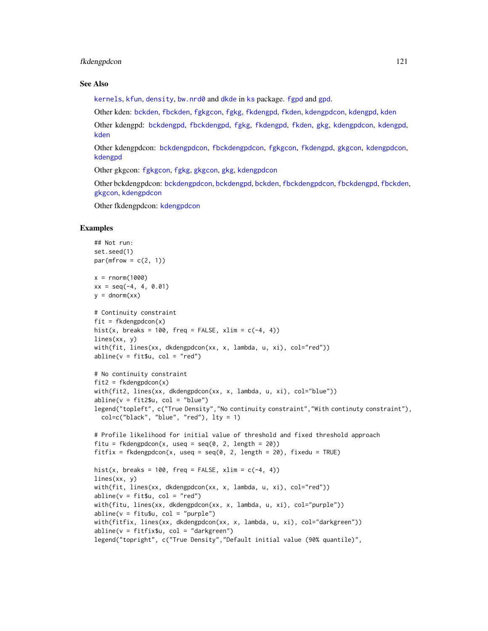## fkdengpdcon 121

#### See Also

[kernels](#page-226-0), [kfun](#page-229-1), [density](#page-0-0), [bw.nrd0](#page-0-0) and [dkde](#page-0-0) in [ks](#page-0-0) package. [fgpd](#page-84-0) and [gpd](#page-190-0).

Other kden: [bckden](#page-3-0), [fbckden](#page-32-0), [fgkgcon](#page-70-0), [fgkg](#page-65-0), [fkdengpd](#page-112-0), [fkden](#page-106-0), [kdengpdcon](#page-223-0), [kdengpd](#page-219-0), [kden](#page-215-0)

Other kdengpd: [bckdengpd](#page-8-0), [fbckdengpd](#page-37-0), [fgkg](#page-65-0), [fkdengpd](#page-112-0), [fkden](#page-106-0), [gkg](#page-174-0), [kdengpdcon](#page-223-0), [kdengpd](#page-219-0), [kden](#page-215-0)

Other kdengpdcon: [bckdengpdcon](#page-13-0), [fbckdengpdcon](#page-42-0), [fgkgcon](#page-70-0), [fkdengpd](#page-112-0), [gkgcon](#page-178-0), [kdengpdcon](#page-223-0), [kdengpd](#page-219-0)

Other gkgcon: [fgkgcon](#page-70-0), [fgkg](#page-65-0), [gkgcon](#page-178-0), [gkg](#page-174-0), [kdengpdcon](#page-223-0)

Other bckdengpdcon: [bckdengpdcon](#page-13-0), [bckdengpd](#page-8-0), [bckden](#page-3-0), [fbckdengpdcon](#page-42-0), [fbckdengpd](#page-37-0), [fbckden](#page-32-0), [gkgcon](#page-178-0), [kdengpdcon](#page-223-0)

Other fkdengpdcon: [kdengpdcon](#page-223-0)

# Examples

```
## Not run:
set.seed(1)
par(mfrow = c(2, 1))x = rnorm(1000)xx = seq(-4, 4, 0.01)y = \text{dnorm}(xx)# Continuity constraint
fit = fkdengpdcon(x)hist(x, breaks = 100, freq = FALSE, xlim = c(-4, 4))
lines(xx, y)
with(fit, lines(xx, dkdengpdcon(xx, x, lambda, u, xi), col="red"))
abline(v = fit $u, col = "red")# No continuity constraint
fit2 = fkdengpdcon(x)with(fit2, lines(xx, dkdengpdcon(xx, x, lambda, u, xi), col="blue"))
abline(v = fit2$u, col = "blue")legend("topleft", c("True Density","No continuity constraint","With continuty constraint"),
  col=c("black", "blue", "red"), \; lty = 1)# Profile likelihood for initial value of threshold and fixed threshold approach
fitu = fkdengpdcon(x, useq = seq(0, 2, length = 20))
fitfix = fkdengpdcon(x, useq = seq(0, 2, length = 20), fixedu = TRUE)
hist(x, breaks = 100, freq = FALSE, xlim = c(-4, 4))
lines(xx, y)
with(fit, lines(xx, dkdengpdcon(xx, x, lambda, u, xi), col="red"))
abline(v = fit $u, col = "red")with(fitu, lines(xx, dkdengpdcon(xx, x, lambda, u, xi), col="purple"))
abline(v = fitu$u, col = "purple")with(fitfix, lines(xx, dkdengpdcon(xx, x, lambda, u, xi), col="darkgreen"))
abline(v = fitfix$u, col = "darkgreen")legend("topright", c("True Density","Default initial value (90% quantile)",
```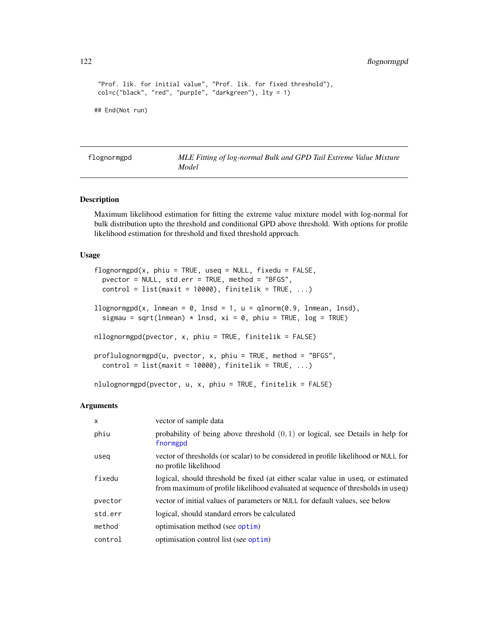```
"Prof. lik. for initial value", "Prof. lik. for fixed threshold"),
col=c("black", "red", "purple", "darkgreen"), lty = 1)
## End(Not run)
```
<span id="page-121-1"></span>

| flognormgpd | MLE Fitting of log-normal Bulk and GPD Tail Extreme Value Mixture |
|-------------|-------------------------------------------------------------------|
|             | Model                                                             |

## <span id="page-121-0"></span>Description

Maximum likelihood estimation for fitting the extreme value mixture model with log-normal for bulk distribution upto the threshold and conditional GPD above threshold. With options for profile likelihood estimation for threshold and fixed threshold approach.

# Usage

```
flognormgpd(x, phi = TRUE, useq = NULL, fixedu = FALSE,pvector = NULL, std.err = TRUE, method = "BFGS",
 control = list(maxit = 10000), finitelik = TRUE, ...)
llognormgpd(x, lnmean = 0, lnsd = 1, u = qlnorm(0.9, lnmean, lnsd),
  sigmau = sqrt(lnmean) * lnsd, xi = 0, phiu = TRUE, log = TRUE)
nllognormgpd(pvector, x, phiu = TRUE, finitelik = FALSE)
proflulognormgpd(u, pvector, x, phiu = TRUE, method = "BFGS",
 control = list(maxit = 10000), finitelik = TRUE, ...)
nlulognormgpd(pvector, u, x, phiu = TRUE, finitelik = FALSE)
```
#### Arguments

| $\mathsf{x}$ | vector of sample data                                                                                                                                               |
|--------------|---------------------------------------------------------------------------------------------------------------------------------------------------------------------|
| phiu         | probability of being above threshold $(0, 1)$ or logical, see Details in help for<br>fnormgpd                                                                       |
| useg         | vector of thresholds (or scalar) to be considered in profile likelihood or NULL for<br>no profile likelihood                                                        |
| fixedu       | logical, should threshold be fixed (at either scalar value in useq, or estimated<br>from maximum of profile likelihood evaluated at sequence of thresholds in useq) |
| pvector      | vector of initial values of parameters or NULL for default values, see below                                                                                        |
| std.err      | logical, should standard errors be calculated                                                                                                                       |
| method       | optimisation method (see optim)                                                                                                                                     |
| control      | optimisation control list (see optim)                                                                                                                               |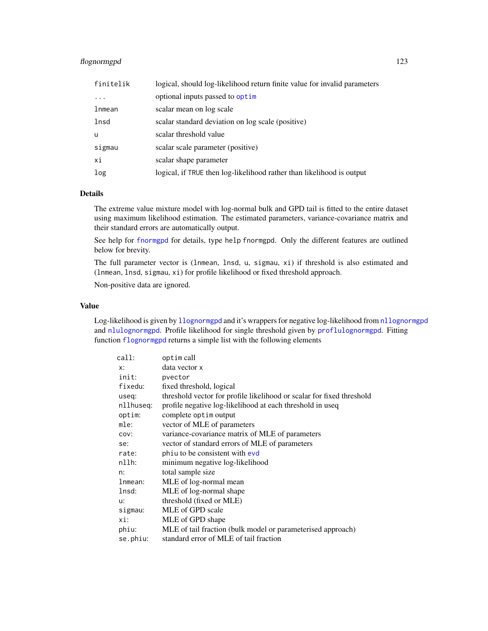# flognormgpd 123

| finitelik | logical, should log-likelihood return finite value for invalid parameters |
|-----------|---------------------------------------------------------------------------|
| $\cdot$   | optional inputs passed to optim                                           |
| lnmean    | scalar mean on log scale                                                  |
| lnsd      | scalar standard deviation on log scale (positive)                         |
| u         | scalar threshold value                                                    |
| sigmau    | scalar scale parameter (positive)                                         |
| хi        | scalar shape parameter                                                    |
| log       | logical, if TRUE then log-likelihood rather than likelihood is output     |

# Details

The extreme value mixture model with log-normal bulk and GPD tail is fitted to the entire dataset using maximum likelihood estimation. The estimated parameters, variance-covariance matrix and their standard errors are automatically output.

See help for [fnormgpd](#page-142-0) for details, type help fnormgpd. Only the different features are outlined below for brevity.

The full parameter vector is (lnmean, lnsd, u, sigmau, xi) if threshold is also estimated and (lnmean, lnsd, sigmau, xi) for profile likelihood or fixed threshold approach.

Non-positive data are ignored.

# Value

Log-likelihood is given by 11 ognormgpd and it's wrappers for negative log-likelihood from n[llognormgpd](#page-121-0) and [nlulognormgpd](#page-121-0). Profile likelihood for single threshold given by [proflulognormgpd](#page-121-0). Fitting function [flognormgpd](#page-121-1) returns a simple list with the following elements

| call:     | optim call                                                            |
|-----------|-----------------------------------------------------------------------|
| x:        | data vector x                                                         |
| init:     | pvector                                                               |
| fixedu:   | fixed threshold, logical                                              |
| useq:     | threshold vector for profile likelihood or scalar for fixed threshold |
| nllhuseg: | profile negative log-likelihood at each threshold in useq             |
| optim:    | complete optim output                                                 |
| mle:      | vector of MLE of parameters                                           |
| COV:      | variance-covariance matrix of MLE of parameters                       |
| se:       | vector of standard errors of MLE of parameters                        |
| rate:     | phiu to be consistent with evd                                        |
| nllh:     | minimum negative log-likelihood                                       |
| n:        | total sample size                                                     |
| lnmean:   | MLE of log-normal mean                                                |
| lnsd:     | MLE of log-normal shape                                               |
| u:        | threshold (fixed or MLE)                                              |
| sigmau:   | MLE of GPD scale                                                      |
| xi:       | MLE of GPD shape                                                      |
| phiu:     | MLE of tail fraction (bulk model or parameterised approach)           |
| se.phiu:  | standard error of MLE of tail fraction                                |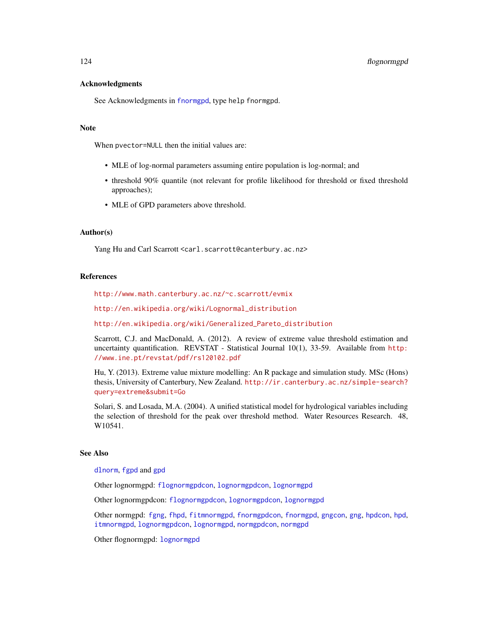### Acknowledgments

See Acknowledgments in [fnormgpd](#page-142-0), type help fnormgpd.

#### Note

When pvector=NULL then the initial values are:

- MLE of log-normal parameters assuming entire population is log-normal; and
- threshold 90% quantile (not relevant for profile likelihood for threshold or fixed threshold approaches);
- MLE of GPD parameters above threshold.

# Author(s)

Yang Hu and Carl Scarrott <carl.scarrott@canterbury.ac.nz>

## References

<http://www.math.canterbury.ac.nz/~c.scarrott/evmix>

[http://en.wikipedia.org/wiki/Lognormal\\_distribution](http://en.wikipedia.org/wiki/Lognormal_distribution)

[http://en.wikipedia.org/wiki/Generalized\\_Pareto\\_distribution](http://en.wikipedia.org/wiki/Generalized_Pareto_distribution)

Scarrott, C.J. and MacDonald, A. (2012). A review of extreme value threshold estimation and uncertainty quantification. REVSTAT - Statistical Journal 10(1), 33-59. Available from [http:](http://www.ine.pt/revstat/pdf/rs120102.pdf) [//www.ine.pt/revstat/pdf/rs120102.pdf](http://www.ine.pt/revstat/pdf/rs120102.pdf)

Hu, Y. (2013). Extreme value mixture modelling: An R package and simulation study. MSc (Hons) thesis, University of Canterbury, New Zealand. [http://ir.canterbury.ac.nz/simple-search?](http://ir.canterbury.ac.nz/simple-search?query=extreme&submit=Go) [query=extreme&submit=Go](http://ir.canterbury.ac.nz/simple-search?query=extreme&submit=Go)

Solari, S. and Losada, M.A. (2004). A unified statistical model for hydrological variables including the selection of threshold for the peak over threshold method. Water Resources Research. 48, W10541.

## See Also

[dlnorm](#page-0-0), [fgpd](#page-84-0) and [gpd](#page-190-0)

Other lognormgpd: [flognormgpdcon](#page-124-0), [lognormgpdcon](#page-235-0), [lognormgpd](#page-232-0)

Other lognormgpdcon: [flognormgpdcon](#page-124-0), [lognormgpdcon](#page-235-0), [lognormgpd](#page-232-0)

Other normgpd: [fgng](#page-75-0), [fhpd](#page-88-0), [fitmnormgpd](#page-99-0), [fnormgpdcon](#page-148-0), [fnormgpd](#page-142-0), [gngcon](#page-186-0), [gng](#page-183-0), [hpdcon](#page-200-0), [hpd](#page-197-0), [itmnormgpd](#page-208-0), [lognormgpdcon](#page-235-0), [lognormgpd](#page-232-0), [normgpdcon](#page-253-0), [normgpd](#page-250-0)

Other flognormgpd: [lognormgpd](#page-232-0)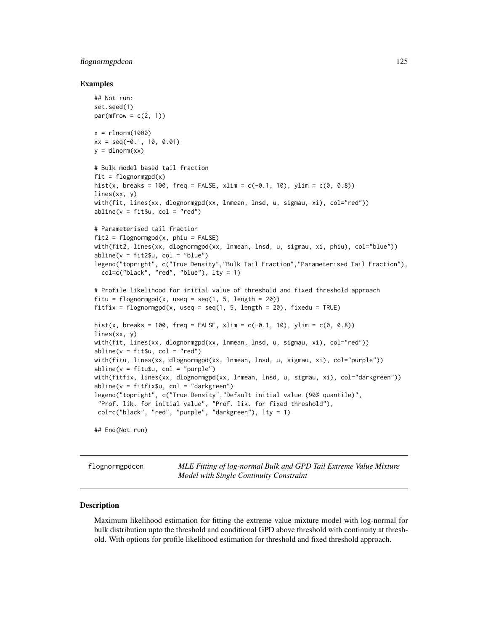## flognormgpdcon 125

#### Examples

```
## Not run:
set.seed(1)
par(mfrow = c(2, 1))x = rlnorm(1000)
xx = seq(-0.1, 10, 0.01)y =dlnorm(xx)# Bulk model based tail fraction
fit = flognormgpd(x)hist(x, breaks = 100, freq = FALSE, xlim = c(-0.1, 10), ylim = c(0, 0.8))
lines(xx, y)
with(fit, lines(xx, dlognormgpd(xx, lnmean, lnsd, u, sigmau, xi), col="red"))
abline(v = fit$u, col = "red")# Parameterised tail fraction
fit2 = flognormgpd(x, phi = FALSE)with(fit2, lines(xx, dlognormgpd(xx, lnmean, lnsd, u, sigmau, xi, phiu), col="blue"))
abline(v = fit2$u, col = "blue")legend("topright", c("True Density","Bulk Tail Fraction","Parameterised Tail Fraction"),
  col=c("black", "red", "blue"), lty = 1)
# Profile likelihood for initial value of threshold and fixed threshold approach
fitu = flognormgpd(x, useq = seq(1, 5, length = 20))
fitfix = flognormgpd(x, useq = seq(1, 5, length = 20), fixedu = TRUE)
hist(x, breaks = 100, freq = FALSE, xlim = c(-0.1, 10), ylim = c(0, 0.8))
lines(xx, y)
with(fit, lines(xx, dlognormgpd(xx, lnmean, lnsd, u, sigmau, xi), col="red"))
abline(v = fit$u, col = "red")with(fitu, lines(xx, dlognormgpd(xx, lnmean, lnsd, u, sigmau, xi), col="purple"))
abline(v = fitu$u, col = "purple")with(fitfix, lines(xx, dlognormgpd(xx, lnmean, lnsd, u, sigmau, xi), col="darkgreen"))
abline(v = fitfix$u, col = "darkgreen")
legend("topright", c("True Density","Default initial value (90% quantile)",
 "Prof. lik. for initial value", "Prof. lik. for fixed threshold"),
 col=c("black", "red", "purple", "darkgreen"), lty = 1)
```
## End(Not run)

<span id="page-124-0"></span>flognormgpdcon *MLE Fitting of log-normal Bulk and GPD Tail Extreme Value Mixture Model with Single Continuity Constraint*

## <span id="page-124-1"></span>**Description**

Maximum likelihood estimation for fitting the extreme value mixture model with log-normal for bulk distribution upto the threshold and conditional GPD above threshold with continuity at threshold. With options for profile likelihood estimation for threshold and fixed threshold approach.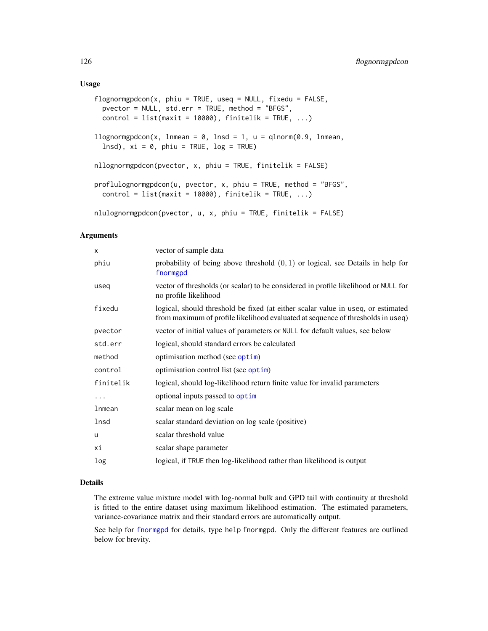### Usage

```
flognormgpdcon(x, phi = TRUE, used = NULL, fixedu = FALSE,pvector = NULL, std.err = TRUE, method = "BFGS",
 control = list(maxit = 10000), finitelik = TRUE, ...)
llognormgpdcon(x, lnmean = 0, lnsd = 1, u = qlnorm(0.9, lnmean,
  lnsd), xi = 0, phi = TRUE, log = TRUE)
nllognormgpdcon(pvector, x, phiu = TRUE, finitelik = FALSE)
proflulognormgpdcon(u, pvector, x, phiu = TRUE, method = "BFGS",
 control = list(maxit = 10000), finitelik = TRUE, ...)nlulognormgpdcon(pvector, u, x, phiu = TRUE, finitelik = FALSE)
```
#### Arguments

| X         | vector of sample data                                                                                                                                               |
|-----------|---------------------------------------------------------------------------------------------------------------------------------------------------------------------|
| phiu      | probability of being above threshold $(0, 1)$ or logical, see Details in help for<br>fnormgpd                                                                       |
| useg      | vector of thresholds (or scalar) to be considered in profile likelihood or NULL for<br>no profile likelihood                                                        |
| fixedu    | logical, should threshold be fixed (at either scalar value in useq, or estimated<br>from maximum of profile likelihood evaluated at sequence of thresholds in useq) |
| pvector   | vector of initial values of parameters or NULL for default values, see below                                                                                        |
| std.err   | logical, should standard errors be calculated                                                                                                                       |
| method    | optimisation method (see optim)                                                                                                                                     |
| control   | optimisation control list (see optim)                                                                                                                               |
| finitelik | logical, should log-likelihood return finite value for invalid parameters                                                                                           |
| $\cdots$  | optional inputs passed to optim                                                                                                                                     |
| lnmean    | scalar mean on log scale                                                                                                                                            |
| lnsd      | scalar standard deviation on log scale (positive)                                                                                                                   |
| u         | scalar threshold value                                                                                                                                              |
| хi        | scalar shape parameter                                                                                                                                              |
| log       | logical, if TRUE then log-likelihood rather than likelihood is output                                                                                               |

# Details

The extreme value mixture model with log-normal bulk and GPD tail with continuity at threshold is fitted to the entire dataset using maximum likelihood estimation. The estimated parameters, variance-covariance matrix and their standard errors are automatically output.

See help for [fnormgpd](#page-142-0) for details, type help fnormgpd. Only the different features are outlined below for brevity.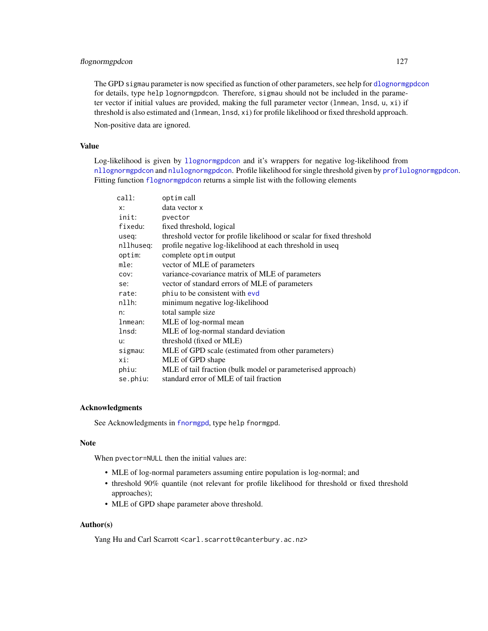# flognormgpdcon 127

The GPD sigmau parameter is now specified as function of other parameters, see help for [dlognormgpdcon](#page-235-1) for details, type help lognormgpdcon. Therefore, sigmau should not be included in the parameter vector if initial values are provided, making the full parameter vector (lnmean, lnsd, u, xi) if threshold is also estimated and (lnmean, lnsd, xi) for profile likelihood or fixed threshold approach.

Non-positive data are ignored.

# Value

Log-likelihood is given by [llognormgpdcon](#page-124-1) and it's wrappers for negative log-likelihood from [nllognormgpdcon](#page-124-1) and [nlulognormgpdcon](#page-124-1). Profile likelihood for single threshold given by [proflulognormgpdcon](#page-124-1). Fitting function [flognormgpdcon](#page-124-0) returns a simple list with the following elements

| call:     | optim call                                                            |
|-----------|-----------------------------------------------------------------------|
| x:        | data vector x                                                         |
| init:     | pvector                                                               |
| fixedu:   | fixed threshold, logical                                              |
| useq:     | threshold vector for profile likelihood or scalar for fixed threshold |
| nllhuseg: | profile negative log-likelihood at each threshold in useq             |
| optim:    | complete optim output                                                 |
| mle:      | vector of MLE of parameters                                           |
| COV:      | variance-covariance matrix of MLE of parameters                       |
| se:       | vector of standard errors of MLE of parameters                        |
| rate:     | phiu to be consistent with evd                                        |
| nllh:     | minimum negative log-likelihood                                       |
| n:        | total sample size                                                     |
| lnmean:   | MLE of log-normal mean                                                |
| lnsd:     | MLE of log-normal standard deviation                                  |
| $U$ :     | threshold (fixed or MLE)                                              |
| sigmau:   | MLE of GPD scale (estimated from other parameters)                    |
| xi:       | MLE of GPD shape                                                      |
| phiu:     | MLE of tail fraction (bulk model or parameterised approach)           |
| se.phiu:  | standard error of MLE of tail fraction                                |
|           |                                                                       |

#### Acknowledgments

See Acknowledgments in [fnormgpd](#page-142-0), type help fnormgpd.

#### Note

When pvector=NULL then the initial values are:

- MLE of log-normal parameters assuming entire population is log-normal; and
- threshold 90% quantile (not relevant for profile likelihood for threshold or fixed threshold approaches);
- MLE of GPD shape parameter above threshold.

## Author(s)

Yang Hu and Carl Scarrott <carl.scarrott@canterbury.ac.nz>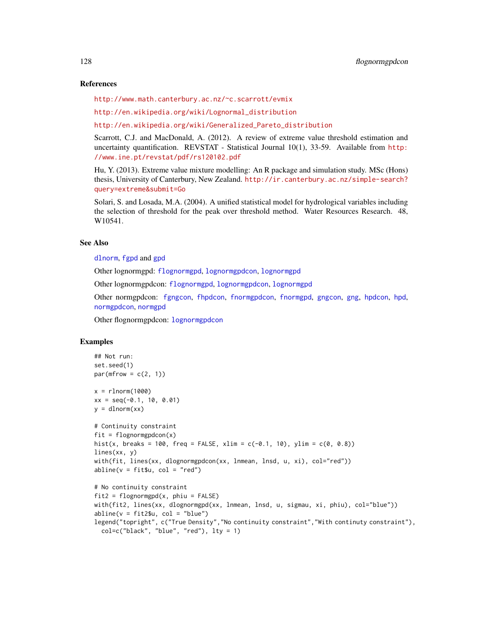#### References

<http://www.math.canterbury.ac.nz/~c.scarrott/evmix>

[http://en.wikipedia.org/wiki/Lognormal\\_distribution](http://en.wikipedia.org/wiki/Lognormal_distribution)

[http://en.wikipedia.org/wiki/Generalized\\_Pareto\\_distribution](http://en.wikipedia.org/wiki/Generalized_Pareto_distribution)

Scarrott, C.J. and MacDonald, A. (2012). A review of extreme value threshold estimation and uncertainty quantification. REVSTAT - Statistical Journal 10(1), 33-59. Available from [http:](http://www.ine.pt/revstat/pdf/rs120102.pdf) [//www.ine.pt/revstat/pdf/rs120102.pdf](http://www.ine.pt/revstat/pdf/rs120102.pdf)

Hu, Y. (2013). Extreme value mixture modelling: An R package and simulation study. MSc (Hons) thesis, University of Canterbury, New Zealand. [http://ir.canterbury.ac.nz/simple-search?](http://ir.canterbury.ac.nz/simple-search?query=extreme&submit=Go) [query=extreme&submit=Go](http://ir.canterbury.ac.nz/simple-search?query=extreme&submit=Go)

Solari, S. and Losada, M.A. (2004). A unified statistical model for hydrological variables including the selection of threshold for the peak over threshold method. Water Resources Research. 48, W10541.

## See Also

[dlnorm](#page-0-0), [fgpd](#page-84-0) and [gpd](#page-190-0)

Other lognormgpd: [flognormgpd](#page-121-1), [lognormgpdcon](#page-235-0), [lognormgpd](#page-232-0)

Other lognormgpdcon: [flognormgpd](#page-121-1), [lognormgpdcon](#page-235-0), [lognormgpd](#page-232-0)

Other normgpdcon: [fgngcon](#page-80-0), [fhpdcon](#page-91-0), [fnormgpdcon](#page-148-0), [fnormgpd](#page-142-0), [gngcon](#page-186-0), [gng](#page-183-0), [hpdcon](#page-200-0), [hpd](#page-197-0), [normgpdcon](#page-253-0), [normgpd](#page-250-0)

Other flognormgpdcon: [lognormgpdcon](#page-235-0)

# Examples

```
## Not run:
set.seed(1)
par(mfrow = c(2, 1))x = rlnorm(1000)
xx = seq(-0.1, 10, 0.01)y = \text{d} \text{norm}(xx)# Continuity constraint
fit = flognormgpdcon(x)hist(x, breaks = 100, freq = FALSE, xlim = c(-0.1, 10), ylim = c(0, 0.8))
lines(xx, y)
with(fit, lines(xx, dlognormgpdcon(xx, lnmean, lnsd, u, xi), col="red"))
abline(v = fit$u, col = "red")# No continuity constraint
fit2 = flognormgpd(x, phi = FALSE)with(fit2, lines(xx, dlognormgpd(xx, lnmean, lnsd, u, sigmau, xi, phiu), col="blue"))
abline(v = fit2$u, col = "blue")legend("topright", c("True Density","No continuity constraint","With continuty constraint"),
  col=c("black", "blue", "red"), lty = 1)
```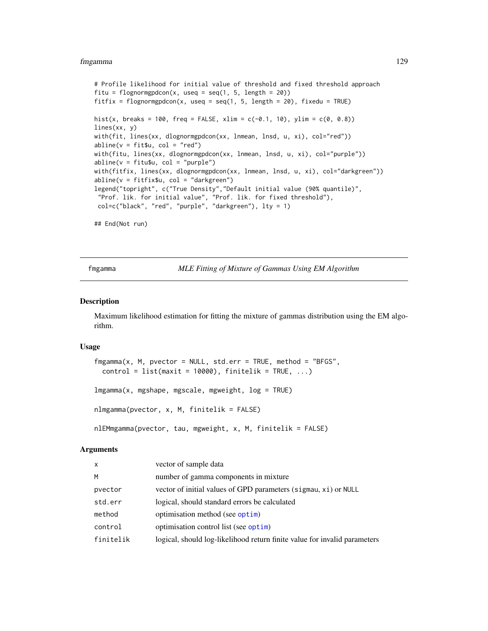#### fmgamma 129

```
# Profile likelihood for initial value of threshold and fixed threshold approach
fitu = flognormgpdcon(x, useq = seq(1, 5, length = 20))
fitfix = flognormgpdcon(x, useq = seq(1, 5, length = 20), fixedu = TRUE)
hist(x, breaks = 100, freq = FALSE, xlim = c(-0.1, 10), ylim = c(0, 0.8))
lines(xx, y)
with(fit, lines(xx, dlognormgpdcon(xx, lnmean, lnsd, u, xi), col="red"))
abline(v = fit $u, col = "red")with(fitu, lines(xx, dlognormgpdcon(xx, lnmean, lnsd, u, xi), col="purple"))
abline(v = fitu$u, col = "purple")with(fitfix, lines(xx, dlognormgpdcon(xx, lnmean, lnsd, u, xi), col="darkgreen"))
abline(v = fitfix$u, col = "darkgreen")
legend("topright", c("True Density","Default initial value (90% quantile)",
 "Prof. lik. for initial value", "Prof. lik. for fixed threshold"),
 col=c("black", "red", "purple", "darkgreen"), lty = 1)
## End(Not run)
```
<span id="page-128-1"></span>fmgamma *MLE Fitting of Mixture of Gammas Using EM Algorithm*

### <span id="page-128-0"></span>Description

Maximum likelihood estimation for fitting the mixture of gammas distribution using the EM algorithm.

#### Usage

```
fmgamma(x, M, pvector = NULL, std.err = TRUE, method = "BFGS",
 control = list(maxit = 10000), finitelik = TRUE, ...)
lmgamma(x, mgshape, mgscale, mgweight, log = TRUE)
nlmgamma(pvector, x, M, finitelik = FALSE)
nlEMmgamma(pvector, tau, mgweight, x, M, finitelik = FALSE)
```
#### Arguments

| X         | vector of sample data                                                     |
|-----------|---------------------------------------------------------------------------|
| м         | number of gamma components in mixture                                     |
| pvector   | vector of initial values of GPD parameters (sigmau, xi) or NULL           |
| std.err   | logical, should standard errors be calculated                             |
| method    | optimisation method (see optim)                                           |
| control   | optimisation control list (see optim)                                     |
| finitelik | logical, should log-likelihood return finite value for invalid parameters |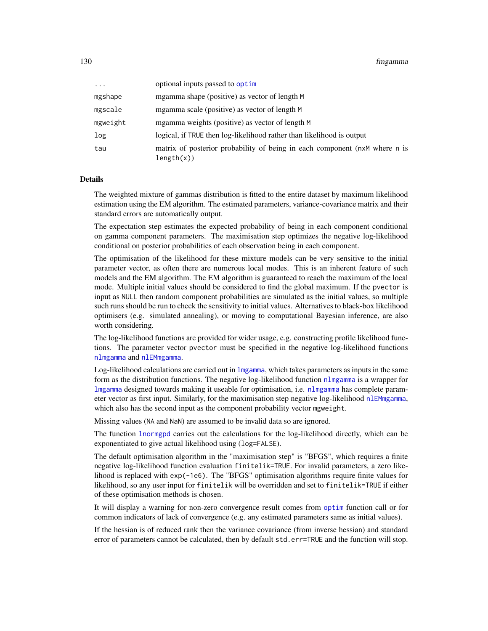| $\cdots$ | optional inputs passed to optim                                                          |
|----------|------------------------------------------------------------------------------------------|
| mgshape  | mgamma shape (positive) as vector of length M                                            |
| mgscale  | mgamma scale (positive) as vector of length M                                            |
| mgweight | mgamma weights (positive) as vector of length M                                          |
| log      | logical, if TRUE then log-likelihood rather than likelihood is output                    |
| tau      | matrix of posterior probability of being in each component (nxM where n is<br>length(x)) |

### Details

The weighted mixture of gammas distribution is fitted to the entire dataset by maximum likelihood estimation using the EM algorithm. The estimated parameters, variance-covariance matrix and their standard errors are automatically output.

The expectation step estimates the expected probability of being in each component conditional on gamma component parameters. The maximisation step optimizes the negative log-likelihood conditional on posterior probabilities of each observation being in each component.

The optimisation of the likelihood for these mixture models can be very sensitive to the initial parameter vector, as often there are numerous local modes. This is an inherent feature of such models and the EM algorithm. The EM algorithm is guaranteed to reach the maximum of the local mode. Multiple initial values should be considered to find the global maximum. If the pvector is input as NULL then random component probabilities are simulated as the initial values, so multiple such runs should be run to check the sensitivity to initial values. Alternatives to black-box likelihood optimisers (e.g. simulated annealing), or moving to computational Bayesian inference, are also worth considering.

The log-likelihood functions are provided for wider usage, e.g. constructing profile likelihood functions. The parameter vector pvector must be specified in the negative log-likelihood functions [nlmgamma](#page-128-0) and [nlEMmgamma](#page-128-0).

Log-likelihood calculations are carried out in  $\log_{2}$  which takes parameters as inputs in the same form as the distribution functions. The negative log-likelihood function [nlmgamma](#page-128-0) is a wrapper for [lmgamma](#page-128-0) designed towards making it useable for optimisation, i.e. [nlmgamma](#page-128-0) has complete parameter vector as first input. Similarly, for the maximisation step negative log-likelihood [nlEMmgamma](#page-128-0), which also has the second input as the component probability vector mgweight.

Missing values (NA and NaN) are assumed to be invalid data so are ignored.

The function [lnormgpd](#page-142-1) carries out the calculations for the log-likelihood directly, which can be exponentiated to give actual likelihood using (log=FALSE).

The default optimisation algorithm in the "maximisation step" is "BFGS", which requires a finite negative log-likelihood function evaluation finitelik=TRUE. For invalid parameters, a zero likelihood is replaced with exp(-1e6). The "BFGS" optimisation algorithms require finite values for likelihood, so any user input for finitelik will be overridden and set to finitelik=TRUE if either of these optimisation methods is chosen.

It will display a warning for non-zero convergence result comes from [optim](#page-0-0) function call or for common indicators of lack of convergence (e.g. any estimated parameters same as initial values).

If the hessian is of reduced rank then the variance covariance (from inverse hessian) and standard error of parameters cannot be calculated, then by default std.err=TRUE and the function will stop.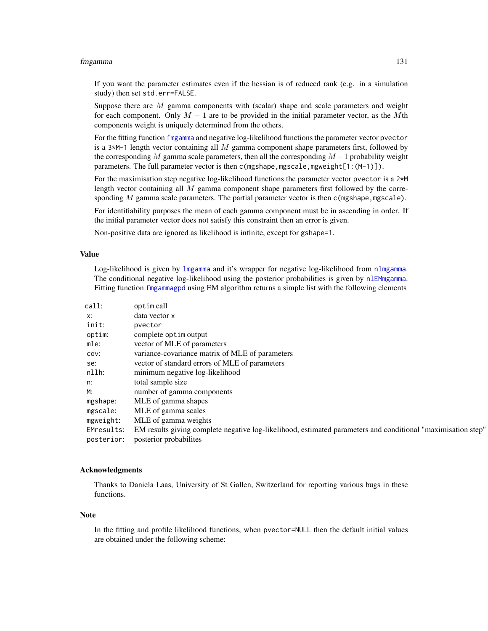#### fmgamma 131

If you want the parameter estimates even if the hessian is of reduced rank (e.g. in a simulation study) then set std.err=FALSE.

Suppose there are  $M$  gamma components with (scalar) shape and scale parameters and weight for each component. Only  $M - 1$  are to be provided in the initial parameter vector, as the Mth components weight is uniquely determined from the others.

For the fitting function [fmgamma](#page-128-1) and negative log-likelihood functions the parameter vector pvector is a  $3*M-1$  length vector containing all M gamma component shape parameters first, followed by the corresponding M gamma scale parameters, then all the corresponding  $M-1$  probability weight parameters. The full parameter vector is then c(mgshape, mgscale, mgweight[1:(M-1)]).

For the maximisation step negative log-likelihood functions the parameter vector pvector is a 2<sup>\*M</sup> length vector containing all  $M$  gamma component shape parameters first followed by the corresponding M gamma scale parameters. The partial parameter vector is then  $c$  (mgshape, mgscale).

For identifiability purposes the mean of each gamma component must be in ascending in order. If the initial parameter vector does not satisfy this constraint then an error is given.

Non-positive data are ignored as likelihood is infinite, except for gshape=1.

#### Value

Log-likelihood is given by [lmgamma](#page-128-0) and it's wrapper for negative log-likelihood from [nlmgamma](#page-128-0). The conditional negative log-likelihood using the posterior probabilities is given by [nlEMmgamma](#page-128-0). Fitting function [fmgammagpd](#page-132-0) using EM algorithm returns a simple list with the following elements

| call:      | optim call                                                                                                   |
|------------|--------------------------------------------------------------------------------------------------------------|
| x:         | data vector x                                                                                                |
| init:      | pvector                                                                                                      |
| optim:     | complete optim output                                                                                        |
| mle:       | vector of MLE of parameters                                                                                  |
| COV:       | variance-covariance matrix of MLE of parameters                                                              |
| se:        | vector of standard errors of MLE of parameters                                                               |
| nllh:      | minimum negative log-likelihood                                                                              |
| n:         | total sample size                                                                                            |
| M:         | number of gamma components                                                                                   |
| mgshape:   | MLE of gamma shapes                                                                                          |
| mgscale:   | MLE of gamma scales                                                                                          |
| mgweight:  | MLE of gamma weights                                                                                         |
| EMresults: | EM results giving complete negative log-likelihood, estimated parameters and conditional "maximisation step" |
| posterior: | posterior probabilites                                                                                       |

#### Acknowledgments

Thanks to Daniela Laas, University of St Gallen, Switzerland for reporting various bugs in these functions.

#### Note

In the fitting and profile likelihood functions, when pvector=NULL then the default initial values are obtained under the following scheme: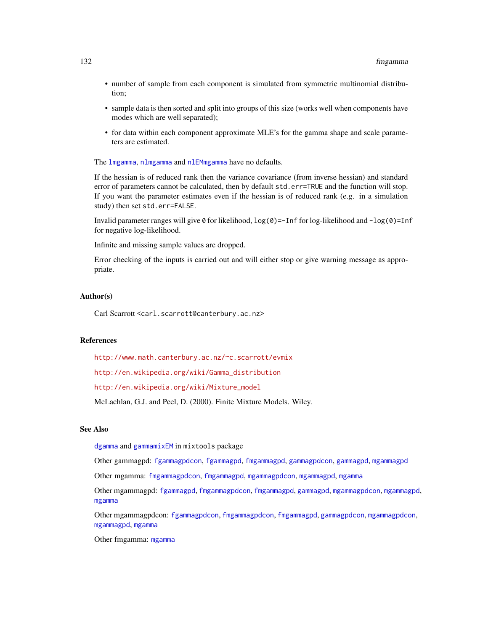- number of sample from each component is simulated from symmetric multinomial distribution;
- sample data is then sorted and split into groups of this size (works well when components have modes which are well separated);
- for data within each component approximate MLE's for the gamma shape and scale parameters are estimated.

The [lmgamma](#page-128-0), [nlmgamma](#page-128-0) and [nlEMmgamma](#page-128-0) have no defaults.

If the hessian is of reduced rank then the variance covariance (from inverse hessian) and standard error of parameters cannot be calculated, then by default std.err=TRUE and the function will stop. If you want the parameter estimates even if the hessian is of reduced rank (e.g. in a simulation study) then set std.err=FALSE.

Invalid parameter ranges will give  $\theta$  for likelihood,  $log(\theta)$ =-Inf for log-likelihood and  $-log(\theta)$ =Inf for negative log-likelihood.

Infinite and missing sample values are dropped.

Error checking of the inputs is carried out and will either stop or give warning message as appropriate.

#### Author(s)

Carl Scarrott <carl.scarrott@canterbury.ac.nz>

#### References

<http://www.math.canterbury.ac.nz/~c.scarrott/evmix>

[http://en.wikipedia.org/wiki/Gamma\\_distribution](http://en.wikipedia.org/wiki/Gamma_distribution)

[http://en.wikipedia.org/wiki/Mixture\\_model](http://en.wikipedia.org/wiki/Mixture_model)

McLachlan, G.J. and Peel, D. (2000). Finite Mixture Models. Wiley.

#### See Also

[dgamma](#page-0-0) and [gammamixEM](#page-0-0) in mixtools package

Other gammagpd: [fgammagpdcon](#page-61-0), [fgammagpd](#page-58-0), [fmgammagpd](#page-132-0), [gammagpdcon](#page-171-0), [gammagpd](#page-167-0), [mgammagpd](#page-241-0)

Other mgamma: [fmgammagpdcon](#page-137-0), [fmgammagpd](#page-132-0), [mgammagpdcon](#page-244-0), [mgammagpd](#page-241-0), [mgamma](#page-238-0)

Other mgammagpd: [fgammagpd](#page-58-0), [fmgammagpdcon](#page-137-0), [fmgammagpd](#page-132-0), [gammagpd](#page-167-0), [mgammagpdcon](#page-244-0), [mgammagpd](#page-241-0), [mgamma](#page-238-0)

Other mgammagpdcon: [fgammagpdcon](#page-61-0), [fmgammagpdcon](#page-137-0), [fmgammagpd](#page-132-0), [gammagpdcon](#page-171-0), [mgammagpdcon](#page-244-0), [mgammagpd](#page-241-0), [mgamma](#page-238-0)

Other fmgamma: [mgamma](#page-238-0)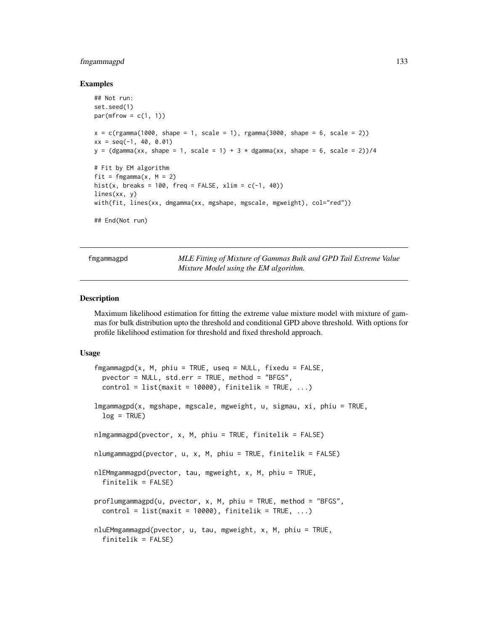## fmgammagpd 133

### Examples

```
## Not run:
set.seed(1)
par(mfrow = c(1, 1))x = c(rgamma(1000, shape = 1, scale = 1), rgamma(3000, shape = 6, scale = 2))xx = seq(-1, 40, 0.01)y = (dgamma(xx, shape = 1, scale = 1) + 3 * dgamma(xx, shape = 6, scale = 2))/4# Fit by EM algorithm
fit = fmgamma(x, M = 2)hist(x, breaks = 100, freq = FALSE, xlim = c(-1, 40))
lines(xx, y)
with(fit, lines(xx, dmgamma(xx, mgshape, mgscale, mgweight), col="red"))
## End(Not run)
```
<span id="page-132-0"></span>fmgammagpd *MLE Fitting of Mixture of Gammas Bulk and GPD Tail Extreme Value Mixture Model using the EM algorithm.*

#### <span id="page-132-1"></span>Description

Maximum likelihood estimation for fitting the extreme value mixture model with mixture of gammas for bulk distribution upto the threshold and conditional GPD above threshold. With options for profile likelihood estimation for threshold and fixed threshold approach.

#### Usage

```
fmgammagpd(x, M, phiu = TRUE, used = NULL, fixedu = FALSE,pvector = NULL, std.err = TRUE, method = "BFGS",
 control = list(maxit = 10000), finitelik = TRUE, ...)
lmgammagpd(x, mgshape, mgscale, mgweight, u, sigmau, xi, phiu = TRUE,
  log = TRUE)
nlmgammagpd(pvector, x, M, phiu = TRUE, finitelik = FALSE)
nlumgammagpd(pvector, u, x, M, phiu = TRUE, finitelik = FALSE)
nlEMmgammagpd(pvector, tau, mgweight, x, M, phiu = TRUE,
  finitelik = FALSE)
proflumgammagpd(u, pvector, x, M, phiu = TRUE, method = "BFGS",
  control = list(maxit = 10000), finitelik = TRUE, ...)nluEMmgammagpd(pvector, u, tau, mgweight, x, M, phiu = TRUE,
  finitelik = FALSE)
```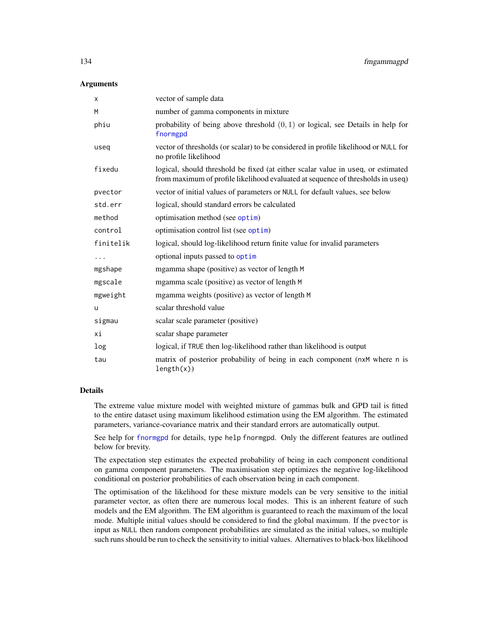## **Arguments**

| X         | vector of sample data                                                                                                                                               |
|-----------|---------------------------------------------------------------------------------------------------------------------------------------------------------------------|
| M         | number of gamma components in mixture                                                                                                                               |
| phiu      | probability of being above threshold $(0, 1)$ or logical, see Details in help for<br>fnormgpd                                                                       |
| useq      | vector of thresholds (or scalar) to be considered in profile likelihood or NULL for<br>no profile likelihood                                                        |
| fixedu    | logical, should threshold be fixed (at either scalar value in useq, or estimated<br>from maximum of profile likelihood evaluated at sequence of thresholds in useq) |
| pvector   | vector of initial values of parameters or NULL for default values, see below                                                                                        |
| std.err   | logical, should standard errors be calculated                                                                                                                       |
| method    | optimisation method (see optim)                                                                                                                                     |
| control   | optimisation control list (see optim)                                                                                                                               |
| finitelik | logical, should log-likelihood return finite value for invalid parameters                                                                                           |
| .         | optional inputs passed to optim                                                                                                                                     |
| mgshape   | mgamma shape (positive) as vector of length M                                                                                                                       |
| mgscale   | mgamma scale (positive) as vector of length M                                                                                                                       |
| mgweight  | mgamma weights (positive) as vector of length M                                                                                                                     |
| u         | scalar threshold value                                                                                                                                              |
| sigmau    | scalar scale parameter (positive)                                                                                                                                   |
| хi        | scalar shape parameter                                                                                                                                              |
| log       | logical, if TRUE then log-likelihood rather than likelihood is output                                                                                               |
| tau       | matrix of posterior probability of being in each component (nxM where n is<br>length(x))                                                                            |

## Details

The extreme value mixture model with weighted mixture of gammas bulk and GPD tail is fitted to the entire dataset using maximum likelihood estimation using the EM algorithm. The estimated parameters, variance-covariance matrix and their standard errors are automatically output.

See help for [fnormgpd](#page-142-0) for details, type help fnormgpd. Only the different features are outlined below for brevity.

The expectation step estimates the expected probability of being in each component conditional on gamma component parameters. The maximisation step optimizes the negative log-likelihood conditional on posterior probabilities of each observation being in each component.

The optimisation of the likelihood for these mixture models can be very sensitive to the initial parameter vector, as often there are numerous local modes. This is an inherent feature of such models and the EM algorithm. The EM algorithm is guaranteed to reach the maximum of the local mode. Multiple initial values should be considered to find the global maximum. If the pvector is input as NULL then random component probabilities are simulated as the initial values, so multiple such runs should be run to check the sensitivity to initial values. Alternatives to black-box likelihood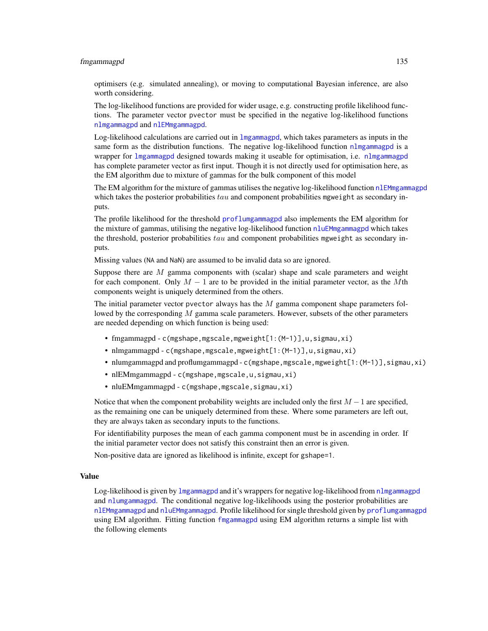#### fmgammagpd 135

optimisers (e.g. simulated annealing), or moving to computational Bayesian inference, are also worth considering.

The log-likelihood functions are provided for wider usage, e.g. constructing profile likelihood functions. The parameter vector pvector must be specified in the negative log-likelihood functions [nlmgammagpd](#page-132-1) and [nlEMmgammagpd](#page-132-1).

Log-likelihood calculations are carried out in [lmgammagpd](#page-132-1), which takes parameters as inputs in the same form as the distribution functions. The negative log-likelihood function [nlmgammagpd](#page-132-1) is a wrapper for [lmgammagpd](#page-132-1) designed towards making it useable for optimisation, i.e. [nlmgammagpd](#page-132-1) has complete parameter vector as first input. Though it is not directly used for optimisation here, as the EM algorithm due to mixture of gammas for the bulk component of this model

The EM algorithm for the mixture of gammas utilises the negative log-likelihood function  $nIEMmgammagpd$ which takes the posterior probabilities  $tau$  and component probabilities mgweight as secondary inputs.

The profile likelihood for the threshold [proflumgammagpd](#page-132-1) also implements the EM algorithm for the mixture of gammas, utilising the negative log-likelihood function [nluEMmgammagpd](#page-132-1) which takes the threshold, posterior probabilities  $tau$  and component probabilities mgweight as secondary inputs.

Missing values (NA and NaN) are assumed to be invalid data so are ignored.

Suppose there are  $M$  gamma components with (scalar) shape and scale parameters and weight for each component. Only  $M - 1$  are to be provided in the initial parameter vector, as the Mth components weight is uniquely determined from the others.

The initial parameter vector pvector always has the  $M$  gamma component shape parameters followed by the corresponding  $M$  gamma scale parameters. However, subsets of the other parameters are needed depending on which function is being used:

- fmgammagpd c(mgshape,mgscale,mgweight[1:(M-1)],u,sigmau,xi)
- nlmgammagpd c(mgshape,mgscale,mgweight[1:(M-1)],u,sigmau,xi)
- nlumgammagpd and proflumgammagpd c(mgshape, mgscale, mgweight[1:(M-1)], sigmau, xi)
- nlEMmgammagpd c(mgshape, mgscale, u, sigmau, xi)
- nluEMmgammagpd c(mgshape, mgscale, sigmau, xi)

Notice that when the component probability weights are included only the first  $M - 1$  are specified, as the remaining one can be uniquely determined from these. Where some parameters are left out, they are always taken as secondary inputs to the functions.

For identifiability purposes the mean of each gamma component must be in ascending in order. If the initial parameter vector does not satisfy this constraint then an error is given.

Non-positive data are ignored as likelihood is infinite, except for gshape=1.

## Value

Log-likelihood is given by [lmgammagpd](#page-132-1) and it's wrappers for negative log-likelihood from [nlmgammagpd](#page-132-1) and [nlumgammagpd](#page-132-1). The conditional negative log-likelihoods using the posterior probabilities are [nlEMmgammagpd](#page-132-1) and [nluEMmgammagpd](#page-132-1). Profile likelihood for single threshold given by [proflumgammagpd](#page-132-1) using EM algorithm. Fitting function [fmgammagpd](#page-132-0) using EM algorithm returns a simple list with the following elements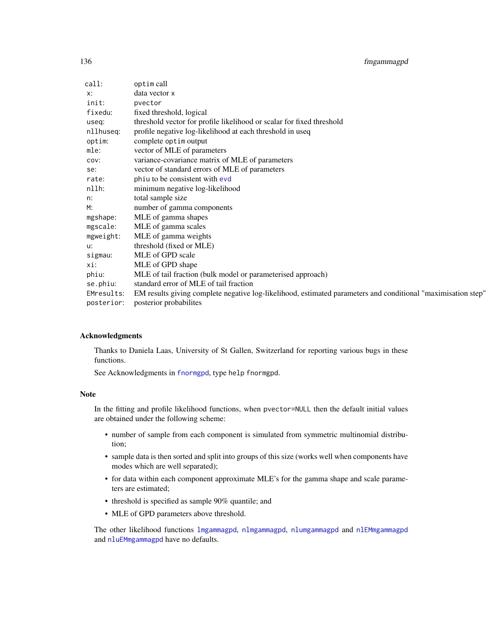| call:      | optim call                                                                                                   |
|------------|--------------------------------------------------------------------------------------------------------------|
| x:         | data vector x                                                                                                |
| init:      | pvector                                                                                                      |
| fixedu:    | fixed threshold, logical                                                                                     |
| useq:      | threshold vector for profile likelihood or scalar for fixed threshold                                        |
| nllhuseq:  | profile negative log-likelihood at each threshold in useq                                                    |
| optim:     | complete optim output                                                                                        |
| mle:       | vector of MLE of parameters                                                                                  |
| COV:       | variance-covariance matrix of MLE of parameters                                                              |
| se:        | vector of standard errors of MLE of parameters                                                               |
| rate:      | phiu to be consistent with evd                                                                               |
| nllh:      | minimum negative log-likelihood                                                                              |
| n:         | total sample size                                                                                            |
| M:         | number of gamma components                                                                                   |
| mgshape:   | MLE of gamma shapes                                                                                          |
| mgscale:   | MLE of gamma scales                                                                                          |
| mgweight:  | MLE of gamma weights                                                                                         |
| u:         | threshold (fixed or MLE)                                                                                     |
| sigmau:    | MLE of GPD scale                                                                                             |
| xi:        | MLE of GPD shape                                                                                             |
| phiu:      | MLE of tail fraction (bulk model or parameterised approach)                                                  |
| se.phiu:   | standard error of MLE of tail fraction                                                                       |
| EMresults: | EM results giving complete negative log-likelihood, estimated parameters and conditional "maximisation step" |
| posterior: | posterior probabilites                                                                                       |

### Acknowledgments

Thanks to Daniela Laas, University of St Gallen, Switzerland for reporting various bugs in these functions.

See Acknowledgments in [fnormgpd](#page-142-0), type help fnormgpd.

# Note

In the fitting and profile likelihood functions, when pvector=NULL then the default initial values are obtained under the following scheme:

- number of sample from each component is simulated from symmetric multinomial distribution;
- sample data is then sorted and split into groups of this size (works well when components have modes which are well separated);
- for data within each component approximate MLE's for the gamma shape and scale parameters are estimated;
- threshold is specified as sample 90% quantile; and
- MLE of GPD parameters above threshold.

The other likelihood functions [lmgammagpd](#page-132-1), [nlmgammagpd](#page-132-1), [nlumgammagpd](#page-132-1) and [nlEMmgammagpd](#page-132-1) and [nluEMmgammagpd](#page-132-1) have no defaults.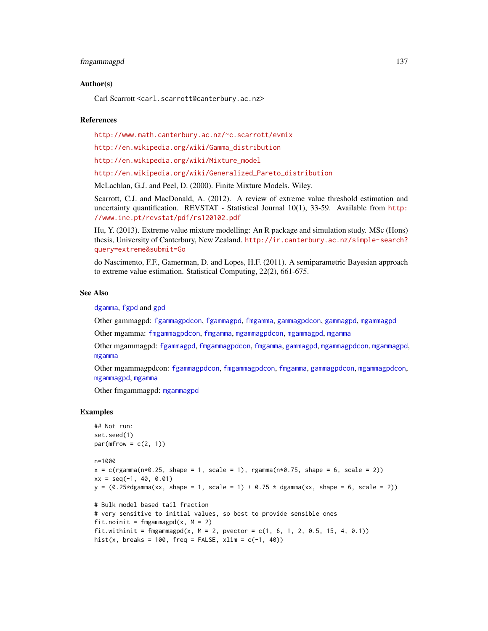#### fmgammagpd 137

### Author(s)

Carl Scarrott <carl.scarrott@canterbury.ac.nz>

#### References

<http://www.math.canterbury.ac.nz/~c.scarrott/evmix>

[http://en.wikipedia.org/wiki/Gamma\\_distribution](http://en.wikipedia.org/wiki/Gamma_distribution)

[http://en.wikipedia.org/wiki/Mixture\\_model](http://en.wikipedia.org/wiki/Mixture_model)

[http://en.wikipedia.org/wiki/Generalized\\_Pareto\\_distribution](http://en.wikipedia.org/wiki/Generalized_Pareto_distribution)

McLachlan, G.J. and Peel, D. (2000). Finite Mixture Models. Wiley.

Scarrott, C.J. and MacDonald, A. (2012). A review of extreme value threshold estimation and uncertainty quantification. REVSTAT - Statistical Journal 10(1), 33-59. Available from [http:](http://www.ine.pt/revstat/pdf/rs120102.pdf) [//www.ine.pt/revstat/pdf/rs120102.pdf](http://www.ine.pt/revstat/pdf/rs120102.pdf)

Hu, Y. (2013). Extreme value mixture modelling: An R package and simulation study. MSc (Hons) thesis, University of Canterbury, New Zealand. [http://ir.canterbury.ac.nz/simple-search?](http://ir.canterbury.ac.nz/simple-search?query=extreme&submit=Go) [query=extreme&submit=Go](http://ir.canterbury.ac.nz/simple-search?query=extreme&submit=Go)

do Nascimento, F.F., Gamerman, D. and Lopes, H.F. (2011). A semiparametric Bayesian approach to extreme value estimation. Statistical Computing, 22(2), 661-675.

## See Also

[dgamma](#page-0-0), [fgpd](#page-84-0) and [gpd](#page-190-0)

Other gammagpd: [fgammagpdcon](#page-61-0), [fgammagpd](#page-58-0), [fmgamma](#page-128-1), [gammagpdcon](#page-171-0), [gammagpd](#page-167-0), [mgammagpd](#page-241-0)

Other mgamma: [fmgammagpdcon](#page-137-0), [fmgamma](#page-128-1), [mgammagpdcon](#page-244-0), [mgammagpd](#page-241-0), [mgamma](#page-238-0)

Other mgammagpd: [fgammagpd](#page-58-0), [fmgammagpdcon](#page-137-0), [fmgamma](#page-128-1), [gammagpd](#page-167-0), [mgammagpdcon](#page-244-0), [mgammagpd](#page-241-0), [mgamma](#page-238-0)

Other mgammagpdcon: [fgammagpdcon](#page-61-0), [fmgammagpdcon](#page-137-0), [fmgamma](#page-128-1), [gammagpdcon](#page-171-0), [mgammagpdcon](#page-244-0), [mgammagpd](#page-241-0), [mgamma](#page-238-0)

Other fmgammagpd: [mgammagpd](#page-241-0)

## Examples

```
## Not run:
set.seed(1)
par(mfrow = c(2, 1))n=1000
x = c(rgamma(n*0.25, shape = 1, scale = 1), rgamma(n*0.75, shape = 6, scale = 2))xx = seq(-1, 40, 0.01)y = (0.25 \star dgamma(xx, shape = 1, scale = 1) + 0.75 \star dgamma(xx, shape = 6, scale = 2))# Bulk model based tail fraction
# very sensitive to initial values, so best to provide sensible ones
fit.noinit = fmgammagpd(x, M = 2)fit.withinit = fmgammagpd(x, M = 2, pvector = c(1, 6, 1, 2, 0.5, 15, 4, 0.1))
hist(x, breaks = 100, freq = FALSE, xlim = c(-1, 40))
```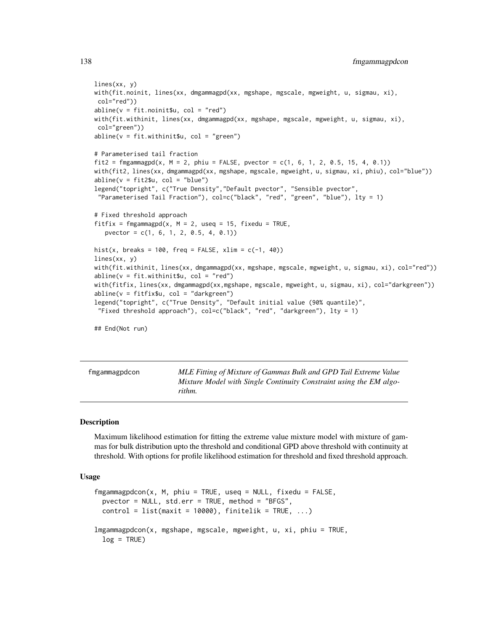```
lines(xx, y)
with(fit.noinit, lines(xx, dmgammagpd(xx, mgshape, mgscale, mgweight, u, sigmau, xi),
col="red"))
abline(v = fit.noint $u, col = "red")with(fit.withinit, lines(xx, dmgammagpd(xx, mgshape, mgscale, mgweight, u, sigmau, xi),
col="green"))
abline(v = fit<u>.withinitsu, col = "green")</u>
# Parameterised tail fraction
fit2 = fmgammagpd(x, M = 2, phiu = FALSE, pvector = c(1, 6, 1, 2, 0.5, 15, 4, 0.1))
with(fit2, lines(xx, dmgammagpd(xx, mgshape, mgscale, mgweight, u, sigmau, xi, phiu), col="blue"))
abline(v = fit2$u, col = "blue")legend("topright", c("True Density","Default pvector", "Sensible pvector",
 "Parameterised Tail Fraction"), col=c("black", "red", "green", "blue"), lty = 1)
# Fixed threshold approach
fitfix = fmgammagpd(x, M = 2, useq = 15, fixedu = TRUE,
   pvector = c(1, 6, 1, 2, 0.5, 4, 0.1))
hist(x, breaks = 100, freq = FALSE, xlim = c(-1, 40))
lines(xx, y)
with(fit.withinit, lines(xx, dmgammagpd(xx, mgshape, mgscale, mgweight, u, sigmau, xi), col="red"))
abline(v = fit<u>.withinit</u>$u, col = "red")with(fitfix, lines(xx, dmgammagpd(xx,mgshape, mgscale, mgweight, u, sigmau, xi), col="darkgreen"))
abline(v = fitfix$u, col = "darkgreen")
legend("topright", c("True Density", "Default initial value (90% quantile)",
 "Fixed threshold approach"), col=c("black", "red", "darkgreen"), lty = 1)
## End(Not run)
```
<span id="page-137-0"></span>fmgammagpdcon *MLE Fitting of Mixture of Gammas Bulk and GPD Tail Extreme Value Mixture Model with Single Continuity Constraint using the EM algorithm.*

#### <span id="page-137-1"></span>**Description**

Maximum likelihood estimation for fitting the extreme value mixture model with mixture of gammas for bulk distribution upto the threshold and conditional GPD above threshold with continuity at threshold. With options for profile likelihood estimation for threshold and fixed threshold approach.

## Usage

```
fmgammagpdcon(x, M, phiu = TRUE, useq = NULL, fixedu = FALSE,pvector = NULL, std.err = TRUE, method = "BFGS",
 control = list(maxit = 10000), finitelik = TRUE, ...)lmgammagpdcon(x, mgshape, mgscale, mgweight, u, xi, phiu = TRUE,
 log = TRUE)
```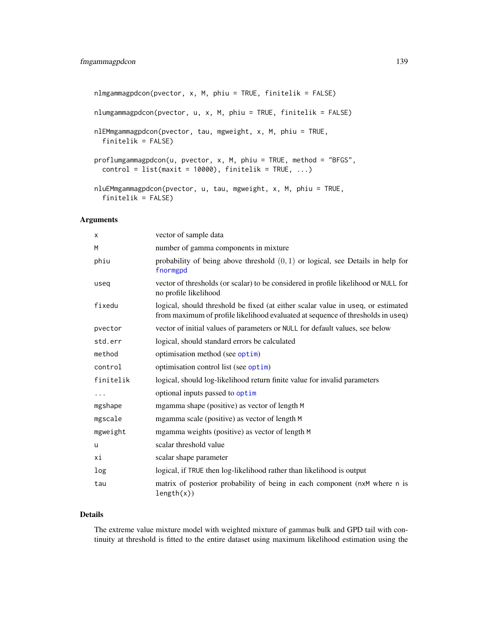```
nlmgammagpdcon(pvector, x, M, phiu = TRUE, finitelik = FALSE)
nlumgammagpdcon(pvector, u, x, M, phiu = TRUE, finitelik = FALSE)
nlEMmgammagpdcon(pvector, tau, mgweight, x, M, phiu = TRUE,
 finitelik = FALSE)
proflumgammagpdcon(u, pvector, x, M, phiu = TRUE, method = "BFGS",
 control = list(maxit = 10000), finitelik = TRUE, ...)
nluEMmgammagpdcon(pvector, u, tau, mgweight, x, M, phiu = TRUE,
  finitelik = FALSE)
```
## Arguments

| X            | vector of sample data                                                                                                                                               |
|--------------|---------------------------------------------------------------------------------------------------------------------------------------------------------------------|
| M            | number of gamma components in mixture                                                                                                                               |
| phiu         | probability of being above threshold $(0, 1)$ or logical, see Details in help for<br>fnormgpd                                                                       |
| useq         | vector of thresholds (or scalar) to be considered in profile likelihood or NULL for<br>no profile likelihood                                                        |
| fixedu       | logical, should threshold be fixed (at either scalar value in useq, or estimated<br>from maximum of profile likelihood evaluated at sequence of thresholds in useq) |
| pvector      | vector of initial values of parameters or NULL for default values, see below                                                                                        |
| std.err      | logical, should standard errors be calculated                                                                                                                       |
| method       | optimisation method (see optim)                                                                                                                                     |
| control      | optimisation control list (see optim)                                                                                                                               |
| finitelik    | logical, should log-likelihood return finite value for invalid parameters                                                                                           |
| .            | optional inputs passed to optim                                                                                                                                     |
| mgshape      | mgamma shape (positive) as vector of length M                                                                                                                       |
| mgscale      | mgamma scale (positive) as vector of length M                                                                                                                       |
| mgweight     | mgamma weights (positive) as vector of length M                                                                                                                     |
| $\mathsf{u}$ | scalar threshold value                                                                                                                                              |
| хi           | scalar shape parameter                                                                                                                                              |
| log          | logical, if TRUE then log-likelihood rather than likelihood is output                                                                                               |
| tau          | matrix of posterior probability of being in each component (nxM where n is<br>length(x))                                                                            |

## Details

The extreme value mixture model with weighted mixture of gammas bulk and GPD tail with continuity at threshold is fitted to the entire dataset using maximum likelihood estimation using the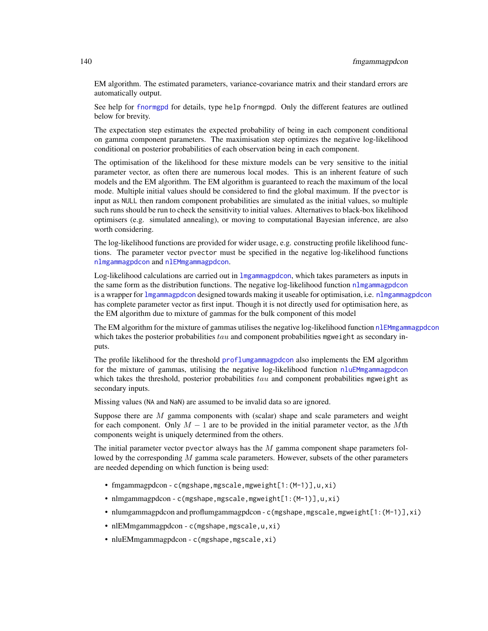EM algorithm. The estimated parameters, variance-covariance matrix and their standard errors are automatically output.

See help for [fnormgpd](#page-142-0) for details, type help fnormgpd. Only the different features are outlined below for brevity.

The expectation step estimates the expected probability of being in each component conditional on gamma component parameters. The maximisation step optimizes the negative log-likelihood conditional on posterior probabilities of each observation being in each component.

The optimisation of the likelihood for these mixture models can be very sensitive to the initial parameter vector, as often there are numerous local modes. This is an inherent feature of such models and the EM algorithm. The EM algorithm is guaranteed to reach the maximum of the local mode. Multiple initial values should be considered to find the global maximum. If the pvector is input as NULL then random component probabilities are simulated as the initial values, so multiple such runs should be run to check the sensitivity to initial values. Alternatives to black-box likelihood optimisers (e.g. simulated annealing), or moving to computational Bayesian inference, are also worth considering.

The log-likelihood functions are provided for wider usage, e.g. constructing profile likelihood functions. The parameter vector pvector must be specified in the negative log-likelihood functions [nlmgammagpdcon](#page-137-1) and [nlEMmgammagpdcon](#page-137-1).

Log-likelihood calculations are carried out in [lmgammagpdcon](#page-137-1), which takes parameters as inputs in the same form as the distribution functions. The negative log-likelihood function [nlmgammagpdcon](#page-137-1) is a wrapper for [lmgammagpdcon](#page-137-1) designed towards making it useable for optimisation, i.e. [nlmgammagpdcon](#page-137-1) has complete parameter vector as first input. Though it is not directly used for optimisation here, as the EM algorithm due to mixture of gammas for the bulk component of this model

The EM algorithm for the mixture of gammas utilises the negative log-likelihood function [nlEMmgammagpdcon](#page-137-1) which takes the posterior probabilities  $tau$  and component probabilities mgweight as secondary inputs.

The profile likelihood for the threshold [proflumgammagpdcon](#page-137-1) also implements the EM algorithm for the mixture of gammas, utilising the negative log-likelihood function [nluEMmgammagpdcon](#page-137-1) which takes the threshold, posterior probabilities  $tau$  and component probabilities mgweight as secondary inputs.

Missing values (NA and NaN) are assumed to be invalid data so are ignored.

Suppose there are  $M$  gamma components with (scalar) shape and scale parameters and weight for each component. Only  $M - 1$  are to be provided in the initial parameter vector, as the Mth components weight is uniquely determined from the others.

The initial parameter vector pvector always has the  $M$  gamma component shape parameters followed by the corresponding  $M$  gamma scale parameters. However, subsets of the other parameters are needed depending on which function is being used:

- fmgammagpdcon c(mgshape,mgscale,mgweight[1:(M-1)],u,xi)
- nlmgammagpdcon c(mgshape,mgscale,mgweight[1:(M-1)],u,xi)
- nlumgammagpdcon and proflumgammagpdcon c(mgshape, mgscale, mgweight[1:(M-1)], xi)
- nlEMmgammagpdcon c(mgshape, mgscale, u, xi)
- nluEMmgammagpdcon c(mgshape, mgscale, xi)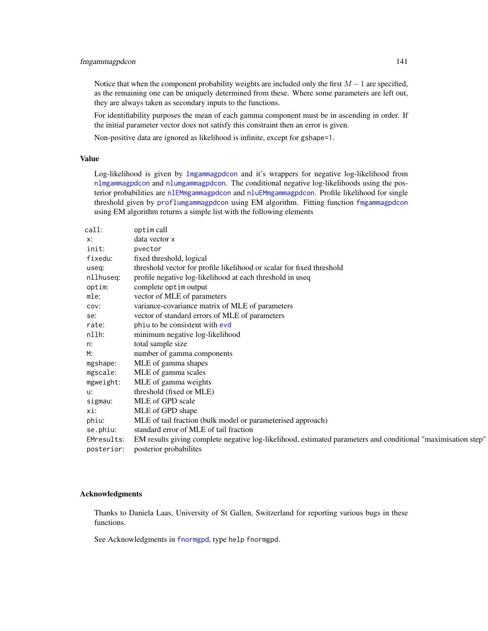# fmgammagpdcon 141

Notice that when the component probability weights are included only the first  $M - 1$  are specified, as the remaining one can be uniquely determined from these. Where some parameters are left out, they are always taken as secondary inputs to the functions.

For identifiability purposes the mean of each gamma component must be in ascending in order. If the initial parameter vector does not satisfy this constraint then an error is given.

Non-positive data are ignored as likelihood is infinite, except for gshape=1.

# Value

Log-likelihood is given by [lmgammagpdcon](#page-137-1) and it's wrappers for negative log-likelihood from [nlmgammagpdcon](#page-137-1) and [nlumgammagpdcon](#page-137-1). The conditional negative log-likelihoods using the posterior probabilities are [nlEMmgammagpdcon](#page-137-1) and [nluEMmgammagpdcon](#page-137-1). Profile likelihood for single threshold given by [proflumgammagpdcon](#page-137-1) using EM algorithm. Fitting function [fmgammagpdcon](#page-137-0) using EM algorithm returns a simple list with the following elements

| call:      | optim call                                                                                                   |
|------------|--------------------------------------------------------------------------------------------------------------|
| x:         | data vector x                                                                                                |
| init:      | pvector                                                                                                      |
| fixedu:    | fixed threshold, logical                                                                                     |
| useq:      | threshold vector for profile likelihood or scalar for fixed threshold                                        |
| nllhuseq:  | profile negative log-likelihood at each threshold in useq                                                    |
| optim:     | complete optim output                                                                                        |
| mle:       | vector of MLE of parameters                                                                                  |
| COV:       | variance-covariance matrix of MLE of parameters                                                              |
| se:        | vector of standard errors of MLE of parameters                                                               |
| rate:      | phiu to be consistent with evd                                                                               |
| nllh:      | minimum negative log-likelihood                                                                              |
| n:         | total sample size                                                                                            |
| M:         | number of gamma components                                                                                   |
| mgshape:   | MLE of gamma shapes                                                                                          |
| mgscale:   | MLE of gamma scales                                                                                          |
| mgweight:  | MLE of gamma weights                                                                                         |
| u:         | threshold (fixed or MLE)                                                                                     |
| sigmau:    | MLE of GPD scale                                                                                             |
| xi:        | MLE of GPD shape                                                                                             |
| phiu:      | MLE of tail fraction (bulk model or parameterised approach)                                                  |
| se.phiu:   | standard error of MLE of tail fraction                                                                       |
| EMresults: | EM results giving complete negative log-likelihood, estimated parameters and conditional "maximisation step" |
| posterior: | posterior probabilities                                                                                      |

### Acknowledgments

Thanks to Daniela Laas, University of St Gallen, Switzerland for reporting various bugs in these functions.

See Acknowledgments in [fnormgpd](#page-142-0), type help fnormgpd.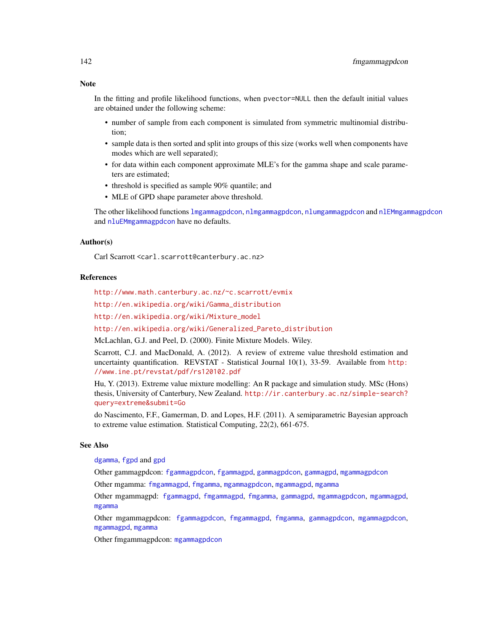## Note

In the fitting and profile likelihood functions, when pvector=NULL then the default initial values are obtained under the following scheme:

- number of sample from each component is simulated from symmetric multinomial distribution;
- sample data is then sorted and split into groups of this size (works well when components have modes which are well separated);
- for data within each component approximate MLE's for the gamma shape and scale parameters are estimated;
- threshold is specified as sample 90% quantile; and
- MLE of GPD shape parameter above threshold.

The other likelihood functions [lmgammagpdcon](#page-137-1), [nlmgammagpdcon](#page-137-1), [nlumgammagpdcon](#page-137-1) and [nlEMmgammagpdcon](#page-137-1) and [nluEMmgammagpdcon](#page-137-1) have no defaults.

## Author(s)

Carl Scarrott <carl.scarrott@canterbury.ac.nz>

### References

<http://www.math.canterbury.ac.nz/~c.scarrott/evmix>

[http://en.wikipedia.org/wiki/Gamma\\_distribution](http://en.wikipedia.org/wiki/Gamma_distribution)

[http://en.wikipedia.org/wiki/Mixture\\_model](http://en.wikipedia.org/wiki/Mixture_model)

[http://en.wikipedia.org/wiki/Generalized\\_Pareto\\_distribution](http://en.wikipedia.org/wiki/Generalized_Pareto_distribution)

McLachlan, G.J. and Peel, D. (2000). Finite Mixture Models. Wiley.

Scarrott, C.J. and MacDonald, A. (2012). A review of extreme value threshold estimation and uncertainty quantification. REVSTAT - Statistical Journal 10(1), 33-59. Available from [http:](http://www.ine.pt/revstat/pdf/rs120102.pdf) [//www.ine.pt/revstat/pdf/rs120102.pdf](http://www.ine.pt/revstat/pdf/rs120102.pdf)

Hu, Y. (2013). Extreme value mixture modelling: An R package and simulation study. MSc (Hons) thesis, University of Canterbury, New Zealand. [http://ir.canterbury.ac.nz/simple-search?](http://ir.canterbury.ac.nz/simple-search?query=extreme&submit=Go) [query=extreme&submit=Go](http://ir.canterbury.ac.nz/simple-search?query=extreme&submit=Go)

do Nascimento, F.F., Gamerman, D. and Lopes, H.F. (2011). A semiparametric Bayesian approach to extreme value estimation. Statistical Computing, 22(2), 661-675.

## See Also

[dgamma](#page-0-0), [fgpd](#page-84-0) and [gpd](#page-190-0)

Other gammagpdcon: [fgammagpdcon](#page-61-0), [fgammagpd](#page-58-0), [gammagpdcon](#page-171-0), [gammagpd](#page-167-0), [mgammagpdcon](#page-244-0)

Other mgamma: [fmgammagpd](#page-132-0), [fmgamma](#page-128-1), [mgammagpdcon](#page-244-0), [mgammagpd](#page-241-0), [mgamma](#page-238-0)

Other mgammagpd: [fgammagpd](#page-58-0), [fmgammagpd](#page-132-0), [fmgamma](#page-128-1), [gammagpd](#page-167-0), [mgammagpdcon](#page-244-0), [mgammagpd](#page-241-0), [mgamma](#page-238-0)

Other mgammagpdcon: [fgammagpdcon](#page-61-0), [fmgammagpd](#page-132-0), [fmgamma](#page-128-1), [gammagpdcon](#page-171-0), [mgammagpdcon](#page-244-0), [mgammagpd](#page-241-0), [mgamma](#page-238-0)

Other fmgammagpdcon: [mgammagpdcon](#page-244-0)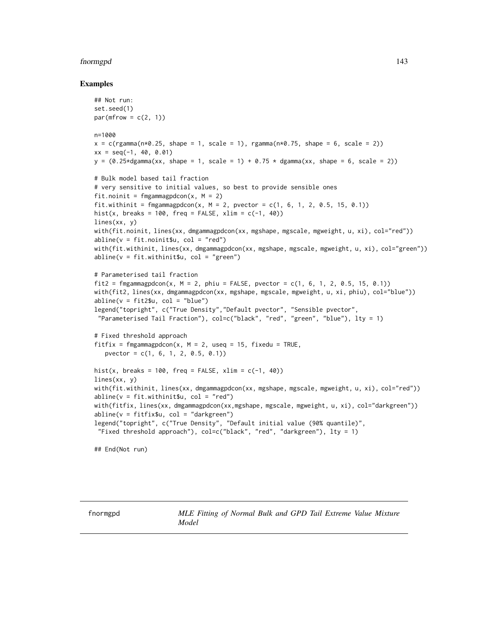### fnormgpd 143

## Examples

```
## Not run:
set.seed(1)
par(mfrow = c(2, 1))n=1000
x = c(rgamma(n*0.25, shape = 1, scale = 1), rgamma(n*0.75, shape = 6, scale = 2))xx = seq(-1, 40, 0.01)y = (0.25 \star dgamma(xx, shape = 1, scale = 1) + 0.75 \star dgamma(xx, shape = 6, scale = 2))# Bulk model based tail fraction
# very sensitive to initial values, so best to provide sensible ones
fit.noinit = fmgammagpdcon(x, M = 2)
fit.withinit = fmgammagpdcon(x, M = 2, pvector = c(1, 6, 1, 2, 0.5, 15, 0.1))
hist(x, breaks = 100, freq = FALSE, xlim = c(-1, 40))
lines(xx, y)
with(fit.noinit, lines(xx, dmgammagpdcon(xx, mgshape, mgscale, mgweight, u, xi), col="red"))
abline(v = fit.nointsu, col = "red")with(fit.withinit, lines(xx, dmgammagpdcon(xx, mgshape, mgscale, mgweight, u, xi), col="green"))
abline(v = fit<u>.withinitsu, col = "green")</u>
# Parameterised tail fraction
fit2 = fmgammagpdcon(x, M = 2, phiu = FALSE, pvector = c(1, 6, 1, 2, 0.5, 15, 0.1))with(fit2, lines(xx, dmgammagpdcon(xx, mgshape, mgscale, mgweight, u, xi, phiu), col="blue"))
abline(v = fit2$u, col = "blue")legend("topright", c("True Density","Default pvector", "Sensible pvector",
 "Parameterised Tail Fraction"), col=c("black", "red", "green", "blue"), lty = 1)
# Fixed threshold approach
fitfix = fmgammagpdcon(x, M = 2, useq = 15, fixedu = TRUE,
   pvector = c(1, 6, 1, 2, 0.5, 0.1)hist(x, breaks = 100, freq = FALSE, xlim = c(-1, 40))
lines(xx, y)
with(fit.withinit, lines(xx, dmgammagpdcon(xx, mgshape, mgscale, mgweight, u, xi), col="red"))
abline(v = fit.withinit$u, col = "red")
with(fitfix, lines(xx, dmgammagpdcon(xx,mgshape, mgscale, mgweight, u, xi), col="darkgreen"))
abline(v = fitrix$u, col = "darkgreen")legend("topright", c("True Density", "Default initial value (90% quantile)",
 "Fixed threshold approach"), col=c("black", "red", "darkgreen"), lty = 1)
## End(Not run)
```
<span id="page-142-1"></span>

<span id="page-142-0"></span>fnormgpd *MLE Fitting of Normal Bulk and GPD Tail Extreme Value Mixture Model*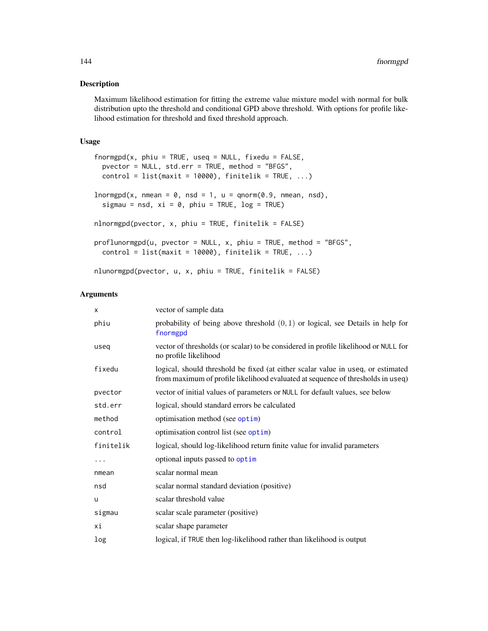#### Description

Maximum likelihood estimation for fitting the extreme value mixture model with normal for bulk distribution upto the threshold and conditional GPD above threshold. With options for profile likelihood estimation for threshold and fixed threshold approach.

# Usage

```
for <i>mgpd</i>(x, <i>phi</i> = TRUE, <i>useq</i> = NULL, <i>fixedu</i> = FALSE,pvector = NULL, std.err = TRUE, method = "BFGS",
 control = list(maxit = 10000), finitelik = TRUE, ...)lnormgpd(x, nmean = 0, nsd = 1, u = qnorm(0.9, nmean, nsd),sigmau = nsd, xi = 0, phiu = TRUE, log = TRUE)
nlnormgpd(pvector, x, phiu = TRUE, finitelik = FALSE)
proflunormgpd(u, pvector = NULL, x, phi = TRUE, method = "BFGS",control = list(maxit = 10000), finitelik = TRUE, ...)
nlunormgpd(pvector, u, x, phiu = TRUE, finitelik = FALSE)
```
#### Arguments

| X         | vector of sample data                                                                                                                                               |
|-----------|---------------------------------------------------------------------------------------------------------------------------------------------------------------------|
| phiu      | probability of being above threshold $(0, 1)$ or logical, see Details in help for<br>fnormgpd                                                                       |
| useq      | vector of thresholds (or scalar) to be considered in profile likelihood or NULL for<br>no profile likelihood                                                        |
| fixedu    | logical, should threshold be fixed (at either scalar value in useq, or estimated<br>from maximum of profile likelihood evaluated at sequence of thresholds in useq) |
| pvector   | vector of initial values of parameters or NULL for default values, see below                                                                                        |
| std.err   | logical, should standard errors be calculated                                                                                                                       |
| method    | optimisation method (see optim)                                                                                                                                     |
| control   | optimisation control list (see optim)                                                                                                                               |
| finitelik | logical, should log-likelihood return finite value for invalid parameters                                                                                           |
| .         | optional inputs passed to optim                                                                                                                                     |
| nmean     | scalar normal mean                                                                                                                                                  |
| nsd       | scalar normal standard deviation (positive)                                                                                                                         |
| u         | scalar threshold value                                                                                                                                              |
| sigmau    | scalar scale parameter (positive)                                                                                                                                   |
| хi        | scalar shape parameter                                                                                                                                              |
| log       | logical, if TRUE then log-likelihood rather than likelihood is output                                                                                               |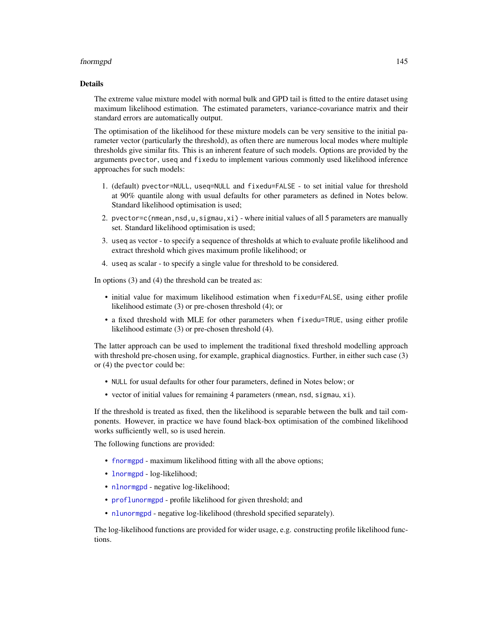## fnormgpd 145

## Details

The extreme value mixture model with normal bulk and GPD tail is fitted to the entire dataset using maximum likelihood estimation. The estimated parameters, variance-covariance matrix and their standard errors are automatically output.

The optimisation of the likelihood for these mixture models can be very sensitive to the initial parameter vector (particularly the threshold), as often there are numerous local modes where multiple thresholds give similar fits. This is an inherent feature of such models. Options are provided by the arguments pvector, useq and fixedu to implement various commonly used likelihood inference approaches for such models:

- 1. (default) pvector=NULL, useq=NULL and fixedu=FALSE to set initial value for threshold at 90% quantile along with usual defaults for other parameters as defined in Notes below. Standard likelihood optimisation is used;
- 2. pvector=c(nmean,nsd,u,sigmau,xi) where initial values of all 5 parameters are manually set. Standard likelihood optimisation is used;
- 3. useq as vector to specify a sequence of thresholds at which to evaluate profile likelihood and extract threshold which gives maximum profile likelihood; or
- 4. useq as scalar to specify a single value for threshold to be considered.

In options (3) and (4) the threshold can be treated as:

- initial value for maximum likelihood estimation when fixedu=FALSE, using either profile likelihood estimate (3) or pre-chosen threshold (4); or
- a fixed threshold with MLE for other parameters when fixedu=TRUE, using either profile likelihood estimate (3) or pre-chosen threshold (4).

The latter approach can be used to implement the traditional fixed threshold modelling approach with threshold pre-chosen using, for example, graphical diagnostics. Further, in either such case (3) or (4) the pvector could be:

- NULL for usual defaults for other four parameters, defined in Notes below; or
- vector of initial values for remaining 4 parameters (nmean, nsd, sigmau, xi).

If the threshold is treated as fixed, then the likelihood is separable between the bulk and tail components. However, in practice we have found black-box optimisation of the combined likelihood works sufficiently well, so is used herein.

The following functions are provided:

- [fnormgpd](#page-142-0) maximum likelihood fitting with all the above options;
- [lnormgpd](#page-142-1) log-likelihood;
- [nlnormgpd](#page-142-1) negative log-likelihood;
- [proflunormgpd](#page-142-1) profile likelihood for given threshold; and
- [nlunormgpd](#page-142-1) negative log-likelihood (threshold specified separately).

The log-likelihood functions are provided for wider usage, e.g. constructing profile likelihood functions.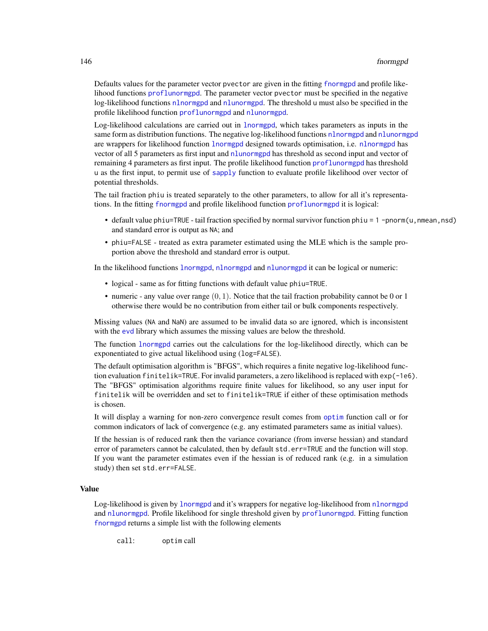#### 146 fnormgpd

Defaults values for the parameter vector pvector are given in the fitting [fnormgpd](#page-142-0) and profile likelihood functions [proflunormgpd](#page-142-1). The parameter vector pvector must be specified in the negative log-likelihood functions [nlnormgpd](#page-142-1) and [nlunormgpd](#page-142-1). The threshold u must also be specified in the profile likelihood function [proflunormgpd](#page-142-1) and [nlunormgpd](#page-142-1).

Log-likelihood calculations are carried out in [lnormgpd](#page-142-1), which takes parameters as inputs in the same form as distribution functions. The negative log-likelihood functions [nlnormgpd](#page-142-1) and [nlunormgpd](#page-142-1) are wrappers for likelihood function [lnormgpd](#page-142-1) designed towards optimisation, i.e. [nlnormgpd](#page-142-1) has vector of all 5 parameters as first input and [nlunormgpd](#page-142-1) has threshold as second input and vector of remaining 4 parameters as first input. The profile likelihood function [proflunormgpd](#page-142-1) has threshold u as the first input, to permit use of [sapply](#page-0-0) function to evaluate profile likelihood over vector of potential thresholds.

The tail fraction phiu is treated separately to the other parameters, to allow for all it's representations. In the fitting [fnormgpd](#page-142-0) and profile likelihood function [proflunormgpd](#page-142-1) it is logical:

- default value phiu=TRUE tail fraction specified by normal survivor function phiu =  $1$  -pnorm(u, nmean, nsd) and standard error is output as NA; and
- phiu=FALSE treated as extra parameter estimated using the MLE which is the sample proportion above the threshold and standard error is output.

In the likelihood functions [lnormgpd](#page-142-1), [nlnormgpd](#page-142-1) and [nlunormgpd](#page-142-1) it can be logical or numeric:

- logical same as for fitting functions with default value phiu=TRUE.
- numeric any value over range  $(0, 1)$ . Notice that the tail fraction probability cannot be 0 or 1 otherwise there would be no contribution from either tail or bulk components respectively.

Missing values (NA and NaN) are assumed to be invalid data so are ignored, which is inconsistent with the [evd](#page-0-0) library which assumes the missing values are below the threshold.

The function [lnormgpd](#page-142-1) carries out the calculations for the log-likelihood directly, which can be exponentiated to give actual likelihood using (log=FALSE).

The default optimisation algorithm is "BFGS", which requires a finite negative log-likelihood function evaluation finitelik=TRUE. For invalid parameters, a zero likelihood is replaced with exp(-1e6). The "BFGS" optimisation algorithms require finite values for likelihood, so any user input for finitelik will be overridden and set to finitelik=TRUE if either of these optimisation methods is chosen.

It will display a warning for non-zero convergence result comes from [optim](#page-0-0) function call or for common indicators of lack of convergence (e.g. any estimated parameters same as initial values).

If the hessian is of reduced rank then the variance covariance (from inverse hessian) and standard error of parameters cannot be calculated, then by default std.err=TRUE and the function will stop. If you want the parameter estimates even if the hessian is of reduced rank (e.g. in a simulation study) then set std.err=FALSE.

# Value

Log-likelihood is given by [lnormgpd](#page-142-1) and it's wrappers for negative log-likelihood from [nlnormgpd](#page-142-1) and [nlunormgpd](#page-142-1). Profile likelihood for single threshold given by [proflunormgpd](#page-142-1). Fitting function [fnormgpd](#page-142-0) returns a simple list with the following elements

call: optim call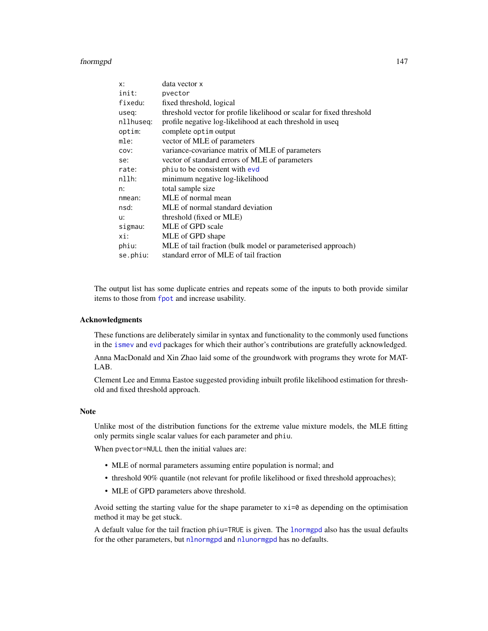#### fnormgpd 147

| x:        | data vector x                                                         |
|-----------|-----------------------------------------------------------------------|
| init:     | pvector                                                               |
| fixedu:   | fixed threshold, logical                                              |
| useq:     | threshold vector for profile likelihood or scalar for fixed threshold |
| nllhuseg: | profile negative log-likelihood at each threshold in useq             |
| optim:    | complete optim output                                                 |
| mle:      | vector of MLE of parameters                                           |
| COV:      | variance-covariance matrix of MLE of parameters                       |
| se:       | vector of standard errors of MLE of parameters                        |
| rate:     | phiu to be consistent with evd                                        |
| nllh:     | minimum negative log-likelihood                                       |
| n:        | total sample size                                                     |
| nmean:    | MLE of normal mean                                                    |
| nsd:      | MLE of normal standard deviation                                      |
| u:        | threshold (fixed or MLE)                                              |
| sigmau:   | MLE of GPD scale                                                      |
| xi:       | MLE of GPD shape                                                      |
| phiu:     | MLE of tail fraction (bulk model or parameterised approach)           |
| se.phiu:  | standard error of MLE of tail fraction                                |

The output list has some duplicate entries and repeats some of the inputs to both provide similar items to those from [fpot](#page-0-0) and increase usability.

# Acknowledgments

These functions are deliberately similar in syntax and functionality to the commonly used functions in the [ismev](#page-0-0) and [evd](#page-0-0) packages for which their author's contributions are gratefully acknowledged.

Anna MacDonald and Xin Zhao laid some of the groundwork with programs they wrote for MAT-LAB.

Clement Lee and Emma Eastoe suggested providing inbuilt profile likelihood estimation for threshold and fixed threshold approach.

# Note

Unlike most of the distribution functions for the extreme value mixture models, the MLE fitting only permits single scalar values for each parameter and phiu.

When pvector=NULL then the initial values are:

- MLE of normal parameters assuming entire population is normal; and
- threshold 90% quantile (not relevant for profile likelihood or fixed threshold approaches);
- MLE of GPD parameters above threshold.

Avoid setting the starting value for the shape parameter to  $xi=0$  as depending on the optimisation method it may be get stuck.

A default value for the tail fraction phiu=TRUE is given. The [lnormgpd](#page-142-1) also has the usual defaults for the other parameters, but [nlnormgpd](#page-142-1) and [nlunormgpd](#page-142-1) has no defaults.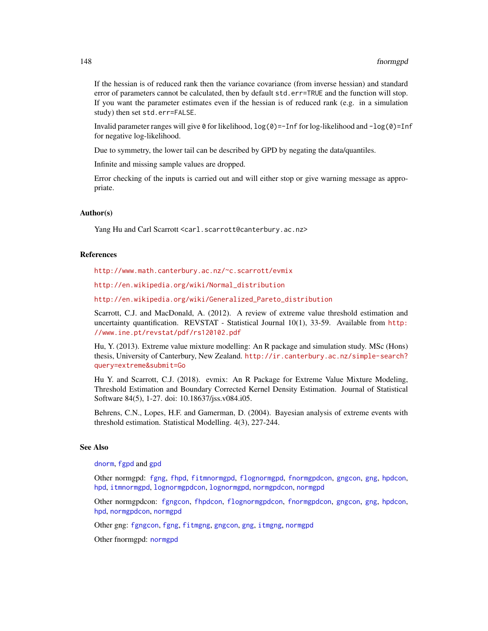If the hessian is of reduced rank then the variance covariance (from inverse hessian) and standard error of parameters cannot be calculated, then by default std.err=TRUE and the function will stop. If you want the parameter estimates even if the hessian is of reduced rank (e.g. in a simulation study) then set std.err=FALSE.

Invalid parameter ranges will give  $\theta$  for likelihood,  $log(\theta) = -Inf$  for log-likelihood and  $-log(\theta) = Inf$ for negative log-likelihood.

Due to symmetry, the lower tail can be described by GPD by negating the data/quantiles.

Infinite and missing sample values are dropped.

Error checking of the inputs is carried out and will either stop or give warning message as appropriate.

# Author(s)

Yang Hu and Carl Scarrott <carl.scarrott@canterbury.ac.nz>

## References

<http://www.math.canterbury.ac.nz/~c.scarrott/evmix>

[http://en.wikipedia.org/wiki/Normal\\_distribution](http://en.wikipedia.org/wiki/Normal_distribution)

[http://en.wikipedia.org/wiki/Generalized\\_Pareto\\_distribution](http://en.wikipedia.org/wiki/Generalized_Pareto_distribution)

Scarrott, C.J. and MacDonald, A. (2012). A review of extreme value threshold estimation and uncertainty quantification. REVSTAT - Statistical Journal 10(1), 33-59. Available from [http:](http://www.ine.pt/revstat/pdf/rs120102.pdf) [//www.ine.pt/revstat/pdf/rs120102.pdf](http://www.ine.pt/revstat/pdf/rs120102.pdf)

Hu, Y. (2013). Extreme value mixture modelling: An R package and simulation study. MSc (Hons) thesis, University of Canterbury, New Zealand. [http://ir.canterbury.ac.nz/simple-search?](http://ir.canterbury.ac.nz/simple-search?query=extreme&submit=Go) [query=extreme&submit=Go](http://ir.canterbury.ac.nz/simple-search?query=extreme&submit=Go)

Hu Y. and Scarrott, C.J. (2018). evmix: An R Package for Extreme Value Mixture Modeling, Threshold Estimation and Boundary Corrected Kernel Density Estimation. Journal of Statistical Software 84(5), 1-27. doi: 10.18637/jss.v084.i05.

Behrens, C.N., Lopes, H.F. and Gamerman, D. (2004). Bayesian analysis of extreme events with threshold estimation. Statistical Modelling. 4(3), 227-244.

## See Also

[dnorm](#page-0-0), [fgpd](#page-84-0) and [gpd](#page-190-0)

Other normgpd: [fgng](#page-75-0), [fhpd](#page-88-0), [fitmnormgpd](#page-99-0), [flognormgpd](#page-121-0), [fnormgpdcon](#page-148-0), [gngcon](#page-186-0), [gng](#page-183-0), [hpdcon](#page-200-0), [hpd](#page-197-0), [itmnormgpd](#page-208-0), [lognormgpdcon](#page-235-0), [lognormgpd](#page-232-0), [normgpdcon](#page-253-0), [normgpd](#page-250-0)

Other normgpdcon: [fgngcon](#page-80-0), [fhpdcon](#page-91-0), [flognormgpdcon](#page-124-0), [fnormgpdcon](#page-148-0), [gngcon](#page-186-0), [gng](#page-183-0), [hpdcon](#page-200-0), [hpd](#page-197-0), [normgpdcon](#page-253-0), [normgpd](#page-250-0)

Other gng: [fgngcon](#page-80-0), [fgng](#page-75-0), [fitmgng](#page-95-0), [gngcon](#page-186-0), [gng](#page-183-0), [itmgng](#page-205-0), [normgpd](#page-250-0)

Other fnormgpd: [normgpd](#page-250-0)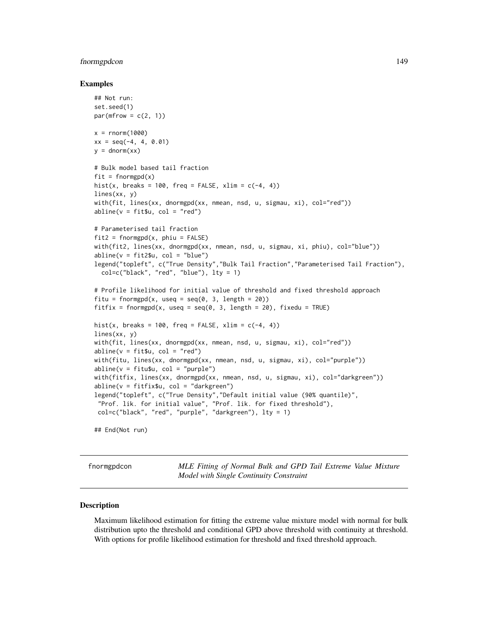# fnormgpdcon and the state of the state of the state of the state of the state of the state of the state of the state of the state of the state of the state of the state of the state of the state of the state of the state o

## Examples

```
## Not run:
set.seed(1)
par(mfrow = c(2, 1))x = rnorm(1000)xx = seq(-4, 4, 0.01)y = \text{dnorm}(xx)# Bulk model based tail fraction
fit = from (x)hist(x, breaks = 100, freq = FALSE, xlim = c(-4, 4))
lines(xx, y)
with(fit, lines(xx, dnormgpd(xx, nmean, nsd, u, sigmau, xi), col="red"))
abline(v = fit$u, col = "red")# Parameterised tail fraction
fit2 = formpgpd(x, phi = FALSE)with(fit2, lines(xx, dnormgpd(xx, nmean, nsd, u, sigmau, xi, phiu), col="blue"))
abline(v = fit2$u, col = "blue")legend("topleft", c("True Density","Bulk Tail Fraction","Parameterised Tail Fraction"),
  col=c("black", "red", "blue"), lty = 1)
# Profile likelihood for initial value of threshold and fixed threshold approach
fitu = fnormgpd(x, useq = seq(0, 3, length = 20))
fitfix = fnormgpd(x, useq = seq(0, 3, length = 20), fixedu = TRUE)
hist(x, breaks = 100, freq = FALSE, xlim = c(-4, 4))
lines(xx, y)
with(fit, lines(xx, dnormgpd(xx, nmean, nsd, u, sigmau, xi), col="red"))
abline(v = fit$u, col = "red")with(fitu, lines(xx, dnormgpd(xx, nmean, nsd, u, sigmau, xi), col="purple"))
abline(v = fitu$u, col = "purple")with(fitfix, lines(xx, dnormgpd(xx, nmean, nsd, u, sigmau, xi), col="darkgreen"))
abline(v = fitfix$u, col = "darkgreen")
legend("topleft", c("True Density","Default initial value (90% quantile)",
 "Prof. lik. for initial value", "Prof. lik. for fixed threshold"),
 col=c("black", "red", "purple", "darkgreen"), lty = 1)
```
## End(Not run)

<span id="page-148-0"></span>fnormgpdcon *MLE Fitting of Normal Bulk and GPD Tail Extreme Value Mixture Model with Single Continuity Constraint*

# <span id="page-148-1"></span>Description

Maximum likelihood estimation for fitting the extreme value mixture model with normal for bulk distribution upto the threshold and conditional GPD above threshold with continuity at threshold. With options for profile likelihood estimation for threshold and fixed threshold approach.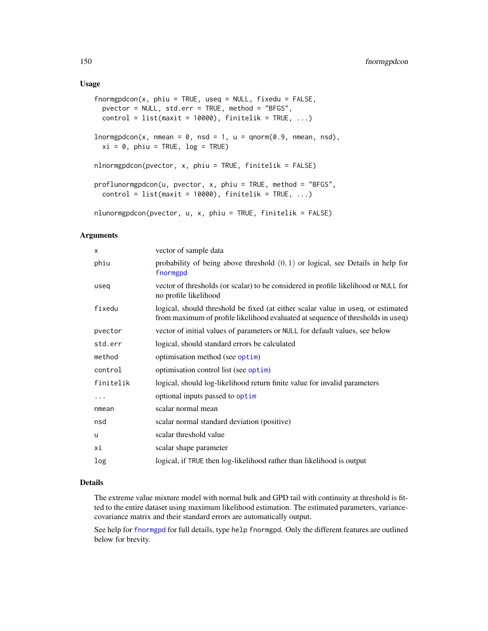#### Usage

```
formgpddon(x, phi = TRUE, used = NULL, fixedu = FALSE,pvector = NULL, std.err = TRUE, method = "BFGS",
 control = list(maxit = 10000), finitelik = TRUE, ...)
lnormgpdcon(x, mmean = 0, nsd = 1, u = qnorm(0.9, mmean, nsd),xi = 0, phiu = TRUE, log = TRUE)
nlnormgpdcon(pvector, x, phiu = TRUE, finitelik = FALSE)
proflunormgpdcon(u, pvector, x, phiu = TRUE, method = "BFGS",
 control = list(maxit = 10000), finitelik = TRUE, ...)nlunormgpdcon(pvector, u, x, phiu = TRUE, finitelik = FALSE)
```
#### Arguments

| X         | vector of sample data                                                                                                                                               |
|-----------|---------------------------------------------------------------------------------------------------------------------------------------------------------------------|
| phiu      | probability of being above threshold $(0, 1)$ or logical, see Details in help for<br>fnormgpd                                                                       |
| useg      | vector of thresholds (or scalar) to be considered in profile likelihood or NULL for<br>no profile likelihood                                                        |
| fixedu    | logical, should threshold be fixed (at either scalar value in useq, or estimated<br>from maximum of profile likelihood evaluated at sequence of thresholds in useq) |
| pvector   | vector of initial values of parameters or NULL for default values, see below                                                                                        |
| std.err   | logical, should standard errors be calculated                                                                                                                       |
| method    | optimisation method (see optim)                                                                                                                                     |
| control   | optimisation control list (see optim)                                                                                                                               |
| finitelik | logical, should log-likelihood return finite value for invalid parameters                                                                                           |
| $\cdots$  | optional inputs passed to optim                                                                                                                                     |
| nmean     | scalar normal mean                                                                                                                                                  |
| nsd       | scalar normal standard deviation (positive)                                                                                                                         |
| u         | scalar threshold value                                                                                                                                              |
| хi        | scalar shape parameter                                                                                                                                              |
| log       | logical, if TRUE then log-likelihood rather than likelihood is output                                                                                               |

# Details

The extreme value mixture model with normal bulk and GPD tail with continuity at threshold is fitted to the entire dataset using maximum likelihood estimation. The estimated parameters, variancecovariance matrix and their standard errors are automatically output.

See help for [fnormgpd](#page-142-0) for full details, type help fnormgpd. Only the different features are outlined below for brevity.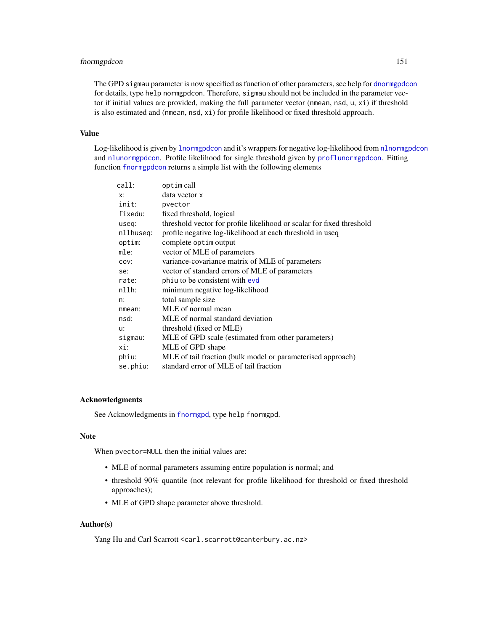# fnormgpdcon 151

The GPD sigmau parameter is now specified as function of other parameters, see help for [dnormgpdcon](#page-253-1) for details, type help normgpdcon. Therefore, sigmau should not be included in the parameter vector if initial values are provided, making the full parameter vector (nmean, nsd, u, xi) if threshold is also estimated and (nmean, nsd, xi) for profile likelihood or fixed threshold approach.

# Value

Log-likelihood is given by [lnormgpdcon](#page-148-1) and it's wrappers for negative log-likelihood from [nlnormgpdcon](#page-148-1) and [nlunormgpdcon](#page-148-1). Profile likelihood for single threshold given by [proflunormgpdcon](#page-148-1). Fitting function [fnormgpdcon](#page-148-0) returns a simple list with the following elements

| call:     | optim call                                                            |
|-----------|-----------------------------------------------------------------------|
| $X$ :     | data vector x                                                         |
| init:     | pvector                                                               |
| fixedu:   | fixed threshold, logical                                              |
| useq:     | threshold vector for profile likelihood or scalar for fixed threshold |
| nllhuseg: | profile negative log-likelihood at each threshold in useq             |
| optim:    | complete optim output                                                 |
| mle:      | vector of MLE of parameters                                           |
| COV:      | variance-covariance matrix of MLE of parameters                       |
| se:       | vector of standard errors of MLE of parameters                        |
| rate:     | phiu to be consistent with evd                                        |
| nllh:     | minimum negative log-likelihood                                       |
| n:        | total sample size                                                     |
| nmean:    | MLE of normal mean                                                    |
| nsd:      | MLE of normal standard deviation                                      |
| u:        | threshold (fixed or MLE)                                              |
| sigmau:   | MLE of GPD scale (estimated from other parameters)                    |
| xi:       | MLE of GPD shape                                                      |
| phiu:     | MLE of tail fraction (bulk model or parameterised approach)           |
| se.phiu:  | standard error of MLE of tail fraction                                |
|           |                                                                       |

# Acknowledgments

See Acknowledgments in [fnormgpd](#page-142-0), type help fnormgpd.

# Note

When pvector=NULL then the initial values are:

- MLE of normal parameters assuming entire population is normal; and
- threshold 90% quantile (not relevant for profile likelihood for threshold or fixed threshold approaches);
- MLE of GPD shape parameter above threshold.

# Author(s)

Yang Hu and Carl Scarrott <carl.scarrott@canterbury.ac.nz>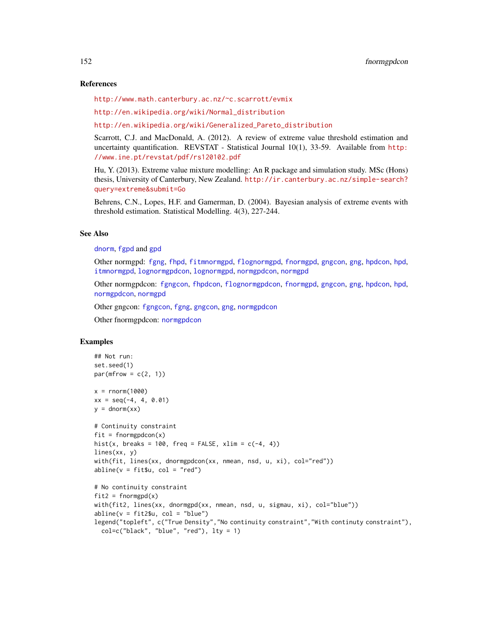## References

<http://www.math.canterbury.ac.nz/~c.scarrott/evmix>

[http://en.wikipedia.org/wiki/Normal\\_distribution](http://en.wikipedia.org/wiki/Normal_distribution)

[http://en.wikipedia.org/wiki/Generalized\\_Pareto\\_distribution](http://en.wikipedia.org/wiki/Generalized_Pareto_distribution)

Scarrott, C.J. and MacDonald, A. (2012). A review of extreme value threshold estimation and uncertainty quantification. REVSTAT - Statistical Journal 10(1), 33-59. Available from [http:](http://www.ine.pt/revstat/pdf/rs120102.pdf) [//www.ine.pt/revstat/pdf/rs120102.pdf](http://www.ine.pt/revstat/pdf/rs120102.pdf)

Hu, Y. (2013). Extreme value mixture modelling: An R package and simulation study. MSc (Hons) thesis, University of Canterbury, New Zealand. [http://ir.canterbury.ac.nz/simple-search?](http://ir.canterbury.ac.nz/simple-search?query=extreme&submit=Go) [query=extreme&submit=Go](http://ir.canterbury.ac.nz/simple-search?query=extreme&submit=Go)

Behrens, C.N., Lopes, H.F. and Gamerman, D. (2004). Bayesian analysis of extreme events with threshold estimation. Statistical Modelling. 4(3), 227-244.

# See Also

[dnorm](#page-0-0), [fgpd](#page-84-0) and [gpd](#page-190-0)

Other normgpd: [fgng](#page-75-0), [fhpd](#page-88-0), [fitmnormgpd](#page-99-0), [flognormgpd](#page-121-0), [fnormgpd](#page-142-0), [gngcon](#page-186-0), [gng](#page-183-0), [hpdcon](#page-200-0), [hpd](#page-197-0), [itmnormgpd](#page-208-0), [lognormgpdcon](#page-235-0), [lognormgpd](#page-232-0), [normgpdcon](#page-253-0), [normgpd](#page-250-0)

Other normgpdcon: [fgngcon](#page-80-0), [fhpdcon](#page-91-0), [flognormgpdcon](#page-124-0), [fnormgpd](#page-142-0), [gngcon](#page-186-0), [gng](#page-183-0), [hpdcon](#page-200-0), [hpd](#page-197-0), [normgpdcon](#page-253-0), [normgpd](#page-250-0)

Other gngcon: [fgngcon](#page-80-0), [fgng](#page-75-0), [gngcon](#page-186-0), [gng](#page-183-0), [normgpdcon](#page-253-0)

Other fnormgpdcon: [normgpdcon](#page-253-0)

# Examples

```
## Not run:
set.seed(1)
par(mfrow = c(2, 1))x = rnorm(1000)xx = seq(-4, 4, 0.01)y = \text{dnorm}(xx)# Continuity constraint
fit = formgpdcon(x)hist(x, breaks = 100, freq = FALSE, xlim = c(-4, 4))
lines(xx, y)
with(fit, lines(xx, dnormgpdcon(xx, nmean, nsd, u, xi), col="red"))
abline(v = fit $u, col = "red")# No continuity constraint
fit2 = formppd(x)with(fit2, lines(xx, dnormgpd(xx, nmean, nsd, u, sigmau, xi), col="blue"))
abline(v = fit2$u, col = "blue")legend("topleft", c("True Density","No continuity constraint","With continuty constraint"),
  col=c("black", "blue", "red"), lty = 1)
```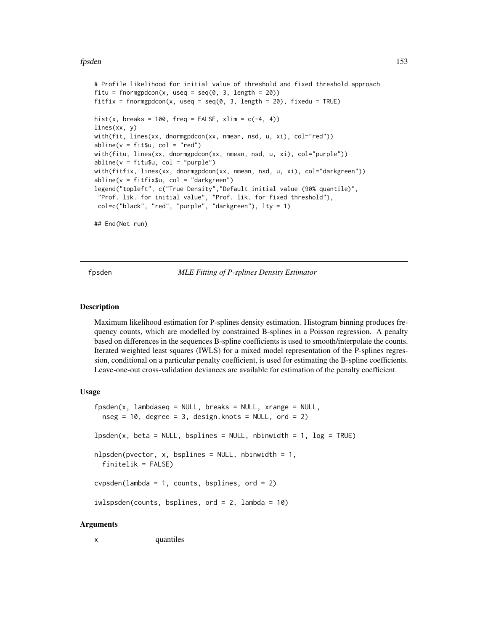## fpsden 153

```
# Profile likelihood for initial value of threshold and fixed threshold approach
fitu = fnormgpdcon(x, useq = seq(0, 3, length = 20))
fitfix = fnormgpdcon(x, useq = seq(0, 3, length = 20), fixedu = TRUE)
hist(x, breaks = 100, freq = FALSE, xlim = c(-4, 4))
lines(xx, y)
with(fit, lines(xx, dnormgpdcon(xx, nmean, nsd, u, xi), col="red"))
abline(v = fit$u, col = "red")with(fitu, lines(xx, dnormgpdcon(xx, nmean, nsd, u, xi), col="purple"))
abline(v = fitu$u, col = "purple")with(fitfix, lines(xx, dnormgpdcon(xx, nmean, nsd, u, xi), col="darkgreen"))
abline(v = fitfix$u, col = "darkgreen")
legend("topleft", c("True Density","Default initial value (90% quantile)",
 "Prof. lik. for initial value", "Prof. lik. for fixed threshold"),
col=c("black", "red", "purple", "darkgreen"), lty = 1)
## End(Not run)
```
<span id="page-152-1"></span>fpsden *MLE Fitting of P-splines Density Estimator*

# <span id="page-152-0"></span>**Description**

Maximum likelihood estimation for P-splines density estimation. Histogram binning produces frequency counts, which are modelled by constrained B-splines in a Poisson regression. A penalty based on differences in the sequences B-spline coefficients is used to smooth/interpolate the counts. Iterated weighted least squares (IWLS) for a mixed model representation of the P-splines regression, conditional on a particular penalty coefficient, is used for estimating the B-spline coefficients. Leave-one-out cross-validation deviances are available for estimation of the penalty coefficient.

## Usage

```
fpsden(x, lambdaseq = NULL, breaks = NULL, xrange = NULL,nseg = 10, degree = 3, design.knots = NULL, ord = 2)
lpsden(x, beta = NULL, bsplines = NULL, nbinwidth = 1, log = TRUE)nlsden(pvector, x, bsplines = NULL, nbinwidth = 1,finitelik = FALSE)
cycpsden(lambda = 1, counts, bsplines, ord = 2)iwlspsden(counts, bsplines, ord = 2, lambda = 10)
```
# Arguments

x quantiles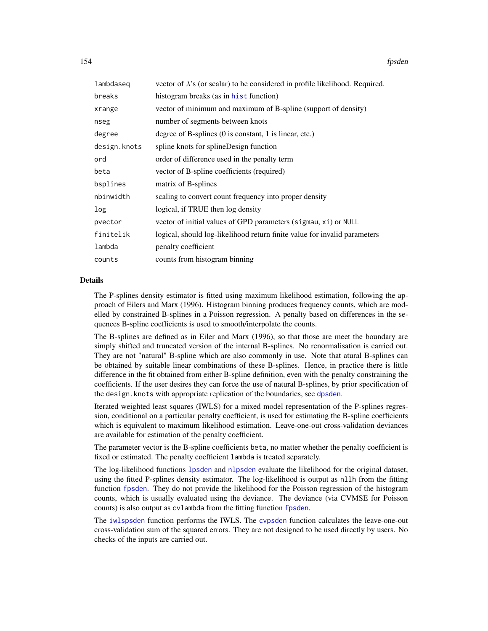| lambdaseg    | vector of $\lambda$ 's (or scalar) to be considered in profile likelihood. Required. |
|--------------|--------------------------------------------------------------------------------------|
| breaks       | histogram breaks (as in hist function)                                               |
| xrange       | vector of minimum and maximum of B-spline (support of density)                       |
| nseg         | number of segments between knots                                                     |
| degree       | degree of B-splines $(0 \text{ is constant}, 1 \text{ is linear}, etc.)$             |
| design.knots | spline knots for splineDesign function                                               |
| ord          | order of difference used in the penalty term                                         |
| beta         | vector of B-spline coefficients (required)                                           |
| bsplines     | matrix of B-splines                                                                  |
| nbinwidth    | scaling to convert count frequency into proper density                               |
| log          | logical, if TRUE then log density                                                    |
| pvector      | vector of initial values of GPD parameters (sigmau, xi) or NULL                      |
| finitelik    | logical, should log-likelihood return finite value for invalid parameters            |
| lambda       | penalty coefficient                                                                  |
| counts       | counts from histogram binning                                                        |

# Details

The P-splines density estimator is fitted using maximum likelihood estimation, following the approach of Eilers and Marx (1996). Histogram binning produces frequency counts, which are modelled by constrained B-splines in a Poisson regression. A penalty based on differences in the sequences B-spline coefficients is used to smooth/interpolate the counts.

The B-splines are defined as in Eiler and Marx (1996), so that those are meet the boundary are simply shifted and truncated version of the internal B-splines. No renormalisation is carried out. They are not "natural" B-spline which are also commonly in use. Note that atural B-splines can be obtained by suitable linear combinations of these B-splines. Hence, in practice there is little difference in the fit obtained from either B-spline definition, even with the penalty constraining the coefficients. If the user desires they can force the use of natural B-splines, by prior specification of the design. knots with appropriate replication of the boundaries, see [dpsden](#page-259-0).

Iterated weighted least squares (IWLS) for a mixed model representation of the P-splines regression, conditional on a particular penalty coefficient, is used for estimating the B-spline coefficients which is equivalent to maximum likelihood estimation. Leave-one-out cross-validation deviances are available for estimation of the penalty coefficient.

The parameter vector is the B-spline coefficients beta, no matter whether the penalty coefficient is fixed or estimated. The penalty coefficient lambda is treated separately.

The log-likelihood functions [lpsden](#page-152-0) and [nlpsden](#page-152-0) evaluate the likelihood for the original dataset, using the fitted P-splines density estimator. The log-likelihood is output as nllh from the fitting function [fpsden](#page-152-1). They do not provide the likelihood for the Poisson regression of the histogram counts, which is usually evaluated using the deviance. The deviance (via CVMSE for Poisson counts) is also output as cvlambda from the fitting function [fpsden](#page-152-1).

The [iwlspsden](#page-152-0) function performs the IWLS. The [cvpsden](#page-152-0) function calculates the leave-one-out cross-validation sum of the squared errors. They are not designed to be used directly by users. No checks of the inputs are carried out.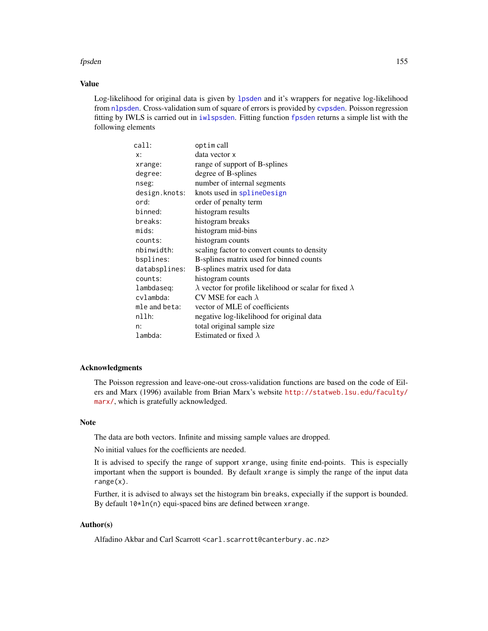## fpsden 155

# Value

Log-likelihood for original data is given by [lpsden](#page-152-0) and it's wrappers for negative log-likelihood from [nlpsden](#page-152-0). Cross-validation sum of square of errors is provided by [cvpsden](#page-152-0). Poisson regression fitting by IWLS is carried out in [iwlspsden](#page-152-0). Fitting function [fpsden](#page-152-1) returns a simple list with the following elements

| call:         | optim call                                                            |
|---------------|-----------------------------------------------------------------------|
| x:            | data vector x                                                         |
| xrange:       | range of support of B-splines                                         |
| degree:       | degree of B-splines                                                   |
| nseg:         | number of internal segments                                           |
| design.knots: | knots used in splineDesign                                            |
| ord:          | order of penalty term                                                 |
| binned:       | histogram results                                                     |
| breaks:       | histogram breaks                                                      |
| mids:         | histogram mid-bins                                                    |
| counts:       | histogram counts                                                      |
| nbinwidth:    | scaling factor to convert counts to density                           |
| bsplines:     | B-splines matrix used for binned counts                               |
| databsplines: | B-splines matrix used for data                                        |
| counts:       | histogram counts                                                      |
| lambdaseq:    | $\lambda$ vector for profile likelihood or scalar for fixed $\lambda$ |
| cvlambda:     | CV MSE for each $\lambda$                                             |
| mle and beta: | vector of MLE of coefficients                                         |
| nllh:         | negative log-likelihood for original data                             |
| n:            | total original sample size                                            |
| lambda:       | Estimated or fixed $\lambda$                                          |

# Acknowledgments

The Poisson regression and leave-one-out cross-validation functions are based on the code of Eilers and Marx (1996) available from Brian Marx's website [http://statweb.lsu.edu/faculty/](http://statweb.lsu.edu/faculty/marx/) [marx/](http://statweb.lsu.edu/faculty/marx/), which is gratefully acknowledged.

## Note

The data are both vectors. Infinite and missing sample values are dropped.

No initial values for the coefficients are needed.

It is advised to specify the range of support xrange, using finite end-points. This is especially important when the support is bounded. By default xrange is simply the range of the input data range(x).

Further, it is advised to always set the histogram bin breaks, expecially if the support is bounded. By default 10\*ln(n) equi-spaced bins are defined between xrange.

# Author(s)

Alfadino Akbar and Carl Scarrott <carl.scarrott@canterbury.ac.nz>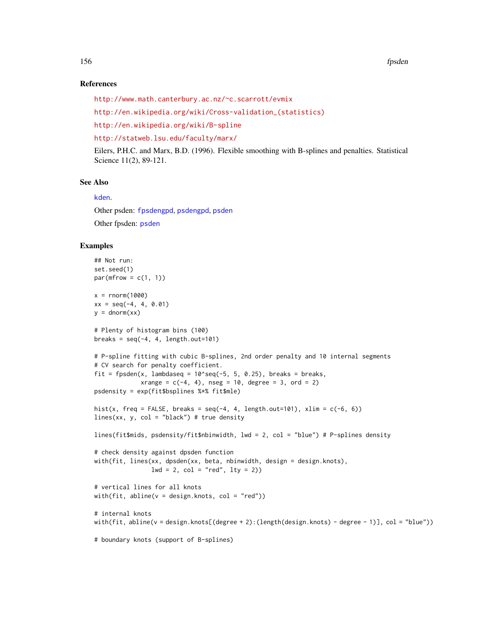# References

```
http://www.math.canterbury.ac.nz/~c.scarrott/evmix
```

```
http://en.wikipedia.org/wiki/Cross-validation_(statistics)
```
<http://en.wikipedia.org/wiki/B-spline>

<http://statweb.lsu.edu/faculty/marx/>

Eilers, P.H.C. and Marx, B.D. (1996). Flexible smoothing with B-splines and penalties. Statistical Science 11(2), 89-121.

# See Also

[kden](#page-215-0).

Other psden: [fpsdengpd](#page-156-0), [psdengpd](#page-263-0), [psden](#page-259-1) Other fpsden: [psden](#page-259-1)

# Examples

```
## Not run:
set.seed(1)
par(mfrow = c(1, 1))x = rnorm(1000)xx = seq(-4, 4, 0.01)y = \text{dnorm}(xx)# Plenty of histogram bins (100)
breaks = seq(-4, 4, length.out=101)# P-spline fitting with cubic B-splines, 2nd order penalty and 10 internal segments
# CV search for penalty coefficient.
fit = fpsden(x, lambdaseq = 10^{\circ}seq(-5, 5, 0.25), breaks = breaks,
             xrange = c(-4, 4), nseg = 10, degree = 3, ord = 2)psdensity = exp(fit$bsplines %*% fit$mle)
hist(x, freq = FALSE, breaks = seq(-4, 4, length.out=101), xlim = c(-6, 6))
lines(xx, y, col = "black") # true density
lines(fit$mids, psdensity/fit$nbinwidth, lwd = 2, col = "blue") # P-splines density
# check density against dpsden function
with(fit, lines(xx, dpsden(xx, beta, nbinwidth, design = design.knots),
                1wd = 2, col = "red", 1ty = 2)# vertical lines for all knots
with(fit, abline(v = design.knots, col = "red"))
# internal knots
with(fit, abline(v = design.knots[(degree + 2):(length(design.knots) - degree - 1)], col = "blue"))
# boundary knots (support of B-splines)
```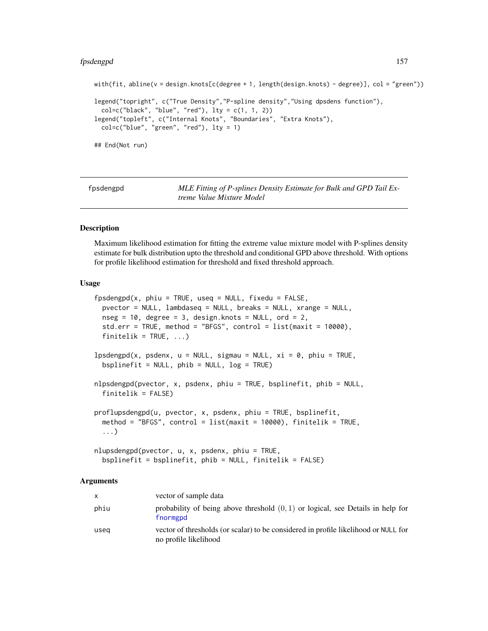### fpsdengpd 157

```
with(fit, abline(v = design.knots[c(degree + 1, length(design.knots) - degree)], col = "green"))
legend("topright", c("True Density","P-spline density","Using dpsdens function"),
 col = c("black", "blue", "red"), \; lty = c(1, 1, 2))legend("topleft", c("Internal Knots", "Boundaries", "Extra Knots"),
 col=c("blue", "green", "red"), lty = 1)
## End(Not run)
```
<span id="page-156-0"></span>

| fpsdengpd | MLE Fitting of P-splines Density Estimate for Bulk and GPD Tail Ex- |
|-----------|---------------------------------------------------------------------|
|           | treme Value Mixture Model                                           |

# <span id="page-156-1"></span>**Description**

Maximum likelihood estimation for fitting the extreme value mixture model with P-splines density estimate for bulk distribution upto the threshold and conditional GPD above threshold. With options for profile likelihood estimation for threshold and fixed threshold approach.

#### Usage

```
fpsdengpd(x, phi = TRUE, useq = NULL, fixedu = FALSE,pvector = NULL, lambdaseq = NULL, breaks = NULL, xrange = NULL,
 nseg = 10, degree = 3, design.knots = NULL, ord = 2,
  std.err = TRUE, method = "BFGS", control = list(maxit = 10000),
  finitelik = TRUE, ...)lpsdengpd(x, psdenx, u = NULL, sigmau = NULL, xi = 0, phiu = TRUE,bsplinefit = NULL, phi = NULL, log = TRUE)nlpsdengpd(pvector, x, psdenx, phiu = TRUE, bsplinefit, phib = NULL,
  finitelik = FALSE)
proflupsdengpd(u, pvector, x, psdenx, phiu = TRUE, bsplinefit,
 method = "BFGS", control = list(maxit = 10000), finitelik = TRUE,
  ...)
```

```
nlupsdengpd(pvector, u, x, psdenx, phiu = TRUE,
  bsplinefit = bsplinefit, phib = NULL, finitelik = FALSE)
```
# **Arguments**

| $\mathsf{x}$ | vector of sample data                                                                                        |
|--------------|--------------------------------------------------------------------------------------------------------------|
| phiu         | probability of being above threshold $(0, 1)$ or logical, see Details in help for<br>fnormgpd                |
| useg         | vector of thresholds (or scalar) to be considered in profile likelihood or NULL for<br>no profile likelihood |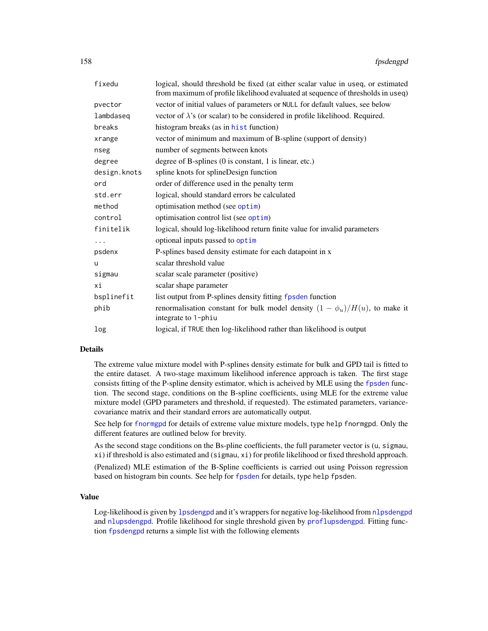| fixedu       | logical, should threshold be fixed (at either scalar value in useq, or estimated<br>from maximum of profile likelihood evaluated at sequence of thresholds in useq) |
|--------------|---------------------------------------------------------------------------------------------------------------------------------------------------------------------|
| pvector      | vector of initial values of parameters or NULL for default values, see below                                                                                        |
| lambdaseq    | vector of $\lambda$ 's (or scalar) to be considered in profile likelihood. Required.                                                                                |
| breaks       | histogram breaks (as in hist function)                                                                                                                              |
| xrange       | vector of minimum and maximum of B-spline (support of density)                                                                                                      |
| nseg         | number of segments between knots                                                                                                                                    |
| degree       | degree of B-splines (0 is constant, 1 is linear, etc.)                                                                                                              |
| design.knots | spline knots for splineDesign function                                                                                                                              |
| ord          | order of difference used in the penalty term                                                                                                                        |
| std.err      | logical, should standard errors be calculated                                                                                                                       |
| method       | optimisation method (see optim)                                                                                                                                     |
| control      | optimisation control list (see optim)                                                                                                                               |
| finitelik    | logical, should log-likelihood return finite value for invalid parameters                                                                                           |
| .            | optional inputs passed to optim                                                                                                                                     |
| psdenx       | P-splines based density estimate for each datapoint in x                                                                                                            |
| u            | scalar threshold value                                                                                                                                              |
| sigmau       | scalar scale parameter (positive)                                                                                                                                   |
| хi           | scalar shape parameter                                                                                                                                              |
| bsplinefit   | list output from P-splines density fitting fpsden function                                                                                                          |
| phib         | renormalisation constant for bulk model density $(1 - \phi_u)/H(u)$ , to make it<br>integrate to 1-phiu                                                             |
| log          | logical, if TRUE then log-likelihood rather than likelihood is output                                                                                               |

## Details

The extreme value mixture model with P-splines density estimate for bulk and GPD tail is fitted to the entire dataset. A two-stage maximum likelihood inference approach is taken. The first stage consists fitting of the P-spline density estimator, which is acheived by MLE using the [fpsden](#page-152-1) function. The second stage, conditions on the B-spline coefficients, using MLE for the extreme value mixture model (GPD parameters and threshold, if requested). The estimated parameters, variancecovariance matrix and their standard errors are automatically output.

See help for [fnormgpd](#page-142-0) for details of extreme value mixture models, type help fnormgpd. Only the different features are outlined below for brevity.

As the second stage conditions on the Bs-pline coefficients, the full parameter vector is (u, sigmau, xi) if threshold is also estimated and (sigmau, xi) for profile likelihood or fixed threshold approach.

(Penalized) MLE estimation of the B-Spline coefficients is carried out using Poisson regression based on histogram bin counts. See help for [fpsden](#page-152-1) for details, type help fpsden.

# Value

Log-likelihood is given by [lpsdengpd](#page-156-1) and it's wrappers for negative log-likelihood from [nlpsdengpd](#page-156-1) and [nlupsdengpd](#page-156-1). Profile likelihood for single threshold given by [proflupsdengpd](#page-156-1). Fitting function [fpsdengpd](#page-156-0) returns a simple list with the following elements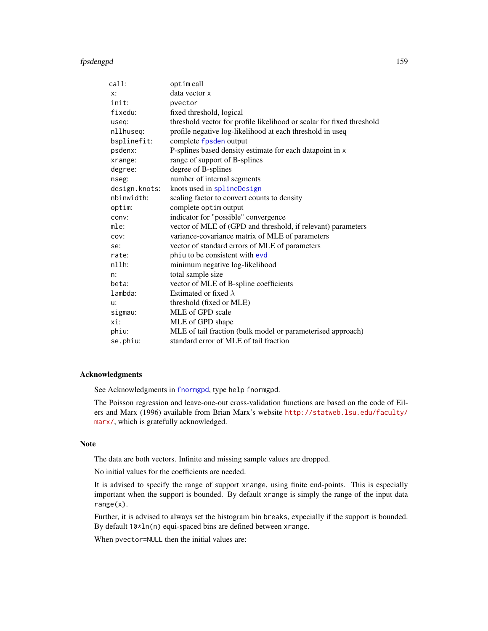| call:         | optim call                                                            |
|---------------|-----------------------------------------------------------------------|
| x:            | data vector x                                                         |
| init:         | pvector                                                               |
| fixedu:       | fixed threshold, logical                                              |
| useq:         | threshold vector for profile likelihood or scalar for fixed threshold |
| nllhuseq:     | profile negative log-likelihood at each threshold in useq             |
| bsplinefit:   | complete fpsden output                                                |
| psdenx:       | P-splines based density estimate for each datapoint in x              |
| xrange:       | range of support of B-splines                                         |
| degree:       | degree of B-splines                                                   |
| nseg:         | number of internal segments                                           |
| design.knots: | knots used in splineDesign                                            |
| nbinwidth:    | scaling factor to convert counts to density                           |
| optim:        | complete optim output                                                 |
| conv:         | indicator for "possible" convergence                                  |
| mle:          | vector of MLE of (GPD and threshold, if relevant) parameters          |
| cov:          | variance-covariance matrix of MLE of parameters                       |
| se:           | vector of standard errors of MLE of parameters                        |
| rate:         | phiu to be consistent with evd                                        |
| n11h:         | minimum negative log-likelihood                                       |
| n:            | total sample size                                                     |
| beta:         | vector of MLE of B-spline coefficients                                |
| lambda:       | Estimated or fixed $\lambda$                                          |
| u:            | threshold (fixed or MLE)                                              |
| sigmau:       | MLE of GPD scale                                                      |
| xi:           | MLE of GPD shape                                                      |
| phiu:         | MLE of tail fraction (bulk model or parameterised approach)           |
| se.phiu:      | standard error of MLE of tail fraction                                |

#### Acknowledgments

See Acknowledgments in [fnormgpd](#page-142-0), type help fnormgpd.

The Poisson regression and leave-one-out cross-validation functions are based on the code of Eilers and Marx (1996) available from Brian Marx's website [http://statweb.lsu.edu/faculty/](http://statweb.lsu.edu/faculty/marx/) [marx/](http://statweb.lsu.edu/faculty/marx/), which is gratefully acknowledged.

## Note

The data are both vectors. Infinite and missing sample values are dropped.

No initial values for the coefficients are needed.

It is advised to specify the range of support xrange, using finite end-points. This is especially important when the support is bounded. By default xrange is simply the range of the input data range(x).

Further, it is advised to always set the histogram bin breaks, expecially if the support is bounded. By default  $10*ln(n)$  equi-spaced bins are defined between xrange.

When pvector=NULL then the initial values are: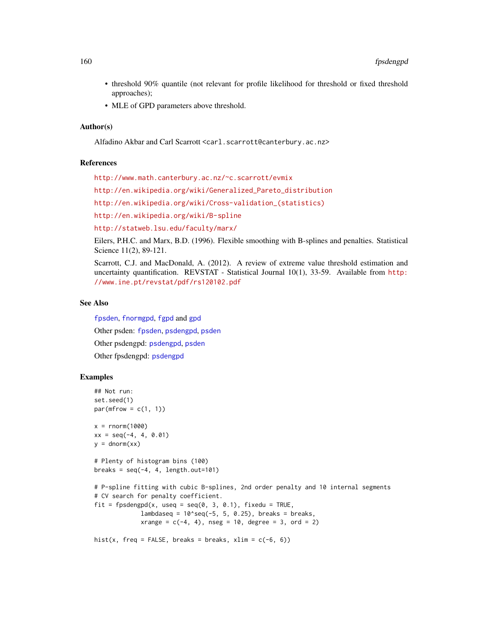- threshold 90% quantile (not relevant for profile likelihood for threshold or fixed threshold approaches);
- MLE of GPD parameters above threshold.

# Author(s)

Alfadino Akbar and Carl Scarrott <carl.scarrott@canterbury.ac.nz>

# References

<http://www.math.canterbury.ac.nz/~c.scarrott/evmix>

[http://en.wikipedia.org/wiki/Generalized\\_Pareto\\_distribution](http://en.wikipedia.org/wiki/Generalized_Pareto_distribution)

[http://en.wikipedia.org/wiki/Cross-validation\\_\(statistics\)](http://en.wikipedia.org/wiki/Cross-validation_(statistics))

<http://en.wikipedia.org/wiki/B-spline>

<http://statweb.lsu.edu/faculty/marx/>

Eilers, P.H.C. and Marx, B.D. (1996). Flexible smoothing with B-splines and penalties. Statistical Science 11(2), 89-121.

Scarrott, C.J. and MacDonald, A. (2012). A review of extreme value threshold estimation and uncertainty quantification. REVSTAT - Statistical Journal 10(1), 33-59. Available from [http:](http://www.ine.pt/revstat/pdf/rs120102.pdf) [//www.ine.pt/revstat/pdf/rs120102.pdf](http://www.ine.pt/revstat/pdf/rs120102.pdf)

## See Also

[fpsden](#page-152-1), [fnormgpd](#page-142-0), [fgpd](#page-84-0) and [gpd](#page-190-0) Other psden: [fpsden](#page-152-1), [psdengpd](#page-263-0), [psden](#page-259-1) Other psdengpd: [psdengpd](#page-263-0), [psden](#page-259-1) Other fpsdengpd: [psdengpd](#page-263-0)

# Examples

```
## Not run:
set.seed(1)
par(mfrow = c(1, 1))x = rnorm(1000)xx = seq(-4, 4, 0.01)y = \text{dnorm}(xx)# Plenty of histogram bins (100)
breaks = seq(-4, 4, length.out=101)# P-spline fitting with cubic B-splines, 2nd order penalty and 10 internal segments
# CV search for penalty coefficient.
fit = fpsdengpd(x, useq = seq(0, 3, 0.1), fixedu = TRUE,
             lambdaseq = 10^seq(-5, 5, 0.25), breaks = breaks,
             xrange = c(-4, 4), nseg = 10, degree = 3, ord = 2)hist(x, freq = FALSE, breaks = breaks, xlim = c(-6, 6))
```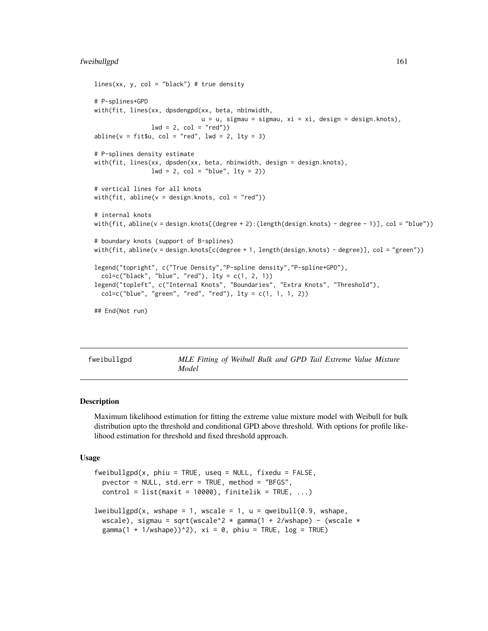## fweibullgpd 161

```
lines(xx, y, col = "black") # true density
# P-splines+GPD
with(fit, lines(xx, dpsdengpd(xx, beta, nbinwidth,
                              u = u, sigmau = sigmau, xi = xi, design = design.knots),
                lwd = 2, col = "red")abline(v = fit$u, col = "red", lwd = 2, lty = 3)# P-splines density estimate
with(fit, lines(xx, dpsden(xx, beta, nbinwidth, design = design.knots),
                lwd = 2, col = "blue", lty = 2)# vertical lines for all knots
with(fit, abline(v = design.knots, col = "red"))
# internal knots
with(fit, abline(v = design.knots[(degree + 2):(length(design.knots) - degree - 1)], col = "blue"))
# boundary knots (support of B-splines)
with(fit, abline(v = design.knots[c(degree + 1, length(design.knots) - degree)], col = "green"))
legend("topright", c("True Density","P-spline density","P-spline+GPD"),
 col=c("black", "blue", "red"), lty = c(1, 2, 1))legend("topleft", c("Internal Knots", "Boundaries", "Extra Knots", "Threshold"),
 col=c("blue", "green", "red", "red"), lty = c(1, 1, 1, 2))
## End(Not run)
```
<span id="page-160-1"></span>fweibullgpd *MLE Fitting of Weibull Bulk and GPD Tail Extreme Value Mixture Model*

#### <span id="page-160-0"></span>Description

Maximum likelihood estimation for fitting the extreme value mixture model with Weibull for bulk distribution upto the threshold and conditional GPD above threshold. With options for profile likelihood estimation for threshold and fixed threshold approach.

#### Usage

```
fweibullgpd(x, phi = TRUE, useq = NULL, fixedu = FALSE,pvector = NULL, std.err = TRUE, method = "BFGS",
 control = list(maxit = 10000), finitelik = TRUE, ...)lweibullgpd(x, wshape = 1, wscale = 1, u = qweibul](0.9, wshape,wscale), sigmau = sqrt(wscale^2 * gamma(1 + 2/wshape) - (wscale *
 gamma(1 + 1/wshape))^2), xi = 0, phiu = TRUE, log = TRUE)
```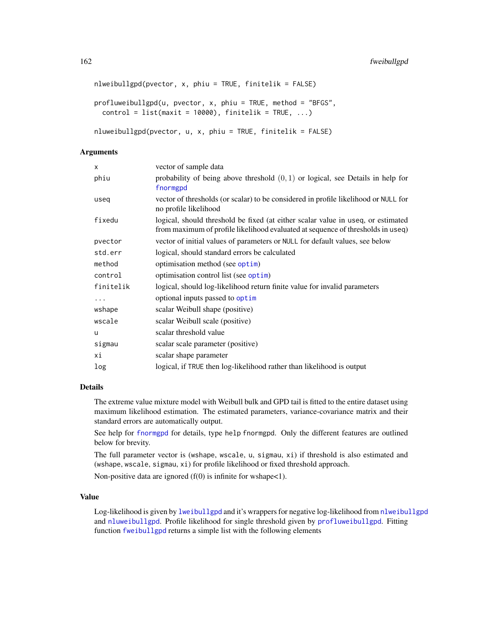```
nlweibullgpd(pvector, x, phiu = TRUE, finitelik = FALSE)
profluweibullgpd(u, pvector, x, phiu = TRUE, method = "BFGS",
 control = list(maxit = 10000), finitelik = TRUE, ...)
```

```
nluweibullgpd(pvector, u, x, phiu = TRUE, finitelik = FALSE)
```
# Arguments

| vector of sample data                                                                                                                                               |
|---------------------------------------------------------------------------------------------------------------------------------------------------------------------|
| probability of being above threshold $(0, 1)$ or logical, see Details in help for<br>fnormgpd                                                                       |
| vector of thresholds (or scalar) to be considered in profile likelihood or NULL for<br>no profile likelihood                                                        |
| logical, should threshold be fixed (at either scalar value in useq, or estimated<br>from maximum of profile likelihood evaluated at sequence of thresholds in useq) |
| vector of initial values of parameters or NULL for default values, see below                                                                                        |
| logical, should standard errors be calculated                                                                                                                       |
| optimisation method (see optim)                                                                                                                                     |
| optimisation control list (see optim)                                                                                                                               |
| logical, should log-likelihood return finite value for invalid parameters                                                                                           |
| optional inputs passed to optim                                                                                                                                     |
| scalar Weibull shape (positive)                                                                                                                                     |
| scalar Weibull scale (positive)                                                                                                                                     |
| scalar threshold value                                                                                                                                              |
| scalar scale parameter (positive)                                                                                                                                   |
| scalar shape parameter                                                                                                                                              |
| logical, if TRUE then log-likelihood rather than likelihood is output                                                                                               |
|                                                                                                                                                                     |

# Details

The extreme value mixture model with Weibull bulk and GPD tail is fitted to the entire dataset using maximum likelihood estimation. The estimated parameters, variance-covariance matrix and their standard errors are automatically output.

See help for [fnormgpd](#page-142-0) for details, type help fnormgpd. Only the different features are outlined below for brevity.

The full parameter vector is (wshape, wscale, u, sigmau, xi) if threshold is also estimated and (wshape, wscale, sigmau, xi) for profile likelihood or fixed threshold approach.

Non-positive data are ignored  $(f(0))$  is infinite for wshape $\lt 1$ ).

# Value

Log-likelihood is given by [lweibullgpd](#page-160-0) and it's wrappers for negative log-likelihood from [nlweibullgpd](#page-160-0) and [nluweibullgpd](#page-160-0). Profile likelihood for single threshold given by [profluweibullgpd](#page-160-0). Fitting function [fweibullgpd](#page-160-1) returns a simple list with the following elements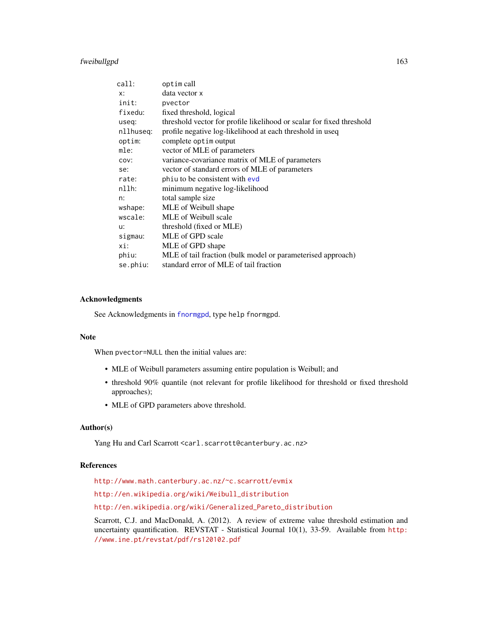# fweibullgpd 163

| call:     | optim call                                                            |
|-----------|-----------------------------------------------------------------------|
| $X$ :     | data vector x                                                         |
| init:     | pvector                                                               |
| fixedu:   | fixed threshold, logical                                              |
| useq:     | threshold vector for profile likelihood or scalar for fixed threshold |
| nllhuseq: | profile negative log-likelihood at each threshold in useq             |
| optim:    | complete optim output                                                 |
| mle:      | vector of MLE of parameters                                           |
| COV:      | variance-covariance matrix of MLE of parameters                       |
| se:       | vector of standard errors of MLE of parameters                        |
| rate:     | phiu to be consistent with evd                                        |
| $nllh$ :  | minimum negative log-likelihood                                       |
| n:        | total sample size                                                     |
| wshape:   | MLE of Weibull shape                                                  |
| wscale:   | MLE of Weibull scale                                                  |
| u:        | threshold (fixed or MLE)                                              |
| sigmau:   | MLE of GPD scale                                                      |
| xi:       | MLE of GPD shape                                                      |
| phiu:     | MLE of tail fraction (bulk model or parameterised approach)           |
| se.phiu:  | standard error of MLE of tail fraction                                |

# Acknowledgments

See Acknowledgments in [fnormgpd](#page-142-0), type help fnormgpd.

# Note

When pvector=NULL then the initial values are:

- MLE of Weibull parameters assuming entire population is Weibull; and
- threshold 90% quantile (not relevant for profile likelihood for threshold or fixed threshold approaches);
- MLE of GPD parameters above threshold.

# Author(s)

Yang Hu and Carl Scarrott <carl.scarrott@canterbury.ac.nz>

# References

<http://www.math.canterbury.ac.nz/~c.scarrott/evmix>

[http://en.wikipedia.org/wiki/Weibull\\_distribution](http://en.wikipedia.org/wiki/Weibull_distribution)

[http://en.wikipedia.org/wiki/Generalized\\_Pareto\\_distribution](http://en.wikipedia.org/wiki/Generalized_Pareto_distribution)

Scarrott, C.J. and MacDonald, A. (2012). A review of extreme value threshold estimation and uncertainty quantification. REVSTAT - Statistical Journal 10(1), 33-59. Available from [http:](http://www.ine.pt/revstat/pdf/rs120102.pdf) [//www.ine.pt/revstat/pdf/rs120102.pdf](http://www.ine.pt/revstat/pdf/rs120102.pdf)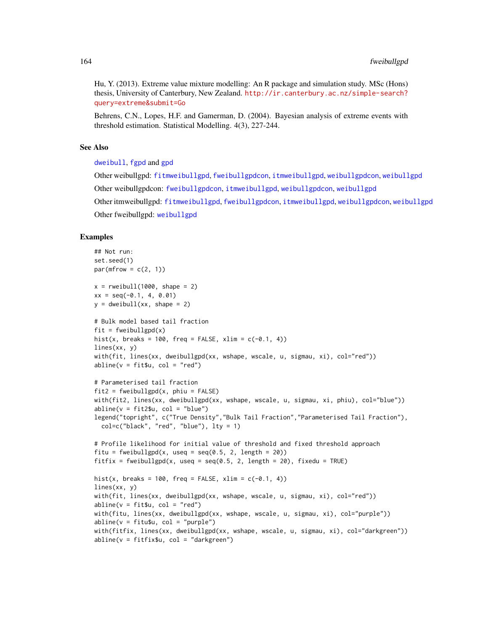Hu, Y. (2013). Extreme value mixture modelling: An R package and simulation study. MSc (Hons) thesis, University of Canterbury, New Zealand. [http://ir.canterbury.ac.nz/simple-search?](http://ir.canterbury.ac.nz/simple-search?query=extreme&submit=Go) [query=extreme&submit=Go](http://ir.canterbury.ac.nz/simple-search?query=extreme&submit=Go)

Behrens, C.N., Lopes, H.F. and Gamerman, D. (2004). Bayesian analysis of extreme events with threshold estimation. Statistical Modelling. 4(3), 227-244.

#### See Also

[dweibull](#page-0-0), [fgpd](#page-84-0) and [gpd](#page-190-0)

Other weibullgpd: [fitmweibullgpd](#page-103-0), [fweibullgpdcon](#page-164-0), [itmweibullgpd](#page-212-0), [weibullgpdcon](#page-272-0), [weibullgpd](#page-269-0) Other weibullgpdcon: [fweibullgpdcon](#page-164-0), [itmweibullgpd](#page-212-0), [weibullgpdcon](#page-272-0), [weibullgpd](#page-269-0) Other itmweibullgpd: [fitmweibullgpd](#page-103-0), [fweibullgpdcon](#page-164-0), [itmweibullgpd](#page-212-0), [weibullgpdcon](#page-272-0), [weibullgpd](#page-269-0) Other fweibullgpd: [weibullgpd](#page-269-0)

## Examples

```
## Not run:
set.seed(1)
par(mfrow = c(2, 1))x = \text{rweibull}(1000, \text{shape} = 2)xx = seq(-0.1, 4, 0.01)y = dweibull(xx, shape = 2)# Bulk model based tail fraction
fit = fweibullgpd(x)hist(x, breaks = 100, freq = FALSE, xlim = c(-0.1, 4))
lines(xx, y)
with(fit, lines(xx, dweibullgpd(xx, wshape, wscale, u, sigmau, xi), col="red"))
abline(v = fit$u, col = "red")# Parameterised tail fraction
fit2 = fewibullgpd(x, phi = FALSE)with(fit2, lines(xx, dweibullgpd(xx, wshape, wscale, u, sigmau, xi, phiu), col="blue"))
abline(v = fit2$u, col = "blue")legend("topright", c("True Density","Bulk Tail Fraction","Parameterised Tail Fraction"),
  col=c("black", "red", "blue"), \, lty = 1)# Profile likelihood for initial value of threshold and fixed threshold approach
fitu = fweibullgpd(x, useq = seq(0.5, 2, length = 20))
fitfix = fweibullgpd(x, useq = seq(0.5, 2, length = 20), fixedu = TRUE)
hist(x, breaks = 100, freq = FALSE, xlim = c(-0.1, 4))
lines(xx, y)
with(fit, lines(xx, dweibullgpd(xx, wshape, wscale, u, sigmau, xi), col="red"))
abline(v = fit$u, col = "red")with(fitu, lines(xx, dweibullgpd(xx, wshape, wscale, u, sigmau, xi), col="purple"))
abline(v = fitu$u, col = "purple")with(fitfix, lines(xx, dweibullgpd(xx, wshape, wscale, u, sigmau, xi), col="darkgreen"))
abline(v = fitfixSu, col = "darkgreen")
```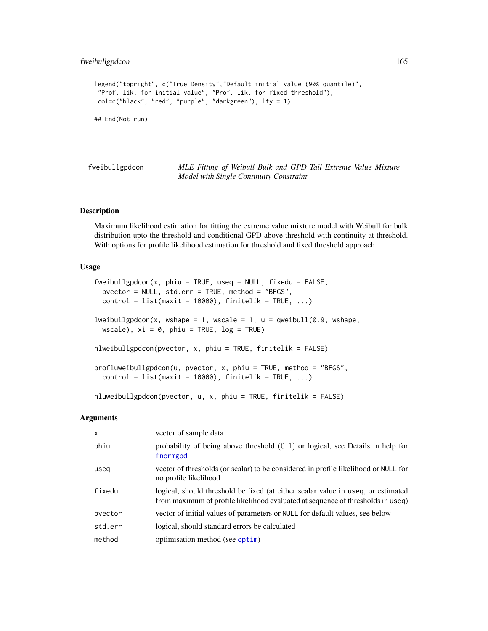# fweibullgpdcon 165

```
legend("topright", c("True Density","Default initial value (90% quantile)",
"Prof. lik. for initial value", "Prof. lik. for fixed threshold"),
col=c("black", "red", "purple", "darkgreen"), lty = 1)
## End(Not run)
```
<span id="page-164-0"></span>fweibullgpdcon *MLE Fitting of Weibull Bulk and GPD Tail Extreme Value Mixture Model with Single Continuity Constraint*

# <span id="page-164-1"></span>Description

Maximum likelihood estimation for fitting the extreme value mixture model with Weibull for bulk distribution upto the threshold and conditional GPD above threshold with continuity at threshold. With options for profile likelihood estimation for threshold and fixed threshold approach.

# Usage

```
fweibullgpdcon(x, phi = TRUE, useq = NULL, fixedu = FALSE,pvector = NULL, std.err = TRUE, method = "BFGS",
 control = list(maxit = 10000), finitelik = TRUE, ...)
lweibullgpdcon(x, wshape = 1, wscale = 1, u = qweibull(0.9, wshape,
 wscale), xi = 0, phiu = TRUE, log = TRUE)
nlweibullgpdcon(pvector, x, phiu = TRUE, finitelik = FALSE)
profluweibullgpdcon(u, pvector, x, phiu = TRUE, method = "BFGS",
  control = list(maxit = 10000), finitelik = TRUE, ...)
nluweibullgpdcon(pvector, u, x, phiu = TRUE, finitelik = FALSE)
```
#### Arguments

| $\mathsf{x}$ | vector of sample data                                                                                                                                               |
|--------------|---------------------------------------------------------------------------------------------------------------------------------------------------------------------|
| phiu         | probability of being above threshold $(0, 1)$ or logical, see Details in help for<br>fnormgpd                                                                       |
| useg         | vector of thresholds (or scalar) to be considered in profile likelihood or NULL for<br>no profile likelihood                                                        |
| fixedu       | logical, should threshold be fixed (at either scalar value in useq, or estimated<br>from maximum of profile likelihood evaluated at sequence of thresholds in useq) |
| pvector      | vector of initial values of parameters or NULL for default values, see below                                                                                        |
| std.err      | logical, should standard errors be calculated                                                                                                                       |
| method       | optimisation method (see optim)                                                                                                                                     |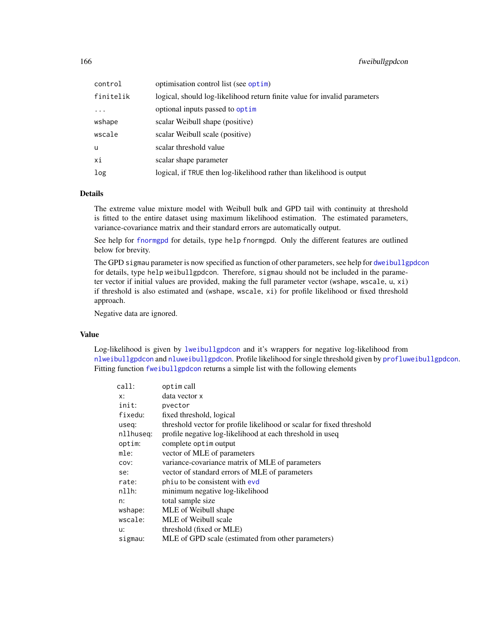| control    | optimisation control list (see optim)                                     |
|------------|---------------------------------------------------------------------------|
| finitelik  | logical, should log-likelihood return finite value for invalid parameters |
| $\ddots$ . | optional inputs passed to optim                                           |
| wshape     | scalar Weibull shape (positive)                                           |
| wscale     | scalar Weibull scale (positive)                                           |
| u          | scalar threshold value                                                    |
| хi         | scalar shape parameter                                                    |
| log        | logical, if TRUE then log-likelihood rather than likelihood is output     |

# Details

The extreme value mixture model with Weibull bulk and GPD tail with continuity at threshold is fitted to the entire dataset using maximum likelihood estimation. The estimated parameters, variance-covariance matrix and their standard errors are automatically output.

See help for [fnormgpd](#page-142-0) for details, type help fnormgpd. Only the different features are outlined below for brevity.

The GPD sigmau parameter is now specified as function of other parameters, see help for [dweibullgpdcon](#page-272-1) for details, type help weibullgpdcon. Therefore, sigmau should not be included in the parameter vector if initial values are provided, making the full parameter vector (wshape, wscale, u, xi) if threshold is also estimated and (wshape, wscale, xi) for profile likelihood or fixed threshold approach.

Negative data are ignored.

## Value

Log-likelihood is given by [lweibullgpdcon](#page-164-1) and it's wrappers for negative log-likelihood from [nlweibullgpdcon](#page-164-1) and [nluweibullgpdcon](#page-164-1). Profile likelihood for single threshold given by [profluweibullgpdcon](#page-164-1). Fitting function [fweibullgpdcon](#page-164-0) returns a simple list with the following elements

| call:     | optim call                                                            |
|-----------|-----------------------------------------------------------------------|
| x:        | data vector x                                                         |
| init:     | pvector                                                               |
| fixedu:   | fixed threshold, logical                                              |
| useq:     | threshold vector for profile likelihood or scalar for fixed threshold |
| nllhuseg: | profile negative log-likelihood at each threshold in useq             |
| optim:    | complete optim output                                                 |
| mle:      | vector of MLE of parameters                                           |
| COV:      | variance-covariance matrix of MLE of parameters                       |
| se:       | vector of standard errors of MLE of parameters                        |
| rate:     | phiu to be consistent with evd                                        |
| $n11h$ :  | minimum negative log-likelihood                                       |
| n:        | total sample size                                                     |
| wshape:   | MLE of Weibull shape                                                  |
| wscale:   | MLE of Weibull scale                                                  |
| u:        | threshold (fixed or MLE)                                              |
| sigmau:   | MLE of GPD scale (estimated from other parameters)                    |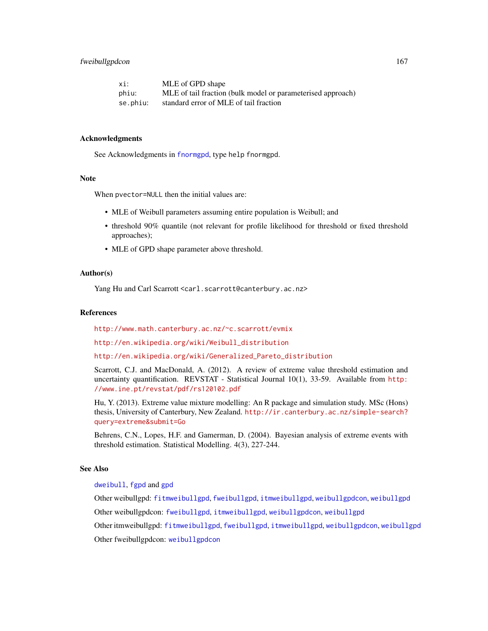# fweibullgpdcon 167

| xi:      | MLE of GPD shape                                            |
|----------|-------------------------------------------------------------|
| phiu:    | MLE of tail fraction (bulk model or parameterised approach) |
| se.phiu: | standard error of MLE of tail fraction                      |

## Acknowledgments

See Acknowledgments in [fnormgpd](#page-142-0), type help fnormgpd.

#### Note

When pvector=NULL then the initial values are:

- MLE of Weibull parameters assuming entire population is Weibull; and
- threshold 90% quantile (not relevant for profile likelihood for threshold or fixed threshold approaches);
- MLE of GPD shape parameter above threshold.

# Author(s)

Yang Hu and Carl Scarrott <carl.scarrott@canterbury.ac.nz>

#### References

<http://www.math.canterbury.ac.nz/~c.scarrott/evmix>

[http://en.wikipedia.org/wiki/Weibull\\_distribution](http://en.wikipedia.org/wiki/Weibull_distribution)

[http://en.wikipedia.org/wiki/Generalized\\_Pareto\\_distribution](http://en.wikipedia.org/wiki/Generalized_Pareto_distribution)

Scarrott, C.J. and MacDonald, A. (2012). A review of extreme value threshold estimation and uncertainty quantification. REVSTAT - Statistical Journal 10(1), 33-59. Available from [http:](http://www.ine.pt/revstat/pdf/rs120102.pdf) [//www.ine.pt/revstat/pdf/rs120102.pdf](http://www.ine.pt/revstat/pdf/rs120102.pdf)

Hu, Y. (2013). Extreme value mixture modelling: An R package and simulation study. MSc (Hons) thesis, University of Canterbury, New Zealand. [http://ir.canterbury.ac.nz/simple-search?](http://ir.canterbury.ac.nz/simple-search?query=extreme&submit=Go) [query=extreme&submit=Go](http://ir.canterbury.ac.nz/simple-search?query=extreme&submit=Go)

Behrens, C.N., Lopes, H.F. and Gamerman, D. (2004). Bayesian analysis of extreme events with threshold estimation. Statistical Modelling. 4(3), 227-244.

# See Also

[dweibull](#page-0-0), [fgpd](#page-84-0) and [gpd](#page-190-0)

Other weibullgpd: [fitmweibullgpd](#page-103-0), [fweibullgpd](#page-160-1), [itmweibullgpd](#page-212-0), [weibullgpdcon](#page-272-0), [weibullgpd](#page-269-0)

Other weibullgpdcon: [fweibullgpd](#page-160-1), [itmweibullgpd](#page-212-0), [weibullgpdcon](#page-272-0), [weibullgpd](#page-269-0)

Other itmweibullgpd: [fitmweibullgpd](#page-103-0), [fweibullgpd](#page-160-1), [itmweibullgpd](#page-212-0), [weibullgpdcon](#page-272-0), [weibullgpd](#page-269-0)

Other fweibullgpdcon: [weibullgpdcon](#page-272-0)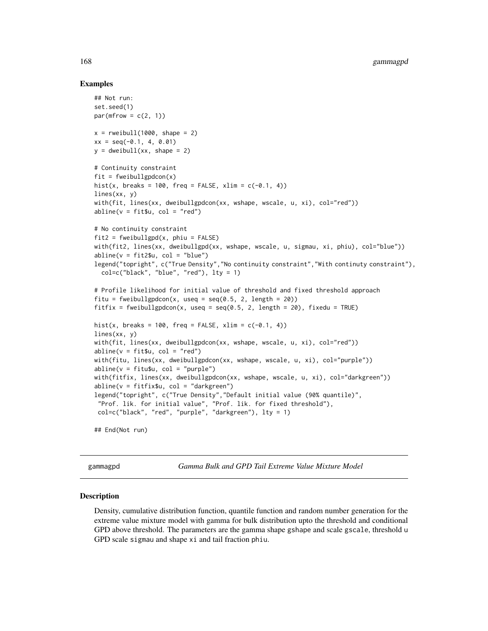# Examples

```
## Not run:
set.seed(1)
par(mfrow = c(2, 1))x = \text{rweibull}(1000, \text{shape} = 2)xx = seq(-0.1, 4, 0.01)y = dweibull(xx, shape = 2)
# Continuity constraint
fit = fweibullgpdcon(x)hist(x, breaks = 100, freq = FALSE, xlim = c(-0.1, 4))
lines(xx, y)
with(fit, lines(xx, dweibullgpdcon(xx, wshape, wscale, u, xi), col="red"))
abline(v = fit$u, col = "red")# No continuity constraint
fit2 = fewibullgpd(x, phi = FALSE)with(fit2, lines(xx, dweibullgpd(xx, wshape, wscale, u, sigmau, xi, phiu), col="blue"))
abline(v = fit2$u, col = "blue")legend("topright", c("True Density","No continuity constraint","With continuty constraint"),
  col=c("black", "blue", "red"), lty = 1)
# Profile likelihood for initial value of threshold and fixed threshold approach
fitu = fweibullgpdcon(x, useq = seq(0.5, 2, length = 20))
fitfix = fweibullgpdcon(x, useq = seq(0.5, 2, length = 20), fixedu = TRUE)
hist(x, breaks = 100, freq = FALSE, xlim = c(-0.1, 4))
lines(xx, y)
with(fit, lines(xx, dweibullgpdcon(xx, wshape, wscale, u, xi), col="red"))
abline(v = fit$u, col = "red")with(fitu, lines(xx, dweibullgpdcon(xx, wshape, wscale, u, xi), col="purple"))
abline(v = fitu$u, col = "purple")with(fitfix, lines(xx, dweibullgpdcon(xx, wshape, wscale, u, xi), col="darkgreen"))
abline(v = fitfix$u, col = "darkgreen")
legend("topright", c("True Density","Default initial value (90% quantile)",
 "Prof. lik. for initial value", "Prof. lik. for fixed threshold"),
 col=c("black", "red", "purple", "darkgreen"), lty = 1)
## End(Not run)
```
<span id="page-167-1"></span>

gammagpd *Gamma Bulk and GPD Tail Extreme Value Mixture Model*

### <span id="page-167-0"></span>Description

Density, cumulative distribution function, quantile function and random number generation for the extreme value mixture model with gamma for bulk distribution upto the threshold and conditional GPD above threshold. The parameters are the gamma shape gshape and scale gscale, threshold u GPD scale sigmau and shape xi and tail fraction phiu.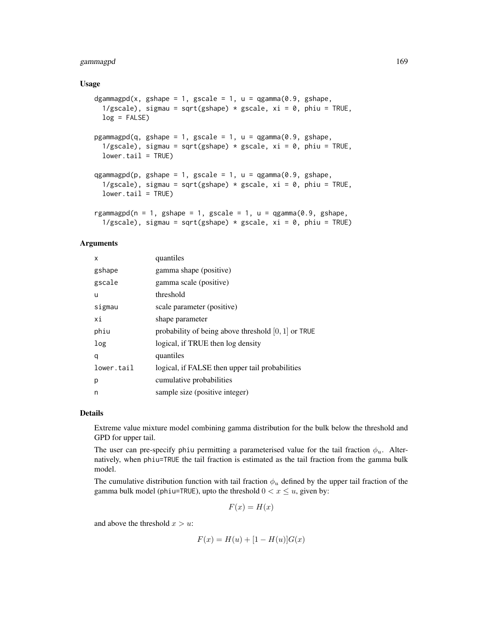# gammagpd 169

## Usage

```
dgammagpd(x, gshape = 1, gscale = 1, u = qgamma(0.9, gshape,
  1/gscale), sigmau = sqrt(gshape) * gscale, xi = 0, phiu = TRUE,
 log = FALSE)pgammagpd(q, gshape = 1, gscale = 1, u = qgamma(0.9, gshape,
  1/gscale), sigmau = sqrt(gshape) * gscale, xi = 0, phiu = TRUE,
 lower.tail = TRUE)
qgammagpd(p, gshape = 1, gscale = 1, u = qgamma(0.9, gshape,
  1/gscale), sigmau = sqrt(gshape) * gscale, xi = 0, phiu = TRUE,
  lower.tail = TRUE)rgammagpd(n = 1, gshape = 1, gscale = 1, u = qgamma(0.9, gshape,
  1/gscale), sigmau = sqrt(gshape) * gscale, xi = 0, phiu = TRUE)
```
# Arguments

| x          | quantiles                                             |
|------------|-------------------------------------------------------|
| gshape     | gamma shape (positive)                                |
| gscale     | gamma scale (positive)                                |
| u          | threshold                                             |
| sigmau     | scale parameter (positive)                            |
| хi         | shape parameter                                       |
| phiu       | probability of being above threshold $[0, 1]$ or TRUE |
| log        | logical, if TRUE then log density                     |
| q          | quantiles                                             |
| lower.tail | logical, if FALSE then upper tail probabilities       |
| р          | cumulative probabilities                              |
| n          | sample size (positive integer)                        |

# Details

Extreme value mixture model combining gamma distribution for the bulk below the threshold and GPD for upper tail.

The user can pre-specify phiu permitting a parameterised value for the tail fraction  $\phi_u$ . Alternatively, when phiu=TRUE the tail fraction is estimated as the tail fraction from the gamma bulk model.

The cumulative distribution function with tail fraction  $\phi_u$  defined by the upper tail fraction of the gamma bulk model (phiu=TRUE), upto the threshold  $0 < x \le u$ , given by:

$$
F(x) = H(x)
$$

and above the threshold  $x > u$ :

$$
F(x) = H(u) + [1 - H(u)]G(x)
$$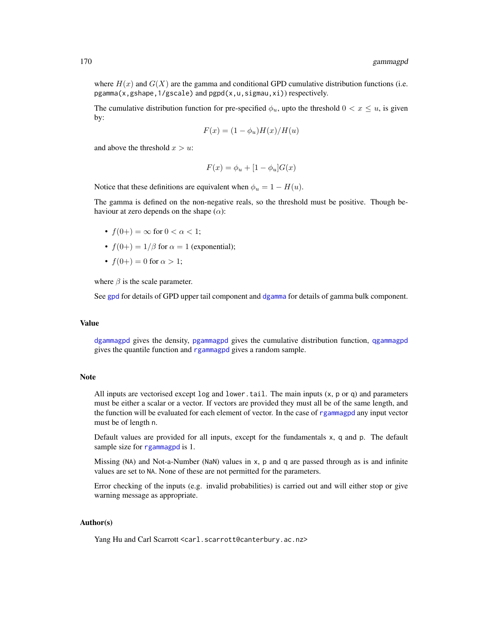where  $H(x)$  and  $G(X)$  are the gamma and conditional GPD cumulative distribution functions (i.e. pgamma(x,gshape,1/gscale) and pgpd(x,u,sigmau,xi)) respectively.

The cumulative distribution function for pre-specified  $\phi_u$ , upto the threshold  $0 < x \leq u$ , is given by:

$$
F(x) = (1 - \phi_u)H(x)/H(u)
$$

and above the threshold  $x > u$ :

$$
F(x) = \phi_u + [1 - \phi_u]G(x)
$$

Notice that these definitions are equivalent when  $\phi_u = 1 - H(u)$ .

The gamma is defined on the non-negative reals, so the threshold must be positive. Though behaviour at zero depends on the shape  $(\alpha)$ :

- $f(0+) = \infty$  for  $0 < \alpha < 1$ ;
- $f(0+) = 1/\beta$  for  $\alpha = 1$  (exponential);
- $f(0+) = 0$  for  $\alpha > 1$ ;

where  $\beta$  is the scale parameter.

See [gpd](#page-190-0) for details of GPD upper tail component and [dgamma](#page-0-0) for details of gamma bulk component.

## Value

[dgammagpd](#page-167-0) gives the density, [pgammagpd](#page-167-0) gives the cumulative distribution function, [qgammagpd](#page-167-0) gives the quantile function and [rgammagpd](#page-167-0) gives a random sample.

# Note

All inputs are vectorised except  $log$  and  $lower.tail$ . The main inputs  $(x, p or q)$  and parameters must be either a scalar or a vector. If vectors are provided they must all be of the same length, and the function will be evaluated for each element of vector. In the case of [rgammagpd](#page-167-0) any input vector must be of length n.

Default values are provided for all inputs, except for the fundamentals x, q and p. The default sample size for [rgammagpd](#page-167-0) is 1.

Missing (NA) and Not-a-Number (NaN) values in x, p and q are passed through as is and infinite values are set to NA. None of these are not permitted for the parameters.

Error checking of the inputs (e.g. invalid probabilities) is carried out and will either stop or give warning message as appropriate.

# Author(s)

Yang Hu and Carl Scarrott <carl.scarrott@canterbury.ac.nz>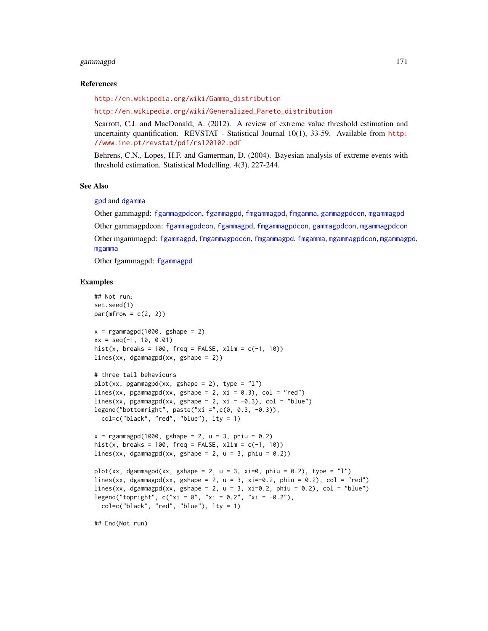#### gammagpd 171

## References

[http://en.wikipedia.org/wiki/Gamma\\_distribution](http://en.wikipedia.org/wiki/Gamma_distribution)

[http://en.wikipedia.org/wiki/Generalized\\_Pareto\\_distribution](http://en.wikipedia.org/wiki/Generalized_Pareto_distribution)

Scarrott, C.J. and MacDonald, A. (2012). A review of extreme value threshold estimation and uncertainty quantification. REVSTAT - Statistical Journal 10(1), 33-59. Available from [http:](http://www.ine.pt/revstat/pdf/rs120102.pdf) [//www.ine.pt/revstat/pdf/rs120102.pdf](http://www.ine.pt/revstat/pdf/rs120102.pdf)

Behrens, C.N., Lopes, H.F. and Gamerman, D. (2004). Bayesian analysis of extreme events with threshold estimation. Statistical Modelling. 4(3), 227-244.

#### See Also

[gpd](#page-190-0) and [dgamma](#page-0-0)

Other gammagpd: [fgammagpdcon](#page-61-0), [fgammagpd](#page-58-0), [fmgammagpd](#page-132-0), [fmgamma](#page-128-0), [gammagpdcon](#page-171-0), [mgammagpd](#page-241-0) Other gammagpdcon: [fgammagpdcon](#page-61-0), [fgammagpd](#page-58-0), [fmgammagpdcon](#page-137-0), [gammagpdcon](#page-171-0), [mgammagpdcon](#page-244-0) Other mgammagpd: [fgammagpd](#page-58-0), [fmgammagpdcon](#page-137-0), [fmgammagpd](#page-132-0), [fmgamma](#page-128-0), [mgammagpdcon](#page-244-0), [mgammagpd](#page-241-0), [mgamma](#page-238-0)

Other fgammagpd: [fgammagpd](#page-58-0)

# Examples

```
## Not run:
set.seed(1)
par(mfrow = c(2, 2))x = rgammagpd(1000, gshape = 2)
xx = seq(-1, 10, 0.01)hist(x, breaks = 100, freq = FALSE, xlim = c(-1, 10))
lines(xx, dgammagpd(xx, gshape = 2))
# three tail behaviours
plot(xx, pgamma(gax, gshape = 2), type = "l")lines(xx, pgammagpd(xx, gshape = 2, xi = 0.3), col = "red")
lines(xx, pgammagpd(xx, gshape = 2, xi = -0.3), col = "blue")
legend("bottomright", paste("xi =",c(0, 0.3, -0.3)),
  col=c("black", "red", "blue"), lty = 1)
x = rgammagpd(1000, gshape = 2, u = 3, phiu = 0.2)
hist(x, breaks = 100, freq = FALSE, xlim = c(-1, 10))
lines(xx, dgammagpd(xx, gshape = 2, u = 3, phiu = 0.2))
plot(xx, dgammagpd(xx, gshape = 2, u = 3, xi=0, phiu = 0.2), type = "1")
lines(xx, dgammagpd(xx, gshape = 2, u = 3, xi=-0.2, phiu = 0.2), col = "red")
lines(xx, dgammagpd(xx, gshape = 2, u = 3, xi=0.2, phiu = 0.2), col = "blue")
legend("topright", c("xi = 0", "xi = 0.2", "xi = -0.2"),col=c("black", "red", "blue"), lty = 1)
## End(Not run)
```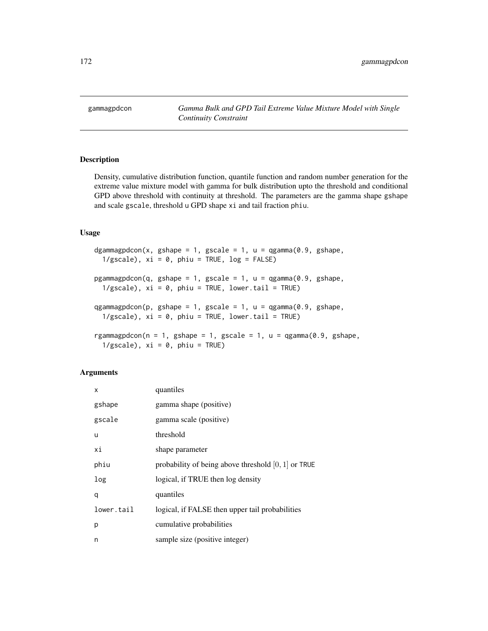<span id="page-171-0"></span>gammagpdcon *Gamma Bulk and GPD Tail Extreme Value Mixture Model with Single Continuity Constraint*

# <span id="page-171-1"></span>Description

Density, cumulative distribution function, quantile function and random number generation for the extreme value mixture model with gamma for bulk distribution upto the threshold and conditional GPD above threshold with continuity at threshold. The parameters are the gamma shape gshape and scale gscale, threshold u GPD shape xi and tail fraction phiu.

# Usage

```
dgammagpdcon(x, gshape = 1, gscale = 1, u = qgamma(0.9, gshape,
  1/gscale), xi = 0, phi = TRUE, log = FALSE)
pgammagpdcon(q, gshape = 1, gscale = 1, u = qgamma(0.9, gshape,
  1/gscale), xi = 0, phi = TRUE, lowertail = TRUE)qgammagpdcon(p, gshape = 1, gscale = 1, u = qgamma(0.9, gshape,
  1/gscale), xi = 0, phi = TRUE, lower.tail = TRUErgammagpdcon(n = 1, gshape = 1, gscale = 1, u = qgamma(0.9, gshape,
  1/gscale), xi = 0, phi = TRUE
```
# Arguments

| X          | quantiles                                             |
|------------|-------------------------------------------------------|
| gshape     | gamma shape (positive)                                |
| gscale     | gamma scale (positive)                                |
| u          | threshold                                             |
| хi         | shape parameter                                       |
| phiu       | probability of being above threshold $[0, 1]$ or TRUE |
| log        | logical, if TRUE then log density                     |
| q          | quantiles                                             |
| lower.tail | logical, if FALSE then upper tail probabilities       |
| р          | cumulative probabilities                              |
| n          | sample size (positive integer)                        |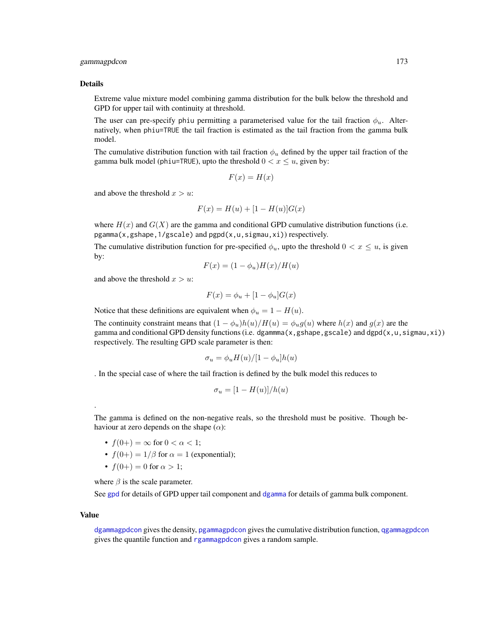# gammagpdcon 173

#### Details

Extreme value mixture model combining gamma distribution for the bulk below the threshold and GPD for upper tail with continuity at threshold.

The user can pre-specify phiu permitting a parameterised value for the tail fraction  $\phi_u$ . Alternatively, when phiu=TRUE the tail fraction is estimated as the tail fraction from the gamma bulk model.

The cumulative distribution function with tail fraction  $\phi_u$  defined by the upper tail fraction of the gamma bulk model (phiu=TRUE), upto the threshold  $0 < x \le u$ , given by:

$$
F(x) = H(x)
$$

and above the threshold  $x > u$ :

$$
F(x) = H(u) + [1 - H(u)]G(x)
$$

where  $H(x)$  and  $G(X)$  are the gamma and conditional GPD cumulative distribution functions (i.e. pgamma(x,gshape,1/gscale) and pgpd(x,u,sigmau,xi)) respectively.

The cumulative distribution function for pre-specified  $\phi_u$ , upto the threshold  $0 < x \leq u$ , is given by:

$$
F(x) = (1 - \phi_u)H(x)/H(u)
$$

and above the threshold  $x > u$ :

$$
F(x) = \phi_u + [1 - \phi_u]G(x)
$$

Notice that these definitions are equivalent when  $\phi_u = 1 - H(u)$ .

The continuity constraint means that  $(1 - \phi_u)h(u)/H(u) = \phi_u g(u)$  where  $h(x)$  and  $g(x)$  are the gamma and conditional GPD density functions (i.e. dgammma(x,gshape,gscale) and dgpd(x,u,sigmau,xi)) respectively. The resulting GPD scale parameter is then:

$$
\sigma_u = \phi_u H(u) / [1 - \phi_u] h(u)
$$

. In the special case of where the tail fraction is defined by the bulk model this reduces to

$$
\sigma_u = [1 - H(u)]/h(u)
$$

The gamma is defined on the non-negative reals, so the threshold must be positive. Though behaviour at zero depends on the shape  $(\alpha)$ :

- $f(0+) = \infty$  for  $0 < \alpha < 1$ ;
- $f(0+) = 1/\beta$  for  $\alpha = 1$  (exponential);
- $f(0+) = 0$  for  $\alpha > 1$ ;

where  $\beta$  is the scale parameter.

See [gpd](#page-190-0) for details of GPD upper tail component and [dgamma](#page-0-0) for details of gamma bulk component.

#### Value

.

[dgammagpdcon](#page-171-1) gives the density, [pgammagpdcon](#page-171-1) gives the cumulative distribution function, [qgammagpdcon](#page-171-1) gives the quantile function and [rgammagpdcon](#page-171-1) gives a random sample.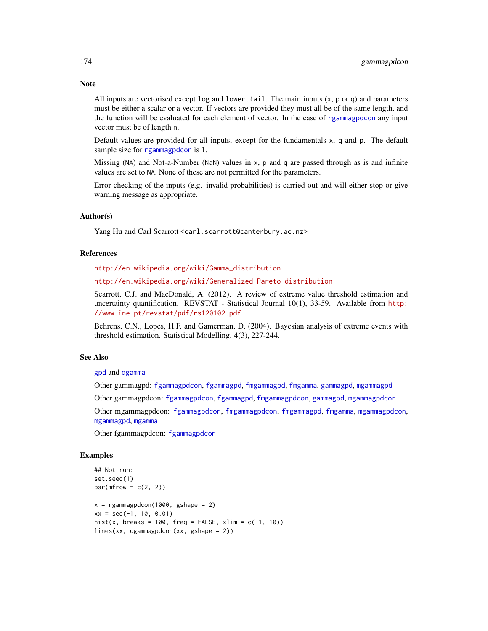All inputs are vectorised except  $log$  and  $lower$ .tail. The main inputs  $(x, p, o, q)$  and parameters must be either a scalar or a vector. If vectors are provided they must all be of the same length, and the function will be evaluated for each element of vector. In the case of [rgammagpdcon](#page-171-1) any input vector must be of length n.

Default values are provided for all inputs, except for the fundamentals x, q and p. The default sample size for [rgammagpdcon](#page-171-1) is 1.

Missing (NA) and Not-a-Number (NaN) values in x, p and q are passed through as is and infinite values are set to NA. None of these are not permitted for the parameters.

Error checking of the inputs (e.g. invalid probabilities) is carried out and will either stop or give warning message as appropriate.

## Author(s)

Yang Hu and Carl Scarrott <carl.scarrott@canterbury.ac.nz>

## References

[http://en.wikipedia.org/wiki/Gamma\\_distribution](http://en.wikipedia.org/wiki/Gamma_distribution)

[http://en.wikipedia.org/wiki/Generalized\\_Pareto\\_distribution](http://en.wikipedia.org/wiki/Generalized_Pareto_distribution)

Scarrott, C.J. and MacDonald, A. (2012). A review of extreme value threshold estimation and uncertainty quantification. REVSTAT - Statistical Journal 10(1), 33-59. Available from [http:](http://www.ine.pt/revstat/pdf/rs120102.pdf) [//www.ine.pt/revstat/pdf/rs120102.pdf](http://www.ine.pt/revstat/pdf/rs120102.pdf)

Behrens, C.N., Lopes, H.F. and Gamerman, D. (2004). Bayesian analysis of extreme events with threshold estimation. Statistical Modelling. 4(3), 227-244.

# See Also

[gpd](#page-190-0) and [dgamma](#page-0-0)

Other gammagpd: [fgammagpdcon](#page-61-0), [fgammagpd](#page-58-0), [fmgammagpd](#page-132-0), [fmgamma](#page-128-0), [gammagpd](#page-167-1), [mgammagpd](#page-241-0)

Other gammagpdcon: [fgammagpdcon](#page-61-0), [fgammagpd](#page-58-0), [fmgammagpdcon](#page-137-0), [gammagpd](#page-167-1), [mgammagpdcon](#page-244-0)

Other mgammagpdcon: [fgammagpdcon](#page-61-0), [fmgammagpdcon](#page-137-0), [fmgammagpd](#page-132-0), [fmgamma](#page-128-0), [mgammagpdcon](#page-244-0), [mgammagpd](#page-241-0), [mgamma](#page-238-0)

Other fgammagpdcon: [fgammagpdcon](#page-61-0)

#### Examples

```
## Not run:
set.seed(1)
par(mfrow = c(2, 2))x = rgammagpdcon(1000, gshape = 2)
xx = seq(-1, 10, 0.01)hist(x, breaks = 100, freq = FALSE, xlim = c(-1, 10))
lines(xx, dgammagpdcon(xx, gshape = 2))
```
# **Note**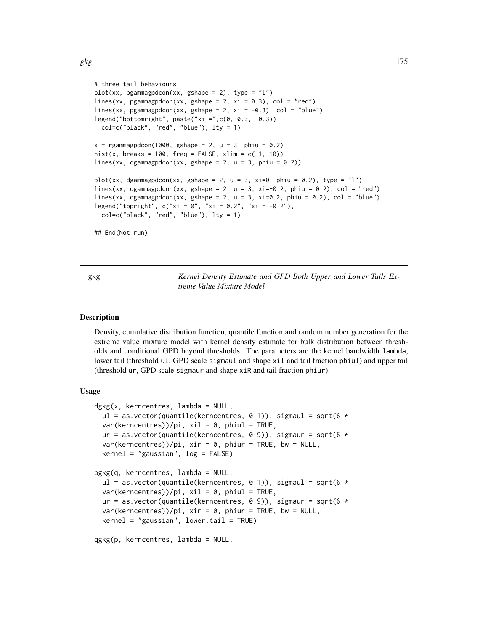```
# three tail behaviours
plot(xx, pgammagammagpdcon(xx, gshape = 2), type = "l")lines(xx, pgammagpdcon(xx, gshape = 2, xi = 0.3), col = "red")
lines(xx, pgammagpdcon(xx, gshape = 2, xi = -0.3), col = "blue")
legend("bottomright", paste("xi =",c(\emptyset, \emptyset.3, -\emptyset.3)),
 col=c("black", "red", "blue"), lty = 1)
x = rgammagpdcon(1000, gshape = 2, u = 3, phiu = 0.2)
hist(x, breaks = 100, freq = FALSE, xlim = c(-1, 10))
lines(xx, dgammagpdcon(xx, gshape = 2, u = 3, phiu = 0.2))
plot(xx, dgammagpdcon(xx, gshape = 2, u = 3, xi=0, phiu = 0.2), type = "l")
lines(xx, dgammagpdcon(xx, gshape = 2, u = 3, xi=-0.2, phiu = 0.2), col = "red")
lines(xx, dgammagpdcon(xx, gshape = 2, u = 3, xi=0.2, phiu = 0.2), col = "blue")
legend("topright", c("xi = 0", "xi = 0.2", "xi = -0.2"),col=c("black", "red", "blue"), lty = 1)
## End(Not run)
```
<span id="page-174-1"></span>gkg *Kernel Density Estimate and GPD Both Upper and Lower Tails Extreme Value Mixture Model*

#### <span id="page-174-0"></span>**Description**

Density, cumulative distribution function, quantile function and random number generation for the extreme value mixture model with kernel density estimate for bulk distribution between thresholds and conditional GPD beyond thresholds. The parameters are the kernel bandwidth lambda, lower tail (threshold ul, GPD scale sigmaul and shape xil and tail fraction phiul) and upper tail (threshold ur, GPD scale sigmaur and shape xiR and tail fraction phiur).

# Usage

```
dgkg(x, kerncentres, lambda = NULL,
 ul = as.vector(quantile(kerncentres, 0.1)), sigmaul = sqrt(6 *var(kerncentres))/pi, xil = 0, phiul = TRUE,
  ur = as.vector(quantile(kerncentres, 0.9)), sigmaur = sqrt(6 *var(kerncentres))/pi, xir = 0, phiur = TRUE, bw = NULL,
  kernel = "gaussian", log = FALSE)
pgkg(q, kerncentres, lambda = NULL,
 ul = as.vector(quantile(kerncentres, 0.1)), sigmaul = sqrt(6 *var(kerncentres))/pi, xil = 0, phiul = TRUE,
  ur = as.vector(quantile(kerncentres, 0.9)), sigmaur = sqrt(6 *var(kerncentres))/pi, xir = 0, phiur = TRUE, bw = NULL,
  kernel = "gaussian", lower.tail = TRUE)
```

```
qgkg(p, kerncentres, lambda = NULL,
```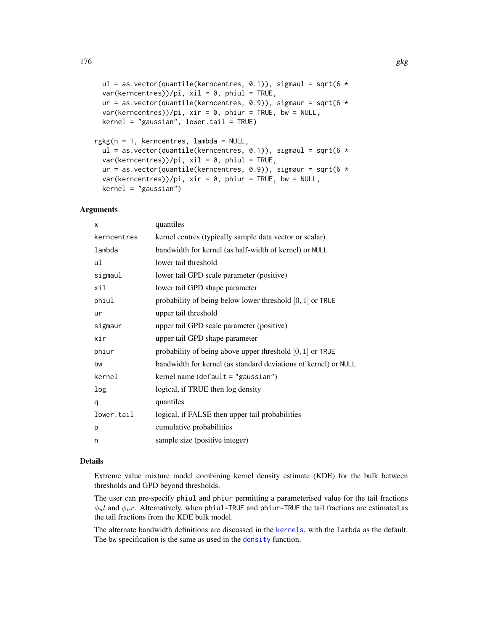```
ul = as.vector(quantile(kerncentres, 0.1)), sigmaul = sqrt(6 *var(kerncentres))/pi, xil = 0, phiul = TRUE,
ur = as.vector(quantile(kerncentres, 0.9)), sigmaur = sqrt(6 *var(kerncentres))/pi, xir = 0, phiur = TRUE, bw = NULL,
kernel = "gaussian", lower.tail = TRUE)
```

```
rgkg(n = 1, kerncentres, lambda = NULL,
 ul = as.vector(quantile(kerncentres, 0.1)), sigmaul = sqrt(6 *var(kerncentres))/pi, xil = 0, phiul = TRUE,
 ur = as.vector(quantile(kerncentres, 0.9)), sigmaur = sqrt(6 *var(kerncentres))/pi, xir = 0, phiur = TRUE, bw = NULL,
 kernel = "gaussian")
```
# Arguments

| X           | quantiles                                                       |
|-------------|-----------------------------------------------------------------|
| kerncentres | kernel centres (typically sample data vector or scalar)         |
| lambda      | bandwidth for kernel (as half-width of kernel) or NULL          |
| ul          | lower tail threshold                                            |
| sigmaul     | lower tail GPD scale parameter (positive)                       |
| xil         | lower tail GPD shape parameter                                  |
| phiul       | probability of being below lower threshold $[0, 1]$ or TRUE     |
| ur          | upper tail threshold                                            |
| sigmaur     | upper tail GPD scale parameter (positive)                       |
| xir         | upper tail GPD shape parameter                                  |
| phiur       | probability of being above upper threshold $[0, 1]$ or TRUE     |
| bw          | bandwidth for kernel (as standard deviations of kernel) or NULL |
| kernel      | kernel name $(\text{default} = "gaussian")$                     |
| log         | logical, if TRUE then log density                               |
| q           | quantiles                                                       |
| lower.tail  | logical, if FALSE then upper tail probabilities                 |
| p           | cumulative probabilities                                        |
| n           | sample size (positive integer)                                  |
|             |                                                                 |

# Details

Extreme value mixture model combining kernel density estimate (KDE) for the bulk between thresholds and GPD beyond thresholds.

The user can pre-specify phiul and phiur permitting a parameterised value for the tail fractions  $\phi_u l$  and  $\phi_u r$ . Alternatively, when phiul=TRUE and phiur=TRUE the tail fractions are estimated as the tail fractions from the KDE bulk model.

The alternate bandwidth definitions are discussed in the [kernels](#page-226-0), with the lambda as the default. The bw specification is the same as used in the [density](#page-0-0) function.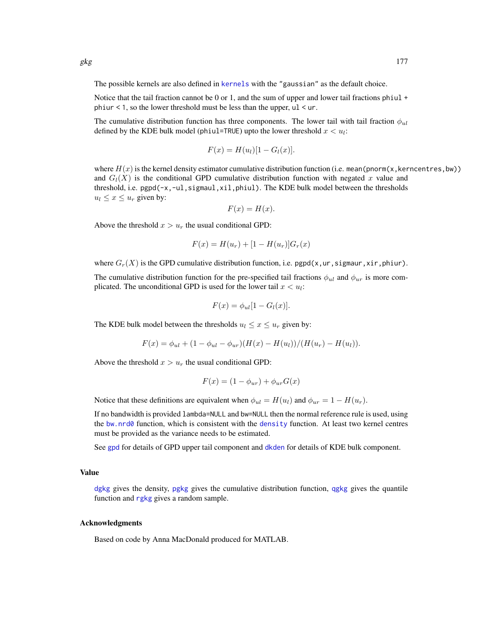The possible kernels are also defined in [kernels](#page-226-0) with the "gaussian" as the default choice.

Notice that the tail fraction cannot be 0 or 1, and the sum of upper and lower tail fractions phiul  $+$ phiur  $\leq 1$ , so the lower threshold must be less than the upper, ul  $\leq$  ur.

The cumulative distribution function has three components. The lower tail with tail fraction  $\phi_{ul}$ defined by the KDE bulk model (phiul=TRUE) upto the lower threshold  $x < u_i$ :

$$
F(x) = H(ul)[1 - Gl(x)].
$$

where  $H(x)$  is the kernel density estimator cumulative distribution function (i.e. mean(pnorm(x, kerncentres, bw)) and  $G_l(X)$  is the conditional GPD cumulative distribution function with negated x value and threshold, i.e. pgpd(-x,-ul,sigmaul,xil,phiul). The KDE bulk model between the thresholds  $u_l \leq x \leq u_r$  given by:

$$
F(x) = H(x).
$$

Above the threshold  $x > u_r$  the usual conditional GPD:

$$
F(x) = H(u_r) + [1 - H(u_r)]G_r(x)
$$

where  $G_r(X)$  is the GPD cumulative distribution function, i.e. pgpd(x,ur, sigmaur, xir, phiur).

The cumulative distribution function for the pre-specified tail fractions  $\phi_{ul}$  and  $\phi_{ur}$  is more complicated. The unconditional GPD is used for the lower tail  $x < u_i$ :

$$
F(x) = \phi_{ul}[1 - G_l(x)].
$$

The KDE bulk model between the thresholds  $u_l \leq x \leq u_r$  given by:

$$
F(x) = \phi_{ul} + (1 - \phi_{ul} - \phi_{ur})(H(x) - H(u_l))/(H(u_r) - H(u_l)).
$$

Above the threshold  $x > u_r$  the usual conditional GPD:

$$
F(x) = (1 - \phi_{ur}) + \phi_{ur} G(x)
$$

Notice that these definitions are equivalent when  $\phi_{ul} = H(u_l)$  and  $\phi_{ur} = 1 - H(u_r)$ .

If no bandwidth is provided lambda=NULL and bw=NULL then the normal reference rule is used, using the [bw.nrd0](#page-0-0) function, which is consistent with the [density](#page-0-0) function. At least two kernel centres must be provided as the variance needs to be estimated.

See [gpd](#page-190-0) for details of GPD upper tail component and [dkden](#page-215-1) for details of KDE bulk component.

## Value

[dgkg](#page-174-0) gives the density, [pgkg](#page-174-0) gives the cumulative distribution function, [qgkg](#page-174-0) gives the quantile function and [rgkg](#page-174-0) gives a random sample.

#### Acknowledgments

Based on code by Anna MacDonald produced for MATLAB.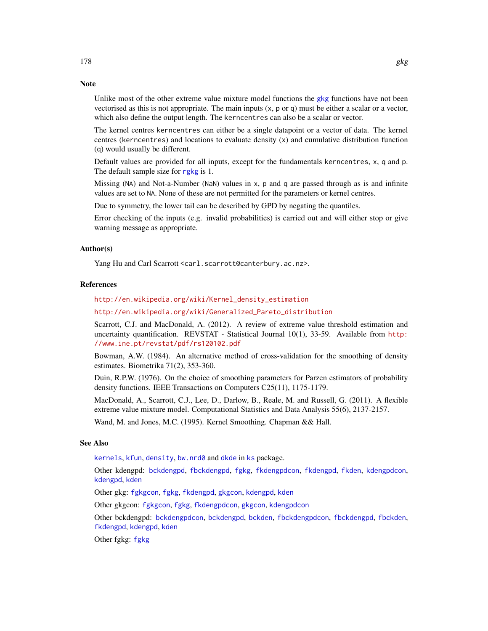# **Note**

Unlike most of the other extreme value mixture model functions the [gkg](#page-174-1) functions have not been vectorised as this is not appropriate. The main inputs  $(x, p \text{ or } q)$  must be either a scalar or a vector, which also define the output length. The kerncentres can also be a scalar or vector.

The kernel centres kerncentres can either be a single datapoint or a vector of data. The kernel centres (kerncentres) and locations to evaluate density (x) and cumulative distribution function (q) would usually be different.

Default values are provided for all inputs, except for the fundamentals kerncentres, x, q and p. The default sample size for [rgkg](#page-174-0) is 1.

Missing (NA) and Not-a-Number (NaN) values in x, p and q are passed through as is and infinite values are set to NA. None of these are not permitted for the parameters or kernel centres.

Due to symmetry, the lower tail can be described by GPD by negating the quantiles.

Error checking of the inputs (e.g. invalid probabilities) is carried out and will either stop or give warning message as appropriate.

## Author(s)

Yang Hu and Carl Scarrott <carl.scarrott@canterbury.ac.nz>.

## References

[http://en.wikipedia.org/wiki/Kernel\\_density\\_estimation](http://en.wikipedia.org/wiki/Kernel_density_estimation)

[http://en.wikipedia.org/wiki/Generalized\\_Pareto\\_distribution](http://en.wikipedia.org/wiki/Generalized_Pareto_distribution)

Scarrott, C.J. and MacDonald, A. (2012). A review of extreme value threshold estimation and uncertainty quantification. REVSTAT - Statistical Journal 10(1), 33-59. Available from [http:](http://www.ine.pt/revstat/pdf/rs120102.pdf) [//www.ine.pt/revstat/pdf/rs120102.pdf](http://www.ine.pt/revstat/pdf/rs120102.pdf)

Bowman, A.W. (1984). An alternative method of cross-validation for the smoothing of density estimates. Biometrika 71(2), 353-360.

Duin, R.P.W. (1976). On the choice of smoothing parameters for Parzen estimators of probability density functions. IEEE Transactions on Computers C25(11), 1175-1179.

MacDonald, A., Scarrott, C.J., Lee, D., Darlow, B., Reale, M. and Russell, G. (2011). A flexible extreme value mixture model. Computational Statistics and Data Analysis 55(6), 2137-2157.

Wand, M. and Jones, M.C. (1995). Kernel Smoothing. Chapman && Hall.

# See Also

[kernels](#page-226-0), [kfun](#page-229-0), [density](#page-0-0), [bw.nrd0](#page-0-0) and [dkde](#page-0-0) in [ks](#page-0-0) package.

Other kdengpd: [bckdengpd](#page-8-0), [fbckdengpd](#page-37-0), [fgkg](#page-65-0), [fkdengpdcon](#page-116-0), [fkdengpd](#page-112-0), [fkden](#page-106-0), [kdengpdcon](#page-223-0), [kdengpd](#page-219-0), [kden](#page-215-0)

Other gkg: [fgkgcon](#page-70-0), [fgkg](#page-65-0), [fkdengpd](#page-112-0), [gkgcon](#page-178-0), [kdengpd](#page-219-0), [kden](#page-215-0)

Other gkgcon: [fgkgcon](#page-70-0), [fgkg](#page-65-0), [fkdengpdcon](#page-116-0), [gkgcon](#page-178-0), [kdengpdcon](#page-223-0)

Other bckdengpd: [bckdengpdcon](#page-13-0), [bckdengpd](#page-8-0), [bckden](#page-3-0), [fbckdengpdcon](#page-42-0), [fbckdengpd](#page-37-0), [fbckden](#page-32-0), [fkdengpd](#page-112-0), [kdengpd](#page-219-0), [kden](#page-215-0)

Other fgkg: [fgkg](#page-65-0)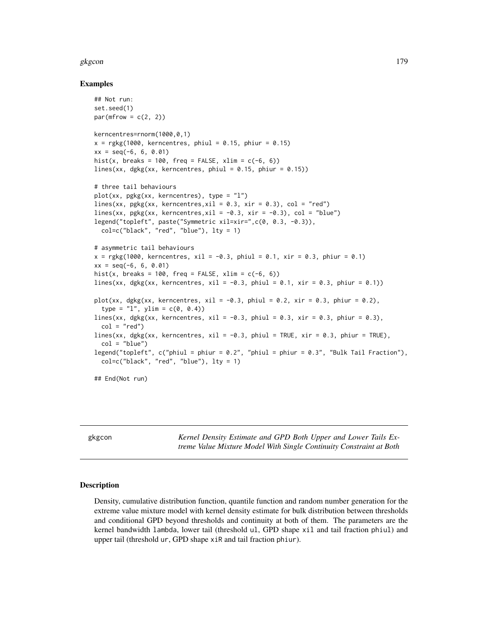## gkgcon and the state of the state of the state of the state of the state of the state of the state of the state of the state of the state of the state of the state of the state of the state of the state of the state of the

#### Examples

```
## Not run:
set.seed(1)
par(mfrow = c(2, 2))kerncentres=rnorm(1000,0,1)
x = \text{rgkg}(1000, \text{ kerncentres}, \text{phiul} = 0.15, \text{phiur} = 0.15)xx = seq(-6, 6, 0.01)hist(x, breaks = 100, freq = FALSE, xlim = c(-6, 6))
lines(xx, dgkg(xx, kerncentres, phiul = 0.15, phiur = 0.15))
# three tail behaviours
plot(xx, pgkg(xx, kerncentres), type = "l")
lines(xx, pgkg(xx, kerncentres, xil = 0.3, xir = 0.3), col = "red")
lines(xx, pgkg(xx, kerncentres, xil = -0.3, xir = -0.3), col = "blue")
legend("topleft", paste("Symmetric xil=xir=",c(0, 0.3, -0.3)),
  col=c("black", "red", "blue"), lty = 1)
# asymmetric tail behaviours
x = \text{rgkg}(1000, \text{ kerncentres}, \text{ xil} = -0.3, \text{ phiul} = 0.1, \text{ xir} = 0.3, \text{ phiur} = 0.1)xx = seq(-6, 6, 0.01)hist(x, breaks = 100, freq = FALSE, xlim = c(-6, 6))
lines(xx, dgkg(xx, kerncentres, xil = -0.3, phiul = 0.1, xir = 0.3, phiur = 0.1))
plot(xx, dgkg(xx, kerncentres, xil = -0.3, phiul = 0.2, xir = 0.3, phiur = 0.2),
  type = "1", ylim = c(0, 0.4)lines(xx, dgkg(xx, kerncentres, xil = -0.3, phiul = 0.3, xir = 0.3, phiur = 0.3),
  col = "red")lines(xx, dgkg(xx, kerncentres, xil = -0.3, phiul = TRUE, xir = 0.3, phiur = TRUE),
  col = "blue")legend("topleft", c("phiul = phiur = 0.2", "phiul = phiur = 0.3", "Bulk Tail Fraction"),
  col=c("black", "red", "blue"), lty = 1)
## End(Not run)
```
<span id="page-178-0"></span>gkgcon *Kernel Density Estimate and GPD Both Upper and Lower Tails Extreme Value Mixture Model With Single Continuity Constraint at Both*

# Description

Density, cumulative distribution function, quantile function and random number generation for the extreme value mixture model with kernel density estimate for bulk distribution between thresholds and conditional GPD beyond thresholds and continuity at both of them. The parameters are the kernel bandwidth lambda, lower tail (threshold ul, GPD shape xil and tail fraction phiul) and upper tail (threshold ur, GPD shape xiR and tail fraction phiur).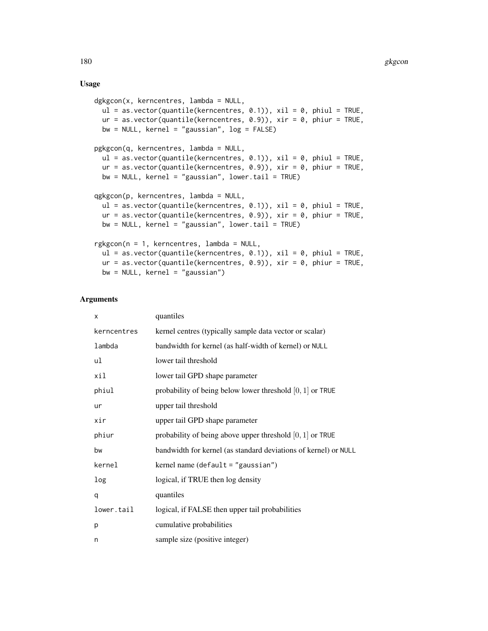# Usage

```
dgkgcon(x, kerncentres, lambda = NULL,
 ul = as.vector(quantile(kerncentres, 0.1)), xil = 0, phiul = TRUE,ur = as.vector(quantile(kerncentres, 0.9)), xir = 0, phiur = TRUE,
 bw = NULL, kernel = "gaussian", log = FALSE)
pgkgcon(q, kerncentres, lambda = NULL,
  ul = as.vector(quantile(kerncentres, 0.1)), xil = 0, phiul = TRUE,
  ur = as.vector(quantile(kerncentres, 0.9)), xir = 0, phiur = TRUE,
 bw = NULL, kernel = "gaussian", lower.tail = TRUE)
qgkgcon(p, kerncentres, lambda = NULL,
  ul = as.vector(quantile(kerncentres, 0.1)), xil = 0, phiul = TRUE,ur = as.vector(quantile(kerncentres, 0.9)), xir = 0, phiur = TRUE,
 bw = NULL, kernel = "gaussian", lower.tail = TRUE)
rgkgcon(n = 1, kerncentres, lambda = NULL,
 ul = as.vector(quantile(kerncentres, 0.1)), xil = 0, phiul = TRUE,ur = as.vector(quantile(kerncentres, 0.9)), xir = 0, phiur = TRUE,bw = NULL, kernel = "gaussian")
```
# Arguments

| X           | quantiles                                                       |
|-------------|-----------------------------------------------------------------|
| kerncentres | kernel centres (typically sample data vector or scalar)         |
| lambda      | bandwidth for kernel (as half-width of kernel) or NULL          |
| ul          | lower tail threshold                                            |
| xil         | lower tail GPD shape parameter                                  |
| phiul       | probability of being below lower threshold $[0, 1]$ or TRUE     |
| ur          | upper tail threshold                                            |
| xir         | upper tail GPD shape parameter                                  |
| phiur       | probability of being above upper threshold $[0, 1]$ or TRUE     |
| bw          | bandwidth for kernel (as standard deviations of kernel) or NULL |
| kernel      | kernel name $(\text{default} = "gaussian")$                     |
| log         | logical, if TRUE then log density                               |
| q           | quantiles                                                       |
| lower.tail  | logical, if FALSE then upper tail probabilities                 |
| p           | cumulative probabilities                                        |
| n           | sample size (positive integer)                                  |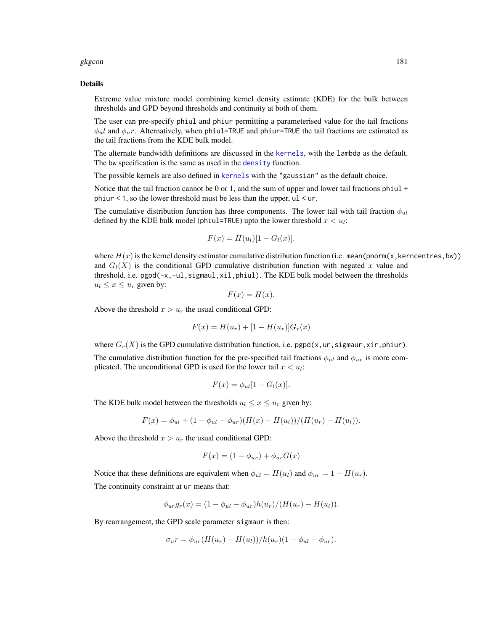#### gkgcon and the state of the state of the state of the state of the state of the state of the state of the state of the state of the state of the state of the state of the state of the state of the state of the state of the

#### Details

Extreme value mixture model combining kernel density estimate (KDE) for the bulk between thresholds and GPD beyond thresholds and continuity at both of them.

The user can pre-specify phiul and phiur permitting a parameterised value for the tail fractions  $\phi_{nl}$  and  $\phi_{nl}$ . Alternatively, when phiul=TRUE and phiur=TRUE the tail fractions are estimated as the tail fractions from the KDE bulk model.

The alternate bandwidth definitions are discussed in the [kernels](#page-226-0), with the lambda as the default. The bw specification is the same as used in the [density](#page-0-0) function.

The possible [kernels](#page-226-0) are also defined in kernels with the "gaussian" as the default choice.

Notice that the tail fraction cannot be 0 or 1, and the sum of upper and lower tail fractions phiul + phiur  $\leq 1$ , so the lower threshold must be less than the upper, ul  $\leq$  ur.

The cumulative distribution function has three components. The lower tail with tail fraction  $\phi_{ul}$ defined by the KDE bulk model (phiul=TRUE) upto the lower threshold  $x < u_i$ :

$$
F(x) = H(ul)[1 - Gl(x)].
$$

where  $H(x)$  is the kernel density estimator cumulative distribution function (i.e. mean(pnorm(x, kerncentres, bw)) and  $G_l(X)$  is the conditional GPD cumulative distribution function with negated x value and threshold, i.e. pgpd(-x,-ul,sigmaul,xil,phiul). The KDE bulk model between the thresholds  $u_l \leq x \leq u_r$  given by:

$$
F(x) = H(x).
$$

Above the threshold  $x > u_r$  the usual conditional GPD:

$$
F(x) = H(u_r) + [1 - H(u_r)]G_r(x)
$$

where  $G_r(X)$  is the GPD cumulative distribution function, i.e. pgpd(x,ur, sigmaur, xir, phiur).

The cumulative distribution function for the pre-specified tail fractions  $\phi_{u}$  and  $\phi_{ur}$  is more complicated. The unconditional GPD is used for the lower tail  $x < u_i$ :

$$
F(x) = \phi_{ul}[1 - G_l(x)].
$$

The KDE bulk model between the thresholds  $u_l \leq x \leq u_r$  given by:

$$
F(x) = \phi_{ul} + (1 - \phi_{ul} - \phi_{ur})(H(x) - H(u_l))/(H(u_r) - H(u_l)).
$$

Above the threshold  $x > u_r$  the usual conditional GPD:

$$
F(x) = (1 - \phi_{ur}) + \phi_{ur} G(x)
$$

Notice that these definitions are equivalent when  $\phi_{ul} = H(u_l)$  and  $\phi_{ur} = 1 - H(u_r)$ . The continuity constraint at ur means that:

$$
\phi_{ur}g_r(x) = (1 - \phi_{ul} - \phi_{ur})h(u_r)/(H(u_r) - H(u_l)).
$$

By rearrangement, the GPD scale parameter sigmaur is then:

$$
\sigma_u r = \phi_{ur}(H(u_r) - H(u_l))/h(u_r)(1 - \phi_{ul} - \phi_{ur}).
$$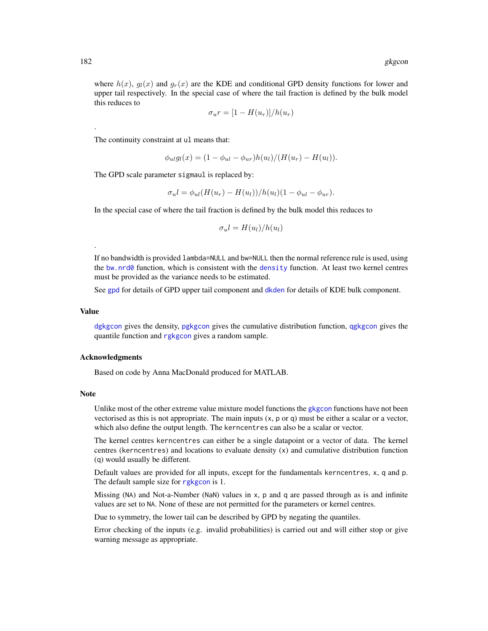where  $h(x)$ ,  $g_l(x)$  and  $g_r(x)$  are the KDE and conditional GPD density functions for lower and upper tail respectively. In the special case of where the tail fraction is defined by the bulk model this reduces to

$$
\sigma_u r = [1 - H(u_r)]/h(u_r)
$$

The continuity constraint at ul means that:

$$
\phi_{ul}g_l(x) = (1 - \phi_{ul} - \phi_{ur})h(u_l)/(H(u_r) - H(u_l)).
$$

The GPD scale parameter sigmaul is replaced by:

$$
\sigma_u l = \phi_{ul}(H(u_r) - H(u_l))/h(u_l)(1 - \phi_{ul} - \phi_{ur}).
$$

In the special case of where the tail fraction is defined by the bulk model this reduces to

$$
\sigma_u l = H(u_l)/h(u_l)
$$

If no bandwidth is provided lambda=NULL and bw=NULL then the normal reference rule is used, using the [bw.nrd0](#page-0-0) function, which is consistent with the [density](#page-0-0) function. At least two kernel centres must be provided as the variance needs to be estimated.

See [gpd](#page-190-0) for details of GPD upper tail component and [dkden](#page-215-0) for details of KDE bulk component.

## Value

.

[dgkgcon](#page-178-0) gives the density, [pgkgcon](#page-178-0) gives the cumulative distribution function, [qgkgcon](#page-178-0) gives the quantile function and [rgkgcon](#page-178-0) gives a random sample.

#### Acknowledgments

Based on code by Anna MacDonald produced for MATLAB.

#### Note

Unlike most of the other extreme value mixture model functions the [gkgcon](#page-178-1) functions have not been vectorised as this is not appropriate. The main inputs  $(x, p, o, q)$  must be either a scalar or a vector, which also define the output length. The kerncentres can also be a scalar or vector.

The kernel centres kerncentres can either be a single datapoint or a vector of data. The kernel centres (kerncentres) and locations to evaluate density (x) and cumulative distribution function (q) would usually be different.

Default values are provided for all inputs, except for the fundamentals kerncentres, x, q and p. The default sample size for [rgkgcon](#page-178-0) is 1.

Missing (NA) and Not-a-Number (NaN) values in x, p and q are passed through as is and infinite values are set to NA. None of these are not permitted for the parameters or kernel centres.

Due to symmetry, the lower tail can be described by GPD by negating the quantiles.

Error checking of the inputs (e.g. invalid probabilities) is carried out and will either stop or give warning message as appropriate.

.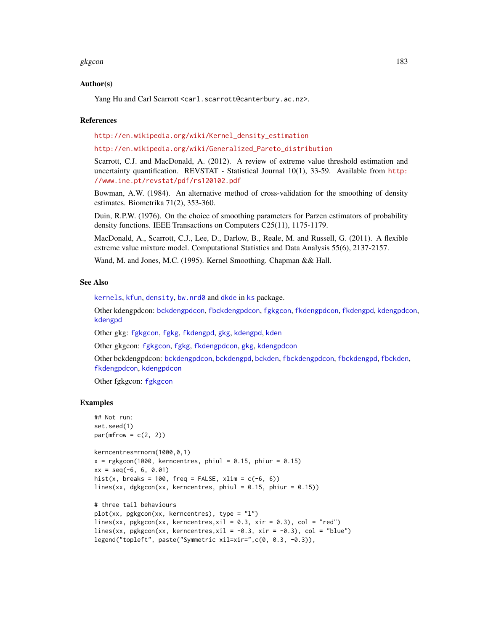#### gkgcon and the state of the state of the state of the state of the state of the state of the state of the state of the state of the state of the state of the state of the state of the state of the state of the state of the

## Author(s)

Yang Hu and Carl Scarrott <carl.scarrott@canterbury.ac.nz>.

#### References

[http://en.wikipedia.org/wiki/Kernel\\_density\\_estimation](http://en.wikipedia.org/wiki/Kernel_density_estimation)

#### [http://en.wikipedia.org/wiki/Generalized\\_Pareto\\_distribution](http://en.wikipedia.org/wiki/Generalized_Pareto_distribution)

Scarrott, C.J. and MacDonald, A. (2012). A review of extreme value threshold estimation and uncertainty quantification. REVSTAT - Statistical Journal 10(1), 33-59. Available from [http:](http://www.ine.pt/revstat/pdf/rs120102.pdf) [//www.ine.pt/revstat/pdf/rs120102.pdf](http://www.ine.pt/revstat/pdf/rs120102.pdf)

Bowman, A.W. (1984). An alternative method of cross-validation for the smoothing of density estimates. Biometrika 71(2), 353-360.

Duin, R.P.W. (1976). On the choice of smoothing parameters for Parzen estimators of probability density functions. IEEE Transactions on Computers C25(11), 1175-1179.

MacDonald, A., Scarrott, C.J., Lee, D., Darlow, B., Reale, M. and Russell, G. (2011). A flexible extreme value mixture model. Computational Statistics and Data Analysis 55(6), 2137-2157.

Wand, M. and Jones, M.C. (1995). Kernel Smoothing. Chapman && Hall.

## See Also

[kernels](#page-226-0), [kfun](#page-229-0), [density](#page-0-0), [bw.nrd0](#page-0-0) and [dkde](#page-0-0) in [ks](#page-0-0) package.

Other kdengpdcon: [bckdengpdcon](#page-13-0), [fbckdengpdcon](#page-42-0), [fgkgcon](#page-70-0), [fkdengpdcon](#page-116-0), [fkdengpd](#page-112-0), [kdengpdcon](#page-223-0), [kdengpd](#page-219-0)

Other gkg: [fgkgcon](#page-70-0), [fgkg](#page-65-0), [fkdengpd](#page-112-0), [gkg](#page-174-0), [kdengpd](#page-219-0), [kden](#page-215-1)

Other gkgcon: [fgkgcon](#page-70-0), [fgkg](#page-65-0), [fkdengpdcon](#page-116-0), [gkg](#page-174-0), [kdengpdcon](#page-223-0)

Other bckdengpdcon: [bckdengpdcon](#page-13-0), [bckdengpd](#page-8-0), [bckden](#page-3-0), [fbckdengpdcon](#page-42-0), [fbckdengpd](#page-37-0), [fbckden](#page-32-0), [fkdengpdcon](#page-116-0), [kdengpdcon](#page-223-0)

Other fgkgcon: [fgkgcon](#page-70-0)

#### Examples

```
## Not run:
set.seed(1)
par(mfrow = c(2, 2))kerncentres=rnorm(1000,0,1)
x = \text{rgkgcon}(1000, \text{ kerncentres}, \text{ phiul} = 0.15, \text{ phiur} = 0.15)xx = seq(-6, 6, 0.01)hist(x, breaks = 100, freq = FALSE, xlim = c(-6, 6))
lines(xx, dgkgcon(xx, kerncentres, phiul = 0.15, phiur = 0.15))
# three tail behaviours
plot(xx, pgkgcon(xx, kerncentres), type = "l")
lines(xx, pgkgcon(xx, kerncentres, xil = 0.3, xir = 0.3), col = "red")
lines(xx, pgkgcon(xx, kerncentres, xil = -0.3, xir = -0.3), col = "blue")
```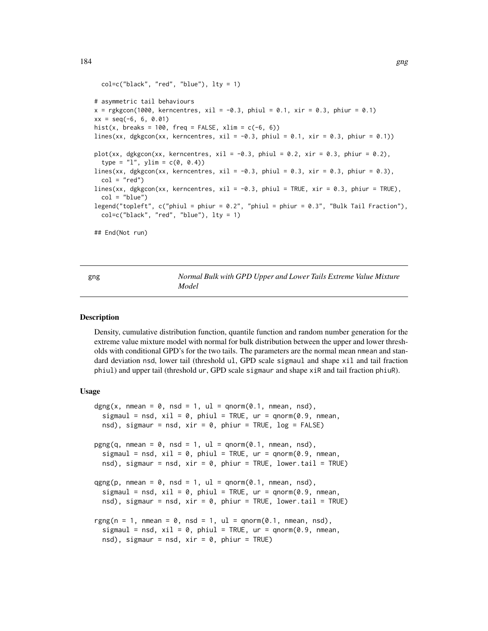```
col=c("black", "red", "blue"), \; lty = 1)# asymmetric tail behaviours
x = \text{rgkgcon}(1000, \text{ kerncentres}, \text{ xil} = -0.3, \text{ phiul} = 0.1, \text{ xir} = 0.3, \text{ phiur} = 0.1)xx = seq(-6, 6, 0.01)hist(x, breaks = 100, freq = FALSE, xlim = c(-6, 6))
lines(xx, dgkgcon(xx, kerncentres, xil = -0.3, phiul = 0.1, xir = 0.3, phiur = 0.1))
plot(xx, dgkgcon(xx, kerncentres, xil = -0.3, phiul = 0.2, xir = 0.3, phiur = 0.2),
  type = "1", ylim = c(0, 0.4))lines(xx, dgkgcon(xx, kerncentres, xil = -0.3, phiul = 0.3, xir = 0.3, phiur = 0.3),
  col = "red")lines(xx, dgkgcon(xx, kerncentres, xil = -0.3, phiul = TRUE, xir = 0.3, phiur = TRUE),
  col = "blue")legend("topleft", c("phiul = phiur = 0.2", "phiul = phiur = 0.3", "Bulk Tail Fraction"),
  col=c("black", "red", "blue"), lty = 1)
## End(Not run)
```
<span id="page-183-1"></span>gng *Normal Bulk with GPD Upper and Lower Tails Extreme Value Mixture Model*

#### <span id="page-183-0"></span>**Description**

Density, cumulative distribution function, quantile function and random number generation for the extreme value mixture model with normal for bulk distribution between the upper and lower thresholds with conditional GPD's for the two tails. The parameters are the normal mean nmean and standard deviation nsd, lower tail (threshold ul, GPD scale sigmaul and shape xil and tail fraction phiul) and upper tail (threshold ur, GPD scale sigmaur and shape xiR and tail fraction phiuR).

#### Usage

```
dgng(x, nmean = 0, nsd = 1, ul = qnorm(0.1, nmean, nsd),
  sigmaul = nsd, xil = 0, phiul = TRUE, ur = qnorm(0.9, nmean,
  nsd), sigmaur = nsd, xir = 0, phiur = TRUE, log = FALSE)
pgng(q, nmean = 0, nsd = 1, ul = qnorm(0.1, nmean, nsd),sigmaul = nsd, xil = 0, phiul = TRUE, ur = qnorm(0.9, nmean,
  nsd), sigmaur = nsd, xir = 0, phiur = TRUE, lower.tail = TRUE)
qgng(p, nmean = 0, nsd = 1, ul = qnorm(0.1, nmean, nsd),sigmaul = nsd, xil = 0, phiul = TRUE, ur = qnorm(0.9), nmean,
 nsd), sigmaur = nsd, xir = 0, phiur = TRUE, lower.tail = TRUE)
rgng(n = 1, nmean = 0, nsd = 1, ul = qnorm(0.1, nmean, nsd),
  sigmaul = nsd, xil = 0, phiul = TRUE, ur = qnorm(0.9, nmean,
 nsd), sigmaur = nsd, xir = 0, phiur = TRUE)
```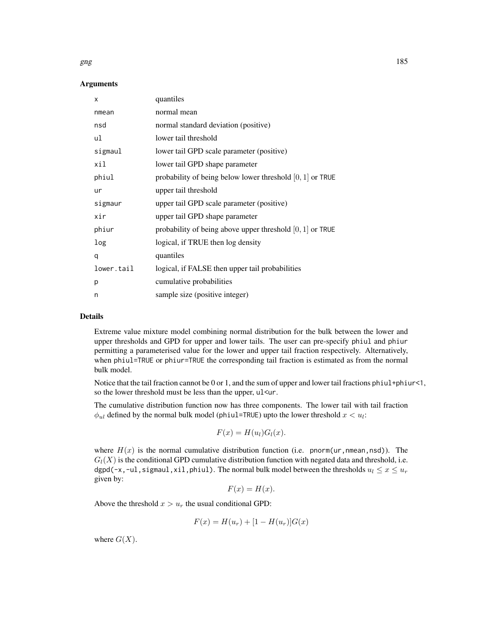#### gng the state of  $\frac{185}{200}$  and  $\frac{185}{200}$  and  $\frac{185}{200}$  and  $\frac{185}{200}$

## Arguments

| X          | quantiles                                                   |
|------------|-------------------------------------------------------------|
| nmean      | normal mean                                                 |
| nsd        | normal standard deviation (positive)                        |
| ul         | lower tail threshold                                        |
| sigmaul    | lower tail GPD scale parameter (positive)                   |
| xil        | lower tail GPD shape parameter                              |
| phiul      | probability of being below lower threshold $[0, 1]$ or TRUE |
| ur         | upper tail threshold                                        |
| sigmaur    | upper tail GPD scale parameter (positive)                   |
| xir        | upper tail GPD shape parameter                              |
| phiur      | probability of being above upper threshold $[0, 1]$ or TRUE |
| log        | logical, if TRUE then log density                           |
| q          | quantiles                                                   |
| lower.tail | logical, if FALSE then upper tail probabilities             |
| p          | cumulative probabilities                                    |
| n          | sample size (positive integer)                              |

# Details

Extreme value mixture model combining normal distribution for the bulk between the lower and upper thresholds and GPD for upper and lower tails. The user can pre-specify phiul and phiur permitting a parameterised value for the lower and upper tail fraction respectively. Alternatively, when phiul=TRUE or phiur=TRUE the corresponding tail fraction is estimated as from the normal bulk model.

Notice that the tail fraction cannot be 0 or 1, and the sum of upper and lower tail fractions phiul+phiur<1, so the lower threshold must be less than the upper, ul<ur.

The cumulative distribution function now has three components. The lower tail with tail fraction  $\phi_{ul}$  defined by the normal bulk model (phiul=TRUE) upto the lower threshold  $x < u_l$ :

$$
F(x) = H(u_l)G_l(x).
$$

where  $H(x)$  is the normal cumulative distribution function (i.e. pnorm(ur, nmean, nsd)). The  $G_l(X)$  is the conditional GPD cumulative distribution function with negated data and threshold, i.e. dgpd(-x,-ul, sigmaul, xil, phiul). The normal bulk model between the thresholds  $u_l \leq x \leq u_r$ given by:

$$
F(x) = H(x).
$$

Above the threshold  $x > u_r$  the usual conditional GPD:

$$
F(x) = H(u_r) + [1 - H(u_r)]G(x)
$$

where  $G(X)$ .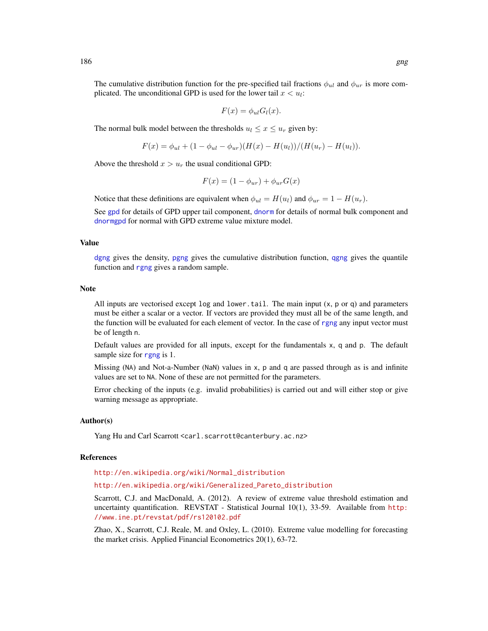The cumulative distribution function for the pre-specified tail fractions  $\phi_{ul}$  and  $\phi_{ur}$  is more complicated. The unconditional GPD is used for the lower tail  $x < u_i$ :

$$
F(x) = \phi_{ul} G_l(x).
$$

The normal bulk model between the thresholds  $u_l \leq x \leq u_r$  given by:

$$
F(x) = \phi_{ul} + (1 - \phi_{ul} - \phi_{ur})(H(x) - H(u_l))/(H(u_r) - H(u_l)).
$$

Above the threshold  $x > u_r$  the usual conditional GPD:

$$
F(x) = (1 - \phi_{ur}) + \phi_{ur} G(x)
$$

Notice that these definitions are equivalent when  $\phi_{ul} = H(u_l)$  and  $\phi_{ur} = 1 - H(u_r)$ .

See [gpd](#page-190-0) for details of GPD upper tail component, [dnorm](#page-0-0) for details of normal bulk component and [dnormgpd](#page-250-0) for normal with GPD extreme value mixture model.

# Value

[dgng](#page-183-0) gives the density, [pgng](#page-183-0) gives the cumulative distribution function, [qgng](#page-183-0) gives the quantile function and [rgng](#page-183-0) gives a random sample.

#### **Note**

All inputs are vectorised except  $log$  and lower.tail. The main input  $(x, p \text{ or } q)$  and parameters must be either a scalar or a vector. If vectors are provided they must all be of the same length, and the function will be evaluated for each element of vector. In the case of [rgng](#page-183-0) any input vector must be of length n.

Default values are provided for all inputs, except for the fundamentals x, q and p. The default sample size for [rgng](#page-183-0) is 1.

Missing (NA) and Not-a-Number (NaN) values in x, p and q are passed through as is and infinite values are set to NA. None of these are not permitted for the parameters.

Error checking of the inputs (e.g. invalid probabilities) is carried out and will either stop or give warning message as appropriate.

## Author(s)

Yang Hu and Carl Scarrott <carl.scarrott@canterbury.ac.nz>

#### References

[http://en.wikipedia.org/wiki/Normal\\_distribution](http://en.wikipedia.org/wiki/Normal_distribution)

[http://en.wikipedia.org/wiki/Generalized\\_Pareto\\_distribution](http://en.wikipedia.org/wiki/Generalized_Pareto_distribution)

Scarrott, C.J. and MacDonald, A. (2012). A review of extreme value threshold estimation and uncertainty quantification. REVSTAT - Statistical Journal 10(1), 33-59. Available from [http:](http://www.ine.pt/revstat/pdf/rs120102.pdf) [//www.ine.pt/revstat/pdf/rs120102.pdf](http://www.ine.pt/revstat/pdf/rs120102.pdf)

Zhao, X., Scarrott, C.J. Reale, M. and Oxley, L. (2010). Extreme value modelling for forecasting the market crisis. Applied Financial Econometrics 20(1), 63-72.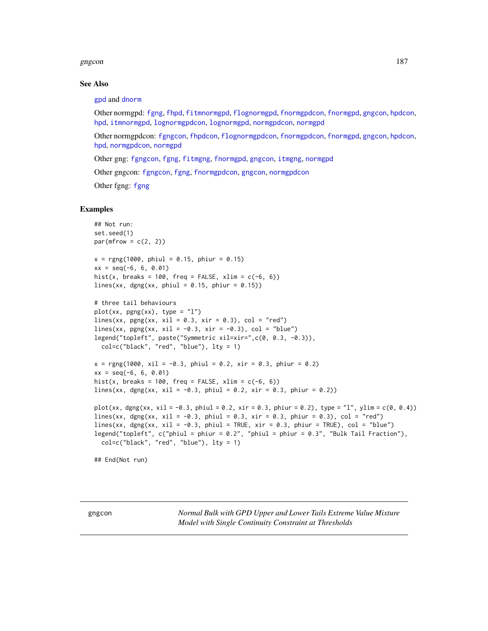#### gngcon and the state of the state of the state of the state of the state of the state of the state of the state of the state of the state of the state of the state of the state of the state of the state of the state of the

## See Also

## [gpd](#page-190-0) and [dnorm](#page-0-0)

Other normgpd: [fgng](#page-75-0), [fhpd](#page-88-0), [fitmnormgpd](#page-99-0), [flognormgpd](#page-121-0), [fnormgpdcon](#page-148-0), [fnormgpd](#page-142-0), [gngcon](#page-186-0), [hpdcon](#page-200-0), [hpd](#page-197-0), [itmnormgpd](#page-208-0), [lognormgpdcon](#page-235-0), [lognormgpd](#page-232-0), [normgpdcon](#page-253-0), [normgpd](#page-250-1)

Other normgpdcon: [fgngcon](#page-80-0), [fhpdcon](#page-91-0), [flognormgpdcon](#page-124-0), [fnormgpdcon](#page-148-0), [fnormgpd](#page-142-0), [gngcon](#page-186-0), [hpdcon](#page-200-0), [hpd](#page-197-0), [normgpdcon](#page-253-0), [normgpd](#page-250-1)

Other gng: [fgngcon](#page-80-0), [fgng](#page-75-0), [fitmgng](#page-95-0), [fnormgpd](#page-142-0), [gngcon](#page-186-0), [itmgng](#page-205-0), [normgpd](#page-250-1)

Other gngcon: [fgngcon](#page-80-0), [fgng](#page-75-0), [fnormgpdcon](#page-148-0), [gngcon](#page-186-0), [normgpdcon](#page-253-0)

Other fgng: [fgng](#page-75-0)

## Examples

```
## Not run:
set.seed(1)
par(mfrow = c(2, 2))x = \text{rgng}(1000, \text{ phiul} = 0.15, \text{ phiur} = 0.15)xx = seq(-6, 6, 0.01)hist(x, breaks = 100, freq = FALSE, xlim = c(-6, 6))
lines(xx, dgng(xx, phiul = 0.15, phiur = 0.15))
# three tail behaviours
plot(xx, pgng(xx), type = "l")lines(xx, pgng(xx, xil = 0.3, xir = 0.3), col = "red")
lines(xx, pgng(xx, xil = -0.3, xir = -0.3), col = "blue")
legend("topleft", paste("Symmetric xil=xir=",c(0, 0.3, -0.3)),
  col=c("black", "red", "blue"), lty = 1)
x = \text{rgng}(1000, \text{ xil} = -0.3, \text{ phiul} = 0.2, \text{ xir} = 0.3, \text{ phiur} = 0.2)xx = seq(-6, 6, 0.01)hist(x, breaks = 100, freq = FALSE, xlim = c(-6, 6))
lines(xx, dgng(xx, xil = -0.3, phiul = 0.2, xir = 0.3, phiur = 0.2))
plot(xx, dgng(xx, xil = -0.3, phiul = 0.2, xir = 0.3, phiur = 0.2), type = "l", ylim = c(0, 0.4))
lines(xx, dgng(xx, xil = -0.3, phiul = 0.3, xir = 0.3, phiur = 0.3), col = "red")
lines(xx, dgng(xx, xil = -0.3, phiul = TRUE, xir = 0.3, phiur = TRUE), col = "blue")
legend("topleft", c("phiul = phiur = 0.2", "phiul = phiur = 0.3", "Bulk Tail Fraction"),
  col=c("black", "red", "blue"), lty = 1)
## End(Not run)
```
<span id="page-186-1"></span>

<span id="page-186-0"></span>gngcon *Normal Bulk with GPD Upper and Lower Tails Extreme Value Mixture Model with Single Continuity Constraint at Thresholds*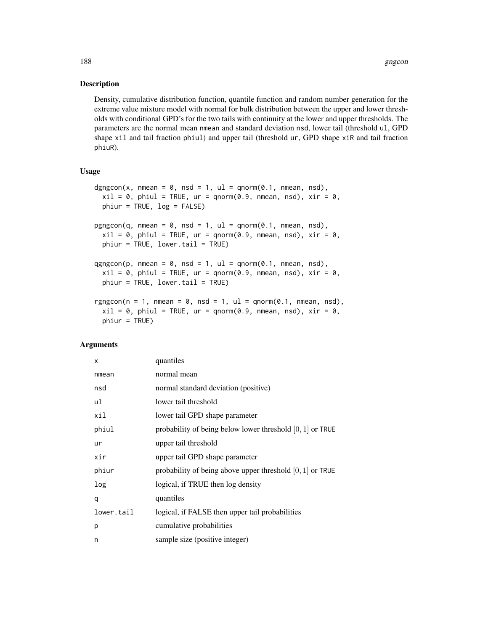## Description

Density, cumulative distribution function, quantile function and random number generation for the extreme value mixture model with normal for bulk distribution between the upper and lower thresholds with conditional GPD's for the two tails with continuity at the lower and upper thresholds. The parameters are the normal mean nmean and standard deviation nsd, lower tail (threshold ul, GPD shape xil and tail fraction phiul) and upper tail (threshold ur, GPD shape xiR and tail fraction phiuR).

## Usage

```
dgngcon(x, nmean = 0, nsd = 1, ul = qnorm(0.1, nmean, nsd),
 xil = 0, phiul = TRUE, ur = qnorm(0.9, nmean, nsd), xir = 0,
 phiur = TRUE, log = FALSE)
pgngcon(q, nmean = 0, nsd = 1, ul = qnorm(0.1, nmean, nsd),xil = 0, phiul = TRUE, ur = qnorm(0.9, nmean, nsd), xir = 0,
 phiur = TRUE, lower.tail = TRUE)
qgngcon(p, nmean = 0, nsd = 1, ul = qnorm(0.1, nmean, nsd),xil = 0, phiul = TRUE, ur = qnorm(0.9, nmean, nsd), xir = 0,
 phiur = TRUE, lower.tail = TRUE)
rgngcon(n = 1, nmean = 0, nsd = 1, ul = qnorm(0.1, nmean, nsd),
  xil = 0, phiul = TRUE, ur = qnorm(0.9, nmean, nsd), xir = 0,
 phiur = TRUE)
```
## Arguments

| X          | quantiles                                                   |
|------------|-------------------------------------------------------------|
| nmean      | normal mean                                                 |
| nsd        | normal standard deviation (positive)                        |
| ul         | lower tail threshold                                        |
| xil        | lower tail GPD shape parameter                              |
| phiul      | probability of being below lower threshold $[0, 1]$ or TRUE |
| ur         | upper tail threshold                                        |
| xir        | upper tail GPD shape parameter                              |
| phiur      | probability of being above upper threshold $[0, 1]$ or TRUE |
| log        | logical, if TRUE then log density                           |
| q          | quantiles                                                   |
| lower.tail | logical, if FALSE then upper tail probabilities             |
| p          | cumulative probabilities                                    |
| n          | sample size (positive integer)                              |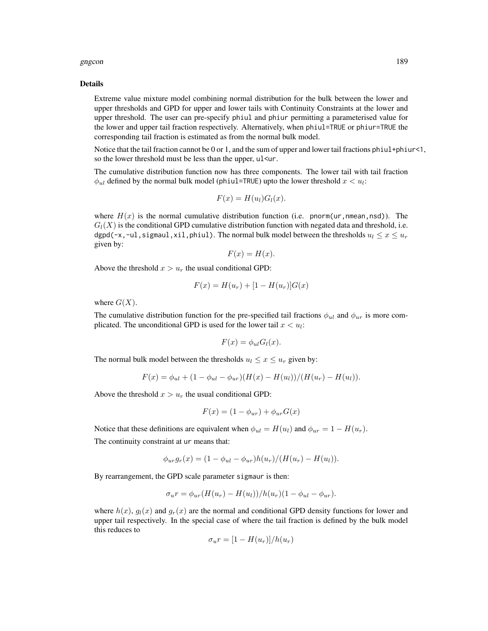#### gngcon and the set of the set of the set of the set of the set of the set of the set of the set of the set of the set of the set of the set of the set of the set of the set of the set of the set of the set of the set of th

#### Details

Extreme value mixture model combining normal distribution for the bulk between the lower and upper thresholds and GPD for upper and lower tails with Continuity Constraints at the lower and upper threshold. The user can pre-specify phiul and phiur permitting a parameterised value for the lower and upper tail fraction respectively. Alternatively, when phiul=TRUE or phiur=TRUE the corresponding tail fraction is estimated as from the normal bulk model.

Notice that the tail fraction cannot be 0 or 1, and the sum of upper and lower tail fractions phiul+phiur<1, so the lower threshold must be less than the upper,  $ul ur.$ 

The cumulative distribution function now has three components. The lower tail with tail fraction  $\phi_{ul}$  defined by the normal bulk model (phiul=TRUE) upto the lower threshold  $x < u_l$ :

$$
F(x) = H(u_l)G_l(x).
$$

where  $H(x)$  is the normal cumulative distribution function (i.e. pnorm(ur, nmean, nsd)). The  $G_l(X)$  is the conditional GPD cumulative distribution function with negated data and threshold, i.e. dgpd(-x,-ul,sigmaul,xil,phiul). The normal bulk model between the thresholds  $u_1 \le x \le u_r$ given by:

$$
F(x) = H(x).
$$

Above the threshold  $x > u_r$  the usual conditional GPD:

$$
F(x) = H(u_r) + [1 - H(u_r)]G(x)
$$

where  $G(X)$ .

The cumulative distribution function for the pre-specified tail fractions  $\phi_{u}$  and  $\phi_{ur}$  is more complicated. The unconditional GPD is used for the lower tail  $x < u_i$ :

$$
F(x) = \phi_{ul} G_l(x).
$$

The normal bulk model between the thresholds  $u_l \leq x \leq u_r$  given by:

$$
F(x) = \phi_{ul} + (1 - \phi_{ul} - \phi_{ur})(H(x) - H(u_l))/(H(u_r) - H(u_l)).
$$

Above the threshold  $x > u_r$  the usual conditional GPD:

$$
F(x) = (1 - \phi_{ur}) + \phi_{ur} G(x)
$$

Notice that these definitions are equivalent when  $\phi_{ul} = H(u_l)$  and  $\phi_{ur} = 1 - H(u_r)$ .

The continuity constraint at ur means that:

$$
\phi_{ur}g_r(x) = (1 - \phi_{ul} - \phi_{ur})h(u_r)/(H(u_r) - H(u_l)).
$$

By rearrangement, the GPD scale parameter sigmaur is then:

$$
\sigma_u r = \phi_{ur}(H(u_r) - H(u_l))/h(u_r)(1 - \phi_{ul} - \phi_{ur}).
$$

where  $h(x)$ ,  $g_l(x)$  and  $g_r(x)$  are the normal and conditional GPD density functions for lower and upper tail respectively. In the special case of where the tail fraction is defined by the bulk model this reduces to

$$
\sigma_u r = [1 - H(u_r)]/h(u_r)
$$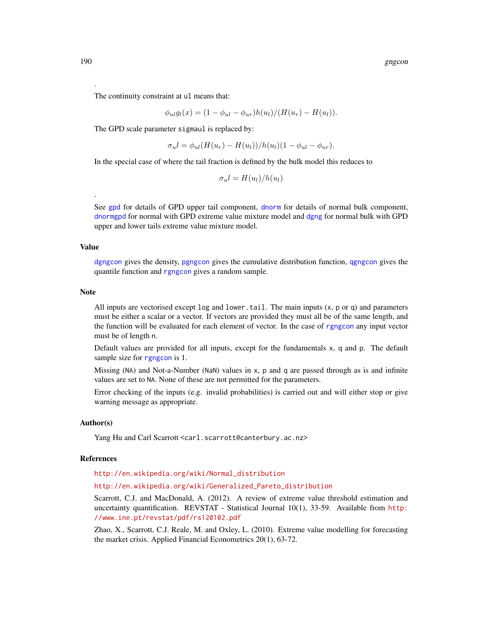The continuity constraint at ul means that:

$$
\phi_{ul}g_l(x) = (1 - \phi_{ul} - \phi_{ur})h(u_l)/(H(u_r) - H(u_l)).
$$

The GPD scale parameter sigmaul is replaced by:

$$
\sigma_u l = \phi_{ul}(H(u_r) - H(u_l))/h(u_l)(1 - \phi_{ul} - \phi_{ur}).
$$

In the special case of where the tail fraction is defined by the bulk model this reduces to

$$
\sigma_u l = H(u_l)/h(u_l)
$$

See [gpd](#page-190-0) for details of GPD upper tail component, [dnorm](#page-0-0) for details of normal bulk component, [dnormgpd](#page-250-0) for normal with GPD extreme value mixture model and [dgng](#page-183-0) for normal bulk with GPD upper and lower tails extreme value mixture model.

#### Value

.

[dgngcon](#page-186-1) gives the density, [pgngcon](#page-186-1) gives the cumulative distribution function, [qgngcon](#page-186-1) gives the quantile function and [rgngcon](#page-186-1) gives a random sample.

#### Note

All inputs are vectorised except  $log$  and lower.tail. The main inputs  $(x, p, o, q)$  and parameters must be either a scalar or a vector. If vectors are provided they must all be of the same length, and the function will be evaluated for each element of vector. In the case of [rgngcon](#page-186-1) any input vector must be of length n.

Default values are provided for all inputs, except for the fundamentals x, q and p. The default sample size for [rgngcon](#page-186-1) is 1.

Missing (NA) and Not-a-Number (NaN) values in x, p and q are passed through as is and infinite values are set to NA. None of these are not permitted for the parameters.

Error checking of the inputs (e.g. invalid probabilities) is carried out and will either stop or give warning message as appropriate.

## Author(s)

Yang Hu and Carl Scarrott <carl.scarrott@canterbury.ac.nz>

## References

[http://en.wikipedia.org/wiki/Normal\\_distribution](http://en.wikipedia.org/wiki/Normal_distribution)

[http://en.wikipedia.org/wiki/Generalized\\_Pareto\\_distribution](http://en.wikipedia.org/wiki/Generalized_Pareto_distribution)

Scarrott, C.J. and MacDonald, A. (2012). A review of extreme value threshold estimation and uncertainty quantification. REVSTAT - Statistical Journal 10(1), 33-59. Available from [http:](http://www.ine.pt/revstat/pdf/rs120102.pdf) [//www.ine.pt/revstat/pdf/rs120102.pdf](http://www.ine.pt/revstat/pdf/rs120102.pdf)

Zhao, X., Scarrott, C.J. Reale, M. and Oxley, L. (2010). Extreme value modelling for forecasting the market crisis. Applied Financial Econometrics 20(1), 63-72.

.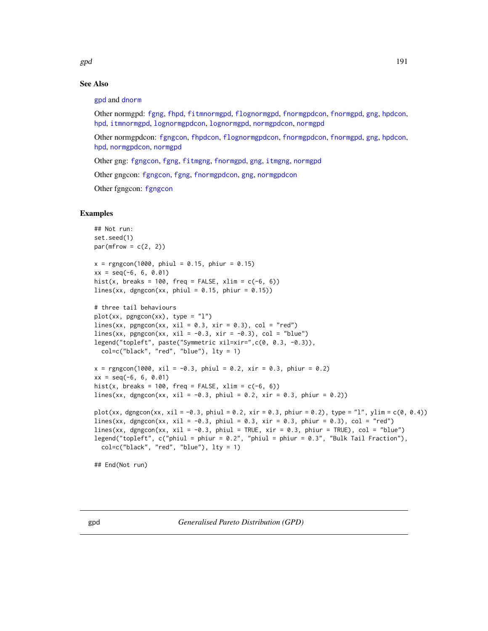$gpd$  and the set of the set of the set of the set of the set of the set of the set of the set of the set of the set of the set of the set of the set of the set of the set of the set of the set of the set of the set of the

# See Also

[gpd](#page-190-0) and [dnorm](#page-0-0)

Other normgpd: [fgng](#page-75-0), [fhpd](#page-88-0), [fitmnormgpd](#page-99-0), [flognormgpd](#page-121-0), [fnormgpdcon](#page-148-0), [fnormgpd](#page-142-0), [gng](#page-183-1), [hpdcon](#page-200-0), [hpd](#page-197-0), [itmnormgpd](#page-208-0), [lognormgpdcon](#page-235-0), [lognormgpd](#page-232-0), [normgpdcon](#page-253-0), [normgpd](#page-250-1)

Other normgpdcon: [fgngcon](#page-80-0), [fhpdcon](#page-91-0), [flognormgpdcon](#page-124-0), [fnormgpdcon](#page-148-0), [fnormgpd](#page-142-0), [gng](#page-183-1), [hpdcon](#page-200-0), [hpd](#page-197-0), [normgpdcon](#page-253-0), [normgpd](#page-250-1)

Other gng: [fgngcon](#page-80-0), [fgng](#page-75-0), [fitmgng](#page-95-0), [fnormgpd](#page-142-0), [gng](#page-183-1), [itmgng](#page-205-0), [normgpd](#page-250-1)

Other gngcon: [fgngcon](#page-80-0), [fgng](#page-75-0), [fnormgpdcon](#page-148-0), [gng](#page-183-1), [normgpdcon](#page-253-0)

Other fgngcon: [fgngcon](#page-80-0)

## Examples

```
## Not run:
set.seed(1)
par(mfrow = c(2, 2))x = rgngcon(1000, phiul = 0.15, phiur = 0.15)
xx = seq(-6, 6, 0.01)hist(x, breaks = 100, freq = FALSE, xlim = c(-6, 6))
lines(xx, dgngcon(xx, phiul = 0.15, phiur = 0.15))
# three tail behaviours
plot(xx, pgngcon(xx), type = "l")lines(xx, pgngcon(xx, xil = 0.3, xir = 0.3), col = "red")
lines(xx, pgngcon(xx, xil = -0.3, xir = -0.3), col = "blue")
legend("topleft", paste("Symmetric xil=xir=",c(0, 0.3, -0.3)),
  col=c("black", "red", "blue"), lty = 1)
x = rgngcon(1000, xil = -0.3, phiul = 0.2, xir = 0.3, phiur = 0.2)
xx = seq(-6, 6, 0.01)hist(x, breaks = 100, freq = FALSE, xlim = c(-6, 6))
lines(xx, dgngcon(xx, xil = -0.3, phiul = 0.2, xir = 0.3, phiur = 0.2))
plot(xx, dgngcon(xx, xil = -0.3, phiul = 0.2, xir = 0.3, phiur = 0.2), type = "l", ylim = c(0, 0.4))lines(xx, dgngcon(xx, xil = -0.3, phiul = 0.3, xir = 0.3, phiur = 0.3), col = "red")
lines(xx, dgngcon(xx, xil = -0.3, phiul = TRUE, xir = 0.3, phiur = TRUE), col = "blue")legend("topleft", c("phiul = phiur = 0.2", "phiul = phiur = 0.3", "Bulk Tail Fraction"),
  col=c("black", "red", "blue"), lty = 1)
```
## End(Not run)

<span id="page-190-0"></span>gpd *Generalised Pareto Distribution (GPD)*

<span id="page-190-1"></span>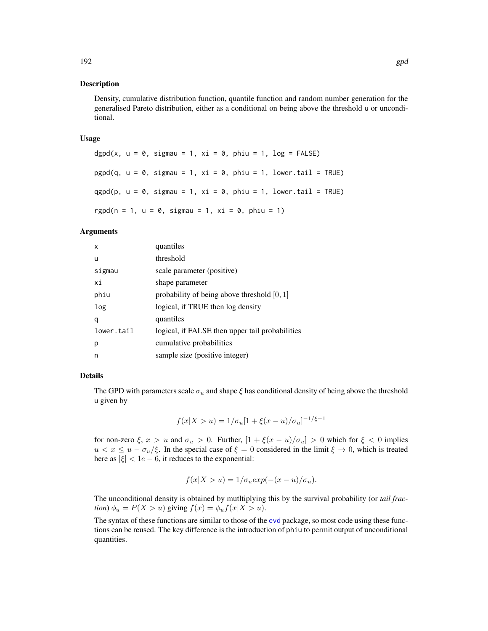## Description

Density, cumulative distribution function, quantile function and random number generation for the generalised Pareto distribution, either as a conditional on being above the threshold u or unconditional.

#### Usage

```
dgpd(x, u = 0, sigmau = 1, xi = 0, phiu = 1, log = FALSE)
pgpd(q, u = 0, sigmau = 1, xi = 0, phi = 1, lower.tail = TRUE)qgpd(p, u = 0, sigma = 1, xi = 0, phi = 1, lower.tail = TRUE)rgpd(n = 1, u = 0, sigmau = 1, xi = 0, phiu = 1)
```
# Arguments

| x          | quantiles                                       |
|------------|-------------------------------------------------|
| u          | threshold                                       |
| sigmau     | scale parameter (positive)                      |
| хi         | shape parameter                                 |
| phiu       | probability of being above threshold $[0, 1]$   |
| log        | logical, if TRUE then log density               |
| q          | quantiles                                       |
| lower.tail | logical, if FALSE then upper tail probabilities |
| р          | cumulative probabilities                        |
| n          | sample size (positive integer)                  |

## Details

The GPD with parameters scale  $\sigma_u$  and shape  $\xi$  has conditional density of being above the threshold u given by

$$
f(x|X > u) = 1/\sigma_u[1 + \xi(x - u)/\sigma_u]^{-1/\xi - 1}
$$

for non-zero  $\xi$ ,  $x > u$  and  $\sigma_u > 0$ . Further,  $\left[1 + \xi(x - u)/\sigma_u\right] > 0$  which for  $\xi < 0$  implies  $u < x \leq u - \sigma_u/\xi$ . In the special case of  $\xi = 0$  considered in the limit  $\xi \to 0$ , which is treated here as  $|\xi| < 1e - 6$ , it reduces to the exponential:

$$
f(x|X > u) = 1/\sigma_u exp(-(x - u)/\sigma_u).
$$

The unconditional density is obtained by mutltiplying this by the survival probability (or *tail fraction*)  $\phi_u = P(X > u)$  giving  $f(x) = \phi_u f(x | X > u)$ .

The syntax of these functions are similar to those of the [evd](#page-0-0) package, so most code using these functions can be reused. The key difference is the introduction of phiu to permit output of unconditional quantities.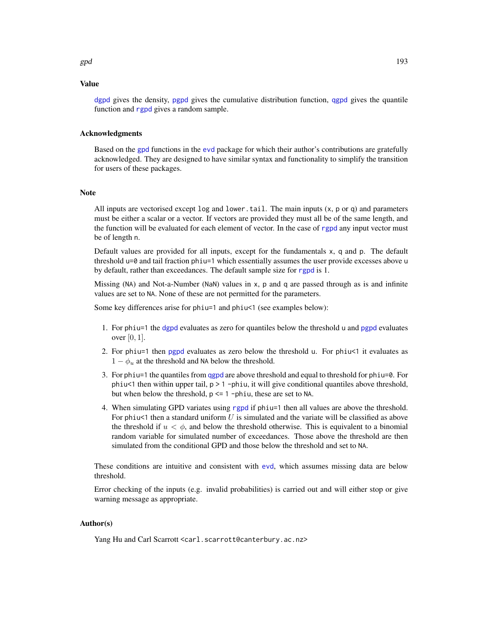# Value

[dgpd](#page-190-1) gives the density, [pgpd](#page-190-1) gives the cumulative distribution function, [qgpd](#page-190-1) gives the quantile function and [rgpd](#page-190-1) gives a random sample.

#### Acknowledgments

Based on the [gpd](#page-190-0) functions in the [evd](#page-0-0) package for which their author's contributions are gratefully acknowledged. They are designed to have similar syntax and functionality to simplify the transition for users of these packages.

## Note

All inputs are vectorised except  $log$  and  $lower$ .tail. The main inputs  $(x, p, o, q)$  and parameters must be either a scalar or a vector. If vectors are provided they must all be of the same length, and the function will be evaluated for each element of vector. In the case of [rgpd](#page-190-1) any input vector must be of length n.

Default values are provided for all inputs, except for the fundamentals x, q and p. The default threshold u=0 and tail fraction phiu=1 which essentially assumes the user provide excesses above u by default, rather than exceedances. The default sample size for [rgpd](#page-190-1) is 1.

Missing (NA) and Not-a-Number (NaN) values in x, p and q are passed through as is and infinite values are set to NA. None of these are not permitted for the parameters.

Some key differences arise for phiu=1 and phiu<1 (see examples below):

- 1. For phiu=1 the [dgpd](#page-190-1) evaluates as zero for quantiles below the threshold u and [pgpd](#page-190-1) evaluates over [0, 1].
- 2. For phiu=1 then [pgpd](#page-190-1) evaluates as zero below the threshold u. For phiu<1 it evaluates as  $1 - \phi_u$  at the threshold and NA below the threshold.
- 3. For phiu=1 the quantiles from [qgpd](#page-190-1) are above threshold and equal to threshold for phiu=0. For phiu<1 then within upper tail,  $p > 1$  -phiu, it will give conditional quantiles above threshold, but when below the threshold,  $p \leq 1$  -phiu, these are set to NA.
- 4. When simulating GPD variates using [rgpd](#page-190-1) if phiu=1 then all values are above the threshold. For phiu<1 then a standard uniform  $U$  is simulated and the variate will be classified as above the threshold if  $u < \phi$ , and below the threshold otherwise. This is equivalent to a binomial random variable for simulated number of exceedances. Those above the threshold are then simulated from the conditional GPD and those below the threshold and set to NA.

These conditions are intuitive and consistent with [evd](#page-0-0), which assumes missing data are below threshold.

Error checking of the inputs (e.g. invalid probabilities) is carried out and will either stop or give warning message as appropriate.

#### Author(s)

Yang Hu and Carl Scarrott <carl.scarrott@canterbury.ac.nz>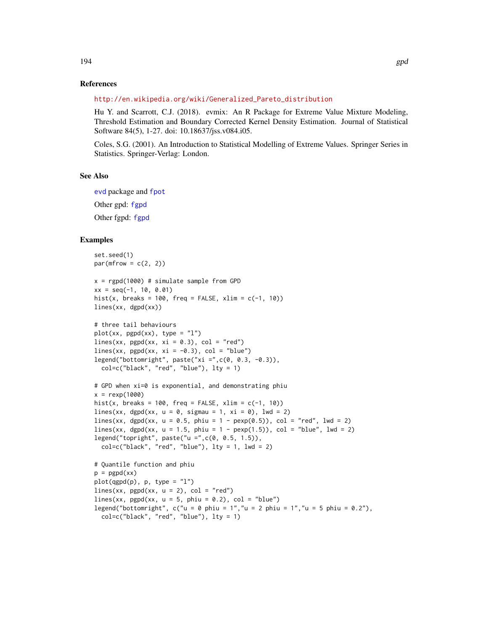## References

[http://en.wikipedia.org/wiki/Generalized\\_Pareto\\_distribution](http://en.wikipedia.org/wiki/Generalized_Pareto_distribution)

Hu Y. and Scarrott, C.J. (2018). evmix: An R Package for Extreme Value Mixture Modeling, Threshold Estimation and Boundary Corrected Kernel Density Estimation. Journal of Statistical Software 84(5), 1-27. doi: 10.18637/jss.v084.i05.

Coles, S.G. (2001). An Introduction to Statistical Modelling of Extreme Values. Springer Series in Statistics. Springer-Verlag: London.

#### See Also

[evd](#page-0-0) package and [fpot](#page-0-0) Other gpd: [fgpd](#page-84-0) Other fgpd: [fgpd](#page-84-0)

#### Examples

```
set.seed(1)
par(mfrow = c(2, 2))x = rgpd(1000) # simulate sample from GPD
xx = seq(-1, 10, 0.01)hist(x, breaks = 100, freq = FALSE, xlim = c(-1, 10))
lines(xx, dgpd(xx))
# three tail behaviours
plot(xx, pgpd(xx), type = "1")lines(xx, pgpd(xx, xi = 0.3), col = "red")
lines(xx, pgpd(xx, xi = -0.3), col = "blue")
legend("bottomright", paste("xi =",c(0, 0.3, -0.3)),
  col=c("black", "red", "blue"), lty = 1)
# GPD when xi=0 is exponential, and demonstrating phiu
x = \text{resp}(1000)hist(x, breaks = 100, freq = FALSE, xlim = c(-1, 10))
lines(xx, dgpd(xx, u = 0, sigmau = 1, xi = 0), lwd = 2)
lines(xx, dgpd(xx, u = 0.5, phiu = 1 - pexp(0.5)), col = "red", lwd = 2)lines(xx, dgpd(xx, u = 1.5, phiu = 1 - pexp(1.5)), col = "blue", lwd = 2)legend("topright", paste("u =",c(0, 0.5, 1.5)),
  col=c("black", "red", "blue"), \; lty = 1, \; lwd = 2)# Quantile function and phiu
p = pgpd(xx)plot(qgpd(p), p, type = "l")lines(xx, pgpd(xx, u = 2), col = "red")lines(xx, pgpd(xx, u = 5, phiu = 0.2), col = "blue")
legend("bottomright", c("u = 0 phiu = 1", "u = 2 phiu = 1", "u = 5 phiu = 0.2"),col=c("black", "red", "blue"), lty = 1)
```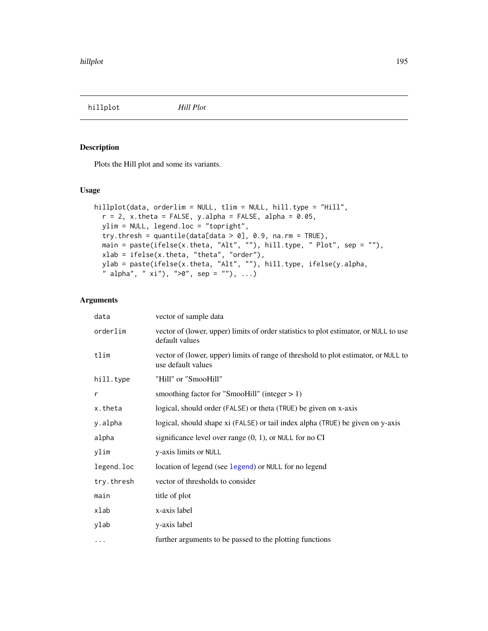<span id="page-194-0"></span>hillplot *Hill Plot*

# Description

Plots the Hill plot and some its variants.

## Usage

```
hillplot(data, orderlim = NULL, tlim = NULL, hill.type = "Hill",
  r = 2, x.theta = FALSE, y.alpha = FALSE, alpha = 0.05,
 ylim = NULL, legend.loc = "topright",
  try. thresh = quantile(data[data > 0], 0.9, na.rm = TRUE),
  main = paste(ifelse(x.theta, "Alt", ""), hill.type, " Plot", sep = ""),
 xlab = ifelse(x.theta, "theta", "order"),
 ylab = paste(ifelse(x.theta, "Alt", ""), hill.type, ifelse(y.alpha,
  " alpha", " xi"), ">0", sep = ""), ...)
```
# Arguments

| data       | vector of sample data                                                                                     |
|------------|-----------------------------------------------------------------------------------------------------------|
| orderlim   | vector of (lower, upper) limits of order statistics to plot estimator, or NULL to use<br>default values   |
| tlim       | vector of (lower, upper) limits of range of threshold to plot estimator, or NULL to<br>use default values |
| hill.type  | "Hill" or "SmooHill"                                                                                      |
| r          | smoothing factor for "SmooHill" (integer $> 1$ )                                                          |
| x.theta    | logical, should order (FALSE) or theta (TRUE) be given on x-axis                                          |
| y.alpha    | logical, should shape xi (FALSE) or tail index alpha (TRUE) be given on y-axis                            |
| alpha      | significance level over range $(0, 1)$ , or NULL for no CI                                                |
| ylim       | y-axis limits or NULL                                                                                     |
| legend.loc | location of legend (see legend) or NULL for no legend                                                     |
| try.thresh | vector of thresholds to consider                                                                          |
| main       | title of plot                                                                                             |
| xlab       | x-axis label                                                                                              |
| ylab       | y-axis label                                                                                              |
| $\cdots$   | further arguments to be passed to the plotting functions                                                  |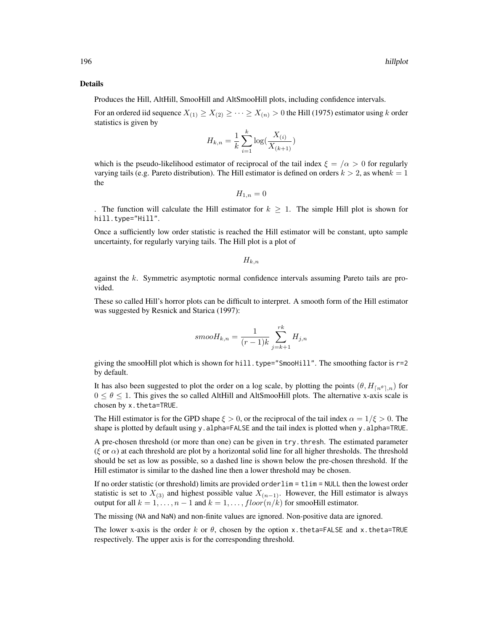#### Details

Produces the Hill, AltHill, SmooHill and AltSmooHill plots, including confidence intervals.

For an ordered iid sequence  $X_{(1)} \geq X_{(2)} \geq \cdots \geq X_{(n)} > 0$  the Hill (1975) estimator using k order statistics is given by

$$
H_{k,n} = \frac{1}{k} \sum_{i=1}^{k} \log(\frac{X_{(i)}}{X_{(k+1)}})
$$

which is the pseudo-likelihood estimator of reciprocal of the tail index  $\xi = /a > 0$  for regularly varying tails (e.g. Pareto distribution). The Hill estimator is defined on orders  $k > 2$ , as when  $k = 1$ the

$$
H_{1,n}=0
$$

The function will calculate the Hill estimator for  $k \geq 1$ . The simple Hill plot is shown for hill.type="Hill".

Once a sufficiently low order statistic is reached the Hill estimator will be constant, upto sample uncertainty, for regularly varying tails. The Hill plot is a plot of

 $H_{k,n}$ 

against the k. Symmetric asymptotic normal confidence intervals assuming Pareto tails are provided.

These so called Hill's horror plots can be difficult to interpret. A smooth form of the Hill estimator was suggested by Resnick and Starica (1997):

$$
smooth_{k,n} = \frac{1}{(r-1)k} \sum_{j=k+1}^{rk} H_{j,n}
$$

giving the smooHill plot which is shown for hill.type="SmooHill". The smoothing factor is r=2 by default.

It has also been suggested to plot the order on a log scale, by plotting the points  $(\theta, H_{\lceil n^\theta \rceil, n})$  for  $0 \le \theta \le 1$ . This gives the so called AltHill and AltSmooHill plots. The alternative x-axis scale is chosen by x.theta=TRUE.

The Hill estimator is for the GPD shape  $\xi > 0$ , or the reciprocal of the tail index  $\alpha = 1/\xi > 0$ . The shape is plotted by default using y.alpha=FALSE and the tail index is plotted when y.alpha=TRUE.

A pre-chosen threshold (or more than one) can be given in try.thresh. The estimated parameter (ξ or  $\alpha$ ) at each threshold are plot by a horizontal solid line for all higher thresholds. The threshold should be set as low as possible, so a dashed line is shown below the pre-chosen threshold. If the Hill estimator is similar to the dashed line then a lower threshold may be chosen.

If no order statistic (or threshold) limits are provided orderlim = tlim = NULL then the lowest order statistic is set to  $X_{(3)}$  and highest possible value  $X_{(n-1)}$ . However, the Hill estimator is always output for all  $k = 1, ..., n - 1$  and  $k = 1, ..., floor(n/k)$  for smooHill estimator.

The missing (NA and NaN) and non-finite values are ignored. Non-positive data are ignored.

The lower x-axis is the order k or  $\theta$ , chosen by the option x.theta=FALSE and x.theta=TRUE respectively. The upper axis is for the corresponding threshold.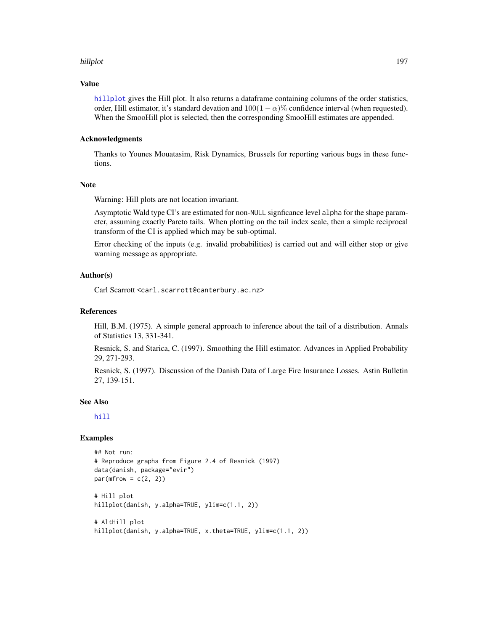#### hillplot 197

#### Value

[hillplot](#page-194-0) gives the Hill plot. It also returns a dataframe containing columns of the order statistics, order, Hill estimator, it's standard devation and  $100(1 - \alpha)\%$  confidence interval (when requested). When the SmooHill plot is selected, then the corresponding SmooHill estimates are appended.

## Acknowledgments

Thanks to Younes Mouatasim, Risk Dynamics, Brussels for reporting various bugs in these functions.

## Note

Warning: Hill plots are not location invariant.

Asymptotic Wald type CI's are estimated for non-NULL signficance level alpha for the shape parameter, assuming exactly Pareto tails. When plotting on the tail index scale, then a simple reciprocal transform of the CI is applied which may be sub-optimal.

Error checking of the inputs (e.g. invalid probabilities) is carried out and will either stop or give warning message as appropriate.

#### Author(s)

Carl Scarrott <carl.scarrott@canterbury.ac.nz>

#### References

Hill, B.M. (1975). A simple general approach to inference about the tail of a distribution. Annals of Statistics 13, 331-341.

Resnick, S. and Starica, C. (1997). Smoothing the Hill estimator. Advances in Applied Probability 29, 271-293.

Resnick, S. (1997). Discussion of the Danish Data of Large Fire Insurance Losses. Astin Bulletin 27, 139-151.

#### See Also

[hill](#page-0-0)

## Examples

```
## Not run:
# Reproduce graphs from Figure 2.4 of Resnick (1997)
data(danish, package="evir")
par(mfrow = c(2, 2))# Hill plot
hillplot(danish, y.alpha=TRUE, ylim=c(1.1, 2))
# AltHill plot
hillplot(danish, y.alpha=TRUE, x.theta=TRUE, ylim=c(1.1, 2))
```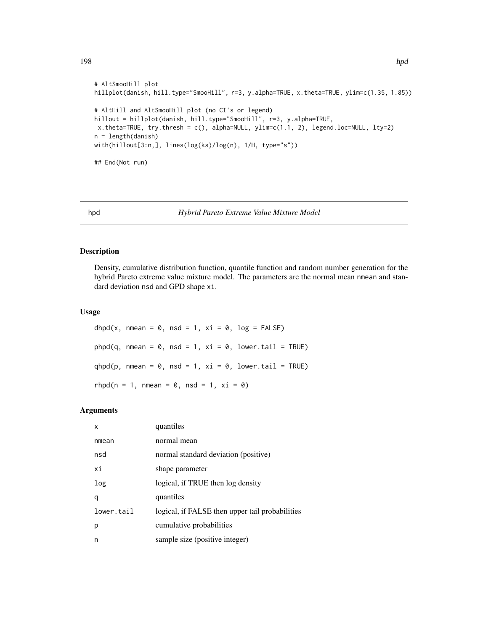```
198 hpd
```

```
# AltSmooHill plot
hillplot(danish, hill.type="SmooHill", r=3, y.alpha=TRUE, x.theta=TRUE, ylim=c(1.35, 1.85))
# AltHill and AltSmooHill plot (no CI's or legend)
hillout = hillplot(danish, hill.type="SmooHill", r=3, y.alpha=TRUE,
x.theta=TRUE, try.thresh = c(), alpha=NULL, ylim=c(1.1, 2), legend.loc=NULL, lty=2)
n = length(danish)
with(hillout[3:n,], lines(log(ks)/log(n), 1/H, type="s"))
## End(Not run)
```
## <span id="page-197-0"></span>hpd *Hybrid Pareto Extreme Value Mixture Model*

#### <span id="page-197-1"></span>Description

Density, cumulative distribution function, quantile function and random number generation for the hybrid Pareto extreme value mixture model. The parameters are the normal mean nmean and standard deviation nsd and GPD shape xi.

# Usage

```
dhpd(x, nmean = 0, nsd = 1, xi = 0, log = FALSE)
phpd(q, nmean = \theta, nsd = 1, xi = \theta, lower.tail = TRUE)
qhpd(p, nmean = 0, nsd = 1, xi = 0, lower.tail = TRUE)
rhpd(n = 1, nmean = 0, nsd = 1, xi = 0)
```
#### Arguments

| x          | quantiles                                       |
|------------|-------------------------------------------------|
| nmean      | normal mean                                     |
| nsd        | normal standard deviation (positive)            |
| хi         | shape parameter                                 |
| log        | logical, if TRUE then log density               |
| q          | quantiles                                       |
| lower.tail | logical, if FALSE then upper tail probabilities |
| р          | cumulative probabilities                        |
| n          | sample size (positive integer)                  |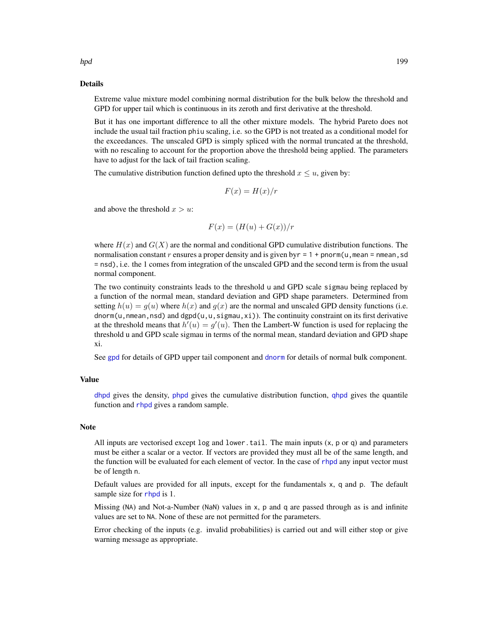hpd the contract of the contract of the contract of the contract of the contract of the contract of the contract of the contract of the contract of the contract of the contract of the contract of the contract of the contra

## Details

Extreme value mixture model combining normal distribution for the bulk below the threshold and GPD for upper tail which is continuous in its zeroth and first derivative at the threshold.

But it has one important difference to all the other mixture models. The hybrid Pareto does not include the usual tail fraction phiu scaling, i.e. so the GPD is not treated as a conditional model for the exceedances. The unscaled GPD is simply spliced with the normal truncated at the threshold, with no rescaling to account for the proportion above the threshold being applied. The parameters have to adjust for the lack of tail fraction scaling.

The cumulative distribution function defined upto the threshold  $x \le u$ , given by:

$$
F(x) = H(x)/r
$$

and above the threshold  $x > u$ :

$$
F(x) = (H(u) + G(x))/r
$$

where  $H(x)$  and  $G(X)$  are the normal and conditional GPD cumulative distribution functions. The normalisation constant r ensures a proper density and is given by  $r = 1 + \text{pnorm}(u, \text{mean} = \text{mmean}, \text{sd}$ = nsd), i.e. the 1 comes from integration of the unscaled GPD and the second term is from the usual normal component.

The two continuity constraints leads to the threshold u and GPD scale sigmau being replaced by a function of the normal mean, standard deviation and GPD shape parameters. Determined from setting  $h(u) = g(u)$  where  $h(x)$  and  $g(x)$  are the normal and unscaled GPD density functions (i.e. dnorm(u, nmean, nsd) and dgpd(u, u, sigmau,  $xi$ )). The continuity constraint on its first derivative at the threshold means that  $h'(u) = g'(u)$ . Then the Lambert-W function is used for replacing the threshold u and GPD scale sigmau in terms of the normal mean, standard deviation and GPD shape xi.

See [gpd](#page-190-0) for details of GPD upper tail component and [dnorm](#page-0-0) for details of normal bulk component.

#### Value

[dhpd](#page-197-1) gives the density, [phpd](#page-197-1) gives the cumulative distribution function, [qhpd](#page-197-1) gives the quantile function and [rhpd](#page-197-1) gives a random sample.

#### **Note**

All inputs are vectorised except  $log$  and  $lower$ .tail. The main inputs  $(x, p \text{ or } q)$  and parameters must be either a scalar or a vector. If vectors are provided they must all be of the same length, and the function will be evaluated for each element of vector. In the case of [rhpd](#page-197-1) any input vector must be of length n.

Default values are provided for all inputs, except for the fundamentals x, q and p. The default sample size for [rhpd](#page-197-1) is 1.

Missing (NA) and Not-a-Number (NaN) values in x, p and q are passed through as is and infinite values are set to NA. None of these are not permitted for the parameters.

Error checking of the inputs (e.g. invalid probabilities) is carried out and will either stop or give warning message as appropriate.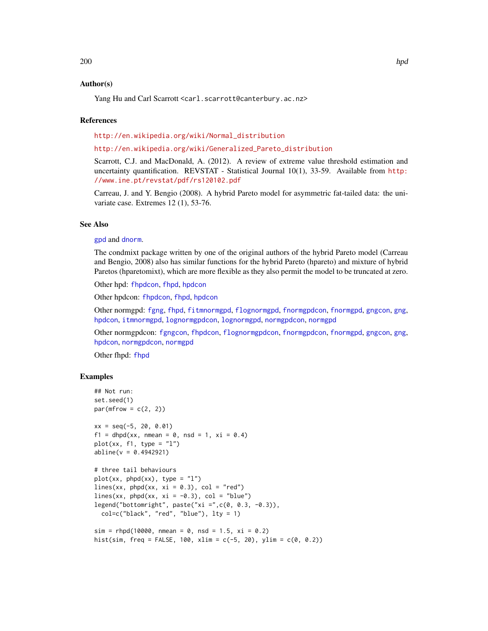# Author(s)

Yang Hu and Carl Scarrott <carl.scarrott@canterbury.ac.nz>

## References

[http://en.wikipedia.org/wiki/Normal\\_distribution](http://en.wikipedia.org/wiki/Normal_distribution)

#### [http://en.wikipedia.org/wiki/Generalized\\_Pareto\\_distribution](http://en.wikipedia.org/wiki/Generalized_Pareto_distribution)

Scarrott, C.J. and MacDonald, A. (2012). A review of extreme value threshold estimation and uncertainty quantification. REVSTAT - Statistical Journal 10(1), 33-59. Available from [http:](http://www.ine.pt/revstat/pdf/rs120102.pdf) [//www.ine.pt/revstat/pdf/rs120102.pdf](http://www.ine.pt/revstat/pdf/rs120102.pdf)

Carreau, J. and Y. Bengio (2008). A hybrid Pareto model for asymmetric fat-tailed data: the univariate case. Extremes 12 (1), 53-76.

#### See Also

#### [gpd](#page-190-0) and [dnorm](#page-0-0).

The condmixt package written by one of the original authors of the hybrid Pareto model (Carreau and Bengio, 2008) also has similar functions for the hybrid Pareto (hpareto) and mixture of hybrid Paretos (hparetomixt), which are more flexible as they also permit the model to be truncated at zero.

Other hpd: [fhpdcon](#page-91-0), [fhpd](#page-88-0), [hpdcon](#page-200-0)

Other hpdcon: [fhpdcon](#page-91-0), [fhpd](#page-88-0), [hpdcon](#page-200-0)

Other normgpd: [fgng](#page-75-0), [fhpd](#page-88-0), [fitmnormgpd](#page-99-0), [flognormgpd](#page-121-0), [fnormgpdcon](#page-148-0), [fnormgpd](#page-142-0), [gngcon](#page-186-0), [gng](#page-183-1), [hpdcon](#page-200-0), [itmnormgpd](#page-208-0), [lognormgpdcon](#page-235-0), [lognormgpd](#page-232-0), [normgpdcon](#page-253-0), [normgpd](#page-250-1)

Other normgpdcon: [fgngcon](#page-80-0), [fhpdcon](#page-91-0), [flognormgpdcon](#page-124-0), [fnormgpdcon](#page-148-0), [fnormgpd](#page-142-0), [gngcon](#page-186-0), [gng](#page-183-1), [hpdcon](#page-200-0), [normgpdcon](#page-253-0), [normgpd](#page-250-1)

Other fhpd: [fhpd](#page-88-0)

## Examples

```
## Not run:
set.seed(1)
par(mfrow = c(2, 2))xx = seq(-5, 20, 0.01)f1 = dhpd(xx, mmean = 0, nsd = 1, xi = 0.4)plot(xx, f1, type = "1")abline(v = 0.4942921)# three tail behaviours
plot(xx, phpd(xx), type = "l")lines(xx, phpd(xx, xi = 0.3), col = "red")
lines(xx, phpd(xx, xi = -0.3), col = "blue")
legend("bottomright", paste("xi =",c(0, 0.3, -0.3)),
  col=c("black", "red", "blue"), lty = 1)
sim = r hpd(10000, mmean = 0, nsd = 1.5, xi = 0.2)hist(sim, freq = FALSE, 100, xlim = c(-5, 20), ylim = c(0, 0.2))
```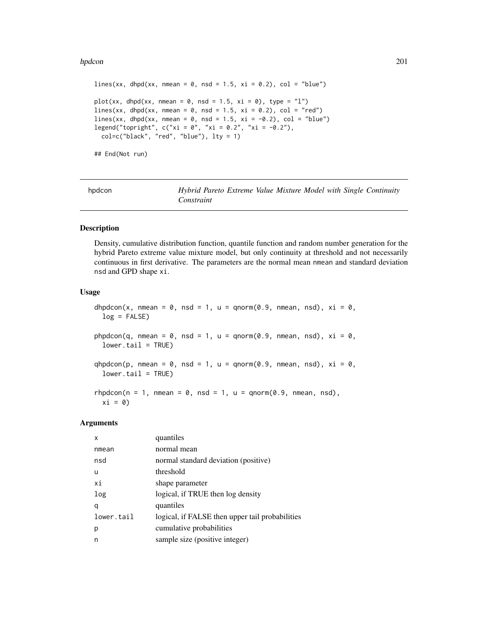#### hpdcon 201

```
lines(xx, dhpd(xx, nmean = 0, nsd = 1.5, xi = 0.2), col = "blue")
plot(xx, dhpd(xx, mmean = 0, nsd = 1.5, xi = 0), type = "1")lines(xx, dhpd(xx, nmean = 0, nsd = 1.5, xi = 0.2), col = "red")
lines(xx, dhpd(xx, nmean = 0, nsd = 1.5, xi = -0.2), col = "blue")
legend("topright", c("xi = 0", "xi = 0.2", "xi = -0.2"),col=c("black", "red", "blue"), lty = 1)
## End(Not run)
```
<span id="page-200-0"></span>

| hpdcon |
|--------|
|        |

Hybrid Pareto Extreme Value Mixture Model with Single Continuity *Constraint*

# <span id="page-200-1"></span>Description

Density, cumulative distribution function, quantile function and random number generation for the hybrid Pareto extreme value mixture model, but only continuity at threshold and not necessarily continuous in first derivative. The parameters are the normal mean nmean and standard deviation nsd and GPD shape xi.

## Usage

dhpdcon(x, nmean =  $0$ , nsd = 1, u = qnorm(0.9, nmean, nsd), xi =  $0$ ,  $log = FALSE)$ phpdcon(q, nmean =  $0$ , nsd = 1, u = qnorm(0.9, nmean, nsd), xi =  $0$ ,  $lower.tail = TRUE$ ) qhpdcon(p, nmean =  $\theta$ , nsd = 1, u = qnorm(0.9, nmean, nsd), xi =  $\theta$ ,  $lower.tail = TRUE$ )  $r$ hpdcon(n = 1, nmean = 0, nsd = 1, u = qnorm(0.9, nmean, nsd),  $xi = 0)$ 

#### Arguments

| x          | quantiles                                       |
|------------|-------------------------------------------------|
| nmean      | normal mean                                     |
| nsd        | normal standard deviation (positive)            |
| u          | threshold                                       |
| хi         | shape parameter                                 |
| log        | logical, if TRUE then log density               |
| q          | quantiles                                       |
| lower.tail | logical, if FALSE then upper tail probabilities |
| р          | cumulative probabilities                        |
| n          | sample size (positive integer)                  |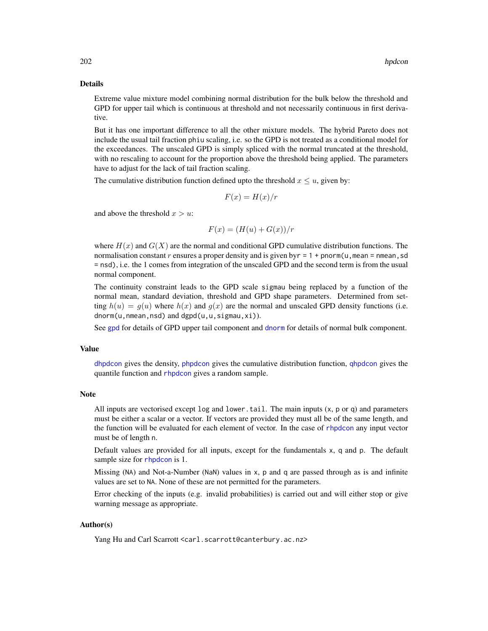#### Details

Extreme value mixture model combining normal distribution for the bulk below the threshold and GPD for upper tail which is continuous at threshold and not necessarily continuous in first derivative.

But it has one important difference to all the other mixture models. The hybrid Pareto does not include the usual tail fraction phiu scaling, i.e. so the GPD is not treated as a conditional model for the exceedances. The unscaled GPD is simply spliced with the normal truncated at the threshold, with no rescaling to account for the proportion above the threshold being applied. The parameters have to adjust for the lack of tail fraction scaling.

The cumulative distribution function defined upto the threshold  $x \le u$ , given by:

$$
F(x) = H(x)/r
$$

and above the threshold  $x > u$ :

$$
F(x) = (H(u) + G(x))/r
$$

where  $H(x)$  and  $G(X)$  are the normal and conditional GPD cumulative distribution functions. The normalisation constant r ensures a proper density and is given by  $r = 1 + p$  pnorm(u, mean = nmean, sd = nsd), i.e. the 1 comes from integration of the unscaled GPD and the second term is from the usual normal component.

The continuity constraint leads to the GPD scale sigmau being replaced by a function of the normal mean, standard deviation, threshold and GPD shape parameters. Determined from setting  $h(u) = g(u)$  where  $h(x)$  and  $g(x)$  are the normal and unscaled GPD density functions (i.e. dnorm(u,nmean,nsd) and dgpd(u,u,sigmau,xi)).

See [gpd](#page-190-0) for details of GPD upper tail component and [dnorm](#page-0-0) for details of normal bulk component.

#### Value

[dhpdcon](#page-200-1) gives the density, [phpdcon](#page-200-1) gives the cumulative distribution function, [qhpdcon](#page-200-1) gives the quantile function and [rhpdcon](#page-200-1) gives a random sample.

# Note

All inputs are vectorised except  $log$  and lower.tail. The main inputs  $(x, p \text{ or } q)$  and parameters must be either a scalar or a vector. If vectors are provided they must all be of the same length, and the function will be evaluated for each element of vector. In the case of [rhpdcon](#page-200-1) any input vector must be of length n.

Default values are provided for all inputs, except for the fundamentals x, q and p. The default sample size for [rhpdcon](#page-200-1) is 1.

Missing (NA) and Not-a-Number (NaN) values in x, p and q are passed through as is and infinite values are set to NA. None of these are not permitted for the parameters.

Error checking of the inputs (e.g. invalid probabilities) is carried out and will either stop or give warning message as appropriate.

# Author(s)

Yang Hu and Carl Scarrott <carl.scarrott@canterbury.ac.nz>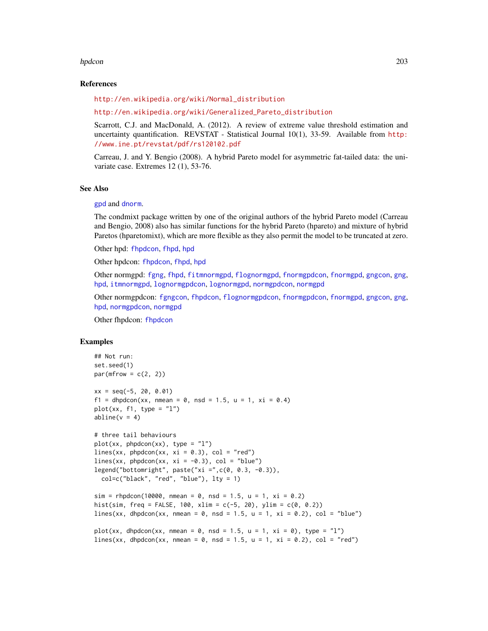#### hpdcon 203

#### References

[http://en.wikipedia.org/wiki/Normal\\_distribution](http://en.wikipedia.org/wiki/Normal_distribution)

[http://en.wikipedia.org/wiki/Generalized\\_Pareto\\_distribution](http://en.wikipedia.org/wiki/Generalized_Pareto_distribution)

Scarrott, C.J. and MacDonald, A. (2012). A review of extreme value threshold estimation and uncertainty quantification. REVSTAT - Statistical Journal 10(1), 33-59. Available from [http:](http://www.ine.pt/revstat/pdf/rs120102.pdf) [//www.ine.pt/revstat/pdf/rs120102.pdf](http://www.ine.pt/revstat/pdf/rs120102.pdf)

Carreau, J. and Y. Bengio (2008). A hybrid Pareto model for asymmetric fat-tailed data: the univariate case. Extremes 12 (1), 53-76.

#### See Also

#### [gpd](#page-190-0) and [dnorm](#page-0-0).

The condmixt package written by one of the original authors of the hybrid Pareto model (Carreau and Bengio, 2008) also has similar functions for the hybrid Pareto (hpareto) and mixture of hybrid Paretos (hparetomixt), which are more flexible as they also permit the model to be truncated at zero.

Other hpd: [fhpdcon](#page-91-0), [fhpd](#page-88-0), [hpd](#page-197-0)

Other hpdcon: [fhpdcon](#page-91-0), [fhpd](#page-88-0), [hpd](#page-197-0)

Other normgpd: [fgng](#page-75-0), [fhpd](#page-88-0), [fitmnormgpd](#page-99-0), [flognormgpd](#page-121-0), [fnormgpdcon](#page-148-0), [fnormgpd](#page-142-0), [gngcon](#page-186-0), [gng](#page-183-1), [hpd](#page-197-0), [itmnormgpd](#page-208-0), [lognormgpdcon](#page-235-0), [lognormgpd](#page-232-0), [normgpdcon](#page-253-0), [normgpd](#page-250-1)

Other normgpdcon: [fgngcon](#page-80-0), [fhpdcon](#page-91-0), [flognormgpdcon](#page-124-0), [fnormgpdcon](#page-148-0), [fnormgpd](#page-142-0), [gngcon](#page-186-0), [gng](#page-183-1), [hpd](#page-197-0), [normgpdcon](#page-253-0), [normgpd](#page-250-1)

Other fhpdcon: [fhpdcon](#page-91-0)

#### Examples

```
## Not run:
set.seed(1)
par(mfrow = c(2, 2))xx = seq(-5, 20, 0.01)f1 = dhpdcon(xx, nmean = 0, nsd = 1.5, u = 1, xi = 0.4)
plot(xx, f1, type = "1")abline(v = 4)
# three tail behaviours
plot(xx, phpdcon(xx), type = "l")lines(xx, phpdcon(xx, xi = 0.3), col = "red")
lines(xx, phpdcon(xx, xi = -0.3), col = "blue")
legend("bottomright", paste("xi =",c(0, 0.3, -0.3)),
  col=c("black", "red", "blue"), lty = 1)
sim = rhpdcon(10000, nmean = 0, nsd = 1.5, u = 1, xi = 0.2)
hist(sim, freq = FALSE, 100, xlim = c(-5, 20), ylim = c(0, 0.2))
lines(xx, dhpdcon(xx, nmean = 0, nsd = 1.5, u = 1, xi = 0.2), col = "blue")
plot(xx, dhpdcon(xx, nmean = 0, nsd = 1.5, u = 1, xi = 0), type = "l")
lines(xx, dhpdcon(xx, nmean = 0, nsd = 1.5, u = 1, xi = 0.2), col = "red")
```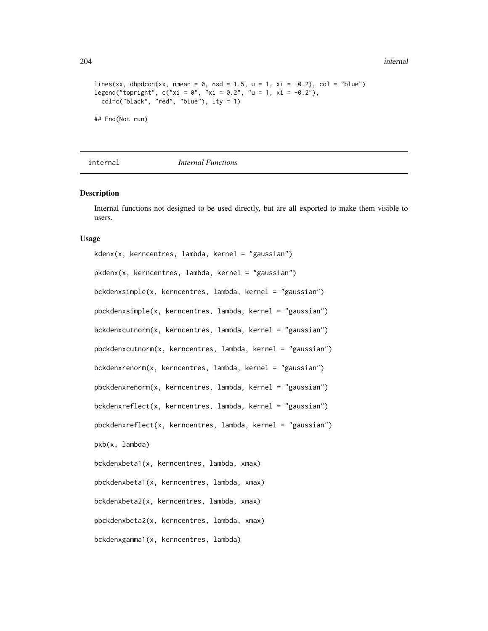204 internal and the control of the control of the control of the control of the control of the control of the control of the control of the control of the control of the control of the control of the control of the contro

```
lines(xx, dhpdcon(xx, nmean = 0, nsd = 1.5, u = 1, xi = -0.2), col = "blue")
legend("topright", c("xi = 0", "xi = 0.2", "u = 1, xi = -0.2"),col=c("black", "red", "blue"), lty = 1)
## End(Not run)
```
internal *Internal Functions*

#### <span id="page-203-0"></span>Description

Internal functions not designed to be used directly, but are all exported to make them visible to users.

#### Usage

```
kdenx(x, kerncentres, lambda, kernel = "gaussian")
pkdenx(x, kerncentres, lambda, kernel = "gaussian")
bckdenxsimple(x, kerncentres, lambda, kernel = "gaussian")
pbckdenxsimple(x, kerncentres, lambda, kernel = "gaussian")
bckdenxcutnorm(x, kerncentres, lambda, kernel = "gaussian")
pbckdenxcutnorm(x, kerncentres, lambda, kernel = "gaussian")
bckdenxrenorm(x, kerncentres, lambda, kernel = "gaussian")
pbckdenxrenorm(x, kerncentres, lambda, kernel = "gaussian")
bckdenxreflect(x, kerncentres, lambda, kernel = "gaussian")
pbckdenxreflect(x, kerncentres, lambda, kernel = "gaussian")
pxb(x, lambda)
bckdenxbeta1(x, kerncentres, lambda, xmax)
pbckdenxbeta1(x, kerncentres, lambda, xmax)
bckdenxbeta2(x, kerncentres, lambda, xmax)
pbckdenxbeta2(x, kerncentres, lambda, xmax)
bckdenxgamma1(x, kerncentres, lambda)
```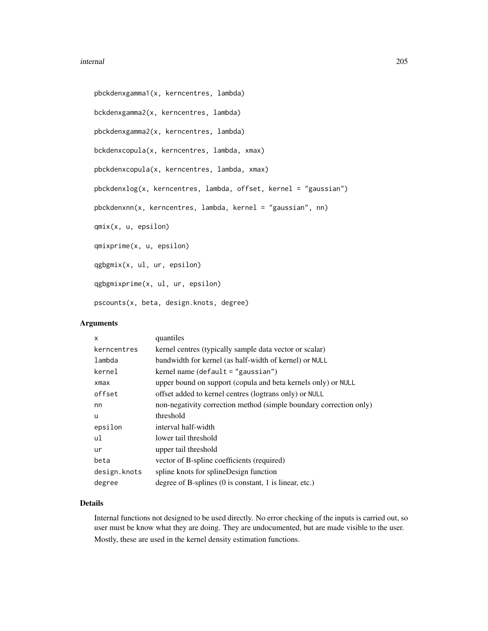#### internal 205

```
pbckdenxgamma1(x, kerncentres, lambda)
bckdenxgamma2(x, kerncentres, lambda)
pbckdenxgamma2(x, kerncentres, lambda)
bckdenxcopula(x, kerncentres, lambda, xmax)
pbckdenxcopula(x, kerncentres, lambda, xmax)
pbckdenxlog(x, kerncentres, lambda, offset, kernel = "gaussian")
pbckdenxnn(x, kerncentres, lambda, kernel = "gaussian", nn)
qmix(x, u, epsilon)
qmixprime(x, u, epsilon)
qgbgmix(x, ul, ur, epsilon)
qgbgmixprime(x, ul, ur, epsilon)
pscounts(x, beta, design.knots, degree)
```
## Arguments

| x            | quantiles                                                                |
|--------------|--------------------------------------------------------------------------|
| kerncentres  | kernel centres (typically sample data vector or scalar)                  |
| lambda       | bandwidth for kernel (as half-width of kernel) or NULL                   |
| kernel       | kernel name (default = "gaussian")                                       |
| xmax         | upper bound on support (copula and beta kernels only) or NULL            |
| offset       | offset added to kernel centres (logtrans only) or NULL                   |
| nn           | non-negativity correction method (simple boundary correction only)       |
| u            | threshold                                                                |
| epsilon      | interval half-width                                                      |
| ul           | lower tail threshold                                                     |
| ur           | upper tail threshold                                                     |
| beta         | vector of B-spline coefficients (required)                               |
| design.knots | spline knots for splineDesign function                                   |
| degree       | degree of B-splines $(0 \text{ is constant}, 1 \text{ is linear}, etc.)$ |
|              |                                                                          |

## Details

Internal functions not designed to be used directly. No error checking of the inputs is carried out, so user must be know what they are doing. They are undocumented, but are made visible to the user. Mostly, these are used in the kernel density estimation functions.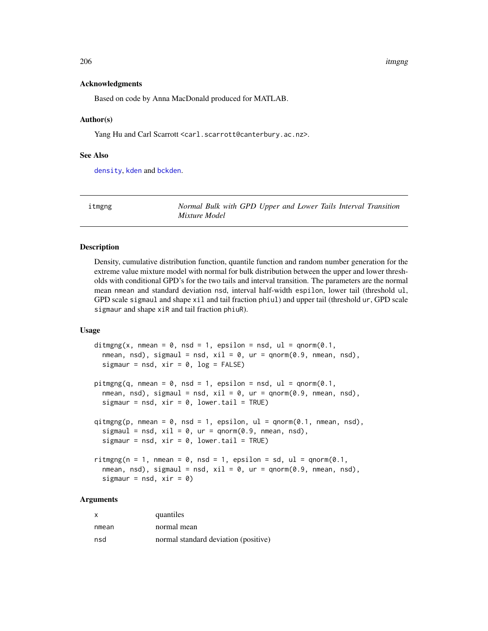#### 206 itmgng

#### Acknowledgments

Based on code by Anna MacDonald produced for MATLAB.

## Author(s)

Yang Hu and Carl Scarrott <carl.scarrott@canterbury.ac.nz>.

## See Also

[density](#page-0-0), [kden](#page-215-1) and [bckden](#page-3-0).

<span id="page-205-0"></span>itmgng *Normal Bulk with GPD Upper and Lower Tails Interval Transition Mixture Model*

## <span id="page-205-1"></span>**Description**

Density, cumulative distribution function, quantile function and random number generation for the extreme value mixture model with normal for bulk distribution between the upper and lower thresholds with conditional GPD's for the two tails and interval transition. The parameters are the normal mean nmean and standard deviation nsd, interval half-width espilon, lower tail (threshold ul, GPD scale sigmaul and shape xil and tail fraction phiul) and upper tail (threshold ur, GPD scale sigmaur and shape xiR and tail fraction phiuR).

## Usage

```
ditmgng(x, nmean = 0, nsd = 1, epsilon = nsd, ul = qnorm(0.1,
  nmean, nsd), sigmaul = nsd, xil = 0, ur = qnorm(0.9, nmean, nsd),
  sigmaur = nsd, xir = 0, log = FALSE)
pitmgng(q, nmean = 0, nsd = 1, epsilon = nsd, ul = qnorm(0.1,
  nmean, nsd), sigmaul = nsd, xil = \theta, ur = qnorm(\theta.9, nmean, nsd),
  sigmaur = nsd, xir = 0, lower.tail = TRUE)
qismg(p, mmean = 0, nsd = 1, epsilon, ul = qnorm(0.1, mmean, nsd),sigmaul = nsd, xil = 0, ur = qnorm(0.9, nmean, nsd),
  sigmaur = nsd, xir = 0, lower.tail = TRUE)
riting(n = 1, mmean = 0, nsd = 1, epsilon = sd, ul = qnorm(0.1,nmean, nsd), sigmaul = nsd, xil = 0, ur = qnorm(0.9, nmean, nsd),
  sigmaur = nsd, xir = 0)
```
# Arguments

| X     | quantiles                            |
|-------|--------------------------------------|
| nmean | normal mean                          |
| nsd   | normal standard deviation (positive) |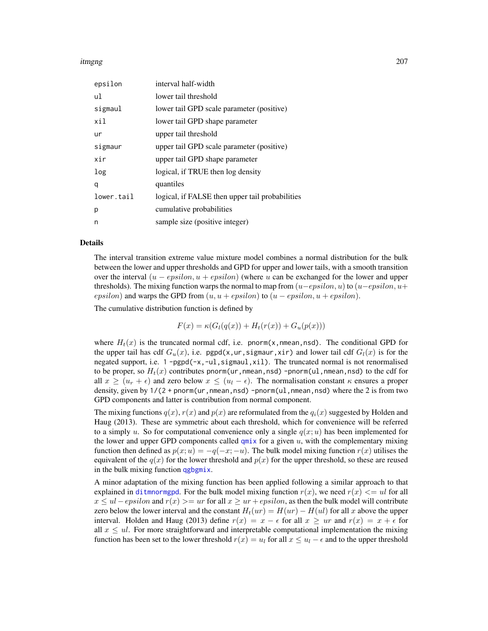#### itmgng 207

| epsilon    | interval half-width                             |
|------------|-------------------------------------------------|
| ul         | lower tail threshold                            |
| sigmaul    | lower tail GPD scale parameter (positive)       |
| xil        | lower tail GPD shape parameter                  |
| ur         | upper tail threshold                            |
| sigmaur    | upper tail GPD scale parameter (positive)       |
| xir        | upper tail GPD shape parameter                  |
| log        | logical, if TRUE then log density               |
| q          | quantiles                                       |
| lower.tail | logical, if FALSE then upper tail probabilities |
| р          | cumulative probabilities                        |
| n          | sample size (positive integer)                  |

#### Details

The interval transition extreme value mixture model combines a normal distribution for the bulk between the lower and upper thresholds and GPD for upper and lower tails, with a smooth transition over the interval  $(u - epsilon, u + epsilon)$  (where u can be exchanged for the lower and upper thresholds). The mixing function warps the normal to map from  $(u-epsilon, u)$  to  $(u-epsilon, u+$ epsilon) and warps the GPD from  $(u, u + epsilon)$  to  $(u - epsilon, u + epsilon)$ .

The cumulative distribution function is defined by

$$
F(x) = \kappa(G_l(q(x)) + H_t(r(x)) + G_u(p(x)))
$$

where  $H_t(x)$  is the truncated normal cdf, i.e. pnorm(x,nmean,nsd). The conditional GPD for the upper tail has cdf  $G_u(x)$ , i.e. pgpd(x,ur, sigmaur, xir) and lower tail cdf  $G_l(x)$  is for the negated support, i.e.  $1$  -pgpd( $-x$ ,  $-u$ ], sigmaul, xil). The truncated normal is not renormalised to be proper, so  $H_t(x)$  contributes pnorm(ur, nmean, nsd) -pnorm(ul, nmean, nsd) to the cdf for all  $x \ge (u_r + \epsilon)$  and zero below  $x \le (u_l - \epsilon)$ . The normalisation constant  $\kappa$  ensures a proper density, given by  $1/(2 + pnorm(wr, nmean, nsd) - pnorm(ul, nmean, nsd)$  where the 2 is from two GPD components and latter is contribution from normal component.

The mixing functions  $q(x)$ ,  $r(x)$  and  $p(x)$  are reformulated from the  $q_i(x)$  suggested by Holden and Haug (2013). These are symmetric about each threshold, which for convenience will be referred to a simply u. So for computational convenience only a single  $q(x; u)$  has been implemented for the lower and upper GPD components called  $qmix$  for a given  $u$ , with the complementary mixing function then defined as  $p(x; u) = -q(-x; -u)$ . The bulk model mixing function  $r(x)$  utilises the equivalent of the  $q(x)$  for the lower threshold and  $p(x)$  for the upper threshold, so these are reused in the bulk mixing function [qgbgmix](#page-203-0).

A minor adaptation of the mixing function has been applied following a similar approach to that explained in [ditmnormgpd](#page-208-1). For the bulk model mixing function  $r(x)$ , we need  $r(x) \leq u$  for all  $x \le ul-epsilon$  and  $r(x) \geq ur$  for all  $x \ge ur+epsilon$ , as then the bulk model will contribute zero below the lower interval and the constant  $H_t(ur) = H(ur) - H(ul)$  for all x above the upper interval. Holden and Haug (2013) define  $r(x) = x - \epsilon$  for all  $x \geq ur$  and  $r(x) = x + \epsilon$  for all  $x \leq ul$ . For more straightforward and interpretable computational implementation the mixing function has been set to the lower threshold  $r(x) = u_l$  for all  $x \leq u_l - \epsilon$  and to the upper threshold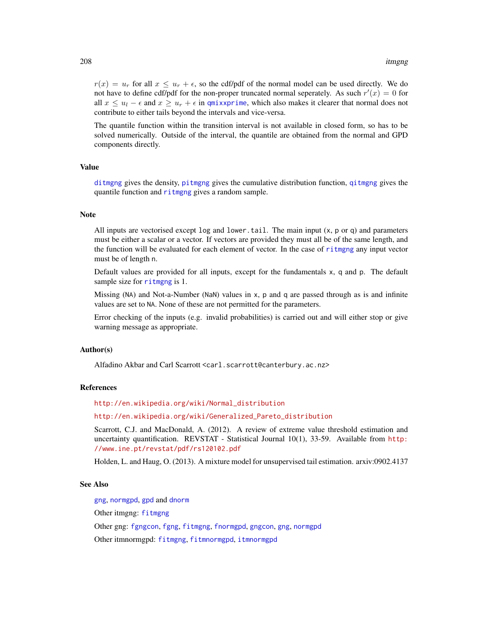$r(x) = u_r$  for all  $x \le u_r + \epsilon$ , so the cdf/pdf of the normal model can be used directly. We do not have to define cdf/pdf for the non-proper truncated normal seperately. As such  $r'(x) = 0$  for all  $x \leq u_1 - \epsilon$  and  $x \geq u_r + \epsilon$  in [qmixxprime](#page-0-0), which also makes it clearer that normal does not contribute to either tails beyond the intervals and vice-versa.

The quantile function within the transition interval is not available in closed form, so has to be solved numerically. Outside of the interval, the quantile are obtained from the normal and GPD components directly.

# Value

[ditmgng](#page-205-1) gives the density, [pitmgng](#page-205-1) gives the cumulative distribution function, [qitmgng](#page-205-1) gives the quantile function and [ritmgng](#page-205-1) gives a random sample.

# **Note**

All inputs are vectorised except  $log$  and lower.tail. The main input  $(x, p, o, q)$  and parameters must be either a scalar or a vector. If vectors are provided they must all be of the same length, and the function will be evaluated for each element of vector. In the case of [ritmgng](#page-205-1) any input vector must be of length n.

Default values are provided for all inputs, except for the fundamentals x, q and p. The default sample size for [ritmgng](#page-205-1) is 1.

Missing (NA) and Not-a-Number (NaN) values in x, p and q are passed through as is and infinite values are set to NA. None of these are not permitted for the parameters.

Error checking of the inputs (e.g. invalid probabilities) is carried out and will either stop or give warning message as appropriate.

## Author(s)

Alfadino Akbar and Carl Scarrott <carl.scarrott@canterbury.ac.nz>

## References

[http://en.wikipedia.org/wiki/Normal\\_distribution](http://en.wikipedia.org/wiki/Normal_distribution)

[http://en.wikipedia.org/wiki/Generalized\\_Pareto\\_distribution](http://en.wikipedia.org/wiki/Generalized_Pareto_distribution)

Scarrott, C.J. and MacDonald, A. (2012). A review of extreme value threshold estimation and uncertainty quantification. REVSTAT - Statistical Journal 10(1), 33-59. Available from [http:](http://www.ine.pt/revstat/pdf/rs120102.pdf) [//www.ine.pt/revstat/pdf/rs120102.pdf](http://www.ine.pt/revstat/pdf/rs120102.pdf)

Holden, L. and Haug, O. (2013). A mixture model for unsupervised tail estimation. arxiv:0902.4137

## See Also

[gng](#page-183-1), [normgpd](#page-250-1), [gpd](#page-190-0) and [dnorm](#page-0-0) Other itmgng: [fitmgng](#page-95-0) Other gng: [fgngcon](#page-80-0), [fgng](#page-75-0), [fitmgng](#page-95-0), [fnormgpd](#page-142-0), [gngcon](#page-186-0), [gng](#page-183-1), [normgpd](#page-250-1) Other itmnormgpd: [fitmgng](#page-95-0), [fitmnormgpd](#page-99-0), [itmnormgpd](#page-208-0)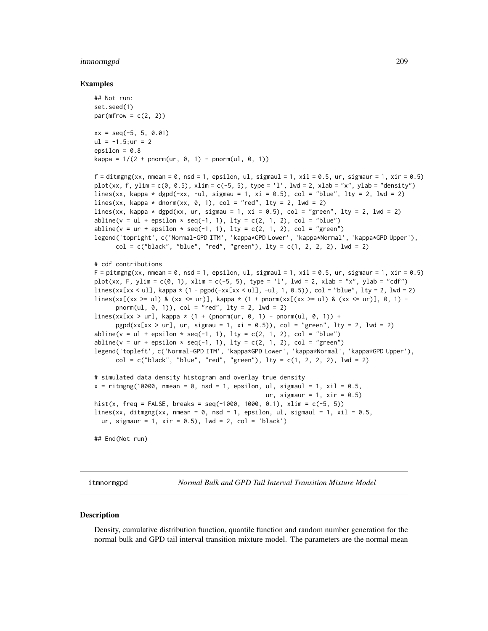## itmnormgpd 209

#### Examples

```
## Not run:
set.seed(1)
par(mfrow = c(2, 2))xx = seq(-5, 5, 0.01)ul = -1.5; ur = 2epsilon = 0.8kappa = 1/(2 + pnorm(nr, 0, 1) - pnorm(ul, 0, 1))f = ditmgng(xx, nmean = 0, nsd = 1, epsilon, ul, sigmaul = 1, xil = 0.5, ur, sigmaur = 1, xir = 0.5)
plot(xx, f, ylim = c(0, 0.5), xlim = c(-5, 5), type = 'l', lwd = 2, xlab = "x", ylab = "density")
lines(xx, kappa * dgpd(-xx, -ul, sigmau = 1, xi = 0.5), col = "blue", lty = 2, lwd = 2)
lines(xx, kappa * dnorm(xx, 0, 1), col = "red", lty = 2, lwd = 2)
lines(xx, kappa * dgpd(xx, ur, sigmau = 1, xi = 0.5), col = "green", lty = 2, lwd = 2)
abline(v = ul + epsilon \times seq(-1, 1), lty = c(2, 1, 2), col = "blue")abline(v = ur + epsilon \times seq(-1, 1), lty = c(2, 1, 2), col = "green")legend('topright', c('Normal-GPD ITM', 'kappa*GPD Lower', 'kappa*Normal', 'kappa*GPD Upper'),
      col = c("black", "blue", "red", "green"), \; lty = c(1, 2, 2, 2), \; lwd = 2)# cdf contributions
F = pitmgng(xx, nmean = 0, nsd = 1, epsilon, ul, sigmaul = 1, xil = 0.5, ur, sigmaur = 1, xir = 0.5)
plot(xx, F, ylim = c(0, 1), xlim = c(-5, 5), type = 'l', lwd = 2, xlab = "x", ylab = "cdf")
lines(xx[x \times 0.1], kappa \times (1 - pgpd(-xx[x x < 0.1], -u1, 1, 0.5)), col = "blue", lty = 2, lwd = 2)lines(xx[(xx \geq ul) & (xx \leq ur)], kappa * (1 + pnorm(xx[(xx >= ul) & (xx <= ur)], 0, 1) -
      pnorm(ul, 0, 1)), col = "red", lty = 2, lwd = 2)lines(xx[xx > ur], kappa * (1 + (pnorm(ur, 0, 1) - pnorm(ul, 0, 1)) +
      pgpd(xx[xx > ur], ur, sigmau = 1, xi = 0.5)), col = "green", lty = 2, lwd = 2)
abline(v = ul + epsilon \times seq(-1, 1), \; lty = c(2, 1, 2), \; col = "blue")abline(v = ur + epsilon * seq(-1, 1), lty = c(2, 1, 2), col = "green")legend('topleft', c('Normal-GPD ITM', 'kappa*GPD Lower', 'kappa*Normal', 'kappa*GPD Upper'),
      col = c("black", "blue", "red", "green"), \; lty = c(1, 2, 2, 2), \; lwd = 2)# simulated data density histogram and overlay true density
x = \text{riting(10000}, \text{nmean} = 0, \text{nsd} = 1, \text{epsilon}, \text{ul}, \text{sigma} = 1, \text{sigma} = 1, \text{xi} = 0.5,ur, sigmaur = 1, xir = 0.5)
hist(x, freq = FALSE, breaks = seq(-1000, 1000, 0.1), xlim = c(-5, 5))
lines(xx, ditmgng(xx, nmean = 0, nsd = 1, epsilon, ul, sigmaul = 1, xil = 0.5,
 ur, sigmaur = 1, xir = 0.5, lwd = 2, col = 'black')
## End(Not run)
```
<span id="page-208-0"></span>itmnormgpd *Normal Bulk and GPD Tail Interval Transition Mixture Model*

#### <span id="page-208-1"></span>**Description**

Density, cumulative distribution function, quantile function and random number generation for the normal bulk and GPD tail interval transition mixture model. The parameters are the normal mean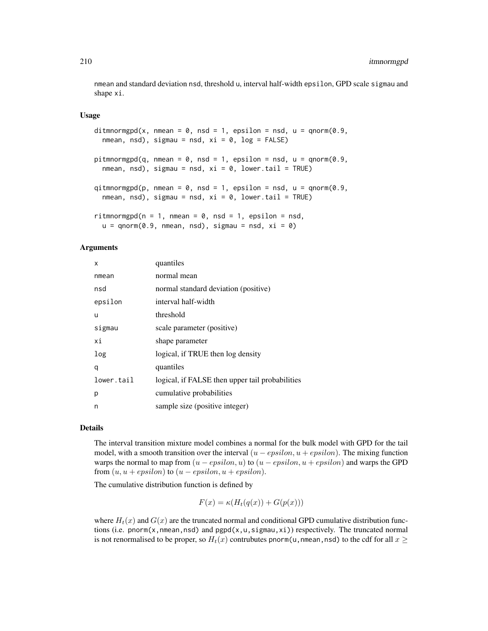nmean and standard deviation nsd, threshold u, interval half-width epsilon, GPD scale sigmau and shape xi.

#### Usage

```
ditmnormgpd(x, nmean = 0, nsd = 1, epsilon = nsd, u = qnorm(0.9,
 nmean, nsd), sigmau = nsd, xi = 0, log = FALSE)
pitmnormgpd(q, nmean = 0, nsd = 1, epsilon = nsd, u = qnorm(0.9,
  nmean, nsd), sigmau = nsd, xi = 0, lower.tail = TRUE)
qitmnormgpd(p, nmean = 0, nsd = 1, epsilon = nsd, u = qnorm(0.9,
  nmean, nsd), sigmau = nsd, xi = 0, lower.tail = TRUE)
ritmnormgpd(n = 1, nmean = 0, nsd = 1, epsilon = nsd,
  u = qnorm(0.9, mmean, nsd), sigmau = nsd, xi = 0)
```
#### Arguments

| x          | quantiles                                       |
|------------|-------------------------------------------------|
| nmean      | normal mean                                     |
| nsd        | normal standard deviation (positive)            |
| epsilon    | interval half-width                             |
| u          | threshold                                       |
| sigmau     | scale parameter (positive)                      |
| хi         | shape parameter                                 |
| log        | logical, if TRUE then log density               |
| q          | quantiles                                       |
| lower.tail | logical, if FALSE then upper tail probabilities |
| р          | cumulative probabilities                        |
| n          | sample size (positive integer)                  |

## Details

The interval transition mixture model combines a normal for the bulk model with GPD for the tail model, with a smooth transition over the interval  $(u - epsilon, u + epsilon)$ . The mixing function warps the normal to map from  $(u - epsilon, u)$  to  $(u - epsilon, u + epsilon)$  and warps the GPD from  $(u, u + epsilon)$  to  $(u - epsilon, u + epsilon)$ .

The cumulative distribution function is defined by

$$
F(x) = \kappa(H_t(q(x)) + G(p(x)))
$$

where  $H_t(x)$  and  $G(x)$  are the truncated normal and conditional GPD cumulative distribution functions (i.e. pnorm(x,nmean,nsd) and  $pgp d(x, u, sigmau, xi)$ ) respectively. The truncated normal is not renormalised to be proper, so  $H_t(x)$  contrubutes pnorm(u, nmean,nsd) to the cdf for all  $x \geq 0$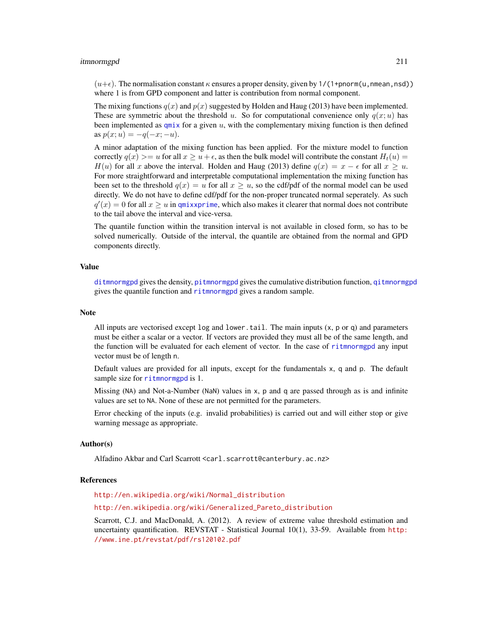#### itmnormgpd 211

 $(u+\epsilon)$ . The normalisation constant  $\kappa$  ensures a proper density, given by 1/(1+pnorm(u,nmean,nsd)) where 1 is from GPD component and latter is contribution from normal component.

The mixing functions  $q(x)$  and  $p(x)$  suggested by Holden and Haug (2013) have been implemented. These are symmetric about the threshold u. So for computational convenience only  $q(x; u)$  has been implemented as  $qmix$  for a given  $u$ , with the complementary mixing function is then defined as  $p(x; u) = -q(-x; -u)$ .

A minor adaptation of the mixing function has been applied. For the mixture model to function correctly  $q(x) \geq u$  for all  $x \geq u + \epsilon$ , as then the bulk model will contribute the constant  $H_t(u) =$  $H(u)$  for all x above the interval. Holden and Haug (2013) define  $q(x) = x - \epsilon$  for all  $x \geq u$ . For more straightforward and interpretable computational implementation the mixing function has been set to the threshold  $q(x) = u$  for all  $x \geq u$ , so the cdf/pdf of the normal model can be used directly. We do not have to define cdf/pdf for the non-proper truncated normal seperately. As such  $q'(x) = 0$  for all  $x \ge u$  in [qmixxprime](#page-0-0), which also makes it clearer that normal does not contribute to the tail above the interval and vice-versa.

The quantile function within the transition interval is not available in closed form, so has to be solved numerically. Outside of the interval, the quantile are obtained from the normal and GPD components directly.

#### Value

[ditmnormgpd](#page-208-1) gives the density, [pitmnormgpd](#page-208-1) gives the cumulative distribution function, [qitmnormgpd](#page-208-1) gives the quantile function and [ritmnormgpd](#page-208-1) gives a random sample.

#### **Note**

All inputs are vectorised except  $log$  and  $lower$ .tail. The main inputs  $(x, p, o, q)$  and parameters must be either a scalar or a vector. If vectors are provided they must all be of the same length, and the function will be evaluated for each element of vector. In the case of [ritmnormgpd](#page-208-1) any input vector must be of length n.

Default values are provided for all inputs, except for the fundamentals x, q and p. The default sample size for [ritmnormgpd](#page-208-1) is 1.

Missing (NA) and Not-a-Number (NaN) values in x, p and q are passed through as is and infinite values are set to NA. None of these are not permitted for the parameters.

Error checking of the inputs (e.g. invalid probabilities) is carried out and will either stop or give warning message as appropriate.

## Author(s)

Alfadino Akbar and Carl Scarrott <carl.scarrott@canterbury.ac.nz>

#### References

[http://en.wikipedia.org/wiki/Normal\\_distribution](http://en.wikipedia.org/wiki/Normal_distribution)

[http://en.wikipedia.org/wiki/Generalized\\_Pareto\\_distribution](http://en.wikipedia.org/wiki/Generalized_Pareto_distribution)

Scarrott, C.J. and MacDonald, A. (2012). A review of extreme value threshold estimation and uncertainty quantification. REVSTAT - Statistical Journal 10(1), 33-59. Available from [http:](http://www.ine.pt/revstat/pdf/rs120102.pdf) [//www.ine.pt/revstat/pdf/rs120102.pdf](http://www.ine.pt/revstat/pdf/rs120102.pdf)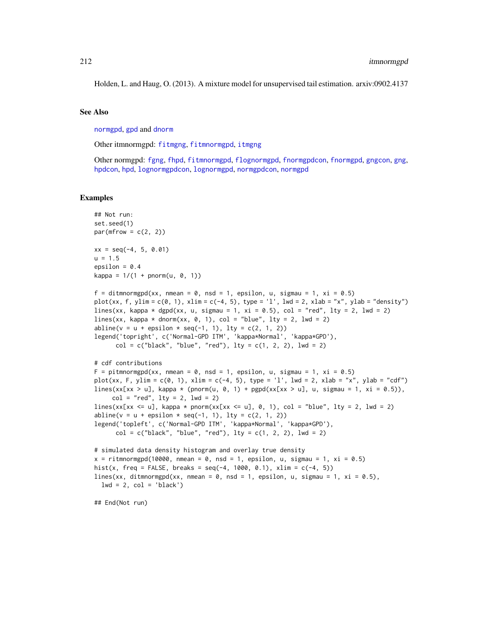Holden, L. and Haug, O. (2013). A mixture model for unsupervised tail estimation. arxiv:0902.4137

#### See Also

[normgpd](#page-250-1), [gpd](#page-190-0) and [dnorm](#page-0-0)

Other itmnormgpd: [fitmgng](#page-95-0), [fitmnormgpd](#page-99-0), [itmgng](#page-205-0)

Other normgpd: [fgng](#page-75-0), [fhpd](#page-88-0), [fitmnormgpd](#page-99-0), [flognormgpd](#page-121-0), [fnormgpdcon](#page-148-0), [fnormgpd](#page-142-0), [gngcon](#page-186-0), [gng](#page-183-1), [hpdcon](#page-200-0), [hpd](#page-197-0), [lognormgpdcon](#page-235-0), [lognormgpd](#page-232-0), [normgpdcon](#page-253-0), [normgpd](#page-250-1)

## Examples

```
## Not run:
set.seed(1)
par(mfrow = c(2, 2))xx = seq(-4, 5, 0.01)u = 1.5epsilon = 0.4kappa = 1/(1 + pnorm(u, 0, 1))f = ditmnormgpd(xx, nmean = 0, nsd = 1, epsilon, u, sigmau = 1, xi = 0.5)
plot(xx, f, ylim = c(0, 1), xlim = c(-4, 5), type = 'l', lwd = 2, xlab = "x", ylab = "density")
lines(xx, kappa * dgpd(xx, u, sigmau = 1, xi = 0.5), col = "red", lty = 2, lwd = 2)
lines(xx, kappa * dnorm(xx, 0, 1), col = "blue", lty = 2, lwd = 2)
abline(v = u + epsilon * seq(-1, 1), lty = c(2, 1, 2))legend('topright', c('Normal-GPD ITM', 'kappa*Normal', 'kappa*GPD'),
      col = c("black", "blue", "red"), \; lty = c(1, 2, 2), \; lwd = 2)# cdf contributions
F = pitmnormgpd(xx, nmean = 0, nsd = 1, epsilon, u, sigmau = 1, xi = 0.5)
plot(xx, F, ylim = c(0, 1), xlim = c(-4, 5), type = 'l', lwd = 2, xlab = "x", ylab = "cdf")
lines(xx[xx > u], kappa * (pnorm(u, 0, 1) + pgpd(xx[xx > u], u, sigmau = 1, xi = 0.5)),
     col = "red", \; lty = 2, \; lwd = 2)lines(xx[xx <= u], kappa * pnorm(xx[xx <= u], 0, 1), col = "blue", lty = 2, lwd = 2)
abline(v = u + epsilon * seq(-1, 1), lty = c(2, 1, 2))legend('topleft', c('Normal-GPD ITM', 'kappa*Normal', 'kappa*GPD'),
      col = c("black", "blue", "red"), \; lty = c(1, 2, 2), \; lwd = 2)# simulated data density histogram and overlay true density
x = ritmnormgpd(10000, nmean = 0, nsd = 1, epsilon, u, sigmau = 1, xi = 0.5)
hist(x, freq = FALSE, breaks = seq(-4, 1000, 0.1), xlim = c(-4, 5))
lines(xx, ditmnormgpd(xx, nmean = 0, nsd = 1, epsilon, u, sigmau = 1, xi = 0.5),
  lwd = 2, col = 'black')
```
## End(Not run)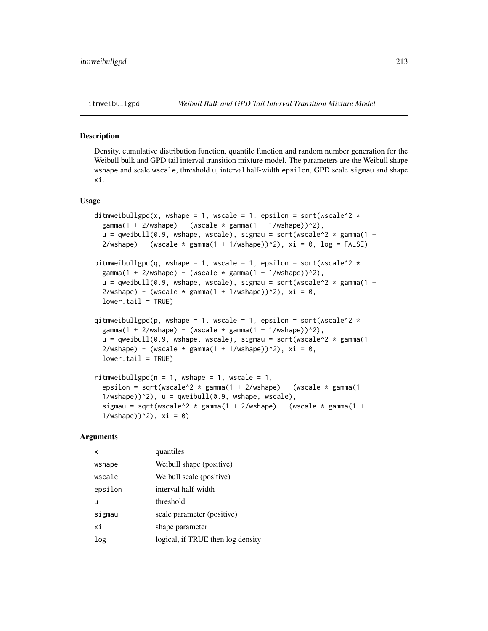## <span id="page-212-0"></span>Description

Density, cumulative distribution function, quantile function and random number generation for the Weibull bulk and GPD tail interval transition mixture model. The parameters are the Weibull shape wshape and scale wscale, threshold u, interval half-width epsilon, GPD scale sigmau and shape xi.

## Usage

```
ditmweibullgpd(x, wshape = 1, wscale = 1, epsilon = sqrt(wscale^2 \stargamma(1 + 2/wshape) - (wscale * gamma(1 + 1/wshape))^2),
  u = qweibull(0.9, wshape, wscale), sigmau = sqrt(wscale^2 * gamma(1 +
  2/wshape) - (wscale * gamma(1 + 1/wshape))^2), xi = 0, log = FALSE)pitmweibullgpd(q, wshape = 1, wscale = 1, epsilon = sqrt(wscale^2 *gamma(1 + 2/wshape) - (wscale * gamma(1 + 1/wshape))^2),
  u = qweibull(0.9, wshape, wscale), sigmau = sqrt(wscale^2 * gamma(1 +
  2/wshape) - (wscale * gamma(1 + 1/wshape))^2), xi = 0,
  lower.tail = TRUE)
qitmweibullgpd(p, wshape = 1, wscale = 1, epsilon = sqrt(wscale^2 *gamma(1 + 2/wshape) - (wscale * gamma(1 + 1/wshape))^2),
  u = qweibull(0.9, wshape, wscale), sigmau = sqrt(wscale^2 * gamma(1 +
  2/wshape) - (wscale * gamma(1 + 1/wshape))^2), xi = 0,
  lower.tail = TRUE)
ritmweibullgpd(n = 1, wshape = 1, wscale = 1,
  epsilon = sqrt(wscale^2 * gamma(1 + 2/wshape) - (wscale * gamma(1 +
  1/wshape))^2), u = qweibull(0.9, wshape, wscale),
  sigmau = sqrt(wscale^2 * gamma(1 + 2/wshape) - (wscale * gamma(1 +
```
#### Arguments

| x       | quantiles                         |
|---------|-----------------------------------|
| wshape  | Weibull shape (positive)          |
| wscale  | Weibull scale (positive)          |
| epsilon | interval half-width               |
| u       | threshold                         |
| sigmau  | scale parameter (positive)        |
| хi      | shape parameter                   |
| log     | logical, if TRUE then log density |

 $1/wshape)$ )^2), xi = 0)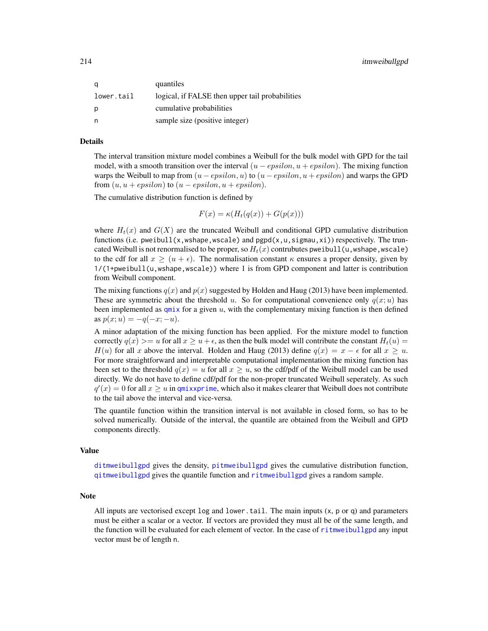| a          | quantiles                                       |
|------------|-------------------------------------------------|
| lower.tail | logical, if FALSE then upper tail probabilities |
| p          | cumulative probabilities                        |
| n          | sample size (positive integer)                  |

## Details

The interval transition mixture model combines a Weibull for the bulk model with GPD for the tail model, with a smooth transition over the interval  $(u - epsilon, u + epsilon)$ . The mixing function warps the Weibull to map from  $(u - epsilon, u)$  to  $(u - epsilon, u + epsilon)$  and warps the GPD from  $(u, u + epsilon)$  to  $(u - epsilon, u + epsilon)$ .

The cumulative distribution function is defined by

$$
F(x) = \kappa(H_t(q(x)) + G(p(x)))
$$

where  $H_t(x)$  and  $G(X)$  are the truncated Weibull and conditional GPD cumulative distribution functions (i.e. pweibull(x,wshape,wscale) and  $pgpd(x, u, sigmau, xi)$ ) respectively. The truncated Weibull is not renormalised to be proper, so  $H_t(x)$  contrubutes pweibull(u, wshape, wscale) to the cdf for all  $x \ge (u + \epsilon)$ . The normalisation constant  $\kappa$  ensures a proper density, given by 1/(1+pweibull(u,wshape,wscale)) where 1 is from GPD component and latter is contribution from Weibull component.

The mixing functions  $q(x)$  and  $p(x)$  suggested by Holden and Haug (2013) have been implemented. These are symmetric about the threshold u. So for computational convenience only  $q(x; u)$  has been implemented as  $qmix$  for a given  $u$ , with the complementary mixing function is then defined as  $p(x; u) = -q(-x; -u)$ .

A minor adaptation of the mixing function has been applied. For the mixture model to function correctly  $q(x) > = u$  for all  $x \ge u + \epsilon$ , as then the bulk model will contribute the constant  $H_t(u) =$  $H(u)$  for all x above the interval. Holden and Haug (2013) define  $q(x) = x - \epsilon$  for all  $x \ge u$ . For more straightforward and interpretable computational implementation the mixing function has been set to the threshold  $q(x) = u$  for all  $x > u$ , so the cdf/pdf of the Weibull model can be used directly. We do not have to define cdf/pdf for the non-proper truncated Weibull seperately. As such  $q'(x) = 0$  for all  $x \ge u$  in [qmixxprime](#page-0-0), which also it makes clearer that Weibull does not contribute to the tail above the interval and vice-versa.

The quantile function within the transition interval is not available in closed form, so has to be solved numerically. Outside of the interval, the quantile are obtained from the Weibull and GPD components directly.

## Value

[ditmweibullgpd](#page-212-0) gives the density, [pitmweibullgpd](#page-212-0) gives the cumulative distribution function, [qitmweibullgpd](#page-212-0) gives the quantile function and [ritmweibullgpd](#page-212-0) gives a random sample.

#### **Note**

All inputs are vectorised except  $log$  and lower, tail. The main inputs  $(x, p, o, q)$  and parameters must be either a scalar or a vector. If vectors are provided they must all be of the same length, and the function will be evaluated for each element of vector. In the case of [ritmweibullgpd](#page-212-0) any input vector must be of length n.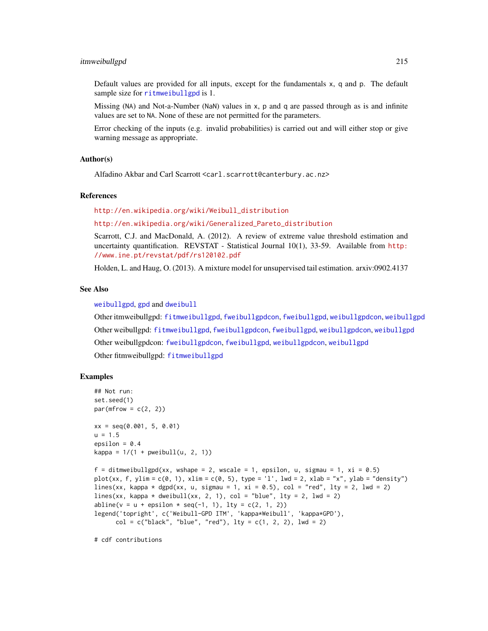#### itmweibullgpd 215

Default values are provided for all inputs, except for the fundamentals x, q and p. The default sample size for [ritmweibullgpd](#page-212-0) is 1.

Missing (NA) and Not-a-Number (NaN) values in x, p and q are passed through as is and infinite values are set to NA. None of these are not permitted for the parameters.

Error checking of the inputs (e.g. invalid probabilities) is carried out and will either stop or give warning message as appropriate.

#### Author(s)

Alfadino Akbar and Carl Scarrott <carl.scarrott@canterbury.ac.nz>

## References

[http://en.wikipedia.org/wiki/Weibull\\_distribution](http://en.wikipedia.org/wiki/Weibull_distribution)

[http://en.wikipedia.org/wiki/Generalized\\_Pareto\\_distribution](http://en.wikipedia.org/wiki/Generalized_Pareto_distribution)

Scarrott, C.J. and MacDonald, A. (2012). A review of extreme value threshold estimation and uncertainty quantification. REVSTAT - Statistical Journal 10(1), 33-59. Available from [http:](http://www.ine.pt/revstat/pdf/rs120102.pdf) [//www.ine.pt/revstat/pdf/rs120102.pdf](http://www.ine.pt/revstat/pdf/rs120102.pdf)

Holden, L. and Haug, O. (2013). A mixture model for unsupervised tail estimation. arxiv:0902.4137

# See Also

[weibullgpd](#page-269-0), [gpd](#page-190-0) and [dweibull](#page-0-0)

Other itmweibullgpd: [fitmweibullgpd](#page-103-0), [fweibullgpdcon](#page-164-0), [fweibullgpd](#page-160-0), [weibullgpdcon](#page-272-0), [weibullgpd](#page-269-0) Other weibullgpd: [fitmweibullgpd](#page-103-0), [fweibullgpdcon](#page-164-0), [fweibullgpd](#page-160-0), [weibullgpdcon](#page-272-0), [weibullgpd](#page-269-0) Other weibullgpdcon: [fweibullgpdcon](#page-164-0), [fweibullgpd](#page-160-0), [weibullgpdcon](#page-272-0), [weibullgpd](#page-269-0) Other fitmweibullgpd: [fitmweibullgpd](#page-103-0)

## Examples

```
## Not run:
set.seed(1)
par(mfrow = c(2, 2))xx = \text{seq}(0.001, 5, 0.01)u = 1.5epsilon = 0.4kappa = 1/(1 + pweibull(u, 2, 1))f = ditmweibullgpd(xx, wshape = 2, wscale = 1, epsilon, u, sigmau = 1, xi = 0.5)
plot(xx, f, ylim = c(0, 1), xlim = c(0, 5), type = 'l', lwd = 2, xlab = "x", ylab = "density")
lines(xx, kappa * dgpd(xx, u, sigmau = 1, xi = 0.5), col = "red", lty = 2, lwd = 2)
lines(xx, kappa * dweibull(xx, 2, 1), col = "blue", lty = 2, lwd = 2)
abline(v = u + epsilon * seq(-1, 1), lty = c(2, 1, 2))legend('topright', c('Weibull-GPD ITM', 'kappa*Weibull', 'kappa*GPD'),
      col = c("black", "blue", "red"), \; lty = c(1, 2, 2), \; lwd = 2)
```
# cdf contributions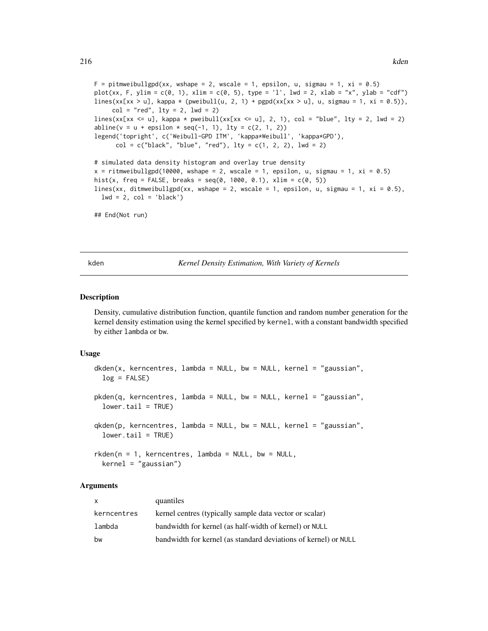$F =$  pitmweibullgpd(xx, wshape = 2, wscale = 1, epsilon, u, sigmau = 1, xi = 0.5) plot(xx, F, ylim = c(0, 1), xlim = c(0, 5), type = 'l', lwd = 2, xlab = "x", ylab = "cdf") lines(xx[xx > u], kappa \* (pweibull(u, 2, 1) + pgpd(xx[xx > u], u, sigmau = 1, xi = 0.5)),  $col = "red", \, lty = 2, \, lwd = 2)$ lines(xx[xx <= u], kappa \* pweibull(xx[xx <= u], 2, 1), col = "blue", lty = 2, lwd = 2)  $abline(v = u + epsilon * seq(-1, 1), lty = c(2, 1, 2))$ legend('topright', c('Weibull-GPD ITM', 'kappa\*Weibull', 'kappa\*GPD'),  $col = c("black", "blue", "red"), \; lty = c(1, 2, 2), \; lwd = 2)$ # simulated data density histogram and overlay true density  $x =$  ritmweibullgpd(10000, wshape = 2, wscale = 1, epsilon, u, sigmau = 1,  $xi = 0.5$ ) hist(x, freq = FALSE, breaks =  $seq(0, 1000, 0.1)$ , xlim =  $c(0, 5)$ ) lines(xx, ditmweibullgpd(xx, wshape = 2, wscale = 1, epsilon, u, sigmau = 1, xi = 0.5),  $lwd = 2$ ,  $col = 'black')$ 

```
## End(Not run)
```
<span id="page-215-1"></span>

kden *Kernel Density Estimation, With Variety of Kernels*

#### <span id="page-215-0"></span>Description

Density, cumulative distribution function, quantile function and random number generation for the kernel density estimation using the kernel specified by kernel, with a constant bandwidth specified by either lambda or bw.

## Usage

```
dkden(x, kerncentres, lambda = NULL, bw = NULL, kernel = "gaussian",
  log = FALSE)
pkden(q, kerncentres, lambda = NULL, bw = NULL, kernel = "gaussian",
  lower.tail = TRUE)
qkden(p, kerncentres, lambda = NULL, bw = NULL, kernel = "gaussian",
  lower.tail = TRUE)
rkden(n = 1, kerncentres, lambda = NULL, bw = NULL,kernel = "gaussian")
```
## Arguments

| X           | quantiles                                                       |
|-------------|-----------------------------------------------------------------|
| kerncentres | kernel centres (typically sample data vector or scalar)         |
| lambda      | bandwidth for kernel (as half-width of kernel) or NULL          |
| bw          | bandwidth for kernel (as standard deviations of kernel) or NULL |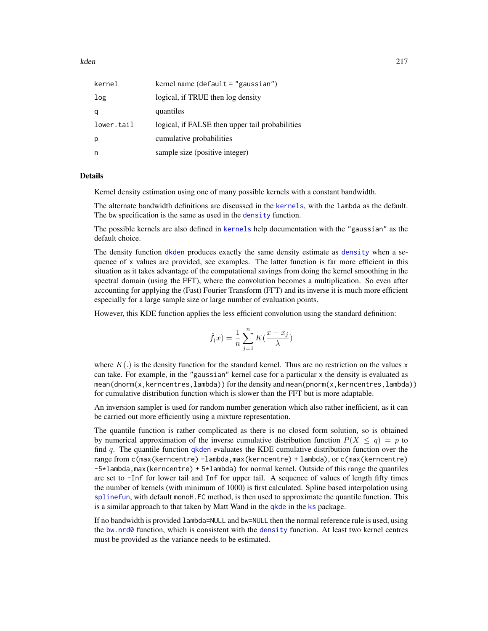kden 217

| kernel     | kernel name (default = "gaussian")              |
|------------|-------------------------------------------------|
| log        | logical, if TRUE then log density               |
| a          | quantiles                                       |
| lower.tail | logical, if FALSE then upper tail probabilities |
| р          | cumulative probabilities                        |
| n          | sample size (positive integer)                  |

# Details

Kernel density estimation using one of many possible kernels with a constant bandwidth.

The alternate bandwidth definitions are discussed in the [kernels](#page-226-0), with the lambda as the default. The bw specification is the same as used in the [density](#page-0-0) function.

The possible kernels are also defined in [kernels](#page-226-0) help documentation with the "gaussian" as the default choice.

The density function [dkden](#page-215-0) produces exactly the same density estimate as [density](#page-0-0) when a sequence of x values are provided, see examples. The latter function is far more efficient in this situation as it takes advantage of the computational savings from doing the kernel smoothing in the spectral domain (using the FFT), where the convolution becomes a multiplication. So even after accounting for applying the (Fast) Fourier Transform (FFT) and its inverse it is much more efficient especially for a large sample size or large number of evaluation points.

However, this KDE function applies the less efficient convolution using the standard definition:

$$
\hat{f}(x) = \frac{1}{n} \sum_{j=1}^{n} K(\frac{x - x_j}{\lambda})
$$

where  $K(.)$  is the density function for the standard kernel. Thus are no restriction on the values x can take. For example, in the "gaussian" kernel case for a particular x the density is evaluated as mean(dnorm(x,kerncentres,lambda)) for the density and mean(pnorm(x,kerncentres,lambda)) for cumulative distribution function which is slower than the FFT but is more adaptable.

An inversion sampler is used for random number generation which also rather inefficient, as it can be carried out more efficiently using a mixture representation.

The quantile function is rather complicated as there is no closed form solution, so is obtained by numerical approximation of the inverse cumulative distribution function  $P(X \le q) = p$  to find  $q$ . The quantile function [qkden](#page-215-0) evaluates the KDE cumulative distribution function over the range from c(max(kerncentre) -lambda,max(kerncentre) + lambda), or c(max(kerncentre) -5\*lambda,max(kerncentre) + 5\*lambda) for normal kernel. Outside of this range the quantiles are set to -Inf for lower tail and Inf for upper tail. A sequence of values of length fifty times the number of kernels (with minimum of 1000) is first calculated. Spline based interpolation using [splinefun](#page-0-0), with default monoH.FC method, is then used to approximate the quantile function. This is a similar approach to that taken by Matt Wand in the [qkde](#page-0-0) in the [ks](#page-0-0) package.

If no bandwidth is provided lambda=NULL and bw=NULL then the normal reference rule is used, using the bw.nrd $\emptyset$  function, which is consistent with the [density](#page-0-0) function. At least two kernel centres must be provided as the variance needs to be estimated.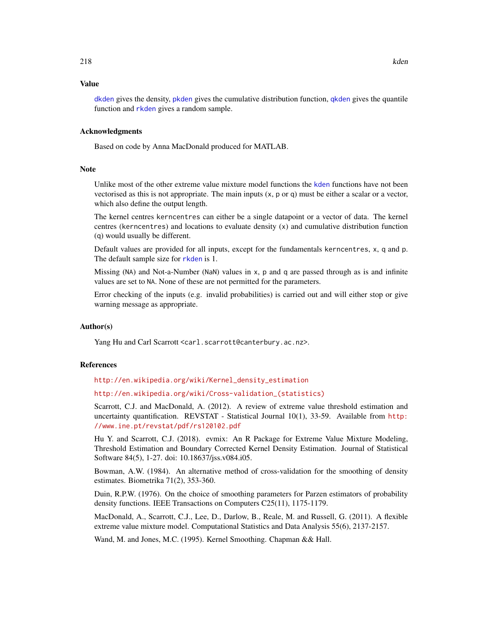#### Value

[dkden](#page-215-0) gives the density, [pkden](#page-215-0) gives the cumulative distribution function, [qkden](#page-215-0) gives the quantile function and [rkden](#page-215-0) gives a random sample.

### Acknowledgments

Based on code by Anna MacDonald produced for MATLAB.

#### **Note**

Unlike most of the other extreme value mixture model functions the [kden](#page-215-1) functions have not been vectorised as this is not appropriate. The main inputs  $(x, p, o, q)$  must be either a scalar or a vector, which also define the output length.

The kernel centres kerncentres can either be a single datapoint or a vector of data. The kernel centres (kerncentres) and locations to evaluate density (x) and cumulative distribution function (q) would usually be different.

Default values are provided for all inputs, except for the fundamentals kerncentres, x, q and p. The default sample size for [rkden](#page-215-0) is 1.

Missing (NA) and Not-a-Number (NaN) values in x, p and q are passed through as is and infinite values are set to NA. None of these are not permitted for the parameters.

Error checking of the inputs (e.g. invalid probabilities) is carried out and will either stop or give warning message as appropriate.

# Author(s)

Yang Hu and Carl Scarrott <carl.scarrott@canterbury.ac.nz>.

#### References

[http://en.wikipedia.org/wiki/Kernel\\_density\\_estimation](http://en.wikipedia.org/wiki/Kernel_density_estimation)

[http://en.wikipedia.org/wiki/Cross-validation\\_\(statistics\)](http://en.wikipedia.org/wiki/Cross-validation_(statistics))

Scarrott, C.J. and MacDonald, A. (2012). A review of extreme value threshold estimation and uncertainty quantification. REVSTAT - Statistical Journal 10(1), 33-59. Available from [http:](http://www.ine.pt/revstat/pdf/rs120102.pdf) [//www.ine.pt/revstat/pdf/rs120102.pdf](http://www.ine.pt/revstat/pdf/rs120102.pdf)

Hu Y. and Scarrott, C.J. (2018). evmix: An R Package for Extreme Value Mixture Modeling, Threshold Estimation and Boundary Corrected Kernel Density Estimation. Journal of Statistical Software 84(5), 1-27. doi: 10.18637/jss.v084.i05.

Bowman, A.W. (1984). An alternative method of cross-validation for the smoothing of density estimates. Biometrika 71(2), 353-360.

Duin, R.P.W. (1976). On the choice of smoothing parameters for Parzen estimators of probability density functions. IEEE Transactions on Computers C25(11), 1175-1179.

MacDonald, A., Scarrott, C.J., Lee, D., Darlow, B., Reale, M. and Russell, G. (2011). A flexible extreme value mixture model. Computational Statistics and Data Analysis 55(6), 2137-2157.

Wand, M. and Jones, M.C. (1995). Kernel Smoothing. Chapman && Hall.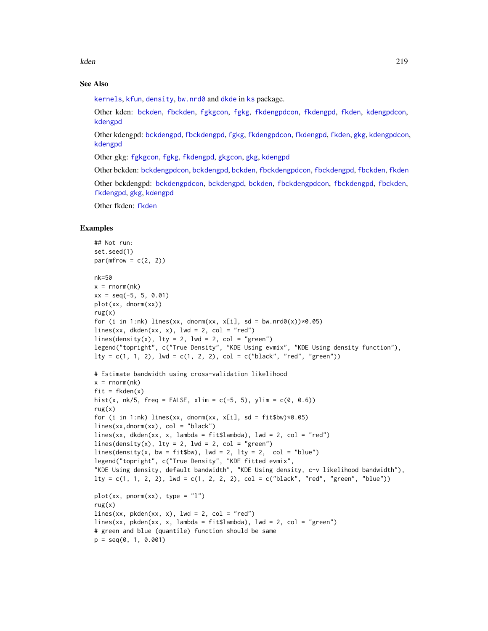kden 219

# See Also

[kernels](#page-226-0), [kfun](#page-229-0), [density](#page-0-0), [bw.nrd0](#page-0-0) and [dkde](#page-0-0) in [ks](#page-0-0) package.

Other kden: [bckden](#page-3-0), [fbckden](#page-32-0), [fgkgcon](#page-70-0), [fgkg](#page-65-0), [fkdengpdcon](#page-116-0), [fkdengpd](#page-112-0), [fkden](#page-106-0), [kdengpdcon](#page-223-0), [kdengpd](#page-219-0)

Other kdengpd: [bckdengpd](#page-8-0), [fbckdengpd](#page-37-0), [fgkg](#page-65-0), [fkdengpdcon](#page-116-0), [fkdengpd](#page-112-0), [fkden](#page-106-0), [gkg](#page-174-0), [kdengpdcon](#page-223-0), [kdengpd](#page-219-0)

Other gkg: [fgkgcon](#page-70-0), [fgkg](#page-65-0), [fkdengpd](#page-112-0), [gkgcon](#page-178-0), [gkg](#page-174-0), [kdengpd](#page-219-0)

Other bckden: [bckdengpdcon](#page-13-0), [bckdengpd](#page-8-0), [bckden](#page-3-0), [fbckdengpdcon](#page-42-0), [fbckdengpd](#page-37-0), [fbckden](#page-32-0), [fkden](#page-106-0)

Other bckdengpd: [bckdengpdcon](#page-13-0), [bckdengpd](#page-8-0), [bckden](#page-3-0), [fbckdengpdcon](#page-42-0), [fbckdengpd](#page-37-0), [fbckden](#page-32-0), [fkdengpd](#page-112-0), [gkg](#page-174-0), [kdengpd](#page-219-0)

Other fkden: [fkden](#page-106-0)

# Examples

```
## Not run:
set.seed(1)
par(mfrow = c(2, 2))nk=50
x = \text{norm}(nk)xx = seq(-5, 5, 0.01)plot(xx, dnorm(xx))
rug(x)for (i in 1:nk) lines(xx, dnorm(xx, x[i], sd = bw.nrd0(x))*0.05)
lines(xx, dkden(xx, x), lwd = 2, col = "red")
lines(density(x), lty = 2, lwd = 2, col = "green")legend("topright", c("True Density", "KDE Using evmix", "KDE Using density function"),
lty = c(1, 1, 2), lwd = c(1, 2, 2), col = c("black", "red", "green")# Estimate bandwidth using cross-validation likelihood
x = \text{norm}(nk)fit = fkden(x)hist(x, nk/5, freq = FALSE, xlim = c(-5, 5), ylim = c(0, 0.6))
rug(x)for (i in 1:nk) lines(xx, dnorm(xx, x[i], sd = fit$bw)*0.05)
lines(xx,donorm(xx), col = "black")lines(xx, dkden(xx, x, lambda = fit$lambda), lwd = 2, col = "red")
lines(density(x), lty = 2, lwd = 2, col = "green")lines(density(x, bw = fit$bw), lwd = 2, lty = 2, col = "blue")
legend("topright", c("True Density", "KDE fitted evmix",
"KDE Using density, default bandwidth", "KDE Using density, c-v likelihood bandwidth"),
lty = c(1, 1, 2, 2), lwd = c(1, 2, 2, 2), col = c("black", "red", "green", "blue"))plot(xx, pronorm(xx), type = "1")rug(x)
lines(xx, pkden(xx, x), lwd = 2, col = "red")lines(xx, pkden(xx, x, lambda = fit$lambda), lwd = 2, col = "green")
# green and blue (quantile) function should be same
p = seq(0, 1, 0.001)
```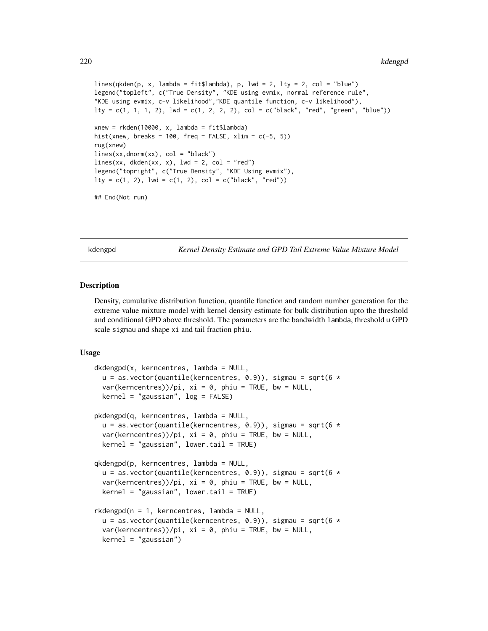```
lines(qkden(p, x, lambda = fit$lambda), p, lwd = 2, lty = 2, col = "blue")
legend("topleft", c("True Density", "KDE using evmix, normal reference rule",
"KDE using evmix, c-v likelihood","KDE quantile function, c-v likelihood"),
lty = c(1, 1, 1, 2), lwd = c(1, 2, 2, 2), col = c("black", "red", "green", "blue"))xnew = rkden(10000, x, lambda = fit$lambda)
hist(xnew, breaks = 100, freq = FALSE, xlim = c(-5, 5))
rug(xnew)
lines(xx,dnorm(xx), col = "black")
lines(xx, dkden(xx, x), lwd = 2, col = "red")
legend("topright", c("True Density", "KDE Using evmix"),
lty = c(1, 2), lwd = c(1, 2), col = c("black", "red"))
## End(Not run)
```
<span id="page-219-0"></span>kdengpd *Kernel Density Estimate and GPD Tail Extreme Value Mixture Model*

# <span id="page-219-1"></span>Description

Density, cumulative distribution function, quantile function and random number generation for the extreme value mixture model with kernel density estimate for bulk distribution upto the threshold and conditional GPD above threshold. The parameters are the bandwidth lambda, threshold u GPD scale sigmau and shape xi and tail fraction phiu.

#### Usage

```
dkdengpd(x, kerncentres, lambda = NULL,
  u = as.vector(quantile(kerncentres, 0.9)), sigma = sqrt(6 *var(kerncentres))/pi, xi = 0, phiu = TRUE, bw = NULL,
 kernel = "gaussian", log = FALSE)
pkdengpd(q, kerncentres, lambda = NULL,
  u = as.vector(quantile(kerncentres, 0.9)), sigma = sqrt(6 *var(kerncentres))/pi, xi = 0, phiu = TRUE, bw = NULL,
 kernel = "gaussian", lower.tail = TRUE)
qkdengpd(p, kerncentres, lambda = NULL,
 u = as.vector(quantile(kerncentres, 0.9)), sigma = sqrt(6 *var(kerncentres))/pi, xi = 0, phiu = TRUE, bw = NULL,
 kernel = "gaussian", lower.tail = TRUE)
rkdengpd(n = 1, kerncentres, lambda = NULL,
  u = as.vector(quantile(kerncentres, 0.9)), sigma = sqrt(6 *var(kerncentres))/pi, xi = 0, phi = TRUE, bw = NULL,
 kernel = "gaussian")
```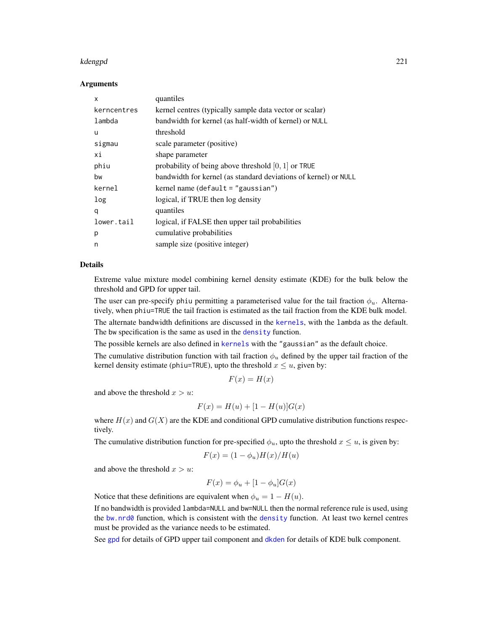#### kdengpd 221

#### Arguments

| x           | quantiles                                                       |
|-------------|-----------------------------------------------------------------|
| kerncentres | kernel centres (typically sample data vector or scalar)         |
| lambda      | bandwidth for kernel (as half-width of kernel) or NULL          |
| u           | threshold                                                       |
| sigmau      | scale parameter (positive)                                      |
| хi          | shape parameter                                                 |
| phiu        | probability of being above threshold $[0, 1]$ or TRUE           |
| bw          | bandwidth for kernel (as standard deviations of kernel) or NULL |
| kernel      | kernel name (default $=$ "gaussian")                            |
| log         | logical, if TRUE then log density                               |
| q           | quantiles                                                       |
| lower.tail  | logical, if FALSE then upper tail probabilities                 |
| p           | cumulative probabilities                                        |
| n           | sample size (positive integer)                                  |

#### Details

Extreme value mixture model combining kernel density estimate (KDE) for the bulk below the threshold and GPD for upper tail.

The user can pre-specify phiu permitting a parameterised value for the tail fraction  $\phi_u$ . Alternatively, when phiu=TRUE the tail fraction is estimated as the tail fraction from the KDE bulk model.

The alternate bandwidth definitions are discussed in the [kernels](#page-226-0), with the lambda as the default. The bw specification is the same as used in the [density](#page-0-0) function.

The possible kernels are also defined in [kernels](#page-226-0) with the "gaussian" as the default choice.

The cumulative distribution function with tail fraction  $\phi_u$  defined by the upper tail fraction of the kernel density estimate (phiu=TRUE), upto the threshold  $x \leq u$ , given by:

$$
F(x) = H(x)
$$

and above the threshold  $x > u$ :

$$
F(x) = H(u) + [1 - H(u)]G(x)
$$

where  $H(x)$  and  $G(X)$  are the KDE and conditional GPD cumulative distribution functions respectively.

The cumulative distribution function for pre-specified  $\phi_u$ , upto the threshold  $x \leq u$ , is given by:

$$
F(x) = (1 - \phi_u)H(x)/H(u)
$$

and above the threshold  $x > u$ :

$$
F(x) = \phi_u + [1 - \phi_u]G(x)
$$

Notice that these definitions are equivalent when  $\phi_u = 1 - H(u)$ .

If no bandwidth is provided lambda=NULL and bw=NULL then the normal reference rule is used, using the [bw.nrd0](#page-0-0) function, which is consistent with the [density](#page-0-0) function. At least two kernel centres must be provided as the variance needs to be estimated.

See [gpd](#page-190-0) for details of GPD upper tail component and [dkden](#page-215-0) for details of KDE bulk component.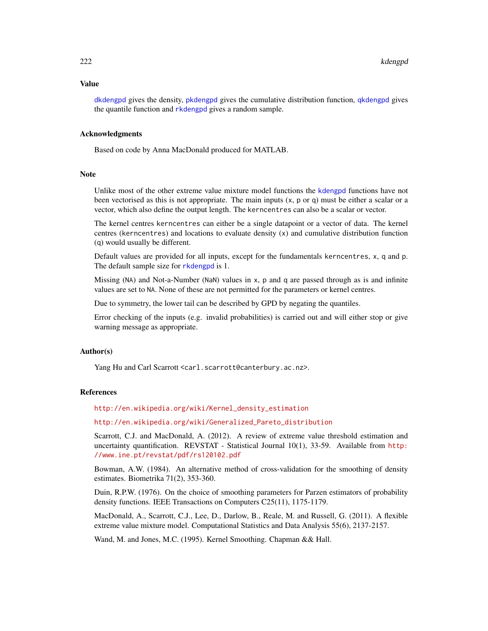#### Value

[dkdengpd](#page-219-1) gives the density, [pkdengpd](#page-219-1) gives the cumulative distribution function, [qkdengpd](#page-219-1) gives the quantile function and [rkdengpd](#page-219-1) gives a random sample.

#### Acknowledgments

Based on code by Anna MacDonald produced for MATLAB.

#### **Note**

Unlike most of the other extreme value mixture model functions the [kdengpd](#page-219-0) functions have not been vectorised as this is not appropriate. The main inputs (x, p or q) must be either a scalar or a vector, which also define the output length. The kerncentres can also be a scalar or vector.

The kernel centres kerncentres can either be a single datapoint or a vector of data. The kernel centres (kerncentres) and locations to evaluate density (x) and cumulative distribution function (q) would usually be different.

Default values are provided for all inputs, except for the fundamentals kerncentres, x, q and p. The default sample size for [rkdengpd](#page-219-1) is 1.

Missing (NA) and Not-a-Number (NaN) values in x, p and q are passed through as is and infinite values are set to NA. None of these are not permitted for the parameters or kernel centres.

Due to symmetry, the lower tail can be described by GPD by negating the quantiles.

Error checking of the inputs (e.g. invalid probabilities) is carried out and will either stop or give warning message as appropriate.

# Author(s)

Yang Hu and Carl Scarrott <carl.scarrott@canterbury.ac.nz>.

# References

[http://en.wikipedia.org/wiki/Kernel\\_density\\_estimation](http://en.wikipedia.org/wiki/Kernel_density_estimation)

[http://en.wikipedia.org/wiki/Generalized\\_Pareto\\_distribution](http://en.wikipedia.org/wiki/Generalized_Pareto_distribution)

Scarrott, C.J. and MacDonald, A. (2012). A review of extreme value threshold estimation and uncertainty quantification. REVSTAT - Statistical Journal 10(1), 33-59. Available from [http:](http://www.ine.pt/revstat/pdf/rs120102.pdf) [//www.ine.pt/revstat/pdf/rs120102.pdf](http://www.ine.pt/revstat/pdf/rs120102.pdf)

Bowman, A.W. (1984). An alternative method of cross-validation for the smoothing of density estimates. Biometrika 71(2), 353-360.

Duin, R.P.W. (1976). On the choice of smoothing parameters for Parzen estimators of probability density functions. IEEE Transactions on Computers C25(11), 1175-1179.

MacDonald, A., Scarrott, C.J., Lee, D., Darlow, B., Reale, M. and Russell, G. (2011). A flexible extreme value mixture model. Computational Statistics and Data Analysis 55(6), 2137-2157.

Wand, M. and Jones, M.C. (1995). Kernel Smoothing. Chapman && Hall.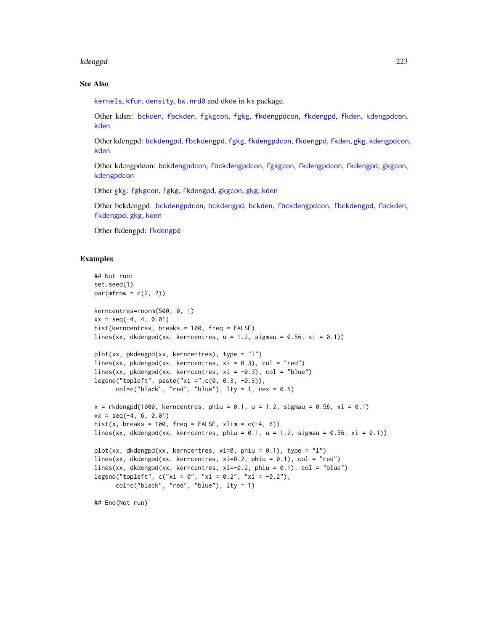#### kdengpd 223

# See Also

[kernels](#page-226-0), [kfun](#page-229-0), [density](#page-0-0), [bw.nrd0](#page-0-0) and [dkde](#page-0-0) in [ks](#page-0-0) package.

Other kden: [bckden](#page-3-0), [fbckden](#page-32-0), [fgkgcon](#page-70-0), [fgkg](#page-65-0), [fkdengpdcon](#page-116-0), [fkdengpd](#page-112-0), [fkden](#page-106-0), [kdengpdcon](#page-223-0), [kden](#page-215-1)

Other kdengpd: [bckdengpd](#page-8-0), [fbckdengpd](#page-37-0), [fgkg](#page-65-0), [fkdengpdcon](#page-116-0), [fkdengpd](#page-112-0), [fkden](#page-106-0), [gkg](#page-174-0), [kdengpdcon](#page-223-0), [kden](#page-215-1)

Other kdengpdcon: [bckdengpdcon](#page-13-0), [fbckdengpdcon](#page-42-0), [fgkgcon](#page-70-0), [fkdengpdcon](#page-116-0), [fkdengpd](#page-112-0), [gkgcon](#page-178-0), [kdengpdcon](#page-223-0)

Other gkg: [fgkgcon](#page-70-0), [fgkg](#page-65-0), [fkdengpd](#page-112-0), [gkgcon](#page-178-0), [gkg](#page-174-0), [kden](#page-215-1)

Other bckdengpd: [bckdengpdcon](#page-13-0), [bckdengpd](#page-8-0), [bckden](#page-3-0), [fbckdengpdcon](#page-42-0), [fbckdengpd](#page-37-0), [fbckden](#page-32-0), [fkdengpd](#page-112-0), [gkg](#page-174-0), [kden](#page-215-1)

Other fkdengpd: [fkdengpd](#page-112-0)

# Examples

```
## Not run:
set.seed(1)
par(mfrow = c(2, 2))kerncentres=rnorm(500, 0, 1)
xx = seq(-4, 4, 0.01)hist(kerncentres, breaks = 100, freq = FALSE)
lines(xx, dkdengpd(xx, kerncentres, u = 1.2, sigmau = 0.56, xi = 0.1))
plot(xx, pkdengpd(xx, kerncentres), type = "l")
lines(xx, pkdengpd(xx, kerncentres, xi = 0.3), col = "red")
lines(xx, pkdengpd(xx, kerncentres, xi = -0.3), col = "blue")
legend("topleft", paste("xi =",c(0, 0.3, -0.3)),
      col=c("black", "red", "blue"), \; lty = 1, \; cex = 0.5)x = rkdengpd(1000, kerncentres, phiu = 0.1, u = 1.2, sigmau = 0.56, xi = 0.1)
xx = seq(-4, 6, 0.01)hist(x, breaks = 100, freq = FALSE, xlim = c(-4, 6))
lines(xx, dkdengpd(xx, kerncentres, phiu = 0.1, u = 1.2, sigmau = 0.56, xi = 0.1))
plot(xx, dkdengpd(xx, kerncentres, xi=0, phiu = 0.1), type = "l")
lines(xx, dkdengpd(xx, kerncentres, xi=0.2, phiu = 0.1), col = "red")
lines(xx, dkdengpd(xx, kerncentres, xi=-0.2, phiu = 0.1), col = "blue")
legend("topleft", c("xi = 0", "xi = 0.2", "xi = -0.2"),col=c("black", "red", "blue"), lty = 1)
```
## End(Not run)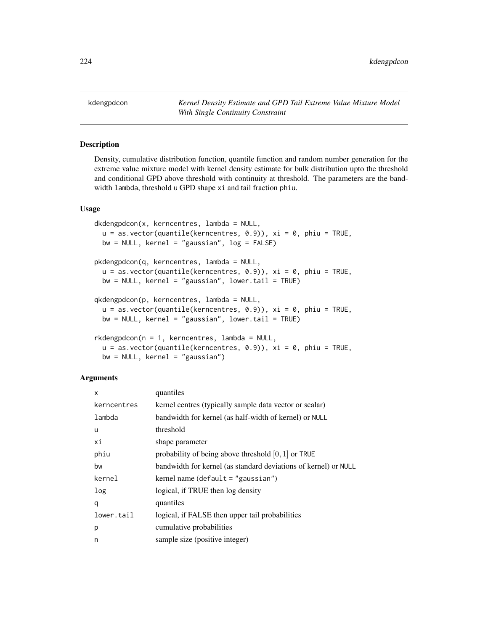<span id="page-223-0"></span>kdengpdcon *Kernel Density Estimate and GPD Tail Extreme Value Mixture Model With Single Continuity Constraint*

# <span id="page-223-1"></span>**Description**

Density, cumulative distribution function, quantile function and random number generation for the extreme value mixture model with kernel density estimate for bulk distribution upto the threshold and conditional GPD above threshold with continuity at threshold. The parameters are the bandwidth lambda, threshold u GPD shape xi and tail fraction phiu.

#### Usage

```
dkdengpdcon(x, kerncentres, lambda = NULL,
 u = as.vector(quantile(kerncentres, 0.9)), xi = 0, phi = TRUE,bw = NULL, kernel = "gaussian", log = FALSE)
pkdengpdcon(q, kerncentres, lambda = NULL,
 u = as.vector(quantile(kerncentres, 0.9)), xi = 0, phi = TRUE,bw = NULL, kernel = "gaussian", lower.tail = TRUE)
qkdengpdcon(p, kerncentres, lambda = NULL,
 u = as.vector(quantile(kerncentres, 0.9)), xi = 0, phi = TRUE,bw = NULL, kernel = "gaussian", lower.tail = TRUE)
rkdengpdcon(n = 1, kerncentres, lambda = NULL,
  u = as.vector(quantile(kerncentres, 0.9)), xi = 0, phi = TRUE,bw = NULL, kernel = "gaussian")
```
### **Arguments**

| X           | quantiles                                                       |
|-------------|-----------------------------------------------------------------|
| kerncentres | kernel centres (typically sample data vector or scalar)         |
| lambda      | bandwidth for kernel (as half-width of kernel) or NULL          |
| u           | threshold                                                       |
| хi          | shape parameter                                                 |
| phiu        | probability of being above threshold $[0, 1]$ or TRUE           |
| bw          | bandwidth for kernel (as standard deviations of kernel) or NULL |
| kernel      | kernel name (default $=$ "gaussian")                            |
| log         | logical, if TRUE then log density                               |
| q           | quantiles                                                       |
| lower.tail  | logical, if FALSE then upper tail probabilities                 |
| p           | cumulative probabilities                                        |
| n           | sample size (positive integer)                                  |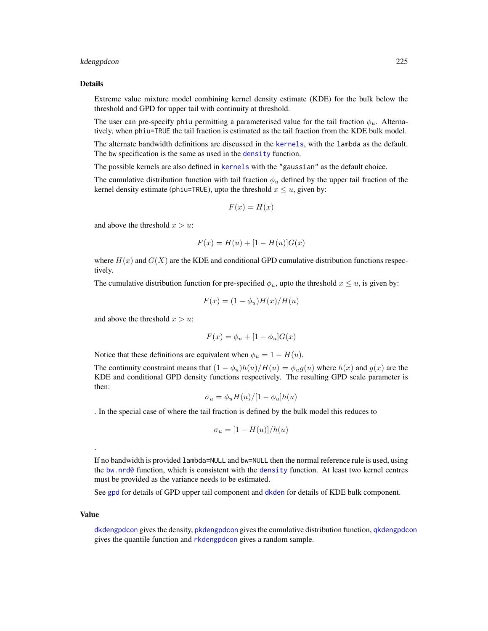# kdengpdcon 225

#### Details

Extreme value mixture model combining kernel density estimate (KDE) for the bulk below the threshold and GPD for upper tail with continuity at threshold.

The user can pre-specify phiu permitting a parameterised value for the tail fraction  $\phi_u$ . Alternatively, when phiu=TRUE the tail fraction is estimated as the tail fraction from the KDE bulk model.

The alternate bandwidth definitions are discussed in the [kernels](#page-226-0), with the lambda as the default. The bw specification is the same as used in the [density](#page-0-0) function.

The possible kernels are also defined in [kernels](#page-226-0) with the "gaussian" as the default choice.

The cumulative distribution function with tail fraction  $\phi_u$  defined by the upper tail fraction of the kernel density estimate (phiu=TRUE), upto the threshold  $x \le u$ , given by:

$$
F(x) = H(x)
$$

and above the threshold  $x > u$ :

$$
F(x) = H(u) + [1 - H(u)]G(x)
$$

where  $H(x)$  and  $G(X)$  are the KDE and conditional GPD cumulative distribution functions respectively.

The cumulative distribution function for pre-specified  $\phi_u$ , upto the threshold  $x \leq u$ , is given by:

$$
F(x) = (1 - \phi_u)H(x)/H(u)
$$

and above the threshold  $x > u$ :

$$
F(x) = \phi_u + [1 - \phi_u]G(x)
$$

Notice that these definitions are equivalent when  $\phi_u = 1 - H(u)$ .

The continuity constraint means that  $(1 - \phi_u)h(u)/H(u) = \phi_u g(u)$  where  $h(x)$  and  $g(x)$  are the KDE and conditional GPD density functions respectively. The resulting GPD scale parameter is then:

$$
\sigma_u = \phi_u H(u) / [1 - \phi_u] h(u)
$$

. In the special case of where the tail fraction is defined by the bulk model this reduces to

$$
\sigma_u = [1 - H(u)]/h(u)
$$

If no bandwidth is provided lambda=NULL and bw=NULL then the normal reference rule is used, using the bw.nrd $\emptyset$  function, which is consistent with the [density](#page-0-0) function. At least two kernel centres must be provided as the variance needs to be estimated.

See [gpd](#page-190-0) for details of GPD upper tail component and [dkden](#page-215-0) for details of KDE bulk component.

#### Value

.

[dkdengpdcon](#page-223-1) gives the density, [pkdengpdcon](#page-223-1) gives the cumulative distribution function, [qkdengpdcon](#page-223-1) gives the quantile function and [rkdengpdcon](#page-223-1) gives a random sample.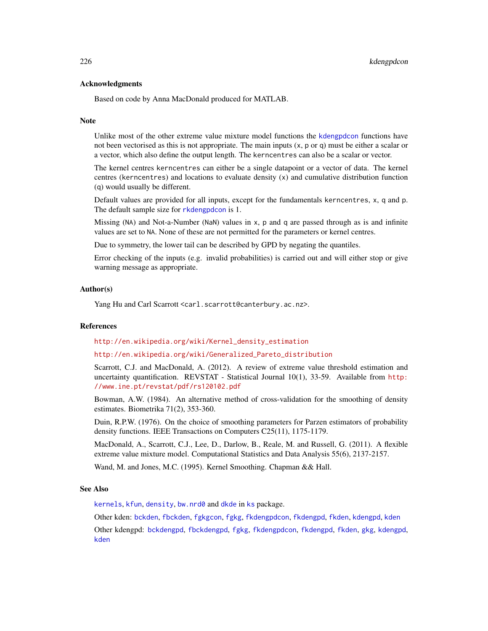#### Acknowledgments

Based on code by Anna MacDonald produced for MATLAB.

#### **Note**

Unlike most of the other extreme value mixture model functions the [kdengpdcon](#page-223-0) functions have not been vectorised as this is not appropriate. The main inputs (x, p or q) must be either a scalar or a vector, which also define the output length. The kerncentres can also be a scalar or vector.

The kernel centres kerncentres can either be a single datapoint or a vector of data. The kernel centres (kerncentres) and locations to evaluate density (x) and cumulative distribution function (q) would usually be different.

Default values are provided for all inputs, except for the fundamentals kerncentres, x, q and p. The default sample size for [rkdengpdcon](#page-223-1) is 1.

Missing (NA) and Not-a-Number (NaN) values in x, p and q are passed through as is and infinite values are set to NA. None of these are not permitted for the parameters or kernel centres.

Due to symmetry, the lower tail can be described by GPD by negating the quantiles.

Error checking of the inputs (e.g. invalid probabilities) is carried out and will either stop or give warning message as appropriate.

### Author(s)

Yang Hu and Carl Scarrott <carl.scarrott@canterbury.ac.nz>.

#### References

[http://en.wikipedia.org/wiki/Kernel\\_density\\_estimation](http://en.wikipedia.org/wiki/Kernel_density_estimation)

[http://en.wikipedia.org/wiki/Generalized\\_Pareto\\_distribution](http://en.wikipedia.org/wiki/Generalized_Pareto_distribution)

Scarrott, C.J. and MacDonald, A. (2012). A review of extreme value threshold estimation and uncertainty quantification. REVSTAT - Statistical Journal 10(1), 33-59. Available from [http:](http://www.ine.pt/revstat/pdf/rs120102.pdf) [//www.ine.pt/revstat/pdf/rs120102.pdf](http://www.ine.pt/revstat/pdf/rs120102.pdf)

Bowman, A.W. (1984). An alternative method of cross-validation for the smoothing of density estimates. Biometrika 71(2), 353-360.

Duin, R.P.W. (1976). On the choice of smoothing parameters for Parzen estimators of probability density functions. IEEE Transactions on Computers C25(11), 1175-1179.

MacDonald, A., Scarrott, C.J., Lee, D., Darlow, B., Reale, M. and Russell, G. (2011). A flexible extreme value mixture model. Computational Statistics and Data Analysis 55(6), 2137-2157.

Wand, M. and Jones, M.C. (1995). Kernel Smoothing. Chapman && Hall.

#### See Also

[kernels](#page-226-0), [kfun](#page-229-0), [density](#page-0-0), [bw.nrd0](#page-0-0) and [dkde](#page-0-0) in [ks](#page-0-0) package.

Other kden: [bckden](#page-3-0), [fbckden](#page-32-0), [fgkgcon](#page-70-0), [fgkg](#page-65-0), [fkdengpdcon](#page-116-0), [fkdengpd](#page-112-0), [fkden](#page-106-0), [kdengpd](#page-219-0), [kden](#page-215-1)

Other kdengpd: [bckdengpd](#page-8-0), [fbckdengpd](#page-37-0), [fgkg](#page-65-0), [fkdengpdcon](#page-116-0), [fkdengpd](#page-112-0), [fkden](#page-106-0), [gkg](#page-174-0), [kdengpd](#page-219-0), [kden](#page-215-1)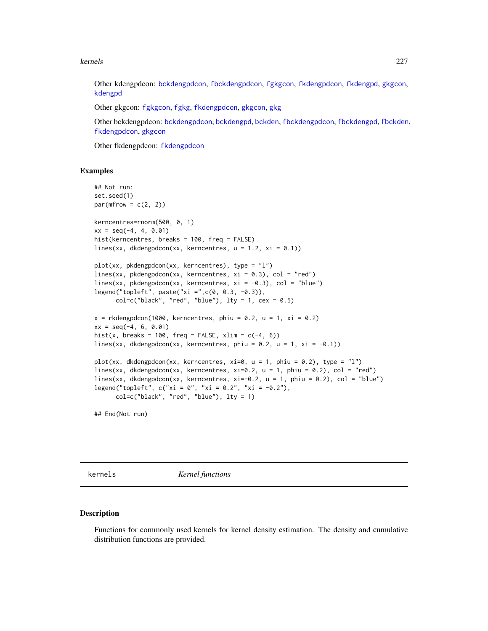#### kernels 227

Other kdengpdcon: [bckdengpdcon](#page-13-0), [fbckdengpdcon](#page-42-0), [fgkgcon](#page-70-0), [fkdengpdcon](#page-116-0), [fkdengpd](#page-112-0), [gkgcon](#page-178-0), [kdengpd](#page-219-0)

Other gkgcon: [fgkgcon](#page-70-0), [fgkg](#page-65-0), [fkdengpdcon](#page-116-0), [gkgcon](#page-178-0), [gkg](#page-174-0)

Other bckdengpdcon: [bckdengpdcon](#page-13-0), [bckdengpd](#page-8-0), [bckden](#page-3-0), [fbckdengpdcon](#page-42-0), [fbckdengpd](#page-37-0), [fbckden](#page-32-0), [fkdengpdcon](#page-116-0), [gkgcon](#page-178-0)

Other fkdengpdcon: [fkdengpdcon](#page-116-0)

### Examples

```
## Not run:
set.seed(1)
par(mfrow = c(2, 2))kerncentres=rnorm(500, 0, 1)
xx = seq(-4, 4, 0.01)hist(kerncentres, breaks = 100, freq = FALSE)
lines(xx, dkdengpdcon(xx, kerncentres, u = 1.2, xi = 0.1))
plot(xx, pkdengpdcon(xx, kerncentres), type = "l")
lines(xx, pkdengpdcon(xx, kerncentres, xi = 0.3), col = "red")
lines(xx, pkdengpdcon(xx, kerncentres, xi = -0.3), col = "blue")
legend("topleft", paste("xi =",c(0, 0.3, -0.3)),
     col=c("black", "red", "blue"), \, 1ty = 1, \, cex = 0.5)x = rkdengpdcon(1000, kerncentres, phiu = 0.2, u = 1, xi = 0.2)
xx = seq(-4, 6, 0.01)hist(x, breaks = 100, freq = FALSE, xlim = c(-4, 6))
lines(xx, dkdengpdcon(xx, kerncentres, phiu = 0.2, u = 1, xi = -0.1))
plot(xx, dkdengpdcon(xx, kerncentres, xi=0, u = 1, phiu = 0.2), type = "l")
lines(xx, dkdengpdcon(xx, kerncentres, xi=0.2, u = 1, phiu = 0.2), col = "red")
lines(xx, dkdengpdcon(xx, kerncentres, xi=-0.2, u = 1, phiu = 0.2), col = "blue")
legend("topleft", c("xi = 0", "xi = 0.2", "xi = -0.2"),col=c("black", "red", "blue"), lty = 1)
```
## End(Not run)

<span id="page-226-0"></span>kernels *Kernel functions*

#### <span id="page-226-1"></span>Description

Functions for commonly used kernels for kernel density estimation. The density and cumulative distribution functions are provided.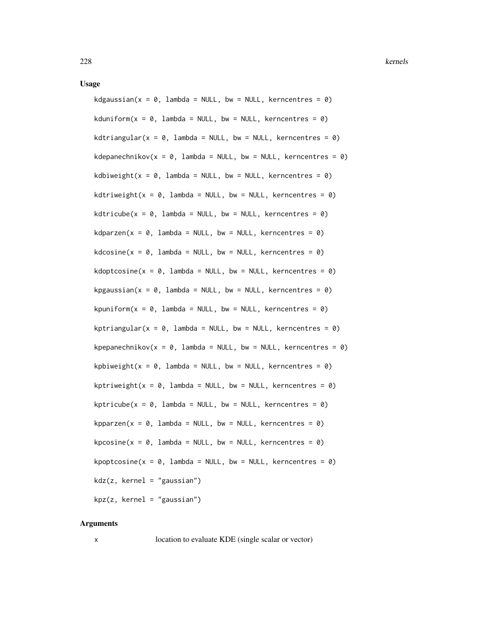#### Usage

kdgaussian( $x = 0$ , lambda = NULL, bw = NULL, kerncentres = 0) kduniform( $x = 0$ , lambda = NULL, bw = NULL, kerncentres = 0) kdtriangular( $x = 0$ , lambda = NULL, bw = NULL, kerncentres = 0) kdepanechnikov( $x = 0$ , lambda = NULL, bw = NULL, kerncentres = 0) kdbiweight( $x = 0$ , lambda = NULL, bw = NULL, kerncentres = 0) kdtriweight( $x = 0$ , lambda = NULL, bw = NULL, kerncentres = 0) kdtricube( $x = 0$ , lambda = NULL, bw = NULL, kerncentres = 0)  $kdparzen(x = 0, lambda = NULL, bw = NULL, kerncentres = 0)$  $kdcosine(x = 0, lambda = NULL, bw = NULL, kerncentres = 0)$ kdoptcosine( $x = 0$ , lambda = NULL, bw = NULL, kerncentres = 0) kpgaussian( $x = 0$ , lambda = NULL, bw = NULL, kerncentres = 0) kpuniform( $x = 0$ , lambda = NULL, bw = NULL, kerncentres = 0) kptriangular( $x = 0$ , lambda = NULL, bw = NULL, kerncentres = 0) kpepanechnikov( $x = 0$ , lambda = NULL, bw = NULL, kerncentres = 0) kpbiweight( $x = 0$ , lambda = NULL, bw = NULL, kerncentres = 0) kptriweight( $x = 0$ , lambda = NULL, bw = NULL, kerncentres = 0)  $k$ ptricube(x = 0, lambda = NULL, bw = NULL, kerncentres = 0) kpparzen( $x = 0$ , lambda = NULL, bw = NULL, kerncentres = 0)  $kpcosine(x = 0, lambda = NULL, bw = NULL, kerncentres = 0)$ kpoptcosine( $x = 0$ , lambda = NULL, bw = NULL, kerncentres = 0)  $kdz(z, kernel = "gaussian")$ kpz(z, kernel = "gaussian")

#### Arguments

x location to evaluate KDE (single scalar or vector)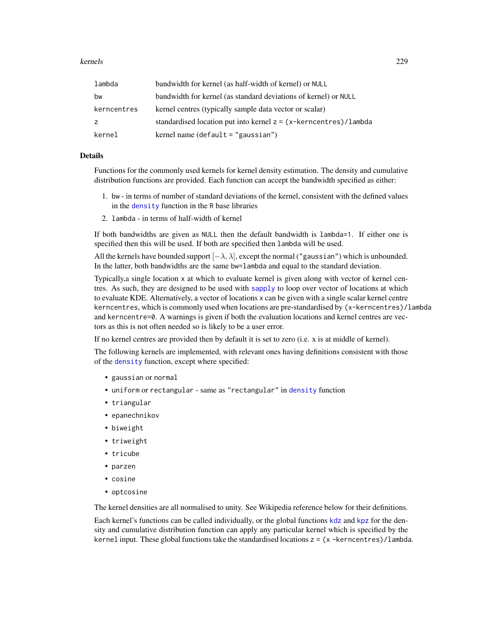#### kernels 229

| lambda      | bandwidth for kernel (as half-width of kernel) or NULL                  |
|-------------|-------------------------------------------------------------------------|
| bw          | bandwidth for kernel (as standard deviations of kernel) or NULL         |
| kerncentres | kernel centres (typically sample data vector or scalar)                 |
| z           | standardised location put into kernel $z = (x-k$ erncentres $)/$ lambda |
| kernel      | kernel name (default $=$ "gaussian")                                    |

### Details

Functions for the commonly used kernels for kernel density estimation. The density and cumulative distribution functions are provided. Each function can accept the bandwidth specified as either:

- 1. bw in terms of number of standard deviations of the kernel, consistent with the defined values in the [density](#page-0-0) function in the R base libraries
- 2. lambda in terms of half-width of kernel

If both bandwidths are given as NULL then the default bandwidth is lambda=1. If either one is specified then this will be used. If both are specified then lambda will be used.

All the kernels have bounded support  $[-\lambda, \lambda]$ , except the normal ("gaussian") which is unbounded. In the latter, both bandwidths are the same bw=lambda and equal to the standard deviation.

Typically,a single location x at which to evaluate kernel is given along with vector of kernel centres. As such, they are designed to be used with [sapply](#page-0-0) to loop over vector of locations at which to evaluate KDE. Alternatively, a vector of locations x can be given with a single scalar kernel centre kerncentres, which is commonly used when locations are pre-standardised by (x-kerncentres)/lambda and kerncentre=0. A warnings is given if both the evaluation locations and kernel centres are vectors as this is not often needed so is likely to be a user error.

If no kernel centres are provided then by default it is set to zero (i.e. x is at middle of kernel).

The following kernels are implemented, with relevant ones having definitions consistent with those of the [density](#page-0-0) function, except where specified:

- gaussian or normal
- uniform or rectangular same as "rectangular" in [density](#page-0-0) function
- triangular
- epanechnikov
- biweight
- triweight
- tricube
- parzen
- cosine
- optcosine

The kernel densities are all normalised to unity. See Wikipedia reference below for their definitions.

Each kernel's functions can be called individually, or the global functions [kdz](#page-226-1) and [kpz](#page-226-1) for the density and cumulative distribution function can apply any particular kernel which is specified by the kernel input. These global functions take the standardised locations z = (x -kerncentres)/lambda.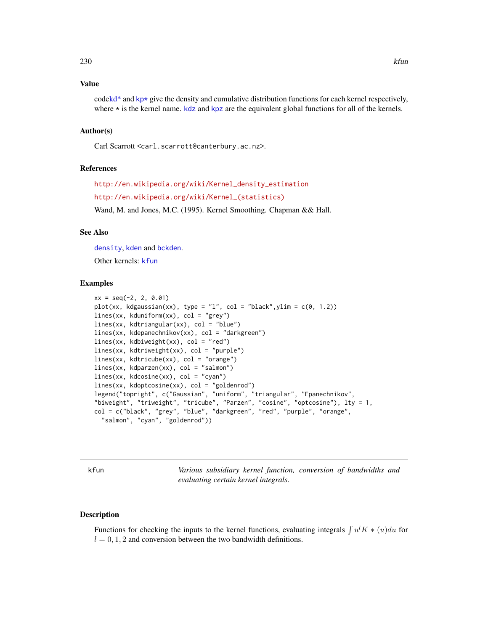# Value

cod[ekd\\*](#page-0-0) and  $kp*$  give the density and cumulative distribution functions for each kernel respectively, where  $*$  is the kernel name.  $kdz$  and [kpz](#page-226-1) are the equivalent global functions for all of the kernels.

# Author(s)

Carl Scarrott <carl.scarrott@canterbury.ac.nz>.

#### References

[http://en.wikipedia.org/wiki/Kernel\\_density\\_estimation](http://en.wikipedia.org/wiki/Kernel_density_estimation) [http://en.wikipedia.org/wiki/Kernel\\_\(statistics\)](http://en.wikipedia.org/wiki/Kernel_(statistics)) Wand, M. and Jones, M.C. (1995). Kernel Smoothing. Chapman && Hall.

#### See Also

[density](#page-0-0), [kden](#page-215-1) and [bckden](#page-3-0). Other kernels: [kfun](#page-229-0)

#### Examples

```
xx = seq(-2, 2, 0.01)plot(xx, kdgaussian(xx), type = "l", col = "black", ylim = c(0, 1.2))lines(xx, kduniform(xx), col = "grey")
lines(xx, kdtriangular(xx), col = "blue")
lines(xx, kdepanechnikov(xx), col = "darkgreen")
lines(xx, kdbiweight(xx), col = "red")
lines(xx, kdtriweight(xx), col = "purple")
lines(xx, kdtricube(xx), col = "orange")
lines(xx, kdparzen(xx), col = "salmon")
lines(xx, kdcosine(xx), col = "cyan")
lines(xx, kdoptcosine(xx), col = "goldenrod")
legend("topright", c("Gaussian", "uniform", "triangular", "Epanechnikov",
"biweight", "triweight", "tricube", "Parzen", "cosine", "optcosine"), lty = 1,
col = c("black", "grey", "blue", "darkgreen", "red", "purple", "orange",
  "salmon", "cyan", "goldenrod"))
```
<span id="page-229-0"></span>kfun *Various subsidiary kernel function, conversion of bandwidths and evaluating certain kernel integrals.*

#### <span id="page-229-1"></span>Description

Functions for checking the inputs to the kernel functions, evaluating integrals  $\int u^l K * (u) du$  for  $l = 0, 1, 2$  and conversion between the two bandwidth definitions.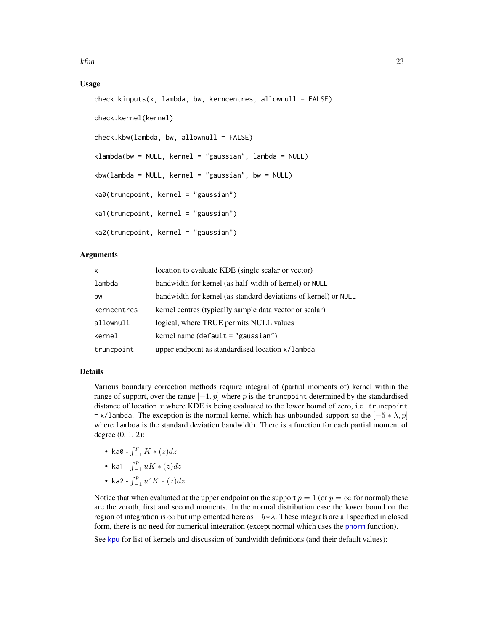# Usage

```
check.kinputs(x, lambda, bw, kerncentres, allownull = FALSE)check.kernel(kernel)
check.kbw(lambda, bw, allownull = FALSE)klambda(bw = NULL, kernel = "gaussian", lambda = NULL)
kbw(lambda = NULL, kernel = "gaussian", bw = NULL)
ka0(truncpoint, kernel = "gaussian")
ka1(truncpoint, kernel = "gaussian")
ka2(truncpoint, kernel = "gaussian")
```
### Arguments

| X           | location to evaluate KDE (single scalar or vector)              |
|-------------|-----------------------------------------------------------------|
| lambda      | bandwidth for kernel (as half-width of kernel) or NULL          |
| bw          | bandwidth for kernel (as standard deviations of kernel) or NULL |
| kerncentres | kernel centres (typically sample data vector or scalar)         |
| allownull   | logical, where TRUE permits NULL values                         |
| kernel      | kernel name (default $=$ "gaussian")                            |
| truncpoint  | upper endpoint as standardised location x/lambda                |

# Details

Various boundary correction methods require integral of (partial moments of) kernel within the range of support, over the range  $[-1, p]$  where p is the truncpoint determined by the standardised distance of location  $x$  where KDE is being evaluated to the lower bound of zero, i.e. truncpoint = x/lambda. The exception is the normal kernel which has unbounded support so the  $[-5 * \lambda, p]$ where lambda is the standard deviation bandwidth. There is a function for each partial moment of degree (0, 1, 2):

- ka0  $\int_{-1}^{p} K * (z) dz$
- ka1  $\int_{-1}^{p} uK*(z)dz$
- ka2  $\int_{-1}^{p} u^2 K * (z) dz$

Notice that when evaluated at the upper endpoint on the support  $p = 1$  (or  $p = \infty$  for normal) these are the zeroth, first and second moments. In the normal distribution case the lower bound on the region of integration is  $\infty$  but implemented here as  $-5*\lambda$ . These integrals are all specified in closed form, there is no need for numerical integration (except normal which uses the [pnorm](#page-0-0) function).

See [kpu](#page-0-0) for list of kernels and discussion of bandwidth definitions (and their default values):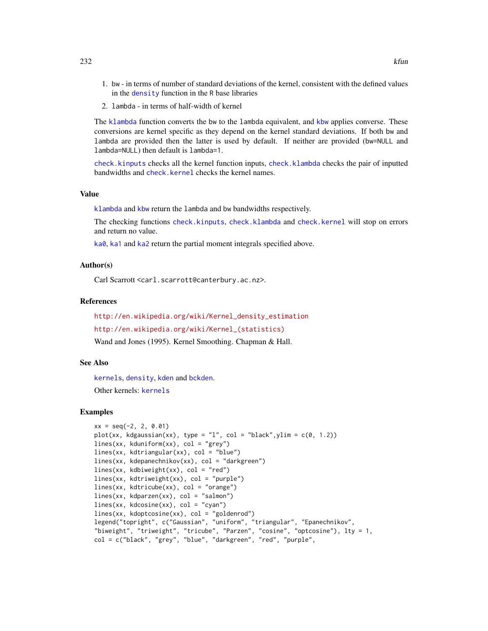- 1. bw in terms of number of standard deviations of the kernel, consistent with the defined values in the [density](#page-0-0) function in the  $R$  base libraries
- 2. lambda in terms of half-width of kernel

The [klambda](#page-229-1) function converts the bw to the lambda equivalent, and [kbw](#page-229-1) applies converse. These conversions are kernel specific as they depend on the kernel standard deviations. If both bw and lambda are provided then the latter is used by default. If neither are provided (bw=NULL and lambda=NULL) then default is lambda=1.

[check.kinputs](#page-229-1) checks all the kernel function inputs, [check.klambda](#page-0-0) checks the pair of inputted bandwidths and [check.kernel](#page-229-1) checks the kernel names.

#### Value

[klambda](#page-229-1) and [kbw](#page-229-1) return the lambda and bw bandwidths respectively.

The checking functions [check.kinputs](#page-229-1), [check.klambda](#page-0-0) and [check.kernel](#page-229-1) will stop on errors and return no value.

[ka0](#page-229-1), [ka1](#page-229-1) and [ka2](#page-229-1) return the partial moment integrals specified above.

#### Author(s)

Carl Scarrott <carl.scarrott@canterbury.ac.nz>.

# References

[http://en.wikipedia.org/wiki/Kernel\\_density\\_estimation](http://en.wikipedia.org/wiki/Kernel_density_estimation) [http://en.wikipedia.org/wiki/Kernel\\_\(statistics\)](http://en.wikipedia.org/wiki/Kernel_(statistics))

Wand and Jones (1995). Kernel Smoothing. Chapman & Hall.

#### See Also

[kernels](#page-226-0), [density](#page-0-0), [kden](#page-215-1) and [bckden](#page-3-0).

Other kernels: [kernels](#page-226-0)

# Examples

```
xx = seq(-2, 2, 0.01)plot(xx, kdgaussian(xx), type = "1", col = "black",ylim = c(0, 1.2))
lines(xx, kduniform(xx), col = "grey")lines(xx, kdtriangular(xx), col = "blue")
lines(xx, kdepanechnikov(xx), col = "darkgreen")lines(xx, kdbiweight(xx), col = "red")
lines(xx, kdtriweight(xx), col = "purple")
lines(xx, kdtricube(xx), col = "orange")
lines(xx, kdparzen(xx), col = "salmon")
lines(xx, kdcosine(xx), col = "cyan")
lines(xx, kdoptcosine(xx), col = "goldenrod")
legend("topright", c("Gaussian", "uniform", "triangular", "Epanechnikov",
"biweight", "triweight", "tricube", "Parzen", "cosine", "optcosine"), lty = 1,
col = c("black", "grey", "blue", "darkgreen", "red", "purple",
```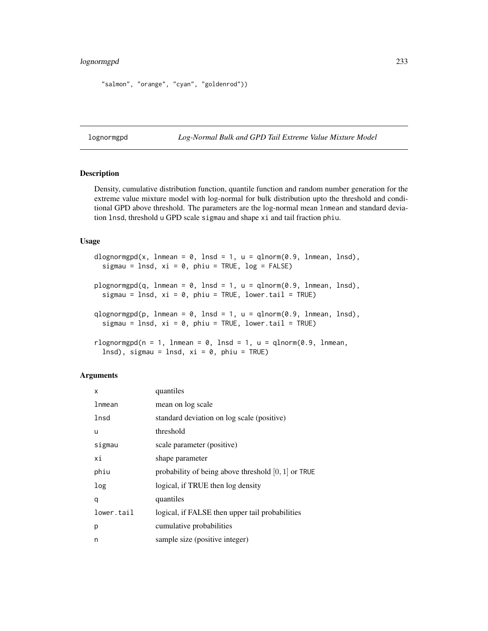# lognormgpd 233

```
"salmon", "orange", "cyan", "goldenrod"))
```
<span id="page-232-1"></span>lognormgpd *Log-Normal Bulk and GPD Tail Extreme Value Mixture Model*

# <span id="page-232-0"></span>Description

Density, cumulative distribution function, quantile function and random number generation for the extreme value mixture model with log-normal for bulk distribution upto the threshold and conditional GPD above threshold. The parameters are the log-normal mean lnmean and standard deviation lnsd, threshold u GPD scale sigmau and shape xi and tail fraction phiu.

# Usage

```
dlognormgpd(x, lnmean = 0, lnsd = 1, u = qlnorm(0.9, lnmean, lnsd),
  sigmau = \lnsd, xi = 0, phiu = TRUE, \log = FALSE)
plognormgpd(q, lnmean = 0, lnsd = 1, u = qlnorm(0.9, lnmean, lnsd),
  sigmau = \ln sd, xi = 0, phiu = TRUE, lower.tail = TRUE)
qlognormgpd(p, lnmean = 0, lnsd = 1, u = qlnorm(0.9, lnmean, lnsd),
  sigmau = lnsd, xi = 0, phi = TRUE, lowertail = TRUE)rlognormgpd(n = 1, lnmean = 0, lnsd = 1, u = qlnorm(0.9, lnmean,
```

```
lnsd), sigmau = lnsd, xi = 0, phiu = TRUE)
```
# Arguments

| x          | quantiles                                             |
|------------|-------------------------------------------------------|
| lnmean     | mean on log scale                                     |
| lnsd       | standard deviation on log scale (positive)            |
| u          | threshold                                             |
| sigmau     | scale parameter (positive)                            |
| хi         | shape parameter                                       |
| phiu       | probability of being above threshold $[0, 1]$ or TRUE |
| log        | logical, if TRUE then log density                     |
| q          | quantiles                                             |
| lower.tail | logical, if FALSE then upper tail probabilities       |
| р          | cumulative probabilities                              |
| n          | sample size (positive integer)                        |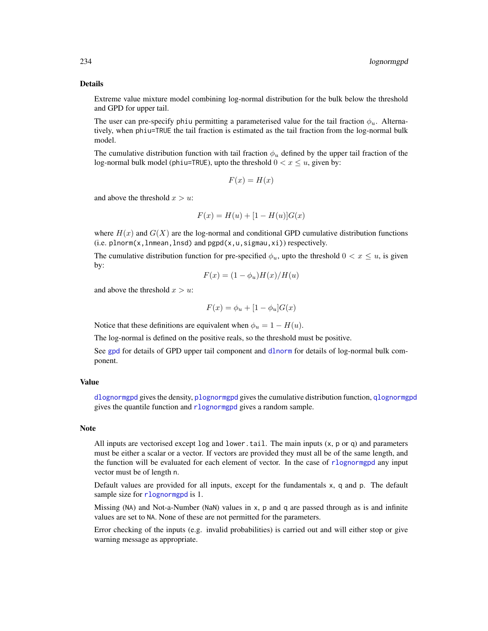#### Details

Extreme value mixture model combining log-normal distribution for the bulk below the threshold and GPD for upper tail.

The user can pre-specify phiu permitting a parameterised value for the tail fraction  $\phi_u$ . Alternatively, when phiu=TRUE the tail fraction is estimated as the tail fraction from the log-normal bulk model.

The cumulative distribution function with tail fraction  $\phi_u$  defined by the upper tail fraction of the log-normal bulk model (phiu=TRUE), upto the threshold  $0 < x \leq u$ , given by:

$$
F(x) = H(x)
$$

and above the threshold  $x > u$ :

$$
F(x) = H(u) + [1 - H(u)]G(x)
$$

where  $H(x)$  and  $G(X)$  are the log-normal and conditional GPD cumulative distribution functions  $(i.e. plnorm(x, lmmean, lnsd)$  and  $pgpd(x, u, sigmau, xi)$  respectively.

The cumulative distribution function for pre-specified  $\phi_u$ , upto the threshold  $0 < x \leq u$ , is given by:

$$
F(x) = (1 - \phi_u)H(x)/H(u)
$$

and above the threshold  $x > u$ :

$$
F(x) = \phi_u + [1 - \phi_u]G(x)
$$

Notice that these definitions are equivalent when  $\phi_u = 1 - H(u)$ .

The log-normal is defined on the positive reals, so the threshold must be positive.

See [gpd](#page-190-0) for details of GPD upper tail component and [dlnorm](#page-0-0) for details of log-normal bulk component.

# Value

[dlognormgpd](#page-232-0) gives the density, [plognormgpd](#page-232-0) gives the cumulative distribution function, [qlognormgpd](#page-232-0) gives the quantile function and [rlognormgpd](#page-232-0) gives a random sample.

#### **Note**

All inputs are vectorised except  $log$  and lower.tail. The main inputs  $(x, p \text{ or } q)$  and parameters must be either a scalar or a vector. If vectors are provided they must all be of the same length, and the function will be evaluated for each element of vector. In the case of [rlognormgpd](#page-232-0) any input vector must be of length n.

Default values are provided for all inputs, except for the fundamentals x, q and p. The default sample size for [rlognormgpd](#page-232-0) is 1.

Missing (NA) and Not-a-Number (NaN) values in x, p and q are passed through as is and infinite values are set to NA. None of these are not permitted for the parameters.

Error checking of the inputs (e.g. invalid probabilities) is carried out and will either stop or give warning message as appropriate.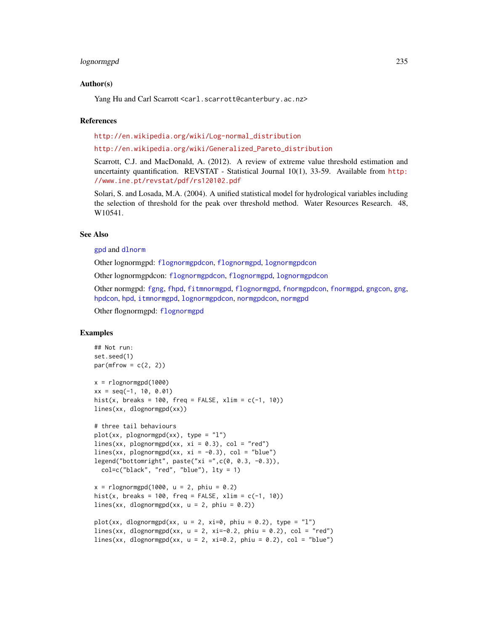#### lognormgpd 235

#### Author(s)

Yang Hu and Carl Scarrott <carl.scarrott@canterbury.ac.nz>

#### References

[http://en.wikipedia.org/wiki/Log-normal\\_distribution](http://en.wikipedia.org/wiki/Log-normal_distribution)

#### [http://en.wikipedia.org/wiki/Generalized\\_Pareto\\_distribution](http://en.wikipedia.org/wiki/Generalized_Pareto_distribution)

Scarrott, C.J. and MacDonald, A. (2012). A review of extreme value threshold estimation and uncertainty quantification. REVSTAT - Statistical Journal 10(1), 33-59. Available from [http:](http://www.ine.pt/revstat/pdf/rs120102.pdf) [//www.ine.pt/revstat/pdf/rs120102.pdf](http://www.ine.pt/revstat/pdf/rs120102.pdf)

Solari, S. and Losada, M.A. (2004). A unified statistical model for hydrological variables including the selection of threshold for the peak over threshold method. Water Resources Research. 48, W10541.

# See Also

#### [gpd](#page-190-0) and [dlnorm](#page-0-0)

Other lognormgpd: [flognormgpdcon](#page-124-0), [flognormgpd](#page-121-0), [lognormgpdcon](#page-235-0)

Other lognormgpdcon: [flognormgpdcon](#page-124-0), [flognormgpd](#page-121-0), [lognormgpdcon](#page-235-0)

Other normgpd: [fgng](#page-75-0), [fhpd](#page-88-0), [fitmnormgpd](#page-99-0), [flognormgpd](#page-121-0), [fnormgpdcon](#page-148-0), [fnormgpd](#page-142-0), [gngcon](#page-186-0), [gng](#page-183-0), [hpdcon](#page-200-0), [hpd](#page-197-0), [itmnormgpd](#page-208-0), [lognormgpdcon](#page-235-0), [normgpdcon](#page-253-0), [normgpd](#page-250-0)

Other flognormgpd: [flognormgpd](#page-121-0)

# Examples

```
## Not run:
set.seed(1)
par(mfrow = c(2, 2))x = rlognormgpd(1000)xx = seq(-1, 10, 0.01)hist(x, breaks = 100, freq = FALSE, xlim = c(-1, 10))
lines(xx, dlognormgpd(xx))
# three tail behaviours
plot(xx, plognormgpd(xx), type = "1")lines(xx, plognormgpd(xx, xi = 0.3), col = "red")
lines(xx, plognormgpd(xx, xi = -0.3), col = "blue")
legend("bottomright", paste("xi =",c(0, 0.3, -0.3)),
  col=c("black", "red", "blue"), lty = 1)
x = rlognormgpd(1000, u = 2, phi = 0.2)hist(x, breaks = 100, freq = FALSE, xlim = c(-1, 10))
lines(xx, dlognormgpd(xx, u = 2, phiu = 0.2))
plot(xx, dlognormgpd(xx, u = 2, xi=0, phiu = 0.2), type = "l")
lines(xx, dlognormgpd(xx, u = 2, xi=-0.2, phiu = 0.2), col = "red")
lines(xx, dlognormgpd(xx, u = 2, xi=0.2, phiu = 0.2), col = "blue")
```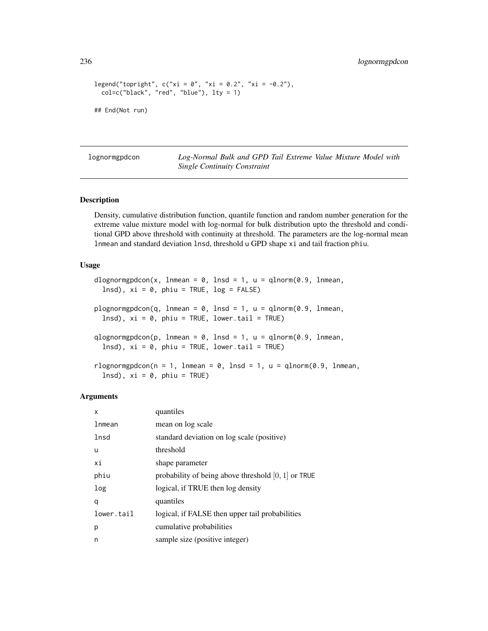```
legend("topright", c("xi = 0", "xi = 0.2", "xi = -0.2"),col=c("black", "red", "blue"), lty = 1)
## End(Not run)
```
<span id="page-235-0"></span>lognormgpdcon *Log-Normal Bulk and GPD Tail Extreme Value Mixture Model with Single Continuity Constraint*

# <span id="page-235-1"></span>Description

Density, cumulative distribution function, quantile function and random number generation for the extreme value mixture model with log-normal for bulk distribution upto the threshold and conditional GPD above threshold with continuity at threshold. The parameters are the log-normal mean lnmean and standard deviation lnsd, threshold u GPD shape xi and tail fraction phiu.

## Usage

```
dlognormgpdcon(x, lnmean = 0, lnsd = 1, u = qlnorm(0.9, lnmean,
 lnsd, xi = 0, phi = TRUE, log = FALSE)
plognormgpdcon(q, lnmean = 0, lnsd = 1, u = qlnorm(0.9, lnmean,
  lnsd), xi = 0, phiu = TRUE, lower.tail = TRUE)
qlognormgpdcon(p, lnmean = 0, lnsd = 1, u = qlnorm(0.9, lnmean,
  lnsd), xi = 0, phiu = TRUE, lower.tail = TRUE)
rlognormgpdcon(n = 1, lnmean = 0, lnsd = 1, u = qlnorm(0.9, lnmean,lnsd), xi = 0, phiu = TRUE)
```
#### Arguments

| x          | quantiles                                             |
|------------|-------------------------------------------------------|
| lnmean     | mean on log scale                                     |
| lnsd       | standard deviation on log scale (positive)            |
| u          | threshold                                             |
| хi         | shape parameter                                       |
| phiu       | probability of being above threshold $[0, 1]$ or TRUE |
| log        | logical, if TRUE then log density                     |
| q          | quantiles                                             |
| lower.tail | logical, if FALSE then upper tail probabilities       |
| р          | cumulative probabilities                              |
| n          | sample size (positive integer)                        |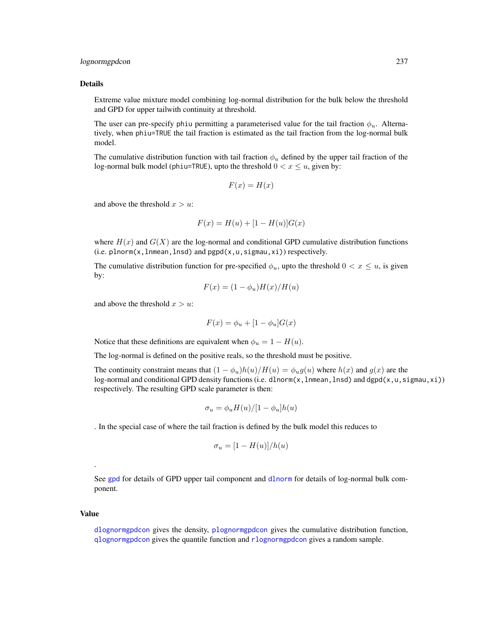# lognormgpdcon 237

#### Details

Extreme value mixture model combining log-normal distribution for the bulk below the threshold and GPD for upper tailwith continuity at threshold.

The user can pre-specify phiu permitting a parameterised value for the tail fraction  $\phi_u$ . Alternatively, when phiu=TRUE the tail fraction is estimated as the tail fraction from the log-normal bulk model.

The cumulative distribution function with tail fraction  $\phi_u$  defined by the upper tail fraction of the log-normal bulk model (phiu=TRUE), upto the threshold  $0 < x \leq u$ , given by:

$$
F(x) = H(x)
$$

and above the threshold  $x > u$ :

$$
F(x) = H(u) + [1 - H(u)]G(x)
$$

where  $H(x)$  and  $G(X)$  are the log-normal and conditional GPD cumulative distribution functions  $(i.e. plnorm(x, lmmean, lnsd)$  and  $pgpd(x, u, sigmau, xi)$  respectively.

The cumulative distribution function for pre-specified  $\phi_u$ , upto the threshold  $0 < x \leq u$ , is given by:

$$
F(x) = (1 - \phi_u)H(x)/H(u)
$$

and above the threshold  $x > u$ :

$$
F(x) = \phi_u + [1 - \phi_u]G(x)
$$

Notice that these definitions are equivalent when  $\phi_u = 1 - H(u)$ .

The log-normal is defined on the positive reals, so the threshold must be positive.

The continuity constraint means that  $(1 - \phi_u)h(u)/H(u) = \phi_u g(u)$  where  $h(x)$  and  $g(x)$  are the log-normal and conditional GPD density functions (i.e. dlnorm(x, lnmean, lnsd) and dgpd(x, u, sigmau, xi)) respectively. The resulting GPD scale parameter is then:

$$
\sigma_u = \phi_u H(u) / [1 - \phi_u] h(u)
$$

. In the special case of where the tail fraction is defined by the bulk model this reduces to

$$
\sigma_u=[1-H(u)]/h(u)
$$

See [gpd](#page-190-0) for details of GPD upper tail component and [dlnorm](#page-0-0) for details of log-normal bulk component.

#### Value

.

[dlognormgpdcon](#page-235-1) gives the density, [plognormgpdcon](#page-235-1) gives the cumulative distribution function, [qlognormgpdcon](#page-235-1) gives the quantile function and [rlognormgpdcon](#page-235-1) gives a random sample.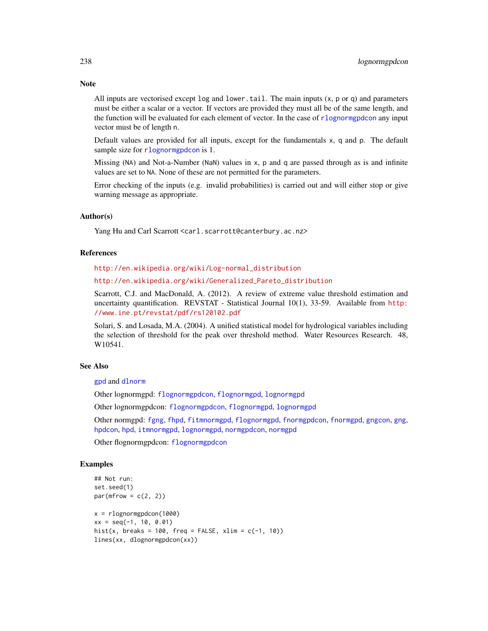All inputs are vectorised except  $log$  and  $lower$ .tail. The main inputs  $(x, p)$  or q) and parameters must be either a scalar or a vector. If vectors are provided they must all be of the same length, and the function will be evaluated for each element of vector. In the case of [rlognormgpdcon](#page-235-1) any input vector must be of length n.

Default values are provided for all inputs, except for the fundamentals x, q and p. The default sample size for [rlognormgpdcon](#page-235-1) is 1.

Missing (NA) and Not-a-Number (NaN) values in x, p and q are passed through as is and infinite values are set to NA. None of these are not permitted for the parameters.

Error checking of the inputs (e.g. invalid probabilities) is carried out and will either stop or give warning message as appropriate.

# Author(s)

Yang Hu and Carl Scarrott <carl.scarrott@canterbury.ac.nz>

#### **References**

[http://en.wikipedia.org/wiki/Log-normal\\_distribution](http://en.wikipedia.org/wiki/Log-normal_distribution)

[http://en.wikipedia.org/wiki/Generalized\\_Pareto\\_distribution](http://en.wikipedia.org/wiki/Generalized_Pareto_distribution)

Scarrott, C.J. and MacDonald, A. (2012). A review of extreme value threshold estimation and uncertainty quantification. REVSTAT - Statistical Journal 10(1), 33-59. Available from [http:](http://www.ine.pt/revstat/pdf/rs120102.pdf) [//www.ine.pt/revstat/pdf/rs120102.pdf](http://www.ine.pt/revstat/pdf/rs120102.pdf)

Solari, S. and Losada, M.A. (2004). A unified statistical model for hydrological variables including the selection of threshold for the peak over threshold method. Water Resources Research. 48, W10541.

# See Also

[gpd](#page-190-0) and [dlnorm](#page-0-0)

Other lognormgpd: [flognormgpdcon](#page-124-0), [flognormgpd](#page-121-0), [lognormgpd](#page-232-1)

Other lognormgpdcon: [flognormgpdcon](#page-124-0), [flognormgpd](#page-121-0), [lognormgpd](#page-232-1)

Other normgpd: [fgng](#page-75-0), [fhpd](#page-88-0), [fitmnormgpd](#page-99-0), [flognormgpd](#page-121-0), [fnormgpdcon](#page-148-0), [fnormgpd](#page-142-0), [gngcon](#page-186-0), [gng](#page-183-0), [hpdcon](#page-200-0), [hpd](#page-197-0), [itmnormgpd](#page-208-0), [lognormgpd](#page-232-1), [normgpdcon](#page-253-0), [normgpd](#page-250-0)

Other flognormgpdcon: [flognormgpdcon](#page-124-0)

# Examples

```
## Not run:
set.seed(1)
par(mfrow = c(2, 2))x = rlognormgpdcon(1000)xx = seq(-1, 10, 0.01)hist(x, breaks = 100, freq = FALSE, xlim = c(-1, 10))
lines(xx, dlognormgpdcon(xx))
```
# **Note**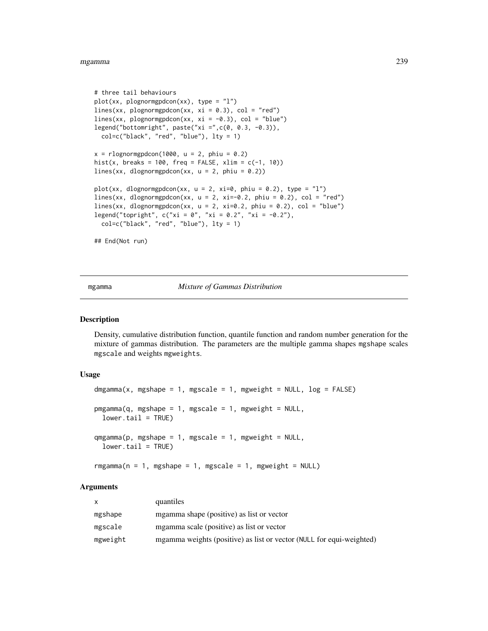#### mgamma 239

```
# three tail behaviours
plot(xx, plognormgpdcon(xx), type = "l")
lines(xx, plognormgpdcon(xx, xi = 0.3), col = "red")
lines(xx, plognormgpdcon(xx, xi = -0.3), col = "blue")
legend("bottomright", paste("xi =",c(0, 0.3, -0.3)),
  col=c("black", "red", "blue"), lty = 1)
x = r \log normgpdcon(1000, u = 2, phiu = 0.2)
hist(x, breaks = 100, freq = FALSE, xlim = c(-1, 10))
lines(xx, dlognormgpdcon(xx, u = 2, phiu = 0.2))
plot(xx, dlognormgpdcon(xx, u = 2, xi=0, phiu = 0.2), type = "l")
lines(xx, dlognormgpdcon(xx, u = 2, xi=-0.2, phiu = 0.2), col = "red")
lines(xx, dlognormgpdcon(xx, u = 2, xi=0.2, phiu = 0.2), col = "blue")
legend("topright", c("xi = 0", "xi = 0.2", "xi = -0.2"),col=c("black", "red", "blue"), lty = 1)
## End(Not run)
```
<span id="page-238-1"></span>mgamma *Mixture of Gammas Distribution*

#### <span id="page-238-0"></span>Description

Density, cumulative distribution function, quantile function and random number generation for the mixture of gammas distribution. The parameters are the multiple gamma shapes mgshape scales mgscale and weights mgweights.

#### Usage

```
dmgamma(x, mgshape = 1, mgscale = 1, mgweight = NULL, log = FALSE)
pmgamma(q, mgshape = 1, mgscale = 1, mgweight = NULL,lower.tail = TRUE)
qmgamma(p, mgshape = 1, mgscale = 1, mgweight = NULL,lower.tail = TRUE)
```
# $rmgamma(n = 1, mgshape = 1, mgscale = 1, mgweight = NULL)$

# Arguments

|          | quantiles                                                            |
|----------|----------------------------------------------------------------------|
| mgshape  | mgamma shape (positive) as list or vector                            |
| mgscale  | mgamma scale (positive) as list or vector                            |
| mgweight | mgamma weights (positive) as list or vector (NULL for equi-weighted) |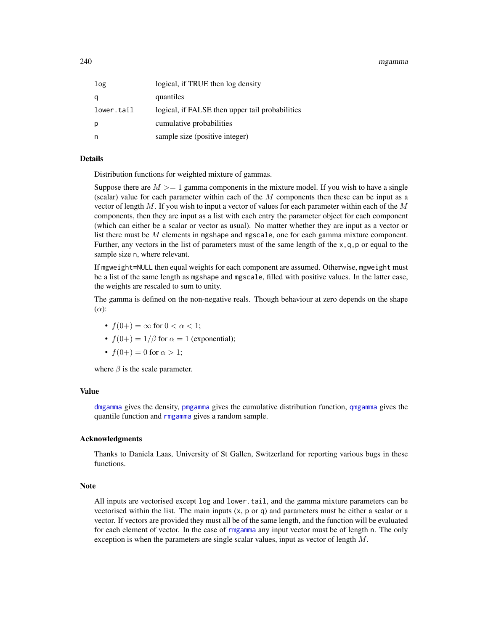240 mgamma

| log        | logical, if TRUE then log density               |
|------------|-------------------------------------------------|
| q          | quantiles                                       |
| lower.tail | logical, if FALSE then upper tail probabilities |
| р          | cumulative probabilities                        |
| n          | sample size (positive integer)                  |

# Details

Distribution functions for weighted mixture of gammas.

Suppose there are  $M \geq 1$  gamma components in the mixture model. If you wish to have a single (scalar) value for each parameter within each of the  $M$  components then these can be input as a vector of length  $M$ . If you wish to input a vector of values for each parameter within each of the  $M$ components, then they are input as a list with each entry the parameter object for each component (which can either be a scalar or vector as usual). No matter whether they are input as a vector or list there must be M elements in mgshape and mgscale, one for each gamma mixture component. Further, any vectors in the list of parameters must of the same length of the  $x, q, p$  or equal to the sample size n, where relevant.

If mgweight=NULL then equal weights for each component are assumed. Otherwise, mgweight must be a list of the same length as mgshape and mgscale, filled with positive values. In the latter case, the weights are rescaled to sum to unity.

The gamma is defined on the non-negative reals. Though behaviour at zero depends on the shape  $(\alpha)$ :

- $f(0+) = \infty$  for  $0 < \alpha < 1$ ;
- $f(0+) = 1/\beta$  for  $\alpha = 1$  (exponential);
- $f(0+) = 0$  for  $\alpha > 1$ ;

where  $\beta$  is the scale parameter.

#### Value

[dmgamma](#page-238-0) gives the density, [pmgamma](#page-238-0) gives the cumulative distribution function, [qmgamma](#page-238-0) gives the quantile function and [rmgamma](#page-238-0) gives a random sample.

# Acknowledgments

Thanks to Daniela Laas, University of St Gallen, Switzerland for reporting various bugs in these functions.

# **Note**

All inputs are vectorised except log and lower.tail, and the gamma mixture parameters can be vectorised within the list. The main inputs  $(x, p, q)$  and parameters must be either a scalar or a vector. If vectors are provided they must all be of the same length, and the function will be evaluated for each element of vector. In the case of [rmgamma](#page-238-0) any input vector must be of length n. The only exception is when the parameters are single scalar values, input as vector of length  $M$ .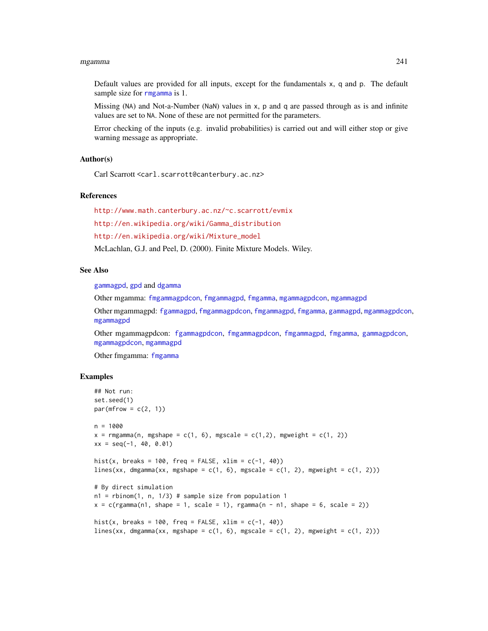#### mgamma 241

Default values are provided for all inputs, except for the fundamentals x, q and p. The default sample size for [rmgamma](#page-238-0) is 1.

Missing (NA) and Not-a-Number (NaN) values in x, p and q are passed through as is and infinite values are set to NA. None of these are not permitted for the parameters.

Error checking of the inputs (e.g. invalid probabilities) is carried out and will either stop or give warning message as appropriate.

# Author(s)

Carl Scarrott <carl.scarrott@canterbury.ac.nz>

# References

<http://www.math.canterbury.ac.nz/~c.scarrott/evmix>

[http://en.wikipedia.org/wiki/Gamma\\_distribution](http://en.wikipedia.org/wiki/Gamma_distribution)

[http://en.wikipedia.org/wiki/Mixture\\_model](http://en.wikipedia.org/wiki/Mixture_model)

McLachlan, G.J. and Peel, D. (2000). Finite Mixture Models. Wiley.

#### See Also

[gammagpd](#page-167-0), [gpd](#page-190-0) and [dgamma](#page-0-0)

Other mgamma: [fmgammagpdcon](#page-137-0), [fmgammagpd](#page-132-0), [fmgamma](#page-128-0), [mgammagpdcon](#page-244-0), [mgammagpd](#page-241-0)

Other mgammagpd: [fgammagpd](#page-58-0), [fmgammagpdcon](#page-137-0), [fmgammagpd](#page-132-0), [fmgamma](#page-128-0), [gammagpd](#page-167-0), [mgammagpdcon](#page-244-0), [mgammagpd](#page-241-0)

Other mgammagpdcon: [fgammagpdcon](#page-61-0), [fmgammagpdcon](#page-137-0), [fmgammagpd](#page-132-0), [fmgamma](#page-128-0), [gammagpdcon](#page-171-0), [mgammagpdcon](#page-244-0), [mgammagpd](#page-241-0)

Other fmgamma: [fmgamma](#page-128-0)

#### Examples

```
## Not run:
set.seed(1)
par(mfrow = c(2, 1))n = 1000x = \text{rmgamma}(n, \text{ms} + \text{cm} + \text{cm} + \text{cm} + \text{cm} + \text{cm} + \text{cm} + \text{cm} + \text{cm} + \text{cm} + \text{cm} + \text{cm} + \text{cm} + \text{cm} + \text{cm} + \text{cm} + \text{cm} + \text{cm} + \text{cm} + \text{cm} + \text{cm} + \text{cm} + \text{cm} + \text{cm} + \text{cm} + \text{cm} + \text{cm} + \text{cm} + \text{cm} + \text{cm} + \text{cm} + \text{cm} + \text{cm} + \text{cm} + \text{cm} +xx = seq(-1, 40, 0.01)hist(x, breaks = 100, freq = FALSE, xlim = c(-1, 40))
lines(xx, dmgamma(xx, mgshape = c(1, 6), mgscale = c(1, 2), mgweight = c(1, 2)))
# By direct simulation
n1 = rbinom(1, n, 1/3) # sample size from population 1
x = c(rgamma(n1, shape = 1, scale = 1), rgamma(n - n1, shape = 6, scale = 2))hist(x, breaks = 100, freq = FALSE, xlim = c(-1, 40))
lines(xx, dmgamma(xx, mgshape = c(1, 6), mgscale = c(1, 2), mgweight = c(1, 2)))
```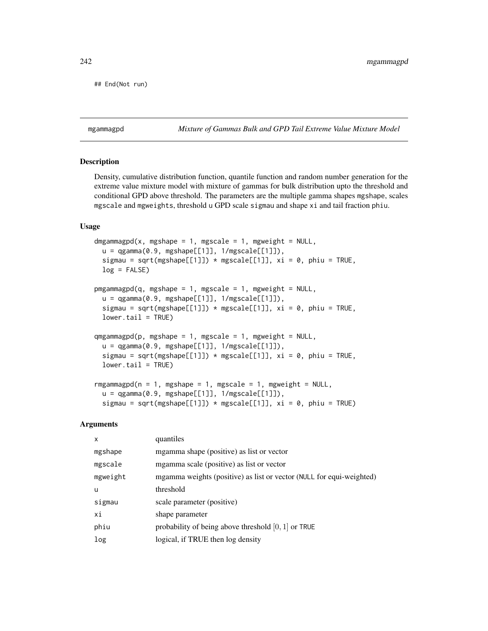```
## End(Not run)
```
<span id="page-241-0"></span>mgammagpd *Mixture of Gammas Bulk and GPD Tail Extreme Value Mixture Model*

# <span id="page-241-1"></span>**Description**

Density, cumulative distribution function, quantile function and random number generation for the extreme value mixture model with mixture of gammas for bulk distribution upto the threshold and conditional GPD above threshold. The parameters are the multiple gamma shapes mgshape, scales mgscale and mgweights, threshold u GPD scale sigmau and shape xi and tail fraction phiu.

# Usage

```
dmgammagpd(x, mgshape = 1, mgscale = 1, mgweight = NULL,
 u = qgamma(0.9, mgshape[[1]], 1/mgscale[[1]]),sigmau = sqrt(mgshape[[1]]) * mgscale[[1]], xi = 0, phiu = TRUE,
 log = FALSE)pmgammagpd(q, mgshape = 1, mgscale = 1, mgweight = NULL,
  u = qgamma(0.9, mgshape[[1]], 1/mgscale[[1]]),
  sigmau = sqrt(mgshape[[1]]) * mgscale[[1]], xi = 0, phiu = TRUE,
  lower.tail = TRUE)
qmgammagpd(p, mgshape = 1, mgscale = 1, mgweight = NULL,u = qgamma(0.9, mgshape[[1]], 1/mgscale[[1]]),
  sigmau = sqrt(mgshape[[1]]) * mgscale[[1]], xi = 0, phiu = TRUE,
 lower.tail = TRUE)
rmgammagpd(n = 1, mgshape = 1, mgscale = 1, mgweight = NULL,u = qgamma(0.9, mgshape[[1]], 1/mgscale[[1]]),
```
sigmau = sqrt(mgshape[[1]]) \* mgscale[[1]],  $xi = 0$ , phiu = TRUE)

#### Arguments

| quantiles                                                            |
|----------------------------------------------------------------------|
| mgamma shape (positive) as list or vector                            |
| mgamma scale (positive) as list or vector                            |
| mgamma weights (positive) as list or vector (NULL for equi-weighted) |
| threshold                                                            |
| scale parameter (positive)                                           |
| shape parameter                                                      |
| probability of being above threshold $[0, 1]$ or TRUE                |
| logical, if TRUE then log density                                    |
|                                                                      |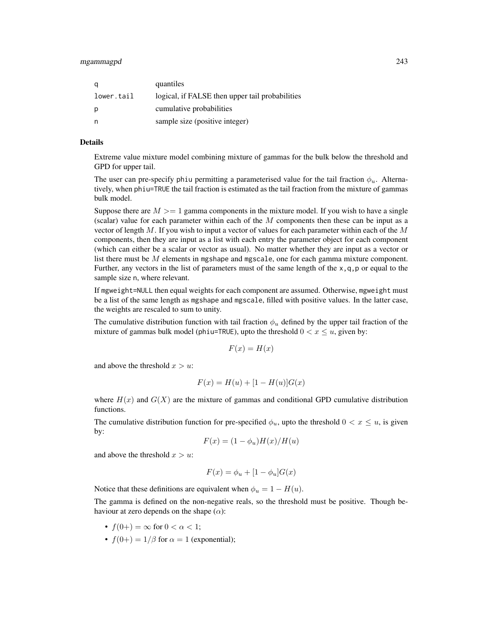#### mgammagpd 243

| q          | quantiles                                       |
|------------|-------------------------------------------------|
| lower.tail | logical, if FALSE then upper tail probabilities |
| p          | cumulative probabilities                        |
| n          | sample size (positive integer)                  |

#### Details

Extreme value mixture model combining mixture of gammas for the bulk below the threshold and GPD for upper tail.

The user can pre-specify phiu permitting a parameterised value for the tail fraction  $\phi_u$ . Alternatively, when phiu=TRUE the tail fraction is estimated as the tail fraction from the mixture of gammas bulk model.

Suppose there are  $M \geq 1$  gamma components in the mixture model. If you wish to have a single (scalar) value for each parameter within each of the  $M$  components then these can be input as a vector of length  $M$ . If you wish to input a vector of values for each parameter within each of the  $M$ components, then they are input as a list with each entry the parameter object for each component (which can either be a scalar or vector as usual). No matter whether they are input as a vector or list there must be M elements in mgshape and mgscale, one for each gamma mixture component. Further, any vectors in the list of parameters must of the same length of the  $x, q, p$  or equal to the sample size n, where relevant.

If mgweight=NULL then equal weights for each component are assumed. Otherwise, mgweight must be a list of the same length as mgshape and mgscale, filled with positive values. In the latter case, the weights are rescaled to sum to unity.

The cumulative distribution function with tail fraction  $\phi_u$  defined by the upper tail fraction of the mixture of gammas bulk model (phiu=TRUE), upto the threshold  $0 < x \le u$ , given by:

$$
F(x) = H(x)
$$

and above the threshold  $x > u$ :

$$
F(x) = H(u) + [1 - H(u)]G(x)
$$

where  $H(x)$  and  $G(X)$  are the mixture of gammas and conditional GPD cumulative distribution functions.

The cumulative distribution function for pre-specified  $\phi_u$ , upto the threshold  $0 < x \leq u$ , is given by:

$$
F(x) = (1 - \phi_u)H(x)/H(u)
$$

and above the threshold  $x > u$ :

$$
F(x) = \phi_u + [1 - \phi_u]G(x)
$$

Notice that these definitions are equivalent when  $\phi_u = 1 - H(u)$ .

The gamma is defined on the non-negative reals, so the threshold must be positive. Though behaviour at zero depends on the shape  $(\alpha)$ :

- $f(0+) = \infty$  for  $0 < \alpha < 1$ ;
- $f(0+) = 1/\beta$  for  $\alpha = 1$  (exponential);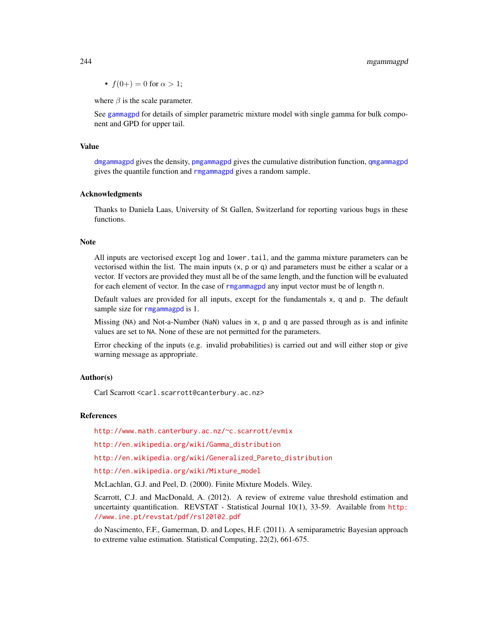•  $f(0+) = 0$  for  $\alpha > 1$ ;

where  $\beta$  is the scale parameter.

See [gammagpd](#page-167-0) for details of simpler parametric mixture model with single gamma for bulk component and GPD for upper tail.

#### Value

[dmgammagpd](#page-241-1) gives the density, [pmgammagpd](#page-241-1) gives the cumulative distribution function, [qmgammagpd](#page-241-1) gives the quantile function and [rmgammagpd](#page-241-1) gives a random sample.

#### Acknowledgments

Thanks to Daniela Laas, University of St Gallen, Switzerland for reporting various bugs in these functions.

#### **Note**

All inputs are vectorised except log and lower.tail, and the gamma mixture parameters can be vectorised within the list. The main inputs  $(x, p \text{ or } q)$  and parameters must be either a scalar or a vector. If vectors are provided they must all be of the same length, and the function will be evaluated for each element of vector. In the case of [rmgammagpd](#page-241-1) any input vector must be of length n.

Default values are provided for all inputs, except for the fundamentals x, q and p. The default sample size for [rmgammagpd](#page-241-1) is 1.

Missing (NA) and Not-a-Number (NaN) values in x, p and q are passed through as is and infinite values are set to NA. None of these are not permitted for the parameters.

Error checking of the inputs (e.g. invalid probabilities) is carried out and will either stop or give warning message as appropriate.

#### Author(s)

Carl Scarrott <carl.scarrott@canterbury.ac.nz>

#### References

<http://www.math.canterbury.ac.nz/~c.scarrott/evmix>

[http://en.wikipedia.org/wiki/Gamma\\_distribution](http://en.wikipedia.org/wiki/Gamma_distribution)

[http://en.wikipedia.org/wiki/Generalized\\_Pareto\\_distribution](http://en.wikipedia.org/wiki/Generalized_Pareto_distribution)

[http://en.wikipedia.org/wiki/Mixture\\_model](http://en.wikipedia.org/wiki/Mixture_model)

McLachlan, G.J. and Peel, D. (2000). Finite Mixture Models. Wiley.

Scarrott, C.J. and MacDonald, A. (2012). A review of extreme value threshold estimation and uncertainty quantification. REVSTAT - Statistical Journal 10(1), 33-59. Available from [http:](http://www.ine.pt/revstat/pdf/rs120102.pdf) [//www.ine.pt/revstat/pdf/rs120102.pdf](http://www.ine.pt/revstat/pdf/rs120102.pdf)

do Nascimento, F.F., Gamerman, D. and Lopes, H.F. (2011). A semiparametric Bayesian approach to extreme value estimation. Statistical Computing, 22(2), 661-675.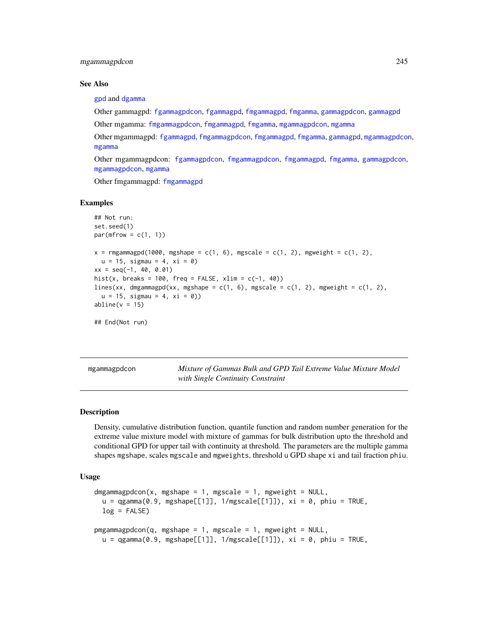# mgammagpdcon 245

#### See Also

[gpd](#page-190-0) and [dgamma](#page-0-0)

Other gammagpd: [fgammagpdcon](#page-61-0), [fgammagpd](#page-58-0), [fmgammagpd](#page-132-0), [fmgamma](#page-128-0), [gammagpdcon](#page-171-0), [gammagpd](#page-167-0)

Other mgamma: [fmgammagpdcon](#page-137-0), [fmgammagpd](#page-132-0), [fmgamma](#page-128-0), [mgammagpdcon](#page-244-0), [mgamma](#page-238-1)

Other mgammagpd: [fgammagpd](#page-58-0), [fmgammagpdcon](#page-137-0), [fmgammagpd](#page-132-0), [fmgamma](#page-128-0), [gammagpd](#page-167-0), [mgammagpdcon](#page-244-0), [mgamma](#page-238-1)

Other mgammagpdcon: [fgammagpdcon](#page-61-0), [fmgammagpdcon](#page-137-0), [fmgammagpd](#page-132-0), [fmgamma](#page-128-0), [gammagpdcon](#page-171-0), [mgammagpdcon](#page-244-0), [mgamma](#page-238-1)

Other fmgammagpd: [fmgammagpd](#page-132-0)

#### Examples

```
## Not run:
set.seed(1)
par(mfrow = c(1, 1))x = rmgammagpd(1000, mgshape = c(1, 6), mgscale = c(1, 2), mgweight = c(1, 2),u = 15, sigmau = 4, xi = 0)
xx = seq(-1, 40, 0.01)hist(x, breaks = 100, freq = FALSE, xlim = c(-1, 40))
lines(xx, dmgammagpd(xx, mgshape = c(1, 6), mgscale = c(1, 2), mgweight = c(1, 2),
  u = 15, sigmau = 4, xi = 0))
abline(v = 15)## End(Not run)
```
<span id="page-244-0"></span>mgammagpdcon *Mixture of Gammas Bulk and GPD Tail Extreme Value Mixture Model with Single Continuity Constraint*

#### <span id="page-244-1"></span>Description

Density, cumulative distribution function, quantile function and random number generation for the extreme value mixture model with mixture of gammas for bulk distribution upto the threshold and conditional GPD for upper tail with continuity at threshold. The parameters are the multiple gamma shapes mgshape, scales mgscale and mgweights, threshold u GPD shape xi and tail fraction phiu.

### Usage

```
dmgammagpdcon(x, mgshape = 1, mgscale = 1, mgweight = NULL,
 u = qgamma(0.9, mgshape[[1]], 1/mgscale[[1]]), xi = 0, phiu = TRUE,
 log = FALSE)
pmgammagpdcon(q, mgshape = 1, mgscale = 1, mgweight = NULL,u = qgamma(0.9, mgshape[[1]], 1/mgscale[[1]]), xi = 0, phiu = TRUE,
```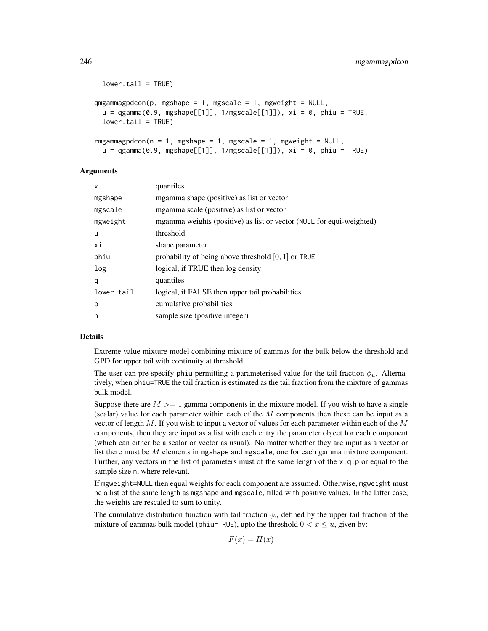```
lower.tail = TRUE)
qmgammagpdcon(p, mgshape = 1, mgscale = 1, mgweight = NULL,u = qgamma(0.9, mgshape[[1]], 1/mgscale[[1]]), xi = 0, phiu = TRUE,
 lower.tail = TRUE)
rmgammagpdcon(n = 1, mgshape = 1, mgscale = 1, mgweight = NULL,
 u = qgamma(0.9, mgshape[[1]], 1/mgscale[[1]]), xi = 0, phi = TRUE)
```
# Arguments

| X          | quantiles                                                            |
|------------|----------------------------------------------------------------------|
| mgshape    | mgamma shape (positive) as list or vector                            |
| mgscale    | mgamma scale (positive) as list or vector                            |
| mgweight   | mgamma weights (positive) as list or vector (NULL for equi-weighted) |
| u          | threshold                                                            |
| хi         | shape parameter                                                      |
| phiu       | probability of being above threshold $[0, 1]$ or TRUE                |
| log        | logical, if TRUE then log density                                    |
| q          | quantiles                                                            |
| lower.tail | logical, if FALSE then upper tail probabilities                      |
| p          | cumulative probabilities                                             |
| n          | sample size (positive integer)                                       |

# Details

Extreme value mixture model combining mixture of gammas for the bulk below the threshold and GPD for upper tail with continuity at threshold.

The user can pre-specify phiu permitting a parameterised value for the tail fraction  $\phi_u$ . Alternatively, when phiu=TRUE the tail fraction is estimated as the tail fraction from the mixture of gammas bulk model.

Suppose there are  $M \geq 1$  gamma components in the mixture model. If you wish to have a single (scalar) value for each parameter within each of the  $M$  components then these can be input as a vector of length  $M$ . If you wish to input a vector of values for each parameter within each of the  $M$ components, then they are input as a list with each entry the parameter object for each component (which can either be a scalar or vector as usual). No matter whether they are input as a vector or list there must be  $M$  elements in mgshape and mgscale, one for each gamma mixture component. Further, any vectors in the list of parameters must of the same length of the  $x, q, p$  or equal to the sample size n, where relevant.

If mgweight=NULL then equal weights for each component are assumed. Otherwise, mgweight must be a list of the same length as mgshape and mgscale, filled with positive values. In the latter case, the weights are rescaled to sum to unity.

The cumulative distribution function with tail fraction  $\phi_u$  defined by the upper tail fraction of the mixture of gammas bulk model (phiu=TRUE), upto the threshold  $0 < x \le u$ , given by:

$$
F(x) = H(x)
$$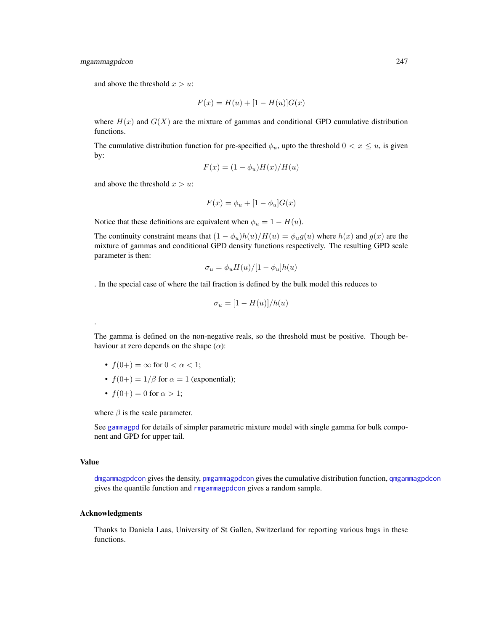# mgammagpdcon 247

and above the threshold  $x > u$ :

$$
F(x) = H(u) + [1 - H(u)]G(x)
$$

where  $H(x)$  and  $G(X)$  are the mixture of gammas and conditional GPD cumulative distribution functions.

The cumulative distribution function for pre-specified  $\phi_u$ , upto the threshold  $0 < x \leq u$ , is given by:

$$
F(x) = (1 - \phi_u)H(x)/H(u)
$$

and above the threshold  $x > u$ :

$$
F(x) = \phi_u + [1 - \phi_u]G(x)
$$

Notice that these definitions are equivalent when  $\phi_u = 1 - H(u)$ .

The continuity constraint means that  $(1 - \phi_u)h(u)/H(u) = \phi_u g(u)$  where  $h(x)$  and  $g(x)$  are the mixture of gammas and conditional GPD density functions respectively. The resulting GPD scale parameter is then:

$$
\sigma_u = \phi_u H(u) / [1 - \phi_u] h(u)
$$

. In the special case of where the tail fraction is defined by the bulk model this reduces to

$$
\sigma_u = [1 - H(u)]/h(u)
$$

The gamma is defined on the non-negative reals, so the threshold must be positive. Though behaviour at zero depends on the shape  $(\alpha)$ :

- $f(0+) = \infty$  for  $0 < \alpha < 1$ ;
- $f(0+) = 1/\beta$  for  $\alpha = 1$  (exponential);
- $f(0+) = 0$  for  $\alpha > 1$ ;

where  $\beta$  is the scale parameter.

See [gammagpd](#page-167-0) for details of simpler parametric mixture model with single gamma for bulk component and GPD for upper tail.

#### Value

.

[dmgammagpdcon](#page-244-1) gives the density, [pmgammagpdcon](#page-244-1) gives the cumulative distribution function, [qmgammagpdcon](#page-244-1) gives the quantile function and [rmgammagpdcon](#page-244-1) gives a random sample.

#### Acknowledgments

Thanks to Daniela Laas, University of St Gallen, Switzerland for reporting various bugs in these functions.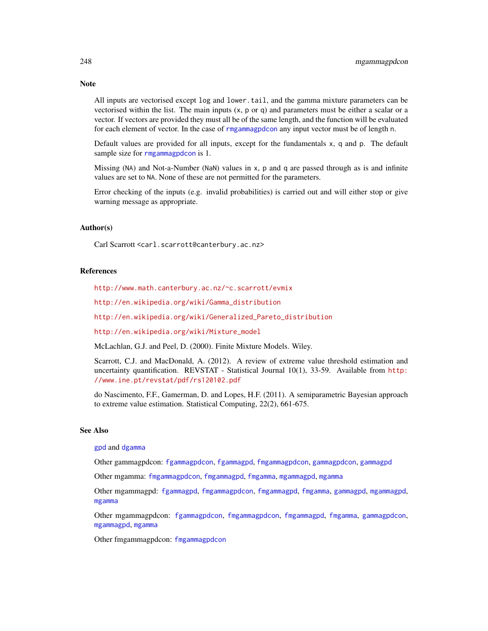All inputs are vectorised except log and lower.tail, and the gamma mixture parameters can be vectorised within the list. The main inputs  $(x, p, o, q)$  and parameters must be either a scalar or a vector. If vectors are provided they must all be of the same length, and the function will be evaluated for each element of vector. In the case of [rmgammagpdcon](#page-244-1) any input vector must be of length n.

Default values are provided for all inputs, except for the fundamentals x, q and p. The default sample size for [rmgammagpdcon](#page-244-1) is 1.

Missing (NA) and Not-a-Number (NaN) values in x, p and q are passed through as is and infinite values are set to NA. None of these are not permitted for the parameters.

Error checking of the inputs (e.g. invalid probabilities) is carried out and will either stop or give warning message as appropriate.

# Author(s)

Carl Scarrott <carl.scarrott@canterbury.ac.nz>

#### References

<http://www.math.canterbury.ac.nz/~c.scarrott/evmix>

[http://en.wikipedia.org/wiki/Gamma\\_distribution](http://en.wikipedia.org/wiki/Gamma_distribution)

[http://en.wikipedia.org/wiki/Generalized\\_Pareto\\_distribution](http://en.wikipedia.org/wiki/Generalized_Pareto_distribution)

[http://en.wikipedia.org/wiki/Mixture\\_model](http://en.wikipedia.org/wiki/Mixture_model)

McLachlan, G.J. and Peel, D. (2000). Finite Mixture Models. Wiley.

Scarrott, C.J. and MacDonald, A. (2012). A review of extreme value threshold estimation and uncertainty quantification. REVSTAT - Statistical Journal 10(1), 33-59. Available from [http:](http://www.ine.pt/revstat/pdf/rs120102.pdf) [//www.ine.pt/revstat/pdf/rs120102.pdf](http://www.ine.pt/revstat/pdf/rs120102.pdf)

do Nascimento, F.F., Gamerman, D. and Lopes, H.F. (2011). A semiparametric Bayesian approach to extreme value estimation. Statistical Computing, 22(2), 661-675.

#### See Also

[gpd](#page-190-0) and [dgamma](#page-0-0)

Other gammagpdcon: [fgammagpdcon](#page-61-0), [fgammagpd](#page-58-0), [fmgammagpdcon](#page-137-0), [gammagpdcon](#page-171-0), [gammagpd](#page-167-0)

Other mgamma: [fmgammagpdcon](#page-137-0), [fmgammagpd](#page-132-0), [fmgamma](#page-128-0), [mgammagpd](#page-241-0), [mgamma](#page-238-1)

Other mgammagpd: [fgammagpd](#page-58-0), [fmgammagpdcon](#page-137-0), [fmgammagpd](#page-132-0), [fmgamma](#page-128-0), [gammagpd](#page-167-0), [mgammagpd](#page-241-0), [mgamma](#page-238-1)

Other mgammagpdcon: [fgammagpdcon](#page-61-0), [fmgammagpdcon](#page-137-0), [fmgammagpd](#page-132-0), [fmgamma](#page-128-0), [gammagpdcon](#page-171-0), [mgammagpd](#page-241-0), [mgamma](#page-238-1)

Other fmgammagpdcon: [fmgammagpdcon](#page-137-0)

# **Note**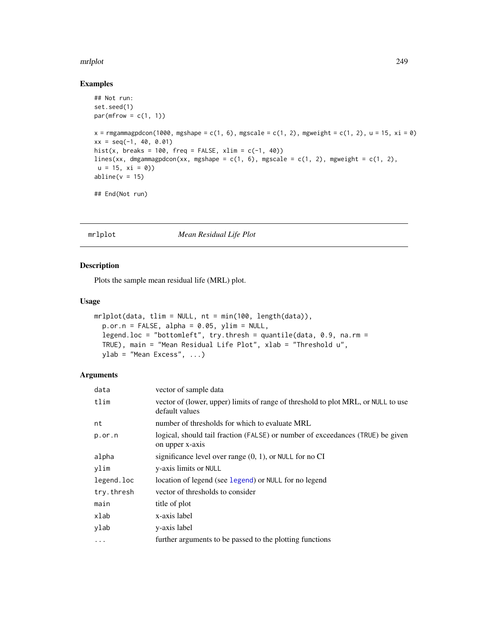#### mrlplot 249

# Examples

```
## Not run:
set.seed(1)
par(mfrow = c(1, 1))x =rmgammagpdcon(1000, mgshape = c(1, 6), mgscale = c(1, 2), mgweight = c(1, 2), u = 15, xi = 0)
xx = seq(-1, 40, 0.01)hist(x, breaks = 100, freq = FALSE, xlim = c(-1, 40))
lines(xx, dmgammagpdcon(xx, mgshape = c(1, 6), mgscale = c(1, 2), mgweight = c(1, 2),
u = 15, xi = 0)
abline(v = 15)## End(Not run)
```
# <span id="page-248-0"></span>mrlplot *Mean Residual Life Plot*

# Description

Plots the sample mean residual life (MRL) plot.

# Usage

```
mrlplot(data, tlim = NULL, nt = min(100, length(data)),
 p.or.n = FALSE, alpha = 0.05, ylim = NULL,
  legend.loc = "bottomleft", try.thresh = quantile(data, 0.9, na.rm =
 TRUE), main = "Mean Residual Life Plot", xlab = "Threshold u",
 ylab = "Mean Excess", ...)
```
# Arguments

| data       | vector of sample data                                                                               |
|------------|-----------------------------------------------------------------------------------------------------|
| tlim       | vector of (lower, upper) limits of range of threshold to plot MRL, or NULL to use<br>default values |
| nt         | number of thresholds for which to evaluate MRL                                                      |
| $p.$ or.n  | logical, should tail fraction (FALSE) or number of exceedances (TRUE) be given<br>on upper x-axis   |
| alpha      | significance level over range $(0, 1)$ , or NULL for no CI                                          |
| ylim       | y-axis limits or NULL                                                                               |
| legend.loc | location of legend (see legend) or NULL for no legend                                               |
| try.thresh | vector of thresholds to consider                                                                    |
| main       | title of plot                                                                                       |
| xlab       | x-axis label                                                                                        |
| ylab       | y-axis label                                                                                        |
| $\cdots$   | further arguments to be passed to the plotting functions                                            |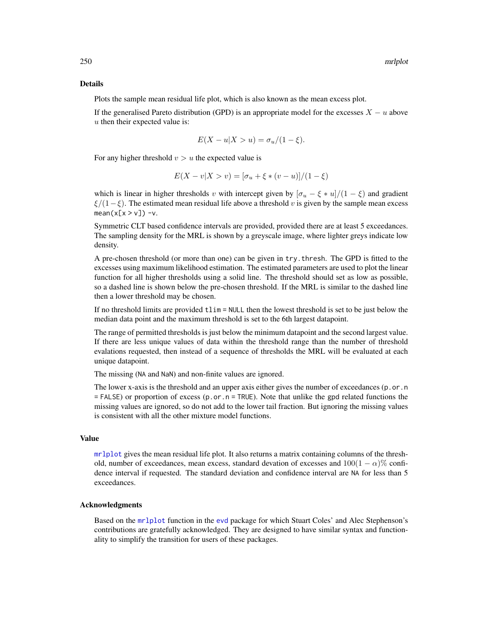#### Details

Plots the sample mean residual life plot, which is also known as the mean excess plot.

If the generalised Pareto distribution (GPD) is an appropriate model for the excesses  $X - u$  above  $u$  then their expected value is:

$$
E(X - u|X > u) = \sigma_u/(1 - \xi).
$$

For any higher threshold  $v > u$  the expected value is

$$
E(X - v|X > v) = [\sigma_u + \xi * (v - u)]/(1 - \xi)
$$

which is linear in higher thresholds v with intercept given by  $\left[\sigma_u - \xi * u\right] / (1 - \xi)$  and gradient  $\xi/(1-\xi)$ . The estimated mean residual life above a threshold v is given by the sample mean excess  $mean(x[x > v]) - v$ .

Symmetric CLT based confidence intervals are provided, provided there are at least 5 exceedances. The sampling density for the MRL is shown by a greyscale image, where lighter greys indicate low density.

A pre-chosen threshold (or more than one) can be given in try.thresh. The GPD is fitted to the excesses using maximum likelihood estimation. The estimated parameters are used to plot the linear function for all higher thresholds using a solid line. The threshold should set as low as possible, so a dashed line is shown below the pre-chosen threshold. If the MRL is similar to the dashed line then a lower threshold may be chosen.

If no threshold limits are provided tlim = NULL then the lowest threshold is set to be just below the median data point and the maximum threshold is set to the 6th largest datapoint.

The range of permitted thresholds is just below the minimum datapoint and the second largest value. If there are less unique values of data within the threshold range than the number of threshold evalations requested, then instead of a sequence of thresholds the MRL will be evaluated at each unique datapoint.

The missing (NA and NaN) and non-finite values are ignored.

The lower x-axis is the threshold and an upper axis either gives the number of exceedances  $(p \cdot o \cdot n)$  $=$  FALSE) or proportion of excess (p.or.n = TRUE). Note that unlike the gpd related functions the missing values are ignored, so do not add to the lower tail fraction. But ignoring the missing values is consistent with all the other mixture model functions.

# Value

[mrlplot](#page-248-0) gives the mean residual life plot. It also returns a matrix containing columns of the threshold, number of exceedances, mean excess, standard devation of excesses and  $100(1 - \alpha)$ % confidence interval if requested. The standard deviation and confidence interval are NA for less than 5 exceedances.

#### Acknowledgments

Based on the [mrlplot](#page-248-0) function in the [evd](#page-0-0) package for which Stuart Coles' and Alec Stephenson's contributions are gratefully acknowledged. They are designed to have similar syntax and functionality to simplify the transition for users of these packages.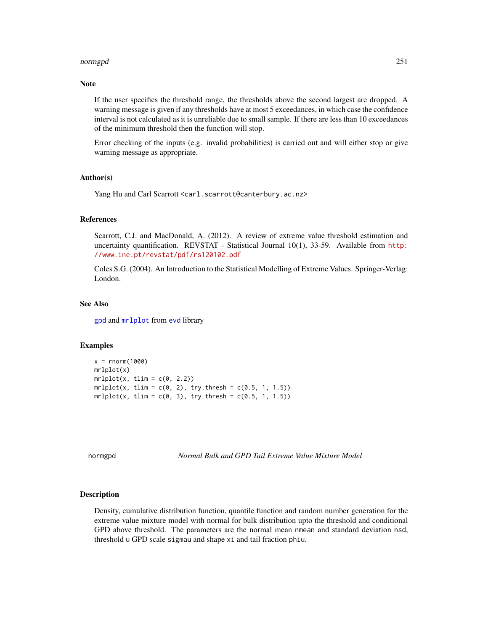#### normgpd 251

# **Note**

If the user specifies the threshold range, the thresholds above the second largest are dropped. A warning message is given if any thresholds have at most 5 exceedances, in which case the confidence interval is not calculated as it is unreliable due to small sample. If there are less than 10 exceedances of the minimum threshold then the function will stop.

Error checking of the inputs (e.g. invalid probabilities) is carried out and will either stop or give warning message as appropriate.

#### Author(s)

Yang Hu and Carl Scarrott <carl.scarrott@canterbury.ac.nz>

# References

Scarrott, C.J. and MacDonald, A. (2012). A review of extreme value threshold estimation and uncertainty quantification. REVSTAT - Statistical Journal 10(1), 33-59. Available from [http:](http://www.ine.pt/revstat/pdf/rs120102.pdf) [//www.ine.pt/revstat/pdf/rs120102.pdf](http://www.ine.pt/revstat/pdf/rs120102.pdf)

Coles S.G. (2004). An Introduction to the Statistical Modelling of Extreme Values. Springer-Verlag: London.

#### See Also

[gpd](#page-190-0) and [mrlplot](#page-248-0) from [evd](#page-0-0) library

#### Examples

```
x = rnorm(1000)mrlplot(x)
mrlplot(x, tlim = c(0, 2.2))mrlplot(x, tlim = c(0, 2), try.thresh = c(0.5, 1, 1.5))mrlplot(x, tlim = c(0, 3), try. threshold = c(0.5, 1, 1.5))
```
<span id="page-250-0"></span>normgpd *Normal Bulk and GPD Tail Extreme Value Mixture Model*

# Description

Density, cumulative distribution function, quantile function and random number generation for the extreme value mixture model with normal for bulk distribution upto the threshold and conditional GPD above threshold. The parameters are the normal mean nmean and standard deviation nsd, threshold u GPD scale sigmau and shape xi and tail fraction phiu.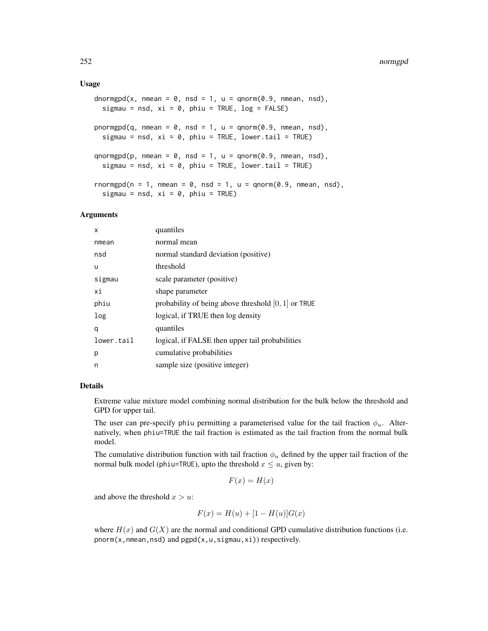#### Usage

```
dnormgpd(x, nmean = 0, nsd = 1, u = qnorm(0.9, nmean, nsd),
  sigmau = nsd, xi = 0, phiu = TRUE, log = FALSE)
pnormgpd(q, nmean = 0, nsd = 1, u = qnorm(0.9, nmean, nsd),
  sigmau = nsd, xi = 0, phiu = TRUE, lower.tail = TRUE)
qnormgpd(p, nmean = 0, nsd = 1, u = qnorm(0.9, nmean, nsd),
  sigmau = nsd, xi = 0, phiu = TRUE, lower.tail = TRUE)
rnormgpd(n = 1, nmean = 0, nsd = 1, u = qnorm(0.9, nmean, nsd),
  sigmau = nsd, xi = 0, phiu = TRUE)
```
# Arguments

| quantiles                                             |
|-------------------------------------------------------|
| normal mean                                           |
| normal standard deviation (positive)                  |
| threshold                                             |
| scale parameter (positive)                            |
| shape parameter                                       |
| probability of being above threshold $[0, 1]$ or TRUE |
| logical, if TRUE then log density                     |
| quantiles                                             |
| logical, if FALSE then upper tail probabilities       |
| cumulative probabilities                              |
| sample size (positive integer)                        |
|                                                       |

# Details

Extreme value mixture model combining normal distribution for the bulk below the threshold and GPD for upper tail.

The user can pre-specify phiu permitting a parameterised value for the tail fraction  $\phi_u$ . Alternatively, when phiu=TRUE the tail fraction is estimated as the tail fraction from the normal bulk model.

The cumulative distribution function with tail fraction  $\phi_u$  defined by the upper tail fraction of the normal bulk model (phiu=TRUE), upto the threshold  $x \leq u$ , given by:

$$
F(x) = H(x)
$$

and above the threshold  $x > u$ :

$$
F(x) = H(u) + [1 - H(u)]G(x)
$$

where  $H(x)$  and  $G(X)$  are the normal and conditional GPD cumulative distribution functions (i.e.  $pnorm(x, nmean, nsd)$  and  $pgpd(x, u, sigma, xi)$  respectively.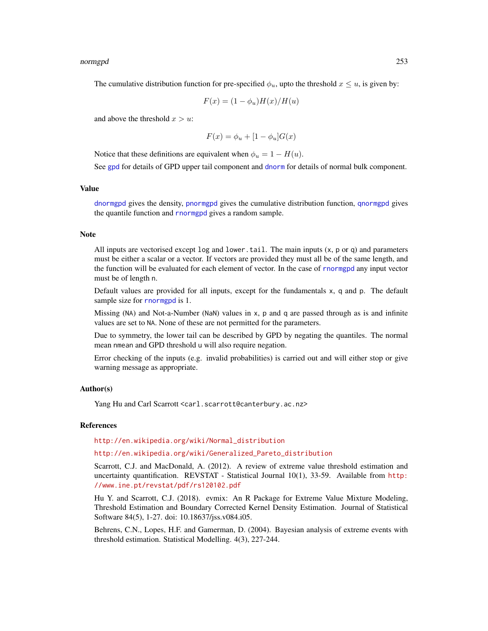#### <span id="page-252-0"></span>normgpd 253

The cumulative distribution function for pre-specified  $\phi_u$ , upto the threshold  $x \leq u$ , is given by:

$$
F(x) = (1 - \phi_u)H(x)/H(u)
$$

and above the threshold  $x > u$ :

$$
F(x) = \phi_u + [1 - \phi_u]G(x)
$$

Notice that these definitions are equivalent when  $\phi_u = 1 - H(u)$ .

See [gpd](#page-190-0) for details of GPD upper tail component and [dnorm](#page-0-0) for details of normal bulk component.

#### Value

[dnormgpd](#page-250-0) gives the density, [pnormgpd](#page-250-0) gives the cumulative distribution function, [qnormgpd](#page-250-0) gives the quantile function and [rnormgpd](#page-250-0) gives a random sample.

#### Note

All inputs are vectorised except  $log$  and  $lower$ .tail. The main inputs  $(x, p, o, q)$  and parameters must be either a scalar or a vector. If vectors are provided they must all be of the same length, and the function will be evaluated for each element of vector. In the case of [rnormgpd](#page-250-0) any input vector must be of length n.

Default values are provided for all inputs, except for the fundamentals x, q and p. The default sample size for [rnormgpd](#page-250-0) is 1.

Missing (NA) and Not-a-Number (NaN) values in x, p and q are passed through as is and infinite values are set to NA. None of these are not permitted for the parameters.

Due to symmetry, the lower tail can be described by GPD by negating the quantiles. The normal mean nmean and GPD threshold u will also require negation.

Error checking of the inputs (e.g. invalid probabilities) is carried out and will either stop or give warning message as appropriate.

# Author(s)

Yang Hu and Carl Scarrott <carl.scarrott@canterbury.ac.nz>

# References

[http://en.wikipedia.org/wiki/Normal\\_distribution](http://en.wikipedia.org/wiki/Normal_distribution)

#### [http://en.wikipedia.org/wiki/Generalized\\_Pareto\\_distribution](http://en.wikipedia.org/wiki/Generalized_Pareto_distribution)

Scarrott, C.J. and MacDonald, A. (2012). A review of extreme value threshold estimation and uncertainty quantification. REVSTAT - Statistical Journal 10(1), 33-59. Available from [http:](http://www.ine.pt/revstat/pdf/rs120102.pdf) [//www.ine.pt/revstat/pdf/rs120102.pdf](http://www.ine.pt/revstat/pdf/rs120102.pdf)

Hu Y. and Scarrott, C.J. (2018). evmix: An R Package for Extreme Value Mixture Modeling, Threshold Estimation and Boundary Corrected Kernel Density Estimation. Journal of Statistical Software 84(5), 1-27. doi: 10.18637/jss.v084.i05.

Behrens, C.N., Lopes, H.F. and Gamerman, D. (2004). Bayesian analysis of extreme events with threshold estimation. Statistical Modelling. 4(3), 227-244.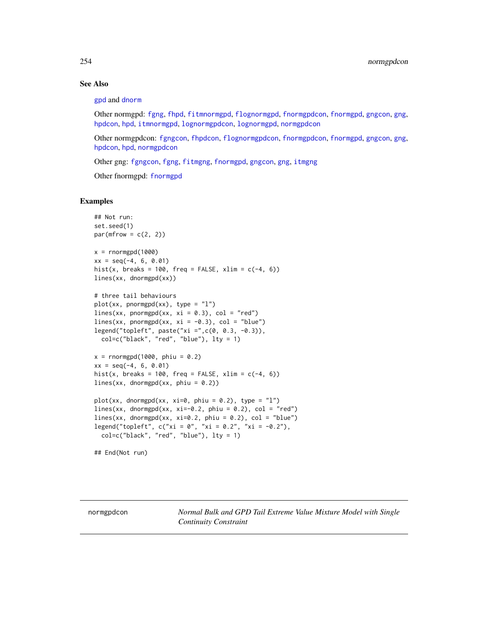# See Also

#### [gpd](#page-190-0) and [dnorm](#page-0-0)

Other normgpd: [fgng](#page-75-0), [fhpd](#page-88-0), [fitmnormgpd](#page-99-0), [flognormgpd](#page-121-0), [fnormgpdcon](#page-148-0), [fnormgpd](#page-142-0), [gngcon](#page-186-0), [gng](#page-183-0), [hpdcon](#page-200-0), [hpd](#page-197-0), [itmnormgpd](#page-208-0), [lognormgpdcon](#page-235-0), [lognormgpd](#page-232-0), [normgpdcon](#page-253-0)

Other normgpdcon: [fgngcon](#page-80-0), [fhpdcon](#page-91-0), [flognormgpdcon](#page-124-0), [fnormgpdcon](#page-148-0), [fnormgpd](#page-142-0), [gngcon](#page-186-0), [gng](#page-183-0), [hpdcon](#page-200-0), [hpd](#page-197-0), [normgpdcon](#page-253-0)

Other gng: [fgngcon](#page-80-0), [fgng](#page-75-0), [fitmgng](#page-95-0), [fnormgpd](#page-142-0), [gngcon](#page-186-0), [gng](#page-183-0), [itmgng](#page-205-0)

Other fnormgpd: [fnormgpd](#page-142-0)

# Examples

```
## Not run:
set.seed(1)
par(mfrow = c(2, 2))x = rnormgpd(1000)xx = seq(-4, 6, 0.01)hist(x, breaks = 100, freq = FALSE, xlim = c(-4, 6))
lines(xx, dnormgpd(xx))
# three tail behaviours
plot(xx, pormypd(xx), type = "l")lines(xx, pnormgpd(xx, xi = 0.3), col = "red")
lines(xx, pnormgpd(xx, xi = -0.3), col = "blue")
legend("topleft", paste("xi =",c(0, 0.3, -0.3)),
  col=c("black", "red", "blue"), lty = 1)
x = rnormgpd(1000, phi = 0.2)xx = seq(-4, 6, 0.01)hist(x, breaks = 100, freq = FALSE, xlim = c(-4, 6))
lines(xx, dnormgpd(xx, phiu = 0.2))
plot(xx, dommppd(xx, xi=0, phi = 0.2), type = "1")lines(xx, dnormgpd(xx, xi=-0.2, phiu = 0.2), col = "red")
lines(xx, dnormgpd(xx, xi=0.2, phiu = 0.2), col = "blue")
legend("topleft", c("xi = 0", "xi = 0.2", "xi = -0.2"),col=c("black", "red", "blue"), \t 1ty = 1)
```
## End(Not run)

<span id="page-253-1"></span>

<span id="page-253-0"></span>normgpdcon *Normal Bulk and GPD Tail Extreme Value Mixture Model with Single Continuity Constraint*

<span id="page-253-2"></span>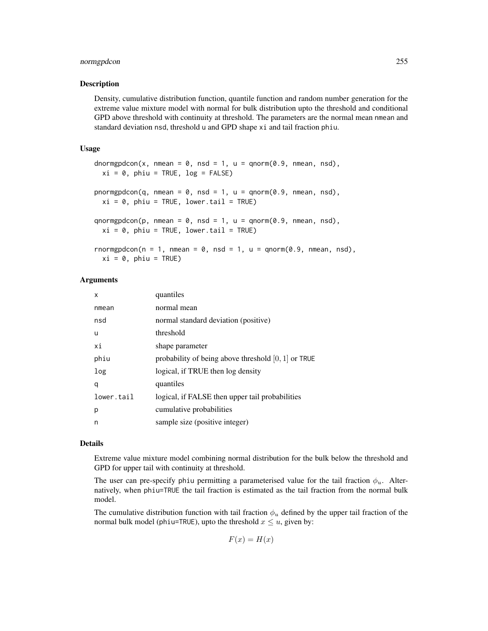# normgpdcon 255

#### Description

Density, cumulative distribution function, quantile function and random number generation for the extreme value mixture model with normal for bulk distribution upto the threshold and conditional GPD above threshold with continuity at threshold. The parameters are the normal mean nmean and standard deviation nsd, threshold u and GPD shape xi and tail fraction phiu.

### Usage

```
dnormgpdcon(x, nmean = 0, nsd = 1, u = qnorm(0.9, nmean, nsd),
 xi = 0, phiu = TRUE, log = FALSE)
pnormgpdcon(q, nmean = 0, nsd = 1, u = qnorm(0.9, nmean, nsd),
  xi = 0, phiu = TRUE, lower.tail = TRUE)
qnormgpdcon(p, nmean = 0, nsd = 1, u = qnorm(0.9, nmean, nsd),
 xi = 0, phiu = TRUE, lower.tail = TRUE)
rnormgpdcon(n = 1, nmean = 0, nsd = 1, u = qnorm(0.9, nmean, nsd),
```
 $xi = 0$ , phiu = TRUE)

# Arguments

| x          | quantiles                                             |
|------------|-------------------------------------------------------|
| nmean      | normal mean                                           |
| nsd        | normal standard deviation (positive)                  |
| u          | threshold                                             |
| хi         | shape parameter                                       |
| phiu       | probability of being above threshold $[0, 1]$ or TRUE |
| log        | logical, if TRUE then log density                     |
| q          | quantiles                                             |
| lower.tail | logical, if FALSE then upper tail probabilities       |
| р          | cumulative probabilities                              |
| n          | sample size (positive integer)                        |

# Details

Extreme value mixture model combining normal distribution for the bulk below the threshold and GPD for upper tail with continuity at threshold.

The user can pre-specify phiu permitting a parameterised value for the tail fraction  $\phi_u$ . Alternatively, when phiu=TRUE the tail fraction is estimated as the tail fraction from the normal bulk model.

The cumulative distribution function with tail fraction  $\phi_u$  defined by the upper tail fraction of the normal bulk model (phiu=TRUE), upto the threshold  $x \leq u$ , given by:

$$
F(x) = H(x)
$$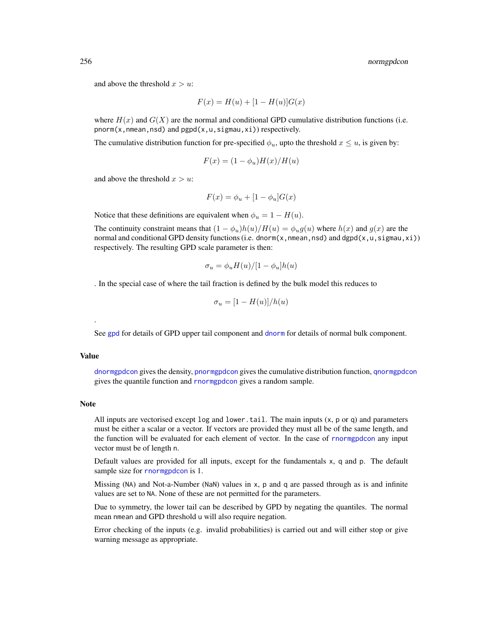and above the threshold  $x > u$ :

$$
F(x) = H(u) + [1 - H(u)]G(x)
$$

where  $H(x)$  and  $G(X)$  are the normal and conditional GPD cumulative distribution functions (i.e.  $pnorm(x, nmean, nsd)$  and  $pgpd(x, u, sigma, xi)$  respectively.

The cumulative distribution function for pre-specified  $\phi_u$ , upto the threshold  $x \leq u$ , is given by:

$$
F(x) = (1 - \phi_u)H(x)/H(u)
$$

and above the threshold  $x > u$ :

$$
F(x) = \phi_u + [1 - \phi_u]G(x)
$$

Notice that these definitions are equivalent when  $\phi_u = 1 - H(u)$ .

The continuity constraint means that  $(1 - \phi_u)h(u)/H(u) = \phi_u g(u)$  where  $h(x)$  and  $g(x)$  are the normal and conditional GPD density functions (i.e. dnorm(x, nmean, nsd) and dgpd(x, u, sigmau, xi)) respectively. The resulting GPD scale parameter is then:

$$
\sigma_u = \phi_u H(u) / [1 - \phi_u] h(u)
$$

. In the special case of where the tail fraction is defined by the bulk model this reduces to

$$
\sigma_u = [1 - H(u)]/h(u)
$$

See [gpd](#page-190-0) for details of GPD upper tail component and [dnorm](#page-0-0) for details of normal bulk component.

# Value

.

[dnormgpdcon](#page-253-1) gives the density, [pnormgpdcon](#page-253-1) gives the cumulative distribution function, [qnormgpdcon](#page-253-1) gives the quantile function and [rnormgpdcon](#page-253-1) gives a random sample.

#### **Note**

All inputs are vectorised except  $log$  and  $lower$ .tail. The main inputs  $(x, p, o, q)$  and parameters must be either a scalar or a vector. If vectors are provided they must all be of the same length, and the function will be evaluated for each element of vector. In the case of [rnormgpdcon](#page-253-1) any input vector must be of length n.

Default values are provided for all inputs, except for the fundamentals x, q and p. The default sample size for [rnormgpdcon](#page-253-1) is 1.

Missing (NA) and Not-a-Number (NaN) values in x, p and q are passed through as is and infinite values are set to NA. None of these are not permitted for the parameters.

Due to symmetry, the lower tail can be described by GPD by negating the quantiles. The normal mean nmean and GPD threshold u will also require negation.

Error checking of the inputs (e.g. invalid probabilities) is carried out and will either stop or give warning message as appropriate.

<span id="page-255-0"></span>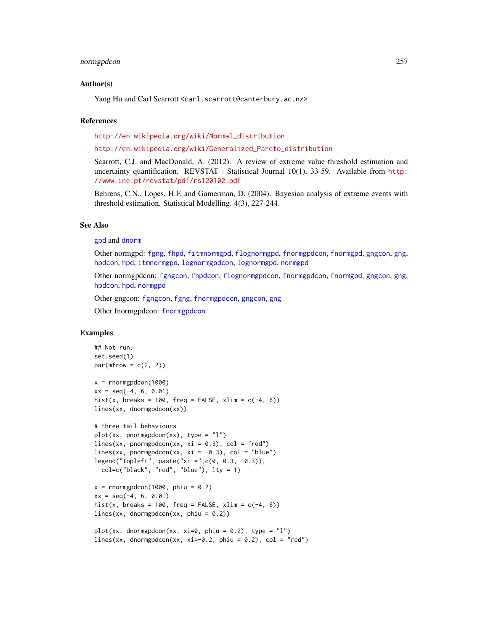#### <span id="page-256-0"></span>normgpdcon 257

# Author(s)

Yang Hu and Carl Scarrott <carl.scarrott@canterbury.ac.nz>

#### **References**

[http://en.wikipedia.org/wiki/Normal\\_distribution](http://en.wikipedia.org/wiki/Normal_distribution)

# [http://en.wikipedia.org/wiki/Generalized\\_Pareto\\_distribution](http://en.wikipedia.org/wiki/Generalized_Pareto_distribution)

Scarrott, C.J. and MacDonald, A. (2012). A review of extreme value threshold estimation and uncertainty quantification. REVSTAT - Statistical Journal 10(1), 33-59. Available from [http:](http://www.ine.pt/revstat/pdf/rs120102.pdf) [//www.ine.pt/revstat/pdf/rs120102.pdf](http://www.ine.pt/revstat/pdf/rs120102.pdf)

Behrens, C.N., Lopes, H.F. and Gamerman, D. (2004). Bayesian analysis of extreme events with threshold estimation. Statistical Modelling. 4(3), 227-244.

#### See Also

[gpd](#page-190-0) and [dnorm](#page-0-0)

Other normgpd: [fgng](#page-75-0), [fhpd](#page-88-0), [fitmnormgpd](#page-99-0), [flognormgpd](#page-121-0), [fnormgpdcon](#page-148-0), [fnormgpd](#page-142-0), [gngcon](#page-186-0), [gng](#page-183-0), [hpdcon](#page-200-0), [hpd](#page-197-0), [itmnormgpd](#page-208-0), [lognormgpdcon](#page-235-0), [lognormgpd](#page-232-0), [normgpd](#page-250-1)

Other normgpdcon: [fgngcon](#page-80-0), [fhpdcon](#page-91-0), [flognormgpdcon](#page-124-0), [fnormgpdcon](#page-148-0), [fnormgpd](#page-142-0), [gngcon](#page-186-0), [gng](#page-183-0), [hpdcon](#page-200-0), [hpd](#page-197-0), [normgpd](#page-250-1)

Other gngcon: [fgngcon](#page-80-0), [fgng](#page-75-0), [fnormgpdcon](#page-148-0), [gngcon](#page-186-0), [gng](#page-183-0)

Other fnormgpdcon: [fnormgpdcon](#page-148-0)

# Examples

```
## Not run:
set.seed(1)
par(mfrow = c(2, 2))x = rnormgpdcon(1000)xx = seq(-4, 6, 0.01)hist(x, breaks = 100, freq = FALSE, xlim = c(-4, 6))
lines(xx, dnormgpdcon(xx))
# three tail behaviours
plot(xx, pormgpdcon(xx), type = "1")lines(xx, pnormgpdcon(xx, xi = 0.3), col = "red")
lines(xx, pnormgpdcon(xx, xi = -0.3), col = "blue")
legend("topleft", paste("xi =",c(0, 0.3, -0.3)),
  col=c("black", "red", "blue"), lty = 1)
x = rnormgpdcon(1000, phi = 0.2)xx = seq(-4, 6, 0.01)hist(x, breaks = 100, freq = FALSE, xlim = c(-4, 6))
lines(xx, dnormgpdcon(xx, phiu = 0.2))
plot(xx, dnormgpdcon(xx, xi=0, phiu = 0.2), type = "l")
lines(xx, dnormgpdcon(xx, xi=-0.2, phiu = 0.2), col = "red")
```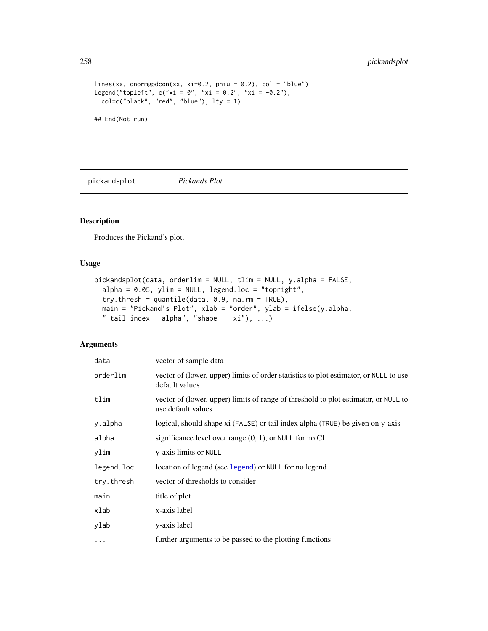```
lines(xx, dnormgpdcon(xx, xi=0.2, phiu = 0.2), col = "blue")
legend("topleft", c("xi = 0", "xi = 0.2", "xi = -0.2"),col=c("black", "red", "blue"), lty = 1)
```
## End(Not run)

<span id="page-257-0"></span>pickandsplot *Pickands Plot*

# Description

Produces the Pickand's plot.

# Usage

```
pickandsplot(data, orderlim = NULL, tlim = NULL, y.alpha = FALSE,
 alpha = 0.05, ylim = NULL, legend.loc = "topright",
  try.thresh = quantile(data, 0.9, na.rm = TRUE),
 main = "Pickand's Plot", xlab = "order", ylab = ifelse(y.alpha,
  " tail index - alpha", "shape - xi"), ...)
```
# Arguments

| data       | vector of sample data                                                                                     |
|------------|-----------------------------------------------------------------------------------------------------------|
| orderlim   | vector of (lower, upper) limits of order statistics to plot estimator, or NULL to use<br>default values   |
| tlim       | vector of (lower, upper) limits of range of threshold to plot estimator, or NULL to<br>use default values |
| y.alpha    | logical, should shape xi (FALSE) or tail index alpha (TRUE) be given on y-axis                            |
| alpha      | significance level over range $(0, 1)$ , or NULL for no CI                                                |
| ylim       | y-axis limits or NULL                                                                                     |
| legend.loc | location of legend (see legend) or NULL for no legend                                                     |
| try.thresh | vector of thresholds to consider                                                                          |
| main       | title of plot                                                                                             |
| xlab       | x-axis label                                                                                              |
| ylab       | y-axis label                                                                                              |
| $\cdots$   | further arguments to be passed to the plotting functions                                                  |

<span id="page-257-1"></span>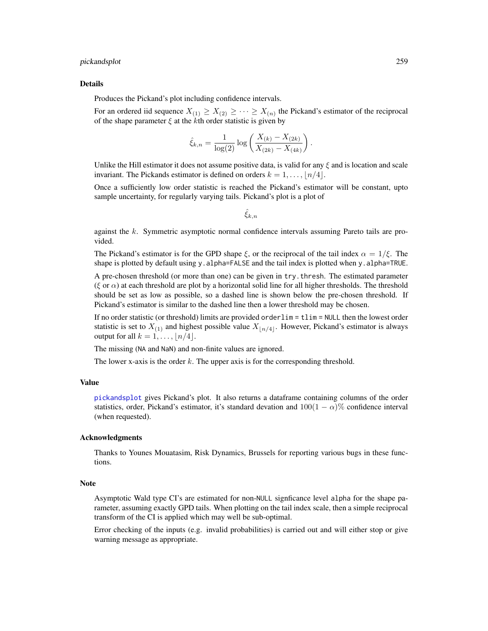#### <span id="page-258-0"></span>pickandsplot 259

#### Details

Produces the Pickand's plot including confidence intervals.

For an ordered iid sequence  $X_{(1)} \geq X_{(2)} \geq \cdots \geq X_{(n)}$  the Pickand's estimator of the reciprocal of the shape parameter  $\xi$  at the kth order statistic is given by

$$
\hat{\xi}_{k,n} = \frac{1}{\log(2)} \log \left( \frac{X_{(k)} - X_{(2k)}}{X_{(2k)} - X_{(4k)}} \right).
$$

Unlike the Hill estimator it does not assume positive data, is valid for any  $\xi$  and is location and scale invariant. The Pickands estimator is defined on orders  $k = 1, \ldots, \lfloor n/4 \rfloor$ .

Once a sufficiently low order statistic is reached the Pickand's estimator will be constant, upto sample uncertainty, for regularly varying tails. Pickand's plot is a plot of

 $\xi_{k,n}$ 

against the  $k$ . Symmetric asymptotic normal confidence intervals assuming Pareto tails are provided.

The Pickand's estimator is for the GPD shape  $\xi$ , or the reciprocal of the tail index  $\alpha = 1/\xi$ . The shape is plotted by default using y.alpha=FALSE and the tail index is plotted when y.alpha=TRUE.

A pre-chosen threshold (or more than one) can be given in try.thresh. The estimated parameter (ξ or  $\alpha$ ) at each threshold are plot by a horizontal solid line for all higher thresholds. The threshold should be set as low as possible, so a dashed line is shown below the pre-chosen threshold. If Pickand's estimator is similar to the dashed line then a lower threshold may be chosen.

If no order statistic (or threshold) limits are provided orderlim = tlim = NULL then the lowest order statistic is set to  $X_{(1)}$  and highest possible value  $X_{n/4}$ . However, Pickand's estimator is always output for all  $k = 1, \ldots, \lfloor n/4 \rfloor$ .

The missing (NA and NaN) and non-finite values are ignored.

The lower x-axis is the order  $k$ . The upper axis is for the corresponding threshold.

#### Value

[pickandsplot](#page-257-0) gives Pickand's plot. It also returns a dataframe containing columns of the order statistics, order, Pickand's estimator, it's standard devation and  $100(1 - \alpha)\%$  confidence interval (when requested).

#### Acknowledgments

Thanks to Younes Mouatasim, Risk Dynamics, Brussels for reporting various bugs in these functions.

#### Note

Asymptotic Wald type CI's are estimated for non-NULL signficance level alpha for the shape parameter, assuming exactly GPD tails. When plotting on the tail index scale, then a simple reciprocal transform of the CI is applied which may well be sub-optimal.

Error checking of the inputs (e.g. invalid probabilities) is carried out and will either stop or give warning message as appropriate.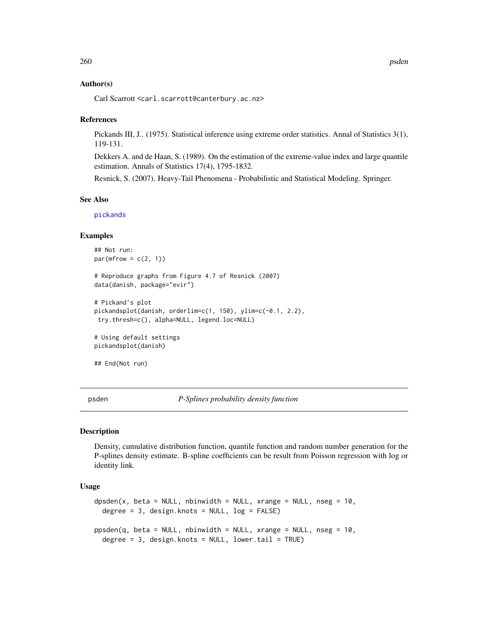# Author(s)

Carl Scarrott <carl.scarrott@canterbury.ac.nz>

# References

Pickands III, J.. (1975). Statistical inference using extreme order statistics. Annal of Statistics 3(1), 119-131.

Dekkers A. and de Haan, S. (1989). On the estimation of the extreme-value index and large quantile estimation. Annals of Statistics 17(4), 1795-1832.

Resnick, S. (2007). Heavy-Tail Phenomena - Probabilistic and Statistical Modeling. Springer.

#### See Also

[pickands](#page-0-0)

# Examples

```
## Not run:
par(mfrow = c(2, 1))# Reproduce graphs from Figure 4.7 of Resnick (2007)
data(danish, package="evir")
# Pickand's plot
pickandsplot(danish, orderlim=c(1, 150), ylim=c(-0.1, 2.2),
try.thresh=c(), alpha=NULL, legend.loc=NULL)
# Using default settings
pickandsplot(danish)
```

```
## End(Not run)
```
<span id="page-259-1"></span>psden *P-Splines probability density function*

#### <span id="page-259-0"></span>**Description**

Density, cumulative distribution function, quantile function and random number generation for the P-splines density estimate. B-spline coefficients can be result from Poisson regression with log or identity link.

# Usage

```
dpsden(x, beta = NULL, nbinwidth = NULL, xrange = NULL, nseg = 10,degree = 3, design.knots = NULL, log = FALSE)
ppsden(q, beta = NULL, nbinwidth = NULL, xrange = NULL, nseg = 10,degree = 3, design.knots = NULL, lower.tail = TRUE)
```
<span id="page-259-2"></span>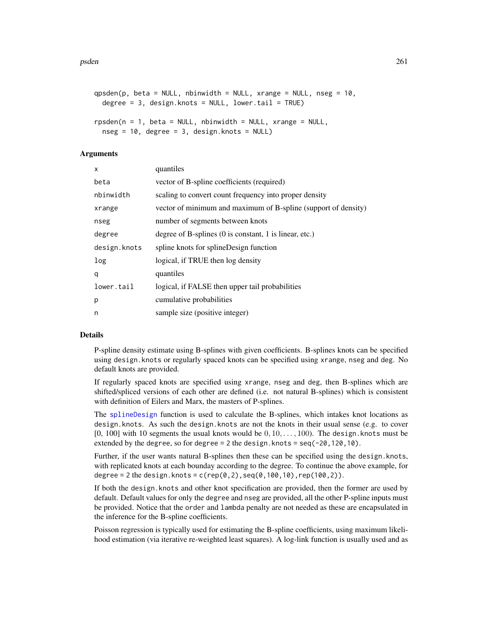```
qpsden(p, beta = NULL, nbinwidth = NULL, xrange = NULL, nseg = 10,degree = 3, design.knots = NULL, lower.tail = TRUE)
rpsden(n = 1, beta = NULL, nbinwidth = NULL, xrange = NULL,nseg = 10, degree = 3, design.knots = NULL)
```
# Arguments

| X            | quantiles                                                                |
|--------------|--------------------------------------------------------------------------|
| beta         | vector of B-spline coefficients (required)                               |
| nbinwidth    | scaling to convert count frequency into proper density                   |
| xrange       | vector of minimum and maximum of B-spline (support of density)           |
| nseg         | number of segments between knots                                         |
| degree       | degree of B-splines $(0 \text{ is constant}, 1 \text{ is linear}, etc.)$ |
| design.knots | spline knots for splineDesign function                                   |
| log          | logical, if TRUE then log density                                        |
| q            | quantiles                                                                |
| lower.tail   | logical, if FALSE then upper tail probabilities                          |
| p            | cumulative probabilities                                                 |
| n            | sample size (positive integer)                                           |

#### Details

P-spline density estimate using B-splines with given coefficients. B-splines knots can be specified using design.knots or regularly spaced knots can be specified using xrange, nseg and deg. No default knots are provided.

If regularly spaced knots are specified using xrange, nseg and deg, then B-splines which are shifted/spliced versions of each other are defined (i.e. not natural B-splines) which is consistent with definition of Eilers and Marx, the masters of P-splines.

The [splineDesign](#page-0-0) function is used to calculate the B-splines, which intakes knot locations as design.knots. As such the design.knots are not the knots in their usual sense (e.g. to cover  $[0, 100]$  with 10 segments the usual knots would be  $0, 10, \ldots, 100$ . The design.knots must be extended by the degree, so for degree =  $2$  the design. knots =  $seq(-20, 120, 10)$ .

Further, if the user wants natural B-splines then these can be specified using the design.knots, with replicated knots at each bounday according to the degree. To continue the above example, for degree = 2 the design.knots =  $c(rep(\theta, 2), seq(\theta, 100, 10), rep(100, 2)).$ 

If both the design.knots and other knot specification are provided, then the former are used by default. Default values for only the degree and nseg are provided, all the other P-spline inputs must be provided. Notice that the order and lambda penalty are not needed as these are encapsulated in the inference for the B-spline coefficients.

Poisson regression is typically used for estimating the B-spline coefficients, using maximum likelihood estimation (via iterative re-weighted least squares). A log-link function is usually used and as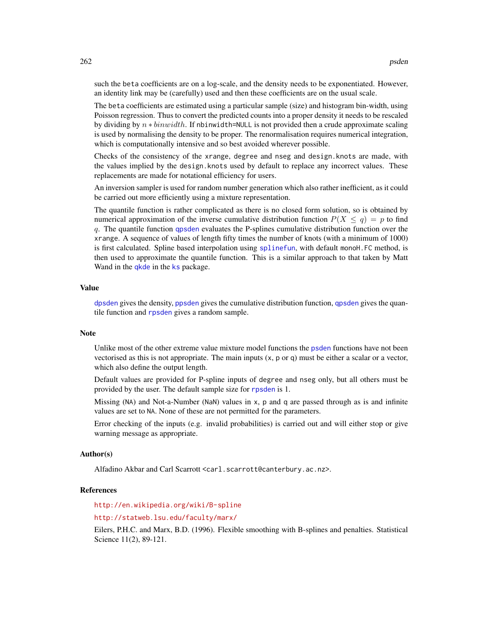such the beta coefficients are on a log-scale, and the density needs to be exponentiated. However, an identity link may be (carefully) used and then these coefficients are on the usual scale.

The beta coefficients are estimated using a particular sample (size) and histogram bin-width, using Poisson regression. Thus to convert the predicted counts into a proper density it needs to be rescaled by dividing by  $n * binwidth$ . If nbinwidth=NULL is not provided then a crude approximate scaling is used by normalising the density to be proper. The renormalisation requires numerical integration, which is computationally intensive and so best avoided wherever possible.

Checks of the consistency of the xrange, degree and nseg and design.knots are made, with the values implied by the design.knots used by default to replace any incorrect values. These replacements are made for notational efficiency for users.

An inversion sampler is used for random number generation which also rather inefficient, as it could be carried out more efficiently using a mixture representation.

The quantile function is rather complicated as there is no closed form solution, so is obtained by numerical approximation of the inverse cumulative distribution function  $P(X \le q) = p$  to find q. The quantile function [qpsden](#page-259-0) evaluates the P-splines cumulative distribution function over the xrange. A sequence of values of length fifty times the number of knots (with a minimum of 1000) is first calculated. Spline based interpolation using [splinefun](#page-0-0), with default monoH. FC method, is then used to approximate the quantile function. This is a similar approach to that taken by Matt Wand in the [qkde](#page-0-0) in the [ks](#page-0-0) package.

# Value

[dpsden](#page-259-0) gives the density, [ppsden](#page-259-0) gives the cumulative distribution function, [qpsden](#page-259-0) gives the quantile function and [rpsden](#page-259-0) gives a random sample.

# **Note**

Unlike most of the other extreme value mixture model functions the [psden](#page-259-1) functions have not been vectorised as this is not appropriate. The main inputs  $(x, p \text{ or } q)$  must be either a scalar or a vector, which also define the output length.

Default values are provided for P-spline inputs of degree and nseg only, but all others must be provided by the user. The default sample size for [rpsden](#page-259-0) is 1.

Missing (NA) and Not-a-Number (NaN) values in x, p and q are passed through as is and infinite values are set to NA. None of these are not permitted for the parameters.

Error checking of the inputs (e.g. invalid probabilities) is carried out and will either stop or give warning message as appropriate.

#### Author(s)

Alfadino Akbar and Carl Scarrott <carl.scarrott@canterbury.ac.nz>.

# References

<http://en.wikipedia.org/wiki/B-spline>

<http://statweb.lsu.edu/faculty/marx/>

Eilers, P.H.C. and Marx, B.D. (1996). Flexible smoothing with B-splines and penalties. Statistical Science 11(2), 89-121.

<span id="page-261-0"></span>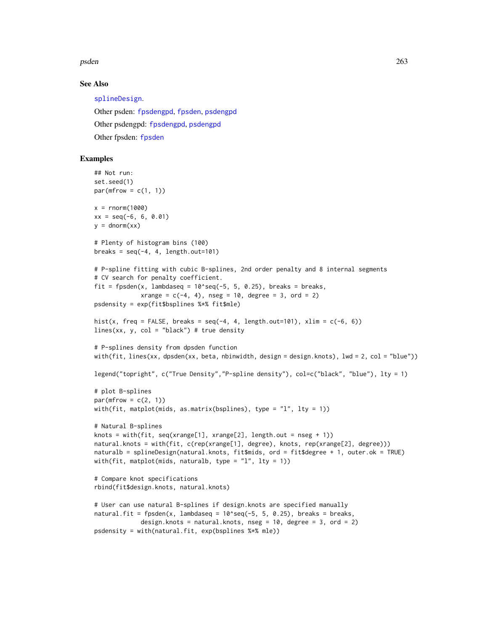<span id="page-262-0"></span>psden 263

# See Also

[splineDesign](#page-0-0). Other psden: [fpsdengpd](#page-156-0), [fpsden](#page-152-0), [psdengpd](#page-263-0) Other psdengpd: [fpsdengpd](#page-156-0), [psdengpd](#page-263-0) Other fpsden: [fpsden](#page-152-0)

### Examples

```
## Not run:
set.seed(1)
par(mfrow = c(1, 1))x = rnorm(1000)xx = seq(-6, 6, 0.01)y = \text{dnorm}(xx)# Plenty of histogram bins (100)
breaks = seq(-4, 4, length.out=101)# P-spline fitting with cubic B-splines, 2nd order penalty and 8 internal segments
# CV search for penalty coefficient.
fit = fpsden(x, lambdaseq = 10^{\circ}seq(-5, 5, 0.25), breaks = breaks,
             xrange = c(-4, 4), nseg = 10, degree = 3, ord = 2)psdensity = exp(fit$bsplines %*% fit$mle)
hist(x, freq = FALSE, breaks = seq(-4, 4, length.out=101), xlim = c(-6, 6))
lines(xx, y, col = "black") # true density
# P-splines density from dpsden function
with(fit, lines(xx, dpsden(xx, beta, nbinwidth, design = design.knots), lwd = 2, col = "blue"))
legend("topright", c("True Density","P-spline density"), col=c("black", "blue"), lty = 1)
# plot B-splines
par(mfrow = c(2, 1))with(fit, matplot(mids, as.matrix(bsplines), type = "l", lty = 1))
# Natural B-splines
knots = with(fit, seq(xrange[1], xrange[2], length.out = nseg + 1))natural.knots = with(fit, c(rep(xrange[1], degree), knots, rep(xrange[2], degree)))
naturalb = splineDesign(natural.knots, fit$mids, ord = fit$degree + 1, outer.ok = TRUE)
with(fit, matplot(mids, naturalb, type = "l", lty = 1))
# Compare knot specifications
rbind(fit$design.knots, natural.knots)
# User can use natural B-splines if design.knots are specified manually
natural.fit = fpsden(x, lambdaseq = 10^{\circ}seq(-5, 5, 0.25), breaks = breaks,
             design.knots = natural.knots, nseg = 10, degree = 3, ord = 2)
psdensity = with(natural.fit, exp(bsplines %*% mle))
```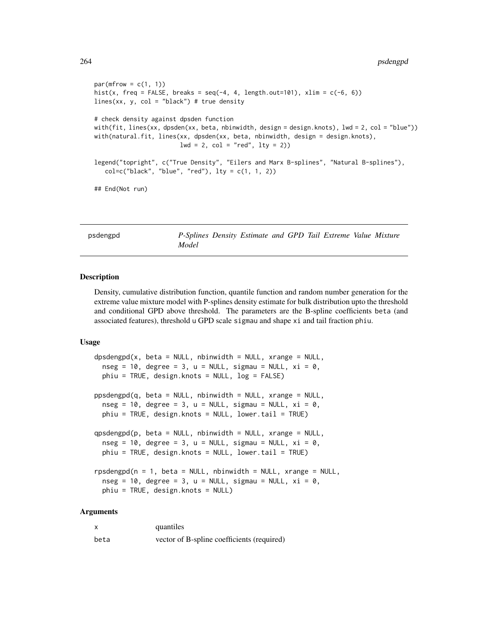```
par(mfrow = c(1, 1))hist(x, freq = FALSE, breaks = seq(-4, 4, length.out=101), xlim = c(-6, 6))
lines(xx, y, col = "black") # true density
# check density against dpsden function
with(fit, lines(xx, dpsden(xx, beta, nbinwidth, design = design.knots), lwd = 2, col = "blue"))
with(natural.fit, lines(xx, dpsden(xx, beta, nbinwidth, design = design.knots),
                        1wd = 2, col = "red", 1ty = 2)legend("topright", c("True Density", "Eilers and Marx B-splines", "Natural B-splines"),
   col=c("black", "blue", "red"), lty = c(1, 1, 2))## End(Not run)
```
<span id="page-263-0"></span>psdengpd *P-Splines Density Estimate and GPD Tail Extreme Value Mixture Model*

# <span id="page-263-1"></span>**Description**

Density, cumulative distribution function, quantile function and random number generation for the extreme value mixture model with P-splines density estimate for bulk distribution upto the threshold and conditional GPD above threshold. The parameters are the B-spline coefficients beta (and associated features), threshold u GPD scale sigmau and shape xi and tail fraction phiu.

# Usage

```
dpsdengpd(x, beta = NULL, nbinwidth = NULL, xrange = NULL,nseg = 10, degree = 3, u = NULL, sigmau = NULL, xi = 0,
 phiu = TRUE, design.knots = NULL, log = FALSE)
ppsdengpd(q, beta = NULL, nbinwidth = NULL, xrange = NULL,
  nseg = 10, degree = 3, u = NULL, sigmau = NULL, xi = 0,
 phiu = TRUE, design.knots = NULL, lower.tail = TRUE)
qpsdengpd(p, beta = NULL, nbinwidth = NULL, xrange = NULL,
  nseg = 10, degree = 3, u = NULL, sigmau = NULL, xi = 0,
 phiu = TRUE, design.knots = NULL, lower.tail = TRUE)
rpsdengpd(n = 1, beta = NULL, nbinwidth = NULL, xrange = NULL,nseg = 10, degree = 3, u = NULL, sigmau = NULL, xi = 0,
 phiu = TRUE, design.knots = NULL)
```
# Arguments

| X    | quantiles                                  |
|------|--------------------------------------------|
| beta | vector of B-spline coefficients (required) |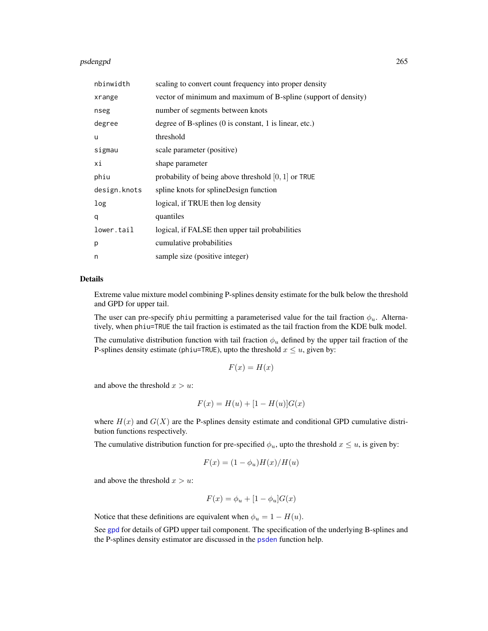#### <span id="page-264-0"></span>psdengpd 265

| nbinwidth    | scaling to convert count frequency into proper density                   |
|--------------|--------------------------------------------------------------------------|
| xrange       | vector of minimum and maximum of B-spline (support of density)           |
| nseg         | number of segments between knots                                         |
| degree       | degree of B-splines $(0 \text{ is constant}, 1 \text{ is linear}, etc.)$ |
| u            | threshold                                                                |
| sigmau       | scale parameter (positive)                                               |
| хi           | shape parameter                                                          |
| phiu         | probability of being above threshold $[0, 1]$ or TRUE                    |
| design.knots | spline knots for splineDesign function                                   |
| log          | logical, if TRUE then log density                                        |
| q            | quantiles                                                                |
| lower.tail   | logical, if FALSE then upper tail probabilities                          |
| р            | cumulative probabilities                                                 |
| n            | sample size (positive integer)                                           |

# Details

Extreme value mixture model combining P-splines density estimate for the bulk below the threshold and GPD for upper tail.

The user can pre-specify phiu permitting a parameterised value for the tail fraction  $\phi_u$ . Alternatively, when phiu=TRUE the tail fraction is estimated as the tail fraction from the KDE bulk model.

The cumulative distribution function with tail fraction  $\phi_u$  defined by the upper tail fraction of the P-splines density estimate (phiu=TRUE), upto the threshold  $x \le u$ , given by:

$$
F(x) = H(x)
$$

and above the threshold  $x > u$ :

$$
F(x) = H(u) + [1 - H(u)]G(x)
$$

where  $H(x)$  and  $G(X)$  are the P-splines density estimate and conditional GPD cumulative distribution functions respectively.

The cumulative distribution function for pre-specified  $\phi_u$ , upto the threshold  $x \leq u$ , is given by:

$$
F(x) = (1 - \phi_u)H(x)/H(u)
$$

and above the threshold  $x > u$ :

$$
F(x) = \phi_u + [1 - \phi_u]G(x)
$$

Notice that these definitions are equivalent when  $\phi_u = 1 - H(u)$ .

See [gpd](#page-190-0) for details of GPD upper tail component. The specification of the underlying B-splines and the P-splines density estimator are discussed in the [psden](#page-259-1) function help.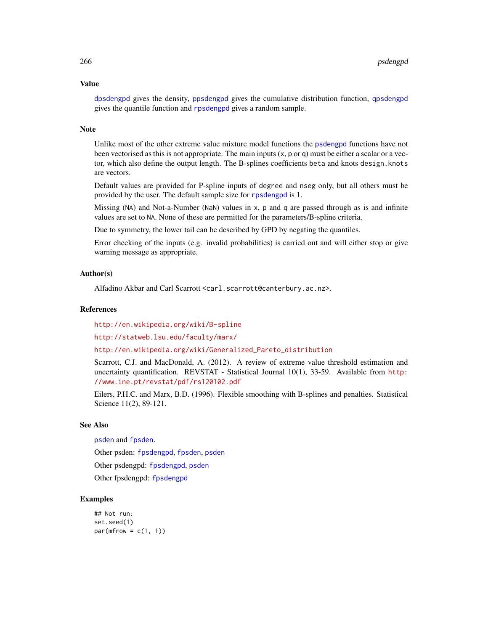# Value

[dpsdengpd](#page-263-1) gives the density, [ppsdengpd](#page-263-1) gives the cumulative distribution function, [qpsdengpd](#page-263-1) gives the quantile function and [rpsdengpd](#page-263-1) gives a random sample.

#### Note

Unlike most of the other extreme value mixture model functions the [psdengpd](#page-263-0) functions have not been vectorised as this is not appropriate. The main inputs (x, p or q) must be either a scalar or a vector, which also define the output length. The B-splines coefficients beta and knots design.knots are vectors.

Default values are provided for P-spline inputs of degree and nseg only, but all others must be provided by the user. The default sample size for [rpsdengpd](#page-263-1) is 1.

Missing (NA) and Not-a-Number (NaN) values in x, p and q are passed through as is and infinite values are set to NA. None of these are permitted for the parameters/B-spline criteria.

Due to symmetry, the lower tail can be described by GPD by negating the quantiles.

Error checking of the inputs (e.g. invalid probabilities) is carried out and will either stop or give warning message as appropriate.

# Author(s)

Alfadino Akbar and Carl Scarrott <carl.scarrott@canterbury.ac.nz>.

#### References

<http://en.wikipedia.org/wiki/B-spline>

<http://statweb.lsu.edu/faculty/marx/>

[http://en.wikipedia.org/wiki/Generalized\\_Pareto\\_distribution](http://en.wikipedia.org/wiki/Generalized_Pareto_distribution)

Scarrott, C.J. and MacDonald, A. (2012). A review of extreme value threshold estimation and uncertainty quantification. REVSTAT - Statistical Journal 10(1), 33-59. Available from [http:](http://www.ine.pt/revstat/pdf/rs120102.pdf) [//www.ine.pt/revstat/pdf/rs120102.pdf](http://www.ine.pt/revstat/pdf/rs120102.pdf)

Eilers, P.H.C. and Marx, B.D. (1996). Flexible smoothing with B-splines and penalties. Statistical Science 11(2), 89-121.

# See Also

[psden](#page-259-1) and [fpsden](#page-152-0).

Other psden: [fpsdengpd](#page-156-0), [fpsden](#page-152-0), [psden](#page-259-1)

Other psdengpd: [fpsdengpd](#page-156-0), [psden](#page-259-1)

Other fpsdengpd: [fpsdengpd](#page-156-0)

# Examples

```
## Not run:
set.seed(1)
par(mfrow = c(1, 1))
```
<span id="page-265-0"></span>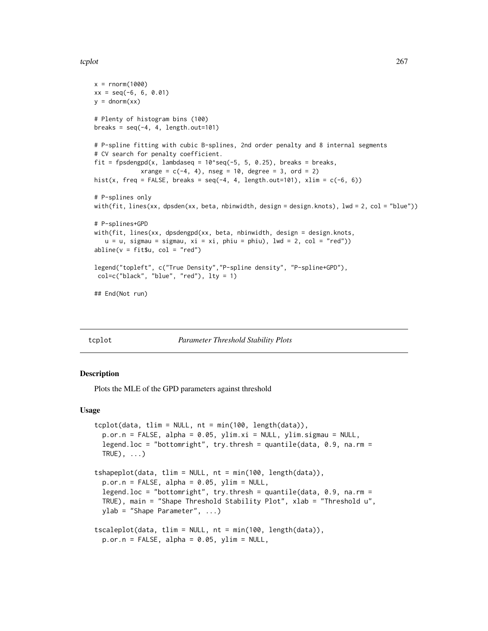#### <span id="page-266-2"></span>tcplot 267

```
x = rnorm(1000)xx = seq(-6, 6, 0.01)y = \text{dnorm}(xx)# Plenty of histogram bins (100)
breaks = seq(-4, 4, length.out=101)# P-spline fitting with cubic B-splines, 2nd order penalty and 8 internal segments
# CV search for penalty coefficient.
fit = fpsdengpd(x, lambdaseq = 10^seq(-5, 5, 0.25), breaks = breaks,
             xrange = c(-4, 4), nseg = 10, degree = 3, ord = 2)hist(x, freq = FALSE, breaks = seq(-4, 4, length.out=101), xlim = c(-6, 6))
# P-splines only
with(fit, lines(xx, dpsden(xx, beta, nbinwidth, design = design.knots), lwd = 2, col = "blue"))
# P-splines+GPD
with(fit, lines(xx, dpsdengpd(xx, beta, nbinwidth, design = design.knots,
   u = u, sigmau = sigmau, xi = xi, phiu = phiu), lwd = 2, col = "red"))
abline(v = fit $u, col = "red")legend("topleft", c("True Density","P-spline density", "P-spline+GPD"),
 col=c("black", "blue", "red"), lty = 1)
## End(Not run)
```
<span id="page-266-1"></span>

tcplot *Parameter Threshold Stability Plots*

# <span id="page-266-0"></span>**Description**

Plots the MLE of the GPD parameters against threshold

# Usage

```
tcplot(data, tlim = NULL, nt = min(100, length(data)),p \cdot \text{or} \cdot n = \text{FALSE}, alpha = 0.05, ylim.xi = NULL, ylim.sigmau = NULL,
  legend.loc = "bottomright", try.thresh = quantile(data, 0.9, na.rm =
  TRUE), \ldots)tshapeplot(data, tlim = NULL, nt = min(100, length(data)),
  p.or.n = FALSE, alpha = 0.05, ylim = NULL,
  legend.loc = "bottomright", try.thresh = quantile(data, 0.9, na.rm =
  TRUE), main = "Shape Threshold Stability Plot", xlab = "Threshold u",
  ylab = "Shape Parameter", ...)tscaleplot(data, tlim = NULL, nt = min(100, length(data)),
  p.or.n = FALSE, alpha = 0.05, ylim = NULL,
```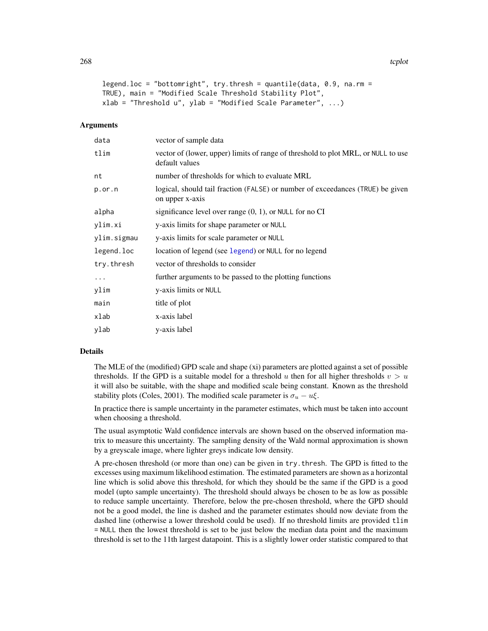```
legend.loc = "bottomright", try.thresh = quantile(data, 0.9, na.rm =
TRUE), main = "Modified Scale Threshold Stability Plot",
xlab = "Threshold u", ylab = "Modified Scale Parameter", ...)
```
# Arguments

| data        | vector of sample data                                                                               |
|-------------|-----------------------------------------------------------------------------------------------------|
| tlim        | vector of (lower, upper) limits of range of threshold to plot MRL, or NULL to use<br>default values |
| nt          | number of thresholds for which to evaluate MRL                                                      |
| $p.$ or.n   | logical, should tail fraction (FALSE) or number of exceedances (TRUE) be given<br>on upper x-axis   |
| alpha       | significance level over range $(0, 1)$ , or NULL for no CI                                          |
| ylim.xi     | y-axis limits for shape parameter or NULL                                                           |
| ylim.sigmau | y-axis limits for scale parameter or NULL                                                           |
| legend.loc  | location of legend (see legend) or NULL for no legend                                               |
| try.thresh  | vector of thresholds to consider                                                                    |
| $\cdots$    | further arguments to be passed to the plotting functions                                            |
| ylim        | y-axis limits or NULL                                                                               |
| main        | title of plot                                                                                       |
| xlab        | x-axis label                                                                                        |
| ylab        | y-axis label                                                                                        |

# Details

The MLE of the (modified) GPD scale and shape (xi) parameters are plotted against a set of possible thresholds. If the GPD is a suitable model for a threshold u then for all higher thresholds  $v > u$ it will also be suitable, with the shape and modified scale being constant. Known as the threshold stability plots (Coles, 2001). The modified scale parameter is  $\sigma_u - u \xi$ .

In practice there is sample uncertainty in the parameter estimates, which must be taken into account when choosing a threshold.

The usual asymptotic Wald confidence intervals are shown based on the observed information matrix to measure this uncertainty. The sampling density of the Wald normal approximation is shown by a greyscale image, where lighter greys indicate low density.

A pre-chosen threshold (or more than one) can be given in try.thresh. The GPD is fitted to the excesses using maximum likelihood estimation. The estimated parameters are shown as a horizontal line which is solid above this threshold, for which they should be the same if the GPD is a good model (upto sample uncertainty). The threshold should always be chosen to be as low as possible to reduce sample uncertainty. Therefore, below the pre-chosen threshold, where the GPD should not be a good model, the line is dashed and the parameter estimates should now deviate from the dashed line (otherwise a lower threshold could be used). If no threshold limits are provided tlim = NULL then the lowest threshold is set to be just below the median data point and the maximum threshold is set to the 11th largest datapoint. This is a slightly lower order statistic compared to that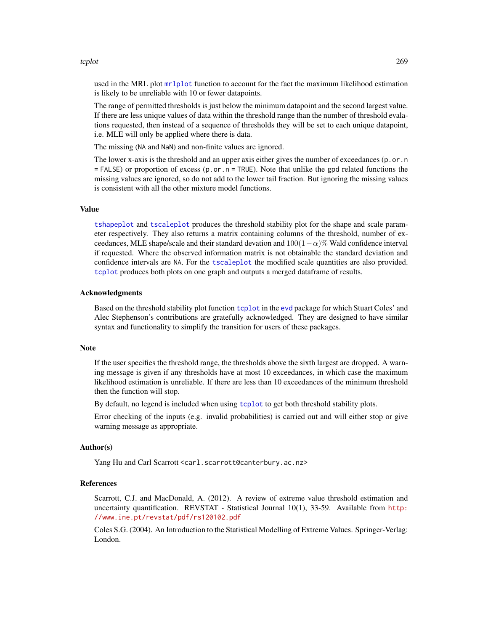#### <span id="page-268-0"></span>tcplot 269

used in the MRL plot [mrlplot](#page-248-0) function to account for the fact the maximum likelihood estimation is likely to be unreliable with 10 or fewer datapoints.

The range of permitted thresholds is just below the minimum datapoint and the second largest value. If there are less unique values of data within the threshold range than the number of threshold evalations requested, then instead of a sequence of thresholds they will be set to each unique datapoint, i.e. MLE will only be applied where there is data.

The missing (NA and NaN) and non-finite values are ignored.

The lower x-axis is the threshold and an upper axis either gives the number of exceedances (p.or.n  $=$  FALSE) or proportion of excess (p.or.n = TRUE). Note that unlike the gpd related functions the missing values are ignored, so do not add to the lower tail fraction. But ignoring the missing values is consistent with all the other mixture model functions.

# Value

[tshapeplot](#page-266-0) and [tscaleplot](#page-266-0) produces the threshold stability plot for the shape and scale parameter respectively. They also returns a matrix containing columns of the threshold, number of exceedances, MLE shape/scale and their standard devation and  $100(1-\alpha)$ % Wald confidence interval if requested. Where the observed information matrix is not obtainable the standard deviation and confidence intervals are NA. For the [tscaleplot](#page-266-0) the modified scale quantities are also provided. [tcplot](#page-266-1) produces both plots on one graph and outputs a merged dataframe of results.

#### Acknowledgments

Based on the threshold stability plot function [tcplot](#page-266-1) in the [evd](#page-0-0) package for which Stuart Coles' and Alec Stephenson's contributions are gratefully acknowledged. They are designed to have similar syntax and functionality to simplify the transition for users of these packages.

#### Note

If the user specifies the threshold range, the thresholds above the sixth largest are dropped. A warning message is given if any thresholds have at most 10 exceedances, in which case the maximum likelihood estimation is unreliable. If there are less than 10 exceedances of the minimum threshold then the function will stop.

By default, no legend is included when using [tcplot](#page-266-1) to get both threshold stability plots.

Error checking of the inputs (e.g. invalid probabilities) is carried out and will either stop or give warning message as appropriate.

#### Author(s)

Yang Hu and Carl Scarrott <carl.scarrott@canterbury.ac.nz>

#### References

Scarrott, C.J. and MacDonald, A. (2012). A review of extreme value threshold estimation and uncertainty quantification. REVSTAT - Statistical Journal 10(1), 33-59. Available from [http:](http://www.ine.pt/revstat/pdf/rs120102.pdf) [//www.ine.pt/revstat/pdf/rs120102.pdf](http://www.ine.pt/revstat/pdf/rs120102.pdf)

Coles S.G. (2004). An Introduction to the Statistical Modelling of Extreme Values. Springer-Verlag: London.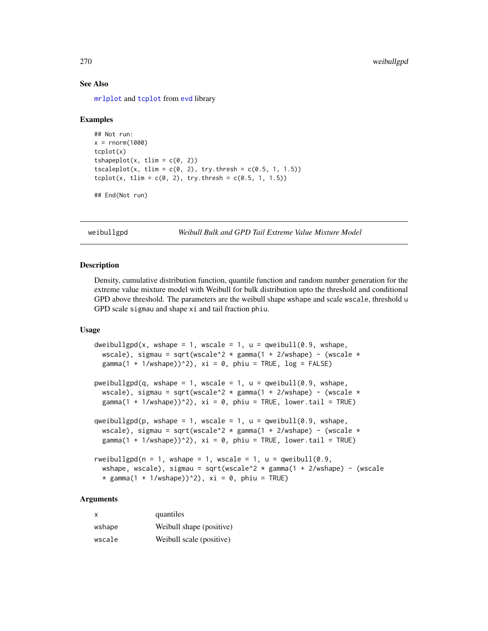# See Also

[mrlplot](#page-248-0) and [tcplot](#page-266-1) from [evd](#page-0-0) library

# Examples

```
## Not run:
x = rnorm(1000)tcplot(x)
tshapeplot(x, tlim = c(0, 2))tscaleplot(x, tlim = c(0, 2), try.thresh = c(0.5, 1, 1.5))
tcplot(x, tlim = c(0, 2), try.thresh = c(0.5, 1, 1.5))
```

```
## End(Not run)
```
<span id="page-269-1"></span>weibullgpd *Weibull Bulk and GPD Tail Extreme Value Mixture Model*

#### <span id="page-269-0"></span>**Description**

Density, cumulative distribution function, quantile function and random number generation for the extreme value mixture model with Weibull for bulk distribution upto the threshold and conditional GPD above threshold. The parameters are the weibull shape wshape and scale wscale, threshold u GPD scale sigmau and shape xi and tail fraction phiu.

# Usage

```
dweibullgpd(x, wshape = 1, wscale = 1, u = qweibull(0.9, wshape,
 wscale), sigmau = sqrt(wscale^2 * gamma(1 + 2/wshape) - (wscale *
 gamma(1 + 1/wshape))^2), xi = 0, phiu = TRUE, log = FALSE)
pweibullgpd(q, wshape = 1, wscale = 1, u = qweibull(0.9, wshape,
 wscale), sigmau = sqrt(wscale^2 * gamma(1 + 2/wshape) - (wscale *gamma(1 + 1/wshape))^2), xi = 0, phiu = TRUE, lower.tail = TRUE)
qweibullgpd(p, wshape = 1, wscale = 1, u =qweibull(0.9, wshape,
 wscale), sigmau = sqrt(wscale^2 * gamma(1 + 2/wshape) - (wscale *
 gamma(1 + 1/wshape))^2), xi = 0, phiu = TRUE, lower.tail = TRUE)
rweibullgpd(n = 1, wshape = 1, wscale = 1, u = qweibull(0.9,
  wshape, wscale), sigmau = sqrt(wscale^2 * gamma(1 + 2/wshape) - (wscale
  * gamma(1 + 1/wshape))^2), xi = 0, phiu = TRUE)
```
#### Arguments

| X      | quantiles                |
|--------|--------------------------|
| wshape | Weibull shape (positive) |
| wscale | Weibull scale (positive) |

<span id="page-269-2"></span>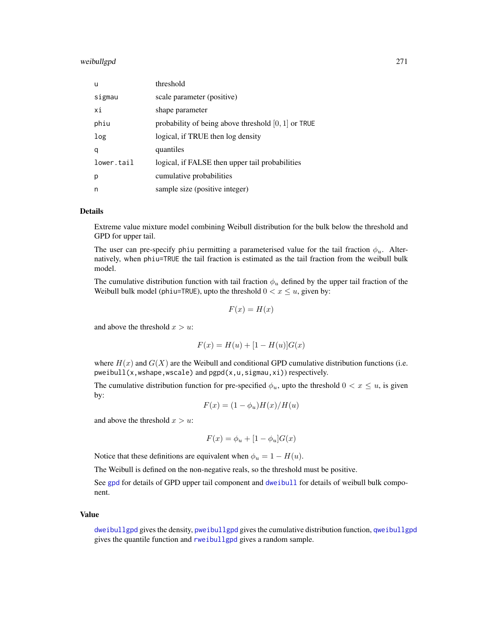# <span id="page-270-0"></span>weibullgpd 271

| u          | threshold                                             |
|------------|-------------------------------------------------------|
| sigmau     | scale parameter (positive)                            |
| хi         | shape parameter                                       |
| phiu       | probability of being above threshold $[0, 1]$ or TRUE |
| log        | logical, if TRUE then log density                     |
| q          | quantiles                                             |
| lower.tail | logical, if FALSE then upper tail probabilities       |
| р          | cumulative probabilities                              |
| n          | sample size (positive integer)                        |

# Details

Extreme value mixture model combining Weibull distribution for the bulk below the threshold and GPD for upper tail.

The user can pre-specify phiu permitting a parameterised value for the tail fraction  $\phi_u$ . Alternatively, when phiu=TRUE the tail fraction is estimated as the tail fraction from the weibull bulk model.

The cumulative distribution function with tail fraction  $\phi_u$  defined by the upper tail fraction of the Weibull bulk model (phiu=TRUE), upto the threshold  $0 < x \le u$ , given by:

$$
F(x) = H(x)
$$

and above the threshold  $x > u$ :

$$
F(x) = H(u) + [1 - H(u)]G(x)
$$

where  $H(x)$  and  $G(X)$  are the Weibull and conditional GPD cumulative distribution functions (i.e. pweibull(x,wshape,wscale) and pgpd(x,u,sigmau,xi)) respectively.

The cumulative distribution function for pre-specified  $\phi_u$ , upto the threshold  $0 < x \leq u$ , is given by:

$$
F(x) = (1 - \phi_u)H(x)/H(u)
$$

and above the threshold  $x > u$ :

$$
F(x) = \phi_u + [1 - \phi_u]G(x)
$$

Notice that these definitions are equivalent when  $\phi_u = 1 - H(u)$ .

The Weibull is defined on the non-negative reals, so the threshold must be positive.

See [gpd](#page-190-0) for details of GPD upper tail component and [dweibull](#page-0-0) for details of weibull bulk component.

#### Value

[dweibullgpd](#page-269-0) gives the density, [pweibullgpd](#page-269-0) gives the cumulative distribution function, [qweibullgpd](#page-269-0) gives the quantile function and [rweibullgpd](#page-269-0) gives a random sample.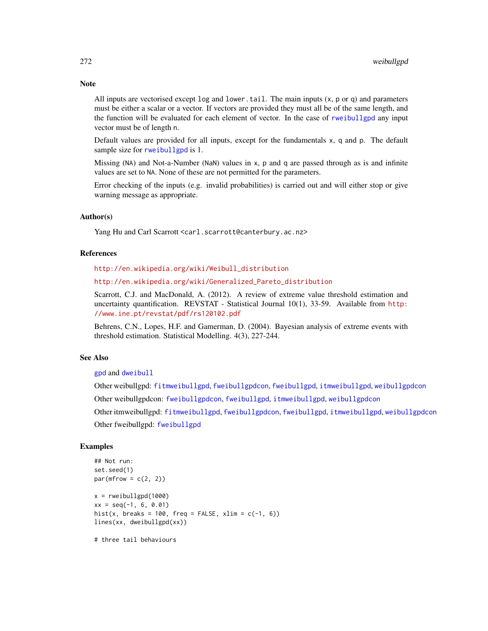All inputs are vectorised except  $log$  and  $lower$ .tail. The main inputs  $(x, p, o, q)$  and parameters must be either a scalar or a vector. If vectors are provided they must all be of the same length, and the function will be evaluated for each element of vector. In the case of [rweibullgpd](#page-269-0) any input vector must be of length n.

Default values are provided for all inputs, except for the fundamentals x, q and p. The default sample size for [rweibullgpd](#page-269-0) is 1.

Missing (NA) and Not-a-Number (NaN) values in x, p and q are passed through as is and infinite values are set to NA. None of these are not permitted for the parameters.

Error checking of the inputs (e.g. invalid probabilities) is carried out and will either stop or give warning message as appropriate.

#### Author(s)

Yang Hu and Carl Scarrott <carl.scarrott@canterbury.ac.nz>

# References

[http://en.wikipedia.org/wiki/Weibull\\_distribution](http://en.wikipedia.org/wiki/Weibull_distribution)

[http://en.wikipedia.org/wiki/Generalized\\_Pareto\\_distribution](http://en.wikipedia.org/wiki/Generalized_Pareto_distribution)

Scarrott, C.J. and MacDonald, A. (2012). A review of extreme value threshold estimation and uncertainty quantification. REVSTAT - Statistical Journal 10(1), 33-59. Available from [http:](http://www.ine.pt/revstat/pdf/rs120102.pdf) [//www.ine.pt/revstat/pdf/rs120102.pdf](http://www.ine.pt/revstat/pdf/rs120102.pdf)

Behrens, C.N., Lopes, H.F. and Gamerman, D. (2004). Bayesian analysis of extreme events with threshold estimation. Statistical Modelling. 4(3), 227-244.

# See Also

[gpd](#page-190-0) and [dweibull](#page-0-0)

Other weibullgpd: [fitmweibullgpd](#page-103-0), [fweibullgpdcon](#page-164-0), [fweibullgpd](#page-160-0), [itmweibullgpd](#page-212-0), [weibullgpdcon](#page-272-0) Other weibullgpdcon: [fweibullgpdcon](#page-164-0), [fweibullgpd](#page-160-0), [itmweibullgpd](#page-212-0), [weibullgpdcon](#page-272-0) Other itmweibullgpd: [fitmweibullgpd](#page-103-0), [fweibullgpdcon](#page-164-0), [fweibullgpd](#page-160-0), [itmweibullgpd](#page-212-0), [weibullgpdcon](#page-272-0) Other fweibullgpd: [fweibullgpd](#page-160-0)

# Examples

```
## Not run:
set.seed(1)
par(mfrow = c(2, 2))x = rweibullgpd(1000)xx = seq(-1, 6, 0.01)hist(x, breaks = 100, freq = FALSE, xlim = c(-1, 6))
lines(xx, dweibullgpd(xx))
```
# three tail behaviours

<span id="page-271-0"></span>

# **Note**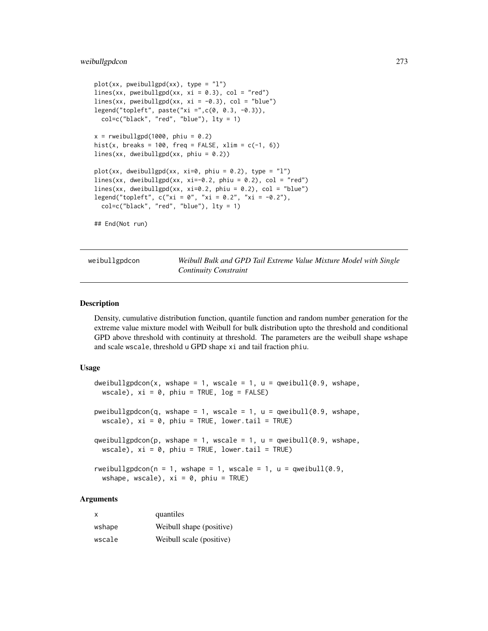#### <span id="page-272-2"></span>weibullgpdcon 273

```
plot(xx, pweibullgpd(xx), type = "l")lines(xx, pweibullgpd(xx, xi = 0.3), col = "red")
lines(xx, pweibullgpd(xx, xi = -0.3), col = "blue")
legend("topleft", paste("xi =",c(0, 0.3, -0.3)),
  col=c("black", "red", "blue"), lty = 1)
x = rweibullgpd(1000, phiu = 0.2)
hist(x, breaks = 100, freq = FALSE, xlim = c(-1, 6))
lines(xx, dweibullgpd(xx, phiu = 0.2))
plot(xx, dweibullgpd(xx, xi=0, phiu = 0.2), type = "1")
lines(xx, dweibullgpd(xx, xi=-0.2, phiu = 0.2), col = "red")
lines(xx, dweibullgpd(xx, xi=0.2, phiu = 0.2), col = "blue")legend("topleft", c("xi = 0", "xi = 0.2", "xi = -0.2"),col=c("black", "red", "blue"), lty = 1)
## End(Not run)
```
<span id="page-272-0"></span>weibullgpdcon *Weibull Bulk and GPD Tail Extreme Value Mixture Model with Single Continuity Constraint*

# <span id="page-272-1"></span>**Description**

Density, cumulative distribution function, quantile function and random number generation for the extreme value mixture model with Weibull for bulk distribution upto the threshold and conditional GPD above threshold with continuity at threshold. The parameters are the weibull shape wshape and scale wscale, threshold u GPD shape xi and tail fraction phiu.

# Usage

```
dweibullgpdcon(x, wshape = 1, wscale = 1, u = qweibull(0.9, wshape,
 wscale), xi = 0, phiu = TRUE, log = FALSE)
pweibullgpdcon(q, wshape = 1, wscale = 1, u = qweibull(0.9, wshape,
 wscale), xi = 0, phiu = TRUE, lower.tail = TRUE)
qweibullgpdcon(p, wshape = 1, wscale = 1, u = qweibull(0.9, wshape,
  wscale), xi = 0, phiu = TRUE, lower.tail = TRUE)
rweibullgpdcon(n = 1, wshape = 1, wscale = 1, u = qweibull(0.9,
 wshape, wscale), xi = 0, phiu = TRUE)
```
# Arguments

| X      | quantiles                |
|--------|--------------------------|
| wshape | Weibull shape (positive) |
| wscale | Weibull scale (positive) |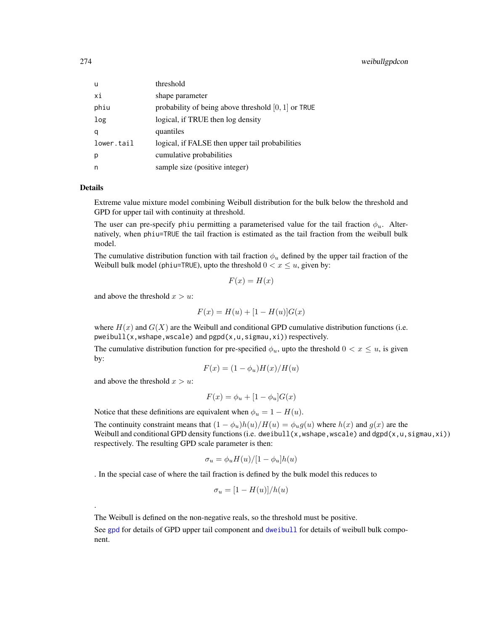# <span id="page-273-0"></span>274 weibullgpdcon

| u          | threshold                                             |
|------------|-------------------------------------------------------|
| хi         | shape parameter                                       |
| phiu       | probability of being above threshold $[0, 1]$ or TRUE |
| log        | logical, if TRUE then log density                     |
| q          | quantiles                                             |
| lower.tail | logical, if FALSE then upper tail probabilities       |
| p          | cumulative probabilities                              |
| n          | sample size (positive integer)                        |

# Details

.

Extreme value mixture model combining Weibull distribution for the bulk below the threshold and GPD for upper tail with continuity at threshold.

The user can pre-specify phiu permitting a parameterised value for the tail fraction  $\phi_u$ . Alternatively, when phiu=TRUE the tail fraction is estimated as the tail fraction from the weibull bulk model.

The cumulative distribution function with tail fraction  $\phi_u$  defined by the upper tail fraction of the Weibull bulk model (phiu=TRUE), upto the threshold  $0 < x \le u$ , given by:

$$
F(x) = H(x)
$$

and above the threshold  $x > u$ :

$$
F(x) = H(u) + [1 - H(u)]G(x)
$$

where  $H(x)$  and  $G(X)$  are the Weibull and conditional GPD cumulative distribution functions (i.e. pweibull(x,wshape,wscale) and pgpd(x,u,sigmau,xi)) respectively.

The cumulative distribution function for pre-specified  $\phi_u$ , upto the threshold  $0 < x \leq u$ , is given by:

$$
F(x) = (1 - \phi_u)H(x)/H(u)
$$

and above the threshold  $x > u$ :

$$
F(x) = \phi_u + [1 - \phi_u]G(x)
$$

Notice that these definitions are equivalent when  $\phi_u = 1 - H(u)$ .

The continuity constraint means that  $(1 - \phi_u)h(u)/H(u) = \phi_u g(u)$  where  $h(x)$  and  $g(x)$  are the Weibull and conditional GPD density functions (i.e. dweibull(x,wshape,wscale) and dgpd(x,u,sigmau,xi)) respectively. The resulting GPD scale parameter is then:

$$
\sigma_u = \phi_u H(u) / [1 - \phi_u] h(u)
$$

. In the special case of where the tail fraction is defined by the bulk model this reduces to

$$
\sigma_u = [1 - H(u)]/h(u)
$$

The Weibull is defined on the non-negative reals, so the threshold must be positive.

See [gpd](#page-190-0) for details of GPD upper tail component and [dweibull](#page-0-0) for details of weibull bulk component.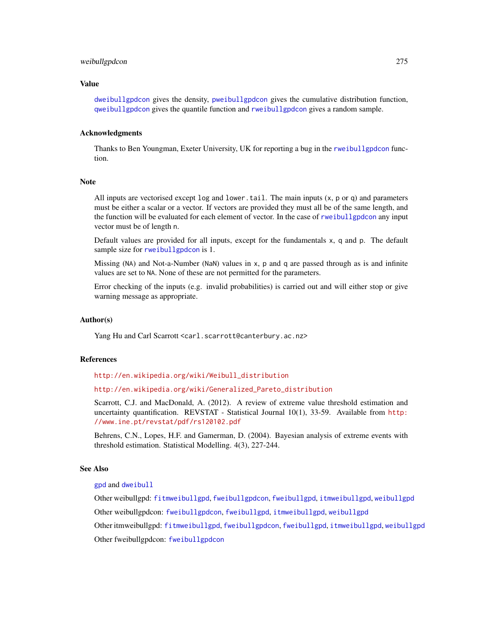#### <span id="page-274-0"></span>weibullgpdcon 275

#### Value

[dweibullgpdcon](#page-272-1) gives the density, [pweibullgpdcon](#page-272-1) gives the cumulative distribution function, [qweibullgpdcon](#page-272-1) gives the quantile function and [rweibullgpdcon](#page-272-1) gives a random sample.

#### Acknowledgments

Thanks to Ben Youngman, Exeter University, UK for reporting a bug in the [rweibullgpdcon](#page-272-1) function.

#### Note

All inputs are vectorised except  $log$  and  $lower$ .tail. The main inputs  $(x, p, o, q)$  and parameters must be either a scalar or a vector. If vectors are provided they must all be of the same length, and the function will be evaluated for each element of vector. In the case of [rweibullgpdcon](#page-272-1) any input vector must be of length n.

Default values are provided for all inputs, except for the fundamentals x, q and p. The default sample size for [rweibullgpdcon](#page-272-1) is 1.

Missing (NA) and Not-a-Number (NaN) values in x, p and q are passed through as is and infinite values are set to NA. None of these are not permitted for the parameters.

Error checking of the inputs (e.g. invalid probabilities) is carried out and will either stop or give warning message as appropriate.

# Author(s)

Yang Hu and Carl Scarrott <carl.scarrott@canterbury.ac.nz>

#### References

[http://en.wikipedia.org/wiki/Weibull\\_distribution](http://en.wikipedia.org/wiki/Weibull_distribution)

[http://en.wikipedia.org/wiki/Generalized\\_Pareto\\_distribution](http://en.wikipedia.org/wiki/Generalized_Pareto_distribution)

Scarrott, C.J. and MacDonald, A. (2012). A review of extreme value threshold estimation and uncertainty quantification. REVSTAT - Statistical Journal 10(1), 33-59. Available from [http:](http://www.ine.pt/revstat/pdf/rs120102.pdf) [//www.ine.pt/revstat/pdf/rs120102.pdf](http://www.ine.pt/revstat/pdf/rs120102.pdf)

Behrens, C.N., Lopes, H.F. and Gamerman, D. (2004). Bayesian analysis of extreme events with threshold estimation. Statistical Modelling. 4(3), 227-244.

#### See Also

[gpd](#page-190-0) and [dweibull](#page-0-0)

Other weibullgpd: [fitmweibullgpd](#page-103-0), [fweibullgpdcon](#page-164-0), [fweibullgpd](#page-160-0), [itmweibullgpd](#page-212-0), [weibullgpd](#page-269-1) Other weibullgpdcon: [fweibullgpdcon](#page-164-0), [fweibullgpd](#page-160-0), [itmweibullgpd](#page-212-0), [weibullgpd](#page-269-1) Other itmweibullgpd: [fitmweibullgpd](#page-103-0), [fweibullgpdcon](#page-164-0), [fweibullgpd](#page-160-0), [itmweibullgpd](#page-212-0), [weibullgpd](#page-269-1) Other fweibullgpdcon: [fweibullgpdcon](#page-164-0)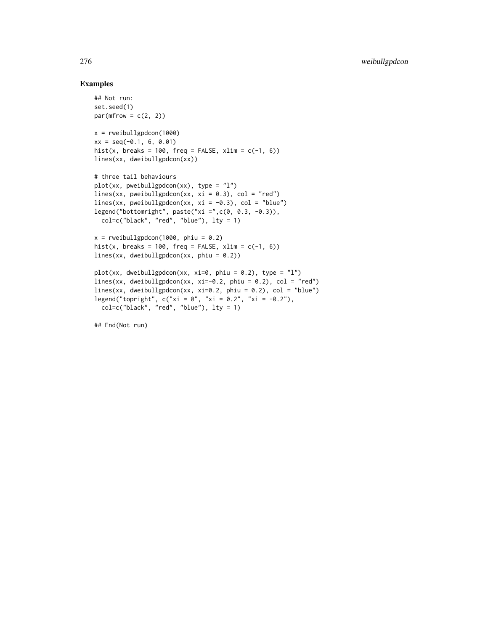# Examples

```
## Not run:
set.seed(1)
par(mfrow = c(2, 2))x = rweibullgpdcon(1000)
xx = seq(-0.1, 6, 0.01)hist(x, breaks = 100, freq = FALSE, xlim = c(-1, 6))
lines(xx, dweibullgpdcon(xx))
# three tail behaviours
plot(xx, pweibullgpdcon(xx), type = "l")
lines(xx, pweibullgpdcon(xx, xi = 0.3), col = "red")
lines(xx, pweibullgpdcon(xx, xi = -0.3), col = "blue")
legend("bottomright", paste("xi =",c(0, 0.3, -0.3)),
  col=c("black", "red", "blue"), lty = 1)
x = rweibullgpdcon(1000, phiu = 0.2)
hist(x, breaks = 100, freq = FALSE, xlim = c(-1, 6))
lines(xx, dweibullgpdcon(xx, phiu = 0.2))
plot(xx, dweibullgpdcon(xx, xi=0, phiu = 0.2), type = "l")
lines(xx, dweibullgpdcon(xx, xi=-0.2, phiu = 0.2), col = "red")
lines(xx, dweibullgpdcon(xx, xi=0.2, phiu = 0.2), col = "blue")
legend("topright", c("xi = 0", "xi = 0.2", "xi = -0.2"),col=c("black", "red", "blue"), lty = 1)
```
## End(Not run)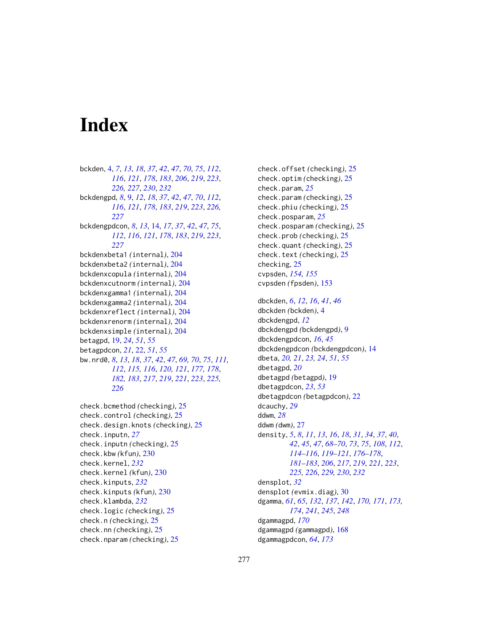# Index

bckden, [4,](#page-3-0) *[7](#page-6-0)*, *[13](#page-12-0)*, *[18](#page-17-0)*, *[37](#page-36-0)*, *[42](#page-41-0)*, *[47](#page-46-0)*, *[70](#page-69-0)*, *[75](#page-74-0)*, *[112](#page-111-0)*, *[116](#page-115-0)*, *[121](#page-120-0)*, *[178](#page-177-0)*, *[183](#page-182-0)*, *[206](#page-205-1)*, *[219](#page-218-0)*, *[223](#page-222-0)*, *[226,](#page-225-0) [227](#page-226-0)*, *[230](#page-229-0)*, *[232](#page-231-0)* bckdengpd, *[8](#page-7-0)*, [9,](#page-8-0) *[12](#page-11-0)*, *[18](#page-17-0)*, *[37](#page-36-0)*, *[42](#page-41-0)*, *[47](#page-46-0)*, *[70](#page-69-0)*, *[112](#page-111-0)*, *[116](#page-115-0)*, *[121](#page-120-0)*, *[178](#page-177-0)*, *[183](#page-182-0)*, *[219](#page-218-0)*, *[223](#page-222-0)*, *[226,](#page-225-0) [227](#page-226-0)* bckdengpdcon, *[8](#page-7-0)*, *[13](#page-12-0)*, [14,](#page-13-0) *[17](#page-16-0)*, *[37](#page-36-0)*, *[42](#page-41-0)*, *[47](#page-46-0)*, *[75](#page-74-0)*, *[112](#page-111-0)*, *[116](#page-115-0)*, *[121](#page-120-0)*, *[178](#page-177-0)*, *[183](#page-182-0)*, *[219](#page-218-0)*, *[223](#page-222-0)*, *[227](#page-226-0)* bckdenxbeta1 *(*internal*)*, [204](#page-203-0) bckdenxbeta2 *(*internal*)*, [204](#page-203-0) bckdenxcopula *(*internal*)*, [204](#page-203-0) bckdenxcutnorm *(*internal*)*, [204](#page-203-0) bckdenxgamma1 *(*internal*)*, [204](#page-203-0) bckdenxgamma2 *(*internal*)*, [204](#page-203-0) bckdenxreflect *(*internal*)*, [204](#page-203-0) bckdenxrenorm *(*internal*)*, [204](#page-203-0) bckdenxsimple *(*internal*)*, [204](#page-203-0) betagpd, [19,](#page-18-0) *[24](#page-23-0)*, *[51](#page-50-0)*, *[55](#page-54-0)* betagpdcon, *[21](#page-20-0)*, [22,](#page-21-0) *[51](#page-50-0)*, *[55](#page-54-0)* bw.nrd0, *[8](#page-7-0)*, *[13](#page-12-0)*, *[18](#page-17-0)*, *[37](#page-36-0)*, *[42](#page-41-0)*, *[47](#page-46-0)*, *[69,](#page-68-0) [70](#page-69-0)*, *[75](#page-74-0)*, *[111,](#page-110-0) [112](#page-111-0)*, *[115,](#page-114-0) [116](#page-115-0)*, *[120,](#page-119-0) [121](#page-120-0)*, *[177,](#page-176-0) [178](#page-177-0)*, *[182,](#page-181-0) [183](#page-182-0)*, *[217](#page-216-0)*, *[219](#page-218-0)*, *[221](#page-220-0)*, *[223](#page-222-0)*, *[225,](#page-224-0) [226](#page-225-0)*

check.bcmethod *(*checking*)*, [25](#page-24-0) check.control *(*checking*)*, [25](#page-24-0) check.design.knots *(*checking*)*, [25](#page-24-0) check.inputn, *[27](#page-26-0)* check.inputn *(*checking*)*, [25](#page-24-0) check.kbw *(*kfun*)*, [230](#page-229-0) check.kernel, *[232](#page-231-0)* check.kernel *(*kfun*)*, [230](#page-229-0) check.kinputs, *[232](#page-231-0)* check.kinputs *(*kfun*)*, [230](#page-229-0) check.klambda, *[232](#page-231-0)* check.logic *(*checking*)*, [25](#page-24-0) check.n *(*checking*)*, [25](#page-24-0) check.nn *(*checking*)*, [25](#page-24-0) check.nparam *(*checking*)*, [25](#page-24-0)

check.offset *(*checking*)*, [25](#page-24-0) check.optim *(*checking*)*, [25](#page-24-0) check.param, *[25](#page-24-0)* check.param *(*checking*)*, [25](#page-24-0) check.phiu *(*checking*)*, [25](#page-24-0) check.posparam, *[25](#page-24-0)* check.posparam *(*checking*)*, [25](#page-24-0) check.prob *(*checking*)*, [25](#page-24-0) check.quant *(*checking*)*, [25](#page-24-0) check.text *(*checking*)*, [25](#page-24-0) checking, [25](#page-24-0) cvpsden, *[154,](#page-153-0) [155](#page-154-0)* cvpsden *(*fpsden*)*, [153](#page-152-1) dbckden, *[6](#page-5-0)*, *[12](#page-11-0)*, *[16](#page-15-0)*, *[41](#page-40-0)*, *[46](#page-45-0)*

dbckden *(*bckden*)*, [4](#page-3-0) dbckdengpd, *[12](#page-11-0)* dbckdengpd *(*bckdengpd*)*, [9](#page-8-0) dbckdengpdcon, *[16](#page-15-0)*, *[45](#page-44-0)* dbckdengpdcon *(*bckdengpdcon*)*, [14](#page-13-0) dbeta, *[20,](#page-19-0) [21](#page-20-0)*, *[23,](#page-22-0) [24](#page-23-0)*, *[51](#page-50-0)*, *[55](#page-54-0)* dbetagpd, *[20](#page-19-0)* dbetagpd *(*betagpd*)*, [19](#page-18-0) dbetagpdcon, *[23](#page-22-0)*, *[53](#page-52-0)* dbetagpdcon *(*betagpdcon*)*, [22](#page-21-0) dcauchy, *[29](#page-28-0)* ddwm, *[28](#page-27-0)* ddwm *(*dwm*)*, [27](#page-26-0) density, *[5](#page-4-0)*, *[8](#page-7-0)*, *[11](#page-10-0)*, *[13](#page-12-0)*, *[16](#page-15-0)*, *[18](#page-17-0)*, *[31](#page-30-0)*, *[34](#page-33-0)*, *[37](#page-36-0)*, *[40](#page-39-0)*, *[42](#page-41-0)*, *[45](#page-44-0)*, *[47](#page-46-0)*, *[68](#page-67-0)[–70](#page-69-0)*, *[73](#page-72-0)*, *[75](#page-74-0)*, *[108](#page-107-0)*, *[112](#page-111-0)*, *[114](#page-113-0)[–116](#page-115-0)*, *[119](#page-118-0)[–121](#page-120-0)*, *[176](#page-175-0)[–178](#page-177-0)*, *[181](#page-180-0)[–183](#page-182-0)*, *[206](#page-205-1)*, *[217](#page-216-0)*, *[219](#page-218-0)*, *[221](#page-220-0)*, *[223](#page-222-0)*, *[225,](#page-224-0) [226](#page-225-0)*, *[229,](#page-228-0) [230](#page-229-0)*, *[232](#page-231-0)* densplot, *[32](#page-31-0)* densplot *(*evmix.diag*)*, [30](#page-29-0) dgamma, *[61](#page-60-0)*, *[65](#page-64-0)*, *[132](#page-131-0)*, *[137](#page-136-0)*, *[142](#page-141-0)*, *[170,](#page-169-0) [171](#page-170-0)*, *[173,](#page-172-0) [174](#page-173-0)*, *[241](#page-240-0)*, *[245](#page-244-0)*, *[248](#page-247-0)* dgammagpd, *[170](#page-169-0)* dgammagpd *(*gammagpd*)*, [168](#page-167-0) dgammagpdcon, *[64](#page-63-0)*, *[173](#page-172-0)*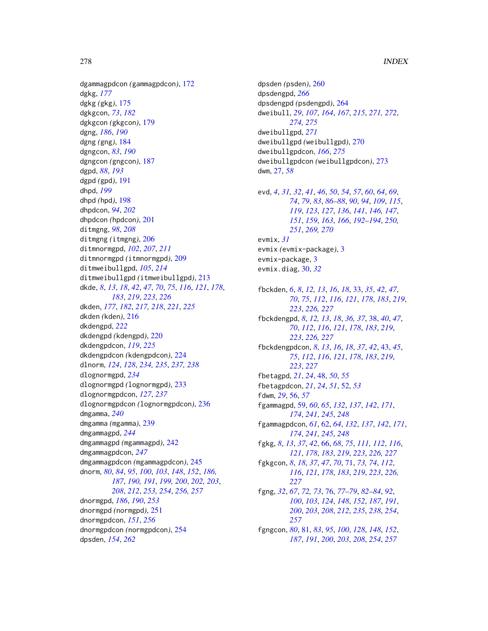dgammagpdcon *(*gammagpdcon*)*, [172](#page-171-0) dgkg, *[177](#page-176-0)* dgkg *(*gkg*)*, [175](#page-174-0) dgkgcon, *[73](#page-72-0)*, *[182](#page-181-0)* dgkgcon *(*gkgcon*)*, [179](#page-178-0) dgng, *[186](#page-185-0)*, *[190](#page-189-0)* dgng *(*gng*)*, [184](#page-183-1) dgngcon, *[83](#page-82-0)*, *[190](#page-189-0)* dgngcon *(*gngcon*)*, [187](#page-186-1) dgpd, *[88](#page-87-0)*, *[193](#page-192-0)* dgpd *(*gpd*)*, [191](#page-190-1) dhpd, *[199](#page-198-0)* dhpd *(*hpd*)*, [198](#page-197-1) dhpdcon, *[94](#page-93-0)*, *[202](#page-201-0)* dhpdcon *(*hpdcon*)*, [201](#page-200-1) ditmgng, *[98](#page-97-0)*, *[208](#page-207-0)* ditmgng *(*itmgng*)*, [206](#page-205-1) ditmnormgpd, *[102](#page-101-0)*, *[207](#page-206-0)*, *[211](#page-210-0)* ditmnormgpd *(*itmnormgpd*)*, [209](#page-208-1) ditmweibullgpd, *[105](#page-104-0)*, *[214](#page-213-0)* ditmweibullgpd *(*itmweibullgpd*)*, [213](#page-212-1) dkde, *[8](#page-7-0)*, *[13](#page-12-0)*, *[18](#page-17-0)*, *[42](#page-41-0)*, *[47](#page-46-0)*, *[70](#page-69-0)*, *[75](#page-74-0)*, *[116](#page-115-0)*, *[121](#page-120-0)*, *[178](#page-177-0)*, *[183](#page-182-0)*, *[219](#page-218-0)*, *[223](#page-222-0)*, *[226](#page-225-0)* dkden, *[177](#page-176-0)*, *[182](#page-181-0)*, *[217,](#page-216-0) [218](#page-217-0)*, *[221](#page-220-0)*, *[225](#page-224-0)* dkden *(*kden*)*, [216](#page-215-0) dkdengpd, *[222](#page-221-0)* dkdengpd *(*kdengpd*)*, [220](#page-219-0) dkdengpdcon, *[119](#page-118-0)*, *[225](#page-224-0)* dkdengpdcon *(*kdengpdcon*)*, [224](#page-223-0) dlnorm, *[124](#page-123-0)*, *[128](#page-127-0)*, *[234,](#page-233-0) [235](#page-234-0)*, *[237,](#page-236-0) [238](#page-237-0)* dlognormgpd, *[234](#page-233-0)* dlognormgpd *(*lognormgpd*)*, [233](#page-232-1) dlognormgpdcon, *[127](#page-126-0)*, *[237](#page-236-0)* dlognormgpdcon *(*lognormgpdcon*)*, [236](#page-235-1) dmgamma, *[240](#page-239-0)* dmgamma *(*mgamma*)*, [239](#page-238-0) dmgammagpd, *[244](#page-243-0)* dmgammagpd *(*mgammagpd*)*, [242](#page-241-0) dmgammagpdcon, *[247](#page-246-0)* dmgammagpdcon *(*mgammagpdcon*)*, [245](#page-244-0) dnorm, *[80](#page-79-0)*, *[84](#page-83-0)*, *[95](#page-94-0)*, *[100](#page-99-1)*, *[103](#page-102-0)*, *[148](#page-147-0)*, *[152](#page-151-0)*, *[186,](#page-185-0) [187](#page-186-1)*, *[190,](#page-189-0) [191](#page-190-1)*, *[199,](#page-198-0) [200](#page-199-0)*, *[202,](#page-201-0) [203](#page-202-0)*, *[208](#page-207-0)*, *[212](#page-211-0)*, *[253,](#page-252-0) [254](#page-253-2)*, *[256,](#page-255-0) [257](#page-256-0)* dnormgpd, *[186](#page-185-0)*, *[190](#page-189-0)*, *[253](#page-252-0)* dnormgpd *(*normgpd*)*, [251](#page-250-2) dnormgpdcon, *[151](#page-150-0)*, *[256](#page-255-0)* dnormgpdcon *(*normgpdcon*)*, [254](#page-253-2) dpsden, *[154](#page-153-0)*, *[262](#page-261-0)*

dpsden *(*psden*)*, [260](#page-259-2) dpsdengpd, *[266](#page-265-0)* dpsdengpd *(*psdengpd*)*, [264](#page-263-2) dweibull, *[29](#page-28-0)*, *[107](#page-106-0)*, *[164](#page-163-0)*, *[167](#page-166-0)*, *[215](#page-214-0)*, *[271,](#page-270-0) [272](#page-271-0)*, *[274,](#page-273-0) [275](#page-274-0)* dweibullgpd, *[271](#page-270-0)* dweibullgpd *(*weibullgpd*)*, [270](#page-269-2) dweibullgpdcon, *[166](#page-165-0)*, *[275](#page-274-0)* dweibullgpdcon *(*weibullgpdcon*)*, [273](#page-272-2) dwm, [27,](#page-26-0) *[58](#page-57-0)*

evd, *[4](#page-3-0)*, *[31,](#page-30-0) [32](#page-31-0)*, *[41](#page-40-0)*, *[46](#page-45-0)*, *[50](#page-49-0)*, *[54](#page-53-0)*, *[57](#page-56-0)*, *[60](#page-59-0)*, *[64](#page-63-0)*, *[69](#page-68-0)*, , *[79](#page-78-0)*, *[83](#page-82-0)*, *[86](#page-85-0)[–88](#page-87-0)*, *[90](#page-89-0)*, *[94](#page-93-0)*, *[109](#page-108-0)*, *[115](#page-114-0)*, , *[123](#page-122-0)*, *[127](#page-126-0)*, *[136](#page-135-0)*, *[141](#page-140-0)*, *[146,](#page-145-0) [147](#page-146-0)*, , *[159](#page-158-0)*, *[163](#page-162-0)*, *[166](#page-165-0)*, *[192](#page-191-0)[–194](#page-193-0)*, *[250,](#page-249-0)* , *[269,](#page-268-0) [270](#page-269-2)* evmix, *[31](#page-30-0)*

evmix *(*evmix-package*)*, [3](#page-2-0) evmix-package, [3](#page-2-0) evmix.diag, [30,](#page-29-0) *[32](#page-31-0)*

fbckden, *[6](#page-5-0)*, *[8](#page-7-0)*, *[12,](#page-11-0) [13](#page-12-0)*, *[16](#page-15-0)*, *[18](#page-17-0)*, [33,](#page-32-0) *[35](#page-34-0)*, *[42](#page-41-0)*, *[47](#page-46-0)*, *[70](#page-69-0)*, *[75](#page-74-0)*, *[112](#page-111-0)*, *[116](#page-115-0)*, *[121](#page-120-0)*, *[178](#page-177-0)*, *[183](#page-182-0)*, *[219](#page-218-0)*, *[223](#page-222-0)*, *[226,](#page-225-0) [227](#page-226-0)* fbckdengpd, *[8](#page-7-0)*, *[12,](#page-11-0) [13](#page-12-0)*, *[18](#page-17-0)*, *[36,](#page-35-0) [37](#page-36-0)*, [38,](#page-37-0) *[40](#page-39-0)*, *[47](#page-46-0)*, *[70](#page-69-0)*, *[112](#page-111-0)*, *[116](#page-115-0)*, *[121](#page-120-0)*, *[178](#page-177-0)*, *[183](#page-182-0)*, *[219](#page-218-0)*, *[223](#page-222-0)*, *[226,](#page-225-0) [227](#page-226-0)* fbckdengpdcon, *[8](#page-7-0)*, *[13](#page-12-0)*, *[16](#page-15-0)*, *[18](#page-17-0)*, *[37](#page-36-0)*, *[42](#page-41-0)*, [43,](#page-42-0) *[45](#page-44-0)*, *[75](#page-74-0)*, *[112](#page-111-0)*, *[116](#page-115-0)*, *[121](#page-120-0)*, *[178](#page-177-0)*, *[183](#page-182-0)*, *[219](#page-218-0)*, *[223](#page-222-0)*, *[227](#page-226-0)* fbetagpd, *[21](#page-20-0)*, *[24](#page-23-0)*, [48,](#page-47-0) *[50](#page-49-0)*, *[55](#page-54-0)* fbetagpdcon, *[21](#page-20-0)*, *[24](#page-23-0)*, *[51](#page-50-0)*, [52,](#page-51-0) *[53](#page-52-0)* fdwm, *[29](#page-28-0)*, [56,](#page-55-0) *[57](#page-56-0)* fgammagpd, [59,](#page-58-0) *[60](#page-59-0)*, *[65](#page-64-0)*, *[132](#page-131-0)*, *[137](#page-136-0)*, *[142](#page-141-0)*, *[171](#page-170-0)*, *[174](#page-173-0)*, *[241](#page-240-0)*, *[245](#page-244-0)*, *[248](#page-247-0)* fgammagpdcon, *[61](#page-60-0)*, [62,](#page-61-0) *[64](#page-63-0)*, *[132](#page-131-0)*, *[137](#page-136-0)*, *[142](#page-141-0)*, *[171](#page-170-0)*, *[174](#page-173-0)*, *[241](#page-240-0)*, *[245](#page-244-0)*, *[248](#page-247-0)* fgkg, *[8](#page-7-0)*, *[13](#page-12-0)*, *[37](#page-36-0)*, *[42](#page-41-0)*, [66,](#page-65-0) *[68](#page-67-0)*, *[75](#page-74-0)*, *[111,](#page-110-0) [112](#page-111-0)*, *[116](#page-115-0)*, *[121](#page-120-0)*, *[178](#page-177-0)*, *[183](#page-182-0)*, *[219](#page-218-0)*, *[223](#page-222-0)*, *[226,](#page-225-0) [227](#page-226-0)* fgkgcon, *[8](#page-7-0)*, *[18](#page-17-0)*, *[37](#page-36-0)*, *[47](#page-46-0)*, *[70](#page-69-0)*, [71,](#page-70-0) *[73,](#page-72-0) [74](#page-73-0)*, *[112](#page-111-0)*, *[116](#page-115-0)*, *[121](#page-120-0)*, *[178](#page-177-0)*, *[183](#page-182-0)*, *[219](#page-218-0)*, *[223](#page-222-0)*, *[226,](#page-225-0) [227](#page-226-0)* fgng, *[32](#page-31-0)*, *[67](#page-66-0)*, *[72,](#page-71-0) [73](#page-72-0)*, [76,](#page-75-1) *[77](#page-76-0)[–79](#page-78-0)*, *[82](#page-81-0)[–84](#page-83-0)*, *[92](#page-91-1)*, *[100](#page-99-1)*, *[103](#page-102-0)*, *[124](#page-123-0)*, *[148](#page-147-0)*, *[152](#page-151-0)*, *[187](#page-186-1)*, *[191](#page-190-1)*, *[200](#page-199-0)*, *[203](#page-202-0)*, *[208](#page-207-0)*, *[212](#page-211-0)*, *[235](#page-234-0)*, *[238](#page-237-0)*, *[254](#page-253-2)*, *[257](#page-256-0)* fgngcon, *[80](#page-79-0)*, [81,](#page-80-1) *[83](#page-82-0)*, *[95](#page-94-0)*, *[100](#page-99-1)*, *[128](#page-127-0)*, *[148](#page-147-0)*, *[152](#page-151-0)*, *[187](#page-186-1)*, *[191](#page-190-1)*, *[200](#page-199-0)*, *[203](#page-202-0)*, *[208](#page-207-0)*, *[254](#page-253-2)*, *[257](#page-256-0)*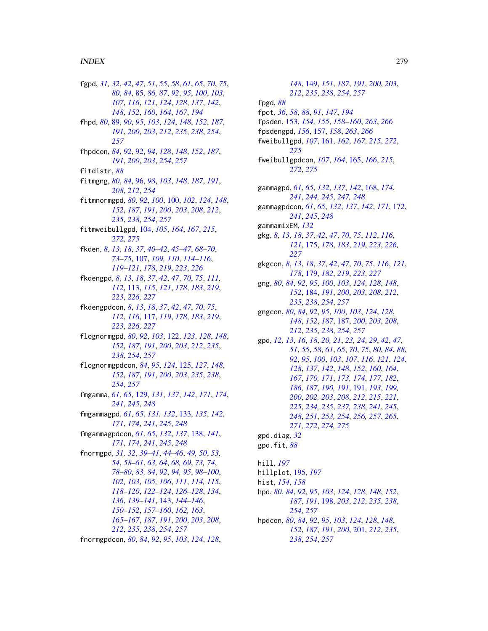fgpd, *[31,](#page-30-0) [32](#page-31-0)*, *[42](#page-41-0)*, *[47](#page-46-0)*, *[51](#page-50-0)*, *[55](#page-54-0)*, *[58](#page-57-0)*, *[61](#page-60-0)*, *[65](#page-64-0)*, *[70](#page-69-0)*, *[75](#page-74-0)*, *[80](#page-79-0)*, *[84](#page-83-0)*, [85,](#page-84-0) *[86,](#page-85-0) [87](#page-86-0)*, *[92](#page-91-1)*, *[95](#page-94-0)*, *[100](#page-99-1)*, *[103](#page-102-0)*, *[107](#page-106-0)*, *[116](#page-115-0)*, *[121](#page-120-0)*, *[124](#page-123-0)*, *[128](#page-127-0)*, *[137](#page-136-0)*, *[142](#page-141-0)*, *[148](#page-147-0)*, *[152](#page-151-0)*, *[160](#page-159-0)*, *[164](#page-163-0)*, *[167](#page-166-0)*, *[194](#page-193-0)* fhpd, *[80](#page-79-0)*, [89,](#page-88-1) *[90](#page-89-0)*, *[95](#page-94-0)*, *[103](#page-102-0)*, *[124](#page-123-0)*, *[148](#page-147-0)*, *[152](#page-151-0)*, *[187](#page-186-1)*, *[191](#page-190-1)*, *[200](#page-199-0)*, *[203](#page-202-0)*, *[212](#page-211-0)*, *[235](#page-234-0)*, *[238](#page-237-0)*, *[254](#page-253-2)*, *[257](#page-256-0)* fhpdcon, *[84](#page-83-0)*, *[92](#page-91-1)*, [92,](#page-91-1) *[94](#page-93-0)*, *[128](#page-127-0)*, *[148](#page-147-0)*, *[152](#page-151-0)*, *[187](#page-186-1)*, *[191](#page-190-1)*, *[200](#page-199-0)*, *[203](#page-202-0)*, *[254](#page-253-2)*, *[257](#page-256-0)* fitdistr, *[88](#page-87-0)* fitmgng, *[80](#page-79-0)*, *[84](#page-83-0)*, [96,](#page-95-1) *[98](#page-97-0)*, *[103](#page-102-0)*, *[148](#page-147-0)*, *[187](#page-186-1)*, *[191](#page-190-1)*, *[208](#page-207-0)*, *[212](#page-211-0)*, *[254](#page-253-2)* fitmnormgpd, *[80](#page-79-0)*, *[92](#page-91-1)*, *[100](#page-99-1)*, [100,](#page-99-1) *[102](#page-101-0)*, *[124](#page-123-0)*, *[148](#page-147-0)*, *[152](#page-151-0)*, *[187](#page-186-1)*, *[191](#page-190-1)*, *[200](#page-199-0)*, *[203](#page-202-0)*, *[208](#page-207-0)*, *[212](#page-211-0)*, *[235](#page-234-0)*, *[238](#page-237-0)*, *[254](#page-253-2)*, *[257](#page-256-0)* fitmweibullgpd, [104,](#page-103-1) *[105](#page-104-0)*, *[164](#page-163-0)*, *[167](#page-166-0)*, *[215](#page-214-0)*, *[272](#page-271-0)*, *[275](#page-274-0)* fkden, *[8](#page-7-0)*, *[13](#page-12-0)*, *[18](#page-17-0)*, *[37](#page-36-0)*, *[40–](#page-39-0)[42](#page-41-0)*, *[45–](#page-44-0)[47](#page-46-0)*, *[68–](#page-67-0)[70](#page-69-0)*, *[73](#page-72-0)[–75](#page-74-0)*, [107,](#page-106-0) *[109,](#page-108-0) [110](#page-109-0)*, *[114–](#page-113-0)[116](#page-115-0)*, *[119](#page-118-0)[–121](#page-120-0)*, *[178](#page-177-0)*, *[219](#page-218-0)*, *[223](#page-222-0)*, *[226](#page-225-0)* fkdengpd, *[8](#page-7-0)*, *[13](#page-12-0)*, *[18](#page-17-0)*, *[37](#page-36-0)*, *[42](#page-41-0)*, *[47](#page-46-0)*, *[70](#page-69-0)*, *[75](#page-74-0)*, *[111,](#page-110-0) [112](#page-111-0)*, [113,](#page-112-0) *[115](#page-114-0)*, *[121](#page-120-0)*, *[178](#page-177-0)*, *[183](#page-182-0)*, *[219](#page-218-0)*, *[223](#page-222-0)*, *[226,](#page-225-0) [227](#page-226-0)* fkdengpdcon, *[8](#page-7-0)*, *[13](#page-12-0)*, *[18](#page-17-0)*, *[37](#page-36-0)*, *[42](#page-41-0)*, *[47](#page-46-0)*, *[70](#page-69-0)*, *[75](#page-74-0)*, *[112](#page-111-0)*, *[116](#page-115-0)*, [117,](#page-116-0) *[119](#page-118-0)*, *[178](#page-177-0)*, *[183](#page-182-0)*, *[219](#page-218-0)*, *[223](#page-222-0)*, *[226,](#page-225-0) [227](#page-226-0)* flognormgpd, *[80](#page-79-0)*, *[92](#page-91-1)*, *[103](#page-102-0)*, [122,](#page-121-1) *[123](#page-122-0)*, *[128](#page-127-0)*, *[148](#page-147-0)*, *[152](#page-151-0)*, *[187](#page-186-1)*, *[191](#page-190-1)*, *[200](#page-199-0)*, *[203](#page-202-0)*, *[212](#page-211-0)*, *[235](#page-234-0)*, *[238](#page-237-0)*, *[254](#page-253-2)*, *[257](#page-256-0)* flognormgpdcon, *[84](#page-83-0)*, *[95](#page-94-0)*, *[124](#page-123-0)*, [125,](#page-124-1) *[127](#page-126-0)*, *[148](#page-147-0)*, *[152](#page-151-0)*, *[187](#page-186-1)*, *[191](#page-190-1)*, *[200](#page-199-0)*, *[203](#page-202-0)*, *[235](#page-234-0)*, *[238](#page-237-0)*, *[254](#page-253-2)*, *[257](#page-256-0)* fmgamma, *[61](#page-60-0)*, *[65](#page-64-0)*, [129,](#page-128-0) *[131](#page-130-0)*, *[137](#page-136-0)*, *[142](#page-141-0)*, *[171](#page-170-0)*, *[174](#page-173-0)*, *[241](#page-240-0)*, *[245](#page-244-0)*, *[248](#page-247-0)* fmgammagpd, *[61](#page-60-0)*, *[65](#page-64-0)*, *[131,](#page-130-0) [132](#page-131-0)*, [133,](#page-132-0) *[135](#page-134-0)*, *[142](#page-141-0)*, *[171](#page-170-0)*, *[174](#page-173-0)*, *[241](#page-240-0)*, *[245](#page-244-0)*, *[248](#page-247-0)* fmgammagpdcon, *[61](#page-60-0)*, *[65](#page-64-0)*, *[132](#page-131-0)*, *[137](#page-136-0)*, [138,](#page-137-0) *[141](#page-140-0)*, *[171](#page-170-0)*, *[174](#page-173-0)*, *[241](#page-240-0)*, *[245](#page-244-0)*, *[248](#page-247-0)* fnormgpd, *[31,](#page-30-0) [32](#page-31-0)*, *[39](#page-38-0)[–41](#page-40-0)*, *[44–](#page-43-0)[46](#page-45-0)*, *[49,](#page-48-0) [50](#page-49-0)*, *[53,](#page-52-0) [54](#page-53-0)*, *[58](#page-57-0)[–61](#page-60-0)*, *[63,](#page-62-0) [64](#page-63-0)*, *[68,](#page-67-0) [69](#page-68-0)*, *[73,](#page-72-0) [74](#page-73-0)*, *[78](#page-77-0)[–80](#page-79-0)*, *[83,](#page-82-0) [84](#page-83-0)*, *[92](#page-91-1)*, *[94,](#page-93-0) [95](#page-94-0)*, *[98–](#page-97-0)[100](#page-99-1)*, *[102,](#page-101-0) [103](#page-102-0)*, *[105,](#page-104-0) [106](#page-105-0)*, *[111](#page-110-0)*, *[114,](#page-113-0) [115](#page-114-0)*, *[118](#page-117-0)[–120](#page-119-0)*, *[122–](#page-121-1)[124](#page-123-0)*, *[126–](#page-125-0)[128](#page-127-0)*, *[134](#page-133-0)*, *[136](#page-135-0)*, *[139](#page-138-0)[–141](#page-140-0)*, [143,](#page-142-1) *[144–](#page-143-0)[146](#page-145-0)*, *[150](#page-149-0)[–152](#page-151-0)*, *[157–](#page-156-1)[160](#page-159-0)*, *[162,](#page-161-0) [163](#page-162-0)*, *[165](#page-164-1)[–167](#page-166-0)*, *[187](#page-186-1)*, *[191](#page-190-1)*, *[200](#page-199-0)*, *[203](#page-202-0)*, *[208](#page-207-0)*, *[212](#page-211-0)*, *[235](#page-234-0)*, *[238](#page-237-0)*, *[254](#page-253-2)*, *[257](#page-256-0)* fnormgpdcon, *[80](#page-79-0)*, *[84](#page-83-0)*, *[92](#page-91-1)*, *[95](#page-94-0)*, *[103](#page-102-0)*, *[124](#page-123-0)*, *[128](#page-127-0)*,

*[148](#page-147-0)*, [149,](#page-148-1) *[151](#page-150-0)*, *[187](#page-186-1)*, *[191](#page-190-1)*, *[200](#page-199-0)*, *[203](#page-202-0)*, *[212](#page-211-0)*, *[235](#page-234-0)*, *[238](#page-237-0)*, *[254](#page-253-2)*, *[257](#page-256-0)* fpgd, *[88](#page-87-0)* fpot, *[36](#page-35-0)*, *[58](#page-57-0)*, *[88](#page-87-0)*, *[91](#page-90-0)*, *[147](#page-146-0)*, *[194](#page-193-0)* fpsden, [153,](#page-152-1) *[154,](#page-153-0) [155](#page-154-0)*, *[158](#page-157-0)[–160](#page-159-0)*, *[263](#page-262-0)*, *[266](#page-265-0)* fpsdengpd, *[156](#page-155-0)*, [157,](#page-156-1) *[158](#page-157-0)*, *[263](#page-262-0)*, *[266](#page-265-0)* fweibullgpd, *[107](#page-106-0)*, [161,](#page-160-1) *[162](#page-161-0)*, *[167](#page-166-0)*, *[215](#page-214-0)*, *[272](#page-271-0)*, *[275](#page-274-0)* fweibullgpdcon, *[107](#page-106-0)*, *[164](#page-163-0)*, [165,](#page-164-1) *[166](#page-165-0)*, *[215](#page-214-0)*, *[272](#page-271-0)*, *[275](#page-274-0)* gammagpd, *[61](#page-60-0)*, *[65](#page-64-0)*, *[132](#page-131-0)*, *[137](#page-136-0)*, *[142](#page-141-0)*, [168,](#page-167-0) *[174](#page-173-0)*, *[241](#page-240-0)*, *[244,](#page-243-0) [245](#page-244-0)*, *[247,](#page-246-0) [248](#page-247-0)* gammagpdcon, *[61](#page-60-0)*, *[65](#page-64-0)*, *[132](#page-131-0)*, *[137](#page-136-0)*, *[142](#page-141-0)*, *[171](#page-170-0)*, [172,](#page-171-0) *[241](#page-240-0)*, *[245](#page-244-0)*, *[248](#page-247-0)* gammamixEM, *[132](#page-131-0)* gkg, *[8](#page-7-0)*, *[13](#page-12-0)*, *[18](#page-17-0)*, *[37](#page-36-0)*, *[42](#page-41-0)*, *[47](#page-46-0)*, *[70](#page-69-0)*, *[75](#page-74-0)*, *[112](#page-111-0)*, *[116](#page-115-0)*, *[121](#page-120-0)*, [175,](#page-174-0) *[178](#page-177-0)*, *[183](#page-182-0)*, *[219](#page-218-0)*, *[223](#page-222-0)*, *[226,](#page-225-0) [227](#page-226-0)* gkgcon, *[8](#page-7-0)*, *[13](#page-12-0)*, *[18](#page-17-0)*, *[37](#page-36-0)*, *[42](#page-41-0)*, *[47](#page-46-0)*, *[70](#page-69-0)*, *[75](#page-74-0)*, *[116](#page-115-0)*, *[121](#page-120-0)*, *[178](#page-177-0)*, [179,](#page-178-0) *[182](#page-181-0)*, *[219](#page-218-0)*, *[223](#page-222-0)*, *[227](#page-226-0)* gng, *[80](#page-79-0)*, *[84](#page-83-0)*, *[92](#page-91-1)*, *[95](#page-94-0)*, *[100](#page-99-1)*, *[103](#page-102-0)*, *[124](#page-123-0)*, *[128](#page-127-0)*, *[148](#page-147-0)*, *[152](#page-151-0)*, [184,](#page-183-1) *[191](#page-190-1)*, *[200](#page-199-0)*, *[203](#page-202-0)*, *[208](#page-207-0)*, *[212](#page-211-0)*, *[235](#page-234-0)*, *[238](#page-237-0)*, *[254](#page-253-2)*, *[257](#page-256-0)* gngcon, *[80](#page-79-0)*, *[84](#page-83-0)*, *[92](#page-91-1)*, *[95](#page-94-0)*, *[100](#page-99-1)*, *[103](#page-102-0)*, *[124](#page-123-0)*, *[128](#page-127-0)*, *[148](#page-147-0)*, *[152](#page-151-0)*, *[187](#page-186-1)*, [187,](#page-186-1) *[200](#page-199-0)*, *[203](#page-202-0)*, *[208](#page-207-0)*, *[212](#page-211-0)*, *[235](#page-234-0)*, *[238](#page-237-0)*, *[254](#page-253-2)*, *[257](#page-256-0)* gpd, *[12,](#page-11-0) [13](#page-12-0)*, *[16](#page-15-0)*, *[18](#page-17-0)*, *[20,](#page-19-0) [21](#page-20-0)*, *[23,](#page-22-0) [24](#page-23-0)*, *[29](#page-28-0)*, *[42](#page-41-0)*, *[47](#page-46-0)*, *[51](#page-50-0)*, *[55](#page-54-0)*, *[58](#page-57-0)*, *[61](#page-60-0)*, *[65](#page-64-0)*, *[70](#page-69-0)*, *[75](#page-74-0)*, *[80](#page-79-0)*, *[84](#page-83-0)*, *[88](#page-87-0)*, *[92](#page-91-1)*, *[95](#page-94-0)*, *[100](#page-99-1)*, *[103](#page-102-0)*, *[107](#page-106-0)*, *[116](#page-115-0)*, *[121](#page-120-0)*, *[124](#page-123-0)*, *[128](#page-127-0)*, *[137](#page-136-0)*, *[142](#page-141-0)*, *[148](#page-147-0)*, *[152](#page-151-0)*, *[160](#page-159-0)*, *[164](#page-163-0)*, *[167](#page-166-0)*, *[170,](#page-169-0) [171](#page-170-0)*, *[173,](#page-172-0) [174](#page-173-0)*, *[177](#page-176-0)*, *[182](#page-181-0)*, *[186,](#page-185-0) [187](#page-186-1)*, *[190,](#page-189-0) [191](#page-190-1)*, [191,](#page-190-1) *[193](#page-192-0)*, *[199,](#page-198-0) [200](#page-199-0)*, *[202,](#page-201-0) [203](#page-202-0)*, *[208](#page-207-0)*, *[212](#page-211-0)*, *[215](#page-214-0)*, *[221](#page-220-0)*, *[225](#page-224-0)*, *[234,](#page-233-0) [235](#page-234-0)*, *[237,](#page-236-0) [238](#page-237-0)*, *[241](#page-240-0)*, *[245](#page-244-0)*, *[248](#page-247-0)*, *[251](#page-250-2)*, *[253,](#page-252-0) [254](#page-253-2)*, *[256,](#page-255-0) [257](#page-256-0)*, *[265](#page-264-0)*, *[271,](#page-270-0) [272](#page-271-0)*, *[274,](#page-273-0) [275](#page-274-0)* gpd.diag, *[32](#page-31-0)* gpd.fit, *[88](#page-87-0)* hill, *[197](#page-196-0)* hillplot, [195,](#page-194-0) *[197](#page-196-0)* hist, *[154](#page-153-0)*, *[158](#page-157-0)* hpd, *[80](#page-79-0)*, *[84](#page-83-0)*, *[92](#page-91-1)*, *[95](#page-94-0)*, *[103](#page-102-0)*, *[124](#page-123-0)*, *[128](#page-127-0)*, *[148](#page-147-0)*, *[152](#page-151-0)*, *[187](#page-186-1)*, *[191](#page-190-1)*, [198,](#page-197-1) *[203](#page-202-0)*, *[212](#page-211-0)*, *[235](#page-234-0)*, *[238](#page-237-0)*, *[254](#page-253-2)*, *[257](#page-256-0)* hpdcon, *[80](#page-79-0)*, *[84](#page-83-0)*, *[92](#page-91-1)*, *[95](#page-94-0)*, *[103](#page-102-0)*, *[124](#page-123-0)*, *[128](#page-127-0)*, *[148](#page-147-0)*, *[152](#page-151-0)*, *[187](#page-186-1)*, *[191](#page-190-1)*, *[200](#page-199-0)*, [201,](#page-200-1) *[212](#page-211-0)*, *[235](#page-234-0)*, *[238](#page-237-0)*, *[254](#page-253-2)*, *[257](#page-256-0)*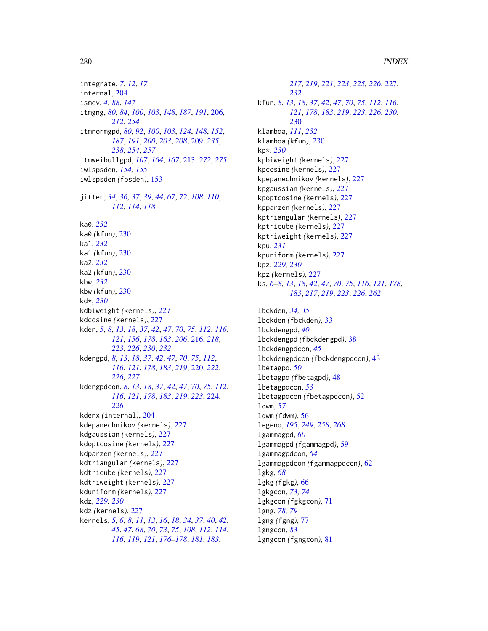# 280 INDEX

integrate, *[7](#page-6-0)*, *[12](#page-11-0)*, *[17](#page-16-0)* internal, [204](#page-203-0) ismev, *[4](#page-3-0)*, *[88](#page-87-0)*, *[147](#page-146-0)* itmgng, *[80](#page-79-0)*, *[84](#page-83-0)*, *[100](#page-99-1)*, *[103](#page-102-0)*, *[148](#page-147-0)*, *[187](#page-186-1)*, *[191](#page-190-1)*, [206,](#page-205-1) *[212](#page-211-0)*, *[254](#page-253-2)* itmnormgpd, *[80](#page-79-0)*, *[92](#page-91-1)*, *[100](#page-99-1)*, *[103](#page-102-0)*, *[124](#page-123-0)*, *[148](#page-147-0)*, *[152](#page-151-0)*, *[187](#page-186-1)*, *[191](#page-190-1)*, *[200](#page-199-0)*, *[203](#page-202-0)*, *[208](#page-207-0)*, [209,](#page-208-1) *[235](#page-234-0)*, *[238](#page-237-0)*, *[254](#page-253-2)*, *[257](#page-256-0)* itmweibullgpd, *[107](#page-106-0)*, *[164](#page-163-0)*, *[167](#page-166-0)*, [213,](#page-212-1) *[272](#page-271-0)*, *[275](#page-274-0)* iwlspsden, *[154,](#page-153-0) [155](#page-154-0)* iwlspsden *(*fpsden*)*, [153](#page-152-1) jitter, *[34](#page-33-0)*, *[36,](#page-35-0) [37](#page-36-0)*, *[39](#page-38-0)*, *[44](#page-43-0)*, *[67](#page-66-0)*, *[72](#page-71-0)*, *[108](#page-107-0)*, *[110](#page-109-0)*, *[112](#page-111-0)*, *[114](#page-113-0)*, *[118](#page-117-0)* ka0, *[232](#page-231-0)* ka0 *(*kfun*)*, [230](#page-229-0) ka1, *[232](#page-231-0)* ka1 *(*kfun*)*, [230](#page-229-0) ka2, *[232](#page-231-0)* ka2 *(*kfun*)*, [230](#page-229-0) kbw, *[232](#page-231-0)* kbw *(*kfun*)*, [230](#page-229-0) kd\*, *[230](#page-229-0)* kdbiweight *(*kernels*)*, [227](#page-226-0) kdcosine *(*kernels*)*, [227](#page-226-0) kden, *[5](#page-4-0)*, *[8](#page-7-0)*, *[13](#page-12-0)*, *[18](#page-17-0)*, *[37](#page-36-0)*, *[42](#page-41-0)*, *[47](#page-46-0)*, *[70](#page-69-0)*, *[75](#page-74-0)*, *[112](#page-111-0)*, *[116](#page-115-0)*, *[121](#page-120-0)*, *[156](#page-155-0)*, *[178](#page-177-0)*, *[183](#page-182-0)*, *[206](#page-205-1)*, [216,](#page-215-0) *[218](#page-217-0)*, *[223](#page-222-0)*, *[226](#page-225-0)*, *[230](#page-229-0)*, *[232](#page-231-0)* kdengpd, *[8](#page-7-0)*, *[13](#page-12-0)*, *[18](#page-17-0)*, *[37](#page-36-0)*, *[42](#page-41-0)*, *[47](#page-46-0)*, *[70](#page-69-0)*, *[75](#page-74-0)*, *[112](#page-111-0)*, *[116](#page-115-0)*, *[121](#page-120-0)*, *[178](#page-177-0)*, *[183](#page-182-0)*, *[219](#page-218-0)*, [220,](#page-219-0) *[222](#page-221-0)*, *[226,](#page-225-0) [227](#page-226-0)* kdengpdcon, *[8](#page-7-0)*, *[13](#page-12-0)*, *[18](#page-17-0)*, *[37](#page-36-0)*, *[42](#page-41-0)*, *[47](#page-46-0)*, *[70](#page-69-0)*, *[75](#page-74-0)*, *[112](#page-111-0)*, *[116](#page-115-0)*, *[121](#page-120-0)*, *[178](#page-177-0)*, *[183](#page-182-0)*, *[219](#page-218-0)*, *[223](#page-222-0)*, [224,](#page-223-0) *[226](#page-225-0)* kdenx *(*internal*)*, [204](#page-203-0) kdepanechnikov *(*kernels*)*, [227](#page-226-0) kdgaussian *(*kernels*)*, [227](#page-226-0) kdoptcosine *(*kernels*)*, [227](#page-226-0) kdparzen *(*kernels*)*, [227](#page-226-0) kdtriangular *(*kernels*)*, [227](#page-226-0) kdtricube *(*kernels*)*, [227](#page-226-0) kdtriweight *(*kernels*)*, [227](#page-226-0) kduniform *(*kernels*)*, [227](#page-226-0) kdz, *[229,](#page-228-0) [230](#page-229-0)* kdz *(*kernels*)*, [227](#page-226-0) kernels, *[5,](#page-4-0) [6](#page-5-0)*, *[8](#page-7-0)*, *[11](#page-10-0)*, *[13](#page-12-0)*, *[16](#page-15-0)*, *[18](#page-17-0)*, *[34](#page-33-0)*, *[37](#page-36-0)*, *[40](#page-39-0)*, *[42](#page-41-0)*, *[45](#page-44-0)*, *[47](#page-46-0)*, *[68](#page-67-0)*, *[70](#page-69-0)*, *[73](#page-72-0)*, *[75](#page-74-0)*, *[108](#page-107-0)*, *[112](#page-111-0)*, *[114](#page-113-0)*, *[116](#page-115-0)*, *[119](#page-118-0)*, *[121](#page-120-0)*, *[176–](#page-175-0)[178](#page-177-0)*, *[181](#page-180-0)*, *[183](#page-182-0)*,

*[217](#page-216-0)*, *[219](#page-218-0)*, *[221](#page-220-0)*, *[223](#page-222-0)*, *[225,](#page-224-0) [226](#page-225-0)*, [227,](#page-226-0) *[232](#page-231-0)* kfun, *[8](#page-7-0)*, *[13](#page-12-0)*, *[18](#page-17-0)*, *[37](#page-36-0)*, *[42](#page-41-0)*, *[47](#page-46-0)*, *[70](#page-69-0)*, *[75](#page-74-0)*, *[112](#page-111-0)*, *[116](#page-115-0)*, *[121](#page-120-0)*, *[178](#page-177-0)*, *[183](#page-182-0)*, *[219](#page-218-0)*, *[223](#page-222-0)*, *[226](#page-225-0)*, *[230](#page-229-0)*, [230](#page-229-0) klambda, *[111](#page-110-0)*, *[232](#page-231-0)* klambda *(*kfun*)*, [230](#page-229-0) kp\*, *[230](#page-229-0)* kpbiweight *(*kernels*)*, [227](#page-226-0) kpcosine *(*kernels*)*, [227](#page-226-0) kpepanechnikov *(*kernels*)*, [227](#page-226-0) kpgaussian *(*kernels*)*, [227](#page-226-0) kpoptcosine *(*kernels*)*, [227](#page-226-0) kpparzen *(*kernels*)*, [227](#page-226-0) kptriangular *(*kernels*)*, [227](#page-226-0) kptricube *(*kernels*)*, [227](#page-226-0) kptriweight *(*kernels*)*, [227](#page-226-0) kpu, *[231](#page-230-0)* kpuniform *(*kernels*)*, [227](#page-226-0) kpz, *[229,](#page-228-0) [230](#page-229-0)* kpz *(*kernels*)*, [227](#page-226-0) ks, *[6–](#page-5-0)[8](#page-7-0)*, *[13](#page-12-0)*, *[18](#page-17-0)*, *[42](#page-41-0)*, *[47](#page-46-0)*, *[70](#page-69-0)*, *[75](#page-74-0)*, *[116](#page-115-0)*, *[121](#page-120-0)*, *[178](#page-177-0)*, *[183](#page-182-0)*, *[217](#page-216-0)*, *[219](#page-218-0)*, *[223](#page-222-0)*, *[226](#page-225-0)*, *[262](#page-261-0)* lbckden, *[34,](#page-33-0) [35](#page-34-0)* lbckden *(*fbckden*)*, [33](#page-32-0) lbckdengpd, *[40](#page-39-0)* lbckdengpd *(*fbckdengpd*)*, [38](#page-37-0) lbckdengpdcon, *[45](#page-44-0)* lbckdengpdcon *(*fbckdengpdcon*)*, [43](#page-42-0) lbetagpd, *[50](#page-49-0)* lbetagpd *(*fbetagpd*)*, [48](#page-47-0) lbetagpdcon, *[53](#page-52-0)* lbetagpdcon *(*fbetagpdcon*)*, [52](#page-51-0) ldwm, *[57](#page-56-0)* ldwm *(*fdwm*)*, [56](#page-55-0) legend, *[195](#page-194-0)*, *[249](#page-248-1)*, *[258](#page-257-1)*, *[268](#page-267-0)* lgammagpd, *[60](#page-59-0)* lgammagpd *(*fgammagpd*)*, [59](#page-58-0) lgammagpdcon, *[64](#page-63-0)* lgammagpdcon *(*fgammagpdcon*)*, [62](#page-61-0) lgkg, *[68](#page-67-0)* lgkg *(*fgkg*)*, [66](#page-65-0) lgkgcon, *[73,](#page-72-0) [74](#page-73-0)* lgkgcon *(*fgkgcon*)*, [71](#page-70-0) lgng, *[78,](#page-77-0) [79](#page-78-0)* lgng *(*fgng*)*, [77](#page-76-0) lgngcon, *[83](#page-82-0)* lgngcon *(*fgngcon*)*, [81](#page-80-1)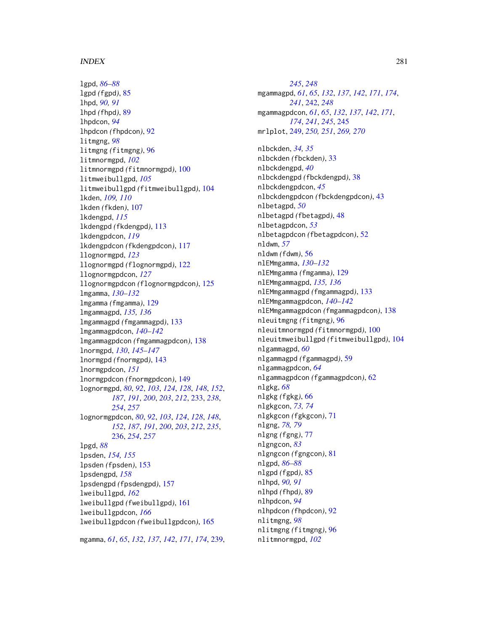# INDEX  $281$

lgpd, *[86](#page-85-0)[–88](#page-87-0)* lgpd *(*fgpd*)*, [85](#page-84-0) lhpd, *[90,](#page-89-0) [91](#page-90-0)* lhpd *(*fhpd*)*, [89](#page-88-1) lhpdcon, *[94](#page-93-0)* lhpdcon *(*fhpdcon*)*, [92](#page-91-1) litmgng, *[98](#page-97-0)* litmgng *(*fitmgng*)*, [96](#page-95-1) litmnormgpd, *[102](#page-101-0)* litmnormgpd *(*fitmnormgpd*)*, [100](#page-99-1) litmweibullgpd, *[105](#page-104-0)* litmweibullgpd *(*fitmweibullgpd*)*, [104](#page-103-1) lkden, *[109,](#page-108-0) [110](#page-109-0)* lkden *(*fkden*)*, [107](#page-106-0) lkdengpd, *[115](#page-114-0)* lkdengpd *(*fkdengpd*)*, [113](#page-112-0) lkdengpdcon, *[119](#page-118-0)* lkdengpdcon *(*fkdengpdcon*)*, [117](#page-116-0) llognormgpd, *[123](#page-122-0)* llognormgpd *(*flognormgpd*)*, [122](#page-121-1) llognormgpdcon, *[127](#page-126-0)* llognormgpdcon *(*flognormgpdcon*)*, [125](#page-124-1) lmgamma, *[130](#page-129-0)[–132](#page-131-0)* lmgamma *(*fmgamma*)*, [129](#page-128-0) lmgammagpd, *[135,](#page-134-0) [136](#page-135-0)* lmgammagpd *(*fmgammagpd*)*, [133](#page-132-0) lmgammagpdcon, *[140](#page-139-0)[–142](#page-141-0)* lmgammagpdcon *(*fmgammagpdcon*)*, [138](#page-137-0) lnormgpd, *[130](#page-129-0)*, *[145](#page-144-0)[–147](#page-146-0)* lnormgpd *(*fnormgpd*)*, [143](#page-142-1) lnormgpdcon, *[151](#page-150-0)* lnormgpdcon *(*fnormgpdcon*)*, [149](#page-148-1) lognormgpd, *[80](#page-79-0)*, *[92](#page-91-1)*, *[103](#page-102-0)*, *[124](#page-123-0)*, *[128](#page-127-0)*, *[148](#page-147-0)*, *[152](#page-151-0)*, *[187](#page-186-1)*, *[191](#page-190-1)*, *[200](#page-199-0)*, *[203](#page-202-0)*, *[212](#page-211-0)*, [233,](#page-232-1) *[238](#page-237-0)*, *[254](#page-253-2)*, *[257](#page-256-0)* lognormgpdcon, *[80](#page-79-0)*, *[92](#page-91-1)*, *[103](#page-102-0)*, *[124](#page-123-0)*, *[128](#page-127-0)*, *[148](#page-147-0)*, *[152](#page-151-0)*, *[187](#page-186-1)*, *[191](#page-190-1)*, *[200](#page-199-0)*, *[203](#page-202-0)*, *[212](#page-211-0)*, *[235](#page-234-0)*, [236,](#page-235-1) *[254](#page-253-2)*, *[257](#page-256-0)* lpgd, *[88](#page-87-0)* lpsden, *[154,](#page-153-0) [155](#page-154-0)* lpsden *(*fpsden*)*, [153](#page-152-1) lpsdengpd, *[158](#page-157-0)* lpsdengpd *(*fpsdengpd*)*, [157](#page-156-1) lweibullgpd, *[162](#page-161-0)* lweibullgpd *(*fweibullgpd*)*, [161](#page-160-1) lweibullgpdcon, *[166](#page-165-0)* lweibullgpdcon *(*fweibullgpdcon*)*, [165](#page-164-1)

mgamma, *[61](#page-60-0)*, *[65](#page-64-0)*, *[132](#page-131-0)*, *[137](#page-136-0)*, *[142](#page-141-0)*, *[171](#page-170-0)*, *[174](#page-173-0)*, [239,](#page-238-0)

*[245](#page-244-0)*, *[248](#page-247-0)* mgammagpd, *[61](#page-60-0)*, *[65](#page-64-0)*, *[132](#page-131-0)*, *[137](#page-136-0)*, *[142](#page-141-0)*, *[171](#page-170-0)*, *[174](#page-173-0)*, *[241](#page-240-0)*, [242,](#page-241-0) *[248](#page-247-0)* mgammagpdcon, *[61](#page-60-0)*, *[65](#page-64-0)*, *[132](#page-131-0)*, *[137](#page-136-0)*, *[142](#page-141-0)*, *[171](#page-170-0)*, *[174](#page-173-0)*, *[241](#page-240-0)*, *[245](#page-244-0)*, [245](#page-244-0) mrlplot, [249,](#page-248-1) *[250,](#page-249-0) [251](#page-250-2)*, *[269,](#page-268-0) [270](#page-269-2)*

nlbckden, *[34,](#page-33-0) [35](#page-34-0)* nlbckden *(*fbckden*)*, [33](#page-32-0) nlbckdengpd, *[40](#page-39-0)* nlbckdengpd *(*fbckdengpd*)*, [38](#page-37-0) nlbckdengpdcon, *[45](#page-44-0)* nlbckdengpdcon *(*fbckdengpdcon*)*, [43](#page-42-0) nlbetagpd, *[50](#page-49-0)* nlbetagpd *(*fbetagpd*)*, [48](#page-47-0) nlbetagpdcon, *[53](#page-52-0)* nlbetagpdcon *(*fbetagpdcon*)*, [52](#page-51-0) nldwm, *[57](#page-56-0)* nldwm *(*fdwm*)*, [56](#page-55-0) nlEMmgamma, *[130](#page-129-0)[–132](#page-131-0)* nlEMmgamma *(*fmgamma*)*, [129](#page-128-0) nlEMmgammagpd, *[135,](#page-134-0) [136](#page-135-0)* nlEMmgammagpd *(*fmgammagpd*)*, [133](#page-132-0) nlEMmgammagpdcon, *[140](#page-139-0)[–142](#page-141-0)* nlEMmgammagpdcon *(*fmgammagpdcon*)*, [138](#page-137-0) nleuitmgng *(*fitmgng*)*, [96](#page-95-1) nleuitmnormgpd *(*fitmnormgpd*)*, [100](#page-99-1) nleuitmweibullgpd *(*fitmweibullgpd*)*, [104](#page-103-1) nlgammagpd, *[60](#page-59-0)* nlgammagpd *(*fgammagpd*)*, [59](#page-58-0) nlgammagpdcon, *[64](#page-63-0)* nlgammagpdcon *(*fgammagpdcon*)*, [62](#page-61-0) nlgkg, *[68](#page-67-0)* nlgkg *(*fgkg*)*, [66](#page-65-0) nlgkgcon, *[73,](#page-72-0) [74](#page-73-0)* nlgkgcon *(*fgkgcon*)*, [71](#page-70-0) nlgng, *[78,](#page-77-0) [79](#page-78-0)* nlgng *(*fgng*)*, [77](#page-76-0) nlgngcon, *[83](#page-82-0)* nlgngcon *(*fgngcon*)*, [81](#page-80-1) nlgpd, *[86](#page-85-0)[–88](#page-87-0)* nlgpd *(*fgpd*)*, [85](#page-84-0) nlhpd, *[90,](#page-89-0) [91](#page-90-0)* nlhpd *(*fhpd*)*, [89](#page-88-1) nlhpdcon, *[94](#page-93-0)* nlhpdcon *(*fhpdcon*)*, [92](#page-91-1) nlitmgng, *[98](#page-97-0)* nlitmgng *(*fitmgng*)*, [96](#page-95-1) nlitmnormgpd, *[102](#page-101-0)*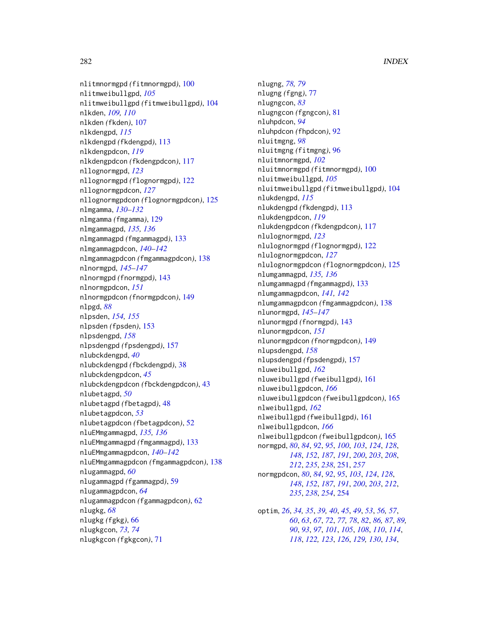nlitmnormgpd *(*fitmnormgpd*)*, [100](#page-99-1) nlitmweibullgpd, *[105](#page-104-0)* nlitmweibullgpd *(*fitmweibullgpd*)*, [104](#page-103-1) nlkden, *[109,](#page-108-0) [110](#page-109-0)* nlkden *(*fkden*)*, [107](#page-106-0) nlkdengpd, *[115](#page-114-0)* nlkdengpd *(*fkdengpd*)*, [113](#page-112-0) nlkdengpdcon, *[119](#page-118-0)* nlkdengpdcon *(*fkdengpdcon*)*, [117](#page-116-0) nllognormgpd, *[123](#page-122-0)* nllognormgpd *(*flognormgpd*)*, [122](#page-121-1) nllognormgpdcon, *[127](#page-126-0)* nllognormgpdcon *(*flognormgpdcon*)*, [125](#page-124-1) nlmgamma, *[130](#page-129-0)[–132](#page-131-0)* nlmgamma *(*fmgamma*)*, [129](#page-128-0) nlmgammagpd, *[135,](#page-134-0) [136](#page-135-0)* nlmgammagpd *(*fmgammagpd*)*, [133](#page-132-0) nlmgammagpdcon, *[140](#page-139-0)[–142](#page-141-0)* nlmgammagpdcon *(*fmgammagpdcon*)*, [138](#page-137-0) nlnormgpd, *[145](#page-144-0)[–147](#page-146-0)* nlnormgpd *(*fnormgpd*)*, [143](#page-142-1) nlnormgpdcon, *[151](#page-150-0)* nlnormgpdcon *(*fnormgpdcon*)*, [149](#page-148-1) nlpgd, *[88](#page-87-0)* nlpsden, *[154,](#page-153-0) [155](#page-154-0)* nlpsden *(*fpsden*)*, [153](#page-152-1) nlpsdengpd, *[158](#page-157-0)* nlpsdengpd *(*fpsdengpd*)*, [157](#page-156-1) nlubckdengpd, *[40](#page-39-0)* nlubckdengpd *(*fbckdengpd*)*, [38](#page-37-0) nlubckdengpdcon, *[45](#page-44-0)* nlubckdengpdcon *(*fbckdengpdcon*)*, [43](#page-42-0) nlubetagpd, *[50](#page-49-0)* nlubetagpd *(*fbetagpd*)*, [48](#page-47-0) nlubetagpdcon, *[53](#page-52-0)* nlubetagpdcon *(*fbetagpdcon*)*, [52](#page-51-0) nluEMmgammagpd, *[135,](#page-134-0) [136](#page-135-0)* nluEMmgammagpd *(*fmgammagpd*)*, [133](#page-132-0) nluEMmgammagpdcon, *[140–](#page-139-0)[142](#page-141-0)* nluEMmgammagpdcon *(*fmgammagpdcon*)*, [138](#page-137-0) nlugammagpd, *[60](#page-59-0)* nlugammagpd *(*fgammagpd*)*, [59](#page-58-0) nlugammagpdcon, *[64](#page-63-0)* nlugammagpdcon *(*fgammagpdcon*)*, [62](#page-61-0) nlugkg, *[68](#page-67-0)* nlugkg *(*fgkg*)*, [66](#page-65-0) nlugkgcon, *[73,](#page-72-0) [74](#page-73-0)* nlugkgcon *(*fgkgcon*)*, [71](#page-70-0)

nlugng, *[78,](#page-77-0) [79](#page-78-0)* nlugng *(*fgng*)*, [77](#page-76-0) nlugngcon, *[83](#page-82-0)* nlugngcon *(*fgngcon*)*, [81](#page-80-1) nluhpdcon, *[94](#page-93-0)* nluhpdcon *(*fhpdcon*)*, [92](#page-91-1) nluitmgng, *[98](#page-97-0)* nluitmgng *(*fitmgng*)*, [96](#page-95-1) nluitmnormgpd, *[102](#page-101-0)* nluitmnormgpd *(*fitmnormgpd*)*, [100](#page-99-1) nluitmweibullgpd, *[105](#page-104-0)* nluitmweibullgpd *(*fitmweibullgpd*)*, [104](#page-103-1) nlukdengpd, *[115](#page-114-0)* nlukdengpd *(*fkdengpd*)*, [113](#page-112-0) nlukdengpdcon, *[119](#page-118-0)* nlukdengpdcon *(*fkdengpdcon*)*, [117](#page-116-0) nlulognormgpd, *[123](#page-122-0)* nlulognormgpd *(*flognormgpd*)*, [122](#page-121-1) nlulognormgpdcon, *[127](#page-126-0)* nlulognormgpdcon *(*flognormgpdcon*)*, [125](#page-124-1) nlumgammagpd, *[135,](#page-134-0) [136](#page-135-0)* nlumgammagpd *(*fmgammagpd*)*, [133](#page-132-0) nlumgammagpdcon, *[141,](#page-140-0) [142](#page-141-0)* nlumgammagpdcon *(*fmgammagpdcon*)*, [138](#page-137-0) nlunormgpd, *[145](#page-144-0)[–147](#page-146-0)* nlunormgpd *(*fnormgpd*)*, [143](#page-142-1) nlunormgpdcon, *[151](#page-150-0)* nlunormgpdcon *(*fnormgpdcon*)*, [149](#page-148-1) nlupsdengpd, *[158](#page-157-0)* nlupsdengpd *(*fpsdengpd*)*, [157](#page-156-1) nluweibullgpd, *[162](#page-161-0)* nluweibullgpd *(*fweibullgpd*)*, [161](#page-160-1) nluweibullgpdcon, *[166](#page-165-0)* nluweibullgpdcon *(*fweibullgpdcon*)*, [165](#page-164-1) nlweibullgpd, *[162](#page-161-0)* nlweibullgpd *(*fweibullgpd*)*, [161](#page-160-1) nlweibullgpdcon, *[166](#page-165-0)* nlweibullgpdcon *(*fweibullgpdcon*)*, [165](#page-164-1) normgpd, *[80](#page-79-0)*, *[84](#page-83-0)*, *[92](#page-91-1)*, *[95](#page-94-0)*, *[100](#page-99-1)*, *[103](#page-102-0)*, *[124](#page-123-0)*, *[128](#page-127-0)*, *[148](#page-147-0)*, *[152](#page-151-0)*, *[187](#page-186-1)*, *[191](#page-190-1)*, *[200](#page-199-0)*, *[203](#page-202-0)*, *[208](#page-207-0)*, *[212](#page-211-0)*, *[235](#page-234-0)*, *[238](#page-237-0)*, [251,](#page-250-2) *[257](#page-256-0)* normgpdcon, *[80](#page-79-0)*, *[84](#page-83-0)*, *[92](#page-91-1)*, *[95](#page-94-0)*, *[103](#page-102-0)*, *[124](#page-123-0)*, *[128](#page-127-0)*, *[148](#page-147-0)*, *[152](#page-151-0)*, *[187](#page-186-1)*, *[191](#page-190-1)*, *[200](#page-199-0)*, *[203](#page-202-0)*, *[212](#page-211-0)*, *[235](#page-234-0)*, *[238](#page-237-0)*, *[254](#page-253-2)*, [254](#page-253-2) optim, *[26](#page-25-0)*, *[34,](#page-33-0) [35](#page-34-0)*, *[39,](#page-38-0) [40](#page-39-0)*, *[45](#page-44-0)*, *[49](#page-48-0)*, *[53](#page-52-0)*, *[56,](#page-55-0) [57](#page-56-0)*,

*[60](#page-59-0)*, *[63](#page-62-0)*, *[67](#page-66-0)*, *[72](#page-71-0)*, *[77,](#page-76-0) [78](#page-77-0)*, *[82](#page-81-0)*, *[86,](#page-85-0) [87](#page-86-0)*, *[89,](#page-88-1) [90](#page-89-0)*, *[93](#page-92-0)*, *[97](#page-96-0)*, *[101](#page-100-0)*, *[105](#page-104-0)*, *[108](#page-107-0)*, *[110](#page-109-0)*, *[114](#page-113-0)*, *[118](#page-117-0)*, *[122,](#page-121-1) [123](#page-122-0)*, *[126](#page-125-0)*, *[129,](#page-128-0) [130](#page-129-0)*, *[134](#page-133-0)*,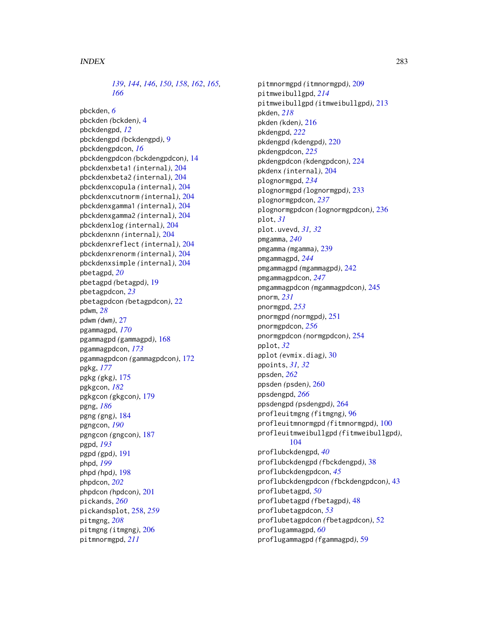*[139](#page-138-0)*, *[144](#page-143-0)*, *[146](#page-145-0)*, *[150](#page-149-0)*, *[158](#page-157-0)*, *[162](#page-161-0)*, *[165,](#page-164-1) [166](#page-165-0)*

pbckden, *[6](#page-5-0)* pbckden *(*bckden*)*, [4](#page-3-0) pbckdengpd, *[12](#page-11-0)* pbckdengpd *(*bckdengpd*)*, [9](#page-8-0) pbckdengpdcon, *[16](#page-15-0)* pbckdengpdcon *(*bckdengpdcon*)*, [14](#page-13-0) pbckdenxbeta1 *(*internal*)*, [204](#page-203-0) pbckdenxbeta2 *(*internal*)*, [204](#page-203-0) pbckdenxcopula *(*internal*)*, [204](#page-203-0) pbckdenxcutnorm *(*internal*)*, [204](#page-203-0) pbckdenxgamma1 *(*internal*)*, [204](#page-203-0) pbckdenxgamma2 *(*internal*)*, [204](#page-203-0) pbckdenxlog *(*internal*)*, [204](#page-203-0) pbckdenxnn *(*internal*)*, [204](#page-203-0) pbckdenxreflect *(*internal*)*, [204](#page-203-0) pbckdenxrenorm *(*internal*)*, [204](#page-203-0) pbckdenxsimple *(*internal*)*, [204](#page-203-0) pbetagpd, *[20](#page-19-0)* pbetagpd *(*betagpd*)*, [19](#page-18-0) pbetagpdcon, *[23](#page-22-0)* pbetagpdcon *(*betagpdcon*)*, [22](#page-21-0) pdwm, *[28](#page-27-0)* pdwm *(*dwm*)*, [27](#page-26-0) pgammagpd, *[170](#page-169-0)* pgammagpd *(*gammagpd*)*, [168](#page-167-0) pgammagpdcon, *[173](#page-172-0)* pgammagpdcon *(*gammagpdcon*)*, [172](#page-171-0) pgkg, *[177](#page-176-0)* pgkg *(*gkg*)*, [175](#page-174-0) pgkgcon, *[182](#page-181-0)* pgkgcon *(*gkgcon*)*, [179](#page-178-0) pgng, *[186](#page-185-0)* pgng *(*gng*)*, [184](#page-183-1) pgngcon, *[190](#page-189-0)* pgngcon *(*gngcon*)*, [187](#page-186-1) pgpd, *[193](#page-192-0)* pgpd *(*gpd*)*, [191](#page-190-1) phpd, *[199](#page-198-0)* phpd *(*hpd*)*, [198](#page-197-1) phpdcon, *[202](#page-201-0)* phpdcon *(*hpdcon*)*, [201](#page-200-1) pickands, *[260](#page-259-2)* pickandsplot, [258,](#page-257-1) *[259](#page-258-0)* pitmgng, *[208](#page-207-0)* pitmgng *(*itmgng*)*, [206](#page-205-1) pitmnormgpd, *[211](#page-210-0)*

pitmnormgpd *(*itmnormgpd*)*, [209](#page-208-1) pitmweibullgpd, *[214](#page-213-0)* pitmweibullgpd *(*itmweibullgpd*)*, [213](#page-212-1) pkden, *[218](#page-217-0)* pkden *(*kden*)*, [216](#page-215-0) pkdengpd, *[222](#page-221-0)* pkdengpd *(*kdengpd*)*, [220](#page-219-0) pkdengpdcon, *[225](#page-224-0)* pkdengpdcon *(*kdengpdcon*)*, [224](#page-223-0) pkdenx *(*internal*)*, [204](#page-203-0) plognormgpd, *[234](#page-233-0)* plognormgpd *(*lognormgpd*)*, [233](#page-232-1) plognormgpdcon, *[237](#page-236-0)* plognormgpdcon *(*lognormgpdcon*)*, [236](#page-235-1) plot, *[31](#page-30-0)* plot.uvevd, *[31,](#page-30-0) [32](#page-31-0)* pmgamma, *[240](#page-239-0)* pmgamma *(*mgamma*)*, [239](#page-238-0) pmgammagpd, *[244](#page-243-0)* pmgammagpd *(*mgammagpd*)*, [242](#page-241-0) pmgammagpdcon, *[247](#page-246-0)* pmgammagpdcon *(*mgammagpdcon*)*, [245](#page-244-0) pnorm, *[231](#page-230-0)* pnormgpd, *[253](#page-252-0)* pnormgpd *(*normgpd*)*, [251](#page-250-2) pnormgpdcon, *[256](#page-255-0)* pnormgpdcon *(*normgpdcon*)*, [254](#page-253-2) pplot, *[32](#page-31-0)* pplot *(*evmix.diag*)*, [30](#page-29-0) ppoints, *[31,](#page-30-0) [32](#page-31-0)* ppsden, *[262](#page-261-0)* ppsden *(*psden*)*, [260](#page-259-2) ppsdengpd, *[266](#page-265-0)* ppsdengpd *(*psdengpd*)*, [264](#page-263-2) profleuitmgng *(*fitmgng*)*, [96](#page-95-1) profleuitmnormgpd *(*fitmnormgpd*)*, [100](#page-99-1) profleuitmweibullgpd *(*fitmweibullgpd*)*, [104](#page-103-1) proflubckdengpd, *[40](#page-39-0)* proflubckdengpd *(*fbckdengpd*)*, [38](#page-37-0) proflubckdengpdcon, *[45](#page-44-0)* proflubckdengpdcon *(*fbckdengpdcon*)*, [43](#page-42-0) proflubetagpd, *[50](#page-49-0)* proflubetagpd *(*fbetagpd*)*, [48](#page-47-0) proflubetagpdcon, *[53](#page-52-0)* proflubetagpdcon *(*fbetagpdcon*)*, [52](#page-51-0) proflugammagpd, *[60](#page-59-0)* proflugammagpd *(*fgammagpd*)*, [59](#page-58-0)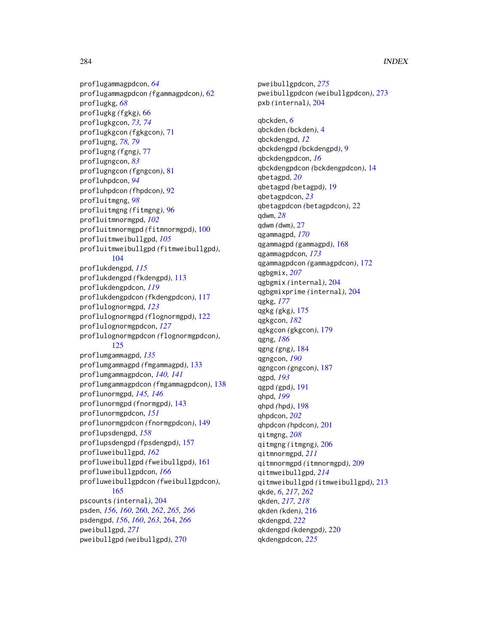proflugammagpdcon, *[64](#page-63-0)* proflugammagpdcon *(*fgammagpdcon*)*, [62](#page-61-0) proflugkg, *[68](#page-67-0)* proflugkg *(*fgkg*)*, [66](#page-65-0) proflugkgcon, *[73,](#page-72-0) [74](#page-73-0)* proflugkgcon *(*fgkgcon*)*, [71](#page-70-0) proflugng, *[78,](#page-77-0) [79](#page-78-0)* proflugng *(*fgng*)*, [77](#page-76-0) proflugngcon, *[83](#page-82-0)* proflugngcon *(*fgngcon*)*, [81](#page-80-1) profluhpdcon, *[94](#page-93-0)* profluhpdcon *(*fhpdcon*)*, [92](#page-91-1) profluitmgng, *[98](#page-97-0)* profluitmgng *(*fitmgng*)*, [96](#page-95-1) profluitmnormgpd, *[102](#page-101-0)* profluitmnormgpd *(*fitmnormgpd*)*, [100](#page-99-1) profluitmweibullgpd, *[105](#page-104-0)* profluitmweibullgpd *(*fitmweibullgpd*)*, [104](#page-103-1) proflukdengpd, *[115](#page-114-0)* proflukdengpd *(*fkdengpd*)*, [113](#page-112-0) proflukdengpdcon, *[119](#page-118-0)* proflukdengpdcon *(*fkdengpdcon*)*, [117](#page-116-0) proflulognormgpd, *[123](#page-122-0)* proflulognormgpd *(*flognormgpd*)*, [122](#page-121-1) proflulognormgpdcon, *[127](#page-126-0)* proflulognormgpdcon *(*flognormgpdcon*)*, [125](#page-124-1) proflumgammagpd, *[135](#page-134-0)* proflumgammagpd *(*fmgammagpd*)*, [133](#page-132-0) proflumgammagpdcon, *[140,](#page-139-0) [141](#page-140-0)* proflumgammagpdcon *(*fmgammagpdcon*)*, [138](#page-137-0) proflunormgpd, *[145,](#page-144-0) [146](#page-145-0)* proflunormgpd *(*fnormgpd*)*, [143](#page-142-1) proflunormgpdcon, *[151](#page-150-0)* proflunormgpdcon *(*fnormgpdcon*)*, [149](#page-148-1) proflupsdengpd, *[158](#page-157-0)* proflupsdengpd *(*fpsdengpd*)*, [157](#page-156-1) profluweibullgpd, *[162](#page-161-0)* profluweibullgpd *(*fweibullgpd*)*, [161](#page-160-1) profluweibullgpdcon, *[166](#page-165-0)* profluweibullgpdcon *(*fweibullgpdcon*)*, [165](#page-164-1) pscounts *(*internal*)*, [204](#page-203-0) psden, *[156](#page-155-0)*, *[160](#page-159-0)*, [260,](#page-259-2) *[262](#page-261-0)*, *[265,](#page-264-0) [266](#page-265-0)* psdengpd, *[156](#page-155-0)*, *[160](#page-159-0)*, *[263](#page-262-0)*, [264,](#page-263-2) *[266](#page-265-0)* pweibullgpd, *[271](#page-270-0)* pweibullgpd *(*weibullgpd*)*, [270](#page-269-2)

pweibullgpdcon, *[275](#page-274-0)* pweibullgpdcon *(*weibullgpdcon*)*, [273](#page-272-2) pxb *(*internal*)*, [204](#page-203-0) qbckden, *[6](#page-5-0)* qbckden *(*bckden*)*, [4](#page-3-0) qbckdengpd, *[12](#page-11-0)* qbckdengpd *(*bckdengpd*)*, [9](#page-8-0) qbckdengpdcon, *[16](#page-15-0)* qbckdengpdcon *(*bckdengpdcon*)*, [14](#page-13-0) qbetagpd, *[20](#page-19-0)* qbetagpd *(*betagpd*)*, [19](#page-18-0) qbetagpdcon, *[23](#page-22-0)* qbetagpdcon *(*betagpdcon*)*, [22](#page-21-0) qdwm, *[28](#page-27-0)* qdwm *(*dwm*)*, [27](#page-26-0) qgammagpd, *[170](#page-169-0)* qgammagpd *(*gammagpd*)*, [168](#page-167-0) qgammagpdcon, *[173](#page-172-0)* qgammagpdcon *(*gammagpdcon*)*, [172](#page-171-0) qgbgmix, *[207](#page-206-0)* qgbgmix *(*internal*)*, [204](#page-203-0) qgbgmixprime *(*internal*)*, [204](#page-203-0) qgkg, *[177](#page-176-0)* qgkg *(*gkg*)*, [175](#page-174-0) qgkgcon, *[182](#page-181-0)* qgkgcon *(*gkgcon*)*, [179](#page-178-0) qgng, *[186](#page-185-0)* qgng *(*gng*)*, [184](#page-183-1) qgngcon, *[190](#page-189-0)* qgngcon *(*gngcon*)*, [187](#page-186-1) qgpd, *[193](#page-192-0)* qgpd *(*gpd*)*, [191](#page-190-1) qhpd, *[199](#page-198-0)* qhpd *(*hpd*)*, [198](#page-197-1) qhpdcon, *[202](#page-201-0)* qhpdcon *(*hpdcon*)*, [201](#page-200-1) qitmgng, *[208](#page-207-0)* qitmgng *(*itmgng*)*, [206](#page-205-1) qitmnormgpd, *[211](#page-210-0)* qitmnormgpd *(*itmnormgpd*)*, [209](#page-208-1) qitmweibullgpd, *[214](#page-213-0)* qitmweibullgpd *(*itmweibullgpd*)*, [213](#page-212-1) qkde, *[6](#page-5-0)*, *[217](#page-216-0)*, *[262](#page-261-0)* qkden, *[217,](#page-216-0) [218](#page-217-0)* qkden *(*kden*)*, [216](#page-215-0) qkdengpd, *[222](#page-221-0)* qkdengpd *(*kdengpd*)*, [220](#page-219-0) qkdengpdcon, *[225](#page-224-0)*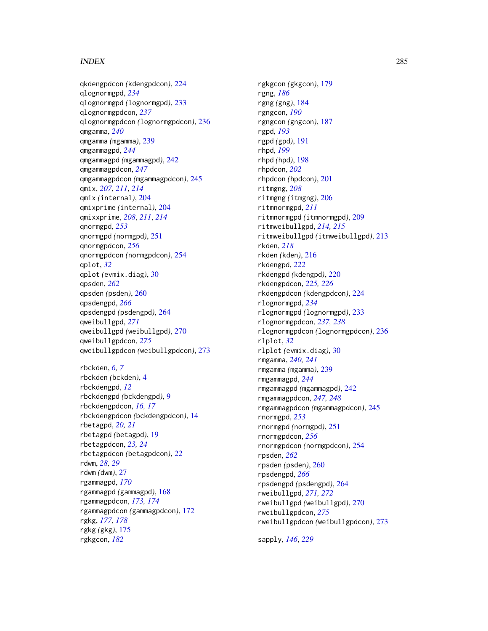# INDEX 285

qkdengpdcon *(*kdengpdcon*)*, [224](#page-223-0) qlognormgpd, *[234](#page-233-0)* qlognormgpd *(*lognormgpd*)*, [233](#page-232-1) qlognormgpdcon, *[237](#page-236-0)* qlognormgpdcon *(*lognormgpdcon*)*, [236](#page-235-1) qmgamma, *[240](#page-239-0)* qmgamma *(*mgamma*)*, [239](#page-238-0) qmgammagpd, *[244](#page-243-0)* qmgammagpd *(*mgammagpd*)*, [242](#page-241-0) qmgammagpdcon, *[247](#page-246-0)* qmgammagpdcon *(*mgammagpdcon*)*, [245](#page-244-0) qmix, *[207](#page-206-0)*, *[211](#page-210-0)*, *[214](#page-213-0)* qmix *(*internal*)*, [204](#page-203-0) qmixprime *(*internal*)*, [204](#page-203-0) qmixxprime, *[208](#page-207-0)*, *[211](#page-210-0)*, *[214](#page-213-0)* qnormgpd, *[253](#page-252-0)* qnormgpd *(*normgpd*)*, [251](#page-250-2) qnormgpdcon, *[256](#page-255-0)* qnormgpdcon *(*normgpdcon*)*, [254](#page-253-2) qplot, *[32](#page-31-0)* qplot *(*evmix.diag*)*, [30](#page-29-0) qpsden, *[262](#page-261-0)* qpsden *(*psden*)*, [260](#page-259-2) qpsdengpd, *[266](#page-265-0)* qpsdengpd *(*psdengpd*)*, [264](#page-263-2) qweibullgpd, *[271](#page-270-0)* qweibullgpd *(*weibullgpd*)*, [270](#page-269-2) qweibullgpdcon, *[275](#page-274-0)* qweibullgpdcon *(*weibullgpdcon*)*, [273](#page-272-2) rbckden, *[6,](#page-5-0) [7](#page-6-0)* rbckden *(*bckden*)*, [4](#page-3-0) rbckdengpd, *[12](#page-11-0)*

rbckdengpd *(*bckdengpd*)*, [9](#page-8-0) rbckdengpdcon, *[16,](#page-15-0) [17](#page-16-0)* rbckdengpdcon *(*bckdengpdcon*)*, [14](#page-13-0) rbetagpd, *[20,](#page-19-0) [21](#page-20-0)* rbetagpd *(*betagpd*)*, [19](#page-18-0) rbetagpdcon, *[23,](#page-22-0) [24](#page-23-0)* rbetagpdcon *(*betagpdcon*)*, [22](#page-21-0) rdwm, *[28,](#page-27-0) [29](#page-28-0)* rdwm *(*dwm*)*, [27](#page-26-0) rgammagpd, *[170](#page-169-0)* rgammagpd *(*gammagpd*)*, [168](#page-167-0) rgammagpdcon, *[173,](#page-172-0) [174](#page-173-0)* rgammagpdcon *(*gammagpdcon*)*, [172](#page-171-0) rgkg, *[177,](#page-176-0) [178](#page-177-0)* rgkg *(*gkg*)*, [175](#page-174-0) rgkgcon, *[182](#page-181-0)*

rgkgcon *(*gkgcon*)*, [179](#page-178-0) rgng, *[186](#page-185-0)* rgng *(*gng*)*, [184](#page-183-1) rgngcon, *[190](#page-189-0)* rgngcon *(*gngcon*)*, [187](#page-186-1) rgpd, *[193](#page-192-0)* rgpd *(*gpd*)*, [191](#page-190-1) rhpd, *[199](#page-198-0)* rhpd *(*hpd*)*, [198](#page-197-1) rhpdcon, *[202](#page-201-0)* rhpdcon *(*hpdcon*)*, [201](#page-200-1) ritmgng, *[208](#page-207-0)* ritmgng *(*itmgng*)*, [206](#page-205-1) ritmnormgpd, *[211](#page-210-0)* ritmnormgpd *(*itmnormgpd*)*, [209](#page-208-1) ritmweibullgpd, *[214,](#page-213-0) [215](#page-214-0)* ritmweibullgpd *(*itmweibullgpd*)*, [213](#page-212-1) rkden, *[218](#page-217-0)* rkden *(*kden*)*, [216](#page-215-0) rkdengpd, *[222](#page-221-0)* rkdengpd *(*kdengpd*)*, [220](#page-219-0) rkdengpdcon, *[225,](#page-224-0) [226](#page-225-0)* rkdengpdcon *(*kdengpdcon*)*, [224](#page-223-0) rlognormgpd, *[234](#page-233-0)* rlognormgpd *(*lognormgpd*)*, [233](#page-232-1) rlognormgpdcon, *[237,](#page-236-0) [238](#page-237-0)* rlognormgpdcon *(*lognormgpdcon*)*, [236](#page-235-1) rlplot, *[32](#page-31-0)* rlplot *(*evmix.diag*)*, [30](#page-29-0) rmgamma, *[240,](#page-239-0) [241](#page-240-0)* rmgamma *(*mgamma*)*, [239](#page-238-0) rmgammagpd, *[244](#page-243-0)* rmgammagpd *(*mgammagpd*)*, [242](#page-241-0) rmgammagpdcon, *[247,](#page-246-0) [248](#page-247-0)* rmgammagpdcon *(*mgammagpdcon*)*, [245](#page-244-0) rnormgpd, *[253](#page-252-0)* rnormgpd *(*normgpd*)*, [251](#page-250-2) rnormgpdcon, *[256](#page-255-0)* rnormgpdcon *(*normgpdcon*)*, [254](#page-253-2) rpsden, *[262](#page-261-0)* rpsden *(*psden*)*, [260](#page-259-2) rpsdengpd, *[266](#page-265-0)* rpsdengpd *(*psdengpd*)*, [264](#page-263-2) rweibullgpd, *[271,](#page-270-0) [272](#page-271-0)* rweibullgpd *(*weibullgpd*)*, [270](#page-269-2) rweibullgpdcon, *[275](#page-274-0)* rweibullgpdcon *(*weibullgpdcon*)*, [273](#page-272-2)

sapply, *[146](#page-145-0)*, *[229](#page-228-0)*